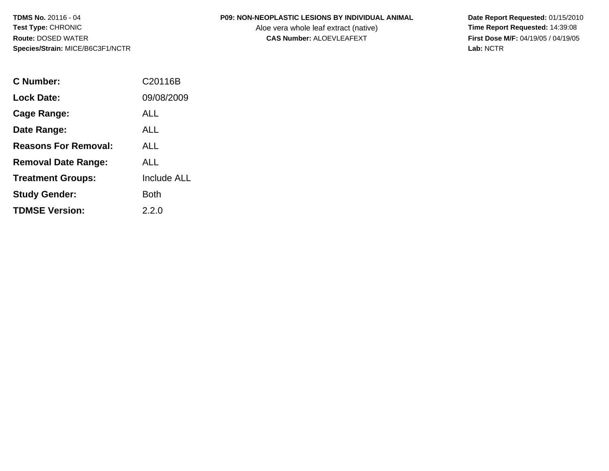## **P09: NON-NEOPLASTIC LESIONS BY INDIVIDUAL ANIMAL**

Aloe vera whole leaf extract (native)<br>**CAS Number:** ALOEVLEAFEXT

| C Number:                   | C20116B            |
|-----------------------------|--------------------|
| <b>Lock Date:</b>           | 09/08/2009         |
| Cage Range:                 | ALL                |
| Date Range:                 | ALL                |
| <b>Reasons For Removal:</b> | ALL                |
| <b>Removal Date Range:</b>  | ALL                |
| <b>Treatment Groups:</b>    | <b>Include ALL</b> |
| <b>Study Gender:</b>        | <b>Both</b>        |
| <b>TDMSE Version:</b>       | 2.2.0              |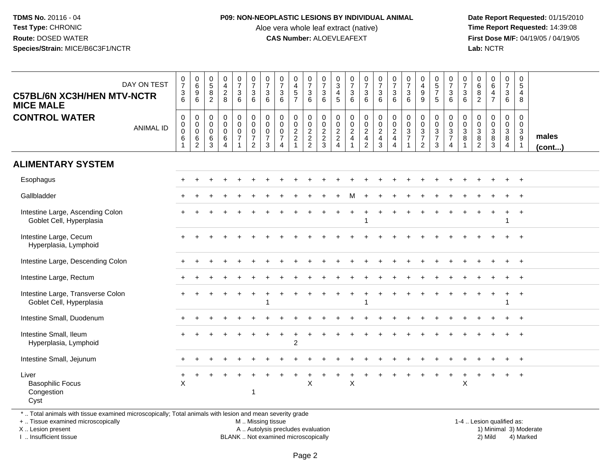#### **P09: NON-NEOPLASTIC LESIONS BY INDIVIDUAL ANIMAL**

Aloe vera whole leaf extract (native)<br>**CAS Number:** ALOEVLEAFEXT

 **Date Report Requested:** 01/15/2010 **First Dose M/F:** 04/19/05 / 04/19/05<br>**Lab:** NCTR **Lab:** NCTR

| <b>C57BL/6N XC3H/HEN MTV-NCTR</b><br><b>MICE MALE</b>         | DAY ON TEST      | $\begin{array}{c} 0 \\ 7 \end{array}$<br>$\frac{3}{6}$   | $\begin{array}{c} 0 \\ 6 \end{array}$<br>$\frac{9}{6}$     | $\begin{array}{c} 0 \\ 5 \end{array}$<br>$\boldsymbol{8}$<br>$\overline{2}$ | $\begin{smallmatrix}0\0\4\end{smallmatrix}$<br>$\frac{2}{8}$ | $\begin{smallmatrix}0\\7\end{smallmatrix}$<br>$\mathbf{3}$<br>$6\phantom{1}$          | $\begin{smallmatrix}0\\7\end{smallmatrix}$<br>$\sqrt{3}$<br>$6\phantom{a}$                      | $\frac{0}{7}$<br>$\mathsf 3$<br>6                      | $\begin{array}{c} 0 \\ 7 \end{array}$<br>$\mathbf 3$<br>6               | $\pmb{0}$<br>$\frac{4}{5}$<br>$\overline{7}$ | $\frac{0}{7}$<br>$\sqrt{3}$<br>$6\phantom{1}$                  | $\frac{0}{7}$<br>$\sqrt{3}$<br>6 | $\begin{array}{c} 0 \\ 3 \\ 4 \end{array}$<br>$\overline{5}$ | $\begin{smallmatrix}0\\7\end{smallmatrix}$<br>$\frac{3}{6}$ | $\frac{0}{7}$<br>$\frac{3}{6}$ | $\begin{array}{c} 0 \\ 7 \end{array}$<br>$\mathbf 3$<br>6 | $\frac{0}{7}$<br>3<br>6                      | $\begin{array}{c} 0 \\ 7 \end{array}$<br>$\mathbf{3}$<br>6    | $_4^{\rm O}$<br>$\boldsymbol{9}$<br>9 | $\begin{array}{c} 0 \\ 5 \\ 7 \end{array}$<br>5 | $\frac{0}{7}$<br>$\frac{3}{6}$                              | $\frac{0}{7}$<br>$\mathbf{3}$<br>6              | $\mathbf 0$<br>$\,6\,$<br>$\, 8$<br>$\overline{c}$               | $_6^0$<br>$\overline{4}$<br>$\overline{7}$   | $\begin{smallmatrix}0\\7\end{smallmatrix}$<br>3<br>$6\phantom{a}$ | $\pmb{0}$<br>$\sqrt{5}$<br>4<br>8 |                 |
|---------------------------------------------------------------|------------------|----------------------------------------------------------|------------------------------------------------------------|-----------------------------------------------------------------------------|--------------------------------------------------------------|---------------------------------------------------------------------------------------|-------------------------------------------------------------------------------------------------|--------------------------------------------------------|-------------------------------------------------------------------------|----------------------------------------------|----------------------------------------------------------------|----------------------------------|--------------------------------------------------------------|-------------------------------------------------------------|--------------------------------|-----------------------------------------------------------|----------------------------------------------|---------------------------------------------------------------|---------------------------------------|-------------------------------------------------|-------------------------------------------------------------|-------------------------------------------------|------------------------------------------------------------------|----------------------------------------------|-------------------------------------------------------------------|-----------------------------------|-----------------|
| <b>CONTROL WATER</b>                                          | <b>ANIMAL ID</b> | $\mathbf 0$<br>$\overline{0}$<br>$\overline{0}$<br>$\,6$ | 0<br>$\pmb{0}$<br>$\mathbf 0$<br>$\,6\,$<br>$\overline{c}$ | $\mathbf 0$<br>$\mathbf 0$<br>$\mathbf 0$<br>6<br>3                         | 0<br>$\mathbf 0$<br>$\mathbf 0$<br>6<br>$\Delta$             | $\begin{smallmatrix} 0\\0 \end{smallmatrix}$<br>$\mathsf{O}\xspace$<br>$\overline{7}$ | $\begin{smallmatrix} 0\\0 \end{smallmatrix}$<br>$\mathbf 0$<br>$\overline{7}$<br>$\overline{2}$ | 0<br>$\mathbf 0$<br>$\mathbf 0$<br>$\overline{7}$<br>3 | $\mathbf 0$<br>$\mathbf 0$<br>$\mathbf 0$<br>$\overline{7}$<br>$\Delta$ | 0<br>$\frac{0}{2}$<br>$\overline{1}$         | $\mathbf 0$<br>$\begin{array}{c} 0 \\ 2 \\ 2 \\ 2 \end{array}$ | 000223                           | 00022                                                        | $\begin{matrix} 0 \\ 0 \\ 2 \end{matrix}$<br>$\overline{4}$ | 0024                           | $\begin{matrix} 0 \\ 0 \\ 2 \\ 4 \\ 3 \end{matrix}$       | 0<br>$\mathbf 0$<br>$\overline{2}$<br>4<br>4 | $\begin{smallmatrix} 0\\0 \end{smallmatrix}$<br>$\frac{3}{7}$ | 0<br>$\frac{0}{3}$<br>$\overline{2}$  | 0<br>$\frac{0}{3}$<br>$\overline{7}$<br>3       | $\begin{array}{c} 0 \\ 0 \\ 3 \\ 7 \end{array}$<br>$\Delta$ | $\mathbf 0$<br>$\mathbf 0$<br>$\mathbf{3}$<br>8 | $\mathbf 0$<br>$\mathbf 0$<br>$\mathbf 3$<br>8<br>$\overline{2}$ | 0<br>$\mathbf 0$<br>$\overline{3}$<br>8<br>3 | 0<br>$\overline{0}$<br>$\mathbf{3}$<br>8<br>$\overline{4}$        | 0<br>$\mathbf 0$<br>3<br>9        | males<br>(cont) |
| <b>ALIMENTARY SYSTEM</b>                                      |                  |                                                          |                                                            |                                                                             |                                                              |                                                                                       |                                                                                                 |                                                        |                                                                         |                                              |                                                                |                                  |                                                              |                                                             |                                |                                                           |                                              |                                                               |                                       |                                                 |                                                             |                                                 |                                                                  |                                              |                                                                   |                                   |                 |
| Esophagus                                                     |                  |                                                          |                                                            |                                                                             |                                                              |                                                                                       |                                                                                                 |                                                        |                                                                         |                                              |                                                                |                                  |                                                              |                                                             |                                |                                                           |                                              |                                                               |                                       |                                                 |                                                             |                                                 |                                                                  |                                              |                                                                   | $+$                               |                 |
| Gallbladder                                                   |                  |                                                          |                                                            |                                                                             |                                                              |                                                                                       |                                                                                                 |                                                        |                                                                         |                                              |                                                                |                                  |                                                              |                                                             |                                |                                                           |                                              |                                                               |                                       |                                                 |                                                             |                                                 |                                                                  |                                              |                                                                   |                                   |                 |
| Intestine Large, Ascending Colon<br>Goblet Cell, Hyperplasia  |                  |                                                          |                                                            |                                                                             |                                                              |                                                                                       |                                                                                                 |                                                        |                                                                         |                                              |                                                                |                                  |                                                              |                                                             |                                |                                                           |                                              |                                                               |                                       |                                                 |                                                             |                                                 |                                                                  |                                              |                                                                   | $+$                               |                 |
| Intestine Large, Cecum<br>Hyperplasia, Lymphoid               |                  |                                                          |                                                            |                                                                             |                                                              |                                                                                       |                                                                                                 |                                                        |                                                                         |                                              |                                                                |                                  |                                                              |                                                             |                                |                                                           |                                              |                                                               |                                       |                                                 |                                                             |                                                 |                                                                  |                                              |                                                                   |                                   |                 |
| Intestine Large, Descending Colon                             |                  |                                                          |                                                            |                                                                             |                                                              |                                                                                       |                                                                                                 |                                                        |                                                                         |                                              |                                                                |                                  |                                                              |                                                             |                                |                                                           |                                              |                                                               |                                       |                                                 |                                                             |                                                 |                                                                  |                                              | $+$                                                               | $+$                               |                 |
| Intestine Large, Rectum                                       |                  |                                                          |                                                            |                                                                             |                                                              |                                                                                       |                                                                                                 |                                                        |                                                                         |                                              |                                                                |                                  |                                                              |                                                             |                                |                                                           |                                              |                                                               |                                       |                                                 |                                                             |                                                 |                                                                  |                                              |                                                                   |                                   |                 |
| Intestine Large, Transverse Colon<br>Goblet Cell, Hyperplasia |                  |                                                          |                                                            |                                                                             |                                                              |                                                                                       |                                                                                                 |                                                        |                                                                         |                                              |                                                                |                                  |                                                              |                                                             |                                |                                                           |                                              |                                                               |                                       |                                                 |                                                             |                                                 |                                                                  |                                              |                                                                   | $+$                               |                 |
| Intestine Small, Duodenum                                     |                  |                                                          |                                                            |                                                                             |                                                              |                                                                                       |                                                                                                 |                                                        |                                                                         |                                              |                                                                |                                  |                                                              |                                                             |                                |                                                           |                                              |                                                               |                                       |                                                 |                                                             |                                                 |                                                                  |                                              |                                                                   | $\ddot{}$                         |                 |
| Intestine Small, Ileum<br>Hyperplasia, Lymphoid               |                  |                                                          |                                                            |                                                                             |                                                              |                                                                                       |                                                                                                 |                                                        |                                                                         | 2                                            |                                                                |                                  |                                                              |                                                             |                                |                                                           |                                              |                                                               |                                       |                                                 |                                                             |                                                 |                                                                  |                                              |                                                                   | $\pm$                             |                 |
| Intestine Small, Jejunum                                      |                  |                                                          |                                                            |                                                                             |                                                              |                                                                                       |                                                                                                 |                                                        |                                                                         |                                              |                                                                |                                  |                                                              |                                                             |                                |                                                           |                                              |                                                               |                                       |                                                 |                                                             |                                                 |                                                                  |                                              |                                                                   | $\div$                            |                 |
| Liver<br><b>Basophilic Focus</b><br>Congestion<br>Cyst        |                  | $\sf X$                                                  |                                                            |                                                                             |                                                              |                                                                                       |                                                                                                 |                                                        |                                                                         |                                              | $\times$                                                       |                                  |                                                              | $\times$                                                    |                                |                                                           |                                              |                                                               |                                       |                                                 |                                                             | $\mathsf{X}$                                    |                                                                  |                                              |                                                                   |                                   |                 |

\* .. Total animals with tissue examined microscopically; Total animals with lesion and mean severity grade

+ .. Tissue examined microscopically

X .. Lesion present

I .. Insufficient tissue

M .. Missing tissue

A .. Autolysis precludes evaluation

BLANK .. Not examined microscopically 2) Mild 4) Marked

1-4 .. Lesion qualified as:<br>1) Minimal 3) Moderate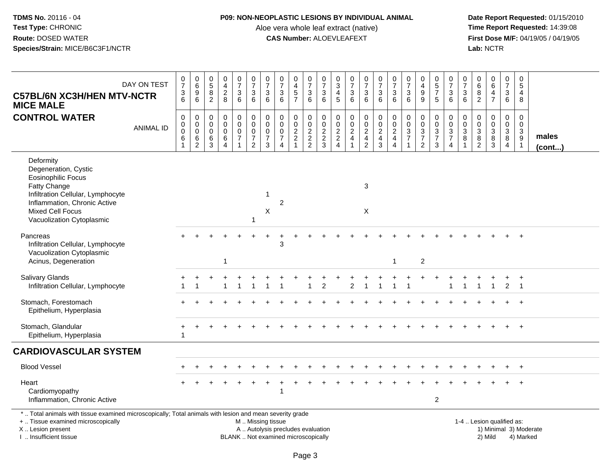### **P09: NON-NEOPLASTIC LESIONS BY INDIVIDUAL ANIMAL**

Aloe vera whole leaf extract (native)<br>**CAS Number:** ALOEVLEAFEXT

 **Date Report Requested:** 01/15/2010 **First Dose M/F:** 04/19/05 / 04/19/05<br>Lab: NCTR **Lab:** NCTR

| DAY ON TEST<br><b>C57BL/6N XC3H/HEN MTV-NCTR</b><br><b>MICE MALE</b>                                                                                                                                        |                  | $\frac{0}{7}$<br>$\frac{3}{6}$             | $\mathsf{O}\xspace$<br>$\overline{6}$<br>$\boldsymbol{9}$<br>$6\phantom{1}6$ | $\mathbf 0$<br>$\overline{5}$<br>8<br>$\overline{2}$ | $\pmb{0}$<br>$\overline{4}$<br>$\boldsymbol{2}$<br>8           | $\frac{0}{7}$<br>$\mathbf{3}$<br>$\,6\,$                                  | $\begin{smallmatrix} 0\\7 \end{smallmatrix}$<br>$\ensuremath{\mathsf{3}}$<br>$6\phantom{1}$ | $\frac{0}{7}$<br>$\ensuremath{\mathsf{3}}$<br>$\,6\,$                 | $\begin{array}{c} 0 \\ 7 \end{array}$<br>$\ensuremath{\mathsf{3}}$<br>6       | $\boldsymbol{0}$<br>$\overline{4}$<br>$\sqrt{5}$<br>$\overline{7}$ | 0<br>$\overline{7}$<br>$\ensuremath{\mathsf{3}}$<br>$6\phantom{1}$ | $\begin{array}{c} 0 \\ 7 \end{array}$<br>$\ensuremath{\mathsf{3}}$<br>6 | 0<br>$\overline{3}$<br>4<br>$5\phantom{.0}$ | $\frac{0}{7}$<br>$\ensuremath{\mathsf{3}}$<br>$\,6\,$ | $\frac{0}{7}$<br>$\ensuremath{\mathsf{3}}$<br>6                       | $\frac{0}{7}$<br>$\frac{3}{6}$               | $\begin{array}{c} 0 \\ 7 \end{array}$<br>$\sqrt{3}$<br>$6\phantom{1}6$ | $\begin{array}{c} 0 \\ 7 \end{array}$<br>$\ensuremath{\mathsf{3}}$<br>6 | $\mathbf 0$<br>$\overline{4}$<br>$\boldsymbol{9}$<br>9        | $\begin{array}{c} 0 \\ 5 \\ 7 \end{array}$<br>$\sqrt{5}$ | $\frac{0}{7}$<br>3<br>6                                     | $\frac{0}{7}$<br>3<br>$\,6$                           | $\pmb{0}$<br>$\overline{6}$<br>$\bf 8$<br>2                                                             | $\begin{array}{c} 0 \\ 6 \end{array}$<br>$\overline{4}$<br>$\overline{7}$ | $\mathbf 0$<br>$\overline{7}$<br>$\ensuremath{\mathsf{3}}$<br>$6\phantom{1}$ | $\mathbf 0$<br>$\overline{5}$<br>$\overline{4}$<br>8         |                        |
|-------------------------------------------------------------------------------------------------------------------------------------------------------------------------------------------------------------|------------------|--------------------------------------------|------------------------------------------------------------------------------|------------------------------------------------------|----------------------------------------------------------------|---------------------------------------------------------------------------|---------------------------------------------------------------------------------------------|-----------------------------------------------------------------------|-------------------------------------------------------------------------------|--------------------------------------------------------------------|--------------------------------------------------------------------|-------------------------------------------------------------------------|---------------------------------------------|-------------------------------------------------------|-----------------------------------------------------------------------|----------------------------------------------|------------------------------------------------------------------------|-------------------------------------------------------------------------|---------------------------------------------------------------|----------------------------------------------------------|-------------------------------------------------------------|-------------------------------------------------------|---------------------------------------------------------------------------------------------------------|---------------------------------------------------------------------------|------------------------------------------------------------------------------|--------------------------------------------------------------|------------------------|
| <b>CONTROL WATER</b>                                                                                                                                                                                        | <b>ANIMAL ID</b> | 0<br>$\pmb{0}$<br>$\mathsf{O}\xspace$<br>6 | $\pmb{0}$<br>$\pmb{0}$<br>$\mathbf 0$<br>$\,6\,$<br>$\overline{c}$           | $\mathbf 0$<br>$\mathbf 0$<br>$\mathbf 0$<br>6<br>3  | $\mathbf 0$<br>$\pmb{0}$<br>$\mathbf 0$<br>6<br>$\overline{4}$ | 0<br>$\mathbf 0$<br>$\mathsf{O}\xspace$<br>$\overline{7}$<br>$\mathbf{1}$ | $\pmb{0}$<br>$\mathsf{O}\xspace$<br>$\mathbf 0$<br>$\overline{7}$<br>$\overline{2}$         | $\pmb{0}$<br>$\pmb{0}$<br>$\pmb{0}$<br>$\overline{7}$<br>$\mathbf{3}$ | $\mathbf 0$<br>$\mathbf 0$<br>$\mathbf 0$<br>$\overline{7}$<br>$\overline{4}$ | $\boldsymbol{0}$<br>$\pmb{0}$<br>$\frac{2}{2}$<br>$\overline{1}$   | 0<br>$\pmb{0}$<br>$\frac{2}{2}$                                    | $\pmb{0}$<br>$\mathbf 0$<br>$\frac{2}{3}$                               | 0<br>$\pmb{0}$<br>$\frac{2}{2}$             | $\pmb{0}$<br>$\frac{0}{2}$<br>$\overline{1}$          | $\mathbf 0$<br>$\mathsf{O}\xspace$<br>$\frac{2}{4}$<br>$\overline{2}$ | $\mathbf 0$<br>$\frac{0}{2}$<br>$\mathbf{3}$ | $\mathbf 0$<br>$\frac{0}{2}$<br>$\overline{4}$                         | $\boldsymbol{0}$<br>$\pmb{0}$<br>$\frac{3}{7}$<br>-1                    | $\mathbf 0$<br>$\mathbf 0$<br>$\frac{3}{7}$<br>$\overline{2}$ | 0<br>$\pmb{0}$<br>$\frac{3}{7}$<br>3                     | $\pmb{0}$<br>$\mathbf 0$<br>$\frac{3}{7}$<br>$\overline{4}$ | 0<br>$\pmb{0}$<br>$\mathbf{3}$<br>8<br>$\overline{1}$ | $\pmb{0}$<br>$\mathsf 0$<br>$\ensuremath{\mathsf{3}}$<br>$\begin{smallmatrix} 8 \\ 2 \end{smallmatrix}$ | 0<br>$\pmb{0}$<br>$\frac{3}{3}$                                           | $\mathbf 0$<br>$\mathsf{O}\xspace$<br>$_8^3$<br>$\overline{4}$               | $\mathbf 0$<br>$\mathsf{O}\xspace$<br>$_9^3$<br>$\mathbf{1}$ | males<br>$($ cont $)$  |
| Deformity<br>Degeneration, Cystic<br><b>Eosinophilic Focus</b><br>Fatty Change<br>Infiltration Cellular, Lymphocyte<br>Inflammation, Chronic Active<br><b>Mixed Cell Focus</b><br>Vacuolization Cytoplasmic |                  |                                            |                                                                              |                                                      |                                                                |                                                                           | 1                                                                                           | -1<br>X                                                               | $\overline{2}$                                                                |                                                                    |                                                                    |                                                                         |                                             |                                                       | 3<br>X                                                                |                                              |                                                                        |                                                                         |                                                               |                                                          |                                                             |                                                       |                                                                                                         |                                                                           |                                                                              |                                                              |                        |
| Pancreas<br>Infiltration Cellular, Lymphocyte<br>Vacuolization Cytoplasmic<br>Acinus, Degeneration                                                                                                          |                  |                                            |                                                                              |                                                      | 1                                                              |                                                                           |                                                                                             |                                                                       | 3                                                                             |                                                                    |                                                                    |                                                                         |                                             |                                                       |                                                                       |                                              | -1                                                                     |                                                                         | $\overline{c}$                                                |                                                          |                                                             |                                                       |                                                                                                         |                                                                           |                                                                              |                                                              |                        |
| <b>Salivary Glands</b><br>Infiltration Cellular, Lymphocyte                                                                                                                                                 |                  | $\mathbf{1}$                               | $\overline{1}$                                                               |                                                      |                                                                | $\overline{1}$                                                            | $\mathbf{1}$                                                                                | $\overline{1}$                                                        |                                                                               |                                                                    | $\overline{ }$                                                     | 2                                                                       |                                             | 2                                                     | $\overline{1}$                                                        | $\overline{1}$                               | $\overline{1}$                                                         | 1                                                                       |                                                               |                                                          | 1                                                           | $\blacktriangleleft$                                  | $\mathbf{1}$                                                                                            | $\mathbf{1}$                                                              | $\overline{2}$                                                               | $\overline{+}$<br>$\overline{\phantom{0}}$ 1                 |                        |
| Stomach, Forestomach<br>Epithelium, Hyperplasia                                                                                                                                                             |                  |                                            |                                                                              |                                                      |                                                                |                                                                           |                                                                                             |                                                                       |                                                                               |                                                                    |                                                                    |                                                                         |                                             |                                                       |                                                                       |                                              |                                                                        |                                                                         |                                                               |                                                          |                                                             |                                                       |                                                                                                         |                                                                           |                                                                              |                                                              |                        |
| Stomach, Glandular<br>Epithelium, Hyperplasia                                                                                                                                                               |                  | 1                                          |                                                                              |                                                      |                                                                |                                                                           |                                                                                             |                                                                       |                                                                               |                                                                    |                                                                    |                                                                         |                                             |                                                       |                                                                       |                                              |                                                                        |                                                                         |                                                               |                                                          |                                                             |                                                       |                                                                                                         |                                                                           |                                                                              | $+$                                                          |                        |
| <b>CARDIOVASCULAR SYSTEM</b>                                                                                                                                                                                |                  |                                            |                                                                              |                                                      |                                                                |                                                                           |                                                                                             |                                                                       |                                                                               |                                                                    |                                                                    |                                                                         |                                             |                                                       |                                                                       |                                              |                                                                        |                                                                         |                                                               |                                                          |                                                             |                                                       |                                                                                                         |                                                                           |                                                                              |                                                              |                        |
| <b>Blood Vessel</b>                                                                                                                                                                                         |                  |                                            |                                                                              |                                                      |                                                                |                                                                           |                                                                                             |                                                                       |                                                                               |                                                                    |                                                                    |                                                                         |                                             |                                                       |                                                                       |                                              |                                                                        |                                                                         |                                                               |                                                          |                                                             |                                                       |                                                                                                         |                                                                           |                                                                              |                                                              |                        |
| Heart<br>Cardiomyopathy<br>Inflammation, Chronic Active                                                                                                                                                     |                  |                                            |                                                                              |                                                      |                                                                |                                                                           |                                                                                             |                                                                       | 1                                                                             |                                                                    |                                                                    |                                                                         |                                             |                                                       |                                                                       |                                              |                                                                        |                                                                         |                                                               | $\overline{\mathbf{c}}$                                  |                                                             |                                                       |                                                                                                         |                                                                           |                                                                              |                                                              |                        |
| *  Total animals with tissue examined microscopically; Total animals with lesion and mean severity grade<br>+  Tissue examined microscopically<br>X  Lesion present                                         |                  |                                            |                                                                              |                                                      |                                                                |                                                                           | M  Missing tissue                                                                           |                                                                       | A  Autolysis precludes evaluation                                             |                                                                    |                                                                    |                                                                         |                                             |                                                       |                                                                       |                                              |                                                                        |                                                                         |                                                               |                                                          |                                                             |                                                       |                                                                                                         | 1-4  Lesion qualified as:                                                 |                                                                              |                                                              | 1) Minimal 3) Moderate |

I .. Insufficient tissue

BLANK .. Not examined microscopically 2) Mild 4) Marked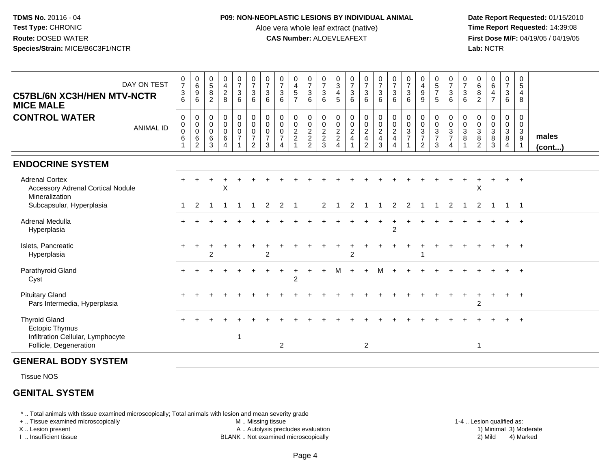#### **P09: NON-NEOPLASTIC LESIONS BY INDIVIDUAL ANIMAL**

Aloe vera whole leaf extract (native)<br>**CAS Number:** ALOEVLEAFEXT

 **Date Report Requested:** 01/15/2010 **First Dose M/F:** 04/19/05 / 04/19/05<br>**Lab:** NCTR **Lab:** NCTR

| DAY ON TEST<br><b>C57BL/6N XC3H/HEN MTV-NCTR</b><br><b>MICE MALE</b>                                  | 0<br>$\overline{7}$<br>$\ensuremath{\mathsf{3}}$<br>6 | $\begin{array}{c} 0 \\ 6 \end{array}$<br>$\frac{9}{6}$ | 0<br>$\overline{5}$<br>8<br>2             | 0<br>$\overline{\mathbf{4}}$<br>$\overline{c}$<br>8                     | 0<br>$\overline{7}$<br>$\mathbf{3}$<br>6 | 0<br>$\overline{7}$<br>3<br>6                                       | $\frac{0}{7}$<br>$\sqrt{3}$<br>6                             | 0<br>$\overline{7}$<br>$\mathbf{3}$<br>6                            | 0<br>$\overline{\mathbf{4}}$<br>$\overline{5}$<br>$\overline{7}$ | 0<br>$\overline{7}$<br>$\mathbf{3}$<br>6 | 0<br>$\overline{7}$<br>3<br>6          | 0<br>$\overline{3}$<br>4<br>5                  | $\frac{0}{7}$<br>$\mathsf 3$<br>6               | $\frac{0}{7}$<br>$\ensuremath{\mathsf{3}}$<br>6                  | $\frac{0}{7}$<br>$\mathbf{3}$<br>6                            | $\frac{0}{7}$<br>$\mathbf{3}$<br>6                                | 0<br>$\overline{7}$<br>3<br>6           | 0<br>$\frac{4}{9}$<br>9                               | $\begin{array}{c} 0 \\ 5 \\ 7 \end{array}$<br>5 | 0<br>$\overline{7}$<br>$\sqrt{3}$<br>6    | 0<br>$\overline{7}$<br>$\sqrt{3}$<br>6 | 0<br>$\,6\,$<br>8<br>2                       | 0<br>$\,6\,$<br>$\overline{4}$<br>$\overline{7}$    | 0<br>$\overline{7}$<br>3<br>6                | 0<br>$5\phantom{.0}$<br>4<br>8                          |                       |
|-------------------------------------------------------------------------------------------------------|-------------------------------------------------------|--------------------------------------------------------|-------------------------------------------|-------------------------------------------------------------------------|------------------------------------------|---------------------------------------------------------------------|--------------------------------------------------------------|---------------------------------------------------------------------|------------------------------------------------------------------|------------------------------------------|----------------------------------------|------------------------------------------------|-------------------------------------------------|------------------------------------------------------------------|---------------------------------------------------------------|-------------------------------------------------------------------|-----------------------------------------|-------------------------------------------------------|-------------------------------------------------|-------------------------------------------|----------------------------------------|----------------------------------------------|-----------------------------------------------------|----------------------------------------------|---------------------------------------------------------|-----------------------|
| <b>CONTROL WATER</b><br><b>ANIMAL ID</b>                                                              | 0<br>0<br>0<br>$\,6$                                  | $\pmb{0}$<br>$\overline{0}$<br>$\frac{6}{2}$           | 0<br>$\mathbf 0$<br>$\mathbf 0$<br>6<br>3 | $\pmb{0}$<br>$\mathbf 0$<br>$\mathbf 0$<br>6<br>$\overline{\mathbf{4}}$ | 0<br>$\mathbf 0$<br>0<br>$\overline{7}$  | $\pmb{0}$<br>$\mathbf 0$<br>0<br>$\boldsymbol{7}$<br>$\overline{2}$ | $\pmb{0}$<br>$\mathsf 0$<br>$\pmb{0}$<br>$\overline{7}$<br>3 | $\mathbf 0$<br>$\mathbf 0$<br>0<br>$\overline{7}$<br>$\overline{4}$ | $\pmb{0}$<br>$\mathbf 0$<br>$\frac{2}{2}$                        | 0<br>$\pmb{0}$<br>$\frac{2}{2}$          | 0<br>$\mathbf 0$<br>$\frac{2}{2}$<br>3 | 0<br>$\mathsf{O}\xspace$<br>$\frac{2}{2}$<br>4 | 0<br>$\pmb{0}$<br>$\frac{2}{4}$<br>$\mathbf{1}$ | $\begin{matrix} 0 \\ 0 \\ 2 \\ 4 \end{matrix}$<br>$\overline{2}$ | $\begin{smallmatrix} 0\\0 \end{smallmatrix}$<br>$\frac{2}{3}$ | $\begin{array}{c} 0 \\ 0 \\ 2 \\ 4 \end{array}$<br>$\overline{4}$ | 0<br>$\mathbf 0$<br>3<br>$\overline{7}$ | $_{\rm 0}^{\rm 0}$<br>$\frac{3}{7}$<br>$\overline{2}$ | $_0^0$<br>$\frac{3}{7}$<br>3                    | $_0^0$<br>$\frac{3}{7}$<br>$\overline{4}$ | 0<br>$\mathbf 0$<br>$\mathbf{3}$<br>8  | 0<br>$\mathbf 0$<br>3<br>8<br>$\overline{c}$ | 0<br>$\pmb{0}$<br>$\mathbf{3}$<br>8<br>$\mathbf{3}$ | 0<br>$\mathbf 0$<br>3<br>8<br>$\overline{4}$ | 0<br>$\mathbf 0$<br>$\mathbf{3}$<br>9<br>$\overline{1}$ | males<br>$($ cont $)$ |
| <b>ENDOCRINE SYSTEM</b>                                                                               |                                                       |                                                        |                                           |                                                                         |                                          |                                                                     |                                                              |                                                                     |                                                                  |                                          |                                        |                                                |                                                 |                                                                  |                                                               |                                                                   |                                         |                                                       |                                                 |                                           |                                        |                                              |                                                     |                                              |                                                         |                       |
| <b>Adrenal Cortex</b><br><b>Accessory Adrenal Cortical Nodule</b><br>Mineralization                   |                                                       |                                                        |                                           | X                                                                       |                                          |                                                                     |                                                              |                                                                     |                                                                  |                                          |                                        |                                                |                                                 |                                                                  |                                                               |                                                                   |                                         |                                                       |                                                 |                                           |                                        | X                                            |                                                     |                                              | $\ddot{}$                                               |                       |
| Subcapsular, Hyperplasia                                                                              |                                                       | 2                                                      | -1                                        | -1                                                                      | -1                                       | -1                                                                  | 2                                                            | 2                                                                   | $\overline{1}$                                                   |                                          | 2                                      |                                                | 2                                               |                                                                  |                                                               | 2                                                                 | 2                                       |                                                       | -1                                              | 2                                         | -1                                     | 2                                            | -1                                                  | $\overline{1}$                               | $\overline{\phantom{1}}$                                |                       |
| Adrenal Medulla<br>Hyperplasia                                                                        |                                                       |                                                        |                                           |                                                                         |                                          |                                                                     |                                                              |                                                                     |                                                                  |                                          |                                        |                                                |                                                 |                                                                  |                                                               | $\overline{2}$                                                    |                                         |                                                       |                                                 |                                           |                                        |                                              |                                                     |                                              | $+$                                                     |                       |
| Islets, Pancreatic<br>Hyperplasia                                                                     |                                                       |                                                        | 2                                         |                                                                         |                                          |                                                                     | 2                                                            |                                                                     |                                                                  |                                          |                                        |                                                | 2                                               |                                                                  |                                                               |                                                                   |                                         |                                                       |                                                 |                                           |                                        |                                              |                                                     |                                              | $+$                                                     |                       |
| Parathyroid Gland<br>Cyst                                                                             |                                                       |                                                        |                                           |                                                                         |                                          |                                                                     |                                                              |                                                                     | 2                                                                |                                          |                                        | м                                              |                                                 | $\ddot{}$                                                        | М                                                             |                                                                   |                                         |                                                       |                                                 |                                           |                                        |                                              |                                                     |                                              | $+$                                                     |                       |
| <b>Pituitary Gland</b><br>Pars Intermedia, Hyperplasia                                                |                                                       |                                                        |                                           |                                                                         |                                          |                                                                     |                                                              |                                                                     |                                                                  |                                          |                                        |                                                |                                                 |                                                                  |                                                               |                                                                   |                                         |                                                       |                                                 |                                           |                                        | $\overline{2}$                               |                                                     | $\ddot{}$                                    | $+$                                                     |                       |
| <b>Thyroid Gland</b><br>Ectopic Thymus<br>Infiltration Cellular, Lymphocyte<br>Follicle, Degeneration |                                                       |                                                        |                                           |                                                                         | -1                                       |                                                                     |                                                              | $\overline{2}$                                                      |                                                                  |                                          |                                        |                                                |                                                 | $\overline{2}$                                                   |                                                               |                                                                   |                                         |                                                       |                                                 |                                           |                                        | $\overline{1}$                               |                                                     |                                              |                                                         |                       |
| <b>GENERAL BODY SYSTEM</b>                                                                            |                                                       |                                                        |                                           |                                                                         |                                          |                                                                     |                                                              |                                                                     |                                                                  |                                          |                                        |                                                |                                                 |                                                                  |                                                               |                                                                   |                                         |                                                       |                                                 |                                           |                                        |                                              |                                                     |                                              |                                                         |                       |
| <b>Tissue NOS</b>                                                                                     |                                                       |                                                        |                                           |                                                                         |                                          |                                                                     |                                                              |                                                                     |                                                                  |                                          |                                        |                                                |                                                 |                                                                  |                                                               |                                                                   |                                         |                                                       |                                                 |                                           |                                        |                                              |                                                     |                                              |                                                         |                       |

# **GENITAL SYSTEM**

\* .. Total animals with tissue examined microscopically; Total animals with lesion and mean severity grade

+ .. Tissue examined microscopically

X .. Lesion present

I .. Insufficient tissue

 M .. Missing tissueA .. Autolysis precludes evaluation

 1-4 .. Lesion qualified as: BLANK .. Not examined microscopically 2) Mild 4) Marked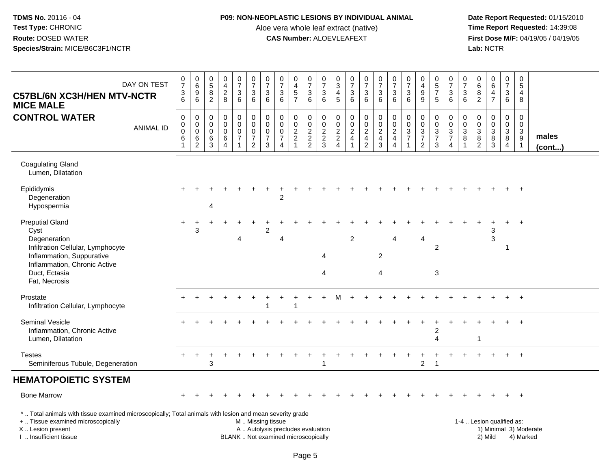### **P09: NON-NEOPLASTIC LESIONS BY INDIVIDUAL ANIMAL**

Aloe vera whole leaf extract (native)<br>**CAS Number:** ALOEVLEAFEXT

| DAY ON TEST<br><b>C57BL/6N XC3H/HEN MTV-NCTR</b><br><b>MICE MALE</b>                                                                                                                          | $\frac{0}{7}$<br>$\frac{3}{6}$                                 | $\begin{array}{c} 0 \\ 6 \end{array}$<br>$\overline{9}$<br>$6\phantom{1}$ | $\begin{array}{c} 0 \\ 5 \\ 8 \\ 2 \end{array}$ | $\begin{smallmatrix}0\\4\end{smallmatrix}$<br>$\sqrt{2}$<br>8          | $\begin{array}{c} 0 \\ 7 \end{array}$<br>$\ensuremath{\mathsf{3}}$<br>6   | $\frac{0}{7}$<br>$\mathbf 3$<br>6                                 | $\frac{0}{7}$<br>3<br>$\,6\,$                                  | $\begin{array}{c} 0 \\ 7 \end{array}$<br>$\ensuremath{\mathsf{3}}$<br>6    | $\pmb{0}$<br>$\overline{4}$<br>$\frac{5}{7}$                 | $\begin{array}{c} 0 \\ 7 \end{array}$<br>$\frac{3}{6}$ | $\frac{0}{7}$<br>$\ensuremath{\mathsf{3}}$<br>6 | $\,0\,$<br>$\mathbf{3}$<br>$\overline{4}$<br>5                     | $\frac{0}{7}$<br>3<br>6                                                                 | $\frac{0}{7}$<br>$\ensuremath{\mathsf{3}}$<br>$6\phantom{1}$ | $\begin{array}{c} 0 \\ 7 \end{array}$<br>$\ensuremath{\mathsf{3}}$<br>6             | $\frac{0}{7}$<br>$\ensuremath{\mathsf{3}}$<br>6                  | $\frac{0}{7}$<br>$\ensuremath{\mathsf{3}}$<br>6                                  | $\mathbf 0$<br>$\overline{4}$<br>$\boldsymbol{9}$<br>9                                      | $\begin{array}{c} 0 \\ 5 \end{array}$<br>$\overline{7}$<br>$\sqrt{5}$ | $\frac{0}{7}$<br>3<br>6                                                                     | $\frac{0}{7}$<br>$\ensuremath{\mathsf{3}}$<br>6    | 0<br>$\,6\,$<br>$\bf 8$<br>2                                                     | $\begin{array}{c} 0 \\ 6 \end{array}$<br>$\overline{4}$<br>$\overline{7}$ | $\begin{array}{c} 0 \\ 7 \end{array}$<br>$\ensuremath{\mathsf{3}}$<br>6     | $\mathbf 0$<br>5<br>$\overline{4}$<br>8                         |                        |
|-----------------------------------------------------------------------------------------------------------------------------------------------------------------------------------------------|----------------------------------------------------------------|---------------------------------------------------------------------------|-------------------------------------------------|------------------------------------------------------------------------|---------------------------------------------------------------------------|-------------------------------------------------------------------|----------------------------------------------------------------|----------------------------------------------------------------------------|--------------------------------------------------------------|--------------------------------------------------------|-------------------------------------------------|--------------------------------------------------------------------|-----------------------------------------------------------------------------------------|--------------------------------------------------------------|-------------------------------------------------------------------------------------|------------------------------------------------------------------|----------------------------------------------------------------------------------|---------------------------------------------------------------------------------------------|-----------------------------------------------------------------------|---------------------------------------------------------------------------------------------|----------------------------------------------------|----------------------------------------------------------------------------------|---------------------------------------------------------------------------|-----------------------------------------------------------------------------|-----------------------------------------------------------------|------------------------|
| <b>CONTROL WATER</b><br><b>ANIMAL ID</b>                                                                                                                                                      | $\pmb{0}$<br>$\pmb{0}$<br>$\pmb{0}$<br>$\,6$<br>$\overline{1}$ | $\mathbf 0$<br>$\pmb{0}$<br>$\overline{0}$<br>$\frac{6}{2}$               | $\mathbf 0$<br>0<br>$\mathbf 0$<br>$^6_3$       | $\mathbf 0$<br>$\mathbf 0$<br>$\mathbf 0$<br>$\,6\,$<br>$\overline{4}$ | $\mathbf 0$<br>$\mathbf 0$<br>$\pmb{0}$<br>$\overline{7}$<br>$\mathbf{1}$ | $\pmb{0}$<br>0<br>$\pmb{0}$<br>$\boldsymbol{7}$<br>$\overline{2}$ | $\mathbf 0$<br>0<br>$\mathsf{O}\xspace$<br>$\overline{7}$<br>3 | $\mathbf 0$<br>$\mathbf 0$<br>$\Omega$<br>$\overline{7}$<br>$\overline{4}$ | $\mathbf 0$<br>$\pmb{0}$<br>$\overline{2}$<br>$\overline{2}$ | $\mathbf 0$<br>$\mathsf{O}\xspace$<br>$\frac{2}{2}$    | $\mathbf 0$<br>$\mathbf 0$<br>$\frac{2}{3}$     | $\boldsymbol{0}$<br>$\mathbf 0$<br>$\overline{2}$<br>$\frac{2}{4}$ | $\pmb{0}$<br>$\mathbf 0$<br>$\overline{2}$<br>$\overline{\mathbf{4}}$<br>$\overline{1}$ | 0<br>$\mathbf 0$<br>$\overline{2}$<br>$\frac{4}{2}$          | $\mathsf 0$<br>$\overline{0}$<br>$\overline{2}$<br>$\overline{4}$<br>$\overline{3}$ | $\mathbf 0$<br>$\frac{0}{2}$<br>$\overline{4}$<br>$\overline{4}$ | $\mathbf 0$<br>$\mathbf 0$<br>$\overline{3}$<br>$\overline{7}$<br>$\overline{1}$ | $\mathbf 0$<br>$\mathbf 0$<br>$\ensuremath{\mathsf{3}}$<br>$\overline{7}$<br>$\overline{2}$ | $\mathbf 0$<br>$\mathbf 0$<br>$\frac{3}{7}$<br>$\mathbf{3}$           | $\mathbf 0$<br>$\mathbf 0$<br>$\ensuremath{\mathsf{3}}$<br>$\overline{7}$<br>$\overline{4}$ | $\mathbf 0$<br>0<br>$\ensuremath{\mathsf{3}}$<br>8 | $\mathbf 0$<br>0<br>$\sqrt{3}$<br>$\begin{smallmatrix} 8 \\ 2 \end{smallmatrix}$ | 0<br>$\pmb{0}$<br>$\overline{3}$<br>$\frac{8}{3}$                         | $\mathbf 0$<br>$\mathsf{O}\xspace$<br>$\overline{3}$<br>8<br>$\overline{4}$ | $\mathbf 0$<br>$\mathbf 0$<br>$\sqrt{3}$<br>9<br>$\overline{1}$ | males<br>$($ cont $)$  |
| <b>Coagulating Gland</b><br>Lumen, Dilatation                                                                                                                                                 |                                                                |                                                                           |                                                 |                                                                        |                                                                           |                                                                   |                                                                |                                                                            |                                                              |                                                        |                                                 |                                                                    |                                                                                         |                                                              |                                                                                     |                                                                  |                                                                                  |                                                                                             |                                                                       |                                                                                             |                                                    |                                                                                  |                                                                           |                                                                             |                                                                 |                        |
| Epididymis<br>Degeneration<br>Hypospermia                                                                                                                                                     |                                                                |                                                                           | 4                                               |                                                                        |                                                                           |                                                                   |                                                                | 2                                                                          |                                                              |                                                        |                                                 |                                                                    |                                                                                         |                                                              |                                                                                     |                                                                  |                                                                                  |                                                                                             |                                                                       |                                                                                             |                                                    |                                                                                  |                                                                           |                                                                             |                                                                 |                        |
| <b>Preputial Gland</b><br>Cyst<br>Degeneration<br>Infiltration Cellular, Lymphocyte<br>Inflammation, Suppurative<br>Inflammation, Chronic Active                                              | $\ddot{}$                                                      | 3                                                                         |                                                 |                                                                        | 4                                                                         |                                                                   | $\overline{c}$                                                 | 4                                                                          |                                                              |                                                        | 4                                               |                                                                    | $\overline{c}$                                                                          |                                                              | $\overline{c}$                                                                      | Δ                                                                |                                                                                  | 4                                                                                           | $\overline{c}$                                                        |                                                                                             |                                                    |                                                                                  | 3<br>3                                                                    | -1                                                                          | $\ddot{}$                                                       |                        |
| Duct, Ectasia<br>Fat, Necrosis                                                                                                                                                                |                                                                |                                                                           |                                                 |                                                                        |                                                                           |                                                                   |                                                                |                                                                            |                                                              |                                                        | 4                                               |                                                                    |                                                                                         |                                                              | $\overline{4}$                                                                      |                                                                  |                                                                                  |                                                                                             | 3                                                                     |                                                                                             |                                                    |                                                                                  |                                                                           |                                                                             |                                                                 |                        |
| Prostate<br>Infiltration Cellular, Lymphocyte                                                                                                                                                 |                                                                |                                                                           |                                                 |                                                                        |                                                                           |                                                                   | 1                                                              |                                                                            |                                                              |                                                        |                                                 |                                                                    |                                                                                         |                                                              |                                                                                     |                                                                  |                                                                                  |                                                                                             |                                                                       |                                                                                             |                                                    |                                                                                  |                                                                           |                                                                             | $+$                                                             |                        |
| <b>Seminal Vesicle</b><br>Inflammation, Chronic Active<br>Lumen, Dilatation                                                                                                                   |                                                                |                                                                           |                                                 |                                                                        |                                                                           |                                                                   |                                                                |                                                                            |                                                              |                                                        |                                                 |                                                                    |                                                                                         |                                                              |                                                                                     |                                                                  |                                                                                  |                                                                                             | $\overline{c}$<br>4                                                   |                                                                                             |                                                    | $\mathbf 1$                                                                      |                                                                           |                                                                             | $\div$                                                          |                        |
| <b>Testes</b><br>Seminiferous Tubule, Degeneration                                                                                                                                            | $+$                                                            | $+$                                                                       | 3                                               |                                                                        |                                                                           |                                                                   |                                                                |                                                                            |                                                              |                                                        |                                                 |                                                                    |                                                                                         |                                                              |                                                                                     |                                                                  |                                                                                  | 2                                                                                           | -1                                                                    |                                                                                             |                                                    |                                                                                  |                                                                           |                                                                             | $+$                                                             |                        |
| <b>HEMATOPOIETIC SYSTEM</b>                                                                                                                                                                   |                                                                |                                                                           |                                                 |                                                                        |                                                                           |                                                                   |                                                                |                                                                            |                                                              |                                                        |                                                 |                                                                    |                                                                                         |                                                              |                                                                                     |                                                                  |                                                                                  |                                                                                             |                                                                       |                                                                                             |                                                    |                                                                                  |                                                                           |                                                                             |                                                                 |                        |
| <b>Bone Marrow</b>                                                                                                                                                                            |                                                                |                                                                           |                                                 |                                                                        |                                                                           |                                                                   |                                                                |                                                                            |                                                              |                                                        |                                                 |                                                                    |                                                                                         |                                                              |                                                                                     |                                                                  |                                                                                  |                                                                                             |                                                                       |                                                                                             |                                                    |                                                                                  |                                                                           | $+$                                                                         | $+$                                                             |                        |
| *  Total animals with tissue examined microscopically; Total animals with lesion and mean severity grade<br>+  Tissue examined microscopically<br>X  Lesion present<br>I. Insufficient tissue |                                                                |                                                                           |                                                 |                                                                        |                                                                           | M  Missing tissue                                                 |                                                                | A  Autolysis precludes evaluation<br>BLANK  Not examined microscopically   |                                                              |                                                        |                                                 |                                                                    |                                                                                         |                                                              |                                                                                     |                                                                  |                                                                                  |                                                                                             |                                                                       |                                                                                             |                                                    |                                                                                  | 1-4  Lesion qualified as:<br>2) Mild                                      |                                                                             | 4) Marked                                                       | 1) Minimal 3) Moderate |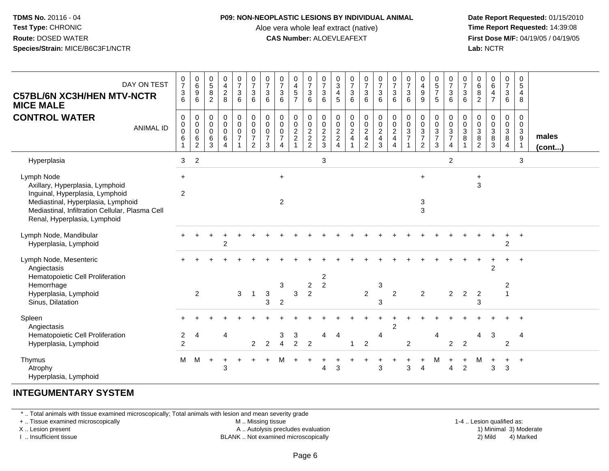#### **P09: NON-NEOPLASTIC LESIONS BY INDIVIDUAL ANIMAL**

Aloe vera whole leaf extract (native)<br>**CAS Number:** ALOEVLEAFEXT

 **Date Report Requested:** 01/15/2010 **First Dose M/F:** 04/19/05 / 04/19/05<br>**Lab:** NCTR **Lab:** NCTR

| DAY ON TEST<br><b>C57BL/6N XC3H/HEN MTV-NCTR</b><br><b>MICE MALE</b><br><b>CONTROL WATER</b><br><b>ANIMAL ID</b>                                                                                          | $\frac{0}{7}$<br>$\frac{3}{6}$<br>0<br>0<br>0<br>$\,6$ | $\begin{array}{c} 0 \\ 6 \end{array}$<br>$\boldsymbol{9}$<br>6<br>0<br>$\overline{0}$<br>$\,6\,$<br>$\overline{2}$ | $\begin{array}{c} 0 \\ 5 \end{array}$<br>8<br>$\overline{2}$<br>0<br>$\mathbf 0$<br>$\mathbf 0$<br>$\,6$<br>3 | $\pmb{0}$<br>$\overline{4}$<br>$\overline{2}$<br>8<br>$\mathbf 0$<br>$\pmb{0}$<br>$\mathbf 0$<br>6<br>$\overline{A}$ | $\frac{0}{7}$<br>$\mathbf{3}$<br>6<br>0<br>$\pmb{0}$<br>$\mathbf 0$<br>$\overline{7}$ | $\frac{0}{7}$<br>3<br>6<br>$\pmb{0}$<br>$\overline{0}$<br>$\pmb{0}$<br>$\overline{7}$<br>$\overline{2}$ | $\frac{0}{7}$<br>$\mathbf{3}$<br>6<br>$\mathbf 0$<br>$\ddot{\mathbf{0}}$<br>$\mathbf 0$<br>$\overline{7}$<br>3 | $\frac{0}{7}$<br>$\sqrt{3}$<br>6<br>0<br>0<br>0<br>$\overline{7}$<br>4 | $\begin{smallmatrix}0\\4\end{smallmatrix}$<br>$\,$ 5 $\,$<br>$\overline{7}$<br>$\mathbf 0$<br>$\frac{0}{2}$ | $\frac{0}{7}$<br>$\ensuremath{\mathsf{3}}$<br>6<br>0<br>$\pmb{0}$<br>$\frac{2}{2}$ | $\frac{0}{7}$<br>$\mathbf{3}$<br>6<br>$\pmb{0}$<br>$\overline{0}$<br>$\frac{2}{3}$ | $\frac{0}{3}$<br>4<br>5<br>0<br>$\pmb{0}$<br>$\frac{2}{2}$<br>$\overline{4}$ | $\frac{0}{7}$<br>$\mathbf 3$<br>6<br>0<br>$\frac{0}{2}$ | $\frac{0}{7}$<br>$\mathbf 3$<br>6<br>$\begin{array}{c} 0 \\ 0 \\ 2 \\ 4 \end{array}$<br>$\overline{2}$ | $\frac{0}{7}$<br>$\sqrt{3}$<br>6<br>0<br>$\frac{0}{2}$<br>3 | $\begin{smallmatrix}0\\7\end{smallmatrix}$<br>$\sqrt{3}$<br>6<br>$\begin{matrix} 0 \\ 0 \\ 2 \\ 4 \end{matrix}$<br>$\overline{4}$ | $\frac{0}{7}$<br>$\sqrt{3}$<br>6<br>0<br>$\mathbf 0$<br>$\sqrt{3}$<br>$\overline{7}$ | $\pmb{0}$<br>$\overline{4}$<br>$\boldsymbol{9}$<br>9<br>$\pmb{0}$<br>$\pmb{0}$<br>$\sqrt{3}$<br>$\overline{7}$<br>$\overline{2}$ | 0<br>$\overline{5}$<br>$\overline{7}$<br>5<br>0<br>$\mathsf{O}\xspace$<br>$\ensuremath{\mathsf{3}}$<br>$\overline{7}$<br>3 | $\frac{0}{7}$<br>$\mathbf{3}$<br>6<br>0<br>$\frac{0}{3}$<br>4 | $\frac{0}{7}$<br>3<br>6<br>0<br>$\pmb{0}$<br>3<br>8 | $\begin{array}{c} 0 \\ 6 \end{array}$<br>$\bf 8$<br>$\overline{2}$<br>0<br>0<br>$\ensuremath{\mathsf{3}}$<br>$\,8\,$<br>$\overline{2}$ | $\begin{array}{c} 0 \\ 6 \end{array}$<br>$\overline{4}$<br>$\overline{7}$<br>$\mathbf 0$<br>$\frac{0}{8}$<br>$\mathbf{3}$ | $\mathbf 0$<br>$\overline{7}$<br>$\ensuremath{\mathsf{3}}$<br>6<br>0<br>$\pmb{0}$<br>$_8^3$<br>$\overline{4}$ | 0<br>$\sqrt{5}$<br>$\overline{4}$<br>8<br>0<br>$\mathbf 0$<br>$\frac{3}{9}$<br>$\overline{1}$ | males<br>$($ cont $)$ |
|-----------------------------------------------------------------------------------------------------------------------------------------------------------------------------------------------------------|--------------------------------------------------------|--------------------------------------------------------------------------------------------------------------------|---------------------------------------------------------------------------------------------------------------|----------------------------------------------------------------------------------------------------------------------|---------------------------------------------------------------------------------------|---------------------------------------------------------------------------------------------------------|----------------------------------------------------------------------------------------------------------------|------------------------------------------------------------------------|-------------------------------------------------------------------------------------------------------------|------------------------------------------------------------------------------------|------------------------------------------------------------------------------------|------------------------------------------------------------------------------|---------------------------------------------------------|--------------------------------------------------------------------------------------------------------|-------------------------------------------------------------|-----------------------------------------------------------------------------------------------------------------------------------|--------------------------------------------------------------------------------------|----------------------------------------------------------------------------------------------------------------------------------|----------------------------------------------------------------------------------------------------------------------------|---------------------------------------------------------------|-----------------------------------------------------|----------------------------------------------------------------------------------------------------------------------------------------|---------------------------------------------------------------------------------------------------------------------------|---------------------------------------------------------------------------------------------------------------|-----------------------------------------------------------------------------------------------|-----------------------|
| Hyperplasia                                                                                                                                                                                               | 3                                                      | $\overline{2}$                                                                                                     |                                                                                                               |                                                                                                                      |                                                                                       |                                                                                                         |                                                                                                                |                                                                        |                                                                                                             |                                                                                    | 3                                                                                  |                                                                              |                                                         |                                                                                                        |                                                             |                                                                                                                                   |                                                                                      |                                                                                                                                  |                                                                                                                            | $\overline{2}$                                                |                                                     |                                                                                                                                        |                                                                                                                           |                                                                                                               | 3                                                                                             |                       |
| Lymph Node<br>Axillary, Hyperplasia, Lymphoid<br>Inguinal, Hyperplasia, Lymphoid<br>Mediastinal, Hyperplasia, Lymphoid<br>Mediastinal, Infiltration Cellular, Plasma Cell<br>Renal, Hyperplasia, Lymphoid | $+$<br>$\overline{c}$                                  |                                                                                                                    |                                                                                                               |                                                                                                                      |                                                                                       |                                                                                                         |                                                                                                                | $+$<br>$\overline{2}$                                                  |                                                                                                             |                                                                                    |                                                                                    |                                                                              |                                                         |                                                                                                        |                                                             |                                                                                                                                   |                                                                                      | $+$<br>3<br>3                                                                                                                    |                                                                                                                            |                                                               |                                                     | $\ddot{}$<br>3                                                                                                                         |                                                                                                                           |                                                                                                               |                                                                                               |                       |
| Lymph Node, Mandibular<br>Hyperplasia, Lymphoid                                                                                                                                                           |                                                        |                                                                                                                    |                                                                                                               | $\overline{c}$                                                                                                       |                                                                                       |                                                                                                         |                                                                                                                |                                                                        |                                                                                                             |                                                                                    |                                                                                    |                                                                              |                                                         |                                                                                                        |                                                             |                                                                                                                                   |                                                                                      |                                                                                                                                  |                                                                                                                            |                                                               |                                                     |                                                                                                                                        |                                                                                                                           | $\ddot{}$<br>$\overline{2}$                                                                                   | $+$                                                                                           |                       |
| Lymph Node, Mesenteric<br>Angiectasis<br>Hematopoietic Cell Proliferation<br>Hemorrhage<br>Hyperplasia, Lymphoid<br>Sinus, Dilatation                                                                     |                                                        | 2                                                                                                                  |                                                                                                               |                                                                                                                      | $\mathbf{3}$                                                                          |                                                                                                         | $\sqrt{3}$<br>3                                                                                                | 3<br>$\overline{c}$                                                    | 3                                                                                                           | $\overline{c}$<br>$\overline{c}$                                                   | $\overline{2}$<br>$\overline{2}$                                                   |                                                                              |                                                         | $\overline{c}$                                                                                         | 3<br>3                                                      | $\overline{2}$                                                                                                                    |                                                                                      | $\overline{c}$                                                                                                                   |                                                                                                                            | $\overline{2}$                                                | $\overline{c}$                                      | $\overline{2}$<br>3                                                                                                                    | 2                                                                                                                         | 2<br>$\overline{\phantom{a}}$                                                                                 | $+$                                                                                           |                       |
| Spleen<br>Angiectasis<br>Hematopoietic Cell Proliferation<br>Hyperplasia, Lymphoid                                                                                                                        | $\overline{\mathbf{c}}$<br>$\overline{c}$              | 4                                                                                                                  |                                                                                                               | 4                                                                                                                    |                                                                                       | $\overline{2}$                                                                                          | $\overline{2}$                                                                                                 | 3<br>$\overline{4}$                                                    | 3<br>$\mathcal{P}$                                                                                          | $\overline{2}$                                                                     | 4                                                                                  | $\overline{4}$                                                               | -1                                                      | $\overline{2}$                                                                                         | 4                                                           | $\overline{2}$                                                                                                                    | $\overline{c}$                                                                       |                                                                                                                                  | 4                                                                                                                          | 2                                                             | $\overline{2}$                                      | 4                                                                                                                                      | 3                                                                                                                         | $\overline{2}$                                                                                                | 4                                                                                             |                       |
| Thymus<br>Atrophy<br>Hyperplasia, Lymphoid                                                                                                                                                                | M                                                      | M                                                                                                                  | $\ddot{}$                                                                                                     | 3                                                                                                                    |                                                                                       |                                                                                                         |                                                                                                                | м                                                                      |                                                                                                             |                                                                                    | 4                                                                                  | 3                                                                            |                                                         |                                                                                                        | ٠<br>3                                                      |                                                                                                                                   | 3                                                                                    | Δ                                                                                                                                | M                                                                                                                          |                                                               | $\ddot{}$<br>$\overline{c}$                         | м                                                                                                                                      | 3                                                                                                                         | $\ddot{}$<br>3                                                                                                | $+$                                                                                           |                       |

# **INTEGUMENTARY SYSTEM**

\* .. Total animals with tissue examined microscopically; Total animals with lesion and mean severity grade

+ .. Tissue examined microscopically

X .. Lesion present

I .. Insufficient tissue

M .. Missing tissue

A .. Autolysis precludes evaluation

BLANK .. Not examined microscopically 2) Mild 4) Marked

1-4 .. Lesion qualified as: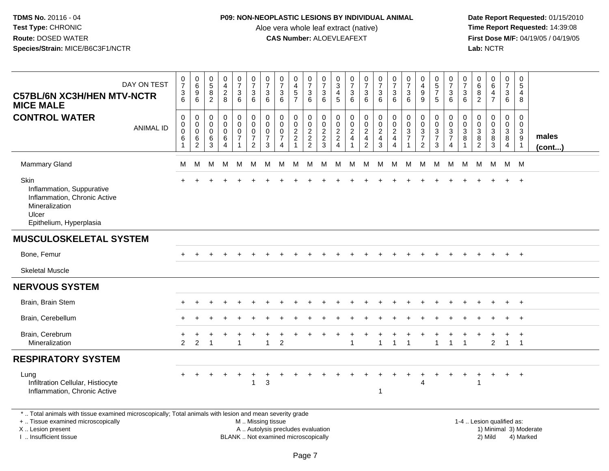## **P09: NON-NEOPLASTIC LESIONS BY INDIVIDUAL ANIMAL**

Aloe vera whole leaf extract (native)<br>**CAS Number:** ALOEVLEAFEXT

 **Date Report Requested:** 01/15/2010 **First Dose M/F:** 04/19/05 / 04/19/05<br>**Lab:** NCTR **Lab:** NCTR

| DAY ON TEST<br><b>C57BL/6N XC3H/HEN MTV-NCTR</b><br><b>MICE MALE</b>                                                                                                                                                           | $\frac{0}{7}$<br>$\ensuremath{\mathsf{3}}$<br>6 | $\begin{array}{c} 0 \\ 6 \end{array}$<br>9<br>6             | $\begin{array}{c} 0 \\ 5 \end{array}$<br>8<br>$\overline{2}$                                                    | $\begin{array}{c} 0 \\ 4 \\ 2 \end{array}$<br>8     | $\begin{smallmatrix}0\\7\end{smallmatrix}$<br>$\mathbf{3}$<br>6               | $\frac{0}{7}$<br>$\mathbf 3$<br>6                                 | $\frac{0}{7}$<br>3<br>6                                          | $\frac{0}{7}$<br>3<br>6                                                               | 0<br>$\begin{array}{c} 4 \\ 5 \end{array}$<br>$\overline{7}$           | $\frac{0}{7}$<br>$\mathfrak{3}$<br>6                           | $\frac{0}{7}$<br>$\ensuremath{\mathsf{3}}$<br>6 | $\begin{array}{c} 0 \\ 3 \\ 4 \end{array}$<br>5 | $\frac{0}{7}$<br>$\sqrt{3}$<br>6             | $\begin{array}{c} 0 \\ 7 \end{array}$<br>$\ensuremath{\mathsf{3}}$<br>6 | $\begin{array}{c} 0 \\ 7 \\ 3 \end{array}$<br>6             | $\frac{0}{7}$<br>3<br>6                      | $\frac{0}{7}$<br>$\mathbf{3}$<br>6                                           | 0<br>$\frac{4}{9}$<br>9                                            | $\begin{array}{c} 0 \\ 5 \\ 7 \end{array}$<br>5         | $\frac{0}{7}$<br>$\ensuremath{\mathsf{3}}$<br>6                             | 0<br>$\overline{7}$<br>3<br>6 | 0<br>6<br>8<br>2                                        | $_{6}^{\rm 0}$<br>$\overline{4}$<br>$\overline{7}$ | $\begin{array}{c} 0 \\ 7 \end{array}$<br>3<br>6 | 0<br>$\sqrt{5}$<br>4<br>8                            |                 |
|--------------------------------------------------------------------------------------------------------------------------------------------------------------------------------------------------------------------------------|-------------------------------------------------|-------------------------------------------------------------|-----------------------------------------------------------------------------------------------------------------|-----------------------------------------------------|-------------------------------------------------------------------------------|-------------------------------------------------------------------|------------------------------------------------------------------|---------------------------------------------------------------------------------------|------------------------------------------------------------------------|----------------------------------------------------------------|-------------------------------------------------|-------------------------------------------------|----------------------------------------------|-------------------------------------------------------------------------|-------------------------------------------------------------|----------------------------------------------|------------------------------------------------------------------------------|--------------------------------------------------------------------|---------------------------------------------------------|-----------------------------------------------------------------------------|-------------------------------|---------------------------------------------------------|----------------------------------------------------|-------------------------------------------------|------------------------------------------------------|-----------------|
| <b>CONTROL WATER</b><br><b>ANIMAL ID</b>                                                                                                                                                                                       | $\pmb{0}$<br>$\pmb{0}$<br>$\Omega$<br>6         | 0<br>$\boldsymbol{0}$<br>$\mathbf 0$<br>6<br>$\overline{c}$ | $\mathbf 0$<br>$\mathbf 0$<br>$\Omega$<br>6<br>3                                                                | 0<br>$\mathbf 0$<br>$\Omega$<br>6<br>$\overline{4}$ | $\mathbf 0$<br>$\mathbf 0$<br>$\mathbf 0$<br>$\overline{7}$<br>$\overline{1}$ | $\mathbf 0$<br>$\pmb{0}$<br>0<br>$\overline{7}$<br>$\overline{2}$ | $\mathbf 0$<br>$\mathbf 0$<br>$\mathbf 0$<br>$\overline{7}$<br>3 | $\mathbf 0$<br>$\mathbf 0$<br>$\mathbf 0$<br>$\overline{7}$<br>$\boldsymbol{\Lambda}$ | 0<br>$\pmb{0}$<br>$\boldsymbol{2}$<br>$\boldsymbol{2}$<br>$\mathbf{1}$ | $\mathbf 0$<br>$\boldsymbol{0}$<br>$\sqrt{2}$<br>$\frac{2}{2}$ | 0<br>$\pmb{0}$<br>$\frac{2}{3}$                 | $\pmb{0}$<br>$\mathbf 0$<br>$\frac{2}{2}$       | $\pmb{0}$<br>$\frac{0}{2}$<br>$\overline{4}$ | $\pmb{0}$<br>$\frac{0}{2}$<br>$\overline{2}$                            | $\mathbf 0$<br>$\mathbf 0$<br>$\frac{2}{4}$<br>$\mathbf{3}$ | 0<br>$\mathbf 0$<br>$\overline{2}$<br>4<br>4 | $\pmb{0}$<br>$\mathbf 0$<br>$\mathbf{3}$<br>$\overline{7}$<br>$\overline{1}$ | 0<br>$\pmb{0}$<br>$\mathbf{3}$<br>$\overline{7}$<br>$\overline{2}$ | 0<br>$\mathbf 0$<br>$\mathbf{3}$<br>$\overline{7}$<br>3 | $\mathbf 0$<br>$\pmb{0}$<br>$\mathsf 3$<br>$\overline{7}$<br>$\overline{4}$ | 0<br>0<br>3<br>8              | 0<br>$\mathbf 0$<br>$\mathbf{3}$<br>8<br>$\overline{2}$ | 0<br>$\mathbf 0$<br>$\mathbf{3}$<br>8<br>3         | $\mathbf 0$<br>0<br>3<br>8<br>4                 | $\mathbf 0$<br>0<br>$\mathbf{3}$<br>$\boldsymbol{9}$ | males<br>(cont) |
| <b>Mammary Gland</b>                                                                                                                                                                                                           | м                                               | м                                                           | M                                                                                                               | М                                                   | M                                                                             | M                                                                 | M                                                                | м                                                                                     | M                                                                      | M                                                              | M                                               | M                                               | M                                            | М                                                                       | M                                                           | М                                            | M                                                                            | M                                                                  | M                                                       | M                                                                           | M                             | M                                                       | M                                                  | M M                                             |                                                      |                 |
| Skin<br>Inflammation, Suppurative<br>Inflammation, Chronic Active<br>Mineralization<br>Ulcer<br>Epithelium, Hyperplasia                                                                                                        |                                                 |                                                             |                                                                                                                 |                                                     |                                                                               |                                                                   |                                                                  |                                                                                       |                                                                        |                                                                |                                                 |                                                 |                                              |                                                                         |                                                             |                                              |                                                                              |                                                                    |                                                         |                                                                             |                               |                                                         |                                                    |                                                 | $+$                                                  |                 |
| <b>MUSCULOSKELETAL SYSTEM</b>                                                                                                                                                                                                  |                                                 |                                                             |                                                                                                                 |                                                     |                                                                               |                                                                   |                                                                  |                                                                                       |                                                                        |                                                                |                                                 |                                                 |                                              |                                                                         |                                                             |                                              |                                                                              |                                                                    |                                                         |                                                                             |                               |                                                         |                                                    |                                                 |                                                      |                 |
| Bone, Femur                                                                                                                                                                                                                    |                                                 |                                                             |                                                                                                                 |                                                     |                                                                               |                                                                   |                                                                  |                                                                                       |                                                                        |                                                                |                                                 |                                                 |                                              |                                                                         |                                                             |                                              |                                                                              |                                                                    |                                                         |                                                                             |                               |                                                         |                                                    |                                                 | $^{+}$                                               |                 |
| <b>Skeletal Muscle</b>                                                                                                                                                                                                         |                                                 |                                                             |                                                                                                                 |                                                     |                                                                               |                                                                   |                                                                  |                                                                                       |                                                                        |                                                                |                                                 |                                                 |                                              |                                                                         |                                                             |                                              |                                                                              |                                                                    |                                                         |                                                                             |                               |                                                         |                                                    |                                                 |                                                      |                 |
| <b>NERVOUS SYSTEM</b>                                                                                                                                                                                                          |                                                 |                                                             |                                                                                                                 |                                                     |                                                                               |                                                                   |                                                                  |                                                                                       |                                                                        |                                                                |                                                 |                                                 |                                              |                                                                         |                                                             |                                              |                                                                              |                                                                    |                                                         |                                                                             |                               |                                                         |                                                    |                                                 |                                                      |                 |
| Brain, Brain Stem                                                                                                                                                                                                              |                                                 |                                                             |                                                                                                                 |                                                     |                                                                               |                                                                   |                                                                  |                                                                                       |                                                                        |                                                                |                                                 |                                                 |                                              |                                                                         |                                                             |                                              |                                                                              |                                                                    |                                                         |                                                                             |                               |                                                         |                                                    | $\ddot{}$                                       | $+$                                                  |                 |
| Brain, Cerebellum                                                                                                                                                                                                              |                                                 |                                                             |                                                                                                                 |                                                     |                                                                               |                                                                   |                                                                  |                                                                                       |                                                                        |                                                                |                                                 |                                                 |                                              |                                                                         |                                                             |                                              |                                                                              |                                                                    |                                                         |                                                                             |                               |                                                         |                                                    |                                                 | $\overline{ }$                                       |                 |
| Brain, Cerebrum<br>Mineralization                                                                                                                                                                                              | 2                                               | 2                                                           |                                                                                                                 |                                                     |                                                                               |                                                                   |                                                                  | $\overline{2}$                                                                        |                                                                        |                                                                |                                                 |                                                 |                                              |                                                                         | 1                                                           | 1                                            |                                                                              |                                                                    |                                                         | $\overline{\mathbf{1}}$                                                     | 1                             |                                                         | $\overline{c}$                                     | $\ddot{}$<br>$\mathbf{1}$                       | $+$<br>$\overline{1}$                                |                 |
| <b>RESPIRATORY SYSTEM</b>                                                                                                                                                                                                      |                                                 |                                                             |                                                                                                                 |                                                     |                                                                               |                                                                   |                                                                  |                                                                                       |                                                                        |                                                                |                                                 |                                                 |                                              |                                                                         |                                                             |                                              |                                                                              |                                                                    |                                                         |                                                                             |                               |                                                         |                                                    |                                                 |                                                      |                 |
| Lung<br>Infiltration Cellular, Histiocyte<br>Inflammation, Chronic Active                                                                                                                                                      |                                                 |                                                             |                                                                                                                 |                                                     |                                                                               | $\mathbf{1}$                                                      | $\mathbf{3}$                                                     |                                                                                       |                                                                        |                                                                |                                                 |                                                 |                                              |                                                                         | $\mathbf{1}$                                                |                                              |                                                                              | 4                                                                  |                                                         |                                                                             |                               |                                                         |                                                    | $+$                                             | $+$                                                  |                 |
| a member of the contract and the contract of the contract of the contract of the contract of the contract of the contract of the contract of the contract of the contract of the contract of the contract of the contract of t |                                                 |                                                             | the contract of the contract of the contract of the contract of the contract of the contract of the contract of |                                                     |                                                                               |                                                                   |                                                                  |                                                                                       |                                                                        |                                                                |                                                 |                                                 |                                              |                                                                         |                                                             |                                              |                                                                              |                                                                    |                                                         |                                                                             |                               |                                                         |                                                    |                                                 |                                                      |                 |

\* .. Total animals with tissue examined microscopically; Total animals with lesion and mean severity grade

+ .. Tissue examined microscopically

X .. Lesion present

I .. Insufficient tissue

 M .. Missing tissueA .. Autolysis precludes evaluation

1-4 .. Lesion qualified as:<br>1) Minimal 3) Moderate BLANK .. Not examined microscopically 2) Mild 4) Marked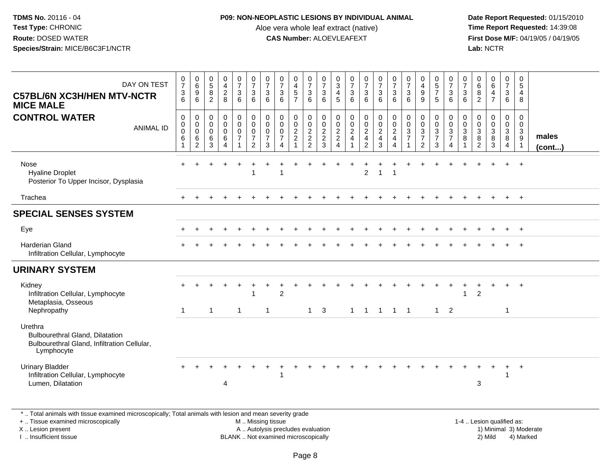## **P09: NON-NEOPLASTIC LESIONS BY INDIVIDUAL ANIMAL**

Aloe vera whole leaf extract (native)<br>**CAS Number:** ALOEVLEAFEXT

| DAY ON TEST<br><b>C57BL/6N XC3H/HEN MTV-NCTR</b><br><b>MICE MALE</b>                                                                                                                          | $\frac{0}{7}$<br>$\mathbf{3}$<br>6   | $\begin{array}{c} 0 \\ 6 \end{array}$<br>$\boldsymbol{9}$<br>$6\phantom{1}$ | $\begin{array}{c} 0 \\ 5 \end{array}$<br>8<br>$\overline{2}$ | $\begin{smallmatrix}0\0\4\end{smallmatrix}$<br>$\boldsymbol{2}$<br>8      | $\begin{array}{c} 0 \\ 7 \end{array}$<br>3<br>6      | $\frac{0}{7}$<br>$\mathbf{3}$<br>6                                | $\frac{0}{7}$<br>$\sqrt{3}$<br>$6\phantom{1}$                           | $\frac{0}{7}$<br>3<br>$6\phantom{1}$                                               | 0<br>$\overline{4}$<br>$\sqrt{5}$<br>$\overline{7}$      | $\frac{0}{7}$<br>$\ensuremath{\mathsf{3}}$<br>6 | 0<br>$\overline{7}$<br>3<br>6                             | 0<br>$\ensuremath{\mathsf{3}}$<br>4<br>5                                           | $\begin{array}{c} 0 \\ 7 \end{array}$<br>3<br>6                | $\frac{0}{7}$<br>3<br>$6\phantom{1}$                                                    | $\begin{smallmatrix}0\\7\end{smallmatrix}$<br>$\mathbf{3}$<br>6   | $\begin{array}{c} 0 \\ 7 \end{array}$<br>$\sqrt{3}$<br>$6\phantom{1}$  | $\frac{0}{7}$<br>$\mathbf{3}$<br>$6\phantom{1}$                               | 0<br>$\overline{4}$<br>$\boldsymbol{9}$<br>9                                                | $\begin{array}{c} 0 \\ 5 \\ 7 \end{array}$<br>5                      | $\frac{0}{7}$<br>$\mathbf{3}$<br>6                                   | 0<br>$\overline{7}$<br>3<br>6 | $\pmb{0}$<br>$\,6$<br>$\bf8$<br>$\overline{2}$                                                  | $\begin{array}{c} 0 \\ 6 \end{array}$<br>4<br>$\overline{7}$              | $\frac{0}{7}$<br>$\mathbf{3}$<br>$\,6\,$            | 0<br>$\overline{5}$<br>$\overline{4}$<br>8                                        |                        |
|-----------------------------------------------------------------------------------------------------------------------------------------------------------------------------------------------|--------------------------------------|-----------------------------------------------------------------------------|--------------------------------------------------------------|---------------------------------------------------------------------------|------------------------------------------------------|-------------------------------------------------------------------|-------------------------------------------------------------------------|------------------------------------------------------------------------------------|----------------------------------------------------------|-------------------------------------------------|-----------------------------------------------------------|------------------------------------------------------------------------------------|----------------------------------------------------------------|-----------------------------------------------------------------------------------------|-------------------------------------------------------------------|------------------------------------------------------------------------|-------------------------------------------------------------------------------|---------------------------------------------------------------------------------------------|----------------------------------------------------------------------|----------------------------------------------------------------------|-------------------------------|-------------------------------------------------------------------------------------------------|---------------------------------------------------------------------------|-----------------------------------------------------|-----------------------------------------------------------------------------------|------------------------|
| <b>CONTROL WATER</b><br><b>ANIMAL ID</b>                                                                                                                                                      | 0<br>$\mathbf 0$<br>$\mathbf 0$<br>6 | $\mathbf 0$<br>$\mathbf 0$<br>$\mathbf 0$<br>6<br>$\overline{2}$            | $\mathbf 0$<br>$\mathbf 0$<br>$\mathbf 0$<br>6<br>3          | $\mathbf 0$<br>$\mathbf 0$<br>$\mathbf 0$<br>6<br>$\overline{\mathbf{4}}$ | 0<br>$\mathbf 0$<br>$\pmb{0}$<br>$\overline{7}$<br>1 | 0<br>$\mathbf 0$<br>$\pmb{0}$<br>$\overline{7}$<br>$\overline{2}$ | 0<br>$\mathsf{O}\xspace$<br>$\pmb{0}$<br>$\overline{7}$<br>$\mathbf{3}$ | $\mathbf 0$<br>$\mathbf 0$<br>$\Omega$<br>$\overline{7}$<br>$\boldsymbol{\Lambda}$ | 0<br>$\mathsf{O}\xspace$<br>$\sqrt{2}$<br>$\overline{2}$ | 0<br>$\mathbf 0$<br>$\sqrt{2}$<br>$\frac{2}{2}$ | $\mathbf 0$<br>$\mathbf 0$<br>$\sqrt{2}$<br>$\frac{2}{3}$ | $\mathbf 0$<br>$\mathbf 0$<br>$\boldsymbol{2}$<br>$\overline{2}$<br>$\overline{4}$ | $\mathbf 0$<br>$\mathbf 0$<br>$\overline{c}$<br>$\overline{4}$ | 0<br>$\mathsf{O}\xspace$<br>$\overline{a}$<br>$\overline{\mathbf{4}}$<br>$\overline{2}$ | $\pmb{0}$<br>$\mathbf 0$<br>$\overline{2}$<br>$\overline{4}$<br>3 | $\mathbf 0$<br>$\overline{0}$<br>$\overline{2}$<br>$\overline{4}$<br>4 | $\mathbf 0$<br>$\pmb{0}$<br>$\ensuremath{\mathsf{3}}$<br>$\overline{7}$<br>-1 | $\mathbf 0$<br>$\mathbf 0$<br>$\ensuremath{\mathsf{3}}$<br>$\overline{7}$<br>$\overline{2}$ | 0<br>$\mathbf 0$<br>$\ensuremath{\mathsf{3}}$<br>$\overline{7}$<br>3 | 0<br>$\mathsf 0$<br>$\ensuremath{\mathsf{3}}$<br>$\overline{7}$<br>4 | 0<br>$\mathbf 0$<br>3<br>8    | $\mathbf 0$<br>0<br>$\ensuremath{\mathsf{3}}$<br>$\begin{smallmatrix} 8 \\ 2 \end{smallmatrix}$ | $\mathbf 0$<br>$\mathsf{O}\xspace$<br>$\ensuremath{\mathsf{3}}$<br>8<br>3 | 0<br>$\mathbf 0$<br>$\frac{3}{8}$<br>$\overline{4}$ | $\mathbf 0$<br>$\mathbf 0$<br>$\sqrt{3}$<br>$\begin{array}{c} 9 \\ 1 \end{array}$ | males<br>(cont)        |
| Nose<br><b>Hyaline Droplet</b><br>Posterior To Upper Incisor, Dysplasia                                                                                                                       |                                      |                                                                             |                                                              |                                                                           |                                                      |                                                                   |                                                                         | $\overline{1}$                                                                     |                                                          |                                                 |                                                           |                                                                                    |                                                                | $\overline{2}$                                                                          | $\mathbf{1}$                                                      | $\overline{1}$                                                         |                                                                               |                                                                                             |                                                                      |                                                                      |                               |                                                                                                 |                                                                           | $\ddot{}$                                           | $+$                                                                               |                        |
| Trachea                                                                                                                                                                                       |                                      |                                                                             |                                                              |                                                                           |                                                      |                                                                   |                                                                         |                                                                                    |                                                          |                                                 |                                                           |                                                                                    |                                                                |                                                                                         |                                                                   |                                                                        |                                                                               |                                                                                             |                                                                      |                                                                      |                               |                                                                                                 |                                                                           |                                                     | $+$                                                                               |                        |
| <b>SPECIAL SENSES SYSTEM</b>                                                                                                                                                                  |                                      |                                                                             |                                                              |                                                                           |                                                      |                                                                   |                                                                         |                                                                                    |                                                          |                                                 |                                                           |                                                                                    |                                                                |                                                                                         |                                                                   |                                                                        |                                                                               |                                                                                             |                                                                      |                                                                      |                               |                                                                                                 |                                                                           |                                                     |                                                                                   |                        |
| Eye                                                                                                                                                                                           |                                      |                                                                             |                                                              |                                                                           |                                                      |                                                                   |                                                                         |                                                                                    |                                                          |                                                 |                                                           |                                                                                    |                                                                |                                                                                         |                                                                   |                                                                        |                                                                               |                                                                                             |                                                                      |                                                                      |                               |                                                                                                 |                                                                           |                                                     | $+$                                                                               |                        |
| <b>Harderian Gland</b><br>Infiltration Cellular, Lymphocyte                                                                                                                                   |                                      |                                                                             |                                                              |                                                                           |                                                      |                                                                   |                                                                         |                                                                                    |                                                          |                                                 |                                                           |                                                                                    |                                                                |                                                                                         |                                                                   |                                                                        |                                                                               |                                                                                             |                                                                      |                                                                      |                               |                                                                                                 |                                                                           |                                                     | $+$                                                                               |                        |
| <b>URINARY SYSTEM</b>                                                                                                                                                                         |                                      |                                                                             |                                                              |                                                                           |                                                      |                                                                   |                                                                         |                                                                                    |                                                          |                                                 |                                                           |                                                                                    |                                                                |                                                                                         |                                                                   |                                                                        |                                                                               |                                                                                             |                                                                      |                                                                      |                               |                                                                                                 |                                                                           |                                                     |                                                                                   |                        |
| Kidney<br>Infiltration Cellular, Lymphocyte<br>Metaplasia, Osseous<br>Nephropathy                                                                                                             | $\overline{1}$                       |                                                                             | $\mathbf{1}$                                                 |                                                                           | $\mathbf{1}$                                         |                                                                   | $\mathbf{1}$                                                            | $\overline{2}$                                                                     |                                                          | $\mathbf{1}$                                    | 3                                                         |                                                                                    | $\mathbf{1}$                                                   | $\overline{1}$                                                                          | $\overline{1}$                                                    | $1 \quad 1$                                                            |                                                                               |                                                                                             | 1                                                                    | $\overline{2}$                                                       |                               | $\overline{2}$                                                                                  |                                                                           | $\overline{1}$                                      | $\overline{+}$                                                                    |                        |
| Urethra<br><b>Bulbourethral Gland, Dilatation</b><br>Bulbourethral Gland, Infiltration Cellular,<br>Lymphocyte                                                                                |                                      |                                                                             |                                                              |                                                                           |                                                      |                                                                   |                                                                         |                                                                                    |                                                          |                                                 |                                                           |                                                                                    |                                                                |                                                                                         |                                                                   |                                                                        |                                                                               |                                                                                             |                                                                      |                                                                      |                               |                                                                                                 |                                                                           |                                                     |                                                                                   |                        |
| <b>Urinary Bladder</b><br>Infiltration Cellular, Lymphocyte<br>Lumen, Dilatation                                                                                                              |                                      |                                                                             |                                                              | 4                                                                         |                                                      |                                                                   |                                                                         |                                                                                    |                                                          |                                                 |                                                           |                                                                                    |                                                                |                                                                                         |                                                                   |                                                                        |                                                                               |                                                                                             |                                                                      |                                                                      |                               | 3                                                                                               |                                                                           | 1                                                   | $\ddot{}$                                                                         |                        |
| *  Total animals with tissue examined microscopically; Total animals with lesion and mean severity grade<br>+  Tissue examined microscopically<br>X  Lesion present<br>I. Insufficient tissue |                                      |                                                                             |                                                              |                                                                           |                                                      |                                                                   | M  Missing tissue                                                       | A  Autolysis precludes evaluation<br>BLANK  Not examined microscopically           |                                                          |                                                 |                                                           |                                                                                    |                                                                |                                                                                         |                                                                   |                                                                        |                                                                               |                                                                                             |                                                                      |                                                                      | 1-4  Lesion qualified as:     |                                                                                                 | 2) Mild                                                                   |                                                     | 4) Marked                                                                         | 1) Minimal 3) Moderate |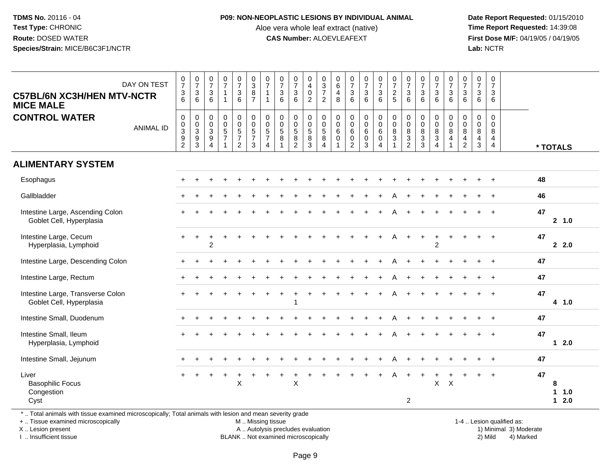#### **P09: NON-NEOPLASTIC LESIONS BY INDIVIDUAL ANIMAL**

Aloe vera whole leaf extract (native)<br>**CAS Number:** ALOEVLEAFEXT

 **Date Report Requested:** 01/15/2010 **First Dose M/F:** 04/19/05 / 04/19/05<br>Lab: NCTR **Lab:** NCTR

| <b>C57BL/6N XC3H/HEN MTV-NCTR</b><br><b>MICE MALE</b>                                                                                          | DAY ON TEST      | $\begin{array}{c} 0 \\ 7 \end{array}$<br>$\frac{3}{6}$           | $\begin{array}{c} 0 \\ 7 \end{array}$<br>$\frac{3}{6}$ | $\frac{0}{7}$<br>$\mathsf 3$<br>6                                                     | $\frac{0}{7}$<br>$\mathbf 1$                              | $\frac{0}{7}$<br>6                                                                | $\begin{array}{c} 0 \\ 3 \\ 8 \\ 7 \end{array}$                  | $\frac{0}{7}$<br>$\overline{1}$                                                       | $\frac{0}{7}$<br>$\sqrt{3}$<br>6                               | $\begin{array}{c} 0 \\ 7 \end{array}$<br>$\sqrt{3}$<br>$6\phantom{1}$ | 0<br>$\overline{\mathbf{4}}$<br>$\mathbf 0$<br>$\overline{2}$ | $\begin{array}{c} 0 \\ 3 \\ 7 \end{array}$<br>$\overline{2}$ | $\begin{array}{c} 0 \\ 6 \\ 4 \end{array}$<br>8                                      | $\frac{0}{7}$<br>$\frac{3}{6}$                                                                | 0736                                                            | $\frac{0}{7}$<br>6                                                             | $\frac{0}{7}$<br>$rac{2}{5}$     | $\frac{0}{7}$<br>$\frac{3}{6}$                                           | $\frac{0}{7}$<br>$\frac{3}{6}$                            | $\frac{0}{7}$<br>6                                                                 | $\frac{0}{7}$<br>6                                 | $\frac{0}{7}$<br>$\mathbf{3}$<br>6                     | $\frac{0}{7}$<br>$\mathbf 3$<br>6                          | 0<br>$\overline{7}$<br>$\mathbf{3}$<br>6                            |                           |    |                     |
|------------------------------------------------------------------------------------------------------------------------------------------------|------------------|------------------------------------------------------------------|--------------------------------------------------------|---------------------------------------------------------------------------------------|-----------------------------------------------------------|-----------------------------------------------------------------------------------|------------------------------------------------------------------|---------------------------------------------------------------------------------------|----------------------------------------------------------------|-----------------------------------------------------------------------|---------------------------------------------------------------|--------------------------------------------------------------|--------------------------------------------------------------------------------------|-----------------------------------------------------------------------------------------------|-----------------------------------------------------------------|--------------------------------------------------------------------------------|----------------------------------|--------------------------------------------------------------------------|-----------------------------------------------------------|------------------------------------------------------------------------------------|----------------------------------------------------|--------------------------------------------------------|------------------------------------------------------------|---------------------------------------------------------------------|---------------------------|----|---------------------|
| <b>CONTROL WATER</b>                                                                                                                           | <b>ANIMAL ID</b> | $\mathbf 0$<br>$\overline{0}$<br>$\overline{3}$<br>$\frac{9}{2}$ | 0<br>$\frac{0}{3}$<br>$\frac{9}{3}$                    | $\boldsymbol{0}$<br>$\mathsf 0$<br>$\mathbf{3}$<br>$\boldsymbol{9}$<br>$\overline{A}$ | $\boldsymbol{0}$<br>$\overline{0}$<br>5<br>$\overline{7}$ | $\begin{smallmatrix}0\0\0\5\end{smallmatrix}$<br>$\overline{7}$<br>$\overline{2}$ | $\begin{matrix} 0 \\ 0 \\ 5 \end{matrix}$<br>$\overline{7}$<br>3 | $\mathbf 0$<br>$\mathsf{O}\xspace$<br>$\,$ 5 $\,$<br>$\overline{7}$<br>$\overline{4}$ | $\boldsymbol{0}$<br>$\overline{0}$<br>$\overline{5}$<br>$\, 8$ | 0<br>$\ddot{\mathbf{0}}$<br>$\overline{5}$<br>$\frac{8}{2}$           | 0<br>$\ddot{\mathbf{0}}$<br>$\overline{5}$<br>8<br>3          | 0<br>$\mathbf 0$<br>$\,$ 5 $\,$<br>8<br>4                    | $\pmb{0}$<br>$\ddot{\mathbf{0}}$<br>$\,6\,$<br>$\mathsf{O}\xspace$<br>$\overline{1}$ | $\pmb{0}$<br>$\overline{0}$<br>$6\phantom{a}$<br>$\begin{smallmatrix} 0\\2 \end{smallmatrix}$ | $\begin{smallmatrix}0\0\0\6\end{smallmatrix}$<br>$_{3}^{\rm 0}$ | $\begin{smallmatrix}0\0\0\6\end{smallmatrix}$<br>$\mathbf 0$<br>$\overline{4}$ | 0<br>$\mathbf 0$<br>$\bf 8$<br>3 | $\begin{smallmatrix} 0\\0 \end{smallmatrix}$<br>$\bf 8$<br>$\frac{3}{2}$ | 0<br>$\overline{0}$<br>$\overline{8}$<br>$\mathbf 3$<br>3 | 0<br>$\ddot{\mathbf{0}}$<br>$\bf 8$<br>$\ensuremath{\mathsf{3}}$<br>$\overline{4}$ | $\pmb{0}$<br>$\overline{0}$<br>8<br>$\overline{4}$ | $\mathbf 0$<br>$\mathbf 0$<br>8<br>4<br>$\overline{c}$ | $\mathbf 0$<br>$\mathbf 0$<br>$\,8\,$<br>4<br>$\mathbf{3}$ | $\mathbf 0$<br>$\mathbf 0$<br>8<br>$\overline{4}$<br>$\overline{4}$ |                           |    | * TOTALS            |
| <b>ALIMENTARY SYSTEM</b>                                                                                                                       |                  |                                                                  |                                                        |                                                                                       |                                                           |                                                                                   |                                                                  |                                                                                       |                                                                |                                                                       |                                                               |                                                              |                                                                                      |                                                                                               |                                                                 |                                                                                |                                  |                                                                          |                                                           |                                                                                    |                                                    |                                                        |                                                            |                                                                     |                           |    |                     |
| Esophagus                                                                                                                                      |                  |                                                                  |                                                        |                                                                                       |                                                           |                                                                                   |                                                                  |                                                                                       |                                                                |                                                                       |                                                               |                                                              |                                                                                      |                                                                                               |                                                                 |                                                                                |                                  |                                                                          |                                                           |                                                                                    |                                                    |                                                        |                                                            |                                                                     |                           | 48 |                     |
| Gallbladder                                                                                                                                    |                  |                                                                  |                                                        |                                                                                       |                                                           |                                                                                   |                                                                  |                                                                                       |                                                                |                                                                       |                                                               |                                                              |                                                                                      |                                                                                               |                                                                 |                                                                                |                                  |                                                                          | $\ddot{}$                                                 |                                                                                    |                                                    |                                                        |                                                            | $\ddot{}$                                                           |                           | 46 |                     |
| Intestine Large, Ascending Colon<br>Goblet Cell, Hyperplasia                                                                                   |                  |                                                                  |                                                        |                                                                                       |                                                           |                                                                                   |                                                                  |                                                                                       |                                                                |                                                                       |                                                               |                                                              |                                                                                      |                                                                                               |                                                                 |                                                                                |                                  |                                                                          |                                                           |                                                                                    |                                                    |                                                        |                                                            |                                                                     |                           | 47 | 2, 1.0              |
| Intestine Large, Cecum<br>Hyperplasia, Lymphoid                                                                                                |                  |                                                                  | $\ddot{}$                                              | $\overline{2}$                                                                        |                                                           |                                                                                   |                                                                  |                                                                                       |                                                                |                                                                       |                                                               |                                                              |                                                                                      |                                                                                               |                                                                 |                                                                                | Α                                |                                                                          | $\ddot{}$                                                 | $\ddot{}$<br>$\overline{c}$                                                        |                                                    |                                                        |                                                            | $\ddot{}$                                                           |                           | 47 | 2.0                 |
| Intestine Large, Descending Colon                                                                                                              |                  |                                                                  |                                                        |                                                                                       |                                                           |                                                                                   |                                                                  |                                                                                       |                                                                |                                                                       |                                                               |                                                              |                                                                                      |                                                                                               |                                                                 |                                                                                |                                  |                                                                          |                                                           |                                                                                    |                                                    |                                                        |                                                            |                                                                     |                           | 47 |                     |
| Intestine Large, Rectum                                                                                                                        |                  |                                                                  |                                                        |                                                                                       |                                                           |                                                                                   |                                                                  |                                                                                       |                                                                |                                                                       |                                                               |                                                              |                                                                                      |                                                                                               |                                                                 |                                                                                |                                  |                                                                          |                                                           |                                                                                    |                                                    |                                                        |                                                            |                                                                     |                           | 47 |                     |
| Intestine Large, Transverse Colon<br>Goblet Cell, Hyperplasia                                                                                  |                  |                                                                  |                                                        |                                                                                       |                                                           |                                                                                   |                                                                  |                                                                                       |                                                                |                                                                       |                                                               |                                                              |                                                                                      |                                                                                               |                                                                 |                                                                                |                                  |                                                                          |                                                           |                                                                                    |                                                    |                                                        |                                                            |                                                                     |                           | 47 | 4 1.0               |
| Intestine Small, Duodenum                                                                                                                      |                  |                                                                  |                                                        |                                                                                       |                                                           |                                                                                   |                                                                  |                                                                                       |                                                                |                                                                       |                                                               |                                                              |                                                                                      |                                                                                               |                                                                 |                                                                                |                                  |                                                                          |                                                           |                                                                                    |                                                    |                                                        |                                                            |                                                                     |                           | 47 |                     |
| Intestine Small, Ileum<br>Hyperplasia, Lymphoid                                                                                                |                  |                                                                  |                                                        |                                                                                       |                                                           |                                                                                   |                                                                  |                                                                                       |                                                                |                                                                       |                                                               |                                                              |                                                                                      |                                                                                               |                                                                 |                                                                                |                                  |                                                                          |                                                           |                                                                                    |                                                    |                                                        |                                                            |                                                                     |                           | 47 | $12.0$              |
| Intestine Small, Jejunum                                                                                                                       |                  |                                                                  |                                                        |                                                                                       |                                                           |                                                                                   |                                                                  |                                                                                       |                                                                |                                                                       |                                                               |                                                              |                                                                                      |                                                                                               |                                                                 |                                                                                |                                  |                                                                          |                                                           |                                                                                    |                                                    |                                                        |                                                            |                                                                     |                           | 47 |                     |
| Liver<br><b>Basophilic Focus</b><br>Congestion<br>Cyst                                                                                         |                  |                                                                  |                                                        |                                                                                       |                                                           | $\mathsf{X}$                                                                      |                                                                  |                                                                                       |                                                                | $\times$                                                              |                                                               |                                                              |                                                                                      |                                                                                               |                                                                 |                                                                                |                                  | $\overline{2}$                                                           |                                                           |                                                                                    | $X$ $X$                                            |                                                        |                                                            |                                                                     |                           | 47 | 8<br>11.0<br>$12.0$ |
| *  Total animals with tissue examined microscopically; Total animals with lesion and mean severity grade<br>+  Tissue examined microscopically |                  |                                                                  |                                                        |                                                                                       |                                                           |                                                                                   |                                                                  | M  Missing tissue                                                                     |                                                                |                                                                       |                                                               |                                                              |                                                                                      |                                                                                               |                                                                 |                                                                                |                                  |                                                                          |                                                           |                                                                                    |                                                    |                                                        |                                                            |                                                                     | 1-4  Lesion qualified as: |    |                     |

+ .. Tissue examined microscopicallyX .. Lesion present

I .. Insufficient tissue

A .. Autolysis precludes evaluation

BLANK .. Not examined microscopically 2) Mild 4) Marked

1-4 .. Lesion qualified as: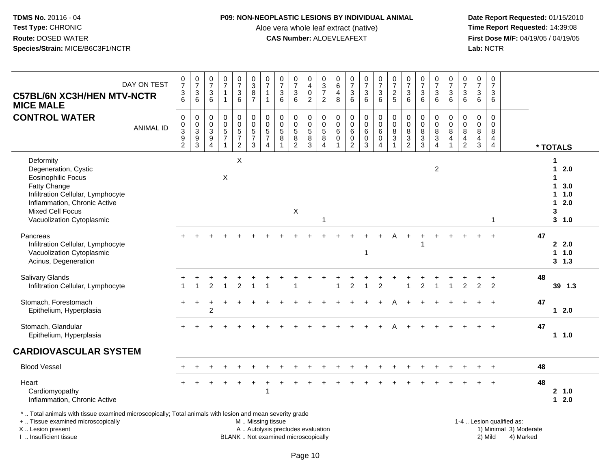### **P09: NON-NEOPLASTIC LESIONS BY INDIVIDUAL ANIMAL**

Aloe vera whole leaf extract (native)<br>**CAS Number:** ALOEVLEAFEXT

 **Date Report Requested:** 01/15/2010 **First Dose M/F:** 04/19/05 / 04/19/05<br>Lab: NCTR **Lab:** NCTR

| <b>C57BL/6N XC3H/HEN MTV-NCTR</b><br><b>MICE MALE</b>                                                                                                                                                       | DAY ON TEST      | $\frac{0}{7}$<br>3<br>$\overline{6}$                                   | $\frac{0}{7}$<br>$\sqrt{3}$<br>6           | $\frac{0}{7}$<br>3<br>6                                                   | 0<br>$\overline{7}$<br>$\mathbf{1}$<br>$\overline{1}$                        | $\frac{0}{7}$<br>$\sqrt{3}$<br>$6\phantom{a}$ | $_{3}^{\rm 0}$<br>$\bf 8$<br>$\overline{7}$                     | $\begin{array}{c} 0 \\ 7 \end{array}$<br>$\mathbf{1}$<br>$\mathbf{1}$    | $\frac{0}{7}$<br>$\sqrt{3}$<br>$6\phantom{1}$               | $\frac{0}{7}$<br>$\sqrt{3}$<br>6                                  | 0<br>$\overline{4}$<br>$\pmb{0}$<br>$\overline{2}$ | 0<br>$\frac{3}{7}$<br>$\overline{2}$                              | $\begin{array}{c} 0 \\ 6 \end{array}$<br>$\overline{4}$<br>8                                | $\frac{0}{7}$<br>$\ensuremath{\mathsf{3}}$<br>6                        | $\begin{array}{c} 0 \\ 7 \end{array}$<br>$\ensuremath{\mathsf{3}}$<br>6 | $\begin{array}{c} 0 \\ 7 \end{array}$<br>$\mathsf 3$<br>$6\phantom{1}6$ | $\frac{0}{7}$<br>$rac{2}{5}$                                                  | $\begin{matrix}0\\7\end{matrix}$<br>3<br>6                  | $\begin{array}{c} 0 \\ 7 \end{array}$<br>$\mathsf 3$<br>$6\phantom{1}$ | $\frac{0}{7}$<br>$\ensuremath{\mathsf{3}}$<br>$6\phantom{1}$               | $\begin{smallmatrix}0\\7\end{smallmatrix}$<br>$\mathsf 3$<br>$6\phantom{1}6$     | $\pmb{0}$<br>$\overline{7}$<br>$\sqrt{3}$<br>$6\phantom{1}$               | $\pmb{0}$<br>$\overline{7}$<br>$\sqrt{3}$<br>6            | $\mathbf 0$<br>$\overline{7}$<br>$\mathbf{3}$<br>6     |                           |    |                                                                  |
|-------------------------------------------------------------------------------------------------------------------------------------------------------------------------------------------------------------|------------------|------------------------------------------------------------------------|--------------------------------------------|---------------------------------------------------------------------------|------------------------------------------------------------------------------|-----------------------------------------------|-----------------------------------------------------------------|--------------------------------------------------------------------------|-------------------------------------------------------------|-------------------------------------------------------------------|----------------------------------------------------|-------------------------------------------------------------------|---------------------------------------------------------------------------------------------|------------------------------------------------------------------------|-------------------------------------------------------------------------|-------------------------------------------------------------------------|-------------------------------------------------------------------------------|-------------------------------------------------------------|------------------------------------------------------------------------|----------------------------------------------------------------------------|----------------------------------------------------------------------------------|---------------------------------------------------------------------------|-----------------------------------------------------------|--------------------------------------------------------|---------------------------|----|------------------------------------------------------------------|
| <b>CONTROL WATER</b>                                                                                                                                                                                        | <b>ANIMAL ID</b> | 0<br>$\pmb{0}$<br>$\overline{3}$<br>$\boldsymbol{9}$<br>$\overline{c}$ | $\pmb{0}$<br>$\frac{0}{3}$<br>$\mathbf{3}$ | 0<br>0<br>$\ensuremath{\mathsf{3}}$<br>$\boldsymbol{9}$<br>$\overline{4}$ | $\mathbf 0$<br>$\pmb{0}$<br>$\overline{5}$<br>$\overline{7}$<br>$\mathbf{1}$ | $\pmb{0}$<br>$\frac{0}{5}$<br>$\overline{2}$  | $\pmb{0}$<br>$\pmb{0}$<br>$\overline{5}$<br>$\overline{7}$<br>3 | $_{\rm 0}^{\rm 0}$<br>$\overline{5}$<br>$\overline{7}$<br>$\overline{4}$ | $\pmb{0}$<br>$\mathbf 0$<br>$\sqrt{5}$<br>8<br>$\mathbf{1}$ | $\pmb{0}$<br>$\mathbf 0$<br>$\overline{5}$<br>8<br>$\overline{2}$ | 0<br>$\pmb{0}$<br>$\overline{5}$<br>$\bf 8$<br>3   | $\pmb{0}$<br>$\mathsf 0$<br>$\overline{5}$<br>8<br>$\overline{4}$ | $\begin{smallmatrix}0\\0\end{smallmatrix}$<br>$6\phantom{a}$<br>$\pmb{0}$<br>$\overline{1}$ | $\mathbf 0$<br>$\mathbf 0$<br>$\,6\,$<br>$\mathbf 0$<br>$\overline{2}$ | $\pmb{0}$<br>$\mathbf 0$<br>$\,6\,$<br>$\mathbf 0$<br>$\mathbf{3}$      | $\pmb{0}$<br>$\overline{0}$<br>6<br>$\mathbf 0$<br>$\overline{4}$       | $\pmb{0}$<br>$\overline{0}$<br>$\overline{8}$<br>$\mathbf{3}$<br>$\mathbf{1}$ | $_{\rm 0}^{\rm 0}$<br>$\overline{8}$<br>3<br>$\overline{2}$ | $\begin{smallmatrix}0\0\0\end{smallmatrix}$<br>$\frac{8}{3}$<br>3      | $\pmb{0}$<br>$\mathbf 0$<br>$\overline{8}$<br>$\sqrt{3}$<br>$\overline{4}$ | $\mathbf 0$<br>$\mathbf 0$<br>$\overline{8}$<br>$\overline{4}$<br>$\overline{1}$ | $\mathbf 0$<br>$\mathbf 0$<br>$\,8\,$<br>$\overline{4}$<br>$\overline{2}$ | $\mathbf 0$<br>$\mathbf 0$<br>$\, 8$<br>4<br>$\mathbf{3}$ | $\mathbf 0$<br>$\mathbf 0$<br>8<br>4<br>$\overline{4}$ |                           |    | * TOTALS                                                         |
| Deformity<br>Degeneration, Cystic<br><b>Eosinophilic Focus</b><br>Fatty Change<br>Infiltration Cellular, Lymphocyte<br>Inflammation, Chronic Active<br><b>Mixed Cell Focus</b><br>Vacuolization Cytoplasmic |                  |                                                                        |                                            |                                                                           | $\times$                                                                     | X                                             |                                                                 |                                                                          |                                                             | $\mathsf X$                                                       |                                                    |                                                                   |                                                                                             |                                                                        |                                                                         |                                                                         |                                                                               |                                                             |                                                                        | $\sqrt{2}$                                                                 |                                                                                  |                                                                           |                                                           | 1                                                      |                           |    | 1<br>$12.0$<br>1<br>1, 3.0<br>$1 \t1.0$<br>$12.0$<br>3<br>3, 1.0 |
| Pancreas<br>Infiltration Cellular, Lymphocyte<br>Vacuolization Cytoplasmic<br>Acinus, Degeneration                                                                                                          |                  |                                                                        |                                            |                                                                           |                                                                              |                                               |                                                                 |                                                                          |                                                             |                                                                   |                                                    |                                                                   |                                                                                             |                                                                        | -1                                                                      |                                                                         |                                                                               |                                                             |                                                                        |                                                                            |                                                                                  |                                                                           |                                                           |                                                        |                           | 47 | 2.0<br>1 1.0<br>3, 1.3                                           |
| <b>Salivary Glands</b><br>Infiltration Cellular, Lymphocyte                                                                                                                                                 |                  |                                                                        |                                            | $\overline{2}$                                                            |                                                                              | $\overline{2}$                                |                                                                 |                                                                          |                                                             |                                                                   |                                                    |                                                                   |                                                                                             | 2                                                                      | -1                                                                      | $\overline{c}$                                                          |                                                                               |                                                             | $\overline{2}$                                                         |                                                                            | $\overline{1}$                                                                   | $\overline{c}$                                                            | $\overline{2}$                                            | $\ddot{}$<br>2                                         |                           | 48 | 39 1.3                                                           |
| Stomach, Forestomach<br>Epithelium, Hyperplasia                                                                                                                                                             |                  | $+$                                                                    |                                            | $\overline{c}$                                                            |                                                                              |                                               |                                                                 |                                                                          |                                                             |                                                                   |                                                    |                                                                   |                                                                                             |                                                                        |                                                                         |                                                                         |                                                                               |                                                             |                                                                        |                                                                            |                                                                                  |                                                                           |                                                           |                                                        |                           | 47 | $12.0$                                                           |
| Stomach, Glandular<br>Epithelium, Hyperplasia                                                                                                                                                               |                  |                                                                        |                                            |                                                                           |                                                                              |                                               |                                                                 |                                                                          |                                                             |                                                                   |                                                    |                                                                   |                                                                                             |                                                                        |                                                                         |                                                                         |                                                                               |                                                             |                                                                        |                                                                            |                                                                                  |                                                                           |                                                           |                                                        |                           | 47 | 1 1.0                                                            |
| <b>CARDIOVASCULAR SYSTEM</b>                                                                                                                                                                                |                  |                                                                        |                                            |                                                                           |                                                                              |                                               |                                                                 |                                                                          |                                                             |                                                                   |                                                    |                                                                   |                                                                                             |                                                                        |                                                                         |                                                                         |                                                                               |                                                             |                                                                        |                                                                            |                                                                                  |                                                                           |                                                           |                                                        |                           |    |                                                                  |
| <b>Blood Vessel</b>                                                                                                                                                                                         |                  |                                                                        |                                            |                                                                           |                                                                              |                                               |                                                                 |                                                                          |                                                             |                                                                   |                                                    |                                                                   |                                                                                             |                                                                        |                                                                         |                                                                         |                                                                               |                                                             |                                                                        |                                                                            |                                                                                  |                                                                           |                                                           |                                                        |                           | 48 |                                                                  |
| Heart<br>Cardiomyopathy<br>Inflammation, Chronic Active                                                                                                                                                     |                  |                                                                        |                                            |                                                                           |                                                                              |                                               |                                                                 | 1                                                                        |                                                             |                                                                   |                                                    |                                                                   |                                                                                             |                                                                        |                                                                         |                                                                         |                                                                               |                                                             |                                                                        |                                                                            |                                                                                  |                                                                           |                                                           |                                                        |                           | 48 | 2, 1.0<br>$12.0$                                                 |
| *  Total animals with tissue examined microscopically; Total animals with lesion and mean severity grade<br>+  Tissue examined microscopically                                                              |                  |                                                                        |                                            |                                                                           |                                                                              |                                               | M  Missing tissue                                               |                                                                          |                                                             |                                                                   |                                                    |                                                                   |                                                                                             |                                                                        |                                                                         |                                                                         |                                                                               |                                                             |                                                                        |                                                                            |                                                                                  |                                                                           |                                                           |                                                        | 1-4  Lesion qualified as: |    |                                                                  |

X .. Lesion present

I .. Insufficient tissue

BLANK .. Not examined microscopically and the state of the 2) Mild

A .. Autolysis precludes evaluation and the service of the service of the service of the service of the service of the service of the service of the service of the service of the service of the service of the service of th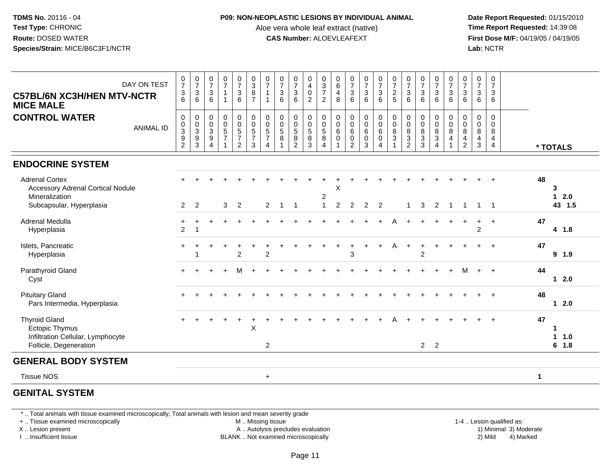#### **P09: NON-NEOPLASTIC LESIONS BY INDIVIDUAL ANIMAL**

Aloe vera whole leaf extract (native)<br>**CAS Number:** ALOEVLEAFEXT

 **Date Report Requested:** 01/15/2010 **First Dose M/F:** 04/19/05 / 04/19/05<br>**Lab:** NCTR **Lab:** NCTR

| <b>C57BL/6N XC3H/HEN MTV-NCTR</b><br><b>MICE MALE</b>                                                           | DAY ON TEST      | $\frac{0}{7}$<br>$\frac{3}{6}$                                           | $\frac{0}{7}$<br>$\ensuremath{\mathsf{3}}$<br>$6\phantom{1}$            | $\frac{0}{7}$<br>$\mathbf{3}$<br>6                                   | $\frac{0}{7}$<br>$\mathbf{1}$<br>$\mathbf{1}$                        | $\frac{0}{7}$<br>$\ensuremath{\mathsf{3}}$<br>6 | $\begin{array}{c} 0 \\ 3 \\ 8 \\ 7 \end{array}$ | $\frac{0}{7}$<br>$\mathbf{1}$<br>$\overline{1}$                                    | $\frac{0}{7}$<br>$\ensuremath{\mathsf{3}}$<br>$6\phantom{1}$ | $\frac{0}{7}$<br>$\ensuremath{\mathsf{3}}$<br>6 | $\begin{smallmatrix}0\0\4\0\end{smallmatrix}$<br>$\sqrt{2}$ | 0<br>$\frac{3}{7}$<br>$\overline{2}$                               | $_{6}^{\rm 0}$<br>4<br>8                           | $\begin{smallmatrix}0\\7\end{smallmatrix}$<br>$\frac{3}{6}$ | $\frac{0}{7}$<br>6                                                        | $\frac{0}{7}$<br>$\frac{3}{6}$                                                      | $\frac{0}{7}$<br>$\frac{2}{5}$                                 | $\frac{0}{7}$<br>$\ensuremath{\mathsf{3}}$<br>6                            | $\begin{array}{c} 0 \\ 7 \\ 3 \end{array}$<br>$6\phantom{1}$ | $\frac{0}{7}$<br>$\ensuremath{\mathsf{3}}$<br>$6\phantom{a}$                      | $\frac{0}{7}$<br>$\mathsf 3$<br>6           | $\frac{0}{7}$<br>$\mathsf 3$<br>$6\phantom{1}6$                              | $\frac{0}{7}$<br>$\mathbf{3}$<br>6                                | $\pmb{0}$<br>$\overline{7}$<br>3<br>6                  |              |                       |
|-----------------------------------------------------------------------------------------------------------------|------------------|--------------------------------------------------------------------------|-------------------------------------------------------------------------|----------------------------------------------------------------------|----------------------------------------------------------------------|-------------------------------------------------|-------------------------------------------------|------------------------------------------------------------------------------------|--------------------------------------------------------------|-------------------------------------------------|-------------------------------------------------------------|--------------------------------------------------------------------|----------------------------------------------------|-------------------------------------------------------------|---------------------------------------------------------------------------|-------------------------------------------------------------------------------------|----------------------------------------------------------------|----------------------------------------------------------------------------|--------------------------------------------------------------|-----------------------------------------------------------------------------------|---------------------------------------------|------------------------------------------------------------------------------|-------------------------------------------------------------------|--------------------------------------------------------|--------------|-----------------------|
| <b>CONTROL WATER</b>                                                                                            | <b>ANIMAL ID</b> | $\,0\,$<br>$\begin{smallmatrix}0\3\9\end{smallmatrix}$<br>$\overline{c}$ | $\pmb{0}$<br>$\begin{array}{c} 0 \\ 3 \\ 9 \end{array}$<br>$\mathbf{3}$ | 0<br>$\mathbf 0$<br>$\sqrt{3}$<br>$\boldsymbol{9}$<br>$\overline{4}$ | $\pmb{0}$<br>$\overline{0}$<br>5<br>$\overline{7}$<br>$\overline{1}$ | $\mathbf 0$<br>$\frac{0}{5}$<br>$\overline{2}$  | $\pmb{0}$<br>$\frac{0}{5}$<br>3                 | $\pmb{0}$<br>$\begin{array}{c} 0 \\ 5 \\ 7 \end{array}$<br>$\overline{\mathbf{A}}$ | $\mathbf 0$<br>$\frac{0}{5}$<br>$\overline{8}$               | $\pmb{0}$<br>$\overline{0}$<br>5<br>8<br>2      | $\pmb{0}$<br>$\frac{0}{5}$<br>$\overline{8}$<br>$\sqrt{3}$  | 0<br>$\mathbf 0$<br>$\sqrt{5}$<br>$\overline{8}$<br>$\overline{4}$ | 0<br>$\ddot{\mathbf{0}}$<br>$\,6\,$<br>$\mathbf 0$ | $\pmb{0}$<br>$\frac{0}{6}$<br>$\bar{0}$<br>$\overline{c}$   | $\begin{smallmatrix}0\0\0\6\end{smallmatrix}$<br>$\ddot{\mathbf{0}}$<br>3 | $\mathsf{O}\xspace$<br>$\overline{0}$<br>6<br>$\ddot{\mathbf{0}}$<br>$\overline{4}$ | $\begin{matrix} 0 \\ 0 \\ 8 \\ 3 \end{matrix}$<br>$\mathbf{1}$ | $\pmb{0}$<br>$\overline{0}$<br>$\bf 8$<br>$\overline{3}$<br>$\overline{2}$ | $\pmb{0}$<br>$\overline{0}$<br>8<br>$\overline{3}$<br>3      | $\pmb{0}$<br>$\begin{array}{c} 0 \\ 8 \\ 3 \end{array}$<br>$\boldsymbol{\Lambda}$ | 0<br>$\pmb{0}$<br>$\bf 8$<br>$\overline{4}$ | $\mathbf 0$<br>$\ddot{\mathbf{0}}$<br>$\bf8$<br>$\overline{\mathbf{4}}$<br>2 | $\mathbf 0$<br>$\mathbf 0$<br>8<br>$\overline{4}$<br>$\mathbf{3}$ | $\mathbf 0$<br>$\mathbf 0$<br>8<br>4<br>$\overline{4}$ |              | * TOTALS              |
| <b>ENDOCRINE SYSTEM</b>                                                                                         |                  |                                                                          |                                                                         |                                                                      |                                                                      |                                                 |                                                 |                                                                                    |                                                              |                                                 |                                                             |                                                                    |                                                    |                                                             |                                                                           |                                                                                     |                                                                |                                                                            |                                                              |                                                                                   |                                             |                                                                              |                                                                   |                                                        |              |                       |
| <b>Adrenal Cortex</b><br><b>Accessory Adrenal Cortical Nodule</b><br>Mineralization<br>Subcapsular, Hyperplasia |                  | $\overline{2}$                                                           | $\overline{2}$                                                          |                                                                      | 3                                                                    | $\overline{2}$                                  |                                                 | $\overline{2}$                                                                     | $\overline{1}$                                               | -1                                              |                                                             | 2<br>$\overline{1}$                                                | X<br>$\overline{2}$                                | $\overline{c}$                                              | $\overline{2}$                                                            | $\overline{2}$                                                                      |                                                                |                                                                            | 3                                                            | 2                                                                                 |                                             | -1                                                                           | 1                                                                 | -1                                                     | 48           | 3<br>$12.0$<br>43 1.5 |
| <b>Adrenal Medulla</b><br>Hyperplasia                                                                           |                  | $\pm$<br>$\overline{2}$                                                  |                                                                         |                                                                      |                                                                      |                                                 |                                                 |                                                                                    |                                                              |                                                 |                                                             |                                                                    |                                                    |                                                             |                                                                           |                                                                                     |                                                                |                                                                            |                                                              |                                                                                   |                                             |                                                                              | +<br>$\overline{c}$                                               | $\ddot{}$                                              | 47           | 4 1.8                 |
| Islets, Pancreatic<br>Hyperplasia                                                                               |                  | $+$                                                                      |                                                                         |                                                                      |                                                                      | $\overline{c}$                                  |                                                 | $\overline{c}$                                                                     |                                                              |                                                 |                                                             |                                                                    |                                                    | 3                                                           |                                                                           |                                                                                     | Α                                                              |                                                                            | $\overline{c}$                                               |                                                                                   |                                             |                                                                              |                                                                   |                                                        | 47           | 9 1.9                 |
| Parathyroid Gland<br>Cyst                                                                                       |                  |                                                                          |                                                                         |                                                                      |                                                                      |                                                 |                                                 |                                                                                    |                                                              |                                                 |                                                             |                                                                    |                                                    |                                                             |                                                                           |                                                                                     |                                                                |                                                                            |                                                              |                                                                                   |                                             | м                                                                            | $+$                                                               | $\ddot{}$                                              | 44           | $12.0$                |
| <b>Pituitary Gland</b><br>Pars Intermedia, Hyperplasia                                                          |                  |                                                                          |                                                                         |                                                                      |                                                                      |                                                 |                                                 |                                                                                    |                                                              |                                                 |                                                             |                                                                    |                                                    |                                                             |                                                                           |                                                                                     |                                                                |                                                                            |                                                              |                                                                                   |                                             |                                                                              |                                                                   |                                                        | 48           | $12.0$                |
| <b>Thyroid Gland</b><br><b>Ectopic Thymus</b><br>Infiltration Cellular, Lymphocyte<br>Follicle, Degeneration    |                  |                                                                          |                                                                         |                                                                      |                                                                      |                                                 | $\times$                                        | 2                                                                                  |                                                              |                                                 |                                                             |                                                                    |                                                    |                                                             |                                                                           |                                                                                     |                                                                |                                                                            | $2 \quad 2$                                                  |                                                                                   |                                             |                                                                              |                                                                   |                                                        | 47           | -1<br>1 1.0<br>6 1.8  |
| <b>GENERAL BODY SYSTEM</b>                                                                                      |                  |                                                                          |                                                                         |                                                                      |                                                                      |                                                 |                                                 |                                                                                    |                                                              |                                                 |                                                             |                                                                    |                                                    |                                                             |                                                                           |                                                                                     |                                                                |                                                                            |                                                              |                                                                                   |                                             |                                                                              |                                                                   |                                                        |              |                       |
| <b>Tissue NOS</b>                                                                                               |                  |                                                                          |                                                                         |                                                                      |                                                                      |                                                 |                                                 | $\ddot{}$                                                                          |                                                              |                                                 |                                                             |                                                                    |                                                    |                                                             |                                                                           |                                                                                     |                                                                |                                                                            |                                                              |                                                                                   |                                             |                                                                              |                                                                   |                                                        | $\mathbf{1}$ |                       |
|                                                                                                                 |                  |                                                                          |                                                                         |                                                                      |                                                                      |                                                 |                                                 |                                                                                    |                                                              |                                                 |                                                             |                                                                    |                                                    |                                                             |                                                                           |                                                                                     |                                                                |                                                                            |                                                              |                                                                                   |                                             |                                                                              |                                                                   |                                                        |              |                       |

# **GENITAL SYSTEM**

\* .. Total animals with tissue examined microscopically; Total animals with lesion and mean severity grade

+ .. Tissue examined microscopically

X .. Lesion present

I .. Insufficient tissue

M .. Missing tissue

A .. Autolysis precludes evaluation

BLANK .. Not examined microscopically 2) Mild 4) Marked

1-4 .. Lesion qualified as: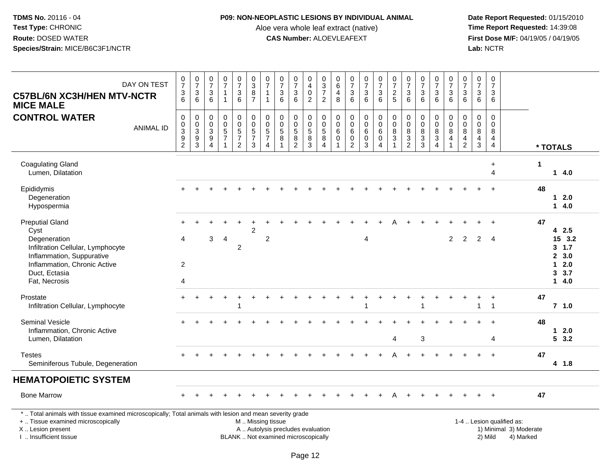### **P09: NON-NEOPLASTIC LESIONS BY INDIVIDUAL ANIMAL**

Aloe vera whole leaf extract (native)<br>**CAS Number:** ALOEVLEAFEXT

| DAY ON TEST<br><b>C57BL/6N XC3H/HEN MTV-NCTR</b><br><b>MICE MALE</b>                                                                                                                          | $\frac{0}{7}$<br>$\frac{3}{6}$               | $\frac{0}{7}$<br>$\frac{3}{6}$                                             | $\begin{array}{c} 0 \\ 7 \end{array}$<br>$\ensuremath{\mathsf{3}}$<br>6  | $\frac{0}{7}$<br>$\mathbf{1}$<br>$\mathbf{1}$                                | $\frac{0}{7}$<br>$\ensuremath{\mathsf{3}}$<br>$6\phantom{a}$           | $\begin{array}{c} 0 \\ 3 \\ 8 \\ 7 \end{array}$                  | $\frac{0}{7}$<br>$\mathbf 1$<br>$\mathbf{1}$                                   | $\begin{array}{c} 0 \\ 7 \end{array}$<br>$\ensuremath{\mathsf{3}}$<br>6  | $\frac{0}{7}$<br>$\ensuremath{\mathsf{3}}$<br>$6\phantom{1}$            | $\begin{smallmatrix}0\\4\end{smallmatrix}$<br>$\mathbf 0$<br>$\overline{2}$ | $\begin{array}{c} 0 \\ 3 \\ 7 \end{array}$<br>$\overline{2}$        | $\,0\,$<br>$\overline{6}$<br>$\overline{4}$<br>8                     | $\frac{0}{7}$<br>3<br>6                                                | $\frac{0}{7}$<br>$\ensuremath{\mathsf{3}}$<br>$6\phantom{a}$ | $\begin{array}{c} 0 \\ 7 \end{array}$<br>$\ensuremath{\mathsf{3}}$<br>6 | $\frac{0}{7}$<br>$\overline{2}$<br>5                                    | $\begin{array}{c} 0 \\ 7 \end{array}$<br>$\ensuremath{\mathsf{3}}$<br>6      | $\frac{0}{7}$<br>$\ensuremath{\mathsf{3}}$<br>6           | $\frac{0}{7}$<br>$\ensuremath{\mathsf{3}}$<br>$6\phantom{1}$  | $\begin{matrix} 0 \\ 7 \end{matrix}$<br>$\sqrt{3}$<br>6                          | $\begin{array}{c} 0 \\ 7 \end{array}$<br>3<br>6 | $\begin{smallmatrix}0\\7\end{smallmatrix}$<br>$\ensuremath{\mathsf{3}}$<br>6 | 0<br>$\frac{5}{7}$<br>3<br>6              |                                                                  |                      |                                                             |
|-----------------------------------------------------------------------------------------------------------------------------------------------------------------------------------------------|----------------------------------------------|----------------------------------------------------------------------------|--------------------------------------------------------------------------|------------------------------------------------------------------------------|------------------------------------------------------------------------|------------------------------------------------------------------|--------------------------------------------------------------------------------|--------------------------------------------------------------------------|-------------------------------------------------------------------------|-----------------------------------------------------------------------------|---------------------------------------------------------------------|----------------------------------------------------------------------|------------------------------------------------------------------------|--------------------------------------------------------------|-------------------------------------------------------------------------|-------------------------------------------------------------------------|------------------------------------------------------------------------------|-----------------------------------------------------------|---------------------------------------------------------------|----------------------------------------------------------------------------------|-------------------------------------------------|------------------------------------------------------------------------------|-------------------------------------------|------------------------------------------------------------------|----------------------|-------------------------------------------------------------|
| <b>CONTROL WATER</b><br><b>ANIMAL ID</b>                                                                                                                                                      | $\pmb{0}$<br>$_{3}^{\rm 0}$<br>$\frac{9}{2}$ | $\mathsf{O}\xspace$<br>$\frac{0}{3}$<br>$\boldsymbol{9}$<br>$\overline{3}$ | $\mathsf 0$<br>0<br>$\overline{3}$<br>$\boldsymbol{9}$<br>$\overline{4}$ | $\pmb{0}$<br>$\mathbf 0$<br>$\overline{5}$<br>$\overline{7}$<br>$\mathbf{1}$ | 0<br>$\pmb{0}$<br>$\overline{5}$<br>$\boldsymbol{7}$<br>$\overline{2}$ | $\pmb{0}$<br>$\frac{0}{5}$<br>$\boldsymbol{7}$<br>$\overline{3}$ | $\mathbf 0$<br>$\pmb{0}$<br>$\overline{5}$<br>$\overline{7}$<br>$\overline{4}$ | $\mathbf 0$<br>$\mathbf 0$<br>$\overline{5}$<br>8<br>$\overline{1}$      | $\mathbf 0$<br>$\pmb{0}$<br>$\overline{5}$<br>$\bf 8$<br>$\overline{2}$ | $\mathbf 0$<br>$\mathbf 0$<br>$\overline{5}$<br>8<br>$\overline{3}$         | $\mathbf 0$<br>$\mathbf 0$<br>$\overline{5}$<br>8<br>$\overline{4}$ | $\mathbf 0$<br>$\mathbf 0$<br>$\,6\,$<br>$\mathbf 0$<br>$\mathbf{1}$ | $\mathbf 0$<br>$\mathbf 0$<br>$\,6\,$<br>$\mathbf 0$<br>$\overline{2}$ | 0<br>0<br>$\,6\,$<br>$\mathsf 0$<br>$\overline{3}$           | 0<br>$\mathsf{O}\xspace$<br>$6\overline{6}$<br>0<br>4                   | $\pmb{0}$<br>$\frac{0}{8}$<br>$\ensuremath{\mathsf{3}}$<br>$\mathbf{1}$ | $\mathbf 0$<br>$\pmb{0}$<br>$\overline{8}$<br>$\mathbf{3}$<br>$\overline{2}$ | $\pmb{0}$<br>$\pmb{0}$<br>$\overline{8}$<br>$\frac{3}{3}$ | 0<br>$\mathbf 0$<br>$\bf 8$<br>$\mathbf{3}$<br>$\overline{4}$ | $\mathbf 0$<br>$\mathbf 0$<br>$\boldsymbol{8}$<br>$\overline{4}$<br>$\mathbf{1}$ | $\mathbf 0$<br>0<br>$\,8\,$<br>$\frac{4}{2}$    | $\mathsf{O}\xspace$<br>$\boldsymbol{0}$<br>$\overline{8}$<br>$\frac{4}{3}$   | $\mathbf 0$<br>$\mathbf 0$<br>8<br>4<br>4 |                                                                  |                      | * TOTALS                                                    |
| <b>Coagulating Gland</b><br>Lumen, Dilatation                                                                                                                                                 |                                              |                                                                            |                                                                          |                                                                              |                                                                        |                                                                  |                                                                                |                                                                          |                                                                         |                                                                             |                                                                     |                                                                      |                                                                        |                                                              |                                                                         |                                                                         |                                                                              |                                                           |                                                               |                                                                                  |                                                 |                                                                              | $\ddot{}$<br>$\overline{\mathbf{4}}$      |                                                                  | $\blacktriangleleft$ | 14.0                                                        |
| Epididymis<br>Degeneration<br>Hypospermia                                                                                                                                                     |                                              |                                                                            |                                                                          |                                                                              |                                                                        |                                                                  |                                                                                |                                                                          |                                                                         |                                                                             |                                                                     |                                                                      |                                                                        |                                                              |                                                                         |                                                                         |                                                                              |                                                           |                                                               |                                                                                  |                                                 |                                                                              |                                           |                                                                  | 48                   | 12.0<br>14.0                                                |
| <b>Preputial Gland</b><br>Cyst<br>Degeneration<br>Infiltration Cellular, Lymphocyte<br>Inflammation, Suppurative<br>Inflammation, Chronic Active<br>Duct, Ectasia<br>Fat, Necrosis            | $+$<br>4<br>$\overline{2}$<br>4              |                                                                            | 3                                                                        | $\overline{4}$                                                               | $\overline{c}$                                                         | $\overline{c}$                                                   | $\overline{c}$                                                                 |                                                                          |                                                                         |                                                                             |                                                                     |                                                                      |                                                                        | 4                                                            |                                                                         |                                                                         |                                                                              |                                                           |                                                               | $\overline{2}$                                                                   | 2                                               | 2                                                                            | $\ddot{}$<br>$\overline{4}$               |                                                                  | 47                   | 42.5<br>15 3.2<br>3, 1.7<br>2, 3.0<br>$12.0$<br>3.7<br>14.0 |
| Prostate<br>Infiltration Cellular, Lymphocyte                                                                                                                                                 |                                              |                                                                            |                                                                          |                                                                              |                                                                        |                                                                  |                                                                                |                                                                          |                                                                         |                                                                             |                                                                     |                                                                      |                                                                        |                                                              |                                                                         |                                                                         |                                                                              |                                                           |                                                               |                                                                                  |                                                 | 1                                                                            | $\ddot{}$<br>$\mathbf{1}$                 |                                                                  | 47                   | $7$ 1.0                                                     |
| <b>Seminal Vesicle</b><br>Inflammation, Chronic Active<br>Lumen, Dilatation                                                                                                                   |                                              |                                                                            |                                                                          |                                                                              |                                                                        |                                                                  |                                                                                |                                                                          |                                                                         |                                                                             |                                                                     |                                                                      |                                                                        |                                                              |                                                                         | $\overline{4}$                                                          |                                                                              | 3                                                         |                                                               |                                                                                  |                                                 |                                                                              | 4                                         |                                                                  | 48                   | 12.0<br>53.2                                                |
| <b>Testes</b><br>Seminiferous Tubule, Degeneration                                                                                                                                            |                                              |                                                                            |                                                                          |                                                                              |                                                                        |                                                                  |                                                                                |                                                                          |                                                                         |                                                                             |                                                                     |                                                                      |                                                                        |                                                              |                                                                         |                                                                         |                                                                              |                                                           |                                                               |                                                                                  |                                                 |                                                                              |                                           |                                                                  | 47                   | 4 1.8                                                       |
| <b>HEMATOPOIETIC SYSTEM</b>                                                                                                                                                                   |                                              |                                                                            |                                                                          |                                                                              |                                                                        |                                                                  |                                                                                |                                                                          |                                                                         |                                                                             |                                                                     |                                                                      |                                                                        |                                                              |                                                                         |                                                                         |                                                                              |                                                           |                                                               |                                                                                  |                                                 |                                                                              |                                           |                                                                  |                      |                                                             |
| <b>Bone Marrow</b>                                                                                                                                                                            |                                              |                                                                            |                                                                          |                                                                              |                                                                        |                                                                  |                                                                                |                                                                          |                                                                         |                                                                             |                                                                     |                                                                      |                                                                        |                                                              |                                                                         |                                                                         |                                                                              |                                                           |                                                               |                                                                                  |                                                 |                                                                              | $\ddot{}$                                 |                                                                  | 47                   |                                                             |
| *  Total animals with tissue examined microscopically; Total animals with lesion and mean severity grade<br>+  Tissue examined microscopically<br>X  Lesion present<br>I. Insufficient tissue |                                              |                                                                            |                                                                          |                                                                              |                                                                        | M  Missing tissue                                                |                                                                                | A  Autolysis precludes evaluation<br>BLANK  Not examined microscopically |                                                                         |                                                                             |                                                                     |                                                                      |                                                                        |                                                              |                                                                         |                                                                         |                                                                              |                                                           |                                                               |                                                                                  |                                                 |                                                                              | 2) Mild                                   | 1-4  Lesion qualified as:<br>1) Minimal 3) Moderate<br>4) Marked |                      |                                                             |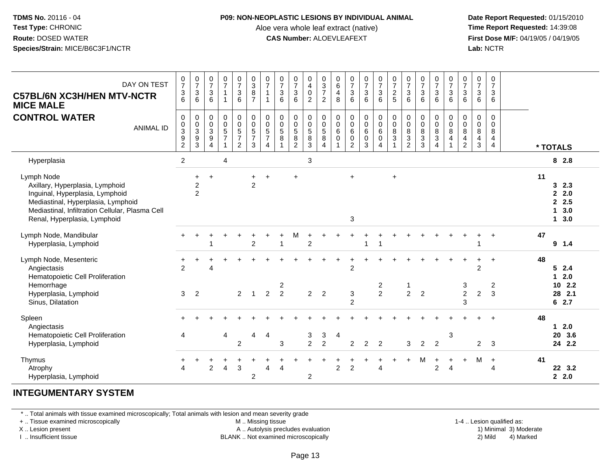#### **P09: NON-NEOPLASTIC LESIONS BY INDIVIDUAL ANIMAL**

Aloe vera whole leaf extract (native)<br>**CAS Number:** ALOEVLEAFEXT

 **Date Report Requested:** 01/15/2010 **First Dose M/F:** 04/19/05 / 04/19/05<br>**Lab:** NCTR **Lab:** NCTR

| DAY ON TEST<br><b>C57BL/6N XC3H/HEN MTV-NCTR</b><br><b>MICE MALE</b>                                                                                                                                      | $\frac{0}{7}$<br>$\frac{3}{6}$                    | $\begin{array}{c} 0 \\ 7 \end{array}$<br>$\sqrt{3}$<br>6     | $\frac{0}{7}$<br>$\mathbf{3}$<br>6            | $\frac{0}{7}$<br>$\overline{1}$<br>$\mathbf{1}$                              | $\frac{0}{7}$<br>$\mathbf{3}$<br>6                            | $\begin{smallmatrix}0\3\8\end{smallmatrix}$<br>$\overline{7}$ | $\frac{0}{7}$<br>$\mathbf{1}$<br>$\mathbf 1$                     | $\frac{0}{7}$<br>$\mathbf{3}$<br>6                | $\frac{0}{7}$<br>$\sqrt{3}$<br>6                                         | 0<br>$\begin{array}{c} 4 \\ 0 \end{array}$<br>$\overline{c}$ | $\begin{array}{c} 0 \\ 3 \\ 7 \end{array}$<br>$\overline{c}$           | $_{6}^{\rm 0}$<br>$\overline{4}$<br>8 | $\begin{array}{c} 0 \\ 7 \\ 3 \end{array}$<br>6              | $\frac{0}{7}$<br>$\overline{3}$<br>6          | $\begin{array}{c} 0 \\ 7 \end{array}$<br>$\mathsf 3$<br>$6^{\circ}$ | $\begin{array}{c} 0 \\ 7 \end{array}$<br>$\frac{2}{5}$           | $\frac{0}{7}$<br>$\sqrt{3}$<br>6                     | $\begin{array}{c} 0 \\ 7 \\ 3 \end{array}$<br>6                   | $\frac{0}{7}$<br>3<br>6                         | $\begin{array}{c} 0 \\ 7 \\ 3 \end{array}$<br>6                              | $\frac{0}{7}$<br>$\sqrt{3}$<br>6                                    | $\begin{array}{c} 0 \\ 7 \\ 3 \end{array}$<br>$6\phantom{1}6$          | $\frac{0}{7}$<br>$\sqrt{3}$<br>6                       |    |                                              |
|-----------------------------------------------------------------------------------------------------------------------------------------------------------------------------------------------------------|---------------------------------------------------|--------------------------------------------------------------|-----------------------------------------------|------------------------------------------------------------------------------|---------------------------------------------------------------|---------------------------------------------------------------|------------------------------------------------------------------|---------------------------------------------------|--------------------------------------------------------------------------|--------------------------------------------------------------|------------------------------------------------------------------------|---------------------------------------|--------------------------------------------------------------|-----------------------------------------------|---------------------------------------------------------------------|------------------------------------------------------------------|------------------------------------------------------|-------------------------------------------------------------------|-------------------------------------------------|------------------------------------------------------------------------------|---------------------------------------------------------------------|------------------------------------------------------------------------|--------------------------------------------------------|----|----------------------------------------------|
| <b>CONTROL WATER</b><br><b>ANIMAL ID</b>                                                                                                                                                                  | $\pmb{0}$<br>0<br>$\overline{3}$<br>$\frac{9}{2}$ | $\pmb{0}$<br>$\begin{array}{c} 0 \\ 3 \\ 9 \\ 3 \end{array}$ | 0<br>0<br>$\sqrt{3}$<br>$\boldsymbol{9}$<br>4 | $\pmb{0}$<br>$\mathbf 0$<br>$\overline{5}$<br>$\overline{7}$<br>$\mathbf{1}$ | $\mathbf 0$<br>$\mathbf 0$<br>$\frac{5}{7}$<br>$\overline{2}$ | 0<br>0<br>$\overline{5}$<br>$\overline{7}$<br>3               | $\begin{matrix} 0 \\ 0 \\ 5 \end{matrix}$<br>$\overline{7}$<br>4 | $\mathbf 0$<br>$\mathbf 0$<br>$\overline{5}$<br>8 | $\mathbf 0$<br>$\mathbf 0$<br>$\overline{5}$<br>$\bf8$<br>$\overline{2}$ | 0<br>0<br>$\overline{5}$<br>$\bf 8$<br>3                     | $\pmb{0}$<br>$\mathbf 0$<br>$\overline{5}$<br>$\, 8$<br>$\overline{4}$ | 0<br>0<br>$\,6$<br>$\mathbf 0$        | $\pmb{0}$<br>$\mathbf 0$<br>6<br>$\pmb{0}$<br>$\overline{2}$ | $\pmb{0}$<br>$_{6}^{\rm 0}$<br>$\pmb{0}$<br>3 | $\mathbf 0$<br>$\mathbf 0$<br>6<br>$\mathbf 0$<br>$\overline{4}$    | 0<br>$\pmb{0}$<br>$\overline{8}$<br>$\sqrt{3}$<br>$\overline{1}$ | $\pmb{0}$<br>$\pmb{0}$<br>$\,8\,$<br>$\sqrt{3}$<br>2 | $\mathbf 0$<br>$\mathbf 0$<br>$\overline{8}$<br>$\mathbf{3}$<br>3 | 0<br>0<br>$\overline{8}$<br>3<br>$\overline{4}$ | $\pmb{0}$<br>$\pmb{0}$<br>$\overline{8}$<br>$\overline{4}$<br>$\overline{1}$ | $\pmb{0}$<br>$_{\rm 8}^{\rm 0}$<br>$\overline{4}$<br>$\overline{c}$ | $\boldsymbol{0}$<br>$_{\rm 8}^{\rm 0}$<br>$\overline{4}$<br>$\sqrt{3}$ | $\mathbf 0$<br>$\mathbf 0$<br>8<br>4<br>$\overline{4}$ |    | * TOTALS                                     |
| Hyperplasia                                                                                                                                                                                               | $\overline{2}$                                    |                                                              |                                               | 4                                                                            |                                                               |                                                               |                                                                  |                                                   |                                                                          | 3                                                            |                                                                        |                                       |                                                              |                                               |                                                                     |                                                                  |                                                      |                                                                   |                                                 |                                                                              |                                                                     |                                                                        |                                                        |    | 8 2.8                                        |
| Lymph Node<br>Axillary, Hyperplasia, Lymphoid<br>Inguinal, Hyperplasia, Lymphoid<br>Mediastinal, Hyperplasia, Lymphoid<br>Mediastinal, Infiltration Cellular, Plasma Cell<br>Renal, Hyperplasia, Lymphoid |                                                   | $\ddot{}$<br>$\frac{2}{2}$                                   | $\ddot{}$                                     |                                                                              |                                                               | $+$<br>$\overline{2}$                                         | $\ddot{}$                                                        |                                                   |                                                                          |                                                              |                                                                        |                                       | $+$<br>3                                                     |                                               |                                                                     | $\ddot{}$                                                        |                                                      |                                                                   |                                                 |                                                                              |                                                                     |                                                                        |                                                        | 11 | 3, 2.3<br>2.0<br>2.5<br>3.0<br>1<br>13.0     |
| Lymph Node, Mandibular<br>Hyperplasia, Lymphoid                                                                                                                                                           |                                                   |                                                              |                                               |                                                                              |                                                               | $\overline{2}$                                                |                                                                  |                                                   | M                                                                        | $\overline{2}$                                               |                                                                        |                                       |                                                              |                                               |                                                                     |                                                                  |                                                      |                                                                   |                                                 |                                                                              |                                                                     |                                                                        | $\ddot{}$                                              | 47 | $9 \t1.4$                                    |
| Lymph Node, Mesenteric<br>Angiectasis<br>Hematopoietic Cell Proliferation<br>Hemorrhage<br>Hyperplasia, Lymphoid<br>Sinus, Dilatation                                                                     | +<br>2<br>3                                       | $\overline{2}$                                               | $\Delta$                                      |                                                                              | $\overline{2}$                                                |                                                               | $\overline{2}$                                                   | $\overline{\mathbf{c}}$<br>$\overline{2}$         |                                                                          | $\overline{a}$                                               | 2                                                                      |                                       | $\overline{2}$<br>3<br>$\overline{2}$                        |                                               | 2<br>$\overline{2}$                                                 |                                                                  | 1<br>$\overline{c}$                                  | $\overline{2}$                                                    |                                                 |                                                                              | 3<br>$\overline{2}$<br>3                                            | $\overline{2}$<br>$\overline{c}$                                       | $\ddot{}$<br>$\overline{2}$<br>3                       | 48 | 52.4<br>$12.0$<br>$10$ 2.2<br>28 2.1<br>62.7 |
| Spleen<br>Angiectasis<br>Hematopoietic Cell Proliferation<br>Hyperplasia, Lymphoid                                                                                                                        | 4                                                 |                                                              |                                               | 4                                                                            | $\overline{2}$                                                | 4                                                             | $\overline{a}$                                                   | 3                                                 |                                                                          | 3<br>$\overline{2}$                                          | 3<br>$\overline{2}$                                                    | $\overline{4}$                        | $\overline{2}$                                               | $\overline{2}$                                | $\overline{2}$                                                      |                                                                  | 3                                                    | $\overline{2}$                                                    | $\overline{2}$                                  | 3                                                                            |                                                                     | $\overline{2}$                                                         | $\mathbf{3}$                                           | 48 | $12.0$<br>20 3.6<br>24 2.2                   |
| Thymus<br>Atrophy<br>Hyperplasia, Lymphoid                                                                                                                                                                | 4                                                 |                                                              | $\overline{2}$                                | 4                                                                            | 3                                                             | $\overline{2}$                                                | $\overline{4}$                                                   | $\overline{A}$                                    |                                                                          | $\overline{c}$                                               |                                                                        | $\overline{2}$                        | $\overline{2}$                                               |                                               | 4                                                                   |                                                                  |                                                      | м                                                                 | $\ddot{}$<br>$\overline{2}$                     | $\ddot{}$<br>$\overline{4}$                                                  | $\ddot{}$                                                           | M                                                                      | $\ddot{}$<br>4                                         | 41 | 22 3.2<br>2.0                                |

# **INTEGUMENTARY SYSTEM**

\* .. Total animals with tissue examined microscopically; Total animals with lesion and mean severity grade

+ .. Tissue examined microscopically

X .. Lesion present

I .. Insufficient tissue

M .. Missing tissue

A .. Autolysis precludes evaluation

BLANK .. Not examined microscopically 2) Mild 4) Marked

1-4 .. Lesion qualified as: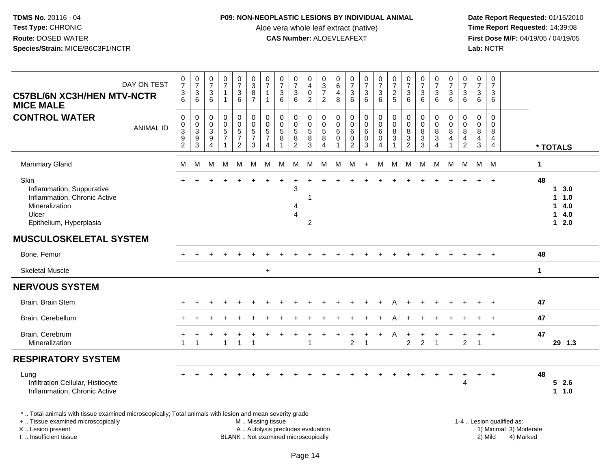#### **P09: NON-NEOPLASTIC LESIONS BY INDIVIDUAL ANIMAL**

Aloe vera whole leaf extract (native)<br>**CAS Number:** ALOEVLEAFEXT

 **Date Report Requested:** 01/15/2010 **First Dose M/F:** 04/19/05 / 04/19/05<br>Lab: NCTR **Lab:** NCTR

| $\frac{0}{7}$<br>$\frac{0}{7}$<br>$\ensuremath{\mathsf{3}}$<br>3<br>6<br>6<br>$\mathbf 0$<br>0<br>$_{3}^{\rm 0}$<br>$\boldsymbol{0}$<br>$\overline{3}$<br>$\frac{9}{2}$<br>9<br>$\overline{3}$<br>M<br>M | $\frac{0}{7}$<br>$\mathsf 3$<br>6<br>$\mathbf 0$<br>$\mathbf 0$<br>$\sqrt{3}$<br>9<br>$\overline{4}$<br>м | $\frac{0}{7}$<br>$\mathbf{1}$<br>$\mathbf 0$<br>$\pmb{0}$<br>$\overline{5}$<br>$\overline{7}$<br>M | $\begin{smallmatrix}0\\7\end{smallmatrix}$<br>$\frac{3}{6}$<br>$\mathbf 0$<br>$\mathbf 0$<br>$\overline{5}$<br>$\overline{7}$<br>$\overline{2}$<br>M | $\begin{array}{c} 0 \\ 3 \\ 8 \end{array}$<br>$\overline{7}$<br>$\mathbf 0$<br>$\mathsf{O}\xspace$<br>$\overline{5}$<br>$\overline{7}$<br>$\sqrt{3}$<br>M | $\frac{0}{7}$<br>$\mathbf{1}$<br>1<br>0<br>$\mathbf 0$<br>$\overline{5}$<br>7<br>4<br>M | $\frac{0}{7}$<br>$\frac{3}{6}$<br>$\mathbf 0$<br>$\pmb{0}$<br>$\overline{5}$<br>8<br>M | $\frac{0}{7}$<br>$\mathbf{3}$<br>6<br>0<br>$\mathbf 0$<br>$\overline{5}$<br>8<br>$\overline{2}$<br>M<br>3<br>4<br>$\overline{4}$ | 0<br>$\overline{\mathbf{4}}$<br>$\pmb{0}$<br>$\overline{2}$<br>0<br>$\begin{array}{c} 0 \\ 5 \end{array}$<br>$\frac{8}{3}$<br>M<br>2 | $\begin{array}{c} 0 \\ 3 \\ 7 \end{array}$<br>$\overline{2}$<br>$\mathbf 0$<br>$\pmb{0}$<br>$\overline{5}$<br>8<br>$\overline{4}$<br>M | 0<br>$\,6\,$<br>4<br>8<br>0<br>$\mathbf 0$<br>6<br>0<br>M | $\frac{0}{7}$<br>3<br>6<br>$\mathbf 0$<br>$\mathbf 0$<br>6<br>0<br>$\overline{2}$<br>M | $\frac{0}{7}$<br>$\mathbf{3}$<br>$6^{\circ}$<br>0<br>$\mathbf 0$<br>6<br>0<br>3<br>$+$ | $\begin{smallmatrix}0\\7\end{smallmatrix}$<br>$\mathbf{3}$<br>$6^{\circ}$<br>$\pmb{0}$<br>$\ddot{\mathbf{0}}$<br>$6\overline{6}$<br>0<br>4<br>M | $\frac{0}{7}$<br>$\frac{2}{5}$<br>$\pmb{0}$<br>$\overline{0}$<br>$\overline{8}$<br>3<br>M | $\frac{0}{7}$<br>$\begin{array}{c} 3 \\ 6 \end{array}$<br>$\mathbf 0$<br>$\mathbf 0$<br>8<br>$\mathbf{3}$<br>$\overline{2}$<br>M | $\frac{0}{7}$<br>$\ensuremath{\mathsf{3}}$<br>6<br>$\mathbf 0$<br>$\mathbf 0$<br>$\,8\,$<br>$\ensuremath{\mathsf{3}}$<br>$\overline{3}$<br>M | $\frac{0}{7}$<br>$\mathbf{3}$<br>6<br>0<br>$\mathbf 0$<br>$\bf 8$<br>$\ensuremath{\mathsf{3}}$<br>$\overline{4}$<br>M | $\frac{0}{7}$<br>$\frac{3}{6}$<br>0<br>$\mathbf 0$<br>$\overline{8}$<br>$\overline{4}$<br>1<br>M | $\frac{0}{7}$<br>$\sqrt{3}$<br>6<br>$\mathbf 0$<br>$\mathbf 0$<br>$\bf 8$<br>4<br>$\overline{c}$<br>M | 0<br>$\overline{7}$<br>3<br>6<br>$\mathbf 0$<br>0<br>8<br>$\frac{4}{3}$<br>M M | 0<br>$\overline{7}$<br>$\mathbf{3}$<br>6<br>$\mathbf 0$<br>$\mathbf 0$<br>8<br>4<br>$\overline{4}$ | $\mathbf 1$<br>48 | * TOTALS<br>13.0<br>1.0<br>14.0<br>14.0<br>$12.0$ |
|----------------------------------------------------------------------------------------------------------------------------------------------------------------------------------------------------------|-----------------------------------------------------------------------------------------------------------|----------------------------------------------------------------------------------------------------|------------------------------------------------------------------------------------------------------------------------------------------------------|-----------------------------------------------------------------------------------------------------------------------------------------------------------|-----------------------------------------------------------------------------------------|----------------------------------------------------------------------------------------|----------------------------------------------------------------------------------------------------------------------------------|--------------------------------------------------------------------------------------------------------------------------------------|----------------------------------------------------------------------------------------------------------------------------------------|-----------------------------------------------------------|----------------------------------------------------------------------------------------|----------------------------------------------------------------------------------------|-------------------------------------------------------------------------------------------------------------------------------------------------|-------------------------------------------------------------------------------------------|----------------------------------------------------------------------------------------------------------------------------------|----------------------------------------------------------------------------------------------------------------------------------------------|-----------------------------------------------------------------------------------------------------------------------|--------------------------------------------------------------------------------------------------|-------------------------------------------------------------------------------------------------------|--------------------------------------------------------------------------------|----------------------------------------------------------------------------------------------------|-------------------|---------------------------------------------------|
|                                                                                                                                                                                                          |                                                                                                           |                                                                                                    |                                                                                                                                                      |                                                                                                                                                           |                                                                                         |                                                                                        |                                                                                                                                  |                                                                                                                                      |                                                                                                                                        |                                                           |                                                                                        |                                                                                        |                                                                                                                                                 |                                                                                           |                                                                                                                                  |                                                                                                                                              |                                                                                                                       |                                                                                                  |                                                                                                       |                                                                                |                                                                                                    |                   |                                                   |
|                                                                                                                                                                                                          |                                                                                                           |                                                                                                    |                                                                                                                                                      |                                                                                                                                                           |                                                                                         |                                                                                        |                                                                                                                                  |                                                                                                                                      |                                                                                                                                        |                                                           |                                                                                        |                                                                                        |                                                                                                                                                 |                                                                                           |                                                                                                                                  |                                                                                                                                              |                                                                                                                       |                                                                                                  |                                                                                                       |                                                                                |                                                                                                    |                   |                                                   |
|                                                                                                                                                                                                          |                                                                                                           |                                                                                                    |                                                                                                                                                      |                                                                                                                                                           |                                                                                         |                                                                                        |                                                                                                                                  |                                                                                                                                      |                                                                                                                                        |                                                           |                                                                                        |                                                                                        |                                                                                                                                                 |                                                                                           |                                                                                                                                  |                                                                                                                                              |                                                                                                                       |                                                                                                  |                                                                                                       |                                                                                |                                                                                                    |                   |                                                   |
|                                                                                                                                                                                                          |                                                                                                           |                                                                                                    |                                                                                                                                                      |                                                                                                                                                           |                                                                                         |                                                                                        |                                                                                                                                  |                                                                                                                                      |                                                                                                                                        |                                                           |                                                                                        |                                                                                        |                                                                                                                                                 |                                                                                           |                                                                                                                                  |                                                                                                                                              |                                                                                                                       |                                                                                                  |                                                                                                       |                                                                                |                                                                                                    |                   |                                                   |
|                                                                                                                                                                                                          |                                                                                                           |                                                                                                    |                                                                                                                                                      |                                                                                                                                                           |                                                                                         |                                                                                        |                                                                                                                                  |                                                                                                                                      |                                                                                                                                        |                                                           |                                                                                        |                                                                                        |                                                                                                                                                 |                                                                                           |                                                                                                                                  |                                                                                                                                              |                                                                                                                       |                                                                                                  |                                                                                                       |                                                                                |                                                                                                    |                   |                                                   |
|                                                                                                                                                                                                          |                                                                                                           |                                                                                                    |                                                                                                                                                      |                                                                                                                                                           |                                                                                         |                                                                                        |                                                                                                                                  |                                                                                                                                      |                                                                                                                                        |                                                           |                                                                                        |                                                                                        |                                                                                                                                                 |                                                                                           |                                                                                                                                  |                                                                                                                                              |                                                                                                                       |                                                                                                  |                                                                                                       |                                                                                |                                                                                                    | 48                |                                                   |
|                                                                                                                                                                                                          |                                                                                                           |                                                                                                    |                                                                                                                                                      |                                                                                                                                                           | $\ddot{}$                                                                               |                                                                                        |                                                                                                                                  |                                                                                                                                      |                                                                                                                                        |                                                           |                                                                                        |                                                                                        |                                                                                                                                                 |                                                                                           |                                                                                                                                  |                                                                                                                                              |                                                                                                                       |                                                                                                  |                                                                                                       |                                                                                |                                                                                                    | $\mathbf 1$       |                                                   |
|                                                                                                                                                                                                          |                                                                                                           |                                                                                                    |                                                                                                                                                      |                                                                                                                                                           |                                                                                         |                                                                                        |                                                                                                                                  |                                                                                                                                      |                                                                                                                                        |                                                           |                                                                                        |                                                                                        |                                                                                                                                                 |                                                                                           |                                                                                                                                  |                                                                                                                                              |                                                                                                                       |                                                                                                  |                                                                                                       |                                                                                |                                                                                                    |                   |                                                   |
|                                                                                                                                                                                                          |                                                                                                           |                                                                                                    |                                                                                                                                                      |                                                                                                                                                           |                                                                                         |                                                                                        |                                                                                                                                  |                                                                                                                                      |                                                                                                                                        |                                                           |                                                                                        |                                                                                        |                                                                                                                                                 |                                                                                           |                                                                                                                                  |                                                                                                                                              |                                                                                                                       |                                                                                                  |                                                                                                       |                                                                                |                                                                                                    | 47                |                                                   |
|                                                                                                                                                                                                          |                                                                                                           |                                                                                                    |                                                                                                                                                      |                                                                                                                                                           |                                                                                         |                                                                                        |                                                                                                                                  |                                                                                                                                      |                                                                                                                                        |                                                           |                                                                                        |                                                                                        |                                                                                                                                                 |                                                                                           |                                                                                                                                  |                                                                                                                                              |                                                                                                                       |                                                                                                  |                                                                                                       |                                                                                |                                                                                                    | 47                |                                                   |
| $\overline{1}$<br>$\overline{1}$                                                                                                                                                                         |                                                                                                           | $\overline{1}$                                                                                     |                                                                                                                                                      | $\overline{1}$                                                                                                                                            |                                                                                         |                                                                                        |                                                                                                                                  | $\overline{1}$                                                                                                                       |                                                                                                                                        |                                                           | $\overline{2}$                                                                         | $\mathbf{1}$                                                                           |                                                                                                                                                 | Α                                                                                         | $\overline{2}$                                                                                                                   | $\overline{2}$                                                                                                                               | $\overline{1}$                                                                                                        |                                                                                                  | $\overline{2}$                                                                                        | +<br>$\overline{1}$                                                            | $\overline{1}$                                                                                     | 47                | 29 1.3                                            |
|                                                                                                                                                                                                          |                                                                                                           |                                                                                                    |                                                                                                                                                      |                                                                                                                                                           |                                                                                         |                                                                                        |                                                                                                                                  |                                                                                                                                      |                                                                                                                                        |                                                           |                                                                                        |                                                                                        |                                                                                                                                                 |                                                                                           |                                                                                                                                  |                                                                                                                                              |                                                                                                                       |                                                                                                  |                                                                                                       |                                                                                |                                                                                                    |                   |                                                   |
|                                                                                                                                                                                                          |                                                                                                           |                                                                                                    |                                                                                                                                                      |                                                                                                                                                           |                                                                                         |                                                                                        |                                                                                                                                  |                                                                                                                                      |                                                                                                                                        |                                                           |                                                                                        |                                                                                        |                                                                                                                                                 |                                                                                           |                                                                                                                                  |                                                                                                                                              |                                                                                                                       |                                                                                                  | $\div$<br>$\overline{4}$                                                                              | $^+$                                                                           | $\ddot{}$                                                                                          | 48                | 52.6<br>1 1.0                                     |
|                                                                                                                                                                                                          |                                                                                                           |                                                                                                    |                                                                                                                                                      | 1                                                                                                                                                         |                                                                                         |                                                                                        |                                                                                                                                  |                                                                                                                                      |                                                                                                                                        |                                                           |                                                                                        |                                                                                        |                                                                                                                                                 |                                                                                           |                                                                                                                                  |                                                                                                                                              |                                                                                                                       |                                                                                                  |                                                                                                       |                                                                                |                                                                                                    |                   |                                                   |

+ .. Tissue examined microscopically

X .. Lesion present

I .. Insufficient tissue

M .. Missing tissue

BLANK .. Not examined microscopically

1-4 .. Lesion qualified as:<br>1) Minimal 3) Moderate A .. Autolysis precludes evaluation 19 and 10 minimal 3) Moderate 1 and 20 minimal 3) Moderate 19 minimal 3) Moderat<br>19 and 19 and 19 and 19 and 19 and 19 and 19 and 19 and 19 and 19 and 19 and 19 and 19 and 19 and 19 and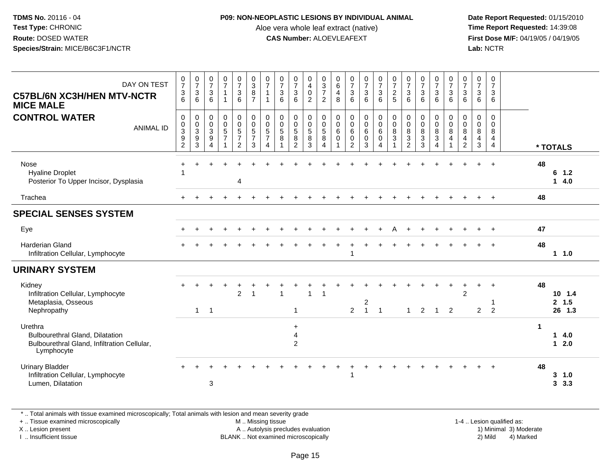#### **P09: NON-NEOPLASTIC LESIONS BY INDIVIDUAL ANIMAL**

Aloe vera whole leaf extract (native)<br>**CAS Number:** ALOEVLEAFEXT

 **Date Report Requested:** 01/15/2010 **First Dose M/F:** 04/19/05 / 04/19/05<br>Lab: NCTR **Lab:** NCTR

| DAY ON TEST<br><b>C57BL/6N XC3H/HEN MTV-NCTR</b><br><b>MICE MALE</b>                                           | $\frac{0}{7}$<br>$\sqrt{3}$<br>6                                                   | $\frac{0}{7}$<br>3<br>6                    | $\frac{0}{7}$<br>$\ensuremath{\mathsf{3}}$<br>$6\phantom{1}$                   | $\frac{0}{7}$<br>1<br>1                                 | $\frac{0}{7}$<br>$\mathbf{3}$<br>$6\overline{6}$                            | $_{3}^{\rm 0}$<br>$\bf 8$<br>$\overline{7}$                         | $\frac{0}{7}$<br>$\mathbf{1}$<br>$\mathbf{1}$             | $\begin{array}{c} 0 \\ 7 \\ 3 \end{array}$<br>6 | $\frac{0}{7}$<br>$\mathbf{3}$<br>$6\phantom{a}$            | 0<br>$\overline{4}$<br>$\mathbf 0$<br>$\overline{2}$       | $\begin{array}{c} 0 \\ 3 \\ 7 \end{array}$<br>$\overline{2}$      | $\begin{matrix} 0 \\ 6 \end{matrix}$<br>$\overline{4}$<br>8 | $\frac{0}{7}$<br>$\ensuremath{\mathsf{3}}$<br>6                                   | $\frac{0}{7}$<br>$\mathbf{3}$<br>6            | $\frac{0}{7}$<br>$\frac{3}{6}$                                     | $\frac{0}{7}$<br>$\frac{2}{5}$                                                   | $\frac{0}{7}$<br>$\sqrt{3}$<br>6                                           | $\frac{0}{7}$<br>$\ensuremath{\mathsf{3}}$<br>$\overline{6}$ | $\frac{0}{7}$<br>3<br>$\overline{6}$ | $\frac{0}{7}$<br>$\mathbf{3}$<br>$6\phantom{1}$      | $\frac{0}{7}$<br>$\mathbf{3}$<br>6                                               | 0<br>$\overline{7}$<br>3<br>6                               | 0<br>$\overline{7}$<br>3<br>6                                    |             |                                            |
|----------------------------------------------------------------------------------------------------------------|------------------------------------------------------------------------------------|--------------------------------------------|--------------------------------------------------------------------------------|---------------------------------------------------------|-----------------------------------------------------------------------------|---------------------------------------------------------------------|-----------------------------------------------------------|-------------------------------------------------|------------------------------------------------------------|------------------------------------------------------------|-------------------------------------------------------------------|-------------------------------------------------------------|-----------------------------------------------------------------------------------|-----------------------------------------------|--------------------------------------------------------------------|----------------------------------------------------------------------------------|----------------------------------------------------------------------------|--------------------------------------------------------------|--------------------------------------|------------------------------------------------------|----------------------------------------------------------------------------------|-------------------------------------------------------------|------------------------------------------------------------------|-------------|--------------------------------------------|
| <b>CONTROL WATER</b><br><b>ANIMAL ID</b>                                                                       | $\mathbf 0$<br>$\mathbf 0$<br>$\overline{3}$<br>$\boldsymbol{9}$<br>$\overline{c}$ | 0<br>$\pmb{0}$<br>$\overline{3}$<br>9<br>3 | $\pmb{0}$<br>$\pmb{0}$<br>$\overline{3}$<br>$\boldsymbol{9}$<br>$\overline{4}$ | $\pmb{0}$<br>$\begin{array}{c} 0 \\ 5 \\ 7 \end{array}$ | $\mathbf 0$<br>$\begin{array}{c} 0 \\ 5 \\ 7 \end{array}$<br>$\overline{2}$ | $\mathbf 0$<br>$\mathbf 0$<br>$\overline{5}$<br>$\overline{7}$<br>3 | 0<br>$\mathbf 0$<br>$\overline{5}$<br>$\overline{7}$<br>4 | $\pmb{0}$<br>$\frac{0}{5}$<br>$\bf 8$           | 0<br>$\begin{smallmatrix}0\0\5\end{smallmatrix}$<br>8<br>2 | 0<br>$\mathsf{O}\xspace$<br>$\overline{5}$<br>$\bf 8$<br>3 | $\mathbf 0$<br>$\pmb{0}$<br>$\overline{5}$<br>8<br>$\overline{4}$ | $\boldsymbol{0}$<br>$\pmb{0}$<br>6<br>$\boldsymbol{0}$<br>1 | $\pmb{0}$<br>$\begin{array}{c} 0 \\ 6 \end{array}$<br>$\pmb{0}$<br>$\overline{2}$ | $\pmb{0}$<br>$_{6}^{\rm 0}$<br>$\pmb{0}$<br>3 | $\mathbf 0$<br>$\begin{matrix}0\6\end{matrix}$<br>$\mathbf 0$<br>4 | $\boldsymbol{0}$<br>$\begin{array}{c} 0 \\ 8 \\ 3 \end{array}$<br>$\overline{1}$ | $\pmb{0}$<br>$\mathbf 0$<br>$\overline{8}$<br>$\sqrt{3}$<br>$\overline{2}$ | $\pmb{0}$<br>$\begin{array}{c} 0 \\ 8 \\ 3 \end{array}$<br>3 | $\mathbf 0$<br>$\frac{0}{8}$<br>4    | 0<br>$\mathbf 0$<br>$\overline{8}$<br>$\overline{4}$ | $\mathbf 0$<br>$\mathbf 0$<br>$\overline{8}$<br>$\overline{4}$<br>$\overline{2}$ | $\mathbf 0$<br>$\mathbf 0$<br>$\bf8$<br>$\overline{4}$<br>3 | $\mathbf 0$<br>$\Omega$<br>8<br>$\overline{4}$<br>$\overline{4}$ |             | * TOTALS                                   |
| Nose<br><b>Hyaline Droplet</b><br>Posterior To Upper Incisor, Dysplasia                                        |                                                                                    |                                            |                                                                                |                                                         | $\overline{4}$                                                              |                                                                     |                                                           |                                                 |                                                            |                                                            |                                                                   |                                                             |                                                                                   |                                               |                                                                    |                                                                                  |                                                                            |                                                              |                                      |                                                      |                                                                                  |                                                             |                                                                  | 48          | $6$ 1.2<br>14.0                            |
| Trachea                                                                                                        |                                                                                    |                                            |                                                                                |                                                         |                                                                             |                                                                     |                                                           |                                                 |                                                            |                                                            |                                                                   |                                                             |                                                                                   |                                               |                                                                    |                                                                                  |                                                                            |                                                              |                                      |                                                      |                                                                                  |                                                             |                                                                  | 48          |                                            |
| <b>SPECIAL SENSES SYSTEM</b>                                                                                   |                                                                                    |                                            |                                                                                |                                                         |                                                                             |                                                                     |                                                           |                                                 |                                                            |                                                            |                                                                   |                                                             |                                                                                   |                                               |                                                                    |                                                                                  |                                                                            |                                                              |                                      |                                                      |                                                                                  |                                                             |                                                                  |             |                                            |
| Eye                                                                                                            |                                                                                    |                                            |                                                                                |                                                         |                                                                             |                                                                     |                                                           |                                                 |                                                            |                                                            |                                                                   |                                                             |                                                                                   |                                               |                                                                    |                                                                                  |                                                                            |                                                              |                                      |                                                      |                                                                                  |                                                             |                                                                  | 47          |                                            |
| <b>Harderian Gland</b><br>Infiltration Cellular, Lymphocyte                                                    |                                                                                    |                                            |                                                                                |                                                         |                                                                             |                                                                     |                                                           |                                                 |                                                            |                                                            |                                                                   |                                                             |                                                                                   |                                               |                                                                    |                                                                                  |                                                                            |                                                              |                                      |                                                      |                                                                                  |                                                             |                                                                  | 48          | $1 \t1.0$                                  |
| <b>URINARY SYSTEM</b>                                                                                          |                                                                                    |                                            |                                                                                |                                                         |                                                                             |                                                                     |                                                           |                                                 |                                                            |                                                            |                                                                   |                                                             |                                                                                   |                                               |                                                                    |                                                                                  |                                                                            |                                                              |                                      |                                                      |                                                                                  |                                                             |                                                                  |             |                                            |
| Kidney<br>Infiltration Cellular, Lymphocyte<br>Metaplasia, Osseous<br>Nephropathy                              |                                                                                    | 1                                          | $\overline{1}$                                                                 |                                                         | $\overline{c}$                                                              | $\overline{1}$                                                      |                                                           | $\overline{1}$                                  | $\mathbf{1}$                                               | $\mathbf{1}$                                               | $\overline{1}$                                                    |                                                             | $\overline{2}$                                                                    | $\boldsymbol{2}$<br>$\mathbf{1}$              | -1                                                                 |                                                                                  | 1                                                                          | 2                                                            | 1                                    | $\overline{2}$                                       | $\overline{2}$                                                                   | $\overline{c}$                                              | $\overline{c}$                                                   | 48          | $10 \t1.4$<br>2, 1.5<br>26 1.3             |
| Urethra<br><b>Bulbourethral Gland, Dilatation</b><br>Bulbourethral Gland, Infiltration Cellular,<br>Lymphocyte |                                                                                    |                                            |                                                                                |                                                         |                                                                             |                                                                     |                                                           |                                                 | $\ddot{}$<br>$\overline{\mathbf{4}}$<br>$\overline{2}$     |                                                            |                                                                   |                                                             |                                                                                   |                                               |                                                                    |                                                                                  |                                                                            |                                                              |                                      |                                                      |                                                                                  |                                                             |                                                                  | $\mathbf 1$ | 4.0<br>$\mathbf{1}$<br>2.0<br>$\mathbf{1}$ |
| <b>Urinary Bladder</b><br>Infiltration Cellular, Lymphocyte<br>Lumen, Dilatation                               |                                                                                    |                                            | 3                                                                              |                                                         |                                                                             |                                                                     |                                                           |                                                 |                                                            |                                                            |                                                                   |                                                             |                                                                                   |                                               |                                                                    |                                                                                  |                                                                            |                                                              |                                      |                                                      |                                                                                  |                                                             |                                                                  | 48          | 3, 1.0<br>3, 3.3                           |
|                                                                                                                |                                                                                    |                                            |                                                                                |                                                         |                                                                             |                                                                     |                                                           |                                                 |                                                            |                                                            |                                                                   |                                                             |                                                                                   |                                               |                                                                    |                                                                                  |                                                                            |                                                              |                                      |                                                      |                                                                                  |                                                             |                                                                  |             |                                            |

\* .. Total animals with tissue examined microscopically; Total animals with lesion and mean severity grade

+ .. Tissue examined microscopically

X .. Lesion present

I .. Insufficient tissue

 M .. Missing tissueA .. Autolysis precludes evaluation

BLANK .. Not examined microscopically 2) Mild 4) Marked

1-4 .. Lesion qualified as: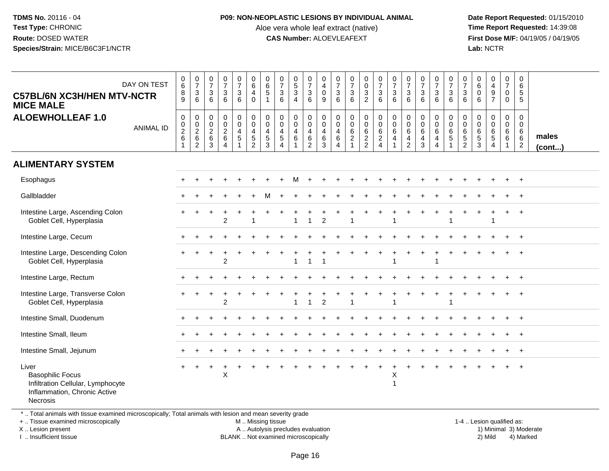#### **P09: NON-NEOPLASTIC LESIONS BY INDIVIDUAL ANIMAL**

Aloe vera whole leaf extract (native)<br>**CAS Number:** ALOEVLEAFEXT

 **Date Report Requested:** 01/15/2010 **First Dose M/F:** 04/19/05 / 04/19/05<br>**Lab:** NCTR **Lab:** NCTR

| <b>C57BL/6N XC3H/HEN MTV-NCTR</b><br><b>MICE MALE</b>                                                                         | DAY ON TEST      | $0\over 6$<br>8<br>9                             | $\frac{0}{7}$<br>$\frac{3}{6}$                 | $\begin{smallmatrix}0\\7\end{smallmatrix}$<br>$\frac{3}{6}$ | $\begin{array}{c} 0 \\ 7 \end{array}$<br>$\mathfrak{S}$<br>6 | $\begin{array}{c} 0 \\ 7 \end{array}$<br>$\sqrt{3}$<br>6                       | $_{6}^{\rm 0}$<br>4<br>$\Omega$                                                      | $\begin{array}{c} 0 \\ 6 \end{array}$<br>$\sqrt{5}$<br>$\overline{1}$ | $\frac{0}{7}$<br>$\mathbf{3}$<br>6                                         | $\begin{smallmatrix}0\5\3\end{smallmatrix}$<br>$\overline{4}$   | $\frac{0}{7}$<br>$\mathbf{3}$<br>6                                      | 0<br>$\overline{4}$<br>$\mathsf{O}\xspace$<br>9    | $\frac{0}{7}$<br>$\frac{3}{6}$                                                              | $\frac{0}{7}$<br>$\frac{3}{6}$                                                    | 0<br>$\mathsf{O}\xspace$<br>$\frac{3}{2}$       | $\frac{0}{7}$<br>$\frac{3}{6}$                                 | $\begin{array}{c} 0 \\ 7 \end{array}$<br>$\mathbf{3}$<br>6               | $\frac{0}{7}$<br>$\mathbf{3}$<br>6                                        | $\frac{0}{7}$<br>$\mathbf{3}$<br>6              | $\begin{smallmatrix}0\\7\end{smallmatrix}$<br>$\frac{3}{6}$           | $\frac{0}{7}$<br>$\frac{3}{6}$                                            | $\frac{0}{7}$<br>$\sqrt{3}$<br>6                     | $\pmb{0}$<br>$\,6\,$<br>$\mathbf 0$<br>6                 | $\begin{smallmatrix}0\0\4\end{smallmatrix}$<br>$\boldsymbol{9}$<br>$\overline{7}$ | $\begin{smallmatrix}0\\7\end{smallmatrix}$<br>$\mathbf 0$<br>$\Omega$ | $\pmb{0}$<br>$\,6\,$<br>$\sqrt{5}$<br>$\sqrt{5}$               |                 |
|-------------------------------------------------------------------------------------------------------------------------------|------------------|--------------------------------------------------|------------------------------------------------|-------------------------------------------------------------|--------------------------------------------------------------|--------------------------------------------------------------------------------|--------------------------------------------------------------------------------------|-----------------------------------------------------------------------|----------------------------------------------------------------------------|-----------------------------------------------------------------|-------------------------------------------------------------------------|----------------------------------------------------|---------------------------------------------------------------------------------------------|-----------------------------------------------------------------------------------|-------------------------------------------------|----------------------------------------------------------------|--------------------------------------------------------------------------|---------------------------------------------------------------------------|-------------------------------------------------|-----------------------------------------------------------------------|---------------------------------------------------------------------------|------------------------------------------------------|----------------------------------------------------------|-----------------------------------------------------------------------------------|-----------------------------------------------------------------------|----------------------------------------------------------------|-----------------|
| <b>ALOEWHOLLEAF 1.0</b>                                                                                                       | <b>ANIMAL ID</b> | 0<br>$_{2}^{\rm 0}$<br>6<br>$\blacktriangleleft$ | $\pmb{0}$<br>$\frac{0}{2}$ 6<br>$\overline{2}$ | $\boldsymbol{0}$<br>$\frac{0}{2}$<br>$\,6\,$<br>3           | 0<br>$\overline{0}$<br>$\frac{2}{6}$<br>$\overline{4}$       | $\mathbf 0$<br>$\pmb{0}$<br>$\overline{4}$<br>$\overline{5}$<br>$\overline{1}$ | $\mathbf 0$<br>$\mathsf{O}\xspace$<br>$\overline{4}$<br>$\sqrt{5}$<br>$\overline{2}$ | $\mathbf 0$<br>$\mathbf 0$<br>$\overline{4}$<br>$\,$ 5 $\,$<br>3      | 0<br>$\mathbf 0$<br>$\overline{4}$<br>$\sqrt{5}$<br>$\boldsymbol{\Lambda}$ | 0<br>$\mathbf 0$<br>$\overline{4}$<br>$\,6\,$<br>$\overline{1}$ | 0<br>$\mathsf{O}\xspace$<br>$\overline{4}$<br>$\,6\,$<br>$\overline{2}$ | 0<br>$\mathbf 0$<br>$\overline{4}$<br>$\,6\,$<br>3 | $\begin{smallmatrix} 0\\0 \end{smallmatrix}$<br>$\overline{4}$<br>$\,6\,$<br>$\overline{4}$ | $\begin{smallmatrix}0\0\0\6\end{smallmatrix}$<br>$\overline{2}$<br>$\overline{1}$ | 0<br>$\overline{0}$<br>$\,6\,$<br>$\frac{2}{2}$ | $\begin{smallmatrix}0\\0\\6\end{smallmatrix}$<br>$\frac{2}{4}$ | $\mathbf 0$<br>$\boldsymbol{0}$<br>6<br>$\overline{4}$<br>$\overline{1}$ | $\mathbf 0$<br>$\mathbf 0$<br>$\,6\,$<br>$\overline{4}$<br>$\overline{2}$ | $\mathbf 0$<br>$\mathbf 0$<br>$\,6\,$<br>4<br>3 | $\pmb{0}$<br>$\pmb{0}$<br>$\,6\,$<br>$\overline{4}$<br>$\overline{4}$ | 0<br>$\check{\mathbf{0}}$<br>$\overline{6}$<br>$\sqrt{5}$<br>$\mathbf{1}$ | 0<br>$\mathsf{O}\xspace$<br>$\,6\,$<br>$\frac{5}{2}$ | $\mathbf 0$<br>$\mathbf 0$<br>$\,6\,$<br>$\sqrt{5}$<br>3 | 0<br>$\mathbf 0$<br>$\,6\,$<br>$\sqrt{5}$<br>$\overline{4}$                       | 0<br>$\mathbf 0$<br>6<br>6<br>$\mathbf{1}$                            | $\mathbf 0$<br>$\mathbf 0$<br>6<br>$\,6\,$<br>$\boldsymbol{2}$ | males<br>(cont) |
| <b>ALIMENTARY SYSTEM</b>                                                                                                      |                  |                                                  |                                                |                                                             |                                                              |                                                                                |                                                                                      |                                                                       |                                                                            |                                                                 |                                                                         |                                                    |                                                                                             |                                                                                   |                                                 |                                                                |                                                                          |                                                                           |                                                 |                                                                       |                                                                           |                                                      |                                                          |                                                                                   |                                                                       |                                                                |                 |
| Esophagus                                                                                                                     |                  |                                                  |                                                |                                                             |                                                              |                                                                                |                                                                                      |                                                                       |                                                                            |                                                                 |                                                                         |                                                    |                                                                                             |                                                                                   |                                                 |                                                                |                                                                          |                                                                           |                                                 |                                                                       |                                                                           |                                                      |                                                          |                                                                                   |                                                                       | $\overline{+}$                                                 |                 |
| Gallbladder                                                                                                                   |                  |                                                  |                                                |                                                             |                                                              |                                                                                |                                                                                      |                                                                       |                                                                            |                                                                 |                                                                         |                                                    |                                                                                             |                                                                                   |                                                 |                                                                |                                                                          |                                                                           |                                                 |                                                                       |                                                                           |                                                      |                                                          |                                                                                   |                                                                       |                                                                |                 |
| Intestine Large, Ascending Colon<br>Goblet Cell, Hyperplasia                                                                  |                  |                                                  |                                                |                                                             | $\overline{2}$                                               |                                                                                | $\overline{1}$                                                                       |                                                                       |                                                                            | 1                                                               | $\overline{1}$                                                          | 2                                                  |                                                                                             |                                                                                   |                                                 |                                                                | 1                                                                        |                                                                           |                                                 |                                                                       |                                                                           |                                                      |                                                          | $\overline{1}$                                                                    |                                                                       | $\overline{ }$                                                 |                 |
| Intestine Large, Cecum                                                                                                        |                  |                                                  |                                                |                                                             |                                                              |                                                                                |                                                                                      |                                                                       |                                                                            |                                                                 |                                                                         |                                                    |                                                                                             |                                                                                   |                                                 |                                                                |                                                                          |                                                                           |                                                 |                                                                       |                                                                           |                                                      |                                                          |                                                                                   |                                                                       | $+$                                                            |                 |
| Intestine Large, Descending Colon<br>Goblet Cell, Hyperplasia                                                                 |                  |                                                  |                                                |                                                             | $\overline{c}$                                               |                                                                                |                                                                                      |                                                                       |                                                                            | 1                                                               | $\overline{\mathbf{1}}$                                                 |                                                    |                                                                                             |                                                                                   |                                                 |                                                                |                                                                          |                                                                           |                                                 |                                                                       |                                                                           |                                                      |                                                          |                                                                                   |                                                                       | $\overline{+}$                                                 |                 |
| Intestine Large, Rectum                                                                                                       |                  |                                                  |                                                |                                                             |                                                              |                                                                                |                                                                                      |                                                                       |                                                                            |                                                                 |                                                                         |                                                    |                                                                                             |                                                                                   |                                                 |                                                                |                                                                          |                                                                           |                                                 |                                                                       |                                                                           |                                                      |                                                          |                                                                                   |                                                                       | $+$                                                            |                 |
| Intestine Large, Transverse Colon<br>Goblet Cell, Hyperplasia                                                                 |                  |                                                  |                                                |                                                             | $\overline{2}$                                               |                                                                                |                                                                                      |                                                                       |                                                                            | 1                                                               | $\overline{1}$                                                          | $\overline{2}$                                     |                                                                                             |                                                                                   |                                                 |                                                                | 1                                                                        |                                                                           |                                                 |                                                                       |                                                                           |                                                      |                                                          |                                                                                   |                                                                       | $+$                                                            |                 |
| Intestine Small, Duodenum                                                                                                     |                  |                                                  |                                                |                                                             |                                                              |                                                                                |                                                                                      |                                                                       |                                                                            |                                                                 |                                                                         |                                                    |                                                                                             |                                                                                   |                                                 |                                                                |                                                                          |                                                                           |                                                 |                                                                       |                                                                           |                                                      |                                                          |                                                                                   |                                                                       | $+$                                                            |                 |
| Intestine Small, Ileum                                                                                                        |                  |                                                  |                                                |                                                             |                                                              |                                                                                |                                                                                      |                                                                       |                                                                            |                                                                 |                                                                         |                                                    |                                                                                             |                                                                                   |                                                 |                                                                |                                                                          |                                                                           |                                                 |                                                                       |                                                                           |                                                      |                                                          |                                                                                   |                                                                       | $+$                                                            |                 |
| Intestine Small, Jejunum                                                                                                      |                  |                                                  |                                                |                                                             |                                                              |                                                                                |                                                                                      |                                                                       |                                                                            |                                                                 |                                                                         |                                                    |                                                                                             |                                                                                   |                                                 |                                                                |                                                                          |                                                                           |                                                 |                                                                       |                                                                           |                                                      |                                                          |                                                                                   |                                                                       | $^{+}$                                                         |                 |
| Liver<br><b>Basophilic Focus</b><br>Infiltration Cellular, Lymphocyte<br>Inflammation, Chronic Active<br><b>Necrosis</b><br>. |                  | $\div$                                           |                                                |                                                             | X                                                            |                                                                                |                                                                                      |                                                                       |                                                                            |                                                                 |                                                                         |                                                    |                                                                                             |                                                                                   |                                                 |                                                                | X<br>1                                                                   |                                                                           |                                                 |                                                                       |                                                                           |                                                      |                                                          |                                                                                   |                                                                       | $\overline{+}$                                                 |                 |

\* .. Total animals with tissue examined microscopically; Total animals with lesion and mean severity grade

+ .. Tissue examined microscopically

X .. Lesion present

I .. Insufficient tissue

M .. Missing tissue

A .. Autolysis precludes evaluation

BLANK .. Not examined microscopically 2) Mild 4) Marked

1-4 .. Lesion qualified as:<br>1) Minimal 3) Moderate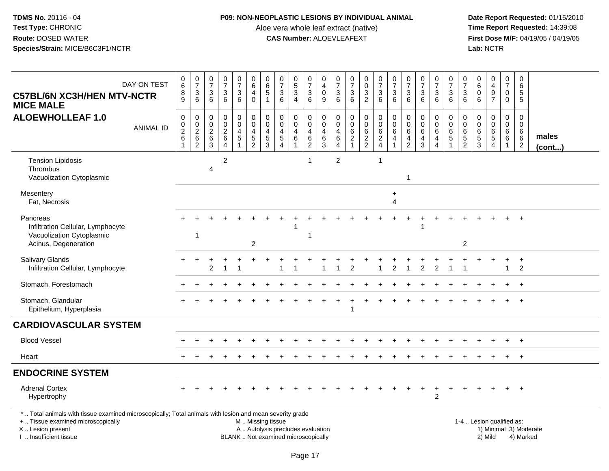### **P09: NON-NEOPLASTIC LESIONS BY INDIVIDUAL ANIMAL**

Aloe vera whole leaf extract (native)<br>**CAS Number:** ALOEVLEAFEXT

| <b>C57BL/6N XC3H/HEN MTV-NCTR</b><br><b>MICE MALE</b>                                                                                                                                         | DAY ON TEST      | $\begin{array}{c} 0 \\ 6 \end{array}$<br>$\bf 8$<br>9     | $\frac{0}{7}$<br>$\mathbf{3}$<br>6                  | $\begin{array}{c} 0 \\ 7 \end{array}$<br>$\mathbf{3}$<br>6              | $\frac{0}{7}$<br>$\mathbf{3}$<br>6                         | $\begin{smallmatrix}0\\7\end{smallmatrix}$<br>3<br>6 | $\pmb{0}$<br>$\overline{6}$<br>$\overline{4}$<br>$\mathbf 0$   | $\mathbf 0$<br>$\,6\,$<br>5<br>$\overline{1}$                                | $\frac{0}{7}$<br>$\mathbf 3$<br>6                                            | 0<br>$\overline{5}$<br>3<br>$\overline{4}$                      | $\frac{0}{7}$<br>$\sqrt{3}$<br>6                            | 0<br>$\overline{4}$<br>$\mathbf 0$<br>9 | $\frac{0}{7}$<br>$\mathbf{3}$<br>6                     | $\frac{0}{7}$<br>$\ensuremath{\mathsf{3}}$<br>6                           | 0<br>$\overline{0}$<br>$\frac{3}{2}$               | $\frac{0}{7}$<br>$\ensuremath{\mathsf{3}}$<br>6   | $\frac{0}{7}$<br>$\mathbf{3}$<br>6           | $\frac{0}{7}$<br>$\ensuremath{\mathsf{3}}$<br>6                         | $\frac{0}{7}$<br>3<br>6                                         | $\frac{0}{7}$<br>$\ensuremath{\mathsf{3}}$<br>6            | $\frac{0}{7}$<br>$\mathbf{3}$<br>6                 | 0<br>$\boldsymbol{7}$<br>$\ensuremath{\mathsf{3}}$<br>6 | $\begin{array}{c} 0 \\ 6 \end{array}$<br>$\boldsymbol{0}$<br>6 | $\mathbf 0$<br>$\overline{\mathbf{4}}$<br>$\frac{9}{7}$             | $\begin{array}{c} 0 \\ 7 \end{array}$<br>$\mathbf 0$<br>$\mathbf 0$       | 0<br>6<br>5<br>5                                       |                        |
|-----------------------------------------------------------------------------------------------------------------------------------------------------------------------------------------------|------------------|-----------------------------------------------------------|-----------------------------------------------------|-------------------------------------------------------------------------|------------------------------------------------------------|------------------------------------------------------|----------------------------------------------------------------|------------------------------------------------------------------------------|------------------------------------------------------------------------------|-----------------------------------------------------------------|-------------------------------------------------------------|-----------------------------------------|--------------------------------------------------------|---------------------------------------------------------------------------|----------------------------------------------------|---------------------------------------------------|----------------------------------------------|-------------------------------------------------------------------------|-----------------------------------------------------------------|------------------------------------------------------------|----------------------------------------------------|---------------------------------------------------------|----------------------------------------------------------------|---------------------------------------------------------------------|---------------------------------------------------------------------------|--------------------------------------------------------|------------------------|
| <b>ALOEWHOLLEAF 1.0</b>                                                                                                                                                                       | <b>ANIMAL ID</b> | $\mathbf 0$<br>$\begin{array}{c} 0 \\ 2 \\ 6 \end{array}$ | 0<br>$\mathbf 0$<br>$\frac{2}{6}$<br>$\overline{2}$ | $\mathbf 0$<br>$\mathbf 0$<br>$\overline{c}$<br>$\,6$<br>$\overline{3}$ | 0<br>$\pmb{0}$<br>$\frac{2}{6}$<br>$\overline{\mathbf{A}}$ | 0<br>$\mathbf 0$<br>$\frac{4}{5}$<br>1               | $\pmb{0}$<br>$\overline{0}$<br>$\overline{4}$<br>$\frac{5}{2}$ | $\mathbf 0$<br>$\mathbf 0$<br>$\overline{4}$<br>$\sqrt{5}$<br>$\overline{3}$ | $\mathbf 0$<br>$\mathbf 0$<br>$\overline{4}$<br>$\sqrt{5}$<br>$\overline{A}$ | 0<br>$\mathbf 0$<br>$\overline{4}$<br>$\,6\,$<br>$\overline{1}$ | $\mathbf 0$<br>$\pmb{0}$<br>$\overline{4}$<br>$\frac{6}{2}$ | 0<br>0<br>$\overline{4}$<br>6<br>3      | 0<br>$\overline{0}$<br>$\overline{4}$<br>$\frac{6}{4}$ | $\pmb{0}$<br>$\overline{0}$<br>$\begin{array}{c} 6 \\ 2 \\ 1 \end{array}$ | 0<br>$\ddot{\text{o}}$<br>$\,6\,$<br>$\frac{2}{2}$ | $\pmb{0}$<br>$\overline{0}$<br>6<br>$\frac{2}{4}$ | 0<br>$\mathbf 0$<br>6<br>4<br>$\overline{1}$ | $\pmb{0}$<br>$\mathbf 0$<br>$\,6\,$<br>$\overline{4}$<br>$\overline{2}$ | 0<br>$\mathbf 0$<br>$\,6\,$<br>$\overline{4}$<br>$\overline{3}$ | 0<br>$\ddot{\mathbf{0}}$<br>$\,6\,$<br>4<br>$\overline{4}$ | 0<br>$\pmb{0}$<br>$\,6\,$<br>$5\,$<br>$\mathbf{1}$ | 0<br>$\pmb{0}$<br>$\,6\,$<br>$\frac{5}{2}$              | $\boldsymbol{0}$<br>$\mathbf 0$<br>$\,6\,$<br>$\frac{5}{3}$    | 0<br>$\mathsf{O}\xspace$<br>$\,6\,$<br>$\sqrt{5}$<br>$\overline{4}$ | $\mathbf 0$<br>$\boldsymbol{0}$<br>$6\phantom{1}6$<br>6<br>$\overline{1}$ | $\mathbf 0$<br>$\mathbf 0$<br>6<br>6<br>$\overline{c}$ | males<br>$($ cont $)$  |
| <b>Tension Lipidosis</b><br>Thrombus<br>Vacuolization Cytoplasmic                                                                                                                             |                  |                                                           |                                                     | 4                                                                       | $\overline{c}$                                             |                                                      |                                                                |                                                                              |                                                                              |                                                                 | 1                                                           |                                         | $\overline{c}$                                         |                                                                           |                                                    | $\overline{1}$                                    |                                              | 1                                                                       |                                                                 |                                                            |                                                    |                                                         |                                                                |                                                                     |                                                                           |                                                        |                        |
| Mesentery<br>Fat, Necrosis                                                                                                                                                                    |                  |                                                           |                                                     |                                                                         |                                                            |                                                      |                                                                |                                                                              |                                                                              |                                                                 |                                                             |                                         |                                                        |                                                                           |                                                    |                                                   | $\ddot{}$<br>4                               |                                                                         |                                                                 |                                                            |                                                    |                                                         |                                                                |                                                                     |                                                                           |                                                        |                        |
| Pancreas<br>Infiltration Cellular, Lymphocyte<br>Vacuolization Cytoplasmic<br>Acinus, Degeneration                                                                                            |                  |                                                           | 1                                                   |                                                                         |                                                            |                                                      | $\overline{c}$                                                 |                                                                              |                                                                              |                                                                 | 1                                                           |                                         |                                                        |                                                                           |                                                    |                                                   |                                              |                                                                         |                                                                 |                                                            |                                                    | $\overline{2}$                                          |                                                                |                                                                     |                                                                           |                                                        |                        |
| Salivary Glands<br>Infiltration Cellular, Lymphocyte                                                                                                                                          |                  |                                                           |                                                     | 2                                                                       |                                                            |                                                      |                                                                |                                                                              |                                                                              |                                                                 |                                                             |                                         |                                                        | 2                                                                         |                                                    |                                                   | 2                                            |                                                                         | 2                                                               |                                                            |                                                    |                                                         |                                                                |                                                                     |                                                                           | $\ddot{}$<br>2                                         |                        |
| Stomach, Forestomach                                                                                                                                                                          |                  |                                                           |                                                     |                                                                         |                                                            |                                                      |                                                                |                                                                              |                                                                              |                                                                 |                                                             |                                         |                                                        |                                                                           |                                                    |                                                   |                                              |                                                                         |                                                                 |                                                            |                                                    |                                                         |                                                                |                                                                     |                                                                           |                                                        |                        |
| Stomach, Glandular<br>Epithelium, Hyperplasia                                                                                                                                                 |                  |                                                           |                                                     |                                                                         |                                                            |                                                      |                                                                |                                                                              |                                                                              |                                                                 |                                                             |                                         |                                                        | $\mathbf 1$                                                               |                                                    |                                                   |                                              |                                                                         |                                                                 |                                                            |                                                    |                                                         |                                                                |                                                                     |                                                                           |                                                        |                        |
| <b>CARDIOVASCULAR SYSTEM</b>                                                                                                                                                                  |                  |                                                           |                                                     |                                                                         |                                                            |                                                      |                                                                |                                                                              |                                                                              |                                                                 |                                                             |                                         |                                                        |                                                                           |                                                    |                                                   |                                              |                                                                         |                                                                 |                                                            |                                                    |                                                         |                                                                |                                                                     |                                                                           |                                                        |                        |
| <b>Blood Vessel</b>                                                                                                                                                                           |                  |                                                           |                                                     |                                                                         |                                                            |                                                      |                                                                |                                                                              |                                                                              |                                                                 |                                                             |                                         |                                                        |                                                                           |                                                    |                                                   |                                              |                                                                         |                                                                 |                                                            |                                                    |                                                         |                                                                |                                                                     |                                                                           | $\ddot{}$                                              |                        |
| Heart                                                                                                                                                                                         |                  |                                                           |                                                     |                                                                         |                                                            |                                                      |                                                                |                                                                              |                                                                              |                                                                 |                                                             |                                         |                                                        |                                                                           |                                                    |                                                   |                                              |                                                                         |                                                                 |                                                            |                                                    |                                                         |                                                                |                                                                     |                                                                           | $+$                                                    |                        |
| <b>ENDOCRINE SYSTEM</b>                                                                                                                                                                       |                  |                                                           |                                                     |                                                                         |                                                            |                                                      |                                                                |                                                                              |                                                                              |                                                                 |                                                             |                                         |                                                        |                                                                           |                                                    |                                                   |                                              |                                                                         |                                                                 |                                                            |                                                    |                                                         |                                                                |                                                                     |                                                                           |                                                        |                        |
| <b>Adrenal Cortex</b><br>Hypertrophy                                                                                                                                                          |                  |                                                           |                                                     |                                                                         |                                                            |                                                      |                                                                |                                                                              |                                                                              |                                                                 |                                                             |                                         |                                                        |                                                                           |                                                    |                                                   |                                              |                                                                         |                                                                 | $\overline{c}$                                             |                                                    |                                                         |                                                                |                                                                     |                                                                           |                                                        |                        |
| *  Total animals with tissue examined microscopically; Total animals with lesion and mean severity grade<br>+  Tissue examined microscopically<br>X  Lesion present<br>I. Insufficient tissue |                  |                                                           |                                                     |                                                                         |                                                            |                                                      | M  Missing tissue                                              |                                                                              | A  Autolysis precludes evaluation<br>BLANK  Not examined microscopically     |                                                                 |                                                             |                                         |                                                        |                                                                           |                                                    |                                                   |                                              |                                                                         |                                                                 |                                                            |                                                    |                                                         | 1-4  Lesion qualified as:                                      | 2) Mild                                                             |                                                                           | 4) Marked                                              | 1) Minimal 3) Moderate |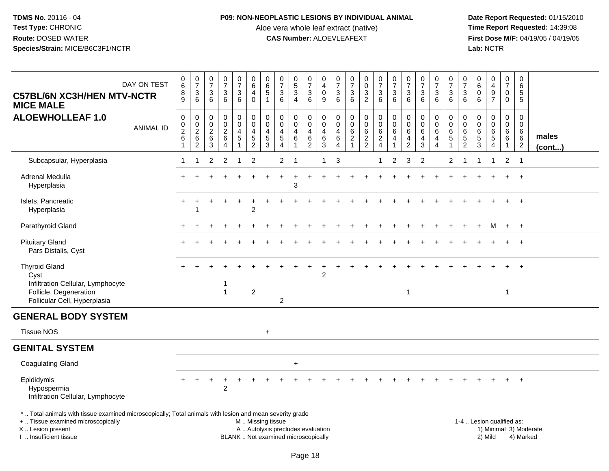## **P09: NON-NEOPLASTIC LESIONS BY INDIVIDUAL ANIMAL**

Aloe vera whole leaf extract (native)<br>**CAS Number:** ALOEVLEAFEXT

 **Date Report Requested:** 01/15/2010 **First Dose M/F:** 04/19/05 / 04/19/05<br>Lab: NCTR **Lab:** NCTR

| <b>C57BL/6N XC3H/HEN MTV-NCTR</b><br><b>MICE MALE</b>                                                                                                                                         | DAY ON TEST      | $_6^0$<br>8<br>$\overline{9}$                           | $\frac{0}{7}$<br>3<br>$\overline{6}$                             | $\begin{array}{c} 0 \\ 7 \end{array}$<br>$\sqrt{3}$<br>$6^{\circ}$ | $\begin{array}{c} 0 \\ 7 \end{array}$<br>$\sqrt{3}$<br>6              | $\begin{smallmatrix}0\\7\end{smallmatrix}$<br>$\begin{array}{c} 3 \\ 6 \end{array}$  | $\pmb{0}$<br>6<br>$\overline{4}$<br>$\pmb{0}$                              | $\pmb{0}$<br>$\,6\,$<br>$\sqrt{5}$<br>$\mathbf{1}$              | $\begin{smallmatrix}0\\7\end{smallmatrix}$<br>$\mathbf{3}$<br>6            | $\begin{array}{c} 0 \\ 5 \end{array}$<br>3<br>4 | $\begin{smallmatrix}0\\7\end{smallmatrix}$<br>3<br>$\overline{6}$ | $\pmb{0}$<br>$\overline{4}$<br>$\mathbf 0$<br>$\boldsymbol{9}$      | $\begin{array}{c} 0 \\ 7 \end{array}$<br>$\sqrt{3}$<br>6  | $\begin{array}{c} 0 \\ 7 \end{array}$<br>$\sqrt{3}$<br>6                  | 0<br>$\ddot{\mathbf{0}}$<br>$\frac{3}{2}$              | $\begin{matrix}0\\7\end{matrix}$<br>3<br>6                                              | $\frac{0}{7}$<br>$\mathbf{3}$<br>6       | $\frac{0}{7}$<br>$\mathbf{3}$<br>6                     | $\frac{0}{7}$<br>$\mathbf{3}$<br>6                     | $\begin{array}{c} 0 \\ 7 \end{array}$<br>$\frac{3}{6}$  | $\frac{0}{7}$<br>$\sqrt{3}$<br>$\overline{6}$                                        | 0<br>$\overline{7}$<br>3<br>6      | $\mathbf 0$<br>$\,6\,$<br>$\mathbf 0$<br>6                       | $\mathbf 0$<br>$\overline{4}$<br>$\boldsymbol{9}$<br>$\overline{7}$ | $\begin{array}{c} 0 \\ 7 \end{array}$<br>$\pmb{0}$<br>$\mathbf 0$ | $\pmb{0}$<br>$\overline{6}$<br>5<br>5        |                        |
|-----------------------------------------------------------------------------------------------------------------------------------------------------------------------------------------------|------------------|---------------------------------------------------------|------------------------------------------------------------------|--------------------------------------------------------------------|-----------------------------------------------------------------------|--------------------------------------------------------------------------------------|----------------------------------------------------------------------------|-----------------------------------------------------------------|----------------------------------------------------------------------------|-------------------------------------------------|-------------------------------------------------------------------|---------------------------------------------------------------------|-----------------------------------------------------------|---------------------------------------------------------------------------|--------------------------------------------------------|-----------------------------------------------------------------------------------------|------------------------------------------|--------------------------------------------------------|--------------------------------------------------------|---------------------------------------------------------|--------------------------------------------------------------------------------------|------------------------------------|------------------------------------------------------------------|---------------------------------------------------------------------|-------------------------------------------------------------------|----------------------------------------------|------------------------|
| <b>ALOEWHOLLEAF 1.0</b>                                                                                                                                                                       | <b>ANIMAL ID</b> | $\pmb{0}$<br>$\pmb{0}$<br>$\frac{2}{6}$<br>$\mathbf{1}$ | 0<br>$\pmb{0}$<br>$\overline{\mathbf{c}}$<br>6<br>$\overline{2}$ | 0<br>$\boldsymbol{0}$<br>$\sqrt{2}$<br>6<br>3                      | 0<br>$\pmb{0}$<br>$\overline{c}$<br>$\,6\,$<br>$\boldsymbol{\Lambda}$ | $\mathbf 0$<br>$\mathsf{O}\xspace$<br>$\overline{4}$<br>$\sqrt{5}$<br>$\overline{1}$ | $\mathbf 0$<br>$\pmb{0}$<br>$\overline{4}$<br>$\sqrt{5}$<br>$\overline{2}$ | $\mathbf 0$<br>$\mathbf 0$<br>$\overline{4}$<br>$\sqrt{5}$<br>3 | $\pmb{0}$<br>$\mathbf 0$<br>$\overline{4}$<br>$\sqrt{5}$<br>$\overline{4}$ | 0<br>$\mathbf 0$<br>$\overline{4}$<br>6<br>1    | $\mathbf 0$<br>0<br>$\overline{4}$<br>$\,6$<br>$\overline{2}$     | $\mathbf 0$<br>$\mathbf 0$<br>$\overline{4}$<br>6<br>$\overline{3}$ | $\mathbf 0$<br>0<br>$\overline{4}$<br>6<br>$\overline{4}$ | $\mathbf 0$<br>$\mathbf 0$<br>$\,6\,$<br>$\overline{2}$<br>$\overline{1}$ | $\mathbf 0$<br>$\mathbf 0$<br>$\,6\,$<br>$\frac{2}{2}$ | $\mathbf 0$<br>$\pmb{0}$<br>$6\phantom{1}$<br>$\overline{\mathbf{c}}$<br>$\overline{4}$ | 0<br>$\pmb{0}$<br>6<br>4<br>$\mathbf{1}$ | $\mathbf 0$<br>$\mathbf 0$<br>6<br>4<br>$\overline{2}$ | $\mathbf 0$<br>$\mathbf 0$<br>6<br>$\overline{4}$<br>3 | $\mathbf 0$<br>$\mathbf{0}$<br>6<br>4<br>$\overline{4}$ | $\mathbf 0$<br>$\boldsymbol{0}$<br>$6\phantom{1}6$<br>$\overline{5}$<br>$\mathbf{1}$ | 0<br>0<br>6<br>5<br>$\overline{2}$ | $\mathbf 0$<br>$\Omega$<br>6<br>$\overline{5}$<br>$\overline{3}$ | $\mathbf 0$<br>0<br>6<br>$\sqrt{5}$<br>$\overline{4}$               | $\mathbf 0$<br>$\mathbf 0$<br>6<br>$\,6\,$<br>$\mathbf{1}$        | $\mathbf 0$<br>0<br>6<br>6<br>$\overline{c}$ | males<br>$($ cont $)$  |
| Subcapsular, Hyperplasia                                                                                                                                                                      |                  | 1                                                       | -1                                                               | $\overline{2}$                                                     | $\overline{2}$                                                        | $\overline{1}$                                                                       | $\overline{2}$                                                             |                                                                 | $\overline{2}$                                                             | -1                                              |                                                                   | $\mathbf 1$                                                         | 3                                                         |                                                                           |                                                        | 1                                                                                       | $\overline{2}$                           | 3                                                      | $\overline{2}$                                         |                                                         | 2                                                                                    | -1                                 | $\mathbf 1$                                                      | $\mathbf 1$                                                         | $\overline{2}$                                                    | $\overline{1}$                               |                        |
| Adrenal Medulla<br>Hyperplasia                                                                                                                                                                |                  |                                                         |                                                                  |                                                                    |                                                                       |                                                                                      |                                                                            |                                                                 |                                                                            | 3                                               |                                                                   |                                                                     |                                                           |                                                                           |                                                        |                                                                                         |                                          |                                                        |                                                        |                                                         |                                                                                      |                                    |                                                                  |                                                                     |                                                                   | $\overline{+}$                               |                        |
| Islets, Pancreatic<br>Hyperplasia                                                                                                                                                             |                  |                                                         |                                                                  |                                                                    |                                                                       |                                                                                      | $\overline{c}$                                                             |                                                                 |                                                                            |                                                 |                                                                   |                                                                     |                                                           |                                                                           |                                                        |                                                                                         |                                          |                                                        |                                                        |                                                         |                                                                                      |                                    |                                                                  |                                                                     |                                                                   | $\ddot{}$                                    |                        |
| Parathyroid Gland                                                                                                                                                                             |                  |                                                         |                                                                  |                                                                    |                                                                       |                                                                                      |                                                                            |                                                                 |                                                                            |                                                 |                                                                   |                                                                     |                                                           |                                                                           |                                                        |                                                                                         |                                          |                                                        |                                                        |                                                         |                                                                                      |                                    |                                                                  | м                                                                   | $+$                                                               | $+$                                          |                        |
| <b>Pituitary Gland</b><br>Pars Distalis, Cyst                                                                                                                                                 |                  |                                                         |                                                                  |                                                                    |                                                                       |                                                                                      |                                                                            |                                                                 |                                                                            |                                                 |                                                                   |                                                                     |                                                           |                                                                           |                                                        |                                                                                         |                                          |                                                        |                                                        |                                                         |                                                                                      |                                    |                                                                  |                                                                     |                                                                   | $\ddot{}$                                    |                        |
| <b>Thyroid Gland</b><br>Cyst<br>Infiltration Cellular, Lymphocyte<br>Follicle, Degeneration<br>Follicular Cell, Hyperplasia                                                                   |                  |                                                         |                                                                  |                                                                    | $\overline{1}$                                                        |                                                                                      | $\boldsymbol{2}$                                                           |                                                                 | $\overline{c}$                                                             |                                                 |                                                                   | $\overline{2}$                                                      |                                                           |                                                                           |                                                        |                                                                                         |                                          | $\overline{1}$                                         |                                                        |                                                         |                                                                                      |                                    |                                                                  |                                                                     | 1                                                                 | $\overline{+}$                               |                        |
| <b>GENERAL BODY SYSTEM</b>                                                                                                                                                                    |                  |                                                         |                                                                  |                                                                    |                                                                       |                                                                                      |                                                                            |                                                                 |                                                                            |                                                 |                                                                   |                                                                     |                                                           |                                                                           |                                                        |                                                                                         |                                          |                                                        |                                                        |                                                         |                                                                                      |                                    |                                                                  |                                                                     |                                                                   |                                              |                        |
| <b>Tissue NOS</b>                                                                                                                                                                             |                  |                                                         |                                                                  |                                                                    |                                                                       |                                                                                      |                                                                            | $+$                                                             |                                                                            |                                                 |                                                                   |                                                                     |                                                           |                                                                           |                                                        |                                                                                         |                                          |                                                        |                                                        |                                                         |                                                                                      |                                    |                                                                  |                                                                     |                                                                   |                                              |                        |
| <b>GENITAL SYSTEM</b>                                                                                                                                                                         |                  |                                                         |                                                                  |                                                                    |                                                                       |                                                                                      |                                                                            |                                                                 |                                                                            |                                                 |                                                                   |                                                                     |                                                           |                                                                           |                                                        |                                                                                         |                                          |                                                        |                                                        |                                                         |                                                                                      |                                    |                                                                  |                                                                     |                                                                   |                                              |                        |
| <b>Coagulating Gland</b>                                                                                                                                                                      |                  |                                                         |                                                                  |                                                                    |                                                                       |                                                                                      |                                                                            |                                                                 |                                                                            | $\ddot{}$                                       |                                                                   |                                                                     |                                                           |                                                                           |                                                        |                                                                                         |                                          |                                                        |                                                        |                                                         |                                                                                      |                                    |                                                                  |                                                                     |                                                                   |                                              |                        |
| Epididymis<br>Hypospermia<br>Infiltration Cellular, Lymphocyte                                                                                                                                |                  |                                                         |                                                                  |                                                                    | $\ddot{}$<br>$\overline{c}$                                           |                                                                                      |                                                                            |                                                                 |                                                                            |                                                 |                                                                   |                                                                     |                                                           |                                                                           |                                                        |                                                                                         |                                          |                                                        |                                                        |                                                         |                                                                                      |                                    |                                                                  |                                                                     | $+$                                                               | $+$                                          |                        |
| *  Total animals with tissue examined microscopically; Total animals with lesion and mean severity grade<br>+  Tissue examined microscopically<br>X  Lesion present<br>I  Insufficient tissue |                  |                                                         |                                                                  |                                                                    |                                                                       |                                                                                      | M  Missing tissue                                                          |                                                                 | A  Autolysis precludes evaluation<br>BLANK  Not examined microscopically   |                                                 |                                                                   |                                                                     |                                                           |                                                                           |                                                        |                                                                                         |                                          |                                                        |                                                        |                                                         |                                                                                      |                                    | 1-4  Lesion qualified as:                                        | 2) Mild                                                             |                                                                   | 4) Marked                                    | 1) Minimal 3) Moderate |

I .. Insufficient tissue

Page 18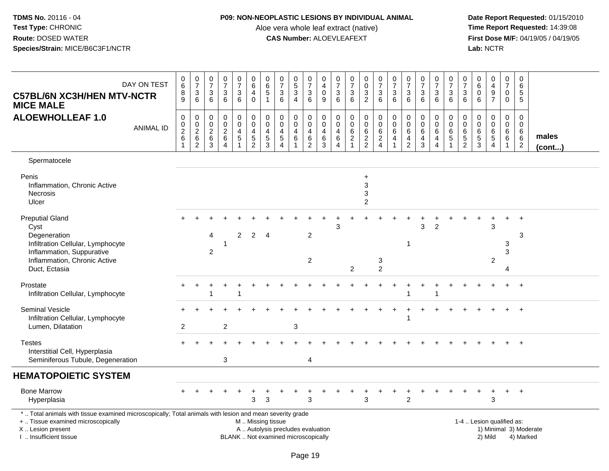### **P09: NON-NEOPLASTIC LESIONS BY INDIVIDUAL ANIMAL**

Aloe vera whole leaf extract (native)<br>**CAS Number:** ALOEVLEAFEXT

| <b>C57BL/6N XC3H/HEN MTV-NCTR</b><br><b>MICE MALE</b>                                                                                                                                         | DAY ON TEST      | $_{6}^{\rm 0}$<br>$^8_9$                                     | $\frac{0}{7}$<br>$^3$ 6                | $\begin{smallmatrix}0\\7\end{smallmatrix}$<br>$\mathbf{3}$<br>$6\phantom{1}6$ | $\begin{array}{c} 0 \\ 7 \end{array}$<br>$\mathbf{3}$<br>6    | 0<br>$\overline{7}$<br>$\ensuremath{\mathsf{3}}$<br>6                     | $\pmb{0}$<br>6<br>$\overline{4}$<br>$\mathbf 0$                        | 0<br>$6\phantom{a}$<br>5<br>$\mathbf{1}$  | $\frac{0}{7}$<br>$\mathbf{3}$<br>6                                       | $\begin{array}{c} 0 \\ 5 \end{array}$<br>3<br>$\overline{4}$       | $\frac{0}{7}$<br>$\frac{3}{6}$                    | 0<br>$\overline{\mathbf{4}}$<br>0<br>$\boldsymbol{9}$                   | $\begin{smallmatrix}0\\7\end{smallmatrix}$<br>$\frac{3}{6}$                       | $\begin{smallmatrix}0\\7\end{smallmatrix}$<br>$\sqrt{3}$<br>$\overline{6}$ | 0<br>$\overline{0}$<br>$\frac{3}{2}$                 | $\begin{array}{c} 0 \\ 7 \end{array}$<br>$\mathbf{3}$<br>$\overline{6}$ | $\begin{array}{c} 0 \\ 7 \end{array}$<br>3<br>6 | $\begin{array}{c} 0 \\ 7 \end{array}$<br>$\mathbf{3}$<br>6      | $\begin{array}{c} 0 \\ 7 \end{array}$<br>3<br>6           | $\begin{array}{c} 0 \\ 7 \end{array}$<br>$\frac{3}{6}$                          | $\frac{0}{7}$<br>$\frac{3}{6}$                                        | 0<br>$\overline{7}$<br>3<br>6      | $\pmb{0}$<br>$\,6\,$<br>$\mathbf 0$<br>6                       | 0<br>$\overline{4}$<br>9<br>$\overline{7}$                 | $\frac{0}{7}$<br>$\mathbf 0$<br>$\mathbf 0$                                | 0<br>6<br>5<br>5                                          |                        |
|-----------------------------------------------------------------------------------------------------------------------------------------------------------------------------------------------|------------------|--------------------------------------------------------------|----------------------------------------|-------------------------------------------------------------------------------|---------------------------------------------------------------|---------------------------------------------------------------------------|------------------------------------------------------------------------|-------------------------------------------|--------------------------------------------------------------------------|--------------------------------------------------------------------|---------------------------------------------------|-------------------------------------------------------------------------|-----------------------------------------------------------------------------------|----------------------------------------------------------------------------|------------------------------------------------------|-------------------------------------------------------------------------|-------------------------------------------------|-----------------------------------------------------------------|-----------------------------------------------------------|---------------------------------------------------------------------------------|-----------------------------------------------------------------------|------------------------------------|----------------------------------------------------------------|------------------------------------------------------------|----------------------------------------------------------------------------|-----------------------------------------------------------|------------------------|
| <b>ALOEWHOLLEAF 1.0</b>                                                                                                                                                                       | <b>ANIMAL ID</b> | $\pmb{0}$<br>$\pmb{0}$<br>$^2\phantom{1}6$<br>$\overline{1}$ | 0<br>$\frac{0}{2}$ 6<br>$\overline{2}$ | 0<br>$\boldsymbol{0}$<br>$^2\phantom{1}6$<br>$\mathbf{3}$                     | $\mathbf 0$<br>$\mathbf 0$<br>$\frac{2}{6}$<br>$\overline{4}$ | 0<br>$\mathbf 0$<br>$\begin{array}{c} 4 \\ 5 \end{array}$<br>$\mathbf{1}$ | $\mathbf 0$<br>$\mathbf 0$<br>$\overline{\mathbf{4}}$<br>$\frac{5}{2}$ | 0<br>$\mathbf 0$<br>4<br>$\mathbf 5$<br>3 | 0<br>$\mathbf 0$<br>4<br>$\frac{5}{4}$                                   | 0<br>$\mathbf 0$<br>$\overline{\mathbf{4}}$<br>6<br>$\overline{1}$ | 0<br>$\pmb{0}$<br>$\overline{4}$<br>$\frac{6}{2}$ | $\mathbf 0$<br>$\mathbf 0$<br>$\overline{4}$<br>$\,6\,$<br>$\mathbf{3}$ | $\boldsymbol{0}$<br>$\boldsymbol{0}$<br>$\overline{4}$<br>$\,6$<br>$\overline{4}$ | 0<br>$\mathbf 0$<br>$\,6\,$<br>$\frac{2}{1}$                               | $\mathbf 0$<br>$\pmb{0}$<br>$\,6\,$<br>$\frac{2}{2}$ | 0<br>$\pmb{0}$<br>$6\phantom{1}6$<br>$\frac{2}{4}$                      | 0<br>$\pmb{0}$<br>$\,6\,$<br>4<br>$\mathbf{1}$  | $\mathbf 0$<br>$\mathbf 0$<br>6<br>$\overline{\mathbf{4}}$<br>2 | 0<br>$\pmb{0}$<br>$\,6\,$<br>$\overline{\mathbf{4}}$<br>3 | 0<br>$\mathbf 0$<br>$6\phantom{1}$<br>$\overline{\mathbf{4}}$<br>$\overline{4}$ | $\mathbf 0$<br>$\,0\,$<br>$\,6\,$<br>$\overline{5}$<br>$\overline{1}$ | 0<br>0<br>6<br>5<br>$\overline{2}$ | $\mathbf 0$<br>$\mathbf 0$<br>$6\phantom{1}6$<br>$\frac{5}{3}$ | 0<br>$\mathsf{O}\xspace$<br>$\,6\,$<br>5<br>$\overline{4}$ | $\mathbf 0$<br>$\mathsf{O}\xspace$<br>6<br>$6\overline{6}$<br>$\mathbf{1}$ | $\mathbf 0$<br>$\Omega$<br>6<br>$\,6\,$<br>$\overline{2}$ | males<br>$($ cont $)$  |
| Spermatocele                                                                                                                                                                                  |                  |                                                              |                                        |                                                                               |                                                               |                                                                           |                                                                        |                                           |                                                                          |                                                                    |                                                   |                                                                         |                                                                                   |                                                                            |                                                      |                                                                         |                                                 |                                                                 |                                                           |                                                                                 |                                                                       |                                    |                                                                |                                                            |                                                                            |                                                           |                        |
| Penis<br>Inflammation, Chronic Active<br>Necrosis<br>Ulcer                                                                                                                                    |                  |                                                              |                                        |                                                                               |                                                               |                                                                           |                                                                        |                                           |                                                                          |                                                                    |                                                   |                                                                         |                                                                                   |                                                                            | $\ddot{}$<br>3<br>3<br>$\overline{c}$                |                                                                         |                                                 |                                                                 |                                                           |                                                                                 |                                                                       |                                    |                                                                |                                                            |                                                                            |                                                           |                        |
| <b>Preputial Gland</b><br>Cyst<br>Degeneration<br>Infiltration Cellular, Lymphocyte<br>Inflammation, Suppurative<br>Inflammation, Chronic Active<br>Duct, Ectasia                             |                  |                                                              |                                        | 4<br>$\overline{c}$                                                           | -1                                                            | 2                                                                         | $\overline{2}$                                                         | 4                                         |                                                                          |                                                                    | $\overline{2}$<br>$\overline{2}$                  |                                                                         | 3                                                                                 | $\overline{c}$                                                             |                                                      | 3<br>$\overline{2}$                                                     |                                                 |                                                                 | 3                                                         | 2                                                                               |                                                                       |                                    |                                                                | 3<br>$\overline{c}$                                        | 3<br>3                                                                     | $\overline{1}$<br>3                                       |                        |
| Prostate<br>Infiltration Cellular, Lymphocyte                                                                                                                                                 |                  |                                                              |                                        |                                                                               |                                                               |                                                                           |                                                                        |                                           |                                                                          |                                                                    |                                                   |                                                                         |                                                                                   |                                                                            |                                                      |                                                                         |                                                 |                                                                 |                                                           |                                                                                 |                                                                       |                                    |                                                                |                                                            |                                                                            | $+$                                                       |                        |
| <b>Seminal Vesicle</b><br>Infiltration Cellular, Lymphocyte<br>Lumen, Dilatation                                                                                                              |                  | $\overline{2}$                                               |                                        |                                                                               | $\overline{c}$                                                |                                                                           |                                                                        |                                           |                                                                          | 3                                                                  |                                                   |                                                                         |                                                                                   |                                                                            |                                                      |                                                                         |                                                 |                                                                 |                                                           |                                                                                 |                                                                       |                                    |                                                                |                                                            |                                                                            | $\ddot{}$                                                 |                        |
| <b>Testes</b><br>Interstitial Cell, Hyperplasia<br>Seminiferous Tubule, Degeneration                                                                                                          |                  |                                                              |                                        |                                                                               | 3                                                             |                                                                           |                                                                        |                                           |                                                                          |                                                                    | 4                                                 |                                                                         |                                                                                   |                                                                            |                                                      |                                                                         |                                                 |                                                                 |                                                           |                                                                                 |                                                                       |                                    |                                                                |                                                            |                                                                            | $\ddot{}$                                                 |                        |
| <b>HEMATOPOIETIC SYSTEM</b>                                                                                                                                                                   |                  |                                                              |                                        |                                                                               |                                                               |                                                                           |                                                                        |                                           |                                                                          |                                                                    |                                                   |                                                                         |                                                                                   |                                                                            |                                                      |                                                                         |                                                 |                                                                 |                                                           |                                                                                 |                                                                       |                                    |                                                                |                                                            |                                                                            |                                                           |                        |
| <b>Bone Marrow</b><br>Hyperplasia                                                                                                                                                             |                  |                                                              |                                        |                                                                               |                                                               |                                                                           | 3                                                                      | 3                                         |                                                                          |                                                                    | 3                                                 |                                                                         |                                                                                   |                                                                            | 3                                                    |                                                                         |                                                 | $\overline{2}$                                                  |                                                           |                                                                                 |                                                                       |                                    |                                                                | 3                                                          |                                                                            | $^{+}$                                                    |                        |
| *  Total animals with tissue examined microscopically; Total animals with lesion and mean severity grade<br>+  Tissue examined microscopically<br>X  Lesion present<br>I. Insufficient tissue |                  |                                                              |                                        |                                                                               |                                                               |                                                                           | M  Missing tissue                                                      |                                           | A  Autolysis precludes evaluation<br>BLANK  Not examined microscopically |                                                                    |                                                   |                                                                         |                                                                                   |                                                                            |                                                      |                                                                         |                                                 |                                                                 |                                                           |                                                                                 |                                                                       |                                    | 1-4  Lesion qualified as:                                      | 2) Mild                                                    |                                                                            | 4) Marked                                                 | 1) Minimal 3) Moderate |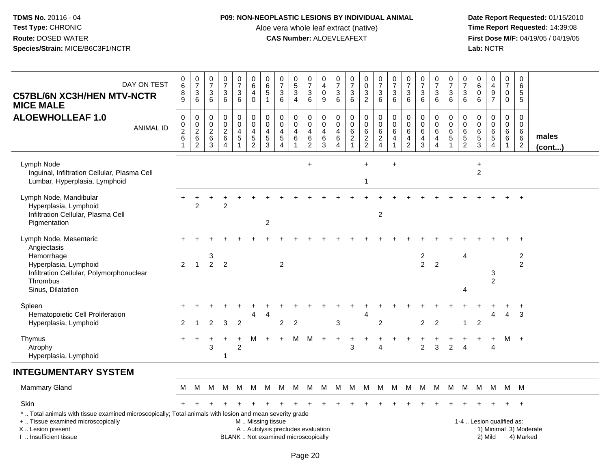### **P09: NON-NEOPLASTIC LESIONS BY INDIVIDUAL ANIMAL**

Aloe vera whole leaf extract (native)<br>**CAS Number:** ALOEVLEAFEXT

| DAY ON TEST<br><b>C57BL/6N XC3H/HEN MTV-NCTR</b><br><b>MICE MALE</b>                                                                                                                          | 0<br>6<br>8<br>9                                   | $\frac{0}{7}$<br>$\ensuremath{\mathsf{3}}$<br>$\,6\,$             | 0<br>$\overline{7}$<br>$\mathbf{3}$<br>$6\phantom{1}$                 | $\frac{0}{7}$<br>$\mathbf 3$<br>6                         | 0<br>$\overline{7}$<br>$\mathbf{3}$<br>6         | $\pmb{0}$<br>$\,6\,$<br>4<br>$\mathbf 0$                  | $\pmb{0}$<br>$\,6\,$<br>$\mathbf 5$<br>$\overline{1}$ | 0<br>$\overline{7}$<br>3<br>6                                                 | $\begin{array}{c} 0 \\ 5 \end{array}$<br>$\mathbf{3}$<br>$\overline{4}$ | 0<br>$\overline{7}$<br>$\sqrt{3}$<br>6                    | 0<br>$\overline{4}$<br>0<br>9      | 0<br>$\overline{7}$<br>$\ensuremath{\mathsf{3}}$<br>$6\phantom{1}$          | $\begin{array}{c} 0 \\ 7 \end{array}$<br>$\ensuremath{\mathsf{3}}$<br>$6\phantom{1}$ | $\pmb{0}$<br>$\mathsf{O}\xspace$<br>$\ensuremath{\mathsf{3}}$<br>$\overline{2}$ | $\frac{0}{7}$<br>$\sqrt{3}$<br>$6\phantom{1}6$       | $\frac{0}{7}$<br>3<br>$6\phantom{1}6$                              | $\pmb{0}$<br>$\overline{7}$<br>$\ensuremath{\mathsf{3}}$<br>6 | $\frac{0}{7}$<br>3<br>$6\phantom{1}$   | 0<br>$\overline{7}$<br>$\mathbf{3}$<br>$6\phantom{1}$                           | $\boldsymbol{0}$<br>$\overline{7}$<br>$\ensuremath{\mathsf{3}}$<br>$\,6\,$ | 0<br>$\overline{7}$<br>$\sqrt{3}$<br>$6\phantom{1}$ | $\mathbf 0$<br>$\,6\,$<br>$\mathbf 0$<br>$6\phantom{1}6$       | 0<br>$\overline{4}$<br>9<br>$\overline{7}$                  | $\pmb{0}$<br>$\overline{7}$<br>$\mathbf 0$<br>$\mathbf 0$ | 0<br>6<br>5<br>5                                             |                        |
|-----------------------------------------------------------------------------------------------------------------------------------------------------------------------------------------------|----------------------------------------------------|-------------------------------------------------------------------|-----------------------------------------------------------------------|-----------------------------------------------------------|--------------------------------------------------|-----------------------------------------------------------|-------------------------------------------------------|-------------------------------------------------------------------------------|-------------------------------------------------------------------------|-----------------------------------------------------------|------------------------------------|-----------------------------------------------------------------------------|--------------------------------------------------------------------------------------|---------------------------------------------------------------------------------|------------------------------------------------------|--------------------------------------------------------------------|---------------------------------------------------------------|----------------------------------------|---------------------------------------------------------------------------------|----------------------------------------------------------------------------|-----------------------------------------------------|----------------------------------------------------------------|-------------------------------------------------------------|-----------------------------------------------------------|--------------------------------------------------------------|------------------------|
| <b>ALOEWHOLLEAF 1.0</b><br><b>ANIMAL ID</b>                                                                                                                                                   | $\mathbf 0$<br>$\,0\,$<br>$\overline{2}$<br>6<br>1 | 0<br>$\begin{array}{c} 0 \\ 2 \\ 6 \end{array}$<br>$\overline{2}$ | $\pmb{0}$<br>$\pmb{0}$<br>$\overline{2}$<br>$\,6\,$<br>$\overline{3}$ | $\pmb{0}$<br>$\pmb{0}$<br>$\frac{2}{6}$<br>$\overline{4}$ | 0<br>$\mathbf 0$<br>$\overline{4}$<br>$\sqrt{5}$ | $\pmb{0}$<br>$\pmb{0}$<br>$\overline{4}$<br>$\frac{5}{2}$ | 0<br>$\mathbf 0$<br>$\overline{4}$<br>$\frac{5}{3}$   | $\pmb{0}$<br>$\boldsymbol{0}$<br>$\overline{4}$<br>$\overline{5}$<br>$\Delta$ | 0<br>$\mathbf 0$<br>4<br>$\,6\,$                                        | $\,0\,$<br>$\pmb{0}$<br>$\overline{\mathbf{4}}$<br>$^6_2$ | 0<br>0<br>4<br>6<br>$\overline{3}$ | 0<br>$\mathbf 0$<br>$\overline{4}$<br>$\begin{array}{c} 6 \\ 4 \end{array}$ | $\pmb{0}$<br>$\pmb{0}$<br>6<br>$\frac{2}{1}$                                         | $\pmb{0}$<br>$\pmb{0}$<br>$6\phantom{a}$<br>$\frac{2}{2}$                       | $\pmb{0}$<br>$\mathbf 0$<br>$\,6\,$<br>$\frac{2}{4}$ | $\mathbf 0$<br>$\mathbf 0$<br>$6\phantom{1}6$<br>4<br>$\mathbf{1}$ | $\pmb{0}$<br>$\mathbf 0$<br>$\,6\,$<br>$\frac{4}{2}$          | 0<br>$\mathbf 0$<br>6<br>$\frac{4}{3}$ | $\pmb{0}$<br>$\mathbf 0$<br>$6\overline{6}$<br>$\overline{4}$<br>$\overline{4}$ | $\mathbf 0$<br>$\pmb{0}$<br>$6\phantom{a}$<br>$\mathbf 5$                  | $\mathbf 0$<br>0<br>$\,6$<br>$\frac{5}{2}$          | $\mathbf 0$<br>$\mathsf{O}\xspace$<br>$\,6\,$<br>$\frac{5}{3}$ | 0<br>$\mathbf 0$<br>$\,6\,$<br>$\sqrt{5}$<br>$\overline{4}$ | $\mathbf 0$<br>$\mathbf 0$<br>6<br>6<br>$\mathbf{1}$      | $\mathbf 0$<br>$\mathbf 0$<br>6<br>$\,6\,$<br>$\overline{c}$ | males<br>$($ cont $)$  |
| Lymph Node<br>Inguinal, Infiltration Cellular, Plasma Cell<br>Lumbar, Hyperplasia, Lymphoid                                                                                                   |                                                    |                                                                   |                                                                       |                                                           |                                                  |                                                           |                                                       |                                                                               |                                                                         | $\ddot{}$                                                 |                                    |                                                                             |                                                                                      | $\ddot{}$<br>1                                                                  |                                                      | $\ddot{}$                                                          |                                                               |                                        |                                                                                 |                                                                            |                                                     | $\ddot{}$<br>$\overline{c}$                                    |                                                             |                                                           |                                                              |                        |
| Lymph Node, Mandibular<br>Hyperplasia, Lymphoid<br>Infiltration Cellular, Plasma Cell<br>Pigmentation                                                                                         |                                                    | $\overline{2}$                                                    |                                                                       | $\overline{2}$                                            |                                                  |                                                           | $\overline{c}$                                        |                                                                               |                                                                         |                                                           |                                    |                                                                             |                                                                                      |                                                                                 | $\overline{2}$                                       |                                                                    |                                                               |                                        |                                                                                 |                                                                            |                                                     |                                                                |                                                             |                                                           |                                                              |                        |
| Lymph Node, Mesenteric<br>Angiectasis<br>Hemorrhage<br>Hyperplasia, Lymphoid<br>Infiltration Cellular, Polymorphonuclear<br>Thrombus<br>Sinus, Dilatation                                     | 2                                                  | $\mathbf{1}$                                                      | 3<br>$\overline{2}$                                                   | $\overline{2}$                                            |                                                  |                                                           |                                                       | $\overline{c}$                                                                |                                                                         |                                                           |                                    |                                                                             |                                                                                      |                                                                                 |                                                      |                                                                    |                                                               | $\frac{2}{2}$                          | $\overline{c}$                                                                  |                                                                            | $\overline{4}$<br>4                                 |                                                                | 3<br>$\overline{2}$                                         |                                                           | $\overline{\mathbf{c}}$<br>$\overline{2}$                    |                        |
| Spleen<br>Hematopoietic Cell Proliferation<br>Hyperplasia, Lymphoid                                                                                                                           | 2                                                  | -1                                                                | $\overline{2}$                                                        | 3                                                         | $\overline{2}$                                   |                                                           |                                                       | $\overline{2}$                                                                | $\overline{2}$                                                          |                                                           |                                    | 3                                                                           |                                                                                      | 4                                                                               | 2                                                    |                                                                    |                                                               | $\overline{2}$                         | $\overline{2}$                                                                  |                                                                            | $\mathbf{1}$                                        | $\overline{2}$                                                 | 4                                                           | 4                                                         | $\overline{1}$<br>3                                          |                        |
| Thymus<br>Atrophy<br>Hyperplasia, Lymphoid                                                                                                                                                    |                                                    |                                                                   | 3                                                                     | -1                                                        | $\overline{2}$                                   | м                                                         |                                                       |                                                                               | M                                                                       | М                                                         | $\ddot{}$                          | $\ddot{}$                                                                   | 3                                                                                    |                                                                                 | $\overline{A}$                                       |                                                                    |                                                               | $\overline{2}$                         | 3                                                                               | 2                                                                          | $\overline{4}$                                      |                                                                | $\ddot{}$<br>$\overline{4}$                                 |                                                           | M +                                                          |                        |
| <b>INTEGUMENTARY SYSTEM</b>                                                                                                                                                                   |                                                    |                                                                   |                                                                       |                                                           |                                                  |                                                           |                                                       |                                                                               |                                                                         |                                                           |                                    |                                                                             |                                                                                      |                                                                                 |                                                      |                                                                    |                                                               |                                        |                                                                                 |                                                                            |                                                     |                                                                |                                                             |                                                           |                                                              |                        |
| Mammary Gland                                                                                                                                                                                 | M                                                  | M                                                                 | М                                                                     | M                                                         | M                                                | M                                                         | M                                                     | M                                                                             | M                                                                       | M                                                         | M                                  | M                                                                           | M                                                                                    | M                                                                               | M                                                    | M                                                                  | M                                                             | M                                      | M                                                                               | M                                                                          | M                                                   | M                                                              | - M                                                         |                                                           | M M                                                          |                        |
| Skin                                                                                                                                                                                          |                                                    |                                                                   |                                                                       |                                                           |                                                  |                                                           |                                                       |                                                                               |                                                                         |                                                           |                                    |                                                                             |                                                                                      |                                                                                 |                                                      |                                                                    |                                                               |                                        |                                                                                 |                                                                            |                                                     |                                                                |                                                             |                                                           | $\overline{+}$                                               |                        |
| *  Total animals with tissue examined microscopically; Total animals with lesion and mean severity grade<br>+  Tissue examined microscopically<br>X  Lesion present<br>I  Insufficient tissue |                                                    |                                                                   |                                                                       |                                                           |                                                  | M  Missing tissue                                         |                                                       | A  Autolysis precludes evaluation<br>BLANK  Not examined microscopically      |                                                                         |                                                           |                                    |                                                                             |                                                                                      |                                                                                 |                                                      |                                                                    |                                                               |                                        |                                                                                 |                                                                            |                                                     | 1-4  Lesion qualified as:                                      | 2) Mild                                                     |                                                           | 4) Marked                                                    | 1) Minimal 3) Moderate |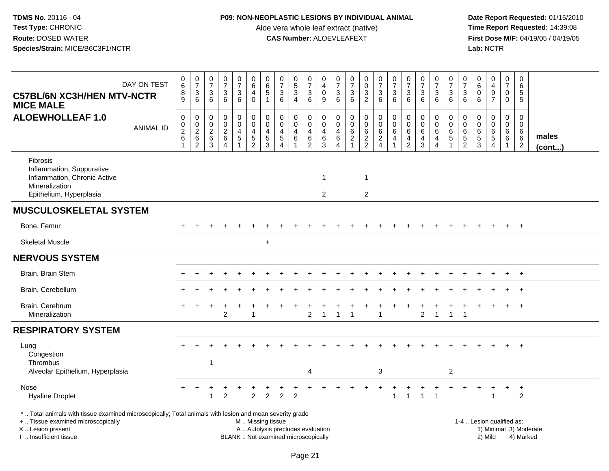## **P09: NON-NEOPLASTIC LESIONS BY INDIVIDUAL ANIMAL**

Aloe vera whole leaf extract (native)<br>**CAS Number:** ALOEVLEAFEXT

| DAY ON TEST<br><b>C57BL/6N XC3H/HEN MTV-NCTR</b><br><b>MICE MALE</b>                                                                                                                          | $_{6}^{\rm 0}$<br>$\bf 8$<br>9                     | $\begin{array}{c} 0 \\ 7 \end{array}$<br>$\ensuremath{\mathsf{3}}$<br>$\,6\,$ | 0<br>$\overline{7}$<br>$\mathbf{3}$<br>$\,6\,$               | $\begin{array}{c} 0 \\ 7 \end{array}$<br>$\sqrt{3}$<br>$\,6\,$            | $\begin{array}{c} 0 \\ 7 \end{array}$<br>3<br>$\,6\,$ | $\pmb{0}$<br>$\,6\,$<br>$\overline{4}$<br>$\mathbf 0$         | 0<br>$\,6$<br>5<br>1                      | $\frac{0}{7}$<br>$\sqrt{3}$<br>$\,6\,$                                       | $\begin{array}{c} 0 \\ 5 \\ 3 \end{array}$<br>$\overline{4}$        | $\frac{0}{7}$<br>$\mathbf{3}$<br>6           | 0<br>$\overline{4}$<br>$\mathbf 0$<br>$\boldsymbol{9}$     | 0<br>$\overline{7}$<br>3<br>$\,6\,$                                 | $\begin{array}{c} 0 \\ 7 \end{array}$<br>$\mathbf{3}$<br>6          | 0<br>$\pmb{0}$<br>$\mathbf{3}$<br>$\overline{2}$ | $\frac{0}{7}$<br>$\mathbf{3}$<br>$6\phantom{1}$                     | $\frac{0}{7}$<br>$\mathbf{3}$<br>6                       | $\frac{0}{7}$<br>$\sqrt{3}$<br>$\,6\,$       | $\begin{array}{c} 0 \\ 7 \end{array}$<br>$\ensuremath{\mathsf{3}}$<br>6 | $\begin{array}{c} 0 \\ 7 \end{array}$<br>3<br>$\,6$ | $\begin{array}{c} 0 \\ 7 \end{array}$<br>$\mathbf{3}$<br>$6\phantom{1}6$ | 0<br>$\overline{7}$<br>3<br>6                                  | 0<br>6<br>$\mathbf 0$<br>$\,6\,$                 | $\pmb{0}$<br>$\overline{4}$<br>$\boldsymbol{9}$<br>$\overline{7}$      | $\pmb{0}$<br>$\overline{7}$<br>0<br>$\overline{0}$                 | $\pmb{0}$<br>$\,6\,$<br>$\sqrt{5}$<br>$\overline{5}$               |                 |
|-----------------------------------------------------------------------------------------------------------------------------------------------------------------------------------------------|----------------------------------------------------|-------------------------------------------------------------------------------|--------------------------------------------------------------|---------------------------------------------------------------------------|-------------------------------------------------------|---------------------------------------------------------------|-------------------------------------------|------------------------------------------------------------------------------|---------------------------------------------------------------------|----------------------------------------------|------------------------------------------------------------|---------------------------------------------------------------------|---------------------------------------------------------------------|--------------------------------------------------|---------------------------------------------------------------------|----------------------------------------------------------|----------------------------------------------|-------------------------------------------------------------------------|-----------------------------------------------------|--------------------------------------------------------------------------|----------------------------------------------------------------|--------------------------------------------------|------------------------------------------------------------------------|--------------------------------------------------------------------|--------------------------------------------------------------------|-----------------|
| <b>ALOEWHOLLEAF 1.0</b><br><b>ANIMAL ID</b>                                                                                                                                                   | $\pmb{0}$<br>$\pmb{0}$<br>$\overline{2}$<br>6<br>1 | $\pmb{0}$<br>0<br>$\overline{2}$<br>$\,6\,$<br>$\overline{c}$                 | $\mathbf 0$<br>$\mathbf 0$<br>$\overline{c}$<br>$\,6\,$<br>3 | $\pmb{0}$<br>$\mathbf 0$<br>$\boldsymbol{2}$<br>$\,6\,$<br>$\overline{4}$ | 0<br>$\mathbf 0$<br>4<br>$\sqrt{5}$<br>$\overline{1}$ | $\mathbf 0$<br>$\mathbf 0$<br>$\overline{4}$<br>$\frac{5}{2}$ | $\mathbf 0$<br>$\mathbf 0$<br>4<br>5<br>3 | $\mathbf 0$<br>$\mathbf 0$<br>$\overline{4}$<br>$\sqrt{5}$<br>$\overline{4}$ | $\mathbf 0$<br>$\mathbf 0$<br>$\overline{4}$<br>6<br>$\overline{1}$ | $\mathbf 0$<br>0<br>$\overline{4}$<br>$^6_2$ | $\mathbf 0$<br>$\mathbf 0$<br>4<br>$\,6\,$<br>$\mathbf{3}$ | $\mathbf 0$<br>$\mathbf 0$<br>$\overline{4}$<br>6<br>$\overline{4}$ | $\mathbf 0$<br>$\mathbf 0$<br>$\,6$<br>$\sqrt{2}$<br>$\overline{1}$ | 0<br>0<br>$\,6\,$<br>$\frac{2}{2}$               | $\pmb{0}$<br>$\mathbf 0$<br>$\,6\,$<br>$\sqrt{2}$<br>$\overline{4}$ | $\pmb{0}$<br>$\mathsf 0$<br>$\,6\,$<br>4<br>$\mathbf{1}$ | $\mathbf 0$<br>0<br>6<br>4<br>$\overline{2}$ | $\pmb{0}$<br>$\pmb{0}$<br>$\,6\,$<br>4<br>$\mathbf{3}$                  | 0<br>0<br>$\,6$<br>4<br>$\overline{4}$              | $\mathbf 0$<br>$\mathbf 0$<br>6<br>$\overline{5}$<br>$\mathbf{1}$        | $\mathbf 0$<br>$\mathbf 0$<br>$6\phantom{1}6$<br>$\frac{5}{2}$ | $\mathbf 0$<br>$\mathbf 0$<br>6<br>$\frac{5}{3}$ | $\mathbf 0$<br>$\mathsf{O}$<br>$\,6\,$<br>$\sqrt{5}$<br>$\overline{4}$ | $\mathbf 0$<br>$\mathbf 0$<br>$\,6\,$<br>$\,6\,$<br>$\overline{1}$ | $\mathbf 0$<br>$\mathbf 0$<br>$\,6\,$<br>$\,6\,$<br>$\overline{2}$ | males<br>(cont) |
| <b>Fibrosis</b><br>Inflammation, Suppurative<br>Inflammation, Chronic Active<br>Mineralization<br>Epithelium, Hyperplasia                                                                     |                                                    |                                                                               |                                                              |                                                                           |                                                       |                                                               |                                           |                                                                              |                                                                     |                                              | $\mathbf 1$<br>2                                           |                                                                     |                                                                     | -1<br>$\overline{c}$                             |                                                                     |                                                          |                                              |                                                                         |                                                     |                                                                          |                                                                |                                                  |                                                                        |                                                                    |                                                                    |                 |
| <b>MUSCULOSKELETAL SYSTEM</b>                                                                                                                                                                 |                                                    |                                                                               |                                                              |                                                                           |                                                       |                                                               |                                           |                                                                              |                                                                     |                                              |                                                            |                                                                     |                                                                     |                                                  |                                                                     |                                                          |                                              |                                                                         |                                                     |                                                                          |                                                                |                                                  |                                                                        |                                                                    |                                                                    |                 |
| Bone, Femur                                                                                                                                                                                   |                                                    |                                                                               |                                                              |                                                                           |                                                       |                                                               |                                           |                                                                              |                                                                     |                                              |                                                            |                                                                     |                                                                     |                                                  |                                                                     |                                                          |                                              |                                                                         |                                                     |                                                                          |                                                                |                                                  |                                                                        | $\ddot{}$                                                          | $+$                                                                |                 |
| <b>Skeletal Muscle</b>                                                                                                                                                                        |                                                    |                                                                               |                                                              |                                                                           |                                                       |                                                               | $\ddot{}$                                 |                                                                              |                                                                     |                                              |                                                            |                                                                     |                                                                     |                                                  |                                                                     |                                                          |                                              |                                                                         |                                                     |                                                                          |                                                                |                                                  |                                                                        |                                                                    |                                                                    |                 |
| <b>NERVOUS SYSTEM</b>                                                                                                                                                                         |                                                    |                                                                               |                                                              |                                                                           |                                                       |                                                               |                                           |                                                                              |                                                                     |                                              |                                                            |                                                                     |                                                                     |                                                  |                                                                     |                                                          |                                              |                                                                         |                                                     |                                                                          |                                                                |                                                  |                                                                        |                                                                    |                                                                    |                 |
| Brain, Brain Stem                                                                                                                                                                             |                                                    |                                                                               |                                                              |                                                                           |                                                       |                                                               |                                           |                                                                              |                                                                     |                                              |                                                            |                                                                     |                                                                     |                                                  |                                                                     |                                                          |                                              |                                                                         |                                                     |                                                                          |                                                                |                                                  |                                                                        |                                                                    | $+$                                                                |                 |
| Brain, Cerebellum                                                                                                                                                                             |                                                    |                                                                               |                                                              |                                                                           |                                                       |                                                               |                                           |                                                                              |                                                                     |                                              |                                                            |                                                                     |                                                                     |                                                  |                                                                     |                                                          |                                              |                                                                         |                                                     |                                                                          |                                                                |                                                  |                                                                        |                                                                    | $^{+}$                                                             |                 |
| Brain, Cerebrum<br>Mineralization                                                                                                                                                             |                                                    |                                                                               |                                                              | $\overline{2}$                                                            |                                                       |                                                               |                                           |                                                                              |                                                                     | $\overline{2}$                               | $\mathbf 1$                                                | -1                                                                  | 1                                                                   |                                                  | 1                                                                   |                                                          |                                              | $\overline{2}$                                                          | +<br>$\overline{1}$                                 | $\mathbf{1}$                                                             | $\overline{1}$                                                 |                                                  |                                                                        | $\ddot{}$                                                          | $+$                                                                |                 |
| <b>RESPIRATORY SYSTEM</b>                                                                                                                                                                     |                                                    |                                                                               |                                                              |                                                                           |                                                       |                                                               |                                           |                                                                              |                                                                     |                                              |                                                            |                                                                     |                                                                     |                                                  |                                                                     |                                                          |                                              |                                                                         |                                                     |                                                                          |                                                                |                                                  |                                                                        |                                                                    |                                                                    |                 |
| Lung<br>Congestion<br>Thrombus                                                                                                                                                                |                                                    |                                                                               | $\mathbf{1}$                                                 |                                                                           |                                                       |                                                               |                                           |                                                                              |                                                                     |                                              |                                                            |                                                                     |                                                                     |                                                  |                                                                     |                                                          |                                              |                                                                         |                                                     |                                                                          |                                                                |                                                  |                                                                        |                                                                    | $^{+}$                                                             |                 |
| Alveolar Epithelium, Hyperplasia                                                                                                                                                              |                                                    |                                                                               |                                                              |                                                                           |                                                       |                                                               |                                           |                                                                              |                                                                     | $\overline{4}$                               |                                                            |                                                                     |                                                                     |                                                  | 3                                                                   |                                                          |                                              |                                                                         |                                                     | $\overline{2}$                                                           |                                                                |                                                  |                                                                        |                                                                    |                                                                    |                 |
| Nose<br><b>Hyaline Droplet</b>                                                                                                                                                                |                                                    |                                                                               | $\mathbf{1}$                                                 | $\overline{2}$                                                            |                                                       | 2                                                             | $\overline{c}$                            | $\overline{2}$                                                               | $\overline{2}$                                                      |                                              |                                                            |                                                                     |                                                                     |                                                  |                                                                     | $\mathbf{1}$                                             | 1                                            | $\overline{1}$                                                          | $\overline{1}$                                      |                                                                          |                                                                |                                                  |                                                                        |                                                                    | $\ddot{}$<br>2                                                     |                 |
| *  Total animals with tissue examined microscopically; Total animals with lesion and mean severity grade<br>+  Tissue examined microscopically<br>X  Lesion present<br>I. Insufficient tissue |                                                    |                                                                               |                                                              |                                                                           |                                                       | M  Missing tissue                                             |                                           | A  Autolysis precludes evaluation<br>BLANK  Not examined microscopically     |                                                                     |                                              |                                                            |                                                                     |                                                                     |                                                  |                                                                     |                                                          |                                              |                                                                         |                                                     |                                                                          |                                                                |                                                  | 1-4  Lesion qualified as:<br>2) Mild                                   |                                                                    | 1) Minimal 3) Moderate<br>4) Marked                                |                 |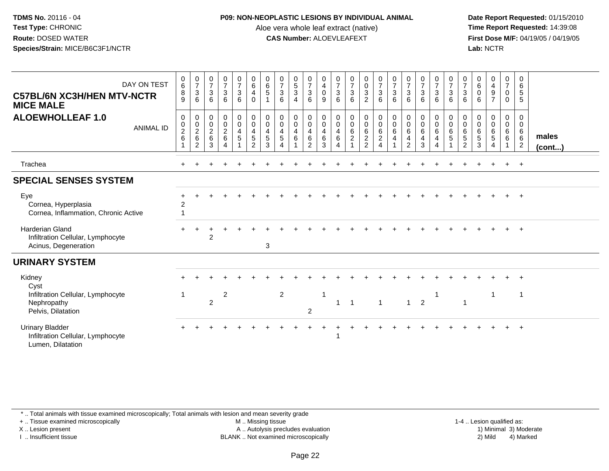### **P09: NON-NEOPLASTIC LESIONS BY INDIVIDUAL ANIMAL**

Aloe vera whole leaf extract (native)<br>**CAS Number:** ALOEVLEAFEXT

 **Date Report Requested:** 01/15/2010 **First Dose M/F:** 04/19/05 / 04/19/05<br>**Lab:** NCTR **Lab:** NCTR

| DAY ON TEST<br><b>C57BL/6N XC3H/HEN MTV-NCTR</b><br><b>MICE MALE</b>                | $_{6}^{\rm 0}$<br>8<br>9                        | $\frac{0}{7}$<br>3<br>6                                           | $\frac{0}{7}$<br>$\sqrt{3}$<br>6 | $\begin{smallmatrix}0\\7\end{smallmatrix}$<br>$\mathbf{3}$<br>6                 | $\frac{0}{7}$<br>$\mathsf 3$<br>6                                 | $_{6}^{\rm 0}$<br>4<br>$\Omega$                                            | $\begin{array}{c} 0 \\ 6 \\ 5 \end{array}$<br>$\overline{1}$ | $\frac{0}{7}$<br>$\overline{3}$<br>6                                                                       | $\begin{array}{c} 0 \\ 5 \\ 3 \end{array}$<br>$\overline{4}$                          | $\begin{matrix} 0 \\ 7 \\ 3 \end{matrix}$<br>6                     | $\begin{smallmatrix}0\0\4\end{smallmatrix}$<br>$\mathbf 0$<br>9 | $\begin{array}{c} 0 \\ 7 \\ 3 \end{array}$<br>6     | $\frac{0}{7}$<br>$\overline{3}$<br>6 | $\begin{smallmatrix} 0\\0\\3 \end{smallmatrix}$<br>$\overline{2}$ | $\begin{matrix}0\\7\\3\end{matrix}$<br>6 | $\frac{0}{7}$<br>$\sqrt{3}$<br>6                      | $\begin{array}{c} 0 \\ 7 \\ 3 \end{array}$<br>$6\phantom{1}$                                       | $\frac{0}{7}$<br>$\overline{3}$<br>6            | $\begin{array}{c} 0 \\ 7 \\ 3 \end{array}$<br>6                               | $\frac{0}{7}$<br>$\overline{3}$<br>6            | $\begin{matrix} 0 \\ 7 \\ 3 \end{matrix}$<br>6 | $\begin{smallmatrix}0\0\0\end{smallmatrix}$<br>6      | $\begin{array}{c} 0 \\ 4 \\ 9 \end{array}$<br>$\overline{7}$ | $\frac{0}{7}$<br>$\overline{0}$<br>$\mathbf 0$                                        | 0<br>$6\phantom{1}6$<br>$\sqrt{5}$<br>5                    |                       |
|-------------------------------------------------------------------------------------|-------------------------------------------------|-------------------------------------------------------------------|----------------------------------|---------------------------------------------------------------------------------|-------------------------------------------------------------------|----------------------------------------------------------------------------|--------------------------------------------------------------|------------------------------------------------------------------------------------------------------------|---------------------------------------------------------------------------------------|--------------------------------------------------------------------|-----------------------------------------------------------------|-----------------------------------------------------|--------------------------------------|-------------------------------------------------------------------|------------------------------------------|-------------------------------------------------------|----------------------------------------------------------------------------------------------------|-------------------------------------------------|-------------------------------------------------------------------------------|-------------------------------------------------|------------------------------------------------|-------------------------------------------------------|--------------------------------------------------------------|---------------------------------------------------------------------------------------|------------------------------------------------------------|-----------------------|
| <b>ALOEWHOLLEAF 1.0</b><br><b>ANIMAL ID</b>                                         | 0<br>$\begin{array}{c} 0 \\ 2 \\ 6 \end{array}$ | $\pmb{0}$<br>$\begin{smallmatrix} 0\\2\\6 \end{smallmatrix}$<br>2 | 0<br>$\frac{0}{2}$ 6<br>3        | $\begin{smallmatrix} 0\\0 \end{smallmatrix}$<br>$\frac{2}{6}$<br>$\overline{4}$ | $\begin{smallmatrix}0\\0\end{smallmatrix}$<br>$\overline{4}$<br>5 | 0<br>$\mathsf{O}\xspace$<br>$\overline{\mathbf{4}}$<br>5<br>$\overline{2}$ | 0<br>$\pmb{0}$<br>$\overline{4}$<br>$\overline{5}$<br>3      | $\begin{smallmatrix} 0\\0 \end{smallmatrix}$<br>$\overline{4}$<br>$\overline{5}$<br>$\boldsymbol{\Lambda}$ | $\begin{smallmatrix} 0\\0 \end{smallmatrix}$<br>$\begin{array}{c} 4 \\ 6 \end{array}$ | $\begin{smallmatrix} 0\\0 \end{smallmatrix}$<br>$\frac{4}{6}$<br>2 | 0<br>$\overline{0}$<br>$\overline{4}$<br>6<br>3                 | 0<br>$\overline{0}$<br>$\overline{\mathbf{4}}$<br>6 |                                      | $_0^0$<br>$\frac{6}{2}$                                           |                                          | $\pmb{0}$<br>$\mathbf 0$<br>$\,6\,$<br>$\overline{4}$ | $\begin{smallmatrix} 0\\0 \end{smallmatrix}$<br>$\,6$<br>$\overline{\mathbf{4}}$<br>$\overline{2}$ | 0<br>0<br>$\overline{6}$<br>$\overline{4}$<br>3 | $\begin{matrix} 0 \\ 0 \\ 6 \end{matrix}$<br>$\overline{4}$<br>$\overline{4}$ | 0<br>$\begin{array}{c} 0 \\ 6 \\ 5 \end{array}$ | 0<br>0<br>0<br>5<br>5<br>2                     | $\,0\,$<br>$\overline{0}$<br>6<br>$\overline{5}$<br>3 | 0<br>$\mathbf 0$<br>$\frac{6}{5}$<br>$\overline{4}$          | $\mathbf 0$<br>$\overline{0}$<br>$\begin{matrix} 6 \\ 6 \end{matrix}$<br>$\mathbf{1}$ | 0<br>$\mathbf 0$<br>6<br>$6\overline{6}$<br>$\overline{2}$ | males<br>$($ cont $)$ |
| Trachea                                                                             |                                                 |                                                                   |                                  |                                                                                 |                                                                   |                                                                            |                                                              |                                                                                                            |                                                                                       |                                                                    |                                                                 |                                                     |                                      |                                                                   |                                          |                                                       |                                                                                                    |                                                 |                                                                               |                                                 |                                                |                                                       |                                                              |                                                                                       | $+$                                                        |                       |
| <b>SPECIAL SENSES SYSTEM</b>                                                        |                                                 |                                                                   |                                  |                                                                                 |                                                                   |                                                                            |                                                              |                                                                                                            |                                                                                       |                                                                    |                                                                 |                                                     |                                      |                                                                   |                                          |                                                       |                                                                                                    |                                                 |                                                                               |                                                 |                                                |                                                       |                                                              |                                                                                       |                                                            |                       |
| Eye<br>Cornea, Hyperplasia<br>Cornea, Inflammation, Chronic Active                  | $\overline{c}$                                  |                                                                   |                                  |                                                                                 |                                                                   |                                                                            |                                                              |                                                                                                            |                                                                                       |                                                                    |                                                                 |                                                     |                                      |                                                                   |                                          |                                                       |                                                                                                    |                                                 |                                                                               |                                                 |                                                |                                                       |                                                              |                                                                                       | $\overline{+}$                                             |                       |
| <b>Harderian Gland</b><br>Infiltration Cellular, Lymphocyte<br>Acinus, Degeneration |                                                 |                                                                   | $\overline{2}$                   |                                                                                 |                                                                   |                                                                            | 3                                                            |                                                                                                            |                                                                                       |                                                                    |                                                                 |                                                     |                                      |                                                                   |                                          |                                                       |                                                                                                    |                                                 |                                                                               |                                                 |                                                |                                                       |                                                              |                                                                                       | $^{+}$                                                     |                       |
| <b>URINARY SYSTEM</b>                                                               |                                                 |                                                                   |                                  |                                                                                 |                                                                   |                                                                            |                                                              |                                                                                                            |                                                                                       |                                                                    |                                                                 |                                                     |                                      |                                                                   |                                          |                                                       |                                                                                                    |                                                 |                                                                               |                                                 |                                                |                                                       |                                                              |                                                                                       |                                                            |                       |
| Kidney<br>Cyst                                                                      |                                                 |                                                                   |                                  |                                                                                 |                                                                   |                                                                            |                                                              |                                                                                                            |                                                                                       |                                                                    |                                                                 |                                                     |                                      |                                                                   |                                          |                                                       |                                                                                                    |                                                 |                                                                               |                                                 |                                                |                                                       |                                                              |                                                                                       | $\overline{ }$                                             |                       |
| Infiltration Cellular, Lymphocyte<br>Nephropathy<br>Pelvis, Dilatation              | -1                                              |                                                                   | 2                                | $\overline{c}$                                                                  |                                                                   |                                                                            |                                                              | $\overline{2}$                                                                                             |                                                                                       | $\overline{2}$                                                     | 1                                                               |                                                     | $\overline{1}$                       |                                                                   | $\overline{1}$                           |                                                       | $\mathbf{1}$                                                                                       | $\overline{2}$                                  |                                                                               |                                                 | 1                                              |                                                       |                                                              |                                                                                       | $\mathbf{1}$                                               |                       |
| <b>Urinary Bladder</b><br>Infiltration Cellular, Lymphocyte<br>Lumen, Dilatation    |                                                 |                                                                   |                                  |                                                                                 |                                                                   |                                                                            |                                                              |                                                                                                            |                                                                                       |                                                                    |                                                                 |                                                     |                                      |                                                                   |                                          |                                                       |                                                                                                    |                                                 |                                                                               |                                                 |                                                |                                                       |                                                              |                                                                                       | $+$                                                        |                       |

\* .. Total animals with tissue examined microscopically; Total animals with lesion and mean severity grade

+ .. Tissue examined microscopically

X .. Lesion present

I .. Insufficient tissue

M .. Missing tissue

A .. Autolysis precludes evaluation

BLANK .. Not examined microscopically 2) Mild 4) Marked

1-4 .. Lesion qualified as: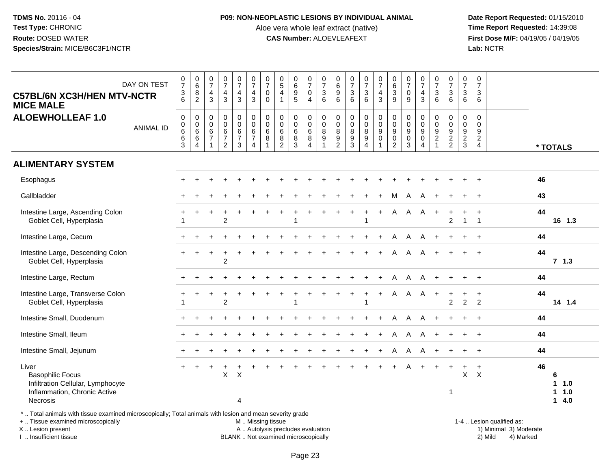#### **P09: NON-NEOPLASTIC LESIONS BY INDIVIDUAL ANIMAL**

Aloe vera whole leaf extract (native)<br>**CAS Number:** ALOEVLEAFEXT

 **Date Report Requested:** 01/15/2010 **First Dose M/F:** 04/19/05 / 04/19/05<br>Lab: NCTR **Lab:** NCTR

| DAY ON TEST<br><b>C57BL/6N XC3H/HEN MTV-NCTR</b><br><b>MICE MALE</b>                                                     | $\frac{0}{7}$<br>$\frac{3}{6}$ | $_{6}^{\rm 0}$<br>$\frac{8}{2}$                          | $\begin{smallmatrix}0\\7\end{smallmatrix}$<br>4<br>3 | $\frac{0}{7}$<br>$\overline{\mathbf{4}}$<br>$\overline{3}$                 | $\frac{0}{7}$<br>$\overline{4}$<br>3              | $\frac{0}{7}$<br>$\overline{4}$<br>3                                   | $\frac{0}{7}$<br>$\mathbf 0$<br>$\mathbf 0$ | $\begin{array}{c} 0 \\ 5 \\ 4 \end{array}$<br>$\mathbf{1}$ | 0<br>0<br>0<br>5                                               | $\frac{0}{7}$<br>$\pmb{0}$<br>$\overline{4}$                 | $\frac{0}{7}$<br>$\mathsf 3$<br>6                                                   | 0<br>$\overline{6}$<br>$\overline{9}$<br>6       | $\begin{smallmatrix} 0\\7 \end{smallmatrix}$<br>$\frac{3}{6}$ | $\frac{0}{7}$<br>$\mathbf{3}$<br>$6^{\circ}$ | $\frac{0}{7}$<br>$\frac{4}{3}$                   | 0<br>0<br>0<br>0<br>0                          | $\frac{0}{7}$<br>$\mathbf 0$<br>9         | $\frac{0}{7}$<br>$\overline{4}$<br>3                       | $\frac{0}{7}$<br>$\sqrt{3}$<br>6               | $\begin{array}{c} 0 \\ 7 \end{array}$<br>$\mathfrak{S}$<br>$6^{\circ}$ | $\frac{0}{7}$<br>$\mathbf{3}$<br>6                          | 0<br>$\overline{7}$<br>3<br>6                                 |                                  |
|--------------------------------------------------------------------------------------------------------------------------|--------------------------------|----------------------------------------------------------|------------------------------------------------------|----------------------------------------------------------------------------|---------------------------------------------------|------------------------------------------------------------------------|---------------------------------------------|------------------------------------------------------------|----------------------------------------------------------------|--------------------------------------------------------------|-------------------------------------------------------------------------------------|--------------------------------------------------|---------------------------------------------------------------|----------------------------------------------|--------------------------------------------------|------------------------------------------------|-------------------------------------------|------------------------------------------------------------|------------------------------------------------|------------------------------------------------------------------------|-------------------------------------------------------------|---------------------------------------------------------------|----------------------------------|
| <b>ALOEWHOLLEAF 1.0</b><br><b>ANIMAL ID</b>                                                                              | $\pmb{0}$<br>$_6^0$<br>6<br>3  | $\begin{matrix}0\\0\\6\\6\end{matrix}$<br>$\overline{4}$ | $\mathbf 0$<br>$\mathbf 0$<br>6<br>$\overline{7}$    | $\pmb{0}$<br>$\overline{0}$<br>$\,6\,$<br>$\overline{7}$<br>$\overline{2}$ | $\mathsf 0$<br>$\overline{0}$<br>$rac{6}{7}$<br>3 | $\mathsf 0$<br>$\overline{0}$<br>6<br>$\overline{7}$<br>$\overline{4}$ | 0<br>$\overline{0}$<br>$\,6\,$<br>8         | 0<br>$\mathbf 0$<br>6<br>$\frac{8}{2}$                     | $\mathbf 0$<br>$\ddot{\mathbf{0}}$<br>$\,6\,$<br>$\frac{8}{3}$ | 0<br>$\overline{0}$<br>$\overline{6}$<br>8<br>$\overline{4}$ | $\mathbf 0$<br>$\overline{0}$<br>$\overline{8}$<br>$\boldsymbol{9}$<br>$\mathbf{1}$ | $\mathbf 0$<br>$\mathbf 0$<br>8<br>$\frac{9}{2}$ | $\boldsymbol{0}$<br>$\overline{0}$<br>8<br>$\frac{9}{3}$      | $_0^0$<br>$\frac{8}{9}$<br>4                 | 0<br>$\begin{bmatrix} 0 \\ 9 \\ 0 \end{bmatrix}$ | $\mathbf 0$<br>$\overline{0}$<br>$\frac{9}{2}$ | 0<br>$\mathbf 0$<br>9<br>$\mathbf 0$<br>3 | $\mathbf 0$<br>$\mathbf 0$<br>9<br>$\mathbf 0$<br>$\Delta$ | $\Omega$<br>$\mathbf 0$<br>9<br>$\overline{2}$ | 0<br>$\mathbf 0$<br>$\frac{9}{2}$                                      | $\mathbf 0$<br>$\pmb{0}$<br>$\overline{9}$<br>$\frac{2}{3}$ | $\Omega$<br>$\Omega$<br>9<br>$\overline{c}$<br>$\overline{4}$ | * TOTALS                         |
| <b>ALIMENTARY SYSTEM</b>                                                                                                 |                                |                                                          |                                                      |                                                                            |                                                   |                                                                        |                                             |                                                            |                                                                |                                                              |                                                                                     |                                                  |                                                               |                                              |                                                  |                                                |                                           |                                                            |                                                |                                                                        |                                                             |                                                               |                                  |
| Esophagus                                                                                                                |                                |                                                          |                                                      |                                                                            |                                                   |                                                                        |                                             |                                                            |                                                                |                                                              |                                                                                     |                                                  |                                                               |                                              |                                                  |                                                |                                           |                                                            |                                                |                                                                        |                                                             |                                                               | 46                               |
| Gallbladder                                                                                                              |                                |                                                          |                                                      |                                                                            |                                                   |                                                                        |                                             |                                                            |                                                                |                                                              |                                                                                     |                                                  |                                                               |                                              |                                                  | M                                              | Α                                         |                                                            |                                                |                                                                        |                                                             |                                                               | 43                               |
| Intestine Large, Ascending Colon<br>Goblet Cell, Hyperplasia                                                             |                                |                                                          |                                                      | $\overline{2}$                                                             |                                                   |                                                                        |                                             |                                                            |                                                                |                                                              |                                                                                     |                                                  |                                                               | -1                                           | $+$                                              | Α                                              | A                                         | A                                                          | $\ddot{}$                                      | +<br>$\overline{2}$                                                    | ÷<br>$\mathbf{1}$                                           | $\ddot{}$<br>$\overline{1}$                                   | 44<br>16 1.3                     |
| Intestine Large, Cecum                                                                                                   |                                |                                                          |                                                      |                                                                            |                                                   |                                                                        |                                             |                                                            |                                                                |                                                              |                                                                                     |                                                  |                                                               |                                              |                                                  | A                                              | A                                         | A                                                          | $\ddot{}$                                      |                                                                        | $\ddot{}$                                                   | $\overline{+}$                                                | 44                               |
| Intestine Large, Descending Colon<br>Goblet Cell, Hyperplasia                                                            |                                |                                                          |                                                      | $\overline{2}$                                                             |                                                   |                                                                        |                                             |                                                            |                                                                |                                                              |                                                                                     |                                                  |                                                               |                                              |                                                  | A                                              | A                                         | A                                                          |                                                |                                                                        |                                                             |                                                               | 44<br>$7 \t1.3$                  |
| Intestine Large, Rectum                                                                                                  |                                |                                                          |                                                      |                                                                            |                                                   |                                                                        |                                             |                                                            |                                                                |                                                              |                                                                                     |                                                  |                                                               |                                              |                                                  | A                                              | A                                         |                                                            |                                                |                                                                        | $+$                                                         | $\ddot{}$                                                     | 44                               |
| Intestine Large, Transverse Colon<br>Goblet Cell, Hyperplasia                                                            |                                |                                                          |                                                      | 2                                                                          |                                                   |                                                                        |                                             |                                                            |                                                                |                                                              |                                                                                     |                                                  |                                                               | $\ddot{}$                                    | $+$                                              | A                                              | $\mathsf{A}$                              | $\mathsf{A}$                                               | $+$                                            | $\ddot{}$<br>$\overline{2}$                                            | $\ddot{}$<br>2                                              | $\ddot{}$<br>$\overline{2}$                                   | 44<br>14 1.4                     |
| Intestine Small, Duodenum                                                                                                |                                |                                                          |                                                      |                                                                            |                                                   |                                                                        |                                             |                                                            |                                                                |                                                              |                                                                                     |                                                  |                                                               |                                              |                                                  | A                                              | A                                         | A                                                          |                                                |                                                                        | $\ddot{}$                                                   | $+$                                                           | 44                               |
| Intestine Small, Ileum                                                                                                   |                                |                                                          |                                                      |                                                                            |                                                   |                                                                        |                                             |                                                            |                                                                |                                                              |                                                                                     |                                                  |                                                               |                                              | $+$                                              | A                                              | A                                         | A                                                          |                                                |                                                                        |                                                             | $+$                                                           | 44                               |
| Intestine Small, Jejunum                                                                                                 |                                |                                                          |                                                      |                                                                            |                                                   |                                                                        |                                             |                                                            |                                                                |                                                              |                                                                                     |                                                  |                                                               |                                              |                                                  | A                                              | A                                         |                                                            |                                                |                                                                        |                                                             |                                                               | 44                               |
| Liver<br><b>Basophilic Focus</b><br>Infiltration Cellular, Lymphocyte<br>Inflammation, Chronic Active<br><b>Necrosis</b> | $+$                            |                                                          |                                                      | X                                                                          | $\times$<br>4                                     |                                                                        |                                             |                                                            |                                                                |                                                              |                                                                                     |                                                  |                                                               |                                              |                                                  | $+$                                            | A                                         | $+$                                                        | $+$                                            | $+$<br>-1                                                              | $\ddot{}$<br>X                                              | $\ddot{}$<br>$\boldsymbol{\mathsf{X}}$                        | 46<br>6<br>11.0<br>1 1.0<br>14.0 |

\* .. Total animals with tissue examined microscopically; Total animals with lesion and mean severity grade

+ .. Tissue examined microscopically

X .. Lesion present

I .. Insufficient tissue

M .. Missing tissue

BLANK .. Not examined microscopically

1-4 .. Lesion qualified as:<br>1) Minimal 3) Moderate A .. Autolysis precludes evaluation 19 and 10 minimal 3) Moderate 1 and 20 minimal 3) Moderate 19 minimal 3) Moderat<br>19 and 19 and 19 and 19 and 19 and 19 and 19 and 19 and 19 and 19 and 19 and 19 and 19 and 19 and 19 and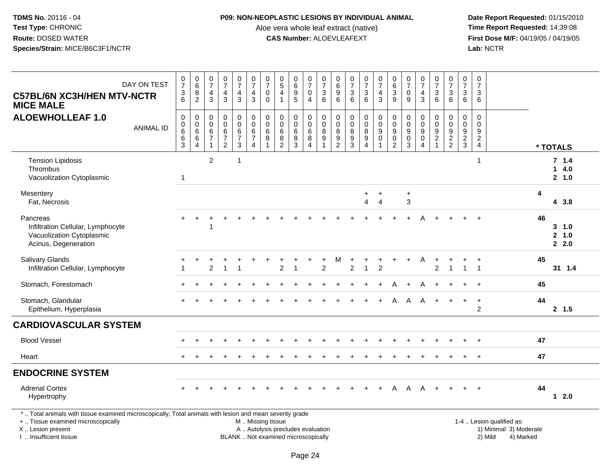## **P09: NON-NEOPLASTIC LESIONS BY INDIVIDUAL ANIMAL**

Aloe vera whole leaf extract (native)<br>**CAS Number:** ALOEVLEAFEXT

 **Date Report Requested:** 01/15/2010 **First Dose M/F:** 04/19/05 / 04/19/05<br>Lab: NCTR **Lab:** NCTR

| DAY ON TEST<br><b>C57BL/6N XC3H/HEN MTV-NCTR</b><br><b>MICE MALE</b>                                                                                                |                  | $\frac{0}{7}$<br>$\frac{3}{6}$                                       | $_{6}^{\rm 0}$<br>$\overline{8}$<br>$\overline{2}$     | 0<br>$\overline{7}$<br>$\overline{4}$<br>$\mathbf{3}$ | $\begin{smallmatrix} 0\\7 \end{smallmatrix}$<br>$\frac{4}{3}$ | $\begin{smallmatrix}0\\7\end{smallmatrix}$<br>$\overline{\mathbf{4}}$<br>$\mathfrak{Z}$ | $\frac{0}{7}$<br>$\overline{4}$<br>$\mathbf{3}$                           | $\frac{0}{7}$<br>0<br>$\mathbf 0$ | $\begin{array}{c} 0 \\ 5 \end{array}$<br>$\overline{4}$<br>$\overline{1}$ | 0<br>0<br>0<br>5              | $\begin{smallmatrix}0\\7\end{smallmatrix}$<br>$\mathbf 0$<br>$\overline{4}$ | $\begin{array}{c} 0 \\ 7 \end{array}$<br>$\frac{3}{6}$                    | $\pmb{0}$<br>$\overline{6}$<br>$\boldsymbol{9}$<br>$\,6\,$ | $\begin{smallmatrix}0\\7\end{smallmatrix}$<br>$\ensuremath{\mathsf{3}}$<br>6 | $\frac{0}{7}$<br>$\frac{3}{6}$                      | $\begin{smallmatrix}0\\7\end{smallmatrix}$<br>$\frac{4}{3}$          | $\begin{array}{c} 0 \\ 6 \end{array}$<br>$\overline{3}$<br>$\boldsymbol{9}$ | $\begin{array}{c} 0 \\ 7 \end{array}$<br>$\pmb{0}$<br>9            | $\begin{array}{c} 0 \\ 7 \end{array}$<br>$\overline{4}$<br>$\mathbf{3}$       | $\frac{0}{7}$<br>$\ensuremath{\mathsf{3}}$<br>$\,6\,$ | $\frac{0}{7}$<br>3<br>6           | $\frac{0}{7}$<br>3<br>$\,6$               | $\begin{smallmatrix}0\\7\end{smallmatrix}$<br>3<br>6           |                                                     |    |                        |
|---------------------------------------------------------------------------------------------------------------------------------------------------------------------|------------------|----------------------------------------------------------------------|--------------------------------------------------------|-------------------------------------------------------|---------------------------------------------------------------|-----------------------------------------------------------------------------------------|---------------------------------------------------------------------------|-----------------------------------|---------------------------------------------------------------------------|-------------------------------|-----------------------------------------------------------------------------|---------------------------------------------------------------------------|------------------------------------------------------------|------------------------------------------------------------------------------|-----------------------------------------------------|----------------------------------------------------------------------|-----------------------------------------------------------------------------|--------------------------------------------------------------------|-------------------------------------------------------------------------------|-------------------------------------------------------|-----------------------------------|-------------------------------------------|----------------------------------------------------------------|-----------------------------------------------------|----|------------------------|
| <b>ALOEWHOLLEAF 1.0</b>                                                                                                                                             | <b>ANIMAL ID</b> | $\mathbf 0$<br>$\begin{matrix}0\\6\\6\end{matrix}$<br>$\mathfrak{S}$ | $\mathbf 0$<br>$\mathbf 0$<br>$^6_6$<br>$\overline{4}$ | 0<br>$\pmb{0}$<br>$\,6\,$<br>$\overline{7}$           | $_{\rm 0}^{\rm 0}$<br>$\frac{6}{7}$<br>$\overline{2}$         | 0<br>$\mathbf 0$<br>$6 \over 7$<br>$\mathfrak{S}$                                       | $\pmb{0}$<br>$\mathbf 0$<br>$\,6\,$<br>$\boldsymbol{7}$<br>$\overline{4}$ | 0<br>$\mathbf 0$<br>6<br>8        | $\pmb{0}$<br>$\mathbf 0$<br>$\,6$<br>$\bf 8$<br>$\overline{2}$            | 0<br>$\pmb{0}$<br>$^6_8$<br>3 | $\mathbf 0$<br>$\mathsf{O}\xspace$<br>$^6_8$<br>4                           | $\pmb{0}$<br>$\begin{array}{c} 0 \\ 8 \\ 9 \end{array}$<br>$\overline{1}$ | 0<br>$\pmb{0}$<br>8<br>$\boldsymbol{9}$<br>$\overline{2}$  | $\mathbf 0$<br>$\mathbf 0$<br>8<br>$9\,$<br>$\overline{3}$                   | 0<br>$\pmb{0}$<br>$^8_9$<br>$\overline{\mathbf{4}}$ | $\pmb{0}$<br>$\overline{0}$<br>$\overline{9}$<br>0<br>$\overline{1}$ | $\pmb{0}$<br>$\pmb{0}$<br>$\boldsymbol{9}$<br>$\pmb{0}$<br>$\overline{2}$   | $\mathbf 0$<br>$\mathbf 0$<br>$_{\rm 0}^{\rm 9}$<br>$\overline{3}$ | $\pmb{0}$<br>$\mathbf 0$<br>$\boldsymbol{9}$<br>$\mathbf 0$<br>$\overline{4}$ | 0<br>$\pmb{0}$<br>$\frac{9}{2}$<br>$\mathbf{1}$       | 0<br>$\mathbf 0$<br>$\frac{9}{2}$ | $\mathbf 0$<br>$\pmb{0}$<br>$\frac{9}{2}$ | $\pmb{0}$<br>$\Omega$<br>9<br>$\overline{c}$<br>$\overline{4}$ |                                                     |    | * TOTALS               |
| <b>Tension Lipidosis</b><br><b>Thrombus</b><br>Vacuolization Cytoplasmic                                                                                            |                  | $\overline{1}$                                                       |                                                        | 2                                                     |                                                               | 1                                                                                       |                                                                           |                                   |                                                                           |                               |                                                                             |                                                                           |                                                            |                                                                              |                                                     |                                                                      |                                                                             |                                                                    |                                                                               |                                                       |                                   |                                           | $\mathbf{1}$                                                   |                                                     |    | 7.14<br>14.0<br>2, 1.0 |
| Mesentery<br>Fat, Necrosis                                                                                                                                          |                  |                                                                      |                                                        |                                                       |                                                               |                                                                                         |                                                                           |                                   |                                                                           |                               |                                                                             |                                                                           |                                                            |                                                                              | $+$<br>$\overline{4}$                               | $\ddot{}$<br>$\overline{4}$                                          |                                                                             | $\ddot{}$<br>$\mathfrak{S}$                                        |                                                                               |                                                       |                                   |                                           |                                                                |                                                     | 4  | 4 3.8                  |
| Pancreas<br>Infiltration Cellular, Lymphocyte<br>Vacuolization Cytoplasmic<br>Acinus, Degeneration                                                                  |                  |                                                                      |                                                        |                                                       |                                                               |                                                                                         |                                                                           |                                   |                                                                           |                               |                                                                             |                                                                           |                                                            |                                                                              |                                                     |                                                                      |                                                                             |                                                                    |                                                                               |                                                       |                                   |                                           | ÷                                                              |                                                     | 46 | 3 1.0<br>2 1.0<br>2.0  |
| Salivary Glands<br>Infiltration Cellular, Lymphocyte                                                                                                                |                  |                                                                      |                                                        | 2                                                     | $\overline{1}$                                                | 1                                                                                       |                                                                           |                                   | $\overline{2}$                                                            | $\overline{ }$                |                                                                             | $\overline{2}$                                                            | M                                                          | $\overline{2}$                                                               | $\mathbf{1}$                                        | $\overline{c}$                                                       |                                                                             |                                                                    | A                                                                             | $\overline{2}$                                        | $\overline{1}$                    | $\mathbf{1}$                              | $\ddot{}$<br>$\overline{1}$                                    |                                                     | 45 | $31 \quad 1.4$         |
| Stomach, Forestomach                                                                                                                                                |                  |                                                                      |                                                        |                                                       |                                                               |                                                                                         |                                                                           |                                   |                                                                           |                               |                                                                             |                                                                           |                                                            |                                                                              |                                                     |                                                                      | A                                                                           | $\ddot{}$                                                          | A                                                                             |                                                       |                                   |                                           |                                                                |                                                     | 45 |                        |
| Stomach, Glandular<br>Epithelium, Hyperplasia                                                                                                                       |                  |                                                                      |                                                        |                                                       |                                                               |                                                                                         |                                                                           |                                   |                                                                           |                               |                                                                             |                                                                           |                                                            |                                                                              |                                                     | $+$                                                                  | A                                                                           | A                                                                  | A                                                                             | $+$                                                   |                                   | $\ddot{}$                                 | $\ddot{}$<br>$\overline{2}$                                    |                                                     | 44 | 2, 1.5                 |
| <b>CARDIOVASCULAR SYSTEM</b>                                                                                                                                        |                  |                                                                      |                                                        |                                                       |                                                               |                                                                                         |                                                                           |                                   |                                                                           |                               |                                                                             |                                                                           |                                                            |                                                                              |                                                     |                                                                      |                                                                             |                                                                    |                                                                               |                                                       |                                   |                                           |                                                                |                                                     |    |                        |
| <b>Blood Vessel</b>                                                                                                                                                 |                  |                                                                      |                                                        |                                                       |                                                               |                                                                                         |                                                                           |                                   |                                                                           |                               |                                                                             |                                                                           |                                                            |                                                                              |                                                     |                                                                      |                                                                             |                                                                    |                                                                               |                                                       |                                   |                                           |                                                                |                                                     | 47 |                        |
| Heart                                                                                                                                                               |                  |                                                                      |                                                        |                                                       |                                                               |                                                                                         |                                                                           |                                   |                                                                           |                               |                                                                             |                                                                           |                                                            |                                                                              |                                                     |                                                                      |                                                                             |                                                                    |                                                                               |                                                       |                                   |                                           |                                                                |                                                     | 47 |                        |
| <b>ENDOCRINE SYSTEM</b>                                                                                                                                             |                  |                                                                      |                                                        |                                                       |                                                               |                                                                                         |                                                                           |                                   |                                                                           |                               |                                                                             |                                                                           |                                                            |                                                                              |                                                     |                                                                      |                                                                             |                                                                    |                                                                               |                                                       |                                   |                                           |                                                                |                                                     |    |                        |
| <b>Adrenal Cortex</b><br>Hypertrophy                                                                                                                                |                  |                                                                      |                                                        |                                                       |                                                               |                                                                                         |                                                                           |                                   |                                                                           |                               |                                                                             |                                                                           |                                                            |                                                                              | $\ddot{}$                                           | $+$                                                                  | A                                                                           |                                                                    | $A \quad A +$                                                                 |                                                       | $+$                               | $+$                                       | $+$                                                            |                                                     | 44 | $12.0$                 |
| *  Total animals with tissue examined microscopically; Total animals with lesion and mean severity grade<br>+  Tissue examined microscopically<br>X  Lesion present |                  |                                                                      |                                                        |                                                       |                                                               |                                                                                         | M  Missing tissue                                                         |                                   | A  Autolysis precludes evaluation                                         |                               |                                                                             |                                                                           |                                                            |                                                                              |                                                     |                                                                      |                                                                             |                                                                    |                                                                               |                                                       |                                   |                                           |                                                                | 1-4  Lesion qualified as:<br>1) Minimal 3) Moderate |    |                        |

I .. Insufficient tissue

BLANK .. Not examined microscopically 2) Mild 4) Marked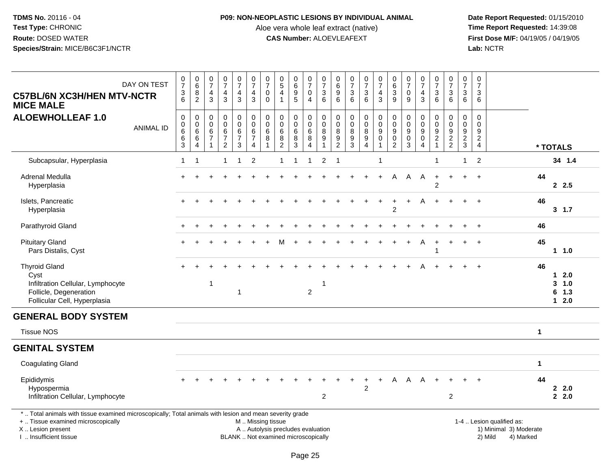## **P09: NON-NEOPLASTIC LESIONS BY INDIVIDUAL ANIMAL**

Aloe vera whole leaf extract (native)<br>**CAS Number:** ALOEVLEAFEXT

| <b>C57BL/6N XC3H/HEN MTV-NCTR</b><br><b>MICE MALE</b>                                                                                                                                         | DAY ON TEST      | $\frac{0}{7}$<br>$\frac{3}{6}$                               | $\begin{array}{c} 0 \\ 6 \end{array}$<br>$\bf 8$<br>$\overline{2}$ | $\frac{0}{7}$<br>$\overline{4}$<br>$\mathbf{3}$                                  | $\frac{0}{7}$<br>$\overline{\mathbf{4}}$<br>$\mathbf{3}$                | $\frac{0}{7}$<br>$\overline{4}$<br>$\overline{3}$ | $\frac{0}{7}$<br>$\frac{4}{3}$                                                    | $\frac{0}{7}$<br>$\pmb{0}$<br>$\mathbf{0}$    | $\begin{array}{c} 0 \\ 5 \end{array}$<br>$\overline{4}$<br>$\overline{1}$ | $_{6}^{\rm 0}$<br>$\frac{9}{5}$                   | $\frac{0}{7}$<br>$\pmb{0}$<br>$\overline{4}$ | $\frac{0}{7}$<br>$\mathbf{3}$<br>6                     | $\pmb{0}$<br>$\,6\,$<br>$\boldsymbol{9}$<br>6                       | $\frac{0}{7}$<br>3<br>6                                   | $\frac{0}{7}$<br>$\mathbf{3}$<br>$6^{\circ}$                      | $\frac{0}{7}$<br>$\overline{4}$<br>$\mathbf{3}$                       | $\begin{array}{c} 0 \\ 6 \end{array}$<br>$\frac{3}{9}$                                        | $\begin{array}{c} 0 \\ 7 \end{array}$<br>$\mathbf 0$<br>9          | $\frac{0}{7}$<br>$\overline{\mathbf{4}}$<br>3                                    | $\frac{0}{7}$<br>3<br>6                                      | $\frac{0}{7}$<br>3<br>$6^{\circ}$                                                      | $\,0\,$<br>$\overline{7}$<br>$\sqrt{3}$<br>$6\phantom{1}$                      | $\pmb{0}$<br>$\overline{7}$<br>$\mathbf{3}$<br>6             |                                                                             |              |                                        |
|-----------------------------------------------------------------------------------------------------------------------------------------------------------------------------------------------|------------------|--------------------------------------------------------------|--------------------------------------------------------------------|----------------------------------------------------------------------------------|-------------------------------------------------------------------------|---------------------------------------------------|-----------------------------------------------------------------------------------|-----------------------------------------------|---------------------------------------------------------------------------|---------------------------------------------------|----------------------------------------------|--------------------------------------------------------|---------------------------------------------------------------------|-----------------------------------------------------------|-------------------------------------------------------------------|-----------------------------------------------------------------------|-----------------------------------------------------------------------------------------------|--------------------------------------------------------------------|----------------------------------------------------------------------------------|--------------------------------------------------------------|----------------------------------------------------------------------------------------|--------------------------------------------------------------------------------|--------------------------------------------------------------|-----------------------------------------------------------------------------|--------------|----------------------------------------|
| <b>ALOEWHOLLEAF 1.0</b>                                                                                                                                                                       | <b>ANIMAL ID</b> | $\pmb{0}$<br>$\frac{0}{6}$<br>$6\phantom{a}$<br>$\mathbf{3}$ | $\pmb{0}$<br>$\frac{0}{6}$<br>$6\phantom{a}$<br>$\overline{4}$     | $\mathbf 0$<br>$\boldsymbol{0}$<br>$\,6\,$<br>$\boldsymbol{7}$<br>$\overline{1}$ | $\pmb{0}$<br>$\mathbf 0$<br>$\,6\,$<br>$\overline{7}$<br>$\overline{c}$ | 0<br>$\mathbf 0$<br>$\,6$<br>$\overline{7}$<br>3  | $\begin{smallmatrix}0\0\0\6\end{smallmatrix}$<br>$\overline{7}$<br>$\overline{4}$ | $\pmb{0}$<br>$\mathbf 0$<br>$\,6\,$<br>8<br>1 | $\pmb{0}$<br>$\pmb{0}$<br>$\,6\,$<br>$\bf 8$<br>$\overline{2}$            | $\pmb{0}$<br>$\pmb{0}$<br>$\,6\,$<br>$\bf 8$<br>3 | 0<br>$\mathbf 0$<br>$\,6\,$<br>$\, 8$<br>4   | $\pmb{0}$<br>$\pmb{0}$<br>8<br>$9\,$<br>$\overline{1}$ | $\pmb{0}$<br>$\mathbf 0$<br>8<br>$\boldsymbol{9}$<br>$\overline{c}$ | $\pmb{0}$<br>$\pmb{0}$<br>$\, 8$<br>$\boldsymbol{9}$<br>3 | $\pmb{0}$<br>$\pmb{0}$<br>$\frac{8}{9}$<br>$\boldsymbol{\Lambda}$ | $\mathbf 0$<br>$\ddot{\mathbf{0}}$<br>$\boldsymbol{9}$<br>$\mathbf 0$ | $\begin{smallmatrix} 0\\0 \end{smallmatrix}$<br>$\overline{9}$<br>$\pmb{0}$<br>$\overline{2}$ | $\mathbf 0$<br>$\mathbf 0$<br>$\boldsymbol{9}$<br>$\mathbf 0$<br>3 | $\pmb{0}$<br>$\boldsymbol{0}$<br>$\boldsymbol{9}$<br>$\pmb{0}$<br>$\overline{4}$ | 0<br>0<br>$\boldsymbol{9}$<br>$\overline{2}$<br>$\mathbf{1}$ | $\pmb{0}$<br>$\mathsf{O}\xspace$<br>$\overline{9}$<br>$\overline{2}$<br>$\overline{2}$ | $\mathsf 0$<br>$\pmb{0}$<br>$\boldsymbol{9}$<br>$\overline{2}$<br>$\mathbf{3}$ | $\mathbf 0$<br>$\Omega$<br>9<br>$\sqrt{2}$<br>$\overline{4}$ |                                                                             |              | * TOTALS                               |
| Subcapsular, Hyperplasia                                                                                                                                                                      |                  | $\mathbf{1}$                                                 | $\overline{1}$                                                     |                                                                                  | $\mathbf{1}$                                                            | $\overline{1}$                                    | $\overline{2}$                                                                    |                                               | 1                                                                         | $\overline{1}$                                    | $\overline{1}$                               | 2                                                      | $\overline{1}$                                                      |                                                           |                                                                   | -1                                                                    |                                                                                               |                                                                    |                                                                                  | 1                                                            |                                                                                        | $\overline{1}$                                                                 | 2                                                            |                                                                             |              | 34 1.4                                 |
| Adrenal Medulla<br>Hyperplasia                                                                                                                                                                |                  |                                                              |                                                                    |                                                                                  |                                                                         |                                                   |                                                                                   |                                               |                                                                           |                                                   |                                              |                                                        |                                                                     |                                                           |                                                                   | $+$                                                                   | A                                                                                             | $\mathsf{A}$                                                       | A                                                                                | $\ddot{}$<br>2                                               | $+$                                                                                    | $+$                                                                            | $+$                                                          |                                                                             | 44           | 2.5                                    |
| Islets, Pancreatic<br>Hyperplasia                                                                                                                                                             |                  |                                                              |                                                                    |                                                                                  |                                                                         |                                                   |                                                                                   |                                               |                                                                           |                                                   |                                              |                                                        |                                                                     |                                                           |                                                                   |                                                                       | $\overline{2}$                                                                                | ÷                                                                  | А                                                                                |                                                              |                                                                                        | $+$                                                                            | $+$                                                          |                                                                             | 46           | 3, 1.7                                 |
| Parathyroid Gland                                                                                                                                                                             |                  |                                                              |                                                                    |                                                                                  |                                                                         |                                                   |                                                                                   |                                               |                                                                           |                                                   |                                              |                                                        |                                                                     |                                                           |                                                                   |                                                                       |                                                                                               |                                                                    |                                                                                  |                                                              |                                                                                        |                                                                                | $\ddot{}$                                                    |                                                                             | 46           |                                        |
| <b>Pituitary Gland</b><br>Pars Distalis, Cyst                                                                                                                                                 |                  |                                                              |                                                                    |                                                                                  |                                                                         |                                                   |                                                                                   |                                               |                                                                           |                                                   |                                              |                                                        |                                                                     |                                                           |                                                                   |                                                                       |                                                                                               |                                                                    |                                                                                  | -1                                                           |                                                                                        | $\ddot{}$                                                                      | $+$                                                          |                                                                             | 45           | 11.0                                   |
| <b>Thyroid Gland</b><br>Cyst<br>Infiltration Cellular, Lymphocyte<br>Follicle, Degeneration<br>Follicular Cell, Hyperplasia                                                                   |                  |                                                              |                                                                    | -1                                                                               |                                                                         | 1                                                 |                                                                                   |                                               |                                                                           |                                                   | $\overline{c}$                               | -1                                                     |                                                                     |                                                           |                                                                   |                                                                       |                                                                                               |                                                                    |                                                                                  |                                                              |                                                                                        |                                                                                |                                                              |                                                                             | 46           | $1 2.0$<br>3, 1.0<br>$6$ 1.3<br>$12.0$ |
| <b>GENERAL BODY SYSTEM</b>                                                                                                                                                                    |                  |                                                              |                                                                    |                                                                                  |                                                                         |                                                   |                                                                                   |                                               |                                                                           |                                                   |                                              |                                                        |                                                                     |                                                           |                                                                   |                                                                       |                                                                                               |                                                                    |                                                                                  |                                                              |                                                                                        |                                                                                |                                                              |                                                                             |              |                                        |
| <b>Tissue NOS</b>                                                                                                                                                                             |                  |                                                              |                                                                    |                                                                                  |                                                                         |                                                   |                                                                                   |                                               |                                                                           |                                                   |                                              |                                                        |                                                                     |                                                           |                                                                   |                                                                       |                                                                                               |                                                                    |                                                                                  |                                                              |                                                                                        |                                                                                |                                                              |                                                                             | $\mathbf{1}$ |                                        |
| <b>GENITAL SYSTEM</b>                                                                                                                                                                         |                  |                                                              |                                                                    |                                                                                  |                                                                         |                                                   |                                                                                   |                                               |                                                                           |                                                   |                                              |                                                        |                                                                     |                                                           |                                                                   |                                                                       |                                                                                               |                                                                    |                                                                                  |                                                              |                                                                                        |                                                                                |                                                              |                                                                             |              |                                        |
| <b>Coagulating Gland</b>                                                                                                                                                                      |                  |                                                              |                                                                    |                                                                                  |                                                                         |                                                   |                                                                                   |                                               |                                                                           |                                                   |                                              |                                                        |                                                                     |                                                           |                                                                   |                                                                       |                                                                                               |                                                                    |                                                                                  |                                                              |                                                                                        |                                                                                |                                                              |                                                                             | $\mathbf 1$  |                                        |
| Epididymis<br>Hypospermia<br>Infiltration Cellular, Lymphocyte                                                                                                                                |                  | $\div$                                                       |                                                                    |                                                                                  |                                                                         |                                                   |                                                                                   |                                               |                                                                           |                                                   |                                              | $\overline{c}$                                         |                                                                     |                                                           | $\ddot{}$<br>$\overline{2}$                                       | $\ddot{}$                                                             | A                                                                                             | A                                                                  | $\mathsf{A}$                                                                     | $+$                                                          | $\ddot{}$<br>$\overline{2}$                                                            | $\div$                                                                         | $+$                                                          |                                                                             | 44           | 2.0<br>2.0                             |
| *  Total animals with tissue examined microscopically; Total animals with lesion and mean severity grade<br>+  Tissue examined microscopically<br>X  Lesion present<br>I. Insufficient tissue |                  |                                                              |                                                                    |                                                                                  |                                                                         |                                                   | M  Missing tissue                                                                 |                                               | A  Autolysis precludes evaluation<br>BLANK  Not examined microscopically  |                                                   |                                              |                                                        |                                                                     |                                                           |                                                                   |                                                                       |                                                                                               |                                                                    |                                                                                  |                                                              |                                                                                        |                                                                                |                                                              | 1-4  Lesion qualified as:<br>1) Minimal 3) Moderate<br>2) Mild<br>4) Marked |              |                                        |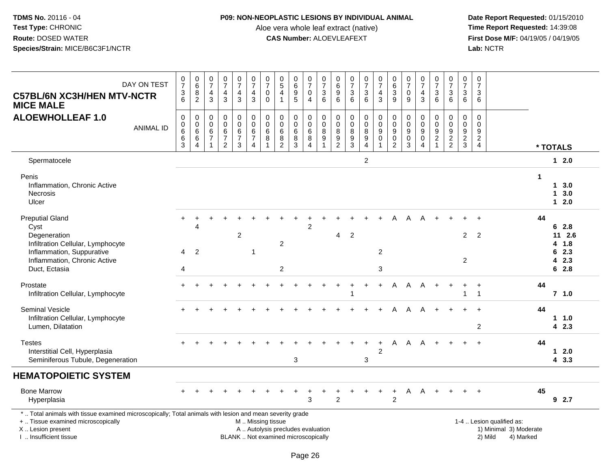### **P09: NON-NEOPLASTIC LESIONS BY INDIVIDUAL ANIMAL**

Aloe vera whole leaf extract (native)<br>**CAS Number:** ALOEVLEAFEXT

| <b>C57BL/6N XC3H/HEN MTV-NCTR</b><br><b>MICE MALE</b>                                                                                                                                        | DAY ON TEST      | $\frac{0}{7}$<br>$\frac{3}{6}$                          | $_{6}^{\rm 0}$<br>$\overline{8}$<br>$\overline{2}$                                      | $\begin{array}{c} 0 \\ 7 \end{array}$<br>$\overline{4}$<br>3 | $\frac{0}{7}$<br>$\frac{4}{3}$                                                 | $\begin{array}{c} 0 \\ 7 \end{array}$<br>$\overline{4}$<br>$\mathfrak{S}$ | $\frac{0}{7}$<br>$\overline{\mathbf{4}}$<br>$\mathbf{3}$ | $\frac{0}{7}$<br>$\pmb{0}$<br>$\mathbf 0$  | $\begin{array}{c} 0 \\ 5 \end{array}$<br>$\overline{4}$<br>$\mathbf{1}$           | 0<br>6<br>9<br>5                                                         | $\frac{0}{7}$<br>$\pmb{0}$<br>$\overline{4}$                | $\frac{0}{7}$<br>$\frac{3}{6}$                                                   | $\begin{array}{c} 0 \\ 6 \end{array}$<br>$\boldsymbol{9}$<br>6 | $\begin{array}{c} 0 \\ 7 \end{array}$<br>$\sqrt{3}$<br>6    | $\frac{0}{7}$<br>$\mathbf{3}$<br>$6\phantom{1}$                     | $\frac{0}{7}$<br>$\frac{4}{3}$                                             | $\begin{array}{c} 0 \\ 6 \\ 3 \end{array}$<br>9                             | $\frac{0}{7}$<br>$\pmb{0}$<br>9                            | $\begin{array}{c} 0 \\ 7 \end{array}$<br>$\frac{4}{3}$                      | $\frac{0}{7}$<br>$\frac{3}{6}$                                          | $\frac{0}{7}$<br>$\ensuremath{\mathsf{3}}$<br>6 | $\begin{array}{c} 0 \\ 7 \end{array}$<br>$\ensuremath{\mathsf{3}}$<br>6 | $\frac{0}{7}$<br>3<br>6                          |                                                                             |    |                              |
|----------------------------------------------------------------------------------------------------------------------------------------------------------------------------------------------|------------------|---------------------------------------------------------|-----------------------------------------------------------------------------------------|--------------------------------------------------------------|--------------------------------------------------------------------------------|---------------------------------------------------------------------------|----------------------------------------------------------|--------------------------------------------|-----------------------------------------------------------------------------------|--------------------------------------------------------------------------|-------------------------------------------------------------|----------------------------------------------------------------------------------|----------------------------------------------------------------|-------------------------------------------------------------|---------------------------------------------------------------------|----------------------------------------------------------------------------|-----------------------------------------------------------------------------|------------------------------------------------------------|-----------------------------------------------------------------------------|-------------------------------------------------------------------------|-------------------------------------------------|-------------------------------------------------------------------------|--------------------------------------------------|-----------------------------------------------------------------------------|----|------------------------------|
| <b>ALOEWHOLLEAF 1.0</b>                                                                                                                                                                      | <b>ANIMAL ID</b> | $\pmb{0}$<br>0<br>$\overline{6}$<br>6<br>$\overline{3}$ | $\mathsf{O}\xspace$<br>$\begin{array}{c} 0 \\ 6 \end{array}$<br>$\,6$<br>$\overline{4}$ | $\mathbf 0$<br>0<br>$\,6\,$<br>$\overline{7}$                | $\mathbf 0$<br>$\pmb{0}$<br>$6\phantom{a}$<br>$\overline{7}$<br>$\overline{2}$ | 0<br>$\mathbf 0$<br>$\,6\,$<br>$\overline{7}$<br>$\mathbf{3}$             | $\mathbf 0$<br>$\pmb{0}$<br>6<br>$\overline{7}$<br>4     | $\mathbf 0$<br>$\mathbf 0$<br>$\,6\,$<br>8 | $\mathsf{O}\xspace$<br>$\mathbf 0$<br>$6\phantom{a}$<br>$\bf 8$<br>$\overline{2}$ | $\mathbf 0$<br>0<br>$\,6$<br>8<br>$\overline{3}$                         | 0<br>$\mathsf{O}$<br>$6\overline{6}$<br>8<br>$\overline{4}$ | $\mathbf 0$<br>$\mathbf 0$<br>$\overline{8}$<br>$\boldsymbol{9}$<br>$\mathbf{1}$ | 0<br>0<br>$\,8\,$<br>$\frac{9}{2}$                             | $\pmb{0}$<br>$\mathbf 0$<br>$\overline{8}$<br>$\frac{9}{3}$ | 0<br>$\mathsf{O}\xspace$<br>$\overline{8}$<br>$\boldsymbol{9}$<br>4 | $\begin{smallmatrix}0\0\0\9\end{smallmatrix}$<br>$\pmb{0}$<br>$\mathbf{1}$ | $\mathsf 0$<br>$\pmb{0}$<br>$\overline{9}$<br>$\mathsf 0$<br>$\overline{2}$ | $\pmb{0}$<br>$\pmb{0}$<br>$\overline{9}$<br>$_{3}^{\rm 0}$ | $\mathbf 0$<br>$\pmb{0}$<br>$\overline{9}$<br>$\mathbf 0$<br>$\overline{4}$ | 0<br>$\boldsymbol{0}$<br>$\overline{9}$<br>$\sqrt{2}$<br>$\overline{1}$ | 0<br>$\mathbf 0$<br>$9\,$<br>$\frac{2}{2}$      | $\mathbf 0$<br>$\mathbf 0$<br>$\boldsymbol{9}$<br>$\frac{2}{3}$         | $\mathbf 0$<br>$\mathbf 0$<br>9<br>$\frac{2}{4}$ |                                                                             |    | * TOTALS                     |
| Spermatocele                                                                                                                                                                                 |                  |                                                         |                                                                                         |                                                              |                                                                                |                                                                           |                                                          |                                            |                                                                                   |                                                                          |                                                             |                                                                                  |                                                                |                                                             | $\overline{c}$                                                      |                                                                            |                                                                             |                                                            |                                                                             |                                                                         |                                                 |                                                                         |                                                  |                                                                             |    | $12.0$                       |
| Penis<br>Inflammation, Chronic Active<br><b>Necrosis</b><br>Ulcer                                                                                                                            |                  |                                                         |                                                                                         |                                                              |                                                                                |                                                                           |                                                          |                                            |                                                                                   |                                                                          |                                                             |                                                                                  |                                                                |                                                             |                                                                     |                                                                            |                                                                             |                                                            |                                                                             |                                                                         |                                                 |                                                                         |                                                  |                                                                             | -1 | 13.0<br>13.0<br>$12.0$       |
| <b>Preputial Gland</b><br>Cyst<br>Degeneration<br>Infiltration Cellular, Lymphocyte                                                                                                          |                  |                                                         | 4                                                                                       |                                                              |                                                                                | $\overline{c}$                                                            |                                                          |                                            | $\overline{c}$                                                                    |                                                                          | 2                                                           |                                                                                  | 4                                                              | $\overline{2}$                                              |                                                                     |                                                                            |                                                                             | А                                                          |                                                                             |                                                                         |                                                 | $\overline{2}$                                                          | $\overline{2}$                                   |                                                                             | 44 | 62.8<br>$11 \t2.6$<br>4 1.8  |
| Inflammation, Suppurative<br>Inflammation, Chronic Active<br>Duct, Ectasia                                                                                                                   |                  | 4<br>4                                                  | $\overline{2}$                                                                          |                                                              |                                                                                |                                                                           | -1                                                       |                                            | $\overline{2}$                                                                    |                                                                          |                                                             |                                                                                  |                                                                |                                                             |                                                                     | $\overline{c}$<br>3                                                        |                                                                             |                                                            |                                                                             |                                                                         |                                                 | $\overline{c}$                                                          |                                                  |                                                                             |    | 6<br>2.3<br>2.3<br>4<br>62.8 |
| Prostate<br>Infiltration Cellular, Lymphocyte                                                                                                                                                |                  |                                                         |                                                                                         |                                                              |                                                                                |                                                                           |                                                          |                                            |                                                                                   |                                                                          |                                                             |                                                                                  |                                                                |                                                             |                                                                     | $\ddot{}$                                                                  | A                                                                           | A                                                          | A                                                                           |                                                                         |                                                 | 1                                                                       | $\overline{1}$<br>$\mathbf{1}$                   |                                                                             | 44 | $7$ 1.0                      |
| <b>Seminal Vesicle</b><br>Infiltration Cellular, Lymphocyte<br>Lumen, Dilatation                                                                                                             |                  |                                                         |                                                                                         |                                                              |                                                                                |                                                                           |                                                          |                                            |                                                                                   |                                                                          |                                                             |                                                                                  |                                                                |                                                             |                                                                     |                                                                            | А                                                                           |                                                            | А                                                                           |                                                                         |                                                 |                                                                         | 2                                                |                                                                             | 44 | 11.0<br>42.3                 |
| <b>Testes</b><br>Interstitial Cell, Hyperplasia<br>Seminiferous Tubule, Degeneration                                                                                                         |                  |                                                         |                                                                                         |                                                              |                                                                                |                                                                           |                                                          |                                            |                                                                                   | 3                                                                        |                                                             |                                                                                  |                                                                |                                                             | 3                                                                   | $\overline{2}$                                                             | A                                                                           | A                                                          | A                                                                           |                                                                         |                                                 |                                                                         |                                                  |                                                                             | 44 | $12.0$<br>43.3               |
| <b>HEMATOPOIETIC SYSTEM</b>                                                                                                                                                                  |                  |                                                         |                                                                                         |                                                              |                                                                                |                                                                           |                                                          |                                            |                                                                                   |                                                                          |                                                             |                                                                                  |                                                                |                                                             |                                                                     |                                                                            |                                                                             |                                                            |                                                                             |                                                                         |                                                 |                                                                         |                                                  |                                                                             |    |                              |
| <b>Bone Marrow</b><br>Hyperplasia                                                                                                                                                            |                  |                                                         |                                                                                         |                                                              |                                                                                |                                                                           |                                                          |                                            |                                                                                   |                                                                          | 3                                                           |                                                                                  | $\overline{2}$                                                 |                                                             |                                                                     |                                                                            | $\ddot{}$<br>$\overline{2}$                                                 | A                                                          | A                                                                           |                                                                         |                                                 |                                                                         |                                                  |                                                                             | 45 | 92.7                         |
| *  Total animals with tissue examined microscopically; Total animals with lesion and mean severity grade<br>+  Tissue examined microscopically<br>X Lesion present<br>I. Insufficient tissue |                  |                                                         |                                                                                         |                                                              |                                                                                |                                                                           | M  Missing tissue                                        |                                            |                                                                                   | A  Autolysis precludes evaluation<br>BLANK  Not examined microscopically |                                                             |                                                                                  |                                                                |                                                             |                                                                     |                                                                            |                                                                             |                                                            |                                                                             |                                                                         |                                                 |                                                                         |                                                  | 1-4  Lesion qualified as:<br>1) Minimal 3) Moderate<br>2) Mild<br>4) Marked |    |                              |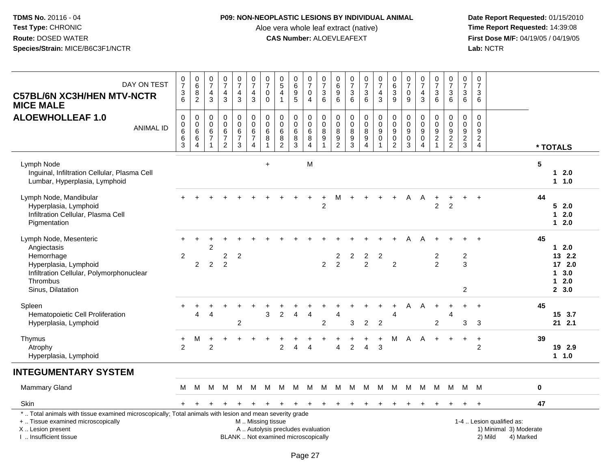# **P09: NON-NEOPLASTIC LESIONS BY INDIVIDUAL ANIMAL**

Aloe vera whole leaf extract (native)<br>**CAS Number:** ALOEVLEAFEXT

| DAY ON TEST<br><b>C57BL/6N XC3H/HEN MTV-NCTR</b><br><b>MICE MALE</b>                                                                                                                          | $\frac{0}{7}$<br>$\frac{3}{6}$                         | $_{6}^{\rm 0}$<br>$\bf 8$<br>$\overline{2}$                     | 0<br>$\overline{7}$<br>$\overline{4}$<br>$\mathbf{3}$ | $\frac{0}{7}$<br>$\overline{\mathbf{4}}$<br>$\mathbf{3}$                | $\begin{array}{c} 0 \\ 7 \end{array}$<br>4<br>$\mathbf{3}$ | $\frac{0}{7}$<br>4<br>$\mathbf{3}$                         | $\begin{array}{c} 0 \\ 7 \end{array}$<br>0<br>$\mathbf 0$ | $\begin{array}{c} 0 \\ 5 \end{array}$<br>$\overline{4}$<br>$\overline{1}$ | $\begin{array}{c} 0 \\ 6 \end{array}$<br>$\begin{array}{c} 9 \\ 5 \end{array}$ | 0<br>$\overline{7}$<br>$\mathbf 0$<br>$\overline{4}$ | $\frac{0}{7}$<br>$\sqrt{3}$<br>6                          | 0<br>$\,6$<br>$\boldsymbol{9}$<br>6                              | $\frac{0}{7}$<br>$\ensuremath{\mathsf{3}}$<br>6        | $\frac{0}{7}$<br>3<br>$6^{\circ}$                               | $\frac{0}{7}$<br>$\overline{4}$<br>$\mathbf{3}$                                     | $\begin{array}{c} 0 \\ 6 \end{array}$<br>$\sqrt{3}$<br>$\overline{9}$       | $\frac{0}{7}$<br>$\pmb{0}$<br>9                                | $\frac{0}{7}$<br>$\overline{4}$<br>$\mathbf{3}$                                     | $\frac{0}{7}$<br>3<br>$6\phantom{1}6$                                | 0<br>$\overline{7}$<br>3<br>$6\phantom{1}$                               | 0<br>$\overline{7}$<br>3<br>$6\phantom{a}$            | $\pmb{0}$<br>$\overline{7}$<br>$\mathbf{3}$<br>6 |                                                                             |                |                                                        |
|-----------------------------------------------------------------------------------------------------------------------------------------------------------------------------------------------|--------------------------------------------------------|-----------------------------------------------------------------|-------------------------------------------------------|-------------------------------------------------------------------------|------------------------------------------------------------|------------------------------------------------------------|-----------------------------------------------------------|---------------------------------------------------------------------------|--------------------------------------------------------------------------------|------------------------------------------------------|-----------------------------------------------------------|------------------------------------------------------------------|--------------------------------------------------------|-----------------------------------------------------------------|-------------------------------------------------------------------------------------|-----------------------------------------------------------------------------|----------------------------------------------------------------|-------------------------------------------------------------------------------------|----------------------------------------------------------------------|--------------------------------------------------------------------------|-------------------------------------------------------|--------------------------------------------------|-----------------------------------------------------------------------------|----------------|--------------------------------------------------------|
| <b>ALOEWHOLLEAF 1.0</b><br><b>ANIMAL ID</b>                                                                                                                                                   | $\pmb{0}$<br>$_{6}^{\rm 0}$<br>$\,6\,$<br>$\mathbf{3}$ | $\pmb{0}$<br>$\pmb{0}$<br>6<br>$\overline{6}$<br>$\overline{4}$ | 0<br>$\mathbf 0$<br>$\,6\,$<br>$\overline{7}$         | $\mathsf 0$<br>$\pmb{0}$<br>$\,6\,$<br>$\overline{7}$<br>$\overline{2}$ | 0<br>$\pmb{0}$<br>$\,6\,$<br>$\overline{7}$<br>3           | $\pmb{0}$<br>$\pmb{0}$<br>$\,6\,$<br>$\boldsymbol{7}$<br>4 | $\mathbf 0$<br>$\mathbf 0$<br>$\,6$<br>8                  | $\mathsf{O}\xspace$<br>$\mathbf 0$<br>$\,6\,$<br>$\bf8$<br>$\overline{2}$ | $\pmb{0}$<br>$\pmb{0}$<br>$\,6\,$<br>$\overline{8}$<br>3                       | 0<br>$\mathbf 0$<br>$\,6\,$<br>$\bf 8$<br>4          | $\pmb{0}$<br>$\pmb{0}$<br>$\bf 8$<br>$\overline{9}$<br>-1 | 0<br>$\mathbf 0$<br>$\, 8$<br>$\boldsymbol{9}$<br>$\overline{2}$ | $\pmb{0}$<br>$\mathbf 0$<br>8<br>$\boldsymbol{9}$<br>3 | 0<br>$\mathsf 0$<br>$\bf 8$<br>$\overline{9}$<br>$\overline{4}$ | $\pmb{0}$<br>$\mathsf{O}\xspace$<br>$\overline{9}$<br>$\mathbf 0$<br>$\overline{1}$ | $\pmb{0}$<br>$\pmb{0}$<br>$\boldsymbol{9}$<br>$\mathbf 0$<br>$\overline{2}$ | $\mathbf 0$<br>$\pmb{0}$<br>$\boldsymbol{9}$<br>$\pmb{0}$<br>3 | $\pmb{0}$<br>$\mathbf 0$<br>$\boldsymbol{9}$<br>$\pmb{0}$<br>$\boldsymbol{\Lambda}$ | 0<br>$\pmb{0}$<br>$\boldsymbol{9}$<br>$\overline{2}$<br>$\mathbf{1}$ | 0<br>$\mathsf 0$<br>$\boldsymbol{9}$<br>$\overline{2}$<br>$\overline{2}$ | $\mathbf 0$<br>0<br>$\boldsymbol{9}$<br>$\frac{2}{3}$ | $\mathbf 0$<br>0<br>9<br>$_4^2$                  |                                                                             |                | * TOTALS                                               |
| Lymph Node<br>Inguinal, Infiltration Cellular, Plasma Cell<br>Lumbar, Hyperplasia, Lymphoid                                                                                                   |                                                        |                                                                 |                                                       |                                                                         |                                                            |                                                            | $\ddot{}$                                                 |                                                                           |                                                                                | M                                                    |                                                           |                                                                  |                                                        |                                                                 |                                                                                     |                                                                             |                                                                |                                                                                     |                                                                      |                                                                          |                                                       |                                                  |                                                                             | $5\phantom{1}$ | $12.0$<br>1 1.0                                        |
| Lymph Node, Mandibular<br>Hyperplasia, Lymphoid<br>Infiltration Cellular, Plasma Cell<br>Pigmentation                                                                                         |                                                        |                                                                 |                                                       |                                                                         |                                                            |                                                            |                                                           |                                                                           |                                                                                | $\ddot{}$                                            | $\ddot{}$<br>$\overline{2}$                               | М                                                                | $+$                                                    | $\ddot{}$                                                       | $\ddot{}$                                                                           | $+$                                                                         | A                                                              | A                                                                                   | $\ddot{}$<br>$\overline{2}$                                          | $\boldsymbol{2}$                                                         | ÷                                                     | $\ddot{}$                                        |                                                                             | 44             | 52.0<br>2.0<br>$\mathbf 1$<br>$12.0$                   |
| Lymph Node, Mesenteric<br>Angiectasis<br>Hemorrhage<br>Hyperplasia, Lymphoid<br>Infiltration Cellular, Polymorphonuclear<br>Thrombus<br>Sinus, Dilatation                                     | $\overline{2}$                                         | 2                                                               | 2<br>$\overline{2}$                                   | $\overline{c}$<br>$\overline{2}$                                        | 2                                                          |                                                            |                                                           |                                                                           |                                                                                |                                                      | $\overline{2}$                                            | 2<br>$\overline{2}$                                              | $\overline{\mathbf{c}}$                                | $\overline{a}$<br>$\overline{2}$                                | $\overline{2}$                                                                      | $\overline{2}$                                                              |                                                                |                                                                                     | 2<br>$\overline{2}$                                                  |                                                                          | $\overline{\mathbf{c}}$<br>3<br>$\overline{2}$        |                                                  |                                                                             | 45             | $12.0$<br>13 2.2<br>17 2.0<br>13.0<br>$12.0$<br>2, 3.0 |
| Spleen<br>Hematopoietic Cell Proliferation<br>Hyperplasia, Lymphoid                                                                                                                           |                                                        | $\div$<br>$\overline{4}$                                        | 4                                                     |                                                                         | +<br>2                                                     |                                                            | 3                                                         | $\overline{2}$                                                            | $\overline{4}$                                                                 | $\overline{4}$                                       | 2                                                         | 4                                                                | 3                                                      | $\overline{2}$                                                  | $\ddot{}$<br>$\overline{c}$                                                         | $\ddot{}$<br>$\overline{4}$                                                 | A                                                              | A                                                                                   | $\ddot{}$<br>$\overline{2}$                                          | 4                                                                        | $\ddot{}$<br>3                                        | $\ddot{}$<br>3                                   |                                                                             | 45             | 15 3.7<br>21 2.1                                       |
| Thymus<br>Atrophy<br>Hyperplasia, Lymphoid                                                                                                                                                    | +<br>2                                                 | м                                                               | 2                                                     |                                                                         |                                                            |                                                            |                                                           | 2                                                                         | $\overline{4}$                                                                 | $\Delta$                                             |                                                           | 4                                                                | $\overline{2}$                                         | $\overline{4}$                                                  | $\ddot{}$<br>3                                                                      | м                                                                           | A                                                              | A                                                                                   | $\ddot{+}$                                                           |                                                                          | $\ddot{}$                                             | $\ddot{}$<br>2                                   |                                                                             | 39             | 19 2.9<br>1 1.0                                        |
| <b>INTEGUMENTARY SYSTEM</b>                                                                                                                                                                   |                                                        |                                                                 |                                                       |                                                                         |                                                            |                                                            |                                                           |                                                                           |                                                                                |                                                      |                                                           |                                                                  |                                                        |                                                                 |                                                                                     |                                                                             |                                                                |                                                                                     |                                                                      |                                                                          |                                                       |                                                  |                                                                             |                |                                                        |
| Mammary Gland                                                                                                                                                                                 | М                                                      | м                                                               | м                                                     | м                                                                       | M                                                          | M                                                          | M                                                         | M                                                                         | M                                                                              | M                                                    | M                                                         | M                                                                | M                                                      | M                                                               | M                                                                                   | M                                                                           | М                                                              | м                                                                                   | M                                                                    | M                                                                        | M                                                     | M                                                |                                                                             | $\pmb{0}$      |                                                        |
| Skin                                                                                                                                                                                          | $+$                                                    | $\pm$                                                           |                                                       |                                                                         | $\pm$                                                      |                                                            | $\ddot{}$                                                 | $\ddot{}$                                                                 | $\overline{+}$                                                                 | $\overline{+}$                                       | $\pm$                                                     | $\ddot{}$                                                        | ÷.                                                     | $\ddot{}$                                                       | $\ddot{}$                                                                           | $\pm$                                                                       |                                                                |                                                                                     |                                                                      |                                                                          | $\ddot{}$                                             | $\pm$                                            |                                                                             | 47             |                                                        |
| *  Total animals with tissue examined microscopically; Total animals with lesion and mean severity grade<br>+  Tissue examined microscopically<br>X  Lesion present<br>I  Insufficient tissue |                                                        |                                                                 |                                                       |                                                                         |                                                            | M  Missing tissue                                          |                                                           | A  Autolysis precludes evaluation<br>BLANK  Not examined microscopically  |                                                                                |                                                      |                                                           |                                                                  |                                                        |                                                                 |                                                                                     |                                                                             |                                                                |                                                                                     |                                                                      |                                                                          |                                                       |                                                  | 1-4  Lesion qualified as:<br>1) Minimal 3) Moderate<br>2) Mild<br>4) Marked |                |                                                        |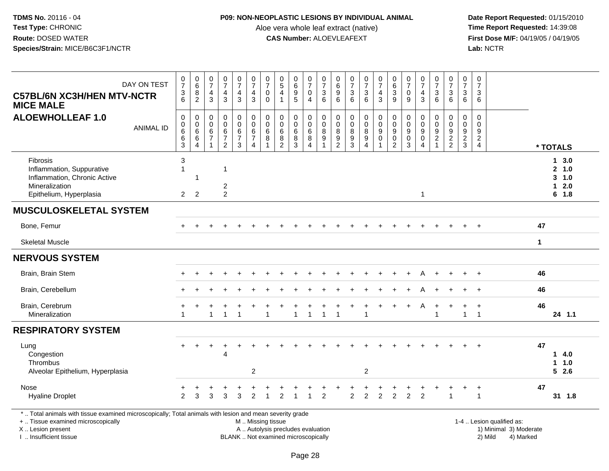## **P09: NON-NEOPLASTIC LESIONS BY INDIVIDUAL ANIMAL**

Aloe vera whole leaf extract (native)<br>**CAS Number:** ALOEVLEAFEXT

 **Date Report Requested:** 01/15/2010 **First Dose M/F:** 04/19/05 / 04/19/05<br>Lab: NCTR **Lab:** NCTR

| DAY ON TEST<br><b>C57BL/6N XC3H/HEN MTV-NCTR</b><br><b>MICE MALE</b>                                                                                                | $\frac{0}{7}$<br>3<br>6                                   | $\begin{matrix} 0 \\ 6 \end{matrix}$<br>8<br>$\overline{2}$ | $\frac{0}{7}$<br>$\overline{4}$<br>3                      | $\frac{0}{7}$<br>$\overline{4}$<br>3                      | $\frac{0}{7}$<br>$\overline{4}$<br>3         | $\frac{0}{7}$<br>$\overline{4}$<br>$\mathbf{3}$          | $\frac{0}{7}$<br>$\mathbf 0$<br>$\Omega$   | $\begin{array}{c} 0 \\ 5 \end{array}$<br>$\overline{4}$<br>$\overline{1}$ | $_{6}^{\rm 0}$<br>$\overline{9}$<br>$\overline{5}$ | $\frac{0}{7}$<br>$\mathbf 0$<br>$\overline{4}$               | $\frac{0}{7}$<br>$\ensuremath{\mathsf{3}}$<br>6 | $\begin{array}{c} 0 \\ 6 \end{array}$<br>$\frac{9}{6}$                 | $\begin{smallmatrix}0\\7\end{smallmatrix}$<br>$\mathsf 3$<br>6            | $\frac{0}{7}$<br>$\mathbf{3}$<br>6                | $\frac{0}{7}$<br>$\overline{4}$<br>$\mathbf{3}$           | $\begin{matrix} 0 \\ 6 \\ 3 \end{matrix}$<br>9         | $\frac{0}{7}$<br>$\mathbf 0$<br>9         | $\frac{0}{7}$<br>$\overline{4}$<br>3                       | $\begin{array}{c} 0 \\ 7 \end{array}$<br>$\sqrt{3}$<br>$6\phantom{1}$ | $\frac{0}{7}$<br>3<br>6                                                  | $\frac{0}{7}$<br>$\sqrt{3}$<br>6  | $\pmb{0}$<br>$\overline{7}$<br>$\mathbf{3}$<br>6          |                                                     |              |                                               |
|---------------------------------------------------------------------------------------------------------------------------------------------------------------------|-----------------------------------------------------------|-------------------------------------------------------------|-----------------------------------------------------------|-----------------------------------------------------------|----------------------------------------------|----------------------------------------------------------|--------------------------------------------|---------------------------------------------------------------------------|----------------------------------------------------|--------------------------------------------------------------|-------------------------------------------------|------------------------------------------------------------------------|---------------------------------------------------------------------------|---------------------------------------------------|-----------------------------------------------------------|--------------------------------------------------------|-------------------------------------------|------------------------------------------------------------|-----------------------------------------------------------------------|--------------------------------------------------------------------------|-----------------------------------|-----------------------------------------------------------|-----------------------------------------------------|--------------|-----------------------------------------------|
| <b>ALOEWHOLLEAF 1.0</b><br><b>ANIMAL ID</b>                                                                                                                         | $\mathbf 0$<br>0<br>6<br>6<br>3                           | $\mathbf 0$<br>$\pmb{0}$<br>$\,6\,$<br>$\overline{6}$<br>4  | $\mathbf 0$<br>$\pmb{0}$<br>$\frac{6}{7}$<br>$\mathbf{1}$ | $\pmb{0}$<br>$\pmb{0}$<br>$\frac{6}{7}$<br>$\overline{2}$ | 0<br>$\mathsf{O}\xspace$<br>$6 \over 7$<br>3 | $\pmb{0}$<br>$\pmb{0}$<br>$\,6\,$<br>$\overline{7}$<br>4 | $\mathbf 0$<br>$\mathbf 0$<br>$\,6\,$<br>8 | $\Omega$<br>$\mathbf 0$<br>$6\phantom{1}6$<br>8<br>$\overline{2}$         | $\mathbf 0$<br>$\mathbf 0$<br>$^6_8$<br>3          | $\pmb{0}$<br>$\mathbf 0$<br>$^6_8$<br>$\boldsymbol{\Lambda}$ | $\pmb{0}$<br>$\mathbf 0$<br>$^8_9$              | $\mathbf 0$<br>$\pmb{0}$<br>$\begin{array}{c} 8 \\ 9 \\ 2 \end{array}$ | $\mathbf 0$<br>$\mathbf 0$<br>$\bf 8$<br>$\overline{9}$<br>$\overline{3}$ | 0<br>$\boldsymbol{0}$<br>8<br>$\overline{9}$<br>4 | $\pmb{0}$<br>$\pmb{0}$<br>$\frac{9}{0}$<br>$\overline{1}$ | $\pmb{0}$<br>$\pmb{0}$<br>$_{0}^{9}$<br>$\overline{2}$ | $\mathbf 0$<br>$\mathbf 0$<br>9<br>0<br>3 | $\mathbf 0$<br>$\mathbf 0$<br>9<br>$\mathbf 0$<br>$\Delta$ | $\mathbf 0$<br>$\pmb{0}$<br>$\frac{9}{2}$<br>$\mathbf{1}$             | $\mathbf 0$<br>$\mathbf 0$<br>$\begin{array}{c} 9 \\ 2 \\ 2 \end{array}$ | $\mathbf 0$<br>0<br>$\frac{9}{2}$ | $\mathbf 0$<br>0<br>9<br>$\overline{2}$<br>$\overline{4}$ |                                                     |              | * TOTALS                                      |
| Fibrosis<br>Inflammation, Suppurative<br>Inflammation, Chronic Active<br>Mineralization<br>Epithelium, Hyperplasia                                                  | $\mathbf{3}$<br>$\overline{\mathbf{1}}$<br>$\overline{2}$ | 1<br>$\overline{2}$                                         |                                                           | -1<br>$\overline{c}$<br>$\overline{2}$                    |                                              |                                                          |                                            |                                                                           |                                                    |                                                              |                                                 |                                                                        |                                                                           |                                                   |                                                           |                                                        |                                           | $\overline{1}$                                             |                                                                       |                                                                          |                                   |                                                           |                                                     |              | 13.0<br>2 1.0<br>$3 - 1.0$<br>$12.0$<br>6 1.8 |
| <b>MUSCULOSKELETAL SYSTEM</b>                                                                                                                                       |                                                           |                                                             |                                                           |                                                           |                                              |                                                          |                                            |                                                                           |                                                    |                                                              |                                                 |                                                                        |                                                                           |                                                   |                                                           |                                                        |                                           |                                                            |                                                                       |                                                                          |                                   |                                                           |                                                     |              |                                               |
| Bone, Femur                                                                                                                                                         |                                                           |                                                             |                                                           |                                                           |                                              |                                                          |                                            |                                                                           |                                                    |                                                              |                                                 |                                                                        |                                                                           |                                                   |                                                           |                                                        |                                           |                                                            |                                                                       |                                                                          |                                   |                                                           |                                                     | 47           |                                               |
| <b>Skeletal Muscle</b>                                                                                                                                              |                                                           |                                                             |                                                           |                                                           |                                              |                                                          |                                            |                                                                           |                                                    |                                                              |                                                 |                                                                        |                                                                           |                                                   |                                                           |                                                        |                                           |                                                            |                                                                       |                                                                          |                                   |                                                           |                                                     | $\mathbf{1}$ |                                               |
| <b>NERVOUS SYSTEM</b>                                                                                                                                               |                                                           |                                                             |                                                           |                                                           |                                              |                                                          |                                            |                                                                           |                                                    |                                                              |                                                 |                                                                        |                                                                           |                                                   |                                                           |                                                        |                                           |                                                            |                                                                       |                                                                          |                                   |                                                           |                                                     |              |                                               |
| Brain, Brain Stem                                                                                                                                                   |                                                           |                                                             |                                                           |                                                           |                                              |                                                          |                                            |                                                                           |                                                    |                                                              |                                                 |                                                                        |                                                                           |                                                   |                                                           |                                                        |                                           |                                                            |                                                                       |                                                                          |                                   |                                                           |                                                     | 46           |                                               |
| Brain, Cerebellum                                                                                                                                                   |                                                           |                                                             |                                                           |                                                           |                                              |                                                          |                                            |                                                                           |                                                    |                                                              |                                                 |                                                                        |                                                                           |                                                   |                                                           |                                                        |                                           |                                                            |                                                                       |                                                                          |                                   |                                                           |                                                     | 46           |                                               |
| Brain, Cerebrum<br>Mineralization                                                                                                                                   | $\overline{1}$                                            |                                                             | 1                                                         | $\overline{1}$                                            | $\overline{1}$                               |                                                          | 1                                          |                                                                           | $\mathbf{1}$                                       | $\mathbf{1}$                                                 | $\mathbf{1}$                                    | $\overline{1}$                                                         |                                                                           | 1                                                 |                                                           |                                                        |                                           | A                                                          | $\ddot{}$<br>$\mathbf{1}$                                             |                                                                          | $\mathbf{1}$                      | $\ddot{}$<br>$\overline{1}$                               |                                                     | 46           | 24 1.1                                        |
| <b>RESPIRATORY SYSTEM</b>                                                                                                                                           |                                                           |                                                             |                                                           |                                                           |                                              |                                                          |                                            |                                                                           |                                                    |                                                              |                                                 |                                                                        |                                                                           |                                                   |                                                           |                                                        |                                           |                                                            |                                                                       |                                                                          |                                   |                                                           |                                                     |              |                                               |
| Lung<br>Congestion<br>Thrombus<br>Alveolar Epithelium, Hyperplasia                                                                                                  |                                                           |                                                             |                                                           | $\div$<br>$\overline{4}$                                  |                                              | $\overline{2}$                                           |                                            |                                                                           |                                                    |                                                              |                                                 |                                                                        |                                                                           | $\overline{c}$                                    |                                                           |                                                        |                                           |                                                            |                                                                       |                                                                          |                                   | $\div$                                                    |                                                     | 47           | 14.0<br>1 1.0<br>$5$ 2.6                      |
| Nose<br><b>Hyaline Droplet</b>                                                                                                                                      | $\overline{2}$                                            | 3                                                           | 3                                                         | 3                                                         | 3                                            | 2                                                        |                                            | 2                                                                         |                                                    |                                                              | $\mathfrak{p}$                                  |                                                                        | $\overline{2}$                                                            | $\overline{2}$                                    | $\overline{2}$                                            | $\overline{2}$                                         | $\overline{2}$                            | $\overline{2}$                                             |                                                                       |                                                                          |                                   | $\ddot{}$<br>$\mathbf{1}$                                 |                                                     | 47           | 31 1.8                                        |
| *  Total animals with tissue examined microscopically; Total animals with lesion and mean severity grade<br>+  Tissue examined microscopically<br>X  Lesion present |                                                           |                                                             |                                                           |                                                           |                                              | M  Missing tissue                                        |                                            | A  Autolysis precludes evaluation                                         |                                                    |                                                              |                                                 |                                                                        |                                                                           |                                                   |                                                           |                                                        |                                           |                                                            |                                                                       |                                                                          |                                   |                                                           | 1-4  Lesion qualified as:<br>1) Minimal 3) Moderate |              |                                               |

I .. Insufficient tissue

BLANK .. Not examined microscopically 2) Mild 4) Marked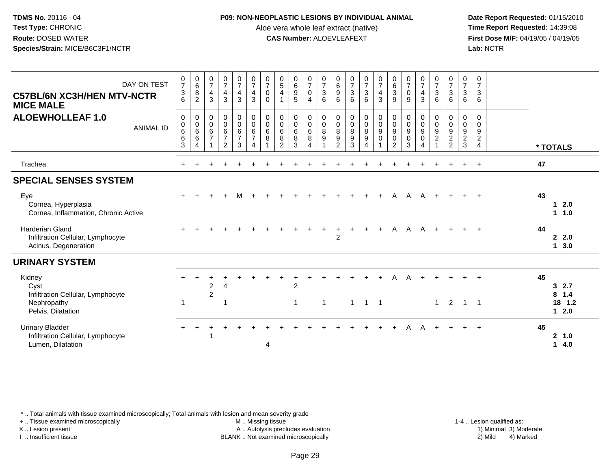### **P09: NON-NEOPLASTIC LESIONS BY INDIVIDUAL ANIMAL**

Aloe vera whole leaf extract (native)<br>**CAS Number:** ALOEVLEAFEXT

 **Date Report Requested:** 01/15/2010 **First Dose M/F:** 04/19/05 / 04/19/05<br>Lab: NCTR **Lab:** NCTR

| $\frac{0}{7}$<br>$\mathbf{3}$<br>6                         | $\begin{matrix} 0 \\ 6 \\ 8 \end{matrix}$<br>2                                    | $\frac{0}{7}$<br>$\overline{4}$<br>3                 | $\frac{0}{7}$<br>$\overline{4}$<br>3                      | $\frac{0}{7}$<br>$\overline{4}$<br>3                             | $\frac{0}{7}$<br>$\overline{4}$<br>3                                            | $\frac{0}{7}$<br>$\pmb{0}$<br>$\Omega$ | $\begin{array}{c} 0 \\ 5 \\ 4 \end{array}$<br>$\mathbf{1}$        | $\begin{array}{c} 0 \\ 6 \\ 9 \end{array}$<br>5 | $\frac{0}{7}$<br>$\pmb{0}$<br>$\overline{4}$         | $\begin{matrix} 0 \\ 7 \\ 3 \end{matrix}$<br>6         | $\begin{array}{c} 0 \\ 6 \\ 9 \end{array}$<br>6 | $\begin{array}{c} 0 \\ 7 \\ 3 \end{array}$<br>6                        | $\begin{array}{c} 0 \\ 7 \\ 3 \end{array}$<br>6                 | $\begin{array}{c} 0 \\ 7 \\ 4 \end{array}$<br>$\mathbf{3}$                 | $_{6}^{\rm 0}$<br>3<br>9                                            | $\begin{matrix} 0 \\ 7 \\ 0 \end{matrix}$<br>9 | $\frac{0}{7}$<br>$\overline{4}$<br>3              | $\frac{0}{7}$<br>3<br>6         | $\begin{array}{c} 0 \\ 7 \\ 3 \end{array}$<br>6 | $\frac{0}{7}$<br>$\mathbf{3}$<br>6                        | 0<br>$\overline{7}$<br>3<br>6                                    |                                                 |
|------------------------------------------------------------|-----------------------------------------------------------------------------------|------------------------------------------------------|-----------------------------------------------------------|------------------------------------------------------------------|---------------------------------------------------------------------------------|----------------------------------------|-------------------------------------------------------------------|-------------------------------------------------|------------------------------------------------------|--------------------------------------------------------|-------------------------------------------------|------------------------------------------------------------------------|-----------------------------------------------------------------|----------------------------------------------------------------------------|---------------------------------------------------------------------|------------------------------------------------|---------------------------------------------------|---------------------------------|-------------------------------------------------|-----------------------------------------------------------|------------------------------------------------------------------|-------------------------------------------------|
| 0<br>$\begin{array}{c} 0 \\ 6 \end{array}$<br>$\,6\,$<br>3 | $\mathbf 0$<br>$\begin{array}{c} 0 \\ 6 \end{array}$<br>$\,6\,$<br>$\overline{4}$ | $\pmb{0}$<br>$\mathsf 0$<br>6<br>$\overline{7}$<br>1 | $\mathbf 0$<br>$\pmb{0}$<br>$rac{6}{7}$<br>$\overline{2}$ | $\pmb{0}$<br>$\pmb{0}$<br>$6\overline{6}$<br>$\overline{7}$<br>3 | $\mathbf 0$<br>$\pmb{0}$<br>$6\overline{6}$<br>$\overline{7}$<br>$\overline{4}$ | 0<br>$\pmb{0}$<br>$6\phantom{a}$<br>8  | $\pmb{0}$<br>$\begin{matrix} 0 \\ 6 \end{matrix}$<br>$\bf 8$<br>2 | 0<br>$\pmb{0}$<br>$\,6\,$<br>$\,8\,$<br>3       | $\pmb{0}$<br>$\mathbf 0$<br>6<br>8<br>$\overline{4}$ | 0<br>$\mathbf 0$<br>$\overline{8}$<br>$\boldsymbol{9}$ | 0<br>$\frac{0}{8}$<br>$\boldsymbol{9}$<br>2     | $\begin{smallmatrix}0\0\0\8\end{smallmatrix}$<br>$\boldsymbol{9}$<br>3 | $\begin{smallmatrix}0\0\0\8\end{smallmatrix}$<br>$\overline{4}$ | $\begin{smallmatrix}0\\0\\9\end{smallmatrix}$<br>$\pmb{0}$<br>$\mathbf{1}$ | 0<br>$\pmb{0}$<br>$\boldsymbol{9}$<br>$\mathbf 0$<br>$\overline{2}$ | 0<br>$\overline{0}$<br>9<br>$\pmb{0}$<br>3     | 0<br>$\frac{0}{9}$<br>$\pmb{0}$<br>$\overline{4}$ | 0<br>$\pmb{0}$<br>$\frac{9}{2}$ | 0<br>0922                                       | 0<br>$\mathsf{O}\xspace$<br>$\frac{9}{2}$<br>$\mathbf{3}$ | $\mathbf 0$<br>$\Omega$<br>9<br>$\overline{2}$<br>$\overline{4}$ | * TOTALS                                        |
|                                                            |                                                                                   |                                                      |                                                           |                                                                  |                                                                                 |                                        |                                                                   |                                                 |                                                      |                                                        |                                                 |                                                                        |                                                                 |                                                                            |                                                                     |                                                |                                                   |                                 |                                                 |                                                           | $\ddot{}$                                                        | 47                                              |
|                                                            |                                                                                   |                                                      |                                                           |                                                                  |                                                                                 |                                        |                                                                   |                                                 |                                                      |                                                        |                                                 |                                                                        |                                                                 |                                                                            |                                                                     |                                                |                                                   |                                 |                                                 |                                                           |                                                                  |                                                 |
|                                                            |                                                                                   |                                                      |                                                           |                                                                  |                                                                                 |                                        |                                                                   |                                                 |                                                      |                                                        |                                                 |                                                                        |                                                                 |                                                                            | A                                                                   | A                                              | A                                                 |                                 |                                                 |                                                           |                                                                  | 43<br>2.0<br>1.<br>$1 \t1.0$                    |
|                                                            |                                                                                   |                                                      |                                                           |                                                                  |                                                                                 |                                        |                                                                   |                                                 |                                                      |                                                        | $\div$<br>2                                     | $\ddot{}$                                                              | $\ddot{}$                                                       | $\ddot{}$                                                                  | Α                                                                   | $\mathsf{A}$                                   | A                                                 | $+$                             |                                                 |                                                           |                                                                  | 44<br>$\mathbf{2}$<br>2.0<br>3.0<br>1           |
|                                                            |                                                                                   |                                                      |                                                           |                                                                  |                                                                                 |                                        |                                                                   |                                                 |                                                      |                                                        |                                                 |                                                                        |                                                                 |                                                                            |                                                                     |                                                |                                                   |                                 |                                                 |                                                           |                                                                  |                                                 |
| $\ddot{}$                                                  |                                                                                   | $\overline{c}$<br>$\overline{2}$                     | 4                                                         |                                                                  |                                                                                 |                                        |                                                                   | $\overline{2}$                                  |                                                      |                                                        |                                                 |                                                                        |                                                                 |                                                                            | Α                                                                   |                                                |                                                   |                                 |                                                 |                                                           |                                                                  | 45<br>32.7<br>$8 \t1.4$                         |
| $\overline{1}$                                             |                                                                                   |                                                      | -1                                                        |                                                                  |                                                                                 |                                        |                                                                   | $\mathbf{1}$                                    |                                                      | $\mathbf 1$                                            |                                                 | $\overline{1}$                                                         | $\overline{1}$                                                  |                                                                            |                                                                     |                                                |                                                   | $\mathbf{1}$                    | 2                                               | $\mathbf{1}$                                              | $\overline{1}$                                                   | 18 1.2<br>12.0                                  |
|                                                            |                                                                                   |                                                      |                                                           |                                                                  |                                                                                 | $\overline{4}$                         |                                                                   |                                                 |                                                      |                                                        |                                                 |                                                                        |                                                                 |                                                                            |                                                                     | Α                                              | A                                                 | $+$                             |                                                 |                                                           |                                                                  | 45<br>$\mathbf{2}$<br>1.0<br>4.0<br>$\mathbf 1$ |
|                                                            |                                                                                   |                                                      |                                                           |                                                                  |                                                                                 |                                        |                                                                   |                                                 |                                                      |                                                        |                                                 |                                                                        |                                                                 |                                                                            | $\overline{1}$                                                      |                                                |                                                   |                                 |                                                 |                                                           |                                                                  |                                                 |

\* .. Total animals with tissue examined microscopically; Total animals with lesion and mean severity grade

+ .. Tissue examined microscopically

X .. Lesion present

I .. Insufficient tissue

M .. Missing tissue

Lesion present A .. Autolysis precludes evaluation 1) Minimal 3) Moderate

 1-4 .. Lesion qualified as: BLANK .. Not examined microscopically 2) Mild 4) Marked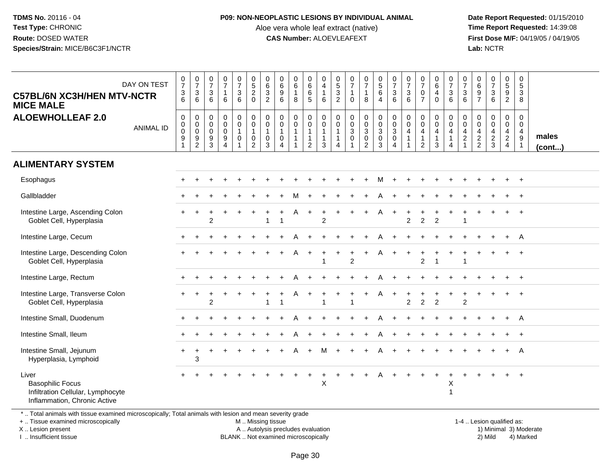#### **P09: NON-NEOPLASTIC LESIONS BY INDIVIDUAL ANIMAL**

Aloe vera whole leaf extract (native)<br>**CAS Number:** ALOEVLEAFEXT

 **Date Report Requested:** 01/15/2010 **First Dose M/F:** 04/19/05 / 04/19/05<br>Lab: NCTR **Lab:** NCTR

| <b>C57BL/6N XC3H/HEN MTV-NCTR</b><br><b>MICE MALE</b>                                                                                                                                                             | DAY ON TEST      | $\frac{0}{7}$<br>$\frac{3}{6}$                            | $\frac{0}{7}$<br>$\frac{3}{6}$                                   | $\frac{0}{7}$<br>$\ensuremath{\mathsf{3}}$<br>6          | $\begin{smallmatrix}0\\7\end{smallmatrix}$<br>$\mathbf{1}$<br>6 | $\frac{0}{7}$<br>$\mathfrak{S}$<br>6                            | $\begin{array}{c} 0 \\ 5 \end{array}$<br>$\overline{c}$<br>$\Omega$      | 0<br>$\,6\,$<br>$\ensuremath{\mathsf{3}}$<br>$\overline{2}$ | $_{6}^{\rm 0}$<br>$\boldsymbol{9}$<br>6                                   | $_{6}^{\rm 0}$<br>$\overline{1}$<br>8                      | $\begin{array}{c} 0 \\ 6 \end{array}$<br>$\,6\,$<br>5                           | 0<br>$\overline{4}$<br>$\mathbf{1}$<br>6 | $\begin{array}{c} 0 \\ 5 \end{array}$<br>$\mathbf{3}$<br>$\overline{2}$                 | $\frac{0}{7}$<br>$\mathbf{1}$<br>$\Omega$                         | $\frac{0}{7}$<br>$\mathbf{1}$<br>8                          | $\begin{array}{c} 0 \\ 5 \\ 6 \end{array}$<br>$\overline{4}$ | $\frac{0}{7}$<br>$\mathsf 3$<br>6                                     | $\frac{0}{7}$<br>$\mathbf{3}$<br>6                                                  | $\frac{0}{7}$<br>$\boldsymbol{0}$<br>$\overline{7}$                            | $\pmb{0}$<br>6<br>$\overline{4}$<br>$\Omega$                              | $\frac{0}{7}$<br>$\frac{3}{6}$                                                       | $\frac{0}{7}$<br>$\mathbf{3}$<br>6                                 | $\begin{array}{c} 0 \\ 6 \end{array}$<br>$9\,$<br>$\overline{7}$ | $\begin{array}{c} 0 \\ 7 \end{array}$<br>$\ensuremath{\mathsf{3}}$<br>$\,6\,$ | $\pmb{0}$<br>$\,$ 5 $\,$<br>9<br>$\overline{2}$     | 0<br>$\sqrt{5}$<br>3<br>8                      |                       |
|-------------------------------------------------------------------------------------------------------------------------------------------------------------------------------------------------------------------|------------------|-----------------------------------------------------------|------------------------------------------------------------------|----------------------------------------------------------|-----------------------------------------------------------------|-----------------------------------------------------------------|--------------------------------------------------------------------------|-------------------------------------------------------------|---------------------------------------------------------------------------|------------------------------------------------------------|---------------------------------------------------------------------------------|------------------------------------------|-----------------------------------------------------------------------------------------|-------------------------------------------------------------------|-------------------------------------------------------------|--------------------------------------------------------------|-----------------------------------------------------------------------|-------------------------------------------------------------------------------------|--------------------------------------------------------------------------------|---------------------------------------------------------------------------|--------------------------------------------------------------------------------------|--------------------------------------------------------------------|------------------------------------------------------------------|-------------------------------------------------------------------------------|-----------------------------------------------------|------------------------------------------------|-----------------------|
| <b>ALOEWHOLLEAF 2.0</b>                                                                                                                                                                                           | <b>ANIMAL ID</b> | $\pmb{0}$<br>$\pmb{0}$<br>$\mathbf 0$<br>$\boldsymbol{9}$ | $\boldsymbol{0}$<br>$\overline{0}$ <sub>0</sub><br>$\frac{9}{2}$ | $\mathsf 0$<br>$\pmb{0}$<br>$\mathbf 0$<br>$\frac{9}{3}$ | $\pmb{0}$<br>$\pmb{0}$<br>$\pmb{0}$<br>$\frac{9}{4}$            | $\mathsf 0$<br>$\overline{0}$<br>1<br>$\pmb{0}$<br>$\mathbf{1}$ | $\mathsf{O}$<br>$\pmb{0}$<br>$\mathbf{1}$<br>$\pmb{0}$<br>$\overline{2}$ | 0<br>$\pmb{0}$<br>$\mathbf{1}$<br>$\pmb{0}$<br>3            | $\mathsf 0$<br>$\pmb{0}$<br>$\mathbf{1}$<br>$\mathsf 0$<br>$\overline{4}$ | $\pmb{0}$<br>$\pmb{0}$<br>$\overline{1}$<br>$\overline{1}$ | $\pmb{0}$<br>$\overline{0}$<br>$\overline{1}$<br>$\mathbf{1}$<br>$\overline{2}$ | 0<br>$\pmb{0}$<br>$\mathbf{1}$<br>1<br>3 | $\boldsymbol{0}$<br>$\pmb{0}$<br>$\mathbf{1}$<br>$\mathbf{1}$<br>$\boldsymbol{\Lambda}$ | $\mathbf 0$<br>$\overline{0}$<br>3<br>$\pmb{0}$<br>$\overline{1}$ | 0<br>$\ddot{\mathbf{0}}$<br>$\overline{3}$<br>$\frac{0}{2}$ | $\begin{array}{c}\n0 \\ 0 \\ 3 \\ 0 \\ 3\n\end{array}$       | $\mathbf 0$<br>$\mathsf{O}\xspace$<br>$\mathsf 3$<br>$\mathbf 0$<br>4 | $\mathbf 0$<br>$\boldsymbol{0}$<br>$\overline{4}$<br>$\mathbf{1}$<br>$\overline{1}$ | $\mathbf 0$<br>$\mathbf 0$<br>$\overline{4}$<br>$\mathbf{1}$<br>$\overline{2}$ | $\pmb{0}$<br>$\ddot{\mathbf{0}}$<br>$\overline{4}$<br>$\overline{1}$<br>3 | $\pmb{0}$<br>$\mathbf 0$<br>$\overline{4}$<br>$\mathbf{1}$<br>$\boldsymbol{\Lambda}$ | $\mathbf 0$<br>$\mathsf{O}\xspace$<br>$\overline{4}$<br>$\sqrt{2}$ | 0<br>$\mathbf 0$<br>$\overline{4}$<br>$\frac{2}{2}$              | $\mathbf 0$<br>$\mathbf 0$<br>$\overline{4}$<br>$\frac{2}{3}$                 | 0<br>$\mathsf 0$<br>$\overline{4}$<br>$\frac{2}{4}$ | 0<br>$\mathbf 0$<br>4<br>$9\,$<br>$\mathbf{1}$ | males<br>$($ cont $)$ |
| <b>ALIMENTARY SYSTEM</b>                                                                                                                                                                                          |                  |                                                           |                                                                  |                                                          |                                                                 |                                                                 |                                                                          |                                                             |                                                                           |                                                            |                                                                                 |                                          |                                                                                         |                                                                   |                                                             |                                                              |                                                                       |                                                                                     |                                                                                |                                                                           |                                                                                      |                                                                    |                                                                  |                                                                               |                                                     |                                                |                       |
| Esophagus                                                                                                                                                                                                         |                  |                                                           |                                                                  |                                                          |                                                                 |                                                                 |                                                                          |                                                             |                                                                           |                                                            |                                                                                 |                                          |                                                                                         |                                                                   |                                                             | м                                                            |                                                                       |                                                                                     |                                                                                |                                                                           |                                                                                      |                                                                    |                                                                  |                                                                               |                                                     | $+$                                            |                       |
| Gallbladder                                                                                                                                                                                                       |                  |                                                           |                                                                  |                                                          |                                                                 |                                                                 |                                                                          |                                                             |                                                                           |                                                            |                                                                                 |                                          |                                                                                         |                                                                   |                                                             |                                                              |                                                                       |                                                                                     |                                                                                |                                                                           |                                                                                      |                                                                    |                                                                  |                                                                               |                                                     |                                                |                       |
| Intestine Large, Ascending Colon<br>Goblet Cell, Hyperplasia                                                                                                                                                      |                  |                                                           |                                                                  | 2                                                        |                                                                 |                                                                 |                                                                          | 1                                                           | $\overline{1}$                                                            |                                                            |                                                                                 | $\overline{2}$                           |                                                                                         |                                                                   | $\ddot{}$                                                   | A                                                            |                                                                       | $\overline{2}$                                                                      | $\overline{2}$                                                                 | $\overline{2}$                                                            |                                                                                      | -1                                                                 |                                                                  |                                                                               |                                                     |                                                |                       |
| Intestine Large, Cecum                                                                                                                                                                                            |                  |                                                           |                                                                  |                                                          |                                                                 |                                                                 |                                                                          |                                                             |                                                                           |                                                            |                                                                                 |                                          |                                                                                         |                                                                   |                                                             |                                                              |                                                                       |                                                                                     |                                                                                |                                                                           |                                                                                      |                                                                    |                                                                  |                                                                               | $+$                                                 | A                                              |                       |
| Intestine Large, Descending Colon<br>Goblet Cell, Hyperplasia                                                                                                                                                     |                  |                                                           |                                                                  |                                                          |                                                                 |                                                                 |                                                                          |                                                             |                                                                           | A                                                          |                                                                                 |                                          |                                                                                         | $\ddot{}$<br>$\overline{2}$                                       | $+$                                                         | A                                                            |                                                                       |                                                                                     | $\overline{2}$                                                                 |                                                                           |                                                                                      |                                                                    |                                                                  |                                                                               |                                                     |                                                |                       |
| Intestine Large, Rectum                                                                                                                                                                                           |                  |                                                           |                                                                  |                                                          |                                                                 |                                                                 |                                                                          |                                                             |                                                                           |                                                            |                                                                                 |                                          |                                                                                         |                                                                   |                                                             |                                                              |                                                                       |                                                                                     |                                                                                |                                                                           |                                                                                      |                                                                    |                                                                  |                                                                               |                                                     | $\ddot{}$                                      |                       |
| Intestine Large, Transverse Colon<br>Goblet Cell, Hyperplasia                                                                                                                                                     |                  |                                                           |                                                                  | 2                                                        |                                                                 |                                                                 |                                                                          |                                                             |                                                                           |                                                            |                                                                                 |                                          |                                                                                         | $\mathbf{1}$                                                      |                                                             | Α                                                            |                                                                       | $\overline{2}$                                                                      | $\overline{2}$                                                                 | $\overline{2}$                                                            |                                                                                      | $\overline{2}$                                                     |                                                                  |                                                                               |                                                     |                                                |                       |
| Intestine Small, Duodenum                                                                                                                                                                                         |                  |                                                           |                                                                  |                                                          |                                                                 |                                                                 |                                                                          |                                                             |                                                                           |                                                            |                                                                                 |                                          |                                                                                         |                                                                   |                                                             |                                                              |                                                                       |                                                                                     |                                                                                |                                                                           |                                                                                      |                                                                    |                                                                  |                                                                               |                                                     | A                                              |                       |
| Intestine Small, Ileum                                                                                                                                                                                            |                  |                                                           |                                                                  |                                                          |                                                                 |                                                                 |                                                                          |                                                             |                                                                           |                                                            |                                                                                 |                                          |                                                                                         |                                                                   |                                                             |                                                              |                                                                       |                                                                                     |                                                                                |                                                                           |                                                                                      |                                                                    |                                                                  |                                                                               |                                                     |                                                |                       |
| Intestine Small, Jejunum<br>Hyperplasia, Lymphoid                                                                                                                                                                 |                  | $\ddot{}$                                                 | 3                                                                |                                                          |                                                                 |                                                                 |                                                                          |                                                             |                                                                           |                                                            |                                                                                 | м                                        |                                                                                         |                                                                   |                                                             |                                                              |                                                                       |                                                                                     |                                                                                |                                                                           |                                                                                      |                                                                    |                                                                  |                                                                               |                                                     | A                                              |                       |
| Liver<br><b>Basophilic Focus</b><br>Infiltration Cellular, Lymphocyte<br>Inflammation, Chronic Active<br>*  Total animals with tissue examined microscopically; Total animals with lesion and mean severity grade |                  |                                                           |                                                                  |                                                          |                                                                 |                                                                 |                                                                          |                                                             |                                                                           |                                                            |                                                                                 | Χ                                        |                                                                                         |                                                                   |                                                             |                                                              |                                                                       |                                                                                     |                                                                                |                                                                           | X<br>$\overline{1}$                                                                  |                                                                    |                                                                  |                                                                               |                                                     |                                                |                       |

+ .. Tissue examined microscopically

X .. Lesion present

I .. Insufficient tissue

M .. Missing tissue

A .. Autolysis precludes evaluation 1999 (1999) 1999 (1999) 1999 (1999) 1999 (1999) Minimal 3) Minimal 3) Minimal 3) Minimal 3) Mild

BLANK .. Not examined microscopically 2) Mild 4) Marked

1-4 .. Lesion qualified as:<br>1) Minimal 3) Moderate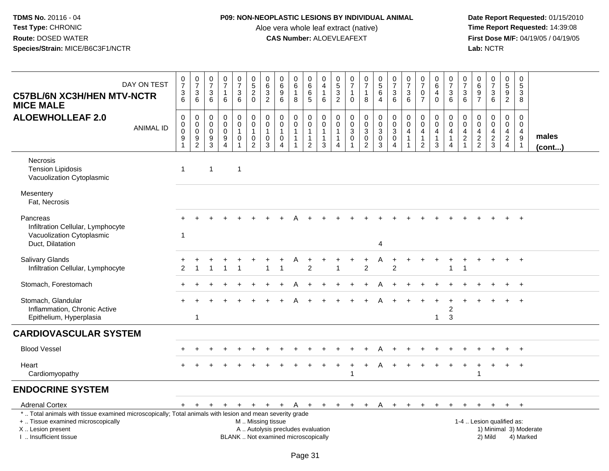### **P09: NON-NEOPLASTIC LESIONS BY INDIVIDUAL ANIMAL**

Aloe vera whole leaf extract (native)<br>**CAS Number:** ALOEVLEAFEXT

| DAY ON TEST<br><b>C57BL/6N XC3H/HEN MTV-NCTR</b><br><b>MICE MALE</b>                                                                                                                                                   | $\frac{0}{7}$<br>$\sqrt{3}$<br>6                              | $\frac{0}{7}$<br>3<br>6                | $\frac{0}{7}$<br>$\sqrt{3}$<br>6                         | $\frac{0}{7}$<br>$\mathbf{1}$<br>6              | $\frac{0}{7}$<br>$\mathbf{3}$<br>6            | $\begin{array}{c} 0 \\ 5 \\ 2 \end{array}$<br>$\mathbf 0$                                    | 0<br>$\,6$<br>$\mathbf{3}$<br>2                                  | $\pmb{0}$<br>$\,6\,$<br>9<br>6                                            | 0<br>6<br>8      | 0<br>$6\overline{6}$<br>$\,6\,$<br>$\overline{5}$                  | 0<br>$\overline{4}$<br>$\mathbf{1}$<br>6                        | 0<br>$\frac{5}{3}$<br>$\overline{c}$                                          | $\begin{smallmatrix}0\\7\end{smallmatrix}$<br>$\mathbf{1}$<br>$\mathbf 0$ | $\frac{0}{7}$<br>$\mathbf{1}$<br>8                                       | $\begin{array}{c} 0 \\ 5 \\ 6 \end{array}$<br>$\overline{4}$ | $\begin{smallmatrix}0\\7\end{smallmatrix}$<br>$\mathbf{3}$<br>6 | $\frac{0}{7}$<br>$\sqrt{3}$<br>6                                                       | $\frac{0}{7}$<br>$\mathbf 0$<br>$\overline{7}$                        | $\begin{array}{c} 0 \\ 6 \end{array}$<br>$\overline{4}$<br>$\mathbf 0$ | $\frac{0}{7}$<br>$\ensuremath{\mathsf{3}}$<br>$6\phantom{1}$ | $\frac{0}{7}$<br>$\mathbf{3}$<br>6                          | $\,0\,$<br>$\,6\,$<br>$\boldsymbol{9}$<br>$\overline{7}$      | $\frac{0}{7}$<br>3<br>6                          | $\begin{array}{c} 0 \\ 5 \\ 9 \end{array}$<br>$\overline{a}$ | $\mathsf 0$<br>$\sqrt{5}$<br>3<br>8         |                        |
|------------------------------------------------------------------------------------------------------------------------------------------------------------------------------------------------------------------------|---------------------------------------------------------------|----------------------------------------|----------------------------------------------------------|-------------------------------------------------|-----------------------------------------------|----------------------------------------------------------------------------------------------|------------------------------------------------------------------|---------------------------------------------------------------------------|------------------|--------------------------------------------------------------------|-----------------------------------------------------------------|-------------------------------------------------------------------------------|---------------------------------------------------------------------------|--------------------------------------------------------------------------|--------------------------------------------------------------|-----------------------------------------------------------------|----------------------------------------------------------------------------------------|-----------------------------------------------------------------------|------------------------------------------------------------------------|--------------------------------------------------------------|-------------------------------------------------------------|---------------------------------------------------------------|--------------------------------------------------|--------------------------------------------------------------|---------------------------------------------|------------------------|
| <b>ALOEWHOLLEAF 2.0</b><br><b>ANIMAL ID</b>                                                                                                                                                                            | $\mathbf 0$<br>$\mathbf 0$<br>$\overline{0}$<br>$\frac{9}{1}$ | 0<br>0<br>$\mathsf 0$<br>$\frac{9}{2}$ | $\mathbf 0$<br>0<br>$\mathsf{O}\xspace$<br>$\frac{9}{3}$ | 0<br>$\mathsf{O}$<br>$\pmb{0}$<br>$\frac{9}{4}$ | 0<br>$\mathbf 0$<br>$\mathbf{1}$<br>$\pmb{0}$ | $\mathbf 0$<br>$\mathbf 0$<br>$\overline{1}$<br>$\begin{smallmatrix} 0\\2 \end{smallmatrix}$ | $\mathbf 0$<br>$\mathbf 0$<br>$\overline{1}$<br>$\mathbf 0$<br>3 | $\mathbf 0$<br>$\mathbf 0$<br>$\mathbf{1}$<br>$\pmb{0}$<br>$\overline{4}$ | 0<br>$\mathbf 0$ | 0<br>$\mathbf 0$<br>$\mathbf{1}$<br>$\mathbf{1}$<br>$\overline{c}$ | $\mathbf 0$<br>$\mathbf 0$<br>$\mathbf{1}$<br>$\mathbf{1}$<br>3 | $\mathbf 0$<br>$\mathbf 0$<br>$\overline{1}$<br>$\mathbf 1$<br>$\overline{4}$ | $\mathbf 0$<br>$\mathbf 0$<br>$\overline{3}$<br>$\pmb{0}$                 | $\mathbf 0$<br>$\mathbf 0$<br>$\ensuremath{\mathsf{3}}$<br>$\frac{0}{2}$ | $\mathbf 0$<br>$_{3}^{\rm 0}$<br>$\mathbf 0$<br>$\mathbf{3}$ | $\mathbf 0$<br>0<br>$\mathbf{3}$<br>$\pmb{0}$<br>4              | $\mathbf 0$<br>$\mathsf{O}\xspace$<br>$\overline{4}$<br>$\mathbf{1}$<br>$\overline{1}$ | 0<br>$\mathsf{O}$<br>$\overline{4}$<br>$\mathbf{1}$<br>$\overline{2}$ | 0<br>0<br>$\overline{4}$<br>$\mathbf{1}$<br>3                          | $\mathbf 0$<br>$\mathbf 0$<br>4<br>$\mathbf{1}$<br>4         | 0<br>$\mathsf{O}\xspace$<br>$\overline{4}$<br>$\frac{2}{1}$ | $\mathbf 0$<br>$\mathbf 0$<br>$\overline{4}$<br>$\frac{2}{2}$ | $\mathbf 0$<br>$\mathbf 0$<br>4<br>$\frac{2}{3}$ | $\mathbf 0$<br>$\mathbf 0$<br>$\frac{4}{2}$                  | $\Omega$<br>0<br>4<br>$\boldsymbol{9}$<br>1 | males<br>(cont)        |
| <b>Necrosis</b><br><b>Tension Lipidosis</b><br>Vacuolization Cytoplasmic                                                                                                                                               | $\mathbf{1}$                                                  |                                        | $\mathbf 1$                                              |                                                 | $\mathbf{1}$                                  |                                                                                              |                                                                  |                                                                           |                  |                                                                    |                                                                 |                                                                               |                                                                           |                                                                          |                                                              |                                                                 |                                                                                        |                                                                       |                                                                        |                                                              |                                                             |                                                               |                                                  |                                                              |                                             |                        |
| Mesentery<br>Fat, Necrosis                                                                                                                                                                                             |                                                               |                                        |                                                          |                                                 |                                               |                                                                                              |                                                                  |                                                                           |                  |                                                                    |                                                                 |                                                                               |                                                                           |                                                                          |                                                              |                                                                 |                                                                                        |                                                                       |                                                                        |                                                              |                                                             |                                                               |                                                  |                                                              |                                             |                        |
| Pancreas<br>Infiltration Cellular, Lymphocyte<br>Vacuolization Cytoplasmic<br>Duct, Dilatation                                                                                                                         | $\overline{1}$                                                |                                        |                                                          |                                                 |                                               |                                                                                              |                                                                  |                                                                           |                  |                                                                    |                                                                 |                                                                               |                                                                           |                                                                          | 4                                                            |                                                                 |                                                                                        |                                                                       |                                                                        |                                                              |                                                             |                                                               |                                                  |                                                              | $\ddot{}$                                   |                        |
| <b>Salivary Glands</b><br>Infiltration Cellular, Lymphocyte                                                                                                                                                            | 2                                                             |                                        |                                                          |                                                 |                                               |                                                                                              |                                                                  |                                                                           |                  | 2                                                                  |                                                                 |                                                                               |                                                                           | $\overline{2}$                                                           |                                                              | $\overline{2}$                                                  |                                                                                        |                                                                       |                                                                        | 1                                                            |                                                             |                                                               |                                                  |                                                              | $\ddot{}$                                   |                        |
| Stomach, Forestomach                                                                                                                                                                                                   |                                                               |                                        |                                                          |                                                 |                                               |                                                                                              |                                                                  |                                                                           |                  |                                                                    |                                                                 |                                                                               |                                                                           |                                                                          |                                                              |                                                                 |                                                                                        |                                                                       |                                                                        |                                                              |                                                             |                                                               |                                                  |                                                              | $\ddot{}$                                   |                        |
| Stomach, Glandular<br>Inflammation, Chronic Active<br>Epithelium, Hyperplasia                                                                                                                                          |                                                               | $\mathbf{1}$                           |                                                          |                                                 |                                               |                                                                                              |                                                                  |                                                                           |                  |                                                                    |                                                                 |                                                                               |                                                                           |                                                                          |                                                              |                                                                 |                                                                                        |                                                                       | $\mathbf{1}$                                                           | 2<br>3                                                       |                                                             |                                                               |                                                  |                                                              | $\overline{+}$                              |                        |
| <b>CARDIOVASCULAR SYSTEM</b>                                                                                                                                                                                           |                                                               |                                        |                                                          |                                                 |                                               |                                                                                              |                                                                  |                                                                           |                  |                                                                    |                                                                 |                                                                               |                                                                           |                                                                          |                                                              |                                                                 |                                                                                        |                                                                       |                                                                        |                                                              |                                                             |                                                               |                                                  |                                                              |                                             |                        |
| <b>Blood Vessel</b>                                                                                                                                                                                                    |                                                               |                                        |                                                          |                                                 |                                               |                                                                                              |                                                                  |                                                                           |                  |                                                                    |                                                                 |                                                                               |                                                                           |                                                                          |                                                              |                                                                 |                                                                                        |                                                                       |                                                                        |                                                              |                                                             |                                                               |                                                  |                                                              | $\ddot{}$                                   |                        |
| Heart<br>Cardiomyopathy                                                                                                                                                                                                |                                                               |                                        |                                                          |                                                 |                                               |                                                                                              |                                                                  |                                                                           |                  |                                                                    |                                                                 |                                                                               |                                                                           | ÷                                                                        |                                                              |                                                                 |                                                                                        |                                                                       |                                                                        |                                                              |                                                             |                                                               |                                                  |                                                              | $^{+}$                                      |                        |
| <b>ENDOCRINE SYSTEM</b>                                                                                                                                                                                                |                                                               |                                        |                                                          |                                                 |                                               |                                                                                              |                                                                  |                                                                           |                  |                                                                    |                                                                 |                                                                               |                                                                           |                                                                          |                                                              |                                                                 |                                                                                        |                                                                       |                                                                        |                                                              |                                                             |                                                               |                                                  |                                                              |                                             |                        |
| <b>Adrenal Cortex</b><br>*  Total animals with tissue examined microscopically; Total animals with lesion and mean severity grade<br>+  Tissue examined microscopically<br>X  Lesion present<br>I. Insufficient tissue | $+$                                                           | $\ddot{}$                              | $+$                                                      | $+$                                             | $+$                                           | M  Missing tissue                                                                            | $+$ $+$ $+$                                                      | A  Autolysis precludes evaluation<br>BLANK  Not examined microscopically  | <sup>A</sup>     |                                                                    |                                                                 |                                                                               | + + + + +                                                                 |                                                                          | $\mathsf{A}$                                                 |                                                                 | $+$ $+$ $+$                                                                            |                                                                       | $+$                                                                    | $+$                                                          | $\ddot{}$                                                   | $\overline{+}$                                                | $+$<br>1-4  Lesion qualified as:<br>2) Mild      | $+$ $+$                                                      | 4) Marked                                   | 1) Minimal 3) Moderate |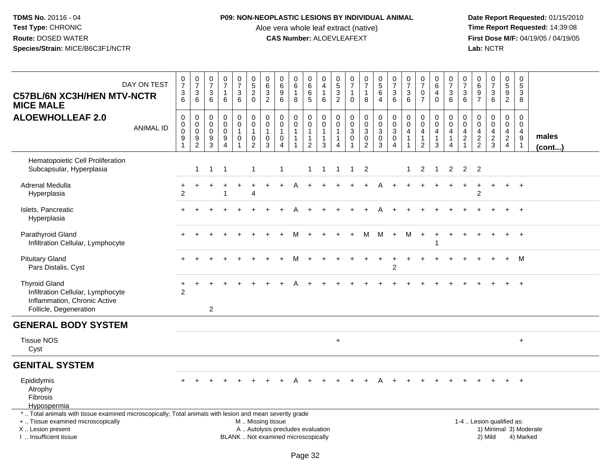## **P09: NON-NEOPLASTIC LESIONS BY INDIVIDUAL ANIMAL**

Aloe vera whole leaf extract (native)<br>**CAS Number:** ALOEVLEAFEXT

| <b>C57BL/6N XC3H/HEN MTV-NCTR</b><br><b>MICE MALE</b>                                                                                                                                         | DAY ON TEST      | $\begin{array}{c} 0 \\ 7 \end{array}$<br>$\begin{array}{c} 3 \\ 6 \end{array}$  | $\frac{0}{7}$<br>$\sqrt{3}$<br>6                           | $\frac{0}{7}$<br>$\mathbf{3}$<br>6                                       | $\begin{array}{c} 0 \\ 7 \end{array}$<br>$\mathbf{1}$<br>$6\phantom{1}$                 | $\frac{0}{7}$<br>3<br>6                                     | $\begin{array}{c} 0 \\ 5 \end{array}$<br>$\overline{c}$<br>$\mathbf 0$         | $\pmb{0}$<br>6<br>$\ensuremath{\mathsf{3}}$<br>$\overline{2}$ | $\pmb{0}$<br>$\,6\,$<br>$9\,$<br>6                                          | $\pmb{0}$<br>6<br>$\mathbf{1}$<br>8                                            | 0<br>$\,6\,$<br>$\,6$<br>$\overline{5}$                            | $\mathbf 0$<br>$\overline{4}$<br>$\mathbf{1}$<br>6                             | $^{\rm 0}_{\rm 5}$<br>$\ensuremath{\mathsf{3}}$<br>$\overline{2}$ | $\frac{0}{7}$<br>1<br>$\mathbf 0$                          | $\frac{0}{7}$<br>$\mathbf{1}$<br>8                              | $\begin{array}{c} 0 \\ 5 \end{array}$<br>6<br>$\overline{4}$ | $\frac{0}{7}$<br>$\frac{3}{6}$                                                         | $\begin{array}{c} 0 \\ 7 \end{array}$<br>$\mathbf{3}$<br>6             | $\begin{array}{c} 0 \\ 7 \end{array}$<br>$\pmb{0}$<br>$\overline{7}$                  | $_6^0$<br>$\overline{4}$<br>$\mathbf 0$                          | $\frac{0}{7}$<br>$\frac{3}{6}$                                         | $\frac{0}{7}$<br>3<br>$6^{\circ}$                                      | $\pmb{0}$<br>$\,6\,$<br>$\frac{9}{7}$               | $\frac{0}{7}$<br>$\frac{3}{6}$                 | $\begin{smallmatrix} 0\\5 \end{smallmatrix}$<br>$\frac{9}{2}$ | $\pmb{0}$<br>$\overline{5}$<br>3<br>8                                           |                        |
|-----------------------------------------------------------------------------------------------------------------------------------------------------------------------------------------------|------------------|---------------------------------------------------------------------------------|------------------------------------------------------------|--------------------------------------------------------------------------|-----------------------------------------------------------------------------------------|-------------------------------------------------------------|--------------------------------------------------------------------------------|---------------------------------------------------------------|-----------------------------------------------------------------------------|--------------------------------------------------------------------------------|--------------------------------------------------------------------|--------------------------------------------------------------------------------|-------------------------------------------------------------------|------------------------------------------------------------|-----------------------------------------------------------------|--------------------------------------------------------------|----------------------------------------------------------------------------------------|------------------------------------------------------------------------|---------------------------------------------------------------------------------------|------------------------------------------------------------------|------------------------------------------------------------------------|------------------------------------------------------------------------|-----------------------------------------------------|------------------------------------------------|---------------------------------------------------------------|---------------------------------------------------------------------------------|------------------------|
| <b>ALOEWHOLLEAF 2.0</b>                                                                                                                                                                       | <b>ANIMAL ID</b> | $\mathbf 0$<br>$\begin{smallmatrix} 0\\0 \end{smallmatrix}$<br>$\boldsymbol{9}$ | $\mathbf 0$<br>$\mathbf 0$<br>$\mathbf 0$<br>$\frac{9}{2}$ | $\mathbf 0$<br>$\overline{0}$<br>$\overline{0}$<br>$\boldsymbol{9}$<br>3 | $\mathbf 0$<br>$\mathbf 0$<br>$\mathbf 0$<br>$\boldsymbol{9}$<br>$\boldsymbol{\Lambda}$ | $\mathsf{O}$<br>$\mathbf 0$<br>$\mathbf{1}$<br>$\mathsf{O}$ | $\pmb{0}$<br>$\overline{0}$<br>$\overline{1}$<br>$\mathbf 0$<br>$\overline{2}$ | $\pmb{0}$<br>$\pmb{0}$<br>$\mathbf{1}$<br>$\pmb{0}$<br>3      | $\mathbf 0$<br>$\mathbf 0$<br>$\mathbf{1}$<br>$\mathbf 0$<br>$\overline{4}$ | $\mathbf 0$<br>$\mathbf 0$<br>$\mathbf{1}$<br>$\overline{1}$<br>$\overline{1}$ | 0<br>$\mathbf 0$<br>$\mathbf{1}$<br>$\mathbf{1}$<br>$\overline{c}$ | $\mathbf 0$<br>$\mathbf 0$<br>$\overline{1}$<br>$\overline{1}$<br>$\mathbf{3}$ | $\mathbf 0$<br>$\mathbf 0$<br>$\mathbf{1}$<br>1<br>4              | $\pmb{0}$<br>$\pmb{0}$<br>$\overline{3}$<br>$\pmb{0}$<br>1 | $\mathsf{O}$<br>$\mathsf{O}$<br>$\overline{3}$<br>$\frac{0}{2}$ | $\pmb{0}$<br>$\frac{0}{3}$<br>$\mathsf{O}\xspace$<br>3       | $\begin{smallmatrix}0\\0\\3\end{smallmatrix}$<br>$\mathsf{O}\xspace$<br>$\overline{4}$ | $\mathsf{O}\xspace$<br>$\mathbf 0$<br>$\overline{4}$<br>$\overline{1}$ | $\pmb{0}$<br>$\mathsf 0$<br>$\overline{\mathbf{4}}$<br>$\mathbf{1}$<br>$\overline{2}$ | 0<br>$\mathbf 0$<br>$\overline{\mathbf{4}}$<br>$\mathbf{1}$<br>3 | $_{\rm 0}^{\rm 0}$<br>$\overline{4}$<br>$\mathbf{1}$<br>$\overline{4}$ | $\Omega$<br>$\mathbf 0$<br>4<br>$\overline{a}$<br>$\blacktriangleleft$ | 0<br>$\mathbf 0$<br>$\overline{4}$<br>$\frac{2}{2}$ | $\pmb{0}$<br>$\mathbf 0$<br>4<br>$\frac{2}{3}$ | $\mathbf 0$<br>$\mathbf 0$<br>$\overline{4}$<br>$\frac{2}{4}$ | $\Omega$<br>$\mathbf 0$<br>$\overline{4}$<br>$\boldsymbol{9}$<br>$\overline{1}$ | males<br>(cont)        |
| Hematopoietic Cell Proliferation<br>Subcapsular, Hyperplasia                                                                                                                                  |                  |                                                                                 | $\mathbf{1}$                                               | $\mathbf{1}$                                                             | -1                                                                                      |                                                             | $\mathbf{1}$                                                                   |                                                               | $\mathbf{1}$                                                                |                                                                                | $\mathbf 1$                                                        | 1                                                                              | 1                                                                 | -1                                                         | $\overline{2}$                                                  |                                                              |                                                                                        | -1                                                                     | 2                                                                                     | -1                                                               | $\overline{2}$                                                         | $\overline{2}$                                                         | 2                                                   |                                                |                                                               |                                                                                 |                        |
| Adrenal Medulla<br>Hyperplasia                                                                                                                                                                |                  | $\overline{2}$                                                                  |                                                            |                                                                          |                                                                                         |                                                             | $\boldsymbol{\Lambda}$                                                         | $\ddot{}$                                                     |                                                                             |                                                                                |                                                                    |                                                                                |                                                                   |                                                            |                                                                 |                                                              |                                                                                        |                                                                        |                                                                                       |                                                                  |                                                                        |                                                                        | $\overline{2}$                                      | $\ddot{}$                                      | $+$                                                           | $+$                                                                             |                        |
| Islets, Pancreatic<br>Hyperplasia                                                                                                                                                             |                  |                                                                                 |                                                            |                                                                          |                                                                                         |                                                             |                                                                                |                                                               |                                                                             |                                                                                |                                                                    |                                                                                |                                                                   |                                                            |                                                                 |                                                              |                                                                                        |                                                                        |                                                                                       |                                                                  |                                                                        |                                                                        |                                                     |                                                |                                                               | $+$                                                                             |                        |
| Parathyroid Gland<br>Infiltration Cellular, Lymphocyte                                                                                                                                        |                  |                                                                                 |                                                            |                                                                          |                                                                                         |                                                             |                                                                                |                                                               |                                                                             |                                                                                |                                                                    |                                                                                |                                                                   |                                                            | м                                                               | М                                                            | $+$                                                                                    | м                                                                      | $\ddot{}$                                                                             | $\ddot{}$                                                        |                                                                        |                                                                        |                                                     |                                                | $+$                                                           | $+$                                                                             |                        |
| <b>Pituitary Gland</b><br>Pars Distalis, Cyst                                                                                                                                                 |                  |                                                                                 |                                                            |                                                                          |                                                                                         |                                                             |                                                                                |                                                               |                                                                             |                                                                                |                                                                    |                                                                                |                                                                   |                                                            |                                                                 |                                                              | $\overline{c}$                                                                         |                                                                        |                                                                                       |                                                                  |                                                                        |                                                                        |                                                     |                                                | $+$                                                           | M                                                                               |                        |
| <b>Thyroid Gland</b><br>Infiltration Cellular, Lymphocyte<br>Inflammation, Chronic Active<br>Follicle, Degeneration                                                                           |                  | +<br>2                                                                          |                                                            | $\boldsymbol{2}$                                                         |                                                                                         |                                                             |                                                                                |                                                               |                                                                             |                                                                                |                                                                    |                                                                                |                                                                   |                                                            |                                                                 |                                                              |                                                                                        |                                                                        |                                                                                       |                                                                  |                                                                        |                                                                        |                                                     |                                                |                                                               | $\ddot{}$                                                                       |                        |
| <b>GENERAL BODY SYSTEM</b>                                                                                                                                                                    |                  |                                                                                 |                                                            |                                                                          |                                                                                         |                                                             |                                                                                |                                                               |                                                                             |                                                                                |                                                                    |                                                                                |                                                                   |                                                            |                                                                 |                                                              |                                                                                        |                                                                        |                                                                                       |                                                                  |                                                                        |                                                                        |                                                     |                                                |                                                               |                                                                                 |                        |
| <b>Tissue NOS</b><br>Cyst                                                                                                                                                                     |                  |                                                                                 |                                                            |                                                                          |                                                                                         |                                                             |                                                                                |                                                               |                                                                             |                                                                                |                                                                    |                                                                                | $\ddot{}$                                                         |                                                            |                                                                 |                                                              |                                                                                        |                                                                        |                                                                                       |                                                                  |                                                                        |                                                                        |                                                     |                                                |                                                               | $\ddot{}$                                                                       |                        |
| <b>GENITAL SYSTEM</b>                                                                                                                                                                         |                  |                                                                                 |                                                            |                                                                          |                                                                                         |                                                             |                                                                                |                                                               |                                                                             |                                                                                |                                                                    |                                                                                |                                                                   |                                                            |                                                                 |                                                              |                                                                                        |                                                                        |                                                                                       |                                                                  |                                                                        |                                                                        |                                                     |                                                |                                                               |                                                                                 |                        |
| Epididymis<br>Atrophy<br>Fibrosis<br>Hypospermia                                                                                                                                              |                  |                                                                                 |                                                            |                                                                          |                                                                                         |                                                             |                                                                                |                                                               |                                                                             |                                                                                |                                                                    |                                                                                |                                                                   |                                                            |                                                                 |                                                              |                                                                                        |                                                                        |                                                                                       |                                                                  |                                                                        |                                                                        |                                                     |                                                |                                                               | $\ddot{}$                                                                       |                        |
| *  Total animals with tissue examined microscopically; Total animals with lesion and mean severity grade<br>+  Tissue examined microscopically<br>X  Lesion present<br>I  Insufficient tissue |                  |                                                                                 |                                                            |                                                                          |                                                                                         |                                                             | M  Missing tissue                                                              |                                                               | A  Autolysis precludes evaluation<br>BLANK  Not examined microscopically    |                                                                                |                                                                    |                                                                                |                                                                   |                                                            |                                                                 |                                                              |                                                                                        |                                                                        |                                                                                       |                                                                  |                                                                        |                                                                        |                                                     | 1-4  Lesion qualified as:<br>2) Mild           |                                                               | 4) Marked                                                                       | 1) Minimal 3) Moderate |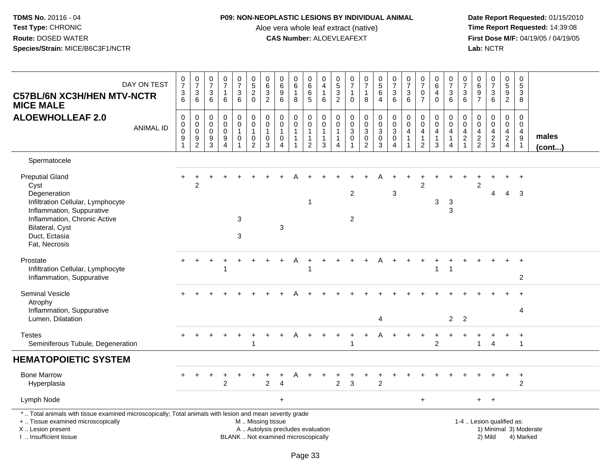### **P09: NON-NEOPLASTIC LESIONS BY INDIVIDUAL ANIMAL**

Aloe vera whole leaf extract (native)<br>**CAS Number:** ALOEVLEAFEXT

 **Date Report Requested:** 01/15/2010 **First Dose M/F:** 04/19/05 / 04/19/05<br>Lab: NCTR **Lab:** NCTR

| DAY ON TEST<br><b>C57BL/6N XC3H/HEN MTV-NCTR</b><br><b>MICE MALE</b>                                                                                                                                  | $\frac{0}{7}$<br>$\frac{3}{6}$                          | $\frac{0}{7}$<br>$\sqrt{3}$<br>$6\phantom{1}$  | $\mathbf 0$<br>$\overline{7}$<br>$\mathbf{3}$<br>6         | $\frac{0}{7}$<br>1<br>6                                               | $\begin{array}{c} 0 \\ 7 \end{array}$<br>3<br>6                         | $\,0\,$<br>5<br>$\boldsymbol{2}$<br>$\mathbf 0$                        | 0<br>6<br>$\overline{3}$<br>$\overline{c}$                   | $\pmb{0}$<br>$\,6\,$<br>$\boldsymbol{9}$<br>6                                  | 0<br>6<br>$\mathbf{1}$<br>8                | $\pmb{0}$<br>6<br>$\overline{6}$<br>5                                     | 0<br>$\overline{4}$<br>$\mathbf{1}$<br>6                        | 0<br>$\frac{5}{3}$<br>$\overline{2}$       | $\frac{0}{7}$<br>$\mathbf{1}$<br>$\mathbf 0$                              | $\begin{smallmatrix}0\\7\end{smallmatrix}$<br>$\mathbf{1}$<br>8 | $\pmb{0}$<br>5<br>6<br>$\overline{4}$                      | 0<br>$\overline{7}$<br>$\mathfrak{Z}$<br>6                              | $\pmb{0}$<br>$\overline{7}$<br>$\sqrt{3}$<br>6 | $\pmb{0}$<br>$\overline{7}$<br>0<br>$\overline{7}$                             | 0<br>6<br>4<br>$\mathbf 0$      | $\frac{0}{7}$<br>$\sqrt{3}$<br>$6\phantom{1}$                     | $\mathbf 0$<br>$\overline{7}$<br>3<br>6                            | $\pmb{0}$<br>$\,6\,$<br>9<br>$\overline{7}$      | $\begin{array}{c} 0 \\ 7 \end{array}$<br>$\sqrt{3}$<br>$6\phantom{1}6$ | $\pmb{0}$<br>$5\phantom{.0}$<br>9<br>$\overline{2}$              | $\pmb{0}$<br>5<br>3<br>8                                 |                        |
|-------------------------------------------------------------------------------------------------------------------------------------------------------------------------------------------------------|---------------------------------------------------------|------------------------------------------------|------------------------------------------------------------|-----------------------------------------------------------------------|-------------------------------------------------------------------------|------------------------------------------------------------------------|--------------------------------------------------------------|--------------------------------------------------------------------------------|--------------------------------------------|---------------------------------------------------------------------------|-----------------------------------------------------------------|--------------------------------------------|---------------------------------------------------------------------------|-----------------------------------------------------------------|------------------------------------------------------------|-------------------------------------------------------------------------|------------------------------------------------|--------------------------------------------------------------------------------|---------------------------------|-------------------------------------------------------------------|--------------------------------------------------------------------|--------------------------------------------------|------------------------------------------------------------------------|------------------------------------------------------------------|----------------------------------------------------------|------------------------|
| <b>ALOEWHOLLEAF 2.0</b><br><b>ANIMAL ID</b>                                                                                                                                                           | $\mathbf 0$<br>$\pmb{0}$<br>$\pmb{0}$<br>$\overline{9}$ | 0<br>$\mathbf 0$<br>$\pmb{0}$<br>$\frac{9}{2}$ | $\mathbf 0$<br>$\mathbf 0$<br>$\mathbf 0$<br>$\frac{9}{3}$ | $\mathbf 0$<br>$\Omega$<br>$\mathbf 0$<br>9<br>$\boldsymbol{\Lambda}$ | $\mathbf 0$<br>$\mathbf 0$<br>$\mathbf{1}$<br>$\pmb{0}$<br>$\mathbf{1}$ | $\Omega$<br>$\mathbf 0$<br>$\mathbf{1}$<br>$\pmb{0}$<br>$\overline{c}$ | $\mathbf 0$<br>$\mathbf 0$<br>$\mathbf{1}$<br>$\pmb{0}$<br>3 | $\mathbf 0$<br>$\Omega$<br>$\mathbf{1}$<br>$\pmb{0}$<br>$\boldsymbol{\Lambda}$ | 0<br>$\mathbf 0$<br>$\mathbf{1}$<br>1<br>1 | 0<br>$\mathsf{O}\xspace$<br>$\mathbf 1$<br>$\mathbf{1}$<br>$\overline{2}$ | $\mathbf 0$<br>$\mathbf 0$<br>$\mathbf{1}$<br>$\mathbf{1}$<br>3 | 0<br>$\Omega$<br>$\overline{1}$<br>-1<br>4 | $\mathbf 0$<br>$\mathbf 0$<br>$\mathbf{3}$<br>$\pmb{0}$<br>$\overline{1}$ | 0<br>$\mathbf 0$<br>$\mathbf{3}$<br>$\pmb{0}$<br>$\overline{2}$ | $\mathbf 0$<br>$\mathbf 0$<br>$\sqrt{3}$<br>$\pmb{0}$<br>3 | $\mathbf 0$<br>$\mathsf 0$<br>3<br>$\pmb{0}$<br>$\overline{\mathbf{4}}$ | $\Omega$<br>$\Omega$<br>4<br>$\overline{1}$    | $\mathbf 0$<br>$\mathbf 0$<br>$\overline{4}$<br>$\mathbf{1}$<br>$\overline{2}$ | 0<br>$\mathbf 0$<br>4<br>1<br>3 | $\mathbf{0}$<br>$\Omega$<br>$\overline{4}$<br>$\overline{1}$<br>4 | 0<br>$\mathbf 0$<br>$\overline{4}$<br>$\sqrt{2}$<br>$\overline{1}$ | $\mathbf 0$<br>$\mathbf 0$<br>4<br>$\frac{2}{2}$ | $\mathbf 0$<br>$\mathbf 0$<br>$\overline{\mathbf{4}}$<br>$\frac{2}{3}$ | $\Omega$<br>$\mathbf 0$<br>4<br>$\overline{2}$<br>$\overline{4}$ | $\mathbf 0$<br>$\mathbf 0$<br>4<br>$\boldsymbol{9}$<br>1 | males<br>(cont)        |
| Spermatocele                                                                                                                                                                                          |                                                         |                                                |                                                            |                                                                       |                                                                         |                                                                        |                                                              |                                                                                |                                            |                                                                           |                                                                 |                                            |                                                                           |                                                                 |                                                            |                                                                         |                                                |                                                                                |                                 |                                                                   |                                                                    |                                                  |                                                                        |                                                                  |                                                          |                        |
| <b>Preputial Gland</b><br>Cyst<br>Degeneration<br>Infiltration Cellular, Lymphocyte<br>Inflammation, Suppurative<br>Inflammation, Chronic Active<br>Bilateral, Cyst<br>Duct, Ectasia<br>Fat, Necrosis | $\pm$                                                   | $\ddot{}$<br>$\overline{2}$                    |                                                            |                                                                       | 3<br>3                                                                  |                                                                        |                                                              | $\ensuremath{\mathsf{3}}$                                                      |                                            |                                                                           |                                                                 |                                            | $\overline{c}$<br>$\overline{c}$                                          |                                                                 |                                                            | 3                                                                       |                                                | $\ddot{}$<br>$\mathfrak{p}$                                                    | 3                               | 3<br>3                                                            |                                                                    | 2                                                | 4                                                                      | $\overline{4}$                                                   | $\overline{1}$<br>-3                                     |                        |
| Prostate<br>Infiltration Cellular, Lymphocyte<br>Inflammation, Suppurative                                                                                                                            |                                                         |                                                |                                                            |                                                                       |                                                                         |                                                                        |                                                              |                                                                                |                                            |                                                                           |                                                                 |                                            |                                                                           |                                                                 |                                                            |                                                                         |                                                |                                                                                | 1                               | $\overline{1}$                                                    |                                                                    |                                                  |                                                                        |                                                                  | $\overline{2}$                                           |                        |
| Seminal Vesicle<br>Atrophy<br>Inflammation, Suppurative<br>Lumen, Dilatation                                                                                                                          |                                                         |                                                |                                                            |                                                                       |                                                                         |                                                                        |                                                              |                                                                                |                                            |                                                                           |                                                                 |                                            |                                                                           |                                                                 | 4                                                          |                                                                         |                                                |                                                                                |                                 | $2^{\circ}$                                                       | $\overline{2}$                                                     |                                                  |                                                                        |                                                                  | 4                                                        |                        |
| <b>Testes</b><br>Seminiferous Tubule, Degeneration                                                                                                                                                    |                                                         |                                                |                                                            | $\ddot{}$                                                             | $+$                                                                     | $\ddot{}$                                                              |                                                              |                                                                                | Α                                          |                                                                           | $\pm$                                                           | +                                          | $\ddot{}$<br>-1                                                           | $\ddot{}$                                                       |                                                            |                                                                         |                                                | $\ddot{}$                                                                      | +<br>$\overline{2}$             |                                                                   | $\ddot{}$                                                          | $\mathbf{1}$                                     | $\ddot{}$<br>$\overline{4}$                                            | +                                                                | $\ddot{}$<br>$\mathbf{1}$                                |                        |
| <b>HEMATOPOIETIC SYSTEM</b>                                                                                                                                                                           |                                                         |                                                |                                                            |                                                                       |                                                                         |                                                                        |                                                              |                                                                                |                                            |                                                                           |                                                                 |                                            |                                                                           |                                                                 |                                                            |                                                                         |                                                |                                                                                |                                 |                                                                   |                                                                    |                                                  |                                                                        |                                                                  |                                                          |                        |
| <b>Bone Marrow</b><br>Hyperplasia                                                                                                                                                                     |                                                         |                                                |                                                            | $\overline{c}$                                                        |                                                                         |                                                                        | $\overline{c}$                                               |                                                                                |                                            |                                                                           |                                                                 | 2                                          | 3                                                                         |                                                                 | $\overline{2}$                                             |                                                                         |                                                |                                                                                |                                 |                                                                   |                                                                    |                                                  |                                                                        |                                                                  | $\ddot{}$<br>2                                           |                        |
| Lymph Node                                                                                                                                                                                            |                                                         |                                                |                                                            |                                                                       |                                                                         |                                                                        |                                                              | $+$                                                                            |                                            |                                                                           |                                                                 |                                            |                                                                           |                                                                 |                                                            |                                                                         |                                                | $+$                                                                            |                                 |                                                                   |                                                                    | $+$                                              | $+$                                                                    |                                                                  |                                                          |                        |
| *  Total animals with tissue examined microscopically; Total animals with lesion and mean severity grade<br>+  Tissue examined microscopically<br>X  Lesion present<br>I  Insufficient tissue         |                                                         |                                                |                                                            |                                                                       |                                                                         | M  Missing tissue                                                      |                                                              | A  Autolysis precludes evaluation<br>BLANK  Not examined microscopically       |                                            |                                                                           |                                                                 |                                            |                                                                           |                                                                 |                                                            |                                                                         |                                                |                                                                                |                                 |                                                                   |                                                                    | 1-4  Lesion qualified as:                        | 2) Mild                                                                |                                                                  | 4) Marked                                                | 1) Minimal 3) Moderate |

I .. Insufficient tissue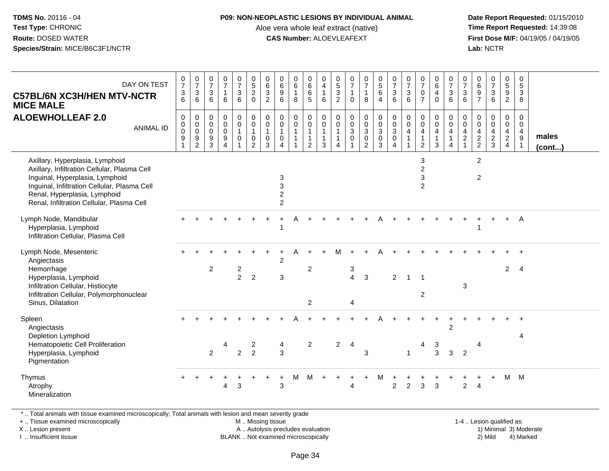#### **P09: NON-NEOPLASTIC LESIONS BY INDIVIDUAL ANIMAL**

Aloe vera whole leaf extract (native)<br>**CAS Number:** ALOEVLEAFEXT

 **Date Report Requested:** 01/15/2010 **First Dose M/F:** 04/19/05 / 04/19/05<br>**Lab:** NCTR **Lab:** NCTR

| DAY ON TEST<br><b>C57BL/6N XC3H/HEN MTV-NCTR</b><br><b>MICE MALE</b>                                                                                                                                                                            | $\frac{0}{7}$<br>$\sqrt{3}$<br>6                  | $\begin{array}{c} 0 \\ 7 \end{array}$<br>$\mathbf{3}$<br>$\overline{6}$ | $\frac{0}{7}$<br>$\mathfrak{S}$<br>6                     | 0<br>$\boldsymbol{7}$<br>$\mathbf{1}$<br>6                            | $\begin{smallmatrix}0\\7\end{smallmatrix}$<br>$\frac{3}{6}$                       | $\begin{array}{c} 0 \\ 5 \\ 2 \end{array}$<br>$\mathbf 0$                                     | $\begin{array}{c} 0 \\ 6 \end{array}$<br>$\frac{3}{2}$                                      | $\pmb{0}$<br>$\,6\,$<br>$9\,$<br>6                   | $\begin{array}{c} 0 \\ 6 \end{array}$<br>$\mathbf{1}$<br>8                   | $_6^0$<br>6<br>$\overline{5}$                                      | 0<br>$\overline{4}$<br>$\mathbf{1}$<br>6                 | 0<br>5<br>3<br>2                                                       | 0<br>$\overline{7}$<br>$\mathbf{1}$<br>$\Omega$             | $\begin{smallmatrix}0\\7\end{smallmatrix}$<br>$\mathbf{1}$<br>8 | $\begin{array}{c} 0 \\ 5 \end{array}$<br>6<br>$\overline{4}$         | $\begin{array}{c} 0 \\ 7 \end{array}$<br>$\mathbf{3}$<br>6                                                    | $\frac{0}{7}$<br>3<br>6         | $\frac{0}{7}$<br>$\mathbf 0$<br>$\overline{7}$                                                  | $_6^0$<br>$\overline{4}$<br>$\Omega$                               | $\frac{0}{7}$<br>3<br>6                                                     | $\frac{0}{7}$<br>$\sqrt{3}$<br>6                         | $\begin{array}{c} 0 \\ 6 \end{array}$<br>$\frac{9}{7}$ | $\begin{array}{c} 0 \\ 7 \end{array}$<br>$\mathbf 3$<br>6              | $\begin{array}{c} 0 \\ 5 \end{array}$<br>9<br>$\overline{2}$ | 0<br>$\sqrt{5}$<br>3<br>8                             |                       |
|-------------------------------------------------------------------------------------------------------------------------------------------------------------------------------------------------------------------------------------------------|---------------------------------------------------|-------------------------------------------------------------------------|----------------------------------------------------------|-----------------------------------------------------------------------|-----------------------------------------------------------------------------------|-----------------------------------------------------------------------------------------------|---------------------------------------------------------------------------------------------|------------------------------------------------------|------------------------------------------------------------------------------|--------------------------------------------------------------------|----------------------------------------------------------|------------------------------------------------------------------------|-------------------------------------------------------------|-----------------------------------------------------------------|----------------------------------------------------------------------|---------------------------------------------------------------------------------------------------------------|---------------------------------|-------------------------------------------------------------------------------------------------|--------------------------------------------------------------------|-----------------------------------------------------------------------------|----------------------------------------------------------|--------------------------------------------------------|------------------------------------------------------------------------|--------------------------------------------------------------|-------------------------------------------------------|-----------------------|
| <b>ALOEWHOLLEAF 2.0</b><br><b>ANIMAL ID</b>                                                                                                                                                                                                     | $\mathbf 0$<br>0<br>$\pmb{0}$<br>$\boldsymbol{9}$ | 0<br>$\overline{0}$ <sub>0</sub><br>$\frac{9}{2}$                       | 0<br>$\mathbf 0$<br>$\mathbf 0$<br>$\boldsymbol{9}$<br>3 | $\mathbf 0$<br>$\pmb{0}$<br>$\pmb{0}$<br>9<br>$\overline{\mathbf{4}}$ | $\begin{smallmatrix}0\\0\end{smallmatrix}$<br>$\mathbf{1}$<br>$\mathsf{O}\xspace$ | $\begin{smallmatrix} 0\\0 \end{smallmatrix}$<br>$\overline{1}$<br>$\pmb{0}$<br>$\overline{2}$ | $\begin{smallmatrix} 0\\0 \end{smallmatrix}$<br>$\mathbf{1}$<br>$\mathbf 0$<br>$\mathbf{3}$ | 0<br>$\mathbf 0$<br>$\mathbf{1}$<br>$\mathbf 0$<br>4 | $\begin{smallmatrix} 0\\0 \end{smallmatrix}$<br>$\mathbf{1}$<br>$\mathbf{1}$ | 0<br>$\mathbf 0$<br>$\mathbf{1}$<br>$\mathbf{1}$<br>$\overline{2}$ | 0<br>$\overline{0}$<br>$\mathbf{1}$<br>$\mathbf{1}$<br>3 | $\mathbf 0$<br>$\mathbf 0$<br>$\mathbf{1}$<br>$\mathbf{1}$<br>$\Delta$ | $\mathbf 0$<br>$\mathbf 0$<br>$\mathfrak{S}$<br>$\mathbf 0$ | 0<br>0<br>0<br>0<br>2                                           | $\begin{smallmatrix}0\0\0\end{smallmatrix}$<br>3<br>$\mathbf 0$<br>3 | $\begin{smallmatrix} 0\\0 \end{smallmatrix}$<br>$\ensuremath{\mathsf{3}}$<br>$\overline{0}$<br>$\overline{4}$ | $\mathbf 0$<br>$\mathbf 0$<br>4 | $\mathsf{O}\xspace$<br>$\check{\mathbf{0}}$<br>$\overline{4}$<br>$\mathbf{1}$<br>$\overline{2}$ | $\mathbf{0}$<br>$\mathbf 0$<br>$\overline{4}$<br>$\mathbf{1}$<br>3 | $\begin{matrix} 0 \\ 0 \\ 4 \end{matrix}$<br>$\mathbf{1}$<br>$\overline{4}$ | $\mathbf 0$<br>$\pmb{0}$<br>$\overline{4}$<br>$\sqrt{2}$ | $\mathbf 0$<br>$\mathbf 0$<br>$\frac{4}{2}$            | $\mathbf 0$<br>$\mathbf 0$<br>$\overline{\mathbf{4}}$<br>$\frac{2}{3}$ | 0<br>$\mathsf{O}\xspace$<br>$\frac{4}{2}$                    | $\mathbf 0$<br>$\mathbf 0$<br>$\overline{4}$<br>$9\,$ | males<br>$($ cont $)$ |
| Axillary, Hyperplasia, Lymphoid<br>Axillary, Infiltration Cellular, Plasma Cell<br>Inguinal, Hyperplasia, Lymphoid<br>Inguinal, Infiltration Cellular, Plasma Cell<br>Renal, Hyperplasia, Lymphoid<br>Renal, Infiltration Cellular, Plasma Cell |                                                   |                                                                         |                                                          |                                                                       |                                                                                   |                                                                                               |                                                                                             | 3<br>3<br>$\boldsymbol{2}$<br>$\overline{c}$         |                                                                              |                                                                    |                                                          |                                                                        |                                                             |                                                                 |                                                                      |                                                                                                               |                                 | 3<br>$\overline{2}$<br>$\ensuremath{\mathsf{3}}$<br>$\overline{2}$                              |                                                                    |                                                                             |                                                          | $\sqrt{2}$<br>$\sqrt{2}$                               |                                                                        |                                                              |                                                       |                       |
| Lymph Node, Mandibular<br>Hyperplasia, Lymphoid<br>Infiltration Cellular, Plasma Cell                                                                                                                                                           |                                                   |                                                                         |                                                          |                                                                       |                                                                                   |                                                                                               |                                                                                             |                                                      |                                                                              |                                                                    |                                                          |                                                                        |                                                             |                                                                 |                                                                      |                                                                                                               |                                 |                                                                                                 |                                                                    |                                                                             |                                                          |                                                        |                                                                        | $\ddot{}$                                                    | A                                                     |                       |
| Lymph Node, Mesenteric<br>Angiectasis<br>Hemorrhage<br>Hyperplasia, Lymphoid<br>Infiltration Cellular, Histiocyte<br>Infiltration Cellular, Polymorphonuclear<br>Sinus, Dilatation                                                              |                                                   |                                                                         | $\overline{2}$                                           |                                                                       | $\frac{2}{2}$                                                                     | $\overline{2}$                                                                                |                                                                                             | $\overline{c}$<br>3                                  |                                                                              | $\overline{c}$<br>$\overline{2}$                                   |                                                          | М                                                                      | $\sqrt{3}$<br>$\overline{4}$<br>$\overline{4}$              | 3                                                               |                                                                      | 2                                                                                                             | 1                               | $\mathbf 1$<br>$\overline{2}$                                                                   |                                                                    |                                                                             | 3                                                        |                                                        |                                                                        | $\overline{2}$                                               | $\overline{4}$                                        |                       |
| Spleen<br>Angiectasis<br>Depletion Lymphoid<br>Hematopoietic Cell Proliferation<br>Hyperplasia, Lymphoid<br>Pigmentation                                                                                                                        |                                                   |                                                                         | 2                                                        | 4                                                                     | $\overline{2}$                                                                    | 2<br>$\overline{2}$                                                                           |                                                                                             | 4<br>3                                               |                                                                              | 2                                                                  |                                                          | $\overline{2}$                                                         | 4                                                           | 3                                                               |                                                                      |                                                                                                               | $\mathbf{1}$                    |                                                                                                 | 3<br>3                                                             | $\overline{2}$<br>$\mathbf{3}$                                              | $\overline{2}$                                           | 4                                                      |                                                                        |                                                              | 4                                                     |                       |
| Thymus<br>Atrophy<br>Mineralization                                                                                                                                                                                                             |                                                   |                                                                         |                                                          | 4                                                                     | 3                                                                                 |                                                                                               |                                                                                             | $\ddot{}$<br>3                                       | M                                                                            | M                                                                  | $\ddot{}$                                                | $+$                                                                    | $\ddot{}$<br>4                                              | $\ddot{}$                                                       | M                                                                    | $\overline{2}$                                                                                                | 2                               | 3                                                                                               | ÷<br>3                                                             | +                                                                           | +<br>$\overline{c}$                                      | $\overline{4}$                                         | $\ddot{}$                                                              |                                                              | M M                                                   |                       |

\* .. Total animals with tissue examined microscopically; Total animals with lesion and mean severity grade

+ .. Tissue examined microscopically

X .. Lesion present

I .. Insufficient tissue

M .. Missing tissue

A .. Autolysis precludes evaluation

BLANK .. Not examined microscopically 2) Mild 4) Marked

1-4 .. Lesion qualified as: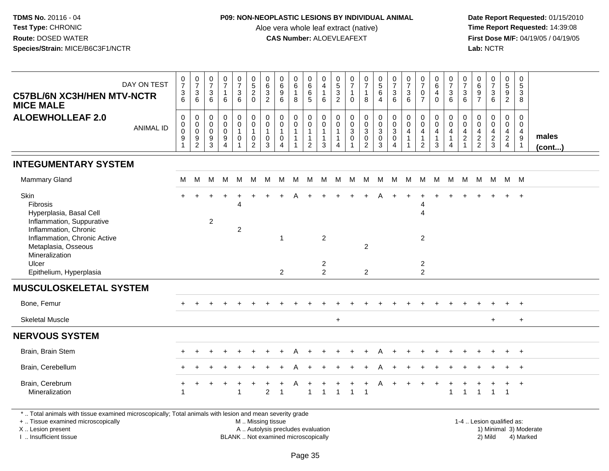### **P09: NON-NEOPLASTIC LESIONS BY INDIVIDUAL ANIMAL**

Aloe vera whole leaf extract (native)<br>**CAS Number:** ALOEVLEAFEXT

 **Date Report Requested:** 01/15/2010 **First Dose M/F:** 04/19/05 / 04/19/05<br>Lab: NCTR **Lab:** NCTR

| DAY ON TEST<br><b>C57BL/6N XC3H/HEN MTV-NCTR</b><br><b>MICE MALE</b>                                                                                                       | $\begin{smallmatrix}0\\7\end{smallmatrix}$<br>$\frac{3}{6}$ | $\begin{array}{c} 0 \\ 7 \end{array}$<br>$\frac{3}{6}$                           | 0<br>$\overline{7}$<br>$\mathbf{3}$<br>6         | $\pmb{0}$<br>$\overline{7}$<br>$\mathbf{1}$<br>6                 | $\frac{0}{7}$<br>$\mathbf{3}$<br>6                      | $\begin{array}{c} 0 \\ 5 \end{array}$<br>$\overline{2}$<br>$\mathbf 0$  | $\begin{array}{c} 0 \\ 6 \end{array}$<br>$\overline{3}$<br>$\overline{2}$ | 0<br>6<br>$\boldsymbol{9}$<br>6                             | $\mathbf 0$<br>$\overline{6}$<br>$\mathbf{1}$<br>8                                   | 0<br>$\overline{6}$<br>$\,6\,$<br>$\overline{5}$                       | $\mathbf 0$<br>$\overline{4}$<br>$\overline{1}$<br>6              | 0<br>$\overline{5}$<br>3<br>$\overline{2}$ | $\begin{smallmatrix}0\\7\end{smallmatrix}$<br>$\mathbf{1}$<br>$\mathbf 0$ | $\frac{0}{7}$<br>$\mathbf{1}$<br>8                                                  | $\begin{array}{c} 0 \\ 5 \\ 6 \end{array}$<br>$\overline{4}$         | $\frac{0}{7}$<br>$\sqrt{3}$<br>6                                                      | 0<br>$\overline{7}$<br>$\mathbf{3}$<br>6           | $\pmb{0}$<br>$\overline{7}$<br>$\pmb{0}$<br>$\overline{7}$                   | $\mathbf 0$<br>$\overline{6}$<br>4<br>$\Omega$ | $\frac{0}{7}$<br>$\frac{3}{6}$                                     | $\frac{0}{7}$<br>3<br>6                                        | 0<br>$\,6$<br>$\boldsymbol{9}$<br>$\overline{7}$    | $\begin{smallmatrix} 0\\7 \end{smallmatrix}$<br>$\sqrt{3}$<br>6  | $\pmb{0}$<br>$\overline{5}$<br>$\boldsymbol{9}$<br>$\overline{c}$ | $\mathsf 0$<br>$\overline{5}$<br>$\mathbf{3}$<br>8      |                        |
|----------------------------------------------------------------------------------------------------------------------------------------------------------------------------|-------------------------------------------------------------|----------------------------------------------------------------------------------|--------------------------------------------------|------------------------------------------------------------------|---------------------------------------------------------|-------------------------------------------------------------------------|---------------------------------------------------------------------------|-------------------------------------------------------------|--------------------------------------------------------------------------------------|------------------------------------------------------------------------|-------------------------------------------------------------------|--------------------------------------------|---------------------------------------------------------------------------|-------------------------------------------------------------------------------------|----------------------------------------------------------------------|---------------------------------------------------------------------------------------|----------------------------------------------------|------------------------------------------------------------------------------|------------------------------------------------|--------------------------------------------------------------------|----------------------------------------------------------------|-----------------------------------------------------|------------------------------------------------------------------|-------------------------------------------------------------------|---------------------------------------------------------|------------------------|
| <b>ALOEWHOLLEAF 2.0</b><br><b>ANIMAL ID</b>                                                                                                                                | 0<br>$\mathbf 0$<br>$\mathsf 0$<br>$\boldsymbol{9}$         | $\mathbf 0$<br>$\pmb{0}$<br>$\overline{0}$<br>$\boldsymbol{9}$<br>$\overline{2}$ | $\mathbf 0$<br>$\Omega$<br>$\mathbf 0$<br>9<br>3 | $\mathbf 0$<br>$\mathbf 0$<br>$\mathbf 0$<br>9<br>$\overline{4}$ | 0<br>$\mathsf{O}\xspace$<br>$\mathbf{1}$<br>$\mathbf 0$ | $\pmb{0}$<br>$\ddot{\mathbf{0}}$<br>$\mathbf{1}$<br>0<br>$\overline{2}$ | $\mathbf 0$<br>$\mathbf 0$<br>$\mathbf{1}$<br>$\mathbf 0$<br>3            | $\mathbf 0$<br>$\mathbf 0$<br>$\mathbf 0$<br>$\overline{4}$ | $\mathbf 0$<br>$\ddot{\mathbf{0}}$<br>$\mathbf{1}$<br>$\mathbf{1}$<br>$\overline{1}$ | 0<br>$\mathbf 0$<br>$\overline{1}$<br>$\overline{1}$<br>$\overline{2}$ | $\mathbf 0$<br>$\mathbf 0$<br>$\mathbf{1}$<br>$\overline{1}$<br>3 | 0<br>$\mathbf 0$<br>1<br>4                 | 0<br>$\mathsf{O}\xspace$<br>$\mathbf 3$<br>$\pmb{0}$<br>$\overline{1}$    | $\mathbf 0$<br>$\ddot{\mathbf{0}}$<br>$\mathbf{3}$<br>$\mathsf 0$<br>$\overline{2}$ | 0<br>$\ddot{\mathbf{0}}$<br>$\mathbf{3}$<br>$\mathsf{O}\xspace$<br>3 | $\mathbf 0$<br>$\ddot{\mathbf{0}}$<br>$\overline{3}$<br>$\mathbf 0$<br>$\overline{4}$ | $\mathbf 0$<br>$\mathbf 0$<br>$\overline{4}$<br>-1 | $\pmb{0}$<br>$\mathbf 0$<br>$\overline{4}$<br>$\mathbf{1}$<br>$\overline{2}$ | 0<br>$\mathbf 0$<br>$\overline{4}$<br>1<br>3   | 0<br>$\pmb{0}$<br>$\overline{4}$<br>$\mathbf{1}$<br>$\overline{4}$ | $\mathbf 0$<br>$\Omega$<br>4<br>$\overline{c}$<br>$\mathbf{1}$ | $\mathbf 0$<br>0<br>$\overline{4}$<br>$\frac{2}{2}$ | $\mathbf 0$<br>$\overline{0}$<br>$\overline{4}$<br>$\frac{2}{3}$ | 0<br>$\mathbf 0$<br>$\frac{4}{2}$<br>4                            | 0<br>$\mathbf 0$<br>$\overline{4}$<br>9<br>$\mathbf{1}$ | males<br>(cont)        |
| <b>INTEGUMENTARY SYSTEM</b>                                                                                                                                                |                                                             |                                                                                  |                                                  |                                                                  |                                                         |                                                                         |                                                                           |                                                             |                                                                                      |                                                                        |                                                                   |                                            |                                                                           |                                                                                     |                                                                      |                                                                                       |                                                    |                                                                              |                                                |                                                                    |                                                                |                                                     |                                                                  |                                                                   |                                                         |                        |
| Mammary Gland                                                                                                                                                              | M                                                           | M                                                                                | м                                                | M                                                                | M                                                       | M                                                                       | M                                                                         | M                                                           | M                                                                                    | M                                                                      | M                                                                 |                                            | M M M                                                                     |                                                                                     |                                                                      | M M M                                                                                 |                                                    |                                                                              | M M                                            | M                                                                  | M                                                              |                                                     |                                                                  | M M M M                                                           |                                                         |                        |
| Skin<br>Fibrosis<br>Hyperplasia, Basal Cell<br>Inflammation, Suppurative<br>Inflammation, Chronic<br>Inflammation, Chronic Active<br>Metaplasia, Osseous<br>Mineralization |                                                             |                                                                                  | 2                                                |                                                                  | 4<br>$\overline{2}$                                     |                                                                         |                                                                           | $\overline{1}$                                              |                                                                                      |                                                                        | 2                                                                 |                                            |                                                                           | $\overline{c}$                                                                      |                                                                      |                                                                                       |                                                    | 4<br>4<br>$\overline{2}$                                                     |                                                |                                                                    |                                                                |                                                     |                                                                  |                                                                   |                                                         |                        |
| Ulcer<br>Epithelium, Hyperplasia                                                                                                                                           |                                                             |                                                                                  |                                                  |                                                                  |                                                         |                                                                         |                                                                           | $\overline{2}$                                              |                                                                                      |                                                                        | $\overline{c}$<br>$\overline{2}$                                  |                                            |                                                                           | $\overline{2}$                                                                      |                                                                      |                                                                                       |                                                    | $\overline{2}$<br>$\overline{2}$                                             |                                                |                                                                    |                                                                |                                                     |                                                                  |                                                                   |                                                         |                        |
| <b>MUSCULOSKELETAL SYSTEM</b>                                                                                                                                              |                                                             |                                                                                  |                                                  |                                                                  |                                                         |                                                                         |                                                                           |                                                             |                                                                                      |                                                                        |                                                                   |                                            |                                                                           |                                                                                     |                                                                      |                                                                                       |                                                    |                                                                              |                                                |                                                                    |                                                                |                                                     |                                                                  |                                                                   |                                                         |                        |
| Bone, Femur                                                                                                                                                                |                                                             |                                                                                  |                                                  |                                                                  |                                                         |                                                                         |                                                                           |                                                             |                                                                                      |                                                                        |                                                                   |                                            |                                                                           |                                                                                     |                                                                      |                                                                                       |                                                    |                                                                              |                                                |                                                                    |                                                                |                                                     |                                                                  |                                                                   |                                                         |                        |
| <b>Skeletal Muscle</b>                                                                                                                                                     |                                                             |                                                                                  |                                                  |                                                                  |                                                         |                                                                         |                                                                           |                                                             |                                                                                      |                                                                        |                                                                   | $\ddot{}$                                  |                                                                           |                                                                                     |                                                                      |                                                                                       |                                                    |                                                                              |                                                |                                                                    |                                                                |                                                     | $+$                                                              |                                                                   | $\ddot{}$                                               |                        |
| <b>NERVOUS SYSTEM</b>                                                                                                                                                      |                                                             |                                                                                  |                                                  |                                                                  |                                                         |                                                                         |                                                                           |                                                             |                                                                                      |                                                                        |                                                                   |                                            |                                                                           |                                                                                     |                                                                      |                                                                                       |                                                    |                                                                              |                                                |                                                                    |                                                                |                                                     |                                                                  |                                                                   |                                                         |                        |
| Brain, Brain Stem                                                                                                                                                          |                                                             |                                                                                  |                                                  |                                                                  |                                                         |                                                                         |                                                                           |                                                             |                                                                                      |                                                                        |                                                                   |                                            |                                                                           |                                                                                     |                                                                      |                                                                                       |                                                    |                                                                              |                                                |                                                                    |                                                                |                                                     |                                                                  | $+$                                                               | $+$                                                     |                        |
| Brain, Cerebellum                                                                                                                                                          |                                                             |                                                                                  |                                                  |                                                                  |                                                         |                                                                         |                                                                           |                                                             |                                                                                      |                                                                        |                                                                   |                                            |                                                                           |                                                                                     |                                                                      |                                                                                       |                                                    |                                                                              |                                                |                                                                    |                                                                |                                                     |                                                                  |                                                                   | $+$                                                     |                        |
| Brain, Cerebrum<br>Mineralization                                                                                                                                          |                                                             |                                                                                  |                                                  |                                                                  | 1                                                       |                                                                         | $\overline{2}$                                                            |                                                             |                                                                                      | 1                                                                      | 1                                                                 |                                            | 1                                                                         | -1                                                                                  |                                                                      |                                                                                       |                                                    |                                                                              |                                                | 1                                                                  | $\mathbf{1}$                                                   |                                                     | $\mathbf{1}$                                                     | $\overline{1}$                                                    | $+$                                                     |                        |
| *  Total animals with tissue examined microscopically; Total animals with lesion and mean severity grade<br>+  Tissue examined microscopically<br>X Lesion present         |                                                             |                                                                                  |                                                  |                                                                  |                                                         | M  Missing tissue<br>A  Autolysis precludes evaluation                  |                                                                           |                                                             |                                                                                      |                                                                        |                                                                   |                                            |                                                                           |                                                                                     |                                                                      |                                                                                       |                                                    |                                                                              |                                                |                                                                    |                                                                |                                                     |                                                                  | 1-4  Lesion qualified as:                                         |                                                         | 1) Minimal 3) Moderate |

I .. Insufficient tissue

BLANK .. Not examined microscopically 2) Mild 4) Marked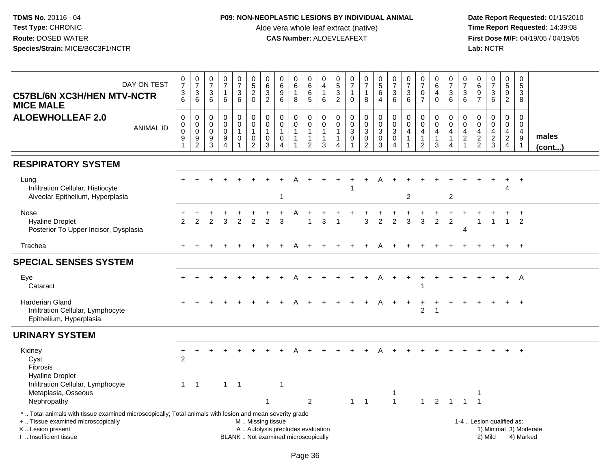## **P09: NON-NEOPLASTIC LESIONS BY INDIVIDUAL ANIMAL**

Aloe vera whole leaf extract (native)<br>**CAS Number:** ALOEVLEAFEXT

| DAY ON TEST<br><b>C57BL/6N XC3H/HEN MTV-NCTR</b><br><b>MICE MALE</b>                                                                                                                          | $\frac{0}{7}$<br>$\frac{3}{6}$                       | $\begin{smallmatrix}0\\7\end{smallmatrix}$<br>$\ensuremath{\mathsf{3}}$<br>6 | 0<br>$\overline{7}$<br>$\ensuremath{\mathsf{3}}$<br>6 | $\frac{0}{7}$<br>$\mathbf{1}$<br>6                                              | $\frac{0}{7}$<br>3<br>$\,6\,$                                              | $\begin{array}{c} 0 \\ 5 \end{array}$<br>$\overline{2}$<br>$\Omega$       | 0<br>$\overline{6}$<br>$\sqrt{3}$<br>$\overline{2}$  | $\begin{array}{c} 0 \\ 6 \end{array}$<br>$\overline{9}$<br>6               | $_6^0$<br>$\mathbf{1}$<br>8                                                | $_{6}^{\rm 0}$<br>$\,6$<br>5                                                       | $\mathbf 0$<br>$\overline{4}$<br>$\mathbf{1}$<br>$\,6\,$                   | $\begin{array}{c} 0 \\ 5 \end{array}$<br>$\overline{3}$<br>$\overline{2}$ | $\begin{array}{c} 0 \\ 7 \end{array}$<br>$\overline{1}$<br>$\Omega$   | $\frac{0}{7}$<br>1<br>8                                         | $\begin{array}{c} 0 \\ 5 \\ 6 \end{array}$<br>$\overline{4}$                                | $\begin{smallmatrix}0\\7\end{smallmatrix}$<br>$\ensuremath{\mathsf{3}}$<br>6 | 0<br>$\overline{7}$<br>$\ensuremath{\mathsf{3}}$<br>6 | $\frac{0}{7}$<br>$\frac{0}{7}$                                                         | $_{6}^{\rm 0}$<br>$\overline{\mathbf{4}}$<br>$\mathbf 0$                   | $\frac{0}{7}$<br>$\sqrt{3}$<br>$6\phantom{1}6$                                              | $\frac{0}{7}$<br>3<br>$\,6\,$                           | 0697                                              | $\frac{0}{7}$<br>$\sqrt{3}$<br>6                                    | 0<br>5<br>9<br>2                                                    | $\mathbf 0$<br>$\overline{5}$<br>$\overline{3}$<br>8          |                        |
|-----------------------------------------------------------------------------------------------------------------------------------------------------------------------------------------------|------------------------------------------------------|------------------------------------------------------------------------------|-------------------------------------------------------|---------------------------------------------------------------------------------|----------------------------------------------------------------------------|---------------------------------------------------------------------------|------------------------------------------------------|----------------------------------------------------------------------------|----------------------------------------------------------------------------|------------------------------------------------------------------------------------|----------------------------------------------------------------------------|---------------------------------------------------------------------------|-----------------------------------------------------------------------|-----------------------------------------------------------------|---------------------------------------------------------------------------------------------|------------------------------------------------------------------------------|-------------------------------------------------------|----------------------------------------------------------------------------------------|----------------------------------------------------------------------------|---------------------------------------------------------------------------------------------|---------------------------------------------------------|---------------------------------------------------|---------------------------------------------------------------------|---------------------------------------------------------------------|---------------------------------------------------------------|------------------------|
| <b>ALOEWHOLLEAF 2.0</b><br><b>ANIMAL ID</b>                                                                                                                                                   | $\pmb{0}$<br>0<br>$\mathbf 0$<br>9<br>$\overline{1}$ | $\mathsf{O}\xspace$<br>$\pmb{0}$<br>$\mathbf 0$<br>9<br>$\overline{2}$       | $\mathsf 0$<br>0<br>$\mathbf 0$<br>$\frac{9}{3}$      | $\mathsf{O}\xspace$<br>$\pmb{0}$<br>$\mathbf 0$<br>$\boldsymbol{9}$<br>$\Delta$ | 0<br>$\mathsf{O}\xspace$<br>$\overline{1}$<br>0<br>$\overline{\mathbf{1}}$ | $\pmb{0}$<br>$\mathbf 0$<br>$\overline{1}$<br>$\pmb{0}$<br>$\overline{2}$ | $\mathbf 0$<br>$\mathbf 0$<br>$\mathbf{1}$<br>0<br>3 | $\pmb{0}$<br>$\overline{0}$<br>$\mathbf{1}$<br>$\pmb{0}$<br>$\overline{4}$ | $\mathbf 0$<br>$\pmb{0}$<br>$\mathbf{1}$<br>$\mathbf{1}$<br>$\overline{1}$ | $\mathsf{O}\xspace$<br>$\pmb{0}$<br>$\mathbf{1}$<br>$\mathbf{1}$<br>$\overline{2}$ | $\mathbf 0$<br>$\pmb{0}$<br>$\overline{1}$<br>$\mathbf{1}$<br>$\mathbf{3}$ | $\pmb{0}$<br>0<br>$\overline{1}$<br>$\mathbf{1}$<br>4                     | $\mathbf 0$<br>$\pmb{0}$<br>$\sqrt{3}$<br>$\mathbf 0$<br>$\mathbf{1}$ | 0<br>$\pmb{0}$<br>$\mathbf{3}$<br>$\mathbf 0$<br>$\overline{2}$ | $\begin{smallmatrix} 0\\0 \end{smallmatrix}$<br>$\sqrt{3}$<br>$\mathbf 0$<br>$\overline{3}$ | $_{\rm 0}^{\rm 0}$<br>$\overline{3}$<br>$\pmb{0}$<br>$\overline{4}$          | $\mathsf{O}\xspace$<br>0<br>4<br>$\mathbf{1}$         | $\mathbf 0$<br>$\ddot{\mathbf{0}}$<br>$\overline{4}$<br>$\mathbf{1}$<br>$\overline{2}$ | $\pmb{0}$<br>$\mathbf 0$<br>$\overline{4}$<br>$\mathbf{1}$<br>$\mathbf{3}$ | $\boldsymbol{0}$<br>$\mathsf{O}\xspace$<br>$\overline{4}$<br>$\mathbf{1}$<br>$\overline{4}$ | $\pmb{0}$<br>0<br>4<br>$\overline{2}$<br>$\overline{1}$ | $\mathsf{O}\xspace$<br>$\pmb{0}$<br>$\frac{4}{2}$ | $\pmb{0}$<br>$\ddot{\mathbf{0}}$<br>$\overline{4}$<br>$\frac{2}{3}$ | $\pmb{0}$<br>$\mathsf{O}\xspace$<br>$\overline{4}$<br>$\frac{2}{4}$ | $\mathbf 0$<br>$\mathbf 0$<br>$\overline{4}$<br>$\frac{9}{1}$ | males<br>(cont)        |
| <b>RESPIRATORY SYSTEM</b>                                                                                                                                                                     |                                                      |                                                                              |                                                       |                                                                                 |                                                                            |                                                                           |                                                      |                                                                            |                                                                            |                                                                                    |                                                                            |                                                                           |                                                                       |                                                                 |                                                                                             |                                                                              |                                                       |                                                                                        |                                                                            |                                                                                             |                                                         |                                                   |                                                                     |                                                                     |                                                               |                        |
| Lung<br>Infiltration Cellular, Histiocyte<br>Alveolar Epithelium, Hyperplasia                                                                                                                 |                                                      |                                                                              |                                                       |                                                                                 |                                                                            |                                                                           |                                                      |                                                                            |                                                                            |                                                                                    |                                                                            |                                                                           |                                                                       |                                                                 |                                                                                             |                                                                              | 2                                                     |                                                                                        |                                                                            | $\overline{2}$                                                                              |                                                         |                                                   |                                                                     | 4                                                                   | $+$                                                           |                        |
| Nose<br><b>Hyaline Droplet</b><br>Posterior To Upper Incisor, Dysplasia                                                                                                                       | $\mathcal{P}$                                        | 2                                                                            | っ                                                     | 3                                                                               | $\mathfrak{p}$                                                             | 2                                                                         | $\mathcal{P}$                                        | 3                                                                          |                                                                            |                                                                                    | 3                                                                          |                                                                           |                                                                       | 3                                                               | $\mathcal{P}$                                                                               | $\overline{2}$                                                               | 3                                                     | $\mathbf{3}$                                                                           | $\overline{c}$                                                             | $\overline{2}$                                                                              | 4                                                       | -1                                                | $\overline{1}$                                                      | $\mathbf{1}$                                                        | $\overline{+}$<br>$\overline{2}$                              |                        |
| Trachea                                                                                                                                                                                       |                                                      |                                                                              |                                                       |                                                                                 |                                                                            |                                                                           |                                                      |                                                                            | А                                                                          |                                                                                    |                                                                            |                                                                           |                                                                       |                                                                 | A                                                                                           |                                                                              |                                                       |                                                                                        |                                                                            |                                                                                             |                                                         |                                                   |                                                                     |                                                                     | $+$                                                           |                        |
| <b>SPECIAL SENSES SYSTEM</b>                                                                                                                                                                  |                                                      |                                                                              |                                                       |                                                                                 |                                                                            |                                                                           |                                                      |                                                                            |                                                                            |                                                                                    |                                                                            |                                                                           |                                                                       |                                                                 |                                                                                             |                                                                              |                                                       |                                                                                        |                                                                            |                                                                                             |                                                         |                                                   |                                                                     |                                                                     |                                                               |                        |
| Eye<br>Cataract                                                                                                                                                                               |                                                      |                                                                              |                                                       |                                                                                 |                                                                            |                                                                           |                                                      |                                                                            |                                                                            |                                                                                    |                                                                            |                                                                           |                                                                       |                                                                 |                                                                                             | $\ddot{}$                                                                    | $+$                                                   |                                                                                        | $+$                                                                        |                                                                                             |                                                         |                                                   |                                                                     | $+$                                                                 | A                                                             |                        |
| Harderian Gland<br>Infiltration Cellular, Lymphocyte<br>Epithelium, Hyperplasia                                                                                                               |                                                      |                                                                              |                                                       |                                                                                 |                                                                            |                                                                           |                                                      |                                                                            |                                                                            |                                                                                    |                                                                            |                                                                           |                                                                       |                                                                 |                                                                                             |                                                                              |                                                       | 2                                                                                      | $\overline{\mathbf{1}}$                                                    |                                                                                             |                                                         |                                                   |                                                                     |                                                                     | $\overline{1}$                                                |                        |
| <b>URINARY SYSTEM</b>                                                                                                                                                                         |                                                      |                                                                              |                                                       |                                                                                 |                                                                            |                                                                           |                                                      |                                                                            |                                                                            |                                                                                    |                                                                            |                                                                           |                                                                       |                                                                 |                                                                                             |                                                                              |                                                       |                                                                                        |                                                                            |                                                                                             |                                                         |                                                   |                                                                     |                                                                     |                                                               |                        |
| Kidney<br>Cyst<br><b>Fibrosis</b><br><b>Hyaline Droplet</b><br>Infiltration Cellular, Lymphocyte<br>Metaplasia, Osseous                                                                       | $\ddot{}$<br>$\overline{2}$<br>$\mathbf{1}$          | ÷<br>$\overline{1}$                                                          |                                                       | $\mathbf{1}$                                                                    | $\overline{\phantom{0}}$ 1                                                 |                                                                           |                                                      | 1                                                                          |                                                                            |                                                                                    |                                                                            |                                                                           |                                                                       |                                                                 |                                                                                             |                                                                              |                                                       |                                                                                        |                                                                            |                                                                                             |                                                         |                                                   |                                                                     |                                                                     | $\overline{+}$                                                |                        |
| Nephropathy                                                                                                                                                                                   |                                                      |                                                                              |                                                       |                                                                                 |                                                                            |                                                                           | $\mathbf{1}$                                         |                                                                            |                                                                            | $\overline{2}$                                                                     |                                                                            |                                                                           | $1 \quad 1$                                                           |                                                                 |                                                                                             | 1<br>$\mathbf{1}$                                                            |                                                       |                                                                                        | $1 \quad 2 \quad 1$                                                        |                                                                                             | $\overline{1}$                                          | $\overline{1}$                                    |                                                                     |                                                                     |                                                               |                        |
| *  Total animals with tissue examined microscopically; Total animals with lesion and mean severity grade<br>+  Tissue examined microscopically<br>X  Lesion present<br>I  Insufficient tissue |                                                      |                                                                              |                                                       |                                                                                 |                                                                            | M  Missing tissue                                                         |                                                      | A  Autolysis precludes evaluation<br>BLANK  Not examined microscopically   |                                                                            |                                                                                    |                                                                            |                                                                           |                                                                       |                                                                 |                                                                                             |                                                                              |                                                       |                                                                                        |                                                                            |                                                                                             |                                                         |                                                   | 1-4  Lesion qualified as:<br>2) Mild                                |                                                                     | 4) Marked                                                     | 1) Minimal 3) Moderate |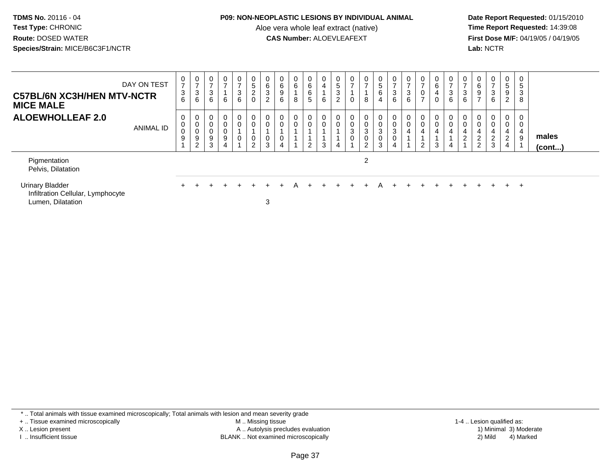#### **P09: NON-NEOPLASTIC LESIONS BY INDIVIDUAL ANIMAL**

Aloe vera whole leaf extract (native)<br>**CAS Number:** ALOEVLEAFEXT

 **Date Report Requested:** 01/15/2010 **First Dose M/F:** 04/19/05 / 04/19/05<br>**Lab:** NCTR **Lab:** NCTR

| <b>C57BL/6N XC3H/HEN MTV-NCTR</b><br><b>MICE MALE</b>                            | DAY ON TEST      | 0<br>$\overline{ }$<br>$\mathbf{3}$<br>6 | $\frac{0}{7}$<br>3<br>6               | 0<br>$\overline{7}$<br>$\mathbf{3}$<br>6 | $\mathbf 0$<br>$\overline{ }$<br>6 | $\mathbf 0$<br>$\overline{z}$<br>$\ensuremath{\mathsf{3}}$<br>6 | 0<br>$\sqrt{5}$<br>$\overline{a}$<br>0 | 0<br>$\,6\,$<br>$\ensuremath{\mathsf{3}}$<br>$\overline{c}$ | 0<br>$\frac{6}{9}$<br>6    | 0<br>$6\overline{6}$<br>8 | 0<br>$\,6\,$<br>6<br>5 | 4<br>6 | $\frac{0}{5}$<br>3<br>$\overline{2}$ | 0<br>$\rightarrow$<br>0 | 0<br>$\overline{ }$<br>8 | 0<br>$\begin{array}{c} 5 \\ 6 \end{array}$<br>$\overline{4}$ | $\frac{0}{7}$<br>$\mathbf{3}$<br>6                                           | $\overline{0}$<br>$\overline{7}$<br>$\sqrt{3}$<br>6 | $\overline{ }$<br>⇁      | 0<br>6<br>$\overline{\mathbf{4}}$ | $\frac{0}{7}$<br>3<br>$\,6$ | $\frac{0}{7}$<br>$\sqrt{3}$<br>6                 | $\mathbf 0$<br>6<br>$\boldsymbol{9}$<br>$\rightarrow$ | 0<br>$\overline{ }$<br>3<br>6             | $\mathbf 0$<br>$\overline{5}$<br>$\boldsymbol{9}$<br>$\overline{2}$    | 5<br>3<br>8      |                       |  |
|----------------------------------------------------------------------------------|------------------|------------------------------------------|---------------------------------------|------------------------------------------|------------------------------------|-----------------------------------------------------------------|----------------------------------------|-------------------------------------------------------------|----------------------------|---------------------------|------------------------|--------|--------------------------------------|-------------------------|--------------------------|--------------------------------------------------------------|------------------------------------------------------------------------------|-----------------------------------------------------|--------------------------|-----------------------------------|-----------------------------|--------------------------------------------------|-------------------------------------------------------|-------------------------------------------|------------------------------------------------------------------------|------------------|-----------------------|--|
| <b>ALOEWHOLLEAF 2.0</b>                                                          | <b>ANIMAL ID</b> | 0<br>0<br>$\,0\,$<br>9                   | 0<br>$\pmb{0}$<br>$\pmb{0}$<br>9<br>2 | 0<br>$\mathbf 0$<br>9<br>3               | 0<br>0<br>0<br>9                   | $\begin{matrix} 0 \\ 0 \end{matrix}$<br>0                       | 0<br>0<br>0<br>$\overline{2}$          | $\mathbf 0$<br>$\pmb{0}$<br>$\pmb{0}$<br>3                  | 0<br>$\mathbf 0$<br>0<br>4 | $_{0}^{0}$                | 0<br>0<br>2            |        | $\mathbf 0$<br>$\mathbf 0$           | 0<br>0<br>3<br>0        | 0<br>0<br>3<br>0<br>2    | $\boldsymbol{0}$<br>$\frac{0}{3}$<br>$\pmb{0}$<br>3          | $\begin{smallmatrix} 0\\0 \end{smallmatrix}$<br>$\sqrt{3}$<br>$\pmb{0}$<br>4 | 0<br>$\pmb{0}$<br>$\overline{4}$                    | 0<br>4<br>$\overline{2}$ | 0<br>0<br>$\overline{4}$<br>3     | 0<br>$\mathbf 0$<br>4<br>4  | 0<br>$\,0\,$<br>$\overline{4}$<br>$\overline{c}$ | 0<br>$\pmb{0}$<br>$\overline{4}$<br>$\frac{2}{2}$     | $\overline{0}$<br>0<br>4<br>$\frac{2}{3}$ | 0<br>$\mathbf 0$<br>$\overline{4}$<br>$\overline{2}$<br>$\overline{4}$ | 0<br>0<br>4<br>9 | males<br>$($ cont $)$ |  |
| Pigmentation<br>Pelvis, Dilatation                                               |                  |                                          |                                       |                                          |                                    |                                                                 |                                        |                                                             |                            |                           |                        |        |                                      |                         | 2                        |                                                              |                                                                              |                                                     |                          |                                   |                             |                                                  |                                                       |                                           |                                                                        |                  |                       |  |
| <b>Urinary Bladder</b><br>Infiltration Cellular, Lymphocyte<br>Lumen, Dilatation |                  |                                          |                                       |                                          |                                    |                                                                 |                                        | 3                                                           |                            | А                         |                        |        |                                      |                         |                          | A                                                            |                                                                              |                                                     |                          |                                   |                             |                                                  |                                                       |                                           | $+$                                                                    | $^+$             |                       |  |

\* .. Total animals with tissue examined microscopically; Total animals with lesion and mean severity grade

+ .. Tissue examined microscopically

X .. Lesion present

I .. Insufficient tissue

 M .. Missing tissueLesion present A .. Autolysis precludes evaluation 1) Minimal 3) Moderate

 1-4 .. Lesion qualified as: BLANK .. Not examined microscopically 2) Mild 4) Marked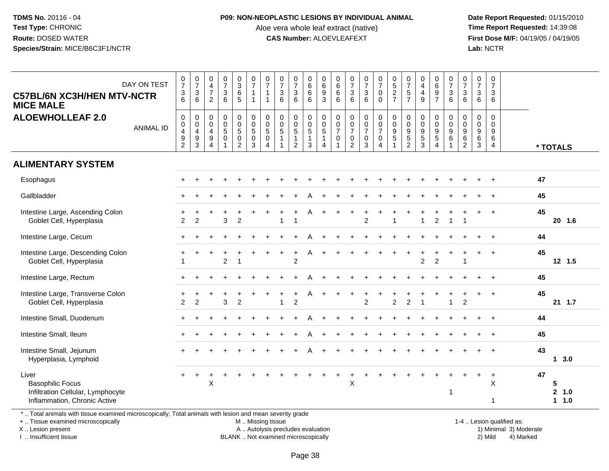#### **P09: NON-NEOPLASTIC LESIONS BY INDIVIDUAL ANIMAL**

Aloe vera whole leaf extract (native)<br>**CAS Number:** ALOEVLEAFEXT

 **Date Report Requested:** 01/15/2010 **First Dose M/F:** 04/19/05 / 04/19/05<br>**Lab:** NCTR **Lab:** NCTR

| DAY ON TEST<br><b>C57BL/6N XC3H/HEN MTV-NCTR</b><br><b>MICE MALE</b><br><b>ALOEWHOLLEAF 2.0</b>       | <b>ANIMAL ID</b> | $\frac{0}{7}$<br>$\frac{3}{6}$<br>$\mathbf 0$<br>$\pmb{0}$<br>$\overline{4}$<br>$\boldsymbol{9}$<br>$\overline{2}$ | $\frac{0}{7}$<br>$\mathbf{3}$<br>6<br>$\pmb{0}$<br>$\boldsymbol{0}$<br>$\overline{4}$<br>$\boldsymbol{9}$<br>3 | $\begin{array}{c} 0 \\ 4 \\ 7 \end{array}$<br>$\overline{c}$<br>$\pmb{0}$<br>$\mathbf 0$<br>$\overline{4}$<br>$\boldsymbol{9}$<br>$\overline{4}$ | $\frac{0}{7}$<br>$\mathbf{3}$<br>$\overline{6}$<br>0<br>$\mathsf{O}\xspace$<br>5<br>0<br>$\overline{1}$ | $\begin{array}{c} 0 \\ 3 \\ 6 \\ 5 \end{array}$<br>$\begin{array}{c} 0 \\ 0 \\ 5 \end{array}$<br>$\mathbf 0$<br>$\overline{2}$ | $\frac{0}{7}$<br>$\mathbf{1}$<br>$\overline{1}$<br>$\begin{smallmatrix}0\\0\\5\end{smallmatrix}$<br>$\pmb{0}$<br>$\overline{3}$ | $\frac{0}{7}$<br>$\overline{1}$<br>$\overline{1}$<br>$\pmb{0}$<br>$\mathbf 0$<br>$\sqrt{5}$<br>$\mathbf 0$<br>$\overline{4}$ | $\frac{0}{7}$<br>$\mathbf 3$<br>6<br>$\pmb{0}$<br>$\mathbf 0$<br>$\overline{5}$<br>$\mathbf{1}$<br>1 | $\frac{0}{7}$<br>$\mathbf{3}$<br>$6\overline{6}$<br>0<br>$\mathbf 0$<br>$\sqrt{5}$<br>$\mathbf{1}$<br>$\overline{2}$ | $\begin{array}{c} 0 \\ 6 \\ 6 \end{array}$<br>$\overline{6}$<br>$\begin{smallmatrix}0\0\0\5\end{smallmatrix}$<br>$\mathbf{1}$<br>3 | $\begin{array}{c} 0 \\ 6 \\ 9 \\ 3 \end{array}$<br>0<br>$\begin{array}{c} 0 \\ 5 \end{array}$<br>$\mathbf{1}$<br>$\overline{4}$ | $\begin{matrix} 0 \\ 6 \\ 6 \end{matrix}$<br>6<br>$\mathbf 0$<br>$\begin{smallmatrix} 0\\7 \end{smallmatrix}$<br>$\boldsymbol{0}$<br>$\overline{1}$ | $\frac{0}{7}$<br>$\sqrt{3}$<br>6<br>$\pmb{0}$<br>$\pmb{0}$<br>$\boldsymbol{7}$<br>$\mathbf 0$<br>$\overline{2}$ | $\frac{0}{7}$<br>$\mathfrak{S}$<br>$\,6\,$<br>$_{\rm 0}^{\rm 0}$<br>$\overline{7}$<br>$\mathsf 0$<br>3 | $\begin{array}{c} 0 \\ 7 \\ 0 \end{array}$<br>$\mathbf 0$<br>$\begin{array}{c} 0 \\ 0 \\ 7 \end{array}$<br>$\mathsf{O}\xspace$<br>$\overline{4}$ | $0,52$<br>7<br>$\pmb{0}$<br>$\pmb{0}$<br>$\begin{array}{c} 9 \\ 5 \end{array}$<br>$\overline{1}$ | $\begin{array}{c} 0 \\ 7 \\ 5 \end{array}$<br>$\overline{7}$<br>$\mathbf 0$<br>$\mathbf 0$<br>$\boldsymbol{9}$<br>$\,$ 5 $\,$<br>$\overline{2}$ | $\begin{smallmatrix}0\0\4\end{smallmatrix}$<br>$\overline{4}$<br>9<br>$\mathsf{O}\xspace$<br>$\mathbf 0$<br>$\boldsymbol{9}$<br>$\sqrt{5}$<br>3 | 0697<br>0<br>$\pmb{0}$<br>$\begin{array}{c} 9 \\ 5 \end{array}$<br>$\overline{4}$ | $\begin{array}{c} 0 \\ 7 \\ 3 \end{array}$<br>6<br>$\pmb{0}$<br>$\pmb{0}$<br>$\boldsymbol{9}$<br>6<br>$\mathbf{1}$ | $\frac{0}{7}$<br>3<br>6<br>0<br>0<br>9<br>6<br>$\overline{2}$ | $\frac{0}{7}$<br>$\mathbf{3}$<br>$\,6$<br>$\pmb{0}$<br>$\pmb{0}$<br>$\boldsymbol{9}$<br>$\,6\,$<br>$\mathfrak{S}$ | $\frac{0}{7}$<br>$\mathsf 3$<br>$6\phantom{1}$<br>$\mathbf 0$<br>$\mathbf 0$<br>$\boldsymbol{9}$<br>$\,6\,$<br>$\overline{4}$ | * TOTALS                 |
|-------------------------------------------------------------------------------------------------------|------------------|--------------------------------------------------------------------------------------------------------------------|----------------------------------------------------------------------------------------------------------------|--------------------------------------------------------------------------------------------------------------------------------------------------|---------------------------------------------------------------------------------------------------------|--------------------------------------------------------------------------------------------------------------------------------|---------------------------------------------------------------------------------------------------------------------------------|------------------------------------------------------------------------------------------------------------------------------|------------------------------------------------------------------------------------------------------|----------------------------------------------------------------------------------------------------------------------|------------------------------------------------------------------------------------------------------------------------------------|---------------------------------------------------------------------------------------------------------------------------------|-----------------------------------------------------------------------------------------------------------------------------------------------------|-----------------------------------------------------------------------------------------------------------------|--------------------------------------------------------------------------------------------------------|--------------------------------------------------------------------------------------------------------------------------------------------------|--------------------------------------------------------------------------------------------------|-------------------------------------------------------------------------------------------------------------------------------------------------|-------------------------------------------------------------------------------------------------------------------------------------------------|-----------------------------------------------------------------------------------|--------------------------------------------------------------------------------------------------------------------|---------------------------------------------------------------|-------------------------------------------------------------------------------------------------------------------|-------------------------------------------------------------------------------------------------------------------------------|--------------------------|
| <b>ALIMENTARY SYSTEM</b>                                                                              |                  |                                                                                                                    |                                                                                                                |                                                                                                                                                  |                                                                                                         |                                                                                                                                |                                                                                                                                 |                                                                                                                              |                                                                                                      |                                                                                                                      |                                                                                                                                    |                                                                                                                                 |                                                                                                                                                     |                                                                                                                 |                                                                                                        |                                                                                                                                                  |                                                                                                  |                                                                                                                                                 |                                                                                                                                                 |                                                                                   |                                                                                                                    |                                                               |                                                                                                                   |                                                                                                                               |                          |
| Esophagus                                                                                             |                  |                                                                                                                    |                                                                                                                |                                                                                                                                                  |                                                                                                         |                                                                                                                                |                                                                                                                                 |                                                                                                                              |                                                                                                      |                                                                                                                      |                                                                                                                                    |                                                                                                                                 |                                                                                                                                                     |                                                                                                                 |                                                                                                        |                                                                                                                                                  |                                                                                                  |                                                                                                                                                 |                                                                                                                                                 |                                                                                   |                                                                                                                    |                                                               |                                                                                                                   |                                                                                                                               | 47                       |
| Gallbladder                                                                                           |                  |                                                                                                                    |                                                                                                                |                                                                                                                                                  |                                                                                                         |                                                                                                                                |                                                                                                                                 |                                                                                                                              |                                                                                                      |                                                                                                                      |                                                                                                                                    |                                                                                                                                 |                                                                                                                                                     |                                                                                                                 |                                                                                                        |                                                                                                                                                  |                                                                                                  |                                                                                                                                                 |                                                                                                                                                 |                                                                                   |                                                                                                                    |                                                               |                                                                                                                   |                                                                                                                               | 45                       |
| Intestine Large, Ascending Colon<br>Goblet Cell, Hyperplasia                                          |                  | 2                                                                                                                  | $\overline{2}$                                                                                                 |                                                                                                                                                  | 3                                                                                                       | $\overline{2}$                                                                                                                 |                                                                                                                                 |                                                                                                                              | $\overline{\phantom{a}}$                                                                             |                                                                                                                      |                                                                                                                                    |                                                                                                                                 |                                                                                                                                                     |                                                                                                                 | $\overline{2}$                                                                                         |                                                                                                                                                  | $\overline{ }$                                                                                   |                                                                                                                                                 | 1                                                                                                                                               | $\overline{2}$                                                                    |                                                                                                                    |                                                               |                                                                                                                   |                                                                                                                               | 45<br>20 1.6             |
| Intestine Large, Cecum                                                                                |                  |                                                                                                                    |                                                                                                                |                                                                                                                                                  |                                                                                                         |                                                                                                                                |                                                                                                                                 |                                                                                                                              |                                                                                                      |                                                                                                                      |                                                                                                                                    |                                                                                                                                 |                                                                                                                                                     |                                                                                                                 |                                                                                                        |                                                                                                                                                  |                                                                                                  |                                                                                                                                                 |                                                                                                                                                 |                                                                                   |                                                                                                                    |                                                               |                                                                                                                   |                                                                                                                               | 44                       |
| Intestine Large, Descending Colon<br>Goblet Cell, Hyperplasia                                         |                  | $\overline{1}$                                                                                                     |                                                                                                                |                                                                                                                                                  | $\overline{c}$                                                                                          |                                                                                                                                |                                                                                                                                 |                                                                                                                              |                                                                                                      | $\overline{c}$                                                                                                       |                                                                                                                                    |                                                                                                                                 |                                                                                                                                                     |                                                                                                                 |                                                                                                        |                                                                                                                                                  |                                                                                                  |                                                                                                                                                 | $\overline{c}$                                                                                                                                  | $\overline{c}$                                                                    |                                                                                                                    |                                                               |                                                                                                                   |                                                                                                                               | 45<br>12 1.5             |
| Intestine Large, Rectum                                                                               |                  |                                                                                                                    |                                                                                                                |                                                                                                                                                  |                                                                                                         |                                                                                                                                |                                                                                                                                 |                                                                                                                              |                                                                                                      |                                                                                                                      |                                                                                                                                    |                                                                                                                                 |                                                                                                                                                     |                                                                                                                 |                                                                                                        |                                                                                                                                                  |                                                                                                  |                                                                                                                                                 |                                                                                                                                                 |                                                                                   |                                                                                                                    |                                                               |                                                                                                                   |                                                                                                                               | 45                       |
| Intestine Large, Transverse Colon<br>Goblet Cell, Hyperplasia                                         |                  | 2                                                                                                                  | $\overline{2}$                                                                                                 |                                                                                                                                                  | 3                                                                                                       | $\overline{2}$                                                                                                                 |                                                                                                                                 |                                                                                                                              | 1                                                                                                    | $\overline{2}$                                                                                                       |                                                                                                                                    |                                                                                                                                 |                                                                                                                                                     |                                                                                                                 | $\mathcal{P}$                                                                                          |                                                                                                                                                  | $\overline{2}$                                                                                   | $\overline{2}$                                                                                                                                  | $\overline{1}$                                                                                                                                  |                                                                                   | $\overline{1}$                                                                                                     | $\overline{2}$                                                | $\ddot{}$                                                                                                         | $\ddot{+}$                                                                                                                    | 45<br>21 1.7             |
| Intestine Small, Duodenum                                                                             |                  |                                                                                                                    |                                                                                                                |                                                                                                                                                  |                                                                                                         |                                                                                                                                |                                                                                                                                 |                                                                                                                              |                                                                                                      |                                                                                                                      |                                                                                                                                    |                                                                                                                                 |                                                                                                                                                     |                                                                                                                 |                                                                                                        |                                                                                                                                                  |                                                                                                  |                                                                                                                                                 |                                                                                                                                                 |                                                                                   |                                                                                                                    |                                                               |                                                                                                                   | $+$                                                                                                                           | 44                       |
| Intestine Small, Ileum                                                                                |                  |                                                                                                                    |                                                                                                                |                                                                                                                                                  |                                                                                                         |                                                                                                                                |                                                                                                                                 |                                                                                                                              |                                                                                                      |                                                                                                                      |                                                                                                                                    |                                                                                                                                 |                                                                                                                                                     |                                                                                                                 |                                                                                                        |                                                                                                                                                  |                                                                                                  |                                                                                                                                                 |                                                                                                                                                 |                                                                                   |                                                                                                                    |                                                               |                                                                                                                   |                                                                                                                               | 45                       |
| Intestine Small, Jejunum<br>Hyperplasia, Lymphoid                                                     |                  |                                                                                                                    |                                                                                                                |                                                                                                                                                  |                                                                                                         |                                                                                                                                |                                                                                                                                 |                                                                                                                              |                                                                                                      |                                                                                                                      |                                                                                                                                    |                                                                                                                                 |                                                                                                                                                     |                                                                                                                 |                                                                                                        |                                                                                                                                                  |                                                                                                  |                                                                                                                                                 |                                                                                                                                                 |                                                                                   |                                                                                                                    |                                                               |                                                                                                                   |                                                                                                                               | 43<br>13.0               |
| Liver<br><b>Basophilic Focus</b><br>Infiltration Cellular, Lymphocyte<br>Inflammation, Chronic Active |                  |                                                                                                                    |                                                                                                                | X                                                                                                                                                |                                                                                                         |                                                                                                                                |                                                                                                                                 |                                                                                                                              |                                                                                                      |                                                                                                                      |                                                                                                                                    |                                                                                                                                 |                                                                                                                                                     | X                                                                                                               |                                                                                                        |                                                                                                                                                  |                                                                                                  |                                                                                                                                                 |                                                                                                                                                 |                                                                                   | 1                                                                                                                  |                                                               | $\pm$                                                                                                             | $\ddot{}$<br>X<br>-1                                                                                                          | 47<br>5<br>2 1.0<br>11.0 |

\* .. Total animals with tissue examined microscopically; Total animals with lesion and mean severity grade

+ .. Tissue examined microscopically

X .. Lesion present

I .. Insufficient tissue

M .. Missing tissue

A .. Autolysis precludes evaluation

BLANK .. Not examined microscopically 2) Mild 4) Marked

1-4 .. Lesion qualified as: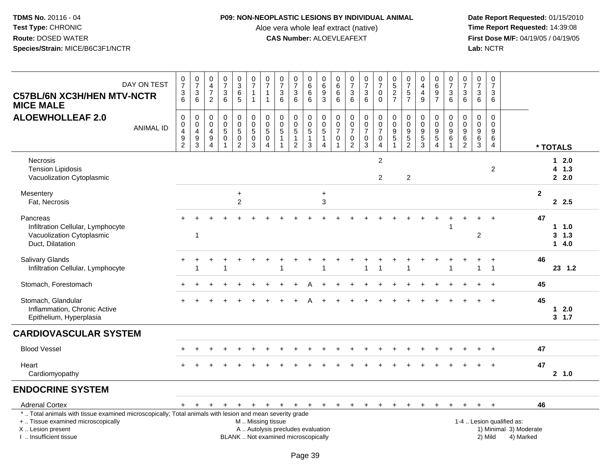#### **P09: NON-NEOPLASTIC LESIONS BY INDIVIDUAL ANIMAL**

Aloe vera whole leaf extract (native)<br>**CAS Number:** ALOEVLEAFEXT

| DAY ON TEST<br><b>C57BL/6N XC3H/HEN MTV-NCTR</b><br><b>MICE MALE</b>                                                                                                                                                   | $\frac{0}{7}$<br>$\frac{3}{6}$                                   | $\frac{0}{7}$<br>$\ensuremath{\mathsf{3}}$<br>6                             | $\mathbf 0$<br>$\overline{4}$<br>$\overline{7}$<br>2                  | $\begin{array}{c} 0 \\ 7 \end{array}$<br>$\sqrt{3}$<br>6              | 0<br>$\overline{3}$<br>$\,6\,$<br>$5\phantom{.0}$                     | $\begin{smallmatrix} 0\\7 \end{smallmatrix}$<br>$\mathbf{1}$<br>$\mathbf{1}$ | $\frac{0}{7}$<br>1<br>$\mathbf{1}$                                     | $\frac{0}{7}$<br>$\ensuremath{\mathsf{3}}$<br>6                                         | $\begin{array}{c} 0 \\ 7 \end{array}$<br>$\sqrt{3}$<br>6 | $\mathbf 0$<br>$6\phantom{a}$<br>$\,6\,$<br>6         | $\pmb{0}$<br>$\overline{6}$<br>9<br>$\overline{3}$             | 0<br>$\,6\,$<br>$\,6\,$<br>6                                    | $\frac{0}{7}$<br>$\sqrt{3}$<br>6                                            | $\frac{0}{7}$<br>$\mathbf{3}$<br>6                 | $\frac{0}{7}$<br>0<br>$\Omega$               | $0$<br>5<br>2<br>7                                                             | $\frac{0}{7}$<br>$\sqrt{5}$<br>$\overline{7}$                     | $\pmb{0}$<br>$\overline{4}$<br>$\overline{4}$<br>9 | 0<br>$6\phantom{a}$<br>$\boldsymbol{9}$<br>$\overline{7}$                | $\frac{0}{7}$<br>$\sqrt{3}$<br>6                                            | $\frac{0}{7}$<br>3<br>6                             | $\frac{0}{7}$<br>$\sqrt{3}$<br>6                            | $\frac{0}{7}$<br>$\ensuremath{\mathsf{3}}$<br>6                 |                                                                        |                        |
|------------------------------------------------------------------------------------------------------------------------------------------------------------------------------------------------------------------------|------------------------------------------------------------------|-----------------------------------------------------------------------------|-----------------------------------------------------------------------|-----------------------------------------------------------------------|-----------------------------------------------------------------------|------------------------------------------------------------------------------|------------------------------------------------------------------------|-----------------------------------------------------------------------------------------|----------------------------------------------------------|-------------------------------------------------------|----------------------------------------------------------------|-----------------------------------------------------------------|-----------------------------------------------------------------------------|----------------------------------------------------|----------------------------------------------|--------------------------------------------------------------------------------|-------------------------------------------------------------------|----------------------------------------------------|--------------------------------------------------------------------------|-----------------------------------------------------------------------------|-----------------------------------------------------|-------------------------------------------------------------|-----------------------------------------------------------------|------------------------------------------------------------------------|------------------------|
| <b>ALOEWHOLLEAF 2.0</b><br><b>ANIMAL ID</b>                                                                                                                                                                            | $\pmb{0}$<br>0<br>$\overline{\mathbf{4}}$<br>9<br>$\overline{2}$ | $\pmb{0}$<br>$\pmb{0}$<br>$\overline{4}$<br>$\boldsymbol{9}$<br>$\mathsf 3$ | $\mathbf 0$<br>$\mathbf 0$<br>4<br>$\boldsymbol{9}$<br>$\overline{4}$ | $\mathbf 0$<br>$\pmb{0}$<br>$\sqrt{5}$<br>$\pmb{0}$<br>$\overline{1}$ | $\pmb{0}$<br>$\mathbf 0$<br>$\sqrt{5}$<br>$\pmb{0}$<br>$\overline{2}$ | $\Omega$<br>$\mathbf 0$<br>5<br>$\pmb{0}$<br>3                               | $\mathbf 0$<br>$\begin{array}{c} 0 \\ 5 \end{array}$<br>$\pmb{0}$<br>4 | 0<br>$\mathbf 0$<br>5<br>$\overline{1}$<br>-1                                           | $\mathbf 0$<br>$\frac{0}{5}$<br>1<br>$\overline{2}$      | 0<br>$\mathbf 0$<br>$\sqrt{5}$<br>$\overline{1}$<br>3 | $\mathbf 0$<br>$\frac{0}{5}$<br>$\mathbf{1}$<br>$\overline{4}$ | 0<br>$\mathbf 0$<br>$\overline{7}$<br>$\pmb{0}$<br>$\mathbf{1}$ | $\mathbf 0$<br>$\mathbf 0$<br>$\overline{7}$<br>$\pmb{0}$<br>$\overline{2}$ | 0<br>$\pmb{0}$<br>$\overline{7}$<br>$\pmb{0}$<br>3 | 0<br>$\mathbf 0$<br>$\overline{7}$<br>0<br>4 | $\pmb{0}$<br>$\pmb{0}$<br>$\boldsymbol{9}$<br>$\overline{5}$<br>$\overline{1}$ | 0<br>$\mathsf{O}\xspace$<br>9<br>$\overline{5}$<br>$\overline{2}$ | $\pmb{0}$<br>$\pmb{0}$<br>$\frac{9}{3}$            | 0<br>$\mathbf 0$<br>$\boldsymbol{9}$<br>$\overline{5}$<br>$\overline{4}$ | $\mathbf 0$<br>$\mathbf 0$<br>$\boldsymbol{9}$<br>$\,6\,$<br>$\overline{1}$ | $\Omega$<br>$\mathbf 0$<br>9<br>6<br>$\overline{c}$ | 0<br>$\mathbf 0$<br>$\boldsymbol{9}$<br>$\overline{6}$<br>3 | 0<br>$\mathbf 0$<br>$\boldsymbol{9}$<br>$\,6$<br>$\overline{4}$ |                                                                        | * TOTALS               |
| <b>Necrosis</b><br><b>Tension Lipidosis</b><br>Vacuolization Cytoplasmic                                                                                                                                               |                                                                  |                                                                             |                                                                       |                                                                       |                                                                       |                                                                              |                                                                        |                                                                                         |                                                          |                                                       |                                                                |                                                                 |                                                                             |                                                    | $\overline{2}$<br>$\overline{2}$             |                                                                                | $\overline{2}$                                                    |                                                    |                                                                          |                                                                             |                                                     |                                                             | $\overline{2}$                                                  |                                                                        | 12.0<br>4 1.3<br>2.0   |
| Mesentery<br>Fat, Necrosis                                                                                                                                                                                             |                                                                  |                                                                             |                                                                       |                                                                       | $\ddot{}$<br>2                                                        |                                                                              |                                                                        |                                                                                         |                                                          |                                                       | $\ddot{}$<br>3                                                 |                                                                 |                                                                             |                                                    |                                              |                                                                                |                                                                   |                                                    |                                                                          |                                                                             |                                                     |                                                             |                                                                 | $\mathbf{2}$                                                           | 2.5                    |
| Pancreas<br>Infiltration Cellular, Lymphocyte<br>Vacuolization Cytoplasmic<br>Duct, Dilatation                                                                                                                         |                                                                  | -1                                                                          |                                                                       |                                                                       |                                                                       |                                                                              |                                                                        |                                                                                         |                                                          |                                                       |                                                                |                                                                 |                                                                             |                                                    |                                              |                                                                                |                                                                   |                                                    | ÷                                                                        |                                                                             |                                                     | $\overline{2}$                                              |                                                                 | 47                                                                     | 11.0<br>3, 1.3<br>14.0 |
| Salivary Glands<br>Infiltration Cellular, Lymphocyte                                                                                                                                                                   |                                                                  |                                                                             |                                                                       |                                                                       |                                                                       |                                                                              |                                                                        |                                                                                         |                                                          |                                                       |                                                                |                                                                 |                                                                             |                                                    |                                              |                                                                                |                                                                   |                                                    |                                                                          |                                                                             |                                                     | -1                                                          | $\ddot{}$<br>$\overline{1}$                                     | 46                                                                     | 23 1.2                 |
| Stomach, Forestomach                                                                                                                                                                                                   |                                                                  |                                                                             |                                                                       |                                                                       |                                                                       |                                                                              |                                                                        |                                                                                         |                                                          |                                                       |                                                                |                                                                 |                                                                             |                                                    |                                              |                                                                                |                                                                   |                                                    |                                                                          |                                                                             |                                                     |                                                             |                                                                 | 45                                                                     |                        |
| Stomach, Glandular<br>Inflammation, Chronic Active<br>Epithelium, Hyperplasia                                                                                                                                          |                                                                  |                                                                             |                                                                       |                                                                       |                                                                       |                                                                              |                                                                        |                                                                                         |                                                          |                                                       |                                                                |                                                                 |                                                                             |                                                    |                                              |                                                                                |                                                                   |                                                    |                                                                          |                                                                             |                                                     |                                                             | $\ddot{+}$                                                      | 45                                                                     | 2.0<br>1<br>3, 1.7     |
| <b>CARDIOVASCULAR SYSTEM</b>                                                                                                                                                                                           |                                                                  |                                                                             |                                                                       |                                                                       |                                                                       |                                                                              |                                                                        |                                                                                         |                                                          |                                                       |                                                                |                                                                 |                                                                             |                                                    |                                              |                                                                                |                                                                   |                                                    |                                                                          |                                                                             |                                                     |                                                             |                                                                 |                                                                        |                        |
| <b>Blood Vessel</b>                                                                                                                                                                                                    |                                                                  |                                                                             |                                                                       |                                                                       |                                                                       |                                                                              |                                                                        |                                                                                         |                                                          |                                                       |                                                                |                                                                 |                                                                             |                                                    |                                              |                                                                                |                                                                   |                                                    |                                                                          |                                                                             |                                                     |                                                             |                                                                 | 47                                                                     |                        |
| Heart<br>Cardiomyopathy                                                                                                                                                                                                |                                                                  |                                                                             |                                                                       |                                                                       |                                                                       |                                                                              |                                                                        |                                                                                         |                                                          |                                                       |                                                                |                                                                 |                                                                             |                                                    |                                              |                                                                                |                                                                   |                                                    |                                                                          |                                                                             |                                                     |                                                             |                                                                 | 47                                                                     | 2, 1.0                 |
| <b>ENDOCRINE SYSTEM</b>                                                                                                                                                                                                |                                                                  |                                                                             |                                                                       |                                                                       |                                                                       |                                                                              |                                                                        |                                                                                         |                                                          |                                                       |                                                                |                                                                 |                                                                             |                                                    |                                              |                                                                                |                                                                   |                                                    |                                                                          |                                                                             |                                                     |                                                             |                                                                 |                                                                        |                        |
| <b>Adrenal Cortex</b><br>*  Total animals with tissue examined microscopically; Total animals with lesion and mean severity grade<br>+  Tissue examined microscopically<br>X  Lesion present<br>I. Insufficient tissue | $+$                                                              | $+$                                                                         | $\ddot{}$                                                             | $+$                                                                   | $+$                                                                   | $+$                                                                          | M  Missing tissue                                                      | $+$ $+$ $+$<br>A  Autolysis precludes evaluation<br>BLANK  Not examined microscopically |                                                          | $+$                                                   | $+$                                                            | $+$                                                             | $+$                                                                         | $+$                                                | $+$                                          | $+$                                                                            | $+$                                                               | $+$                                                | $+$                                                                      | $+$                                                                         | $+$                                                 | $+$ $+$                                                     | 2) Mild                                                         | 46<br>1-4  Lesion qualified as:<br>1) Minimal 3) Moderate<br>4) Marked |                        |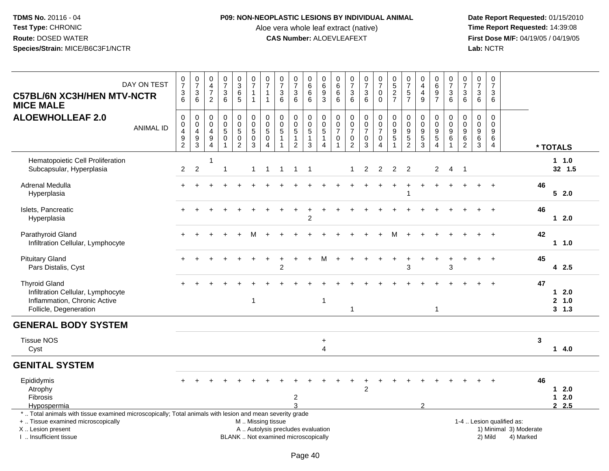## **P09: NON-NEOPLASTIC LESIONS BY INDIVIDUAL ANIMAL**

Aloe vera whole leaf extract (native)<br>**CAS Number:** ALOEVLEAFEXT

| <b>C57BL/6N XC3H/HEN MTV-NCTR</b><br><b>MICE MALE</b>                                                                                                                                        | DAY ON TEST      | $\frac{0}{7}$<br>$\frac{3}{6}$          | $\begin{smallmatrix}0\\7\end{smallmatrix}$<br>$\ensuremath{\mathsf{3}}$<br>6     | $\mathbf 0$<br>$\overline{a}$<br>$\overline{7}$<br>$\overline{2}$ | $\begin{array}{c} 0 \\ 7 \end{array}$<br>$\ensuremath{\mathsf{3}}$<br>6  | $\frac{0}{3}$<br>6<br>$\overline{5}$                               | $\frac{0}{7}$<br>$\mathbf{1}$<br>$\mathbf{1}$             | $\frac{0}{7}$<br>$\mathbf 1$<br>$\mathbf{1}$                    | $\begin{array}{c} 0 \\ 7 \end{array}$<br>$\ensuremath{\mathsf{3}}$<br>6  | $\begin{array}{c} 0 \\ 7 \end{array}$<br>$\sqrt{3}$<br>6                       | 0<br>$\overline{6}$<br>$\,6\,$<br>6                     | $_{6}^{\rm 0}$<br>$\frac{9}{3}$                                    | $_6^0$<br>6<br>6                                      | $\begin{array}{c} 0 \\ 7 \end{array}$<br>$\frac{3}{6}$                    | $\frac{0}{7}$<br>$\frac{3}{6}$                                                    | $\begin{array}{c} 0 \\ 7 \end{array}$<br>$\pmb{0}$<br>$\overline{0}$         | $0$<br>5<br>2<br>7                                             | $\begin{array}{c} 0 \\ 7 \end{array}$<br>$\frac{5}{7}$        | $\begin{smallmatrix}0\\4\end{smallmatrix}$<br>$\overline{\mathbf{4}}$<br>$\overline{9}$ | $_6^0$<br>9<br>$\overline{7}$                              | $\frac{0}{7}$<br>$\frac{3}{6}$                     | $\begin{smallmatrix} 0\\7 \end{smallmatrix}$<br>$\frac{3}{6}$   | 0<br>$\overline{7}$<br>$\ensuremath{\mathsf{3}}$<br>6 | $\mathbf 0$<br>$\overline{7}$<br>$\mathbf{3}$<br>6    |                                                                  |    |                            |
|----------------------------------------------------------------------------------------------------------------------------------------------------------------------------------------------|------------------|-----------------------------------------|----------------------------------------------------------------------------------|-------------------------------------------------------------------|--------------------------------------------------------------------------|--------------------------------------------------------------------|-----------------------------------------------------------|-----------------------------------------------------------------|--------------------------------------------------------------------------|--------------------------------------------------------------------------------|---------------------------------------------------------|--------------------------------------------------------------------|-------------------------------------------------------|---------------------------------------------------------------------------|-----------------------------------------------------------------------------------|------------------------------------------------------------------------------|----------------------------------------------------------------|---------------------------------------------------------------|-----------------------------------------------------------------------------------------|------------------------------------------------------------|----------------------------------------------------|-----------------------------------------------------------------|-------------------------------------------------------|-------------------------------------------------------|------------------------------------------------------------------|----|----------------------------|
| <b>ALOEWHOLLEAF 2.0</b>                                                                                                                                                                      | <b>ANIMAL ID</b> | $\pmb{0}$<br>$\pmb{0}$<br>$\frac{4}{9}$ | $\mathbf 0$<br>$\pmb{0}$<br>$\overline{4}$<br>$\boldsymbol{9}$<br>$\overline{3}$ | $\mathbf 0$<br>$\mathbf 0$<br>4<br>$\boldsymbol{9}$<br>4          | $\pmb{0}$<br>$\overline{0}$<br>$\sqrt{5}$<br>$\pmb{0}$<br>$\overline{1}$ | $\mathsf{O}$<br>$\overline{0}$<br>5<br>$\bar{0}$<br>$\overline{2}$ | $\pmb{0}$<br>$\pmb{0}$<br>$\frac{5}{0}$<br>$\overline{3}$ | $\pmb{0}$<br>$\overline{0}$<br>5<br>$\pmb{0}$<br>$\overline{4}$ | $\mathbf 0$<br>$\pmb{0}$<br>$\overline{5}$<br>-1                         | $\mathbf 0$<br>$\mathbf 0$<br>$\overline{5}$<br>$\mathbf{1}$<br>$\overline{2}$ | 0<br>$\mathbf 0$<br>$\overline{5}$<br>$\mathbf{1}$<br>3 | $\pmb{0}$<br>$\overline{0}$<br>5<br>$\mathbf{1}$<br>$\overline{4}$ | 0<br>$\pmb{0}$<br>$\overline{7}$<br>0<br>$\mathbf{1}$ | $\pmb{0}$<br>$\mathbf 0$<br>$\overline{7}$<br>$\pmb{0}$<br>$\overline{2}$ | $\pmb{0}$<br>$\ddot{\mathbf{0}}$<br>$\overline{7}$<br>$\pmb{0}$<br>$\overline{3}$ | $\pmb{0}$<br>$\overline{0}$<br>$\overline{7}$<br>$\pmb{0}$<br>$\overline{4}$ | $\mathbf 0$<br>$\begin{array}{c} 0 \\ 9 \\ 5 \\ 1 \end{array}$ | 0<br>$\mathbf 0$<br>$9\,$<br>$\overline{5}$<br>$\overline{2}$ | $\pmb{0}$<br>$\ddot{\mathbf{0}}$<br>$\frac{9}{3}$                                       | 0<br>$\mathbf 0$<br>$\frac{9}{5}$<br>$\boldsymbol{\Delta}$ | $\pmb{0}$<br>$\pmb{0}$<br>$^9$ 6<br>$\overline{1}$ | $\mathsf 0$<br>$\mathbf 0$<br>$\boldsymbol{9}$<br>$\frac{6}{2}$ | $\mathsf 0$<br>$\pmb{0}$<br>9<br>$^6_3$               | $\pmb{0}$<br>$\Omega$<br>9<br>$\,6$<br>$\overline{4}$ |                                                                  |    | * TOTALS                   |
| Hematopoietic Cell Proliferation<br>Subcapsular, Hyperplasia                                                                                                                                 |                  | $\overline{2}$                          | 2                                                                                | $\mathbf{1}$                                                      | $\mathbf{1}$                                                             |                                                                    | $\mathbf{1}$                                              | $\overline{1}$                                                  | -1                                                                       | $\overline{1}$                                                                 | -1                                                      |                                                                    |                                                       | $\mathbf{1}$                                                              | 2                                                                                 | 2                                                                            | 2                                                              | $\overline{2}$                                                |                                                                                         | $\overline{2}$                                             | $\overline{4}$                                     | $\overline{1}$                                                  |                                                       |                                                       |                                                                  |    | 1 1.0<br>32 1.5            |
| Adrenal Medulla<br>Hyperplasia                                                                                                                                                               |                  |                                         |                                                                                  |                                                                   |                                                                          |                                                                    |                                                           |                                                                 |                                                                          |                                                                                |                                                         |                                                                    |                                                       |                                                                           |                                                                                   |                                                                              |                                                                | 1                                                             |                                                                                         |                                                            |                                                    |                                                                 |                                                       | $\div$                                                |                                                                  | 46 | 52.0                       |
| Islets, Pancreatic<br>Hyperplasia                                                                                                                                                            |                  |                                         |                                                                                  |                                                                   |                                                                          |                                                                    |                                                           |                                                                 |                                                                          |                                                                                | $\overline{2}$                                          |                                                                    |                                                       |                                                                           |                                                                                   |                                                                              |                                                                |                                                               |                                                                                         |                                                            |                                                    |                                                                 |                                                       |                                                       |                                                                  | 46 | $12.0$                     |
| Parathyroid Gland<br>Infiltration Cellular, Lymphocyte                                                                                                                                       |                  |                                         |                                                                                  |                                                                   |                                                                          |                                                                    |                                                           |                                                                 |                                                                          |                                                                                |                                                         |                                                                    |                                                       |                                                                           |                                                                                   |                                                                              | м                                                              |                                                               |                                                                                         |                                                            |                                                    |                                                                 |                                                       |                                                       |                                                                  | 42 | $1 1.0$                    |
| <b>Pituitary Gland</b><br>Pars Distalis, Cyst                                                                                                                                                |                  |                                         |                                                                                  |                                                                   |                                                                          |                                                                    |                                                           |                                                                 | 2                                                                        |                                                                                |                                                         |                                                                    |                                                       |                                                                           |                                                                                   |                                                                              |                                                                | 3                                                             |                                                                                         |                                                            | 3                                                  |                                                                 |                                                       |                                                       |                                                                  | 45 | 42.5                       |
| <b>Thyroid Gland</b><br>Infiltration Cellular, Lymphocyte<br>Inflammation, Chronic Active<br>Follicle, Degeneration                                                                          |                  |                                         |                                                                                  |                                                                   |                                                                          |                                                                    | $\mathbf 1$                                               |                                                                 |                                                                          |                                                                                |                                                         | $\mathbf{1}$                                                       |                                                       | $\mathbf{1}$                                                              |                                                                                   |                                                                              |                                                                |                                                               |                                                                                         | $\mathbf{1}$                                               |                                                    |                                                                 |                                                       | $\ddot{}$                                             |                                                                  | 47 | $12.0$<br>2, 1.0<br>3, 1.3 |
| <b>GENERAL BODY SYSTEM</b>                                                                                                                                                                   |                  |                                         |                                                                                  |                                                                   |                                                                          |                                                                    |                                                           |                                                                 |                                                                          |                                                                                |                                                         |                                                                    |                                                       |                                                                           |                                                                                   |                                                                              |                                                                |                                                               |                                                                                         |                                                            |                                                    |                                                                 |                                                       |                                                       |                                                                  |    |                            |
| <b>Tissue NOS</b><br>Cyst                                                                                                                                                                    |                  |                                         |                                                                                  |                                                                   |                                                                          |                                                                    |                                                           |                                                                 |                                                                          |                                                                                |                                                         | $\ddot{}$<br>$\overline{\mathbf{4}}$                               |                                                       |                                                                           |                                                                                   |                                                                              |                                                                |                                                               |                                                                                         |                                                            |                                                    |                                                                 |                                                       |                                                       |                                                                  | 3  | 14.0                       |
| <b>GENITAL SYSTEM</b>                                                                                                                                                                        |                  |                                         |                                                                                  |                                                                   |                                                                          |                                                                    |                                                           |                                                                 |                                                                          |                                                                                |                                                         |                                                                    |                                                       |                                                                           |                                                                                   |                                                                              |                                                                |                                                               |                                                                                         |                                                            |                                                    |                                                                 |                                                       |                                                       |                                                                  |    |                            |
| Epididymis<br>Atrophy<br>Fibrosis<br>Hypospermia                                                                                                                                             |                  |                                         |                                                                                  |                                                                   |                                                                          |                                                                    |                                                           |                                                                 |                                                                          | 2                                                                              |                                                         |                                                                    |                                                       |                                                                           | $\overline{2}$                                                                    |                                                                              |                                                                |                                                               | 2                                                                                       |                                                            |                                                    |                                                                 |                                                       |                                                       |                                                                  | 46 | $12.0$<br>$12.0$<br>2.5    |
| *  Total animals with tissue examined microscopically; Total animals with lesion and mean severity grade<br>+  Tissue examined microscopically<br>X Lesion present<br>I  Insufficient tissue |                  |                                         |                                                                                  |                                                                   |                                                                          |                                                                    | M  Missing tissue                                         |                                                                 | A  Autolysis precludes evaluation<br>BLANK  Not examined microscopically |                                                                                |                                                         |                                                                    |                                                       |                                                                           |                                                                                   |                                                                              |                                                                |                                                               |                                                                                         |                                                            |                                                    |                                                                 |                                                       | 2) Mild                                               | 1-4  Lesion qualified as:<br>1) Minimal 3) Moderate<br>4) Marked |    |                            |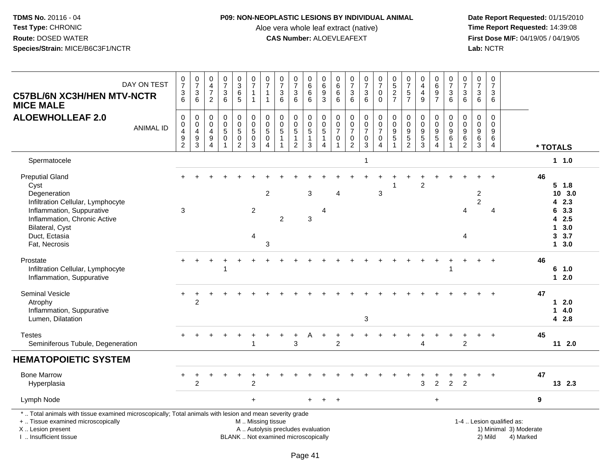### **P09: NON-NEOPLASTIC LESIONS BY INDIVIDUAL ANIMAL**

Aloe vera whole leaf extract (native)<br>**CAS Number:** ALOEVLEAFEXT

 **Date Report Requested:** 01/15/2010 **First Dose M/F:** 04/19/05 / 04/19/05<br>Lab: NCTR **Lab:** NCTR

| DAY ON TEST<br><b>C57BL/6N XC3H/HEN MTV-NCTR</b><br><b>MICE MALE</b>                                                                                                                                  | $\frac{0}{7}$<br>$\frac{3}{6}$                              | $\frac{0}{7}$<br>$\frac{3}{6}$                                                           | 0<br>$\overline{a}$<br>$\overline{7}$<br>2                            | $\begin{smallmatrix}0\\7\end{smallmatrix}$<br>3<br>6 | $\frac{0}{3}$<br>6<br>$\overline{5}$                              | $\begin{smallmatrix}0\\7\end{smallmatrix}$<br>$\mathbf{1}$<br>$\mathbf{1}$ | $\begin{array}{c} 0 \\ 7 \end{array}$<br>1<br>$\overline{1}$         | $\frac{0}{7}$<br>$\ensuremath{\mathsf{3}}$<br>6            | $\frac{0}{7}$<br>$\sqrt{3}$<br>6                                           | $\pmb{0}$<br>$\,6$<br>$\,6\,$<br>6                      | 0<br>6<br>$\frac{9}{3}$                             | 0<br>$\,6$<br>6<br>$\overline{6}$                    | $\begin{smallmatrix}0\\7\end{smallmatrix}$<br>$\frac{3}{6}$       | $\frac{0}{7}$<br>$\frac{3}{6}$                                            | $\begin{smallmatrix}0\\7\end{smallmatrix}$<br>$\mathbf 0$<br>$\mathbf 0$      | $\begin{array}{c} 0 \\ 5 \end{array}$<br>$\frac{2}{7}$                                     | $\frac{0}{7}$<br>$\sqrt{5}$<br>$\overline{7}$                                 | $\begin{smallmatrix}0\0\4\end{smallmatrix}$<br>$\begin{array}{c} 4 \\ 9 \end{array}$ | $_{6}^{\rm 0}$<br>$\frac{9}{7}$              | $\frac{0}{7}$<br>$\frac{3}{6}$                    | $\frac{0}{7}$<br>$\frac{3}{6}$                                                     | $\frac{0}{7}$<br>$\mathbf{3}$<br>6              | $\pmb{0}$<br>$\overline{7}$<br>3<br>6  |                                                     |    |                                                                     |  |
|-------------------------------------------------------------------------------------------------------------------------------------------------------------------------------------------------------|-------------------------------------------------------------|------------------------------------------------------------------------------------------|-----------------------------------------------------------------------|------------------------------------------------------|-------------------------------------------------------------------|----------------------------------------------------------------------------|----------------------------------------------------------------------|------------------------------------------------------------|----------------------------------------------------------------------------|---------------------------------------------------------|-----------------------------------------------------|------------------------------------------------------|-------------------------------------------------------------------|---------------------------------------------------------------------------|-------------------------------------------------------------------------------|--------------------------------------------------------------------------------------------|-------------------------------------------------------------------------------|--------------------------------------------------------------------------------------|----------------------------------------------|---------------------------------------------------|------------------------------------------------------------------------------------|-------------------------------------------------|----------------------------------------|-----------------------------------------------------|----|---------------------------------------------------------------------|--|
| <b>ALOEWHOLLEAF 2.0</b><br><b>ANIMAL ID</b>                                                                                                                                                           | $\mathbf 0$<br>0<br>4<br>$\boldsymbol{9}$<br>$\overline{2}$ | $\mathbf 0$<br>$\mathsf{O}\xspace$<br>$\overline{4}$<br>$\boldsymbol{9}$<br>$\mathbf{3}$ | $\mathbf 0$<br>$\mathbf 0$<br>$\overline{a}$<br>$\boldsymbol{9}$<br>4 | $\mathbf 0$<br>$\mathbf 0$<br>5<br>$\mathbf 0$       | 0<br>$\mathbf 0$<br>$\overline{5}$<br>$\bar{0}$<br>$\overline{2}$ | 0<br>$\mathbf 0$<br>$\overline{5}$<br>$\ddot{\mathbf{0}}$<br>3             | $\pmb{0}$<br>$\mathsf{O}\xspace$<br>$\overline{5}$<br>$\pmb{0}$<br>4 | $\mathbf 0$<br>$\mathbf 0$<br>$\sqrt{5}$<br>$\overline{1}$ | $\mathbf 0$<br>$\mathbf 0$<br>$\sqrt{5}$<br>$\mathbf{1}$<br>$\overline{2}$ | 0<br>$\mathbf 0$<br>$\overline{5}$<br>$\mathbf{1}$<br>3 | 0<br>$\mathbf 0$<br>$\sqrt{5}$<br>$\mathbf{1}$<br>4 | 0<br>$\pmb{0}$<br>$\overline{7}$<br>$\mathbf 0$<br>1 | 0<br>0<br>$\overline{7}$<br>$\mathsf{O}\xspace$<br>$\overline{2}$ | $\mathbf 0$<br>$\mathbf 0$<br>$\overline{7}$<br>$\pmb{0}$<br>$\mathbf{3}$ | $\mathbf 0$<br>$\mathbf 0$<br>$\overline{7}$<br>$\mathbf 0$<br>$\overline{4}$ | $\mathbf 0$<br>$\mathsf{O}\xspace$<br>$\boldsymbol{9}$<br>$\overline{5}$<br>$\overline{1}$ | 0<br>$\boldsymbol{0}$<br>$\boldsymbol{9}$<br>$\overline{5}$<br>$\overline{2}$ | $\boldsymbol{0}$<br>$\mathbf 0$<br>$\frac{9}{5}$<br>3                                | 0<br>$\mathbf 0$<br>9<br>$\overline{5}$<br>4 | 0<br>$\pmb{0}$<br>$\frac{9}{6}$<br>$\overline{1}$ | $\mathbf 0$<br>$\mathbf 0$<br>$\boldsymbol{9}$<br>$6\phantom{a}$<br>$\overline{2}$ | $\mathbf 0$<br>$\mathbf 0$<br>9<br>$\,6\,$<br>3 | $\mathbf 0$<br>$\Omega$<br>9<br>6<br>4 |                                                     |    | * TOTALS                                                            |  |
| Spermatocele                                                                                                                                                                                          |                                                             |                                                                                          |                                                                       |                                                      |                                                                   |                                                                            |                                                                      |                                                            |                                                                            |                                                         |                                                     |                                                      |                                                                   | $\overline{1}$                                                            |                                                                               |                                                                                            |                                                                               |                                                                                      |                                              |                                                   |                                                                                    |                                                 |                                        |                                                     |    | 1 1.0                                                               |  |
| <b>Preputial Gland</b><br>Cyst<br>Degeneration<br>Infiltration Cellular, Lymphocyte<br>Inflammation, Suppurative<br>Inflammation, Chronic Active<br>Bilateral, Cyst<br>Duct, Ectasia<br>Fat, Necrosis | 3                                                           |                                                                                          |                                                                       |                                                      |                                                                   | $\overline{2}$<br>$\overline{4}$                                           | $\overline{2}$<br>3                                                  | $\overline{c}$                                             |                                                                            | 3<br>3                                                  | 4                                                   | $\boldsymbol{\Lambda}$                               |                                                                   |                                                                           | 3                                                                             |                                                                                            |                                                                               | 2                                                                                    |                                              |                                                   | $\overline{4}$<br>4                                                                | $\overline{\mathbf{c}}$<br>$\overline{2}$       | $\overline{A}$                         |                                                     | 46 | $5 \t1.8$<br>10 3.0<br>42.3<br>6 3.3<br>42.5<br>13.0<br>3.7<br>13.0 |  |
| Prostate<br>Infiltration Cellular, Lymphocyte<br>Inflammation, Suppurative                                                                                                                            |                                                             |                                                                                          |                                                                       |                                                      |                                                                   |                                                                            |                                                                      |                                                            |                                                                            |                                                         |                                                     |                                                      |                                                                   |                                                                           |                                                                               |                                                                                            |                                                                               |                                                                                      |                                              |                                                   |                                                                                    |                                                 |                                        |                                                     | 46 | 6 1.0<br>$12.0$                                                     |  |
| <b>Seminal Vesicle</b><br>Atrophy<br>Inflammation, Suppurative<br>Lumen, Dilatation                                                                                                                   |                                                             | $\overline{2}$                                                                           |                                                                       |                                                      |                                                                   |                                                                            |                                                                      |                                                            |                                                                            |                                                         |                                                     |                                                      |                                                                   | 3                                                                         |                                                                               |                                                                                            |                                                                               |                                                                                      |                                              |                                                   |                                                                                    |                                                 |                                        |                                                     | 47 | $12.0$<br>14.0<br>4 2.8                                             |  |
| <b>Testes</b><br>Seminiferous Tubule, Degeneration                                                                                                                                                    |                                                             |                                                                                          |                                                                       |                                                      |                                                                   | 1                                                                          |                                                                      |                                                            | 3                                                                          |                                                         |                                                     | $\overline{2}$                                       |                                                                   |                                                                           |                                                                               |                                                                                            |                                                                               |                                                                                      |                                              |                                                   | $\overline{2}$                                                                     |                                                 | $\ddot{}$                              |                                                     | 45 | 112.0                                                               |  |
| <b>HEMATOPOIETIC SYSTEM</b>                                                                                                                                                                           |                                                             |                                                                                          |                                                                       |                                                      |                                                                   |                                                                            |                                                                      |                                                            |                                                                            |                                                         |                                                     |                                                      |                                                                   |                                                                           |                                                                               |                                                                                            |                                                                               |                                                                                      |                                              |                                                   |                                                                                    |                                                 |                                        |                                                     |    |                                                                     |  |
| <b>Bone Marrow</b><br>Hyperplasia                                                                                                                                                                     |                                                             | 2                                                                                        |                                                                       |                                                      |                                                                   | $\overline{c}$                                                             |                                                                      |                                                            |                                                                            |                                                         |                                                     |                                                      |                                                                   |                                                                           |                                                                               |                                                                                            |                                                                               | 3                                                                                    | $\overline{c}$                               | $\overline{2}$                                    | $\overline{2}$                                                                     |                                                 |                                        |                                                     | 47 | 13 2.3                                                              |  |
| Lymph Node                                                                                                                                                                                            |                                                             |                                                                                          |                                                                       |                                                      |                                                                   | $+$                                                                        |                                                                      |                                                            |                                                                            |                                                         |                                                     | $\ddot{}$                                            |                                                                   |                                                                           |                                                                               |                                                                                            |                                                                               |                                                                                      | $\ddot{}$                                    |                                                   |                                                                                    |                                                 |                                        |                                                     | 9  |                                                                     |  |
| *  Total animals with tissue examined microscopically; Total animals with lesion and mean severity grade<br>+  Tissue examined microscopically<br>X  Lesion present                                   |                                                             |                                                                                          |                                                                       |                                                      |                                                                   | M  Missing tissue                                                          |                                                                      | A  Autolysis precludes evaluation                          |                                                                            |                                                         |                                                     |                                                      |                                                                   |                                                                           |                                                                               |                                                                                            |                                                                               |                                                                                      |                                              |                                                   |                                                                                    |                                                 |                                        | 1-4  Lesion qualified as:<br>1) Minimal 3) Moderate |    |                                                                     |  |

I .. Insufficient tissue

BLANK .. Not examined microscopically 2) Mild 4) Marked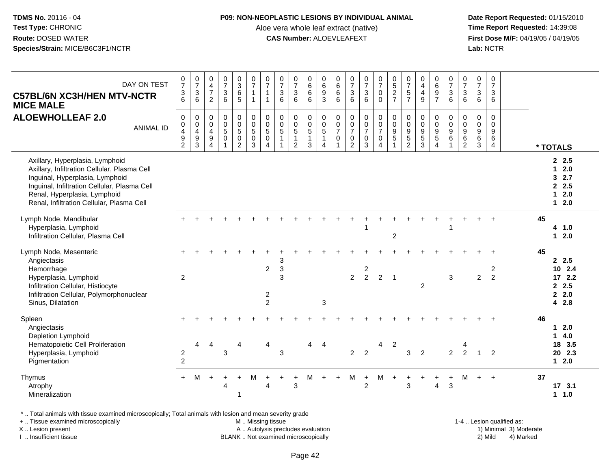#### **P09: NON-NEOPLASTIC LESIONS BY INDIVIDUAL ANIMAL**

Aloe vera whole leaf extract (native)<br>**CAS Number:** ALOEVLEAFEXT

 **Date Report Requested:** 01/15/2010 **First Dose M/F:** 04/19/05 / 04/19/05<br>Lab: NCTR **Lab:** NCTR

| DAY ON TEST<br><b>C57BL/6N XC3H/HEN MTV-NCTR</b><br><b>MICE MALE</b>                                                                                                                                                                            | $\frac{0}{7}$<br>$\frac{3}{6}$                                                    | $\begin{array}{c} 0 \\ 7 \end{array}$<br>3<br>$6\phantom{1}$   | $\pmb{0}$<br>$\overline{4}$<br>$\overline{7}$<br>$\overline{2}$                       | $\frac{0}{7}$<br>$\mathfrak{Z}$<br>6      | $_{3}^{\rm 0}$<br>6<br>5                                                     | $\begin{smallmatrix}0\\7\end{smallmatrix}$<br>$\mathbf{1}$<br>$\mathbf{1}$ | $\frac{0}{7}$<br>$\mathbf{1}$<br>$\mathbf{1}$                     | $\frac{0}{7}$<br>$\mathfrak{Z}$<br>6                   | $\frac{0}{7}$<br>$\mathfrak{Z}$<br>6                                                 | $_{6}^{\rm 0}$<br>$6\overline{6}$<br>6            | $\mathbf 0$<br>$\,6\,$<br>9<br>$\overline{3}$              | $\begin{array}{c} 0 \\ 6 \end{array}$<br>$\,6\,$<br>6                                            | $\frac{0}{7}$<br>$\mathbf{3}$<br>6                                            | $\frac{0}{7}$<br>$\mathbf{3}$<br>6             | $\frac{0}{7}$<br>$\mathbf 0$<br>$\mathbf 0$                 | $\begin{array}{c} 0 \\ 5 \end{array}$<br>$\overline{2}$<br>$\overline{7}$ | $\frac{0}{7}$<br>$\overline{5}$<br>$\overline{7}$                               | $\begin{smallmatrix}0\0\4\end{smallmatrix}$<br>$\overline{4}$<br>9 | $\begin{array}{c} 0 \\ 6 \end{array}$<br>$\overline{9}$<br>$\overline{7}$         | $\begin{smallmatrix}0\\7\end{smallmatrix}$<br>$\mathbf{3}$<br>6  | $\frac{0}{7}$<br>3<br>6                                                  | $\frac{0}{7}$<br>3<br>$\,6$                                             | $\mathbf 0$<br>$\overline{7}$<br>$\mathfrak{Z}$<br>6  |          |                                                                                                    |
|-------------------------------------------------------------------------------------------------------------------------------------------------------------------------------------------------------------------------------------------------|-----------------------------------------------------------------------------------|----------------------------------------------------------------|---------------------------------------------------------------------------------------|-------------------------------------------|------------------------------------------------------------------------------|----------------------------------------------------------------------------|-------------------------------------------------------------------|--------------------------------------------------------|--------------------------------------------------------------------------------------|---------------------------------------------------|------------------------------------------------------------|--------------------------------------------------------------------------------------------------|-------------------------------------------------------------------------------|------------------------------------------------|-------------------------------------------------------------|---------------------------------------------------------------------------|---------------------------------------------------------------------------------|--------------------------------------------------------------------|-----------------------------------------------------------------------------------|------------------------------------------------------------------|--------------------------------------------------------------------------|-------------------------------------------------------------------------|-------------------------------------------------------|----------|----------------------------------------------------------------------------------------------------|
| <b>ALOEWHOLLEAF 2.0</b><br><b>ANIMAL ID</b>                                                                                                                                                                                                     | $\mathbf 0$<br>0<br>$\overline{\mathbf{4}}$<br>$\boldsymbol{9}$<br>$\overline{2}$ | $\mathbf 0$<br>$\begin{array}{c} 0 \\ 4 \\ 9 \\ 3 \end{array}$ | $\mathbf 0$<br>$\overline{0}$<br>$\overline{4}$<br>$\boldsymbol{9}$<br>$\overline{4}$ | 0<br>$\pmb{0}$<br>$\sqrt{5}$<br>$\pmb{0}$ | $\begin{smallmatrix}0\\0\\5\end{smallmatrix}$<br>$\pmb{0}$<br>$\overline{2}$ | 0<br>$\overline{0}$<br>$\sqrt{5}$<br>$\mathsf{O}\xspace$<br>3              | $\pmb{0}$<br>$\overline{0}$<br>$\overline{5}$<br>$\mathbf 0$<br>4 | 0<br>$\ddot{\mathbf{0}}$<br>$\sqrt{5}$<br>$\mathbf{1}$ | $\pmb{0}$<br>$\ddot{\mathbf{0}}$<br>$\overline{5}$<br>$\mathbf{1}$<br>$\overline{2}$ | $\mathbf 0$<br>$\frac{0}{5}$<br>$\mathbf{1}$<br>3 | 0<br>$\overline{0}$<br>$\overline{5}$<br>$\mathbf{1}$<br>4 | $\mathbf 0$<br>$\overline{0}$<br>$\boldsymbol{7}$<br>$\boldsymbol{0}$<br>$\overline{\mathbf{1}}$ | $\mathbf 0$<br>$\mathbf 0$<br>$\overline{7}$<br>$\mathbf 0$<br>$\overline{2}$ | $\pmb{0}$<br>$\frac{0}{7}$<br>$\mathbf 0$<br>3 | 0<br>$\frac{0}{7}$<br>$\mathbf 0$<br>$\boldsymbol{\Lambda}$ | $\mathsf 0$<br>$\overline{0}$<br>$\overline{9}$<br>$\overline{5}$         | $\begin{smallmatrix} 0\\0 \end{smallmatrix}$<br>$\frac{9}{5}$<br>$\overline{c}$ | $\mathbf 0$<br>$\mathbf 0$<br>$\frac{9}{5}$<br>$\mathbf{3}$        | $\mathbf 0$<br>$\overline{0}$<br>$\boldsymbol{9}$<br>$\sqrt{5}$<br>$\overline{4}$ | 0<br>$\overline{0}$<br>$\boldsymbol{9}$<br>$\,6$<br>$\mathbf{1}$ | $\Omega$<br>$\mathsf 0$<br>$\boldsymbol{9}$<br>$\,6\,$<br>$\overline{c}$ | $\mathbf 0$<br>$\pmb{0}$<br>$\boldsymbol{9}$<br>$\,6$<br>$\mathfrak{S}$ | $\mathbf 0$<br>$\Omega$<br>$\boldsymbol{9}$<br>6<br>4 | * TOTALS |                                                                                                    |
| Axillary, Hyperplasia, Lymphoid<br>Axillary, Infiltration Cellular, Plasma Cell<br>Inguinal, Hyperplasia, Lymphoid<br>Inguinal, Infiltration Cellular, Plasma Cell<br>Renal, Hyperplasia, Lymphoid<br>Renal, Infiltration Cellular, Plasma Cell |                                                                                   |                                                                |                                                                                       |                                           |                                                                              |                                                                            |                                                                   |                                                        |                                                                                      |                                                   |                                                            |                                                                                                  |                                                                               |                                                |                                                             |                                                                           |                                                                                 |                                                                    |                                                                                   |                                                                  |                                                                          |                                                                         |                                                       |          | 2.5<br>2.0<br>$\mathbf{1}$<br>32.7<br>2.5<br>2.0<br>$\overline{\mathbf{1}}$<br>2.0<br>$\mathbf{1}$ |
| Lymph Node, Mandibular<br>Hyperplasia, Lymphoid<br>Infiltration Cellular, Plasma Cell                                                                                                                                                           |                                                                                   |                                                                |                                                                                       |                                           |                                                                              |                                                                            |                                                                   |                                                        |                                                                                      |                                                   |                                                            |                                                                                                  |                                                                               |                                                |                                                             | $\overline{2}$                                                            |                                                                                 |                                                                    |                                                                                   |                                                                  |                                                                          |                                                                         |                                                       | 45       | 4 1.0<br>$12.0$                                                                                    |
| Lymph Node, Mesenteric<br>Angiectasis<br>Hemorrhage<br>Hyperplasia, Lymphoid<br>Infiltration Cellular, Histiocyte<br>Infiltration Cellular, Polymorphonuclear<br>Sinus, Dilatation                                                              | +<br>2                                                                            |                                                                |                                                                                       |                                           |                                                                              |                                                                            | $\overline{c}$<br>$\overline{2}$<br>$\overline{2}$                | 3<br>$\mathbf{3}$<br>3                                 |                                                                                      |                                                   | 3                                                          |                                                                                                  | 2                                                                             | 2<br>$\overline{2}$                            | $\overline{2}$                                              | $\overline{\mathbf{1}}$                                                   |                                                                                 | 2                                                                  |                                                                                   | 3                                                                |                                                                          | $\overline{2}$                                                          | 2<br>$\overline{2}$                                   | 45       | 2.5<br>10 2.4<br>172.2<br>2.5<br>2.2.0<br>4 2.8                                                    |
| Spleen<br>Angiectasis<br>Depletion Lymphoid<br>Hematopoietic Cell Proliferation<br>Hyperplasia, Lymphoid<br>Pigmentation                                                                                                                        | $\begin{array}{c} 2 \\ 2 \end{array}$                                             | 4                                                              | $\overline{4}$                                                                        | 3                                         | Δ                                                                            |                                                                            | 4                                                                 | 3                                                      |                                                                                      | 4                                                 | $\overline{4}$                                             |                                                                                                  | $\overline{2}$                                                                | $\overline{2}$                                 | 4                                                           | $\overline{c}$                                                            | 3                                                                               | $\overline{2}$                                                     |                                                                                   | $\overline{2}$                                                   | 2                                                                        |                                                                         | $\overline{2}$                                        | 46       | $12.0$<br>4.0<br>$\mathbf 1$<br>18 3.5<br>20 2.3<br>$1 \quad 2.0$                                  |
| Thymus<br>Atrophy<br>Mineralization                                                                                                                                                                                                             | $+$                                                                               | M                                                              | $\ddot{}$                                                                             | 4                                         | -1                                                                           | м                                                                          | 4                                                                 |                                                        | 3                                                                                    | М                                                 | $+$                                                        | $\ddot{}$                                                                                        | M                                                                             | $+$<br>$\overline{2}$                          | м                                                           | $\ddot{}$                                                                 | $\div$<br>3                                                                     |                                                                    | 4                                                                                 | $\ddot{}$<br>3                                                   | м                                                                        |                                                                         | $\ddot{}$                                             | 37       | 17 3.1<br>1.0<br>$\mathbf{1}$                                                                      |

\* .. Total animals with tissue examined microscopically; Total animals with lesion and mean severity grade

+ .. Tissue examined microscopically

X .. Lesion present

I .. Insufficient tissue

M .. Missing tissue

A .. Autolysis precludes evaluation

BLANK .. Not examined microscopically 2) Mild 4) Marked

1-4 .. Lesion qualified as: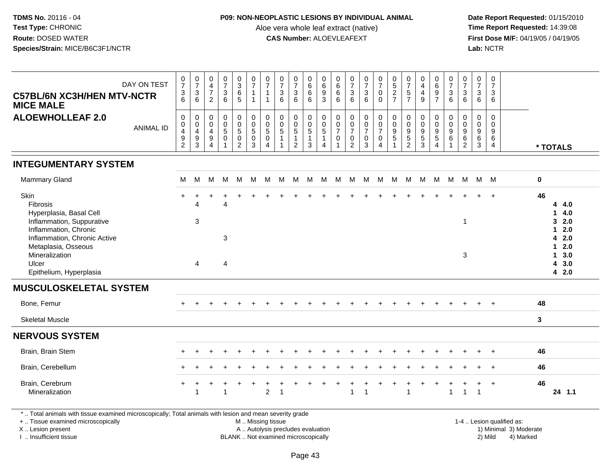## **P09: NON-NEOPLASTIC LESIONS BY INDIVIDUAL ANIMAL**

Aloe vera whole leaf extract (native)<br>**CAS Number:** ALOEVLEAFEXT

 **Date Report Requested:** 01/15/2010 **First Dose M/F:** 04/19/05 / 04/19/05<br>Lab: NCTR **Lab:** NCTR

| DAY ON TEST<br><b>C57BL/6N XC3H/HEN MTV-NCTR</b><br><b>MICE MALE</b>                                                                                                                                           | 0<br>$\overline{7}$<br>$\frac{3}{6}$                                     | $\frac{0}{7}$<br>6                                            | 0<br>$\frac{4}{7}$<br>$\overline{2}$                                          | $\frac{0}{7}$<br>3<br>6                                      | 0<br>3<br>6<br>5                                     | $\frac{0}{7}$<br>$\mathbf{1}$<br>$\mathbf{1}$                | $\frac{0}{7}$<br>$\mathbf{1}$<br>$\mathbf{1}$                       | $\frac{0}{7}$<br>$\begin{array}{c} 3 \\ 6 \end{array}$       | $\begin{matrix} 0 \\ 7 \\ 3 \end{matrix}$<br>6                 | $0$<br>6<br>6<br>6                      | 0<br>6<br>9<br>3                                     | $0$ 6<br>6<br>6                                                   | 0<br>$\overline{7}$<br>$\mathbf{3}$<br>$6\phantom{a}$                                      | $\frac{0}{7}$<br>6                             | $\frac{0}{7}$<br>$\mathsf{O}$<br>$\mathbf 0$      | $0$<br>5<br>2<br>7                                                         | $\frac{0}{7}$<br>5<br>7                                                | 0<br>$\begin{array}{c} 4 \\ 4 \\ 9 \end{array}$ | 0697                                      | 0<br>$\overline{7}$<br>3<br>$6^{\circ}$ | $\frac{0}{7}$<br>6                                         | $\frac{0}{7}$<br>3<br>$\,6\,$                                | $\pmb{0}$<br>$\overline{7}$<br>$\mathbf{3}$<br>6 |                           |              |                                                                                      |
|----------------------------------------------------------------------------------------------------------------------------------------------------------------------------------------------------------------|--------------------------------------------------------------------------|---------------------------------------------------------------|-------------------------------------------------------------------------------|--------------------------------------------------------------|------------------------------------------------------|--------------------------------------------------------------|---------------------------------------------------------------------|--------------------------------------------------------------|----------------------------------------------------------------|-----------------------------------------|------------------------------------------------------|-------------------------------------------------------------------|--------------------------------------------------------------------------------------------|------------------------------------------------|---------------------------------------------------|----------------------------------------------------------------------------|------------------------------------------------------------------------|-------------------------------------------------|-------------------------------------------|-----------------------------------------|------------------------------------------------------------|--------------------------------------------------------------|--------------------------------------------------|---------------------------|--------------|--------------------------------------------------------------------------------------|
| <b>ALOEWHOLLEAF 2.0</b><br><b>ANIMAL ID</b>                                                                                                                                                                    | $\mathbf 0$<br>$\mathbf 0$<br>$\begin{array}{c} 4 \\ 9 \\ 2 \end{array}$ | $\mathbf 0$<br>$\mathbf 0$<br>$\overline{4}$<br>$\frac{9}{3}$ | 0<br>$\boldsymbol{0}$<br>$\overline{a}$<br>$\boldsymbol{9}$<br>$\overline{4}$ | $\mathbf 0$<br>$\mathbf 0$<br>$\sqrt{5}$<br>$\mathbf 0$<br>1 | 0<br>$\begin{array}{c} 0 \\ 5 \\ 0 \\ 2 \end{array}$ | $\pmb{0}$<br>$\begin{array}{c} 0 \\ 5 \\ 0 \\ 3 \end{array}$ | $\mathsf{O}\xspace$<br>$\frac{0}{5}$<br>$\pmb{0}$<br>$\overline{4}$ | $\mathbf 0$<br>$\pmb{0}$<br>$\overline{5}$<br>$\overline{1}$ | $\mathbf 0$<br>$\frac{0}{5}$<br>$\mathbf{1}$<br>$\overline{2}$ | 0<br>$\frac{0}{5}$<br>$\mathbf{1}$<br>3 | 0<br>$\frac{0}{5}$<br>$\mathbf{1}$<br>$\overline{4}$ | $\mathbf 0$<br>$\mathsf 0$<br>$\overline{7}$<br>0<br>$\mathbf{1}$ | $\mathbf 0$<br>$\pmb{0}$<br>$\overline{7}$<br>$\begin{smallmatrix} 0\\2 \end{smallmatrix}$ | $\mathbf 0$<br>$\frac{0}{7}$<br>$_{3}^{\rm 0}$ | 0<br>$\frac{0}{7}$<br>$\pmb{0}$<br>$\overline{4}$ | $\mathbf 0$<br>$\boldsymbol{0}$<br>$\boldsymbol{9}$<br>5<br>$\overline{1}$ | 0<br>$\pmb{0}$<br>$\boldsymbol{9}$<br>$\overline{5}$<br>$\overline{2}$ | 0<br>$\mathbf 0$<br>$\frac{9}{3}$               | $\mathbf 0$<br>$\pmb{0}$<br>$\frac{9}{5}$ | $\Omega$<br>$\mathbf 0$<br>9<br>$\,6\,$ | $\Omega$<br>$\mathbf 0$<br>$\overline{9}$<br>$\frac{6}{2}$ | $\mathbf 0$<br>$\pmb{0}$<br>$9\,$<br>$\,6$<br>$\overline{3}$ | $\mathbf 0$<br>$\Omega$<br>9<br>6<br>4           |                           |              | * TOTALS                                                                             |
| <b>INTEGUMENTARY SYSTEM</b>                                                                                                                                                                                    |                                                                          |                                                               |                                                                               |                                                              |                                                      |                                                              |                                                                     |                                                              |                                                                |                                         |                                                      |                                                                   |                                                                                            |                                                |                                                   |                                                                            |                                                                        |                                                 |                                           |                                         |                                                            |                                                              |                                                  |                           |              |                                                                                      |
| <b>Mammary Gland</b>                                                                                                                                                                                           | М                                                                        | M                                                             | M                                                                             | М                                                            | - M                                                  | M                                                            | M                                                                   | M                                                            |                                                                |                                         | M M M                                                |                                                                   | M M M M                                                                                    |                                                |                                                   | M                                                                          | M                                                                      |                                                 | M M M                                     |                                         | M                                                          | $M$ $M$                                                      |                                                  |                           | $\mathbf 0$  |                                                                                      |
| Skin<br>Fibrosis<br>Hyperplasia, Basal Cell<br>Inflammation, Suppurative<br>Inflammation, Chronic<br>Inflammation, Chronic Active<br>Metaplasia, Osseous<br>Mineralization<br>Ulcer<br>Epithelium, Hyperplasia |                                                                          | Δ<br>3<br>4                                                   |                                                                               | Δ<br>3<br>4                                                  |                                                      |                                                              |                                                                     |                                                              |                                                                |                                         |                                                      |                                                                   |                                                                                            |                                                |                                                   |                                                                            |                                                                        |                                                 |                                           |                                         | $\overline{1}$<br>$\mathbf{3}$                             |                                                              |                                                  |                           | 46           | 4 4.0<br>14.0<br>32.0<br>$12.0$<br>4 2.0<br>$12.0$<br>$1 \quad 3.0$<br>43.0<br>4 2.0 |
| <b>MUSCULOSKELETAL SYSTEM</b>                                                                                                                                                                                  |                                                                          |                                                               |                                                                               |                                                              |                                                      |                                                              |                                                                     |                                                              |                                                                |                                         |                                                      |                                                                   |                                                                                            |                                                |                                                   |                                                                            |                                                                        |                                                 |                                           |                                         |                                                            |                                                              |                                                  |                           |              |                                                                                      |
| Bone, Femur                                                                                                                                                                                                    |                                                                          |                                                               |                                                                               |                                                              |                                                      |                                                              |                                                                     |                                                              |                                                                |                                         |                                                      |                                                                   |                                                                                            |                                                |                                                   |                                                                            |                                                                        |                                                 |                                           |                                         |                                                            |                                                              |                                                  |                           | 48           |                                                                                      |
| <b>Skeletal Muscle</b>                                                                                                                                                                                         |                                                                          |                                                               |                                                                               |                                                              |                                                      |                                                              |                                                                     |                                                              |                                                                |                                         |                                                      |                                                                   |                                                                                            |                                                |                                                   |                                                                            |                                                                        |                                                 |                                           |                                         |                                                            |                                                              |                                                  |                           | $\mathbf{3}$ |                                                                                      |
| <b>NERVOUS SYSTEM</b>                                                                                                                                                                                          |                                                                          |                                                               |                                                                               |                                                              |                                                      |                                                              |                                                                     |                                                              |                                                                |                                         |                                                      |                                                                   |                                                                                            |                                                |                                                   |                                                                            |                                                                        |                                                 |                                           |                                         |                                                            |                                                              |                                                  |                           |              |                                                                                      |
| Brain, Brain Stem                                                                                                                                                                                              |                                                                          |                                                               |                                                                               |                                                              |                                                      |                                                              |                                                                     |                                                              |                                                                |                                         |                                                      |                                                                   |                                                                                            |                                                |                                                   |                                                                            |                                                                        |                                                 |                                           |                                         |                                                            |                                                              |                                                  |                           | 46           |                                                                                      |
| Brain, Cerebellum                                                                                                                                                                                              |                                                                          |                                                               |                                                                               |                                                              |                                                      |                                                              |                                                                     |                                                              |                                                                |                                         |                                                      |                                                                   |                                                                                            |                                                |                                                   |                                                                            |                                                                        |                                                 |                                           |                                         |                                                            |                                                              |                                                  |                           | 46           |                                                                                      |
| Brain, Cerebrum<br>Mineralization                                                                                                                                                                              |                                                                          | $\overline{1}$                                                |                                                                               | -1                                                           |                                                      |                                                              | $\overline{2}$                                                      | -1                                                           |                                                                |                                         |                                                      |                                                                   | 1                                                                                          | $\overline{\mathbf{1}}$                        |                                                   |                                                                            | 1                                                                      |                                                 |                                           | $\mathbf{1}$                            | $\overline{1}$                                             | $\mathbf{1}$                                                 | $\ddot{}$                                        |                           | 46           | 24 1.1                                                                               |
| *  Total animals with tissue examined microscopically; Total animals with lesion and mean severity grade<br>+  Tissue examined microscopically                                                                 |                                                                          |                                                               |                                                                               |                                                              |                                                      | M  Missing tissue                                            |                                                                     |                                                              |                                                                |                                         |                                                      |                                                                   |                                                                                            |                                                |                                                   |                                                                            |                                                                        |                                                 |                                           |                                         |                                                            |                                                              |                                                  | 1-4  Lesion qualified as: |              |                                                                                      |

X .. Lesion present

I .. Insufficient tissue

BLANK .. Not examined microscopically

A .. Autolysis precludes evaluation and the service of the service of the service of the service of the service of the service of the service of the service of the service of the service of the service of the service of th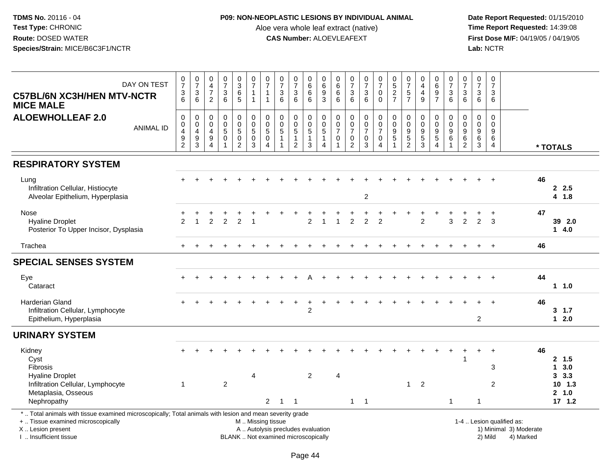### **P09: NON-NEOPLASTIC LESIONS BY INDIVIDUAL ANIMAL**

Aloe vera whole leaf extract (native)<br>**CAS Number:** ALOEVLEAFEXT

| DAY ON TEST<br><b>C57BL/6N XC3H/HEN MTV-NCTR</b><br><b>MICE MALE</b>                                                                                                                          | $\frac{0}{7}$<br>$\frac{3}{6}$                                     | $\frac{0}{7}$<br>$\ensuremath{\mathsf{3}}$<br>6      | $\begin{smallmatrix}0\\4\end{smallmatrix}$<br>$\overline{7}$<br>$\overline{2}$     | $\begin{matrix} 0 \\ 7 \end{matrix}$<br>$\sqrt{3}$<br>$6\phantom{1}6$ | 0<br>$\overline{3}$<br>$\,6$<br>$\overline{5}$                  | $\frac{0}{7}$<br>$\mathbf{1}$<br>$\mathbf{1}$                                   | $\frac{0}{7}$<br>$\mathbf{1}$<br>$\mathbf{1}$                             | $\pmb{0}$<br>$\overline{7}$<br>$\mathbf{3}$<br>$6\phantom{1}$            | $\frac{0}{7}$<br>$\frac{3}{6}$                                                       | 0<br>6<br>$\,6$<br>$6\phantom{1}$                       | $\pmb{0}$<br>$\,6\,$<br>$\frac{9}{3}$                                                 | 0<br>$\,6\,$<br>6<br>$6\phantom{a}$                   | $\frac{0}{7}$<br>3<br>6                                                 | $\begin{array}{c} 0 \\ 7 \end{array}$<br>$\frac{3}{6}$ | $\pmb{0}$<br>$\overline{7}$<br>$\mathbf 0$<br>$\mathbf 0$                     | $\begin{array}{c} 0 \\ 5 \end{array}$<br>$\frac{2}{7}$                      | $\begin{matrix} 0 \\ 7 \end{matrix}$<br>$\,$ 5 $\,$<br>$\overline{7}$           | $\pmb{0}$<br>$\overline{4}$<br>$\begin{array}{c} 4 \\ 9 \end{array}$ | 0697                                                                             | $\begin{array}{c} 0 \\ 7 \end{array}$<br>$\begin{array}{c} 3 \\ 6 \end{array}$ | $\begin{array}{c} 0 \\ 7 \end{array}$<br>$\sqrt{3}$<br>6      | $\frac{0}{7}$<br>$\mathbf{3}$<br>$\,6\,$                       | $\mathbf 0$<br>$\overline{7}$<br>3<br>6                      |                                                                  |                                           |
|-----------------------------------------------------------------------------------------------------------------------------------------------------------------------------------------------|--------------------------------------------------------------------|------------------------------------------------------|------------------------------------------------------------------------------------|-----------------------------------------------------------------------|-----------------------------------------------------------------|---------------------------------------------------------------------------------|---------------------------------------------------------------------------|--------------------------------------------------------------------------|--------------------------------------------------------------------------------------|---------------------------------------------------------|---------------------------------------------------------------------------------------|-------------------------------------------------------|-------------------------------------------------------------------------|--------------------------------------------------------|-------------------------------------------------------------------------------|-----------------------------------------------------------------------------|---------------------------------------------------------------------------------|----------------------------------------------------------------------|----------------------------------------------------------------------------------|--------------------------------------------------------------------------------|---------------------------------------------------------------|----------------------------------------------------------------|--------------------------------------------------------------|------------------------------------------------------------------|-------------------------------------------|
| <b>ALOEWHOLLEAF 2.0</b><br><b>ANIMAL ID</b>                                                                                                                                                   | $\mathbf 0$<br>0<br>$\overline{\mathbf{4}}$<br>9<br>$\overline{2}$ | $\mathbf 0$<br>$_4^{\rm O}$<br>$\boldsymbol{9}$<br>3 | $\mathbf 0$<br>$\mathbf 0$<br>$\overline{4}$<br>$\boldsymbol{9}$<br>$\overline{4}$ | $\pmb{0}$<br>$\mathbf 0$<br>$\sqrt{5}$<br>$\pmb{0}$<br>$\overline{1}$ | 0<br>$\pmb{0}$<br>$\overline{5}$<br>$\pmb{0}$<br>$\overline{2}$ | $\pmb{0}$<br>$\begin{array}{c} 0 \\ 5 \end{array}$<br>$\pmb{0}$<br>$\mathbf{3}$ | $\mathbf 0$<br>$\pmb{0}$<br>$\overline{5}$<br>$\pmb{0}$<br>$\overline{4}$ | $\mathsf{O}\xspace$<br>0<br>$\sqrt{5}$<br>$\mathbf{1}$                   | $\pmb{0}$<br>$\begin{array}{c} 0 \\ 5 \end{array}$<br>$\mathbf{1}$<br>$\overline{2}$ | 0<br>$\mathsf 0$<br>$\overline{5}$<br>$\mathbf{1}$<br>3 | $\mathbf 0$<br>$\boldsymbol{0}$<br>$\overline{5}$<br>$\overline{1}$<br>$\overline{4}$ | 0<br>0<br>$\overline{7}$<br>$\pmb{0}$<br>$\mathbf{1}$ | $\pmb{0}$<br>$\pmb{0}$<br>$\overline{7}$<br>$\pmb{0}$<br>$\overline{2}$ | $\pmb{0}$<br>$\frac{0}{7}$<br>$\pmb{0}$<br>3           | $\mathbf 0$<br>$\mathbf 0$<br>$\overline{7}$<br>$\mathbf 0$<br>$\overline{4}$ | $\pmb{0}$<br>$\mathbf 0$<br>$\overline{9}$<br>$\mathbf 5$<br>$\overline{1}$ | $\mathbf 0$<br>$\mathbf 0$<br>$\boldsymbol{9}$<br>$\,$ 5 $\,$<br>$\overline{2}$ | $\pmb{0}$<br>$\mathbf 0$<br>$\overline{9}$<br>$\frac{5}{3}$          | $\mathbf 0$<br>$\mathbf 0$<br>$\overline{9}$<br>$\overline{5}$<br>$\overline{4}$ | $\pmb{0}$<br>$_{9}^{\rm 0}$<br>$\,6\,$<br>$\mathbf{1}$                         | $\mathbf 0$<br>$\mathsf 0$<br>$\overline{9}$<br>$\frac{6}{2}$ | $\mathbf 0$<br>$\mathbf 0$<br>$\boldsymbol{9}$<br>$\,6\,$<br>3 | $\mathbf 0$<br>$\mathbf 0$<br>9<br>$\,6\,$<br>$\overline{4}$ |                                                                  | * TOTALS                                  |
| <b>RESPIRATORY SYSTEM</b>                                                                                                                                                                     |                                                                    |                                                      |                                                                                    |                                                                       |                                                                 |                                                                                 |                                                                           |                                                                          |                                                                                      |                                                         |                                                                                       |                                                       |                                                                         |                                                        |                                                                               |                                                                             |                                                                                 |                                                                      |                                                                                  |                                                                                |                                                               |                                                                |                                                              |                                                                  |                                           |
| Lung<br>Infiltration Cellular, Histiocyte<br>Alveolar Epithelium, Hyperplasia                                                                                                                 |                                                                    |                                                      |                                                                                    |                                                                       |                                                                 |                                                                                 |                                                                           |                                                                          |                                                                                      |                                                         |                                                                                       |                                                       |                                                                         | $\overline{2}$                                         |                                                                               |                                                                             |                                                                                 |                                                                      |                                                                                  |                                                                                |                                                               |                                                                |                                                              | 46                                                               | 2.5<br>4 1.8                              |
| Nose<br><b>Hyaline Droplet</b><br>Posterior To Upper Incisor, Dysplasia                                                                                                                       | $\mathfrak{p}$                                                     | $\overline{1}$                                       | $\mathfrak{p}$                                                                     | $\mathcal{P}$                                                         | $\mathcal{P}$                                                   |                                                                                 |                                                                           |                                                                          |                                                                                      | $\overline{2}$                                          | $\overline{1}$                                                                        | $\overline{1}$                                        | $\overline{2}$                                                          | $\overline{2}$                                         | $\overline{2}$                                                                |                                                                             |                                                                                 | 2                                                                    |                                                                                  | 3                                                                              | 2                                                             | 2                                                              | 3                                                            | 47                                                               | 39 2.0<br>14.0                            |
| Trachea                                                                                                                                                                                       | $+$                                                                |                                                      |                                                                                    |                                                                       |                                                                 |                                                                                 |                                                                           |                                                                          |                                                                                      |                                                         |                                                                                       |                                                       |                                                                         |                                                        |                                                                               |                                                                             |                                                                                 |                                                                      |                                                                                  |                                                                                |                                                               |                                                                | $+$                                                          | 46                                                               |                                           |
| <b>SPECIAL SENSES SYSTEM</b>                                                                                                                                                                  |                                                                    |                                                      |                                                                                    |                                                                       |                                                                 |                                                                                 |                                                                           |                                                                          |                                                                                      |                                                         |                                                                                       |                                                       |                                                                         |                                                        |                                                                               |                                                                             |                                                                                 |                                                                      |                                                                                  |                                                                                |                                                               |                                                                |                                                              |                                                                  |                                           |
| Eye<br>Cataract                                                                                                                                                                               |                                                                    |                                                      |                                                                                    |                                                                       |                                                                 |                                                                                 |                                                                           |                                                                          |                                                                                      |                                                         |                                                                                       |                                                       |                                                                         |                                                        |                                                                               |                                                                             |                                                                                 |                                                                      |                                                                                  |                                                                                |                                                               |                                                                |                                                              | 44                                                               | $1 1.0$                                   |
| <b>Harderian Gland</b><br>Infiltration Cellular, Lymphocyte<br>Epithelium, Hyperplasia                                                                                                        | $+$                                                                |                                                      |                                                                                    |                                                                       |                                                                 |                                                                                 |                                                                           |                                                                          |                                                                                      | $\overline{c}$                                          |                                                                                       |                                                       |                                                                         |                                                        |                                                                               |                                                                             |                                                                                 |                                                                      |                                                                                  |                                                                                |                                                               | $\overline{c}$                                                 | $\ddot{}$                                                    | 46                                                               | $3 \t1.7$<br>$12.0$                       |
| <b>URINARY SYSTEM</b>                                                                                                                                                                         |                                                                    |                                                      |                                                                                    |                                                                       |                                                                 |                                                                                 |                                                                           |                                                                          |                                                                                      |                                                         |                                                                                       |                                                       |                                                                         |                                                        |                                                                               |                                                                             |                                                                                 |                                                                      |                                                                                  |                                                                                |                                                               |                                                                |                                                              |                                                                  |                                           |
| Kidney<br>Cyst<br><b>Fibrosis</b>                                                                                                                                                             |                                                                    |                                                      |                                                                                    |                                                                       |                                                                 |                                                                                 |                                                                           |                                                                          |                                                                                      |                                                         |                                                                                       |                                                       |                                                                         |                                                        |                                                                               |                                                                             |                                                                                 |                                                                      |                                                                                  |                                                                                | $\overline{1}$                                                |                                                                | $\ddot{}$<br>3                                               | 46                                                               | 2, 1.5<br>13.0                            |
| <b>Hyaline Droplet</b><br>Infiltration Cellular, Lymphocyte<br>Metaplasia, Osseous<br>Nephropathy                                                                                             | 1                                                                  |                                                      |                                                                                    | $\overline{2}$                                                        |                                                                 | $\overline{4}$                                                                  | $\overline{2}$                                                            | $\mathbf{1}$                                                             | $\overline{\phantom{0}}$ 1                                                           | $\overline{2}$                                          |                                                                                       | $\overline{4}$                                        | $\mathbf{1}$                                                            | $\overline{1}$                                         |                                                                               |                                                                             | 1                                                                               | $\overline{2}$                                                       |                                                                                  | $\mathbf{1}$                                                                   |                                                               | $\overline{1}$                                                 | $\overline{2}$                                               |                                                                  | 3.3<br>$10 \quad 1.3$<br>2 1.0<br>17, 1.2 |
| *  Total animals with tissue examined microscopically; Total animals with lesion and mean severity grade<br>+  Tissue examined microscopically<br>X  Lesion present<br>I. Insufficient tissue |                                                                    |                                                      |                                                                                    |                                                                       |                                                                 | M  Missing tissue                                                               |                                                                           | A  Autolysis precludes evaluation<br>BLANK  Not examined microscopically |                                                                                      |                                                         |                                                                                       |                                                       |                                                                         |                                                        |                                                                               |                                                                             |                                                                                 |                                                                      |                                                                                  |                                                                                |                                                               |                                                                | 2) Mild                                                      | 1-4  Lesion qualified as:<br>1) Minimal 3) Moderate<br>4) Marked |                                           |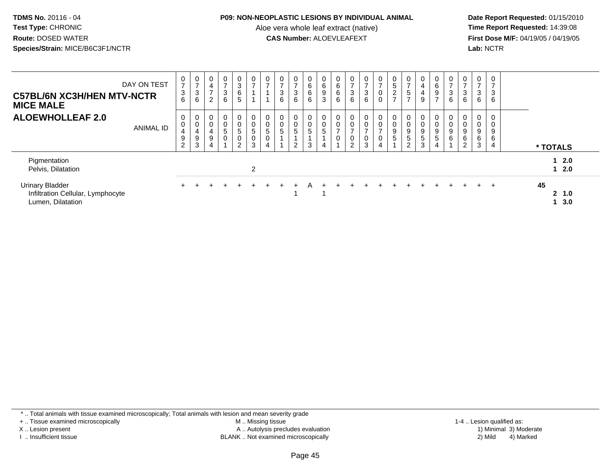#### **P09: NON-NEOPLASTIC LESIONS BY INDIVIDUAL ANIMAL**

Aloe vera whole leaf extract (native)<br>**CAS Number:** ALOEVLEAFEXT

 **Date Report Requested:** 01/15/2010 **First Dose M/F:** 04/19/05 / 04/19/05<br>Lab: NCTR **Lab:** NCTR

| <b>C57BL/6N XC3H/HEN MTV-NCTR</b><br><b>MICE MALE</b>                            | DAY ON TEST      | $\frac{0}{7}$<br>$\sqrt{3}$<br>6                | $\frac{0}{7}$<br>$\sqrt{3}$<br>6 | $\overline{0}$<br>$\overline{\mathbf{4}}$<br>$\overline{ }$<br>$\overline{2}$ | $\frac{0}{7}$<br>$\ensuremath{\mathsf{3}}$<br>6        | $\frac{0}{3}$<br>6<br>5                                          | 0<br>$\overline{\phantom{a}}$                       | $\frac{0}{7}$                            | $\frac{0}{7}$<br>3<br>6          | $\frac{0}{7}$<br>$\ensuremath{\mathsf{3}}$<br>$6\phantom{1}$ | $\begin{array}{c} 0 \\ 6 \end{array}$<br>$\,6\,$<br>6 | 0<br>$\,6\,$<br>$\boldsymbol{9}$<br>$\mathfrak{Z}$ | 0<br>$\,6$<br>6<br>6               | $\frac{0}{7}$<br>$\mathbf{3}$<br>6                                          | $\frac{0}{7}$<br>$\frac{3}{6}$                                            | $\frac{0}{7}$<br>0<br>0 | $\begin{array}{c} 0 \\ 5 \end{array}$<br>$\frac{2}{7}$ | $\frac{0}{7}$<br>$\sqrt{5}$<br>$\overline{ }$         | $\boldsymbol{0}$<br>$\overline{\mathbf{4}}$<br>$\overline{4}$<br>9 | $\mathbf 0$<br>$6\phantom{1}$<br>9<br>$\rightarrow$ | $\frac{0}{7}$<br>3<br>6 | $\frac{0}{7}$<br>$\mathbf{3}$<br>6                        | $\frac{0}{7}$<br>$\mathbf{3}$<br>6 | 0<br>$\overline{ }$<br>$\mathbf{3}$<br>6                  |  |                            |  |
|----------------------------------------------------------------------------------|------------------|-------------------------------------------------|----------------------------------|-------------------------------------------------------------------------------|--------------------------------------------------------|------------------------------------------------------------------|-----------------------------------------------------|------------------------------------------|----------------------------------|--------------------------------------------------------------|-------------------------------------------------------|----------------------------------------------------|------------------------------------|-----------------------------------------------------------------------------|---------------------------------------------------------------------------|-------------------------|--------------------------------------------------------|-------------------------------------------------------|--------------------------------------------------------------------|-----------------------------------------------------|-------------------------|-----------------------------------------------------------|------------------------------------|-----------------------------------------------------------|--|----------------------------|--|
| <b>ALOEWHOLLEAF 2.0</b>                                                          | <b>ANIMAL ID</b> | 0<br>$\overline{0}$<br>4<br>9<br>$\overline{2}$ | 0<br>0<br>4<br>9<br>$\mathbf{3}$ | 0<br>$\pmb{0}$<br>4<br>9<br>$\overline{4}$                                    | $\mathbf 0$<br>$\pmb{0}$<br>$\mathbf 5$<br>$\mathbf 0$ | 0<br>$\pmb{0}$<br>$5\phantom{.0}$<br>$\pmb{0}$<br>$\overline{c}$ | 0<br>$\pmb{0}$<br>$5\phantom{.0}$<br>$\pmb{0}$<br>3 | 0<br>$\mathbf 0$<br>$\sqrt{5}$<br>0<br>4 | 0<br>$\pmb{0}$<br>$\overline{5}$ | $\mathbf 0$<br>$\mathbf 0$<br>$\,$ 5 $\,$<br>$\overline{2}$  | $\mathbf 0$<br>$\mathbf 0$<br>$\sqrt{5}$<br>3         | 0<br>$\pmb{0}$<br>$\overline{5}$<br>$\overline{4}$ | 0<br>$\,0\,$<br>$\rightarrow$<br>0 | $\mathbf 0$<br>$\pmb{0}$<br>$\overline{ }$<br>$\mathbf 0$<br>$\overline{c}$ | $\mathbf 0$<br>$\mathsf{O}\xspace$<br>$\overline{ }$<br>0<br>$\mathbf{3}$ | 0<br>0                  | 0<br>$\pmb{0}$<br>$\boldsymbol{9}$<br>$\,$ 5 $\,$      | 0<br>$\pmb{0}$<br>$\boldsymbol{9}$<br>$\sqrt{5}$<br>2 | 0<br>$\pmb{0}$<br>$\boldsymbol{9}$<br>5<br>3                       | $\overline{0}$<br>$\mathbf 0$<br>9<br>5<br>4        | 9<br>$\,6$              | 0<br>$\pmb{0}$<br>$\boldsymbol{9}$<br>6<br>$\overline{c}$ | 0<br>0<br>9<br>6<br>3              | 0<br>$\pmb{0}$<br>$\boldsymbol{9}$<br>6<br>$\overline{4}$ |  | * TOTALS                   |  |
| Pigmentation<br>Pelvis, Dilatation                                               |                  |                                                 |                                  |                                                                               |                                                        |                                                                  | $\overline{2}$                                      |                                          |                                  |                                                              |                                                       |                                                    |                                    |                                                                             |                                                                           |                         |                                                        |                                                       |                                                                    |                                                     |                         |                                                           |                                    |                                                           |  | 12.0<br>12.0               |  |
| <b>Urinary Bladder</b><br>Infiltration Cellular, Lymphocyte<br>Lumen, Dilatation |                  |                                                 |                                  |                                                                               |                                                        |                                                                  |                                                     |                                          |                                  |                                                              |                                                       |                                                    |                                    |                                                                             |                                                                           |                         |                                                        |                                                       |                                                                    |                                                     |                         |                                                           | $+$                                |                                                           |  | 45<br>2, 1.0<br>$1 \, 3.0$ |  |

\* .. Total animals with tissue examined microscopically; Total animals with lesion and mean severity grade

+ .. Tissue examined microscopically

X .. Lesion present

I .. Insufficient tissue

 M .. Missing tissueA .. Autolysis precludes evaluation

BLANK .. Not examined microscopically 2) Mild 4) Marked

1-4 .. Lesion qualified as: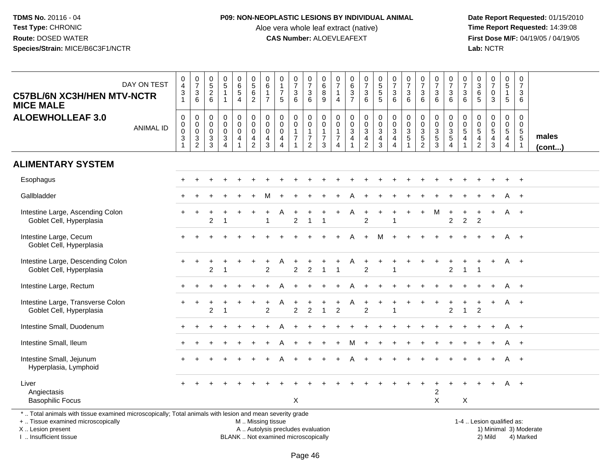## **P09: NON-NEOPLASTIC LESIONS BY INDIVIDUAL ANIMAL**

Aloe vera whole leaf extract (native)<br>**CAS Number:** ALOEVLEAFEXT

 **Date Report Requested:** 01/15/2010 **First Dose M/F:** 04/19/05 / 04/19/05<br>Lab: NCTR **Lab:** NCTR

| <b>C57BL/6N XC3H/HEN MTV-NCTR</b><br><b>MICE MALE</b>                                                                                          | DAY ON TEST      | $\begin{smallmatrix}0\0\4\end{smallmatrix}$<br>$\ensuremath{\mathsf{3}}$<br>$\blacktriangleleft$ | $\frac{0}{7}$<br>$\frac{3}{6}$                                | $\begin{array}{c} 0 \\ 5 \end{array}$<br>$\frac{2}{6}$                                      | $\begin{array}{c} 0 \\ 5 \end{array}$<br>$\mathbf{1}$<br>$\mathbf{1}$       | $\begin{array}{c} 0 \\ 6 \end{array}$<br>$\,$ 5 $\,$<br>$\overline{4}$ | $\begin{array}{c} 0 \\ 5 \end{array}$<br>$\,6\,$<br>$\overline{2}$                            | 0<br>$\,6\,$<br>$\mathbf{1}$<br>$\overline{7}$               | $\begin{smallmatrix}0\\1\end{smallmatrix}$<br>$\overline{7}$<br>5                             | $\frac{0}{7}$<br>$\ensuremath{\mathsf{3}}$<br>6          | $\begin{array}{c} 0 \\ 7 \end{array}$<br>$\frac{3}{6}$                    | $\begin{array}{c} 0 \\ 6 \end{array}$<br>8<br>9         | $\frac{0}{7}$<br>$\overline{1}$<br>$\overline{4}$                                              | 0637                                           | $\begin{smallmatrix}0\\7\end{smallmatrix}$<br>3<br>6                                       | 0<br>5<br>5<br>5                                                                | $\frac{0}{7}$<br>$\sqrt{3}$<br>6                                                 | $\frac{0}{7}$<br>$\ensuremath{\mathsf{3}}$<br>6             | $\frac{0}{7}$<br>$\frac{3}{6}$                    | $\frac{0}{7}$<br>$\ensuremath{\mathsf{3}}$<br>$6\phantom{1}$        | $\frac{0}{7}$<br>$\frac{3}{6}$               | $\frac{0}{7}$<br>3<br>6                                    | $\begin{array}{c} 0 \\ 3 \\ 6 \\ 5 \end{array}$ | $\begin{array}{c} 0 \\ 7 \end{array}$<br>0<br>3                                     | $\pmb{0}$<br>$\overline{5}$<br>$\mathbf{1}$<br>5                           | 0<br>$\overline{7}$<br>3<br>6                          |                 |
|------------------------------------------------------------------------------------------------------------------------------------------------|------------------|--------------------------------------------------------------------------------------------------|---------------------------------------------------------------|---------------------------------------------------------------------------------------------|-----------------------------------------------------------------------------|------------------------------------------------------------------------|-----------------------------------------------------------------------------------------------|--------------------------------------------------------------|-----------------------------------------------------------------------------------------------|----------------------------------------------------------|---------------------------------------------------------------------------|---------------------------------------------------------|------------------------------------------------------------------------------------------------|------------------------------------------------|--------------------------------------------------------------------------------------------|---------------------------------------------------------------------------------|----------------------------------------------------------------------------------|-------------------------------------------------------------|---------------------------------------------------|---------------------------------------------------------------------|----------------------------------------------|------------------------------------------------------------|-------------------------------------------------|-------------------------------------------------------------------------------------|----------------------------------------------------------------------------|--------------------------------------------------------|-----------------|
| <b>ALOEWHOLLEAF 3.0</b>                                                                                                                        | <b>ANIMAL ID</b> | $\pmb{0}$<br>$\pmb{0}$<br>$\mathbf 0$<br>$\sqrt{3}$<br>$\mathbf{1}$                              | $\mathbf 0$<br>$\begin{matrix} 0 \\ 0 \\ 3 \\ 2 \end{matrix}$ | $\mathbf 0$<br>$\mathsf{O}\xspace$<br>$\mathsf{O}\xspace$<br>$\ensuremath{\mathsf{3}}$<br>3 | $\mathbf 0$<br>$\mathbf 0$<br>$\mathbf 0$<br>$\mathbf{3}$<br>$\overline{4}$ | $_{\rm 0}^{\rm 0}$<br>$\mathbf 0$<br>$\overline{4}$<br>$\mathbf{1}$    | $\mathbf 0$<br>$\ddot{\mathbf{0}}$<br>$\mathsf{O}\xspace$<br>$\overline{4}$<br>$\overline{2}$ | 0<br>$\pmb{0}$<br>$\mathsf{O}\xspace$<br>$\overline{4}$<br>3 | $\mathbf 0$<br>$\ddot{\mathbf{0}}$<br>$\mathsf{O}\xspace$<br>$\overline{4}$<br>$\overline{4}$ | $\pmb{0}$<br>$\pmb{0}$<br>$\mathbf{1}$<br>$\overline{7}$ | $\pmb{0}$<br>$\overline{0}$<br>$\begin{array}{c} 1 \\ 7 \\ 2 \end{array}$ | 0<br>$\mathsf 0$<br>$\mathbf{1}$<br>$\overline{7}$<br>3 | $\mathsf{O}\xspace$<br>$\ddot{\mathbf{0}}$<br>$\mathbf{1}$<br>$\overline{7}$<br>$\overline{4}$ | $\begin{matrix} 0 \\ 0 \\ 3 \\ 4 \end{matrix}$ | $\mathbf 0$<br>$\overline{0}$<br>$\mathbf{3}$<br>$\overline{\mathbf{4}}$<br>$\overline{2}$ | $\begin{smallmatrix}0\\0\\3\end{smallmatrix}$<br>$\overline{4}$<br>$\mathbf{3}$ | $\mathbf 0$<br>$\mathbf 0$<br>$\mathfrak{S}$<br>$\overline{4}$<br>$\overline{4}$ | $\pmb{0}$<br>$\pmb{0}$<br>$\sqrt{3}$<br>5<br>$\overline{1}$ | 0<br>$\pmb{0}$<br>$\frac{3}{5}$<br>$\overline{2}$ | $\mathbf 0$<br>$\ddot{\mathbf{0}}$<br>$\frac{3}{5}$<br>$\mathbf{3}$ | $\pmb{0}$<br>$\frac{0}{3}$<br>$\overline{4}$ | $\mathbf 0$<br>$\mathbf 0$<br>$\sqrt{5}$<br>$\overline{4}$ | $\boldsymbol{0}$<br>$0$<br>$5$<br>$4$<br>$2$    | $\pmb{0}$<br>$\pmb{0}$<br>$\overline{5}$<br>$\overline{\mathbf{4}}$<br>$\mathbf{3}$ | $\pmb{0}$<br>$\mathbf 0$<br>$\sqrt{5}$<br>$\overline{4}$<br>$\overline{4}$ | 0<br>0<br>$\sqrt{5}$<br>$\overline{5}$<br>$\mathbf{1}$ | males<br>(cont) |
| <b>ALIMENTARY SYSTEM</b>                                                                                                                       |                  |                                                                                                  |                                                               |                                                                                             |                                                                             |                                                                        |                                                                                               |                                                              |                                                                                               |                                                          |                                                                           |                                                         |                                                                                                |                                                |                                                                                            |                                                                                 |                                                                                  |                                                             |                                                   |                                                                     |                                              |                                                            |                                                 |                                                                                     |                                                                            |                                                        |                 |
| Esophagus                                                                                                                                      |                  |                                                                                                  |                                                               |                                                                                             |                                                                             |                                                                        |                                                                                               |                                                              |                                                                                               |                                                          |                                                                           |                                                         |                                                                                                |                                                |                                                                                            |                                                                                 |                                                                                  |                                                             |                                                   |                                                                     |                                              |                                                            |                                                 |                                                                                     |                                                                            |                                                        |                 |
| Gallbladder                                                                                                                                    |                  |                                                                                                  |                                                               |                                                                                             |                                                                             |                                                                        |                                                                                               |                                                              |                                                                                               |                                                          |                                                                           |                                                         |                                                                                                |                                                |                                                                                            |                                                                                 |                                                                                  |                                                             |                                                   |                                                                     |                                              |                                                            |                                                 |                                                                                     |                                                                            | $+$                                                    |                 |
| Intestine Large, Ascending Colon<br>Goblet Cell, Hyperplasia                                                                                   |                  |                                                                                                  |                                                               | 2                                                                                           |                                                                             |                                                                        |                                                                                               |                                                              |                                                                                               | $\overline{c}$                                           |                                                                           |                                                         |                                                                                                | A                                              | $\div$<br>$\overline{2}$                                                                   |                                                                                 |                                                                                  |                                                             |                                                   | M                                                                   | $\overline{c}$                               | $\overline{c}$                                             | 2                                               |                                                                                     |                                                                            | A +                                                    |                 |
| Intestine Large, Cecum<br>Goblet Cell, Hyperplasia                                                                                             |                  |                                                                                                  |                                                               |                                                                                             |                                                                             |                                                                        |                                                                                               |                                                              |                                                                                               |                                                          |                                                                           |                                                         |                                                                                                | Δ                                              | $\ddot{}$                                                                                  | M                                                                               |                                                                                  |                                                             |                                                   |                                                                     |                                              |                                                            |                                                 |                                                                                     | A                                                                          | $+$                                                    |                 |
| Intestine Large, Descending Colon<br>Goblet Cell, Hyperplasia                                                                                  |                  |                                                                                                  |                                                               | $\overline{2}$                                                                              |                                                                             |                                                                        |                                                                                               | $\overline{2}$                                               |                                                                                               | $\overline{2}$                                           |                                                                           |                                                         |                                                                                                | Α                                              | $\overline{2}$                                                                             |                                                                                 |                                                                                  |                                                             |                                                   |                                                                     | $\overline{2}$                               | $\mathbf{1}$                                               | $\overline{1}$                                  |                                                                                     | A                                                                          | $+$                                                    |                 |
| Intestine Large, Rectum                                                                                                                        |                  |                                                                                                  |                                                               |                                                                                             |                                                                             |                                                                        |                                                                                               |                                                              |                                                                                               |                                                          |                                                                           |                                                         |                                                                                                |                                                |                                                                                            |                                                                                 |                                                                                  |                                                             |                                                   |                                                                     |                                              |                                                            |                                                 |                                                                                     |                                                                            | $+$                                                    |                 |
| Intestine Large, Transverse Colon<br>Goblet Cell, Hyperplasia                                                                                  |                  |                                                                                                  |                                                               | 2                                                                                           | 1                                                                           |                                                                        |                                                                                               | 2                                                            |                                                                                               | $\ddot{}$<br>$\overline{2}$                              | $\overline{2}$                                                            | $\blacktriangleleft$                                    | 2                                                                                              | A                                              | $\ddot{}$<br>$\overline{2}$                                                                |                                                                                 | -1                                                                               |                                                             |                                                   |                                                                     | 2                                            | $\mathbf{1}$                                               | 2                                               | $+$                                                                                 |                                                                            | A +                                                    |                 |
| Intestine Small, Duodenum                                                                                                                      |                  |                                                                                                  |                                                               |                                                                                             |                                                                             |                                                                        |                                                                                               |                                                              |                                                                                               |                                                          |                                                                           |                                                         |                                                                                                |                                                |                                                                                            |                                                                                 |                                                                                  |                                                             |                                                   |                                                                     |                                              |                                                            |                                                 |                                                                                     | A                                                                          | $+$                                                    |                 |
| Intestine Small, Ileum                                                                                                                         |                  |                                                                                                  |                                                               |                                                                                             |                                                                             |                                                                        |                                                                                               |                                                              |                                                                                               |                                                          |                                                                           |                                                         |                                                                                                |                                                |                                                                                            |                                                                                 |                                                                                  |                                                             |                                                   |                                                                     |                                              |                                                            |                                                 |                                                                                     |                                                                            | $+$                                                    |                 |
| Intestine Small, Jejunum<br>Hyperplasia, Lymphoid                                                                                              |                  |                                                                                                  |                                                               |                                                                                             |                                                                             |                                                                        |                                                                                               |                                                              |                                                                                               |                                                          |                                                                           |                                                         |                                                                                                | А                                              |                                                                                            |                                                                                 |                                                                                  |                                                             |                                                   |                                                                     |                                              |                                                            |                                                 |                                                                                     | A                                                                          | $+$                                                    |                 |
| Liver<br>Angiectasis<br><b>Basophilic Focus</b>                                                                                                |                  |                                                                                                  |                                                               |                                                                                             |                                                                             |                                                                        |                                                                                               |                                                              |                                                                                               | X                                                        |                                                                           |                                                         |                                                                                                |                                                |                                                                                            |                                                                                 |                                                                                  |                                                             |                                                   | $\overline{c}$<br>X                                                 |                                              | X                                                          |                                                 |                                                                                     | A                                                                          | $+$                                                    |                 |
| *  Total animals with tissue examined microscopically; Total animals with lesion and mean severity grade<br>+  Tissue examined microscopically |                  |                                                                                                  |                                                               |                                                                                             |                                                                             |                                                                        |                                                                                               |                                                              | M  Missing tissue                                                                             |                                                          |                                                                           |                                                         |                                                                                                |                                                |                                                                                            |                                                                                 |                                                                                  |                                                             |                                                   |                                                                     |                                              |                                                            | 1-4  Lesion qualified as:                       |                                                                                     |                                                                            |                                                        |                 |

X .. Lesion present

I .. Insufficient tissue

BLANK .. Not examined microscopically

A .. Autolysis precludes evaluation and the service of the service of the service of the service of the service of the service of the service of the service of the service of the service of the service of the service of th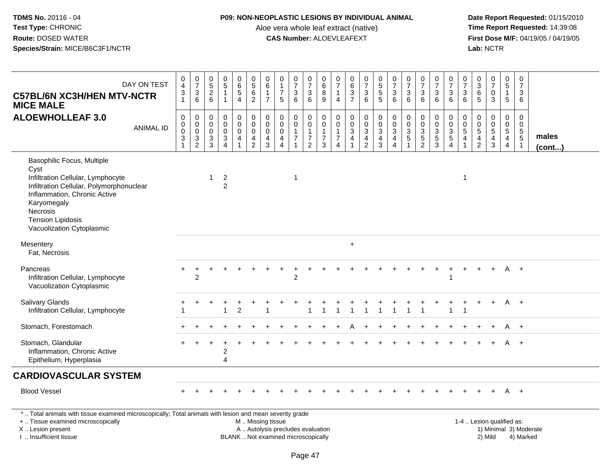### **P09: NON-NEOPLASTIC LESIONS BY INDIVIDUAL ANIMAL**

Aloe vera whole leaf extract (native)<br>**CAS Number:** ALOEVLEAFEXT

 **Date Report Requested:** 01/15/2010 **First Dose M/F:** 04/19/05 / 04/19/05<br>Lab: NCTR **Lab:** NCTR

| DAY ON TEST<br><b>C57BL/6N XC3H/HEN MTV-NCTR</b><br><b>MICE MALE</b>                                                                                                                                                                    | $\begin{array}{c} 0 \\ 4 \\ 3 \\ 1 \end{array}$                 | $\begin{array}{c} 0 \\ 7 \end{array}$<br>$\ensuremath{\mathsf{3}}$<br>$6\phantom{1}$ | $0$<br>$5$<br>$2$<br>$6$                                             | $\begin{array}{c} 0 \\ 5 \end{array}$<br>$\overline{1}$<br>$\mathbf{1}$   | $\pmb{0}$<br>$6\phantom{a}$<br>$\mathbf 5$<br>$\overline{4}$         | $\begin{array}{c} 0 \\ 5 \end{array}$<br>6<br>$\overline{2}$                          | $\pmb{0}$<br>$6\phantom{a}$<br>$\mathbf{1}$<br>$\overline{7}$ | $\pmb{0}$<br>$\overline{1}$<br>$\overline{7}$<br>5                            | $\begin{array}{c} 0 \\ 7 \end{array}$<br>$\ensuremath{\mathsf{3}}$<br>6 | $\begin{smallmatrix}0\\7\end{smallmatrix}$<br>$\ensuremath{\mathsf{3}}$<br>6 | $\pmb{0}$<br>6<br>$\bf 8$<br>$\overline{9}$                            | 0<br>$\overline{7}$<br>$\overline{4}$                             | $\pmb{0}$<br>6<br>$\ensuremath{\mathsf{3}}$<br>$\overline{7}$              | $\frac{0}{7}$<br>$\sqrt{3}$<br>6                                                              | 0<br>5<br>5<br>5                                                       | $\frac{0}{7}$<br>$\mathbf{3}$<br>6                                         | $\frac{0}{7}$<br>$\mathsf 3$<br>6                                        | $\begin{array}{c} 0 \\ 7 \end{array}$<br>$\ensuremath{\mathsf{3}}$<br>6 | $\begin{array}{c} 0 \\ 7 \end{array}$<br>$\frac{3}{6}$ | $\begin{smallmatrix}0\\7\end{smallmatrix}$<br>$\sqrt{3}$<br>6                | $\mathbf 0$<br>$\overline{7}$<br>3<br>6                                        | $\pmb{0}$<br>$\overline{3}$<br>6<br>5                                    | $\frac{0}{7}$<br>0<br>3                    | $\pmb{0}$<br>$\overline{5}$<br>$\overline{1}$<br>5                               | $\pmb{0}$<br>$\overline{7}$<br>$\mathbf{3}$<br>6                          |                 |
|-----------------------------------------------------------------------------------------------------------------------------------------------------------------------------------------------------------------------------------------|-----------------------------------------------------------------|--------------------------------------------------------------------------------------|----------------------------------------------------------------------|---------------------------------------------------------------------------|----------------------------------------------------------------------|---------------------------------------------------------------------------------------|---------------------------------------------------------------|-------------------------------------------------------------------------------|-------------------------------------------------------------------------|------------------------------------------------------------------------------|------------------------------------------------------------------------|-------------------------------------------------------------------|----------------------------------------------------------------------------|-----------------------------------------------------------------------------------------------|------------------------------------------------------------------------|----------------------------------------------------------------------------|--------------------------------------------------------------------------|-------------------------------------------------------------------------|--------------------------------------------------------|------------------------------------------------------------------------------|--------------------------------------------------------------------------------|--------------------------------------------------------------------------|--------------------------------------------|----------------------------------------------------------------------------------|---------------------------------------------------------------------------|-----------------|
| <b>ALOEWHOLLEAF 3.0</b><br><b>ANIMAL ID</b>                                                                                                                                                                                             | $\pmb{0}$<br>$\overline{0}$<br>$\overline{3}$<br>$\overline{1}$ | $\mathsf 0$<br>$\pmb{0}$<br>$\mathbf 0$<br>$\overline{3}$<br>$\overline{2}$          | $\mathbf 0$<br>$\boldsymbol{0}$<br>$\boldsymbol{0}$<br>$\frac{3}{3}$ | $\mathbf 0$<br>$\mathbf 0$<br>$\mathbf 0$<br>$\sqrt{3}$<br>$\overline{A}$ | $\pmb{0}$<br>$\mathsf{O}\xspace$<br>$\mathbf 0$<br>4<br>$\mathbf{1}$ | $\mathsf 0$<br>$\mathsf{O}\xspace$<br>$\mathbf 0$<br>$\overline{4}$<br>$\overline{2}$ | $\pmb{0}$<br>$\pmb{0}$<br>$\mathsf{O}\xspace$<br>4<br>3       | $\mathbf 0$<br>$\mathbf 0$<br>$\mathbf 0$<br>$\overline{a}$<br>$\overline{4}$ | $\pmb{0}$<br>$\pmb{0}$<br>$\mathbf{1}$<br>$\overline{7}$<br>1           | 0<br>$\mathbf 0$<br>$\overline{1}$<br>$\overline{7}$<br>$\overline{2}$       | $\boldsymbol{0}$<br>$\pmb{0}$<br>$\overline{1}$<br>$\overline{7}$<br>3 | $\mathbf 0$<br>$\mathbf 0$<br>$\mathbf{1}$<br>$\overline{7}$<br>4 | $\pmb{0}$<br>$\mathbf 0$<br>$\sqrt{3}$<br>$\overline{a}$<br>$\overline{1}$ | $\boldsymbol{0}$<br>$\mathsf{O}\xspace$<br>$\mathfrak{S}$<br>$\overline{4}$<br>$\overline{2}$ | $\begin{smallmatrix} 0\\0\\3 \end{smallmatrix}$<br>$\overline{4}$<br>3 | $\mathsf{O}$<br>$\mathsf{O}\xspace$<br>$\mathbf{3}$<br>$\overline{4}$<br>4 | $\pmb{0}$<br>$\pmb{0}$<br>$\sqrt{3}$<br>$\overline{5}$<br>$\overline{1}$ | $\mathbf 0$<br>$\frac{0}{3}$<br>$\overline{2}$                          | $\boldsymbol{0}$<br>$\frac{0}{3}$<br>$\overline{3}$    | $\mathbf 0$<br>$\mathbf 0$<br>$\sqrt{3}$<br>$\overline{5}$<br>$\overline{4}$ | $\mathbf 0$<br>$\mathbf 0$<br>$\overline{5}$<br>$\overline{a}$<br>$\mathbf{1}$ | $\boldsymbol{0}$<br>$\mathbf 0$<br>5<br>$\overline{4}$<br>$\overline{2}$ | 0<br>$\pmb{0}$<br>5<br>$\overline{4}$<br>3 | $\mathbf 0$<br>$\mathbf 0$<br>$\overline{5}$<br>$\overline{4}$<br>$\overline{4}$ | $\mathbf 0$<br>$\mathsf 0$<br>$\sqrt{5}$<br>$\overline{5}$<br>$\mathbf 1$ | males<br>(cont) |
| Basophilic Focus, Multiple<br>Cyst<br>Infiltration Cellular, Lymphocyte<br>Infiltration Cellular, Polymorphonuclear<br>Inflammation, Chronic Active<br>Karyomegaly<br>Necrosis<br><b>Tension Lipidosis</b><br>Vacuolization Cytoplasmic |                                                                 |                                                                                      | -1                                                                   | $\overline{c}$<br>$\overline{2}$                                          |                                                                      |                                                                                       |                                                               |                                                                               | $\overline{1}$                                                          |                                                                              |                                                                        |                                                                   |                                                                            |                                                                                               |                                                                        |                                                                            |                                                                          |                                                                         |                                                        |                                                                              | 1                                                                              |                                                                          |                                            |                                                                                  |                                                                           |                 |
| Mesentery<br>Fat, Necrosis                                                                                                                                                                                                              |                                                                 |                                                                                      |                                                                      |                                                                           |                                                                      |                                                                                       |                                                               |                                                                               |                                                                         |                                                                              |                                                                        |                                                                   | $\ddot{}$                                                                  |                                                                                               |                                                                        |                                                                            |                                                                          |                                                                         |                                                        |                                                                              |                                                                                |                                                                          |                                            |                                                                                  |                                                                           |                 |
| Pancreas<br>Infiltration Cellular, Lymphocyte<br>Vacuolization Cytoplasmic                                                                                                                                                              |                                                                 | $\overline{2}$                                                                       |                                                                      |                                                                           |                                                                      |                                                                                       |                                                               |                                                                               | $\overline{c}$                                                          |                                                                              |                                                                        |                                                                   |                                                                            |                                                                                               |                                                                        |                                                                            |                                                                          |                                                                         |                                                        | -1                                                                           |                                                                                |                                                                          |                                            | A                                                                                | $+$                                                                       |                 |
| <b>Salivary Glands</b><br>Infiltration Cellular, Lymphocyte                                                                                                                                                                             |                                                                 |                                                                                      |                                                                      |                                                                           | $\overline{c}$                                                       |                                                                                       |                                                               |                                                                               |                                                                         |                                                                              |                                                                        |                                                                   |                                                                            |                                                                                               |                                                                        |                                                                            |                                                                          |                                                                         |                                                        | 1                                                                            |                                                                                |                                                                          | $\ddot{}$                                  |                                                                                  | $A +$                                                                     |                 |
| Stomach, Forestomach                                                                                                                                                                                                                    |                                                                 |                                                                                      |                                                                      |                                                                           |                                                                      |                                                                                       |                                                               |                                                                               |                                                                         |                                                                              |                                                                        |                                                                   |                                                                            |                                                                                               |                                                                        |                                                                            |                                                                          |                                                                         |                                                        |                                                                              |                                                                                |                                                                          |                                            | A                                                                                | $+$                                                                       |                 |
| Stomach, Glandular<br>Inflammation, Chronic Active<br>Epithelium, Hyperplasia                                                                                                                                                           |                                                                 |                                                                                      |                                                                      | $\overline{2}$<br>4                                                       |                                                                      |                                                                                       |                                                               |                                                                               |                                                                         |                                                                              |                                                                        |                                                                   |                                                                            |                                                                                               |                                                                        |                                                                            |                                                                          |                                                                         |                                                        |                                                                              |                                                                                |                                                                          |                                            |                                                                                  | $+$                                                                       |                 |
| <b>CARDIOVASCULAR SYSTEM</b>                                                                                                                                                                                                            |                                                                 |                                                                                      |                                                                      |                                                                           |                                                                      |                                                                                       |                                                               |                                                                               |                                                                         |                                                                              |                                                                        |                                                                   |                                                                            |                                                                                               |                                                                        |                                                                            |                                                                          |                                                                         |                                                        |                                                                              |                                                                                |                                                                          |                                            |                                                                                  |                                                                           |                 |
| <b>Blood Vessel</b>                                                                                                                                                                                                                     |                                                                 |                                                                                      |                                                                      |                                                                           |                                                                      |                                                                                       |                                                               |                                                                               |                                                                         |                                                                              |                                                                        |                                                                   |                                                                            |                                                                                               |                                                                        |                                                                            |                                                                          |                                                                         |                                                        |                                                                              |                                                                                |                                                                          |                                            |                                                                                  | $A +$                                                                     |                 |
| *  Total animals with tissue examined microscopically; Total animals with lesion and mean severity grade<br>+  Tissue examined microscopically<br>X  Lesion present                                                                     |                                                                 |                                                                                      |                                                                      |                                                                           |                                                                      | M  Missing tissue                                                                     |                                                               | A  Autolysis precludes evaluation                                             |                                                                         |                                                                              |                                                                        |                                                                   |                                                                            |                                                                                               |                                                                        |                                                                            |                                                                          |                                                                         |                                                        |                                                                              |                                                                                | 1-4  Lesion qualified as:                                                |                                            |                                                                                  | 1) Minimal 3) Moderate                                                    |                 |

I .. Insufficient tissue

BLANK .. Not examined microscopically 2) Mild 4) Marked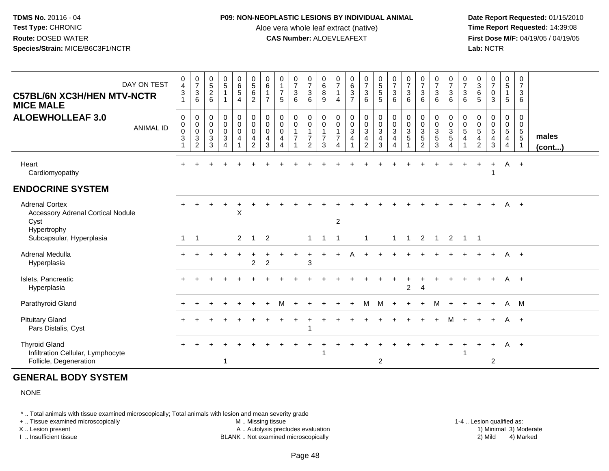#### **P09: NON-NEOPLASTIC LESIONS BY INDIVIDUAL ANIMAL**

Aloe vera whole leaf extract (native)<br>**CAS Number:** ALOEVLEAFEXT

 **Date Report Requested:** 01/15/2010 **First Dose M/F:** 04/19/05 / 04/19/05<br>**Lab:** NCTR **Lab:** NCTR

| DAY ON TEST<br><b>C57BL/6N XC3H/HEN MTV-NCTR</b><br><b>MICE MALE</b>                     | 0<br>$\overline{4}$<br>$\mathbf{3}$<br>$\mathbf{1}$     | $\frac{0}{7}$<br>$\mathbf 3$<br>$6\phantom{1}$                  | $\begin{array}{c} 0 \\ 5 \end{array}$<br>$\overline{2}$<br>6 | $\frac{0}{5}$<br>1                                                       | $_{6}^{\rm 0}$<br>$\overline{5}$<br>$\overline{4}$ | $\begin{array}{c} 0 \\ 5 \end{array}$<br>$6\phantom{a}$<br>$\overline{c}$            | $_{6}^{\rm 0}$<br>$\overline{7}$ | $\begin{smallmatrix}0\1\end{smallmatrix}$<br>$\overline{7}$<br>5                    | $\begin{array}{c} 0 \\ 7 \end{array}$<br>$\ensuremath{\mathsf{3}}$<br>6 | $\frac{0}{7}$<br>$\mathbf{3}$<br>6                                           | 0<br>$6\phantom{1}$<br>8<br>9                           | $\frac{0}{7}$<br>$\mathbf{1}$<br>4                    | $\begin{array}{c} 0 \\ 6 \\ 3 \end{array}$<br>$\overline{7}$ | $\frac{0}{7}$<br>$\mathfrak{S}$<br>6                               | $\begin{array}{c} 0 \\ 5 \\ 5 \end{array}$<br>$\overline{5}$                  | $\frac{0}{7}$<br>$\mathbf{3}$<br>6                                | $\frac{0}{7}$<br>$\sqrt{3}$<br>6                     | $\frac{0}{7}$<br>3<br>6                       | $\begin{array}{c} 0 \\ 7 \end{array}$<br>$\mathbf{3}$<br>6 | $\frac{0}{7}$<br>$\sqrt{3}$<br>6                | $\frac{0}{7}$<br>$\sqrt{3}$<br>6                               | $_3^{\rm 0}$<br>6<br>5                                                      | $\frac{0}{7}$<br>$\pmb{0}$<br>$\mathbf{3}$                                 | $\mathbf 0$<br>$\overline{5}$<br>$\mathbf{1}$<br>$5\phantom{.0}$                | 0<br>$\overline{7}$<br>3<br>6 |                 |
|------------------------------------------------------------------------------------------|---------------------------------------------------------|-----------------------------------------------------------------|--------------------------------------------------------------|--------------------------------------------------------------------------|----------------------------------------------------|--------------------------------------------------------------------------------------|----------------------------------|-------------------------------------------------------------------------------------|-------------------------------------------------------------------------|------------------------------------------------------------------------------|---------------------------------------------------------|-------------------------------------------------------|--------------------------------------------------------------|--------------------------------------------------------------------|-------------------------------------------------------------------------------|-------------------------------------------------------------------|------------------------------------------------------|-----------------------------------------------|------------------------------------------------------------|-------------------------------------------------|----------------------------------------------------------------|-----------------------------------------------------------------------------|----------------------------------------------------------------------------|---------------------------------------------------------------------------------|-------------------------------|-----------------|
| <b>ALOEWHOLLEAF 3.0</b><br><b>ANIMAL ID</b>                                              | $\mathbf 0$<br>$\pmb{0}$<br>$\mathsf 0$<br>$\mathbf{3}$ | 0<br>$\pmb{0}$<br>$\mathbf 0$<br>$\mathbf{3}$<br>$\overline{2}$ | $\mathbf 0$<br>$\mathbf 0$<br>$\mathbf 0$<br>$\sqrt{3}$<br>3 | $\mathbf 0$<br>$\mathsf{O}\xspace$<br>$\mathbf 0$<br>3<br>$\overline{A}$ | $\pmb{0}$<br>$\overline{0}$<br>4                   | $\mathbf 0$<br>$\pmb{0}$<br>$\mathbf 0$<br>$\overline{\mathbf{4}}$<br>$\overline{2}$ | $\mathbf 0$<br>0<br>0<br>4<br>3  | $\pmb{0}$<br>$\mathbf 0$<br>$\mathbf 0$<br>$\overline{4}$<br>$\boldsymbol{\Lambda}$ | 0<br>$\pmb{0}$<br>$\mathbf{1}$<br>$\overline{7}$                        | $\pmb{0}$<br>$\pmb{0}$<br>$\overline{1}$<br>$\overline{7}$<br>$\overline{2}$ | 0<br>$\mathbf 0$<br>$\mathbf{1}$<br>$\overline{7}$<br>3 | 0<br>$\pmb{0}$<br>$\mathbf{1}$<br>$\overline{7}$<br>4 | $\pmb{0}$<br>$\pmb{0}$<br>$\mathbf 3$<br>$\overline{4}$      | $\overline{0}$<br>$\pmb{0}$<br>$\mathbf{3}$<br>4<br>$\overline{2}$ | $\begin{smallmatrix}0\\0\\3\end{smallmatrix}$<br>$\overline{\mathbf{4}}$<br>3 | $\mathbf 0$<br>$\mathbf 0$<br>$\mathbf{3}$<br>$\overline{4}$<br>4 | $\pmb{0}$<br>$\pmb{0}$<br>$\mathbf{3}$<br>$\sqrt{5}$ | 0<br>0<br>$\mathbf{3}$<br>5<br>$\overline{2}$ | 0<br>$_{3}^{\rm 0}$<br>$\sqrt{5}$<br>3                     | $\pmb{0}$<br>$_{3}^{\rm 0}$<br>$\mathbf 5$<br>4 | $\boldsymbol{0}$<br>$\pmb{0}$<br>$\,$ 5 $\,$<br>$\overline{4}$ | $\pmb{0}$<br>$\mathbf 0$<br>$\,$ 5 $\,$<br>$\overline{4}$<br>$\overline{2}$ | 0<br>$\begin{array}{c} 0 \\ 5 \end{array}$<br>$\overline{\mathbf{4}}$<br>3 | $\mathbf 0$<br>$\pmb{0}$<br>$5\phantom{.0}$<br>$\overline{4}$<br>$\overline{4}$ | 0<br>$\mathbf 0$<br>5<br>5    | males<br>(cont) |
| Heart<br>Cardiomyopathy                                                                  |                                                         |                                                                 |                                                              |                                                                          |                                                    |                                                                                      |                                  |                                                                                     |                                                                         |                                                                              |                                                         |                                                       |                                                              |                                                                    |                                                                               |                                                                   |                                                      |                                               |                                                            |                                                 |                                                                |                                                                             | $\ddot{}$                                                                  | A +                                                                             |                               |                 |
| <b>ENDOCRINE SYSTEM</b>                                                                  |                                                         |                                                                 |                                                              |                                                                          |                                                    |                                                                                      |                                  |                                                                                     |                                                                         |                                                                              |                                                         |                                                       |                                                              |                                                                    |                                                                               |                                                                   |                                                      |                                               |                                                            |                                                 |                                                                |                                                                             |                                                                            |                                                                                 |                               |                 |
| <b>Adrenal Cortex</b><br><b>Accessory Adrenal Cortical Nodule</b><br>Cyst<br>Hypertrophy |                                                         |                                                                 |                                                              |                                                                          | X                                                  |                                                                                      |                                  |                                                                                     |                                                                         |                                                                              |                                                         | $\overline{c}$                                        |                                                              |                                                                    |                                                                               |                                                                   |                                                      |                                               |                                                            |                                                 |                                                                |                                                                             |                                                                            | A +                                                                             |                               |                 |
| Subcapsular, Hyperplasia                                                                 | $\mathbf{1}$                                            | $\overline{1}$                                                  |                                                              |                                                                          | $\overline{2}$                                     | $\mathbf{1}$                                                                         | 2                                |                                                                                     |                                                                         | $\mathbf{1}$                                                                 | -1                                                      |                                                       |                                                              | $\mathbf{1}$                                                       |                                                                               | $\mathbf{1}$                                                      | -1                                                   | $\overline{2}$                                | $\mathbf{1}$                                               | $\overline{2}$                                  | $1 \quad 1$                                                    |                                                                             |                                                                            |                                                                                 |                               |                 |
| Adrenal Medulla<br>Hyperplasia                                                           |                                                         |                                                                 |                                                              |                                                                          |                                                    | $\overline{2}$                                                                       | $\overline{2}$                   |                                                                                     |                                                                         | 3                                                                            |                                                         |                                                       |                                                              |                                                                    |                                                                               |                                                                   |                                                      |                                               |                                                            |                                                 |                                                                |                                                                             |                                                                            | A                                                                               | $+$                           |                 |
| Islets, Pancreatic<br>Hyperplasia                                                        |                                                         |                                                                 |                                                              |                                                                          |                                                    |                                                                                      |                                  |                                                                                     |                                                                         |                                                                              |                                                         |                                                       |                                                              |                                                                    |                                                                               |                                                                   | 2                                                    | $\overline{4}$                                |                                                            |                                                 |                                                                |                                                                             |                                                                            | $\mathsf{A}$                                                                    | $+$                           |                 |
| Parathyroid Gland                                                                        |                                                         |                                                                 |                                                              |                                                                          |                                                    |                                                                                      |                                  |                                                                                     |                                                                         |                                                                              |                                                         |                                                       |                                                              | м                                                                  | M                                                                             |                                                                   |                                                      |                                               | м                                                          | $\div$                                          |                                                                |                                                                             | $\ddot{}$                                                                  | $\mathsf{A}$                                                                    | <b>M</b>                      |                 |
| <b>Pituitary Gland</b><br>Pars Distalis, Cyst                                            |                                                         |                                                                 |                                                              |                                                                          |                                                    |                                                                                      |                                  |                                                                                     |                                                                         |                                                                              |                                                         |                                                       |                                                              |                                                                    |                                                                               |                                                                   |                                                      |                                               |                                                            | M                                               |                                                                |                                                                             |                                                                            | A                                                                               | $+$                           |                 |
| <b>Thyroid Gland</b><br>Infiltration Cellular, Lymphocyte<br>Follicle, Degeneration      |                                                         |                                                                 |                                                              |                                                                          |                                                    |                                                                                      |                                  |                                                                                     |                                                                         |                                                                              |                                                         |                                                       |                                                              |                                                                    | $\overline{2}$                                                                |                                                                   |                                                      |                                               |                                                            | $\pm$                                           |                                                                | $\ddot{}$                                                                   | $+$<br>$\overline{c}$                                                      | $\mathsf{A}$                                                                    | $+$                           |                 |

# **GENERAL BODY SYSTEM**

NONE

\* .. Total animals with tissue examined microscopically; Total animals with lesion and mean severity grade

+ .. Tissue examined microscopically

X .. Lesion present

I .. Insufficient tissue

 M .. Missing tissueA .. Autolysis precludes evaluation

BLANK .. Not examined microscopically 2) Mild 4) Marked

1-4 .. Lesion qualified as: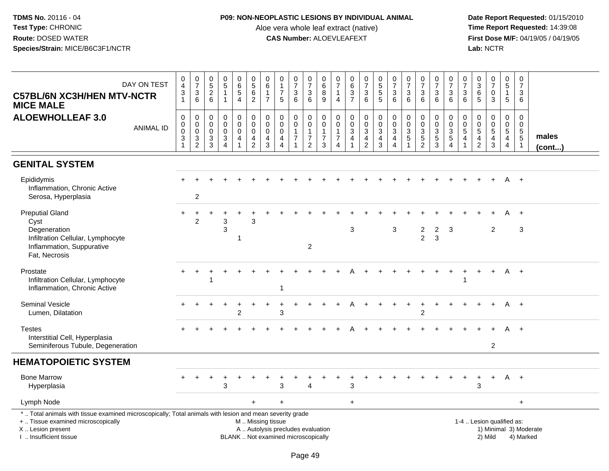### **P09: NON-NEOPLASTIC LESIONS BY INDIVIDUAL ANIMAL**

Aloe vera whole leaf extract (native)<br>**CAS Number:** ALOEVLEAFEXT

| DAY ON TEST<br><b>C57BL/6N XC3H/HEN MTV-NCTR</b><br><b>MICE MALE</b>                                                                                                                          | $0$<br>4<br>3<br>1                                                           | $\begin{array}{c} 0 \\ 7 \end{array}$<br>$\ensuremath{\mathsf{3}}$<br>$\,6\,$ | $\begin{array}{c} 0 \\ 5 \end{array}$<br>$\overline{2}$<br>6 | $\begin{array}{c} 0 \\ 5 \end{array}$<br>$\mathbf{1}$<br>$\mathbf{1}$ | 0<br>$\overline{6}$<br>$\mathbf 5$<br>$\overline{4}$   | $\begin{array}{c} 0 \\ 5 \end{array}$<br>6<br>$\overline{2}$                                  | 0<br>$\overline{6}$<br>$\mathbf{1}$<br>$\overline{7}$            | $\mathbf 0$<br>$\mathbf{1}$<br>$\overline{7}$<br>$5\phantom{.0}$ | $\begin{array}{c} 0 \\ 7 \end{array}$<br>$\ensuremath{\mathsf{3}}$<br>6 | $\mathbf 0$<br>$\overline{7}$<br>$\frac{3}{6}$                      | $\mathbf 0$<br>6<br>$\, 8$<br>9                                     | 0<br>$\overline{7}$<br>$\mathbf{1}$<br>$\overline{4}$                          | $\mathbf 0$<br>$\,6\,$<br>3<br>$\overline{7}$                   | $\frac{0}{7}$<br>$\ensuremath{\mathsf{3}}$<br>6 | $\begin{array}{c} 0 \\ 5 \end{array}$<br>$\overline{5}$<br>5 | $\begin{array}{c} 0 \\ 7 \end{array}$<br>$\mathbf{3}$<br>6                        | $\begin{array}{c} 0 \\ 7 \end{array}$<br>$\mathbf{3}$<br>6 | $\frac{0}{7}$<br>$\ensuremath{\mathsf{3}}$<br>6 | $\pmb{0}$<br>$\overline{7}$<br>$\ensuremath{\mathsf{3}}$<br>6               | $\begin{array}{c} 0 \\ 7 \end{array}$<br>$\sqrt{3}$<br>6       | 0<br>$\overline{7}$<br>3<br>6              | $_{3}^{\rm 0}$<br>$\,6$<br>5                                   | $\frac{0}{7}$<br>$\mathbf 0$<br>3                    | $\begin{array}{c} 0 \\ 5 \end{array}$<br>$\mathbf{1}$<br>$\sqrt{5}$        | 0<br>$\overline{7}$<br>3<br>6                                       |                        |
|-----------------------------------------------------------------------------------------------------------------------------------------------------------------------------------------------|------------------------------------------------------------------------------|-------------------------------------------------------------------------------|--------------------------------------------------------------|-----------------------------------------------------------------------|--------------------------------------------------------|-----------------------------------------------------------------------------------------------|------------------------------------------------------------------|------------------------------------------------------------------|-------------------------------------------------------------------------|---------------------------------------------------------------------|---------------------------------------------------------------------|--------------------------------------------------------------------------------|-----------------------------------------------------------------|-------------------------------------------------|--------------------------------------------------------------|-----------------------------------------------------------------------------------|------------------------------------------------------------|-------------------------------------------------|-----------------------------------------------------------------------------|----------------------------------------------------------------|--------------------------------------------|----------------------------------------------------------------|------------------------------------------------------|----------------------------------------------------------------------------|---------------------------------------------------------------------|------------------------|
| <b>ALOEWHOLLEAF 3.0</b><br><b>ANIMAL ID</b>                                                                                                                                                   | $\mathbf 0$<br>$\pmb{0}$<br>$\mathsf{O}\xspace$<br>$\ensuremath{\mathsf{3}}$ | 0<br>$\pmb{0}$<br>$\pmb{0}$<br>$\frac{3}{2}$                                  | 0<br>$\boldsymbol{0}$<br>$\mathbf 0$<br>$\frac{3}{3}$        | $\pmb{0}$<br>$\mathbf 0$<br>$\mathbf 0$<br>$\frac{3}{4}$              | 0<br>$\mathbf 0$<br>$\mathbf 0$<br>4<br>$\overline{1}$ | 0<br>$\overline{0}$<br>$\mathsf{O}\xspace$<br>$\frac{4}{2}$                                   | $\mathbf 0$<br>$\mathbf 0$<br>$\mathbf 0$<br>4<br>$\overline{3}$ | 0<br>$\mathbf 0$<br>$\mathbf 0$<br>$\frac{4}{4}$                 | $\pmb{0}$<br>$\pmb{0}$<br>$\overline{7}$                                | $\mathbf 0$<br>$\mathbf 0$<br>$\mathbf{1}$<br>$\boldsymbol{7}$<br>2 | $\mathbf 0$<br>$\mathbf 0$<br>$\overline{1}$<br>$\overline{7}$<br>3 | $\mathbf 0$<br>$\mathbf 0$<br>$\mathbf{1}$<br>$\overline{7}$<br>$\overline{4}$ | $\pmb{0}$<br>$\mathbf 0$<br>$\mathbf{3}$<br>4<br>$\overline{1}$ | 0<br>$\pmb{0}$<br>$\mathbf{3}$<br>$\frac{4}{2}$ | 0<br>$\overline{0}$<br>$\mathbf{3}$<br>$\overline{4}$<br>3   | $\pmb{0}$<br>$\overline{0}$<br>$\overline{3}$<br>$\overline{4}$<br>$\overline{4}$ | 0<br>$\mathbf 0$<br>$\mathbf{3}$<br>$\sqrt{5}$             | $\mathbf 0$<br>$\pmb{0}$<br>$\frac{3}{5}$       | 0<br>$\pmb{0}$<br>$\ensuremath{\mathsf{3}}$<br>$\sqrt{5}$<br>$\overline{3}$ | $\mathbf 0$<br>$\begin{array}{c} 0 \\ 3 \\ 5 \\ 4 \end{array}$ | 0<br>$\pmb{0}$<br>$\overline{5}$<br>4<br>1 | $\mathbf 0$<br>$\boldsymbol{0}$<br>$\sqrt{5}$<br>$\frac{4}{2}$ | 0<br>$\mathsf{O}\xspace$<br>5<br>4<br>$\overline{3}$ | 0<br>$\ddot{\mathbf{0}}$<br>$\sqrt{5}$<br>$\overline{4}$<br>$\overline{4}$ | $\mathbf 0$<br>$\mathsf{O}\xspace$<br>$\frac{5}{5}$<br>$\mathbf{1}$ | males<br>$($ cont $)$  |
| <b>GENITAL SYSTEM</b>                                                                                                                                                                         |                                                                              |                                                                               |                                                              |                                                                       |                                                        |                                                                                               |                                                                  |                                                                  |                                                                         |                                                                     |                                                                     |                                                                                |                                                                 |                                                 |                                                              |                                                                                   |                                                            |                                                 |                                                                             |                                                                |                                            |                                                                |                                                      |                                                                            |                                                                     |                        |
| Epididymis<br>Inflammation, Chronic Active<br>Serosa, Hyperplasia                                                                                                                             |                                                                              | 2                                                                             |                                                              |                                                                       |                                                        |                                                                                               |                                                                  |                                                                  |                                                                         |                                                                     |                                                                     |                                                                                |                                                                 |                                                 |                                                              |                                                                                   |                                                            |                                                 |                                                                             |                                                                |                                            |                                                                |                                                      |                                                                            |                                                                     |                        |
| <b>Preputial Gland</b><br>Cyst<br>Degeneration<br>Infiltration Cellular, Lymphocyte<br>Inflammation, Suppurative<br>Fat, Necrosis                                                             | $\pm$                                                                        | $\overline{c}$                                                                |                                                              | 3<br>3                                                                | 1                                                      | 3                                                                                             |                                                                  |                                                                  |                                                                         | 2                                                                   |                                                                     |                                                                                | 3                                                               |                                                 |                                                              | 3                                                                                 |                                                            | 2<br>$\overline{c}$                             | $\overline{2}$<br>$\mathbf{3}$                                              | 3                                                              |                                            |                                                                | $\overline{c}$                                       | A                                                                          | $+$<br>3                                                            |                        |
| Prostate<br>Infiltration Cellular, Lymphocyte<br>Inflammation, Chronic Active                                                                                                                 |                                                                              |                                                                               |                                                              |                                                                       |                                                        |                                                                                               |                                                                  | $\mathbf{1}$                                                     |                                                                         |                                                                     |                                                                     |                                                                                |                                                                 |                                                 |                                                              |                                                                                   |                                                            |                                                 |                                                                             |                                                                |                                            |                                                                |                                                      | A                                                                          | $+$                                                                 |                        |
| <b>Seminal Vesicle</b><br>Lumen, Dilatation                                                                                                                                                   |                                                                              |                                                                               |                                                              |                                                                       | 2                                                      |                                                                                               |                                                                  | 3                                                                |                                                                         |                                                                     |                                                                     |                                                                                |                                                                 |                                                 |                                                              |                                                                                   |                                                            | $\mathcal{P}$                                   | $+$                                                                         |                                                                |                                            |                                                                |                                                      |                                                                            | A +                                                                 |                        |
| <b>Testes</b><br>Interstitial Cell, Hyperplasia<br>Seminiferous Tubule, Degeneration                                                                                                          |                                                                              |                                                                               |                                                              |                                                                       |                                                        |                                                                                               |                                                                  |                                                                  |                                                                         |                                                                     |                                                                     |                                                                                |                                                                 |                                                 |                                                              |                                                                                   |                                                            |                                                 |                                                                             |                                                                |                                            |                                                                | $\overline{2}$                                       |                                                                            |                                                                     |                        |
| <b>HEMATOPOIETIC SYSTEM</b>                                                                                                                                                                   |                                                                              |                                                                               |                                                              |                                                                       |                                                        |                                                                                               |                                                                  |                                                                  |                                                                         |                                                                     |                                                                     |                                                                                |                                                                 |                                                 |                                                              |                                                                                   |                                                            |                                                 |                                                                             |                                                                |                                            |                                                                |                                                      |                                                                            |                                                                     |                        |
| <b>Bone Marrow</b><br>Hyperplasia                                                                                                                                                             |                                                                              |                                                                               |                                                              | 3                                                                     |                                                        |                                                                                               |                                                                  | 3                                                                |                                                                         | 4                                                                   |                                                                     |                                                                                | 3                                                               |                                                 |                                                              |                                                                                   |                                                            |                                                 |                                                                             |                                                                |                                            | 3                                                              | $\ddot{}$                                            | A                                                                          | $+$                                                                 |                        |
| Lymph Node                                                                                                                                                                                    |                                                                              |                                                                               |                                                              |                                                                       |                                                        |                                                                                               |                                                                  | $+$                                                              |                                                                         |                                                                     |                                                                     |                                                                                | $+$                                                             |                                                 |                                                              |                                                                                   |                                                            |                                                 |                                                                             |                                                                |                                            |                                                                |                                                      |                                                                            | $+$                                                                 |                        |
| *  Total animals with tissue examined microscopically; Total animals with lesion and mean severity grade<br>+  Tissue examined microscopically<br>X  Lesion present<br>I. Insufficient tissue |                                                                              |                                                                               |                                                              |                                                                       |                                                        | M  Missing tissue<br>A  Autolysis precludes evaluation<br>BLANK  Not examined microscopically |                                                                  |                                                                  |                                                                         |                                                                     |                                                                     |                                                                                |                                                                 |                                                 |                                                              |                                                                                   |                                                            |                                                 |                                                                             |                                                                |                                            |                                                                | 1-4  Lesion qualified as:<br>2) Mild                 |                                                                            | 4) Marked                                                           | 1) Minimal 3) Moderate |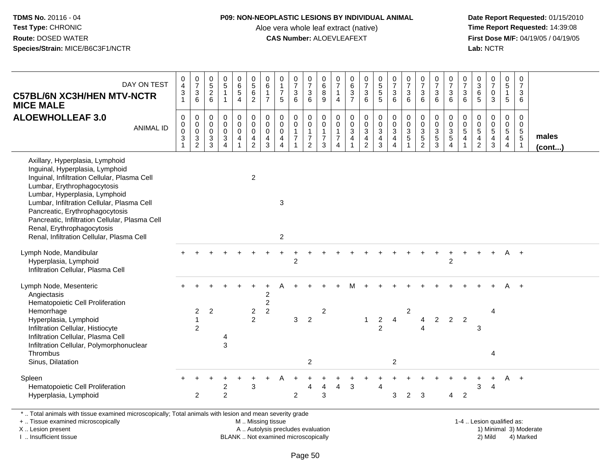#### **P09: NON-NEOPLASTIC LESIONS BY INDIVIDUAL ANIMAL**

Aloe vera whole leaf extract (native)<br>**CAS Number:** ALOEVLEAFEXT

 **Date Report Requested:** 01/15/2010 **First Dose M/F:** 04/19/05 / 04/19/05<br>Lab: NCTR **Lab:** NCTR

| DAY ON TEST<br><b>C57BL/6N XC3H/HEN MTV-NCTR</b><br><b>MICE MALE</b>                                                                                                                                                                                                                                                                                                                             | $_4^{\rm O}$<br>$\frac{3}{1}$                            | $\begin{array}{c} 0 \\ 7 \end{array}$<br>$\ensuremath{\mathsf{3}}$<br>$\,6\,$ | 0<br>$\frac{5}{2}$<br>$6\phantom{1}$               | $\pmb{0}$<br>$\overline{5}$<br>$\mathbf{1}$<br>$\overline{1}$                      | 0<br>$\overline{6}$<br>5<br>$\overline{4}$ | $\begin{array}{c} 0 \\ 5 \end{array}$<br>$\,6\,$<br>$\overline{2}$                           | $_6^0$<br>$\mathbf{1}$<br>$\overline{7}$                        | 0<br>$\mathbf{1}$<br>$\overline{7}$<br>5                 | $\begin{array}{c} 0 \\ 7 \end{array}$<br>$\ensuremath{\mathsf{3}}$<br>$6\phantom{1}$ | $\frac{0}{7}$<br>3<br>$6\phantom{1}$                                 | $\,0\,$<br>6<br>8<br>9                                                 | 0<br>$\overline{7}$<br>1<br>$\overline{4}$              | $\begin{array}{c} 0 \\ 6 \end{array}$<br>$\overline{3}$<br>$\overline{7}$ | $\frac{0}{7}$<br>$\mathbf{3}$<br>6   | 0<br>5<br>5<br>5                             | $\frac{0}{7}$<br>$\sqrt{3}$<br>6                            | $\frac{0}{7}$<br>$\ensuremath{\mathsf{3}}$<br>6  | $\begin{array}{c} 0 \\ 7 \end{array}$<br>$\sqrt{3}$<br>6                     | $\frac{0}{7}$<br>$\mathbf{3}$<br>6                    | $\frac{0}{7}$<br>3<br>$6\phantom{1}$                | $\frac{0}{7}$<br>$\ensuremath{\mathsf{3}}$<br>$6\phantom{1}$               | 0<br>$\overline{3}$<br>6<br>5                   | $\begin{array}{c} 0 \\ 7 \end{array}$<br>$\mathbf 0$<br>$\mathbf{3}$ | 0<br>$\overline{5}$<br>$\mathbf{1}$<br>$\sqrt{5}$                  | $\pmb{0}$<br>$\overline{7}$<br>3<br>6                                |                 |
|--------------------------------------------------------------------------------------------------------------------------------------------------------------------------------------------------------------------------------------------------------------------------------------------------------------------------------------------------------------------------------------------------|----------------------------------------------------------|-------------------------------------------------------------------------------|----------------------------------------------------|------------------------------------------------------------------------------------|--------------------------------------------|----------------------------------------------------------------------------------------------|-----------------------------------------------------------------|----------------------------------------------------------|--------------------------------------------------------------------------------------|----------------------------------------------------------------------|------------------------------------------------------------------------|---------------------------------------------------------|---------------------------------------------------------------------------|--------------------------------------|----------------------------------------------|-------------------------------------------------------------|--------------------------------------------------|------------------------------------------------------------------------------|-------------------------------------------------------|-----------------------------------------------------|----------------------------------------------------------------------------|-------------------------------------------------|----------------------------------------------------------------------|--------------------------------------------------------------------|----------------------------------------------------------------------|-----------------|
| <b>ALOEWHOLLEAF 3.0</b><br><b>ANIMAL ID</b>                                                                                                                                                                                                                                                                                                                                                      | $\pmb{0}$<br>$\pmb{0}$<br>0<br>$\ensuremath{\mathsf{3}}$ | 0<br>$\mathsf 0$<br>$\mathsf 0$<br>$\overline{3}$<br>$\overline{2}$           | $\mathbf 0$<br>$\mathbf 0$<br>0<br>$\sqrt{3}$<br>3 | $\mathbf 0$<br>$\mathbf 0$<br>$\mathbf 0$<br>$\mathsf 3$<br>$\boldsymbol{\Lambda}$ | 0<br>$\mathbf 0$<br>0<br>4                 | $\pmb{0}$<br>$\mathsf{O}\xspace$<br>$\mathbf 0$<br>$\overline{\mathbf{4}}$<br>$\overline{2}$ | 0<br>$\mathbf 0$<br>$\mathbf 0$<br>$\overline{\mathbf{4}}$<br>3 | 0<br>0<br>0<br>$\overline{\mathbf{4}}$<br>$\overline{4}$ | $\mathbf 0$<br>$\pmb{0}$<br>$\mathbf{1}$<br>$\overline{7}$<br>1                      | 0<br>$\mathbf 0$<br>$\mathbf{1}$<br>$\overline{7}$<br>$\overline{2}$ | $\mathbf 0$<br>$\boldsymbol{0}$<br>$\mathbf{1}$<br>$\overline{7}$<br>3 | 0<br>$\mathbf 0$<br>$\mathbf{1}$<br>$\overline{7}$<br>4 | 0<br>$\pmb{0}$<br>$_4^3$                                                  | 0<br>$\frac{0}{3}$<br>$\overline{2}$ | 0<br>$\mathbf 0$<br>3<br>$\overline{4}$<br>3 | $_{\rm 0}^{\rm 0}$<br>$\overline{3}$<br>4<br>$\overline{4}$ | 0<br>$\mathbf 0$<br>$\sqrt{3}$<br>$\overline{5}$ | $\mathbf 0$<br>$\mathbf 0$<br>$\sqrt{3}$<br>$\overline{5}$<br>$\overline{2}$ | 0<br>$\pmb{0}$<br>$\mathbf{3}$<br>$\overline{5}$<br>3 | 0<br>$\mathbf 0$<br>$\frac{3}{5}$<br>$\overline{4}$ | 0<br>$\pmb{0}$<br>$\mathbf 5$<br>$\overline{\mathbf{4}}$<br>$\overline{1}$ | 0<br>0<br>5<br>$\overline{4}$<br>$\overline{2}$ | 0<br>$\pmb{0}$<br>$\sqrt{5}$<br>$\overline{4}$<br>$\mathbf{3}$       | 0<br>$\mathbf 0$<br>$\sqrt{5}$<br>$\overline{4}$<br>$\overline{4}$ | $\mathbf 0$<br>$\mathbf 0$<br>$5\phantom{.0}$<br>$\overline{5}$<br>1 | males<br>(cont) |
| Axillary, Hyperplasia, Lymphoid<br>Inguinal, Hyperplasia, Lymphoid<br>Inguinal, Infiltration Cellular, Plasma Cell<br>Lumbar, Erythrophagocytosis<br>Lumbar, Hyperplasia, Lymphoid<br>Lumbar, Infiltration Cellular, Plasma Cell<br>Pancreatic, Erythrophagocytosis<br>Pancreatic, Infiltration Cellular, Plasma Cell<br>Renal, Erythrophagocytosis<br>Renal, Infiltration Cellular, Plasma Cell |                                                          |                                                                               |                                                    |                                                                                    |                                            | $\overline{2}$                                                                               |                                                                 | $\sqrt{3}$<br>$\overline{2}$                             |                                                                                      |                                                                      |                                                                        |                                                         |                                                                           |                                      |                                              |                                                             |                                                  |                                                                              |                                                       |                                                     |                                                                            |                                                 |                                                                      |                                                                    |                                                                      |                 |
| Lymph Node, Mandibular<br>Hyperplasia, Lymphoid<br>Infiltration Cellular, Plasma Cell                                                                                                                                                                                                                                                                                                            |                                                          |                                                                               |                                                    |                                                                                    |                                            |                                                                                              |                                                                 |                                                          | $\overline{2}$                                                                       |                                                                      |                                                                        |                                                         |                                                                           |                                      |                                              |                                                             |                                                  |                                                                              |                                                       | $\overline{2}$                                      |                                                                            |                                                 |                                                                      | Α                                                                  | $+$                                                                  |                 |
| Lymph Node, Mesenteric<br>Angiectasis<br>Hematopoietic Cell Proliferation<br>Hemorrhage<br>Hyperplasia, Lymphoid<br>Infiltration Cellular, Histiocyte<br>Infiltration Cellular, Plasma Cell<br>Infiltration Cellular, Polymorphonuclear<br>Thrombus<br>Sinus, Dilatation                                                                                                                         |                                                          | $\mathbf{2}$<br>$\overline{1}$<br>2                                           | $\overline{2}$                                     | 3                                                                                  |                                            | $\overline{2}$<br>2                                                                          | $\overline{c}$<br>$\overline{c}$<br>$\overline{2}$              |                                                          | $\mathbf{3}$                                                                         | $\overline{2}$<br>2                                                  | 2                                                                      |                                                         |                                                                           | $\mathbf{1}$                         | $\boldsymbol{2}$<br>$\overline{2}$           | 4<br>$\overline{c}$                                         | $\overline{c}$                                   | 4                                                                            | $\overline{2}$                                        | $\overline{2}$                                      | $\overline{2}$                                                             | 3                                               | $\boldsymbol{\Delta}$<br>4                                           |                                                                    |                                                                      |                 |
| Spleen<br>Hematopoietic Cell Proliferation<br>Hyperplasia, Lymphoid                                                                                                                                                                                                                                                                                                                              |                                                          | 2                                                                             |                                                    | $\overline{\mathbf{c}}$<br>$\overline{2}$                                          |                                            | 3                                                                                            |                                                                 |                                                          | $\overline{2}$                                                                       | 4                                                                    | 4<br>3                                                                 | 4                                                       | 3                                                                         |                                      | Δ                                            | 3                                                           | $\overline{2}$                                   | 3                                                                            |                                                       | 4                                                   | $\overline{c}$                                                             | 3                                               | $\overline{4}$                                                       | A                                                                  | $+$                                                                  |                 |
| *  Total animals with tissue examined microscopically; Total animals with lesion and mean severity grade<br>+  Tissue examined microscopically                                                                                                                                                                                                                                                   |                                                          |                                                                               |                                                    |                                                                                    |                                            | M  Missing tissue                                                                            |                                                                 |                                                          |                                                                                      |                                                                      |                                                                        |                                                         |                                                                           |                                      |                                              |                                                             |                                                  |                                                                              |                                                       |                                                     |                                                                            |                                                 | 1-4  Lesion qualified as:                                            |                                                                    |                                                                      |                 |

+ .. Tissue examined microscopically

X .. Lesion present

I .. Insufficient tissue

A .. Autolysis precludes evaluation

BLANK .. Not examined microscopically 2) Mild 4) Marked

1-4 .. Lesion qualified as: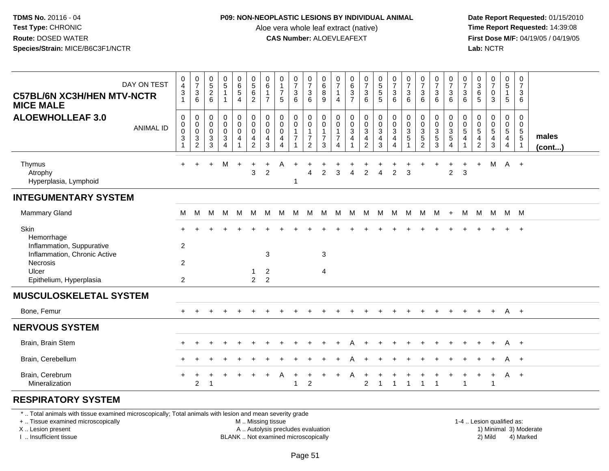## **P09: NON-NEOPLASTIC LESIONS BY INDIVIDUAL ANIMAL**

Aloe vera whole leaf extract (native)<br>**CAS Number:** ALOEVLEAFEXT

 **Date Report Requested:** 01/15/2010 **First Dose M/F:** 04/19/05 / 04/19/05<br>Lab: NCTR **Lab:** NCTR

| DAY ON TEST<br><b>C57BL/6N XC3H/HEN MTV-NCTR</b><br><b>MICE MALE</b>                                                                  | 0<br>$\overline{4}$<br>$\ensuremath{\mathsf{3}}$<br>$\mathbf{1}$     | $\frac{0}{7}$<br>$\mathbf{3}$<br>6                                   | $\begin{matrix} 0 \\ 5 \end{matrix}$<br>$\sqrt{2}$<br>$6\phantom{1}$ | $\begin{array}{c} 0 \\ 5 \end{array}$<br>$\mathbf{1}$<br>1 | $\mathbf 0$<br>$\,6$<br>$\sqrt{5}$<br>$\overline{4}$ | $\begin{array}{c} 0 \\ 5 \\ 6 \end{array}$<br>$\sqrt{2}$            | 0<br>6<br>$\overline{1}$<br>$\overline{7}$             | 0<br>$\mathbf{1}$<br>$\overline{7}$<br>-5                                   | 0<br>7<br>3<br>6         | 0<br>$\overline{\mathcal{I}}$<br>$\mathbf{3}$<br>6                             | 0<br>6<br>8<br>9                   | 0<br>$\overline{7}$<br>$\overline{4}$              | $\begin{matrix} 0 \\ 6 \\ 3 \end{matrix}$<br>$\overline{7}$ | $\begin{smallmatrix}0\\7\end{smallmatrix}$<br>$\ensuremath{\mathsf{3}}$<br>6 | $\pmb{0}$<br>$\sqrt{5}$<br>$\sqrt{5}$<br>5                    | 0<br>$\overline{7}$<br>$\mathbf{3}$<br>6 | 0<br>$\overline{7}$<br>$\mathbf{3}$<br>6     | 0<br>$\overline{7}$<br>3<br>6                        | 0<br>$\overline{\mathcal{I}}$<br>$\mathsf 3$<br>6 | 0<br>$\overline{7}$<br>$\sqrt{3}$<br>6                                        | 0<br>$\overline{7}$<br>3<br>6 | 0<br>$\sqrt{3}$<br>6<br>5                 | 0<br>$\overline{7}$<br>$\pmb{0}$<br>3       | 0<br>$\sqrt{5}$<br>$\mathbf{1}$<br>5                      | 0<br>$\overline{7}$<br>3<br>6                          |                       |
|---------------------------------------------------------------------------------------------------------------------------------------|----------------------------------------------------------------------|----------------------------------------------------------------------|----------------------------------------------------------------------|------------------------------------------------------------|------------------------------------------------------|---------------------------------------------------------------------|--------------------------------------------------------|-----------------------------------------------------------------------------|--------------------------|--------------------------------------------------------------------------------|------------------------------------|----------------------------------------------------|-------------------------------------------------------------|------------------------------------------------------------------------------|---------------------------------------------------------------|------------------------------------------|----------------------------------------------|------------------------------------------------------|---------------------------------------------------|-------------------------------------------------------------------------------|-------------------------------|-------------------------------------------|---------------------------------------------|-----------------------------------------------------------|--------------------------------------------------------|-----------------------|
| <b>ALOEWHOLLEAF 3.0</b><br><b>ANIMAL ID</b>                                                                                           | 0<br>0<br>$\mathbf 0$<br>$\ensuremath{\mathsf{3}}$<br>$\overline{1}$ | 0<br>0<br>$\mathbf 0$<br>$\ensuremath{\mathsf{3}}$<br>$\overline{2}$ | 0<br>0<br>$\mathbf 0$<br>$\sqrt{3}$<br>3                             | 0<br>0<br>$\mathbf 0$<br>3<br>4                            | 0<br>$\mathbf 0$<br>0<br>$\overline{4}$              | 0<br>$\mathbf 0$<br>$\mathbf 0$<br>$\overline{4}$<br>$\overline{2}$ | 0<br>$\mathbf 0$<br>$\mathbf 0$<br>$\overline{4}$<br>3 | 0<br>$\mathbf 0$<br>$\mathbf 0$<br>$\overline{4}$<br>$\boldsymbol{\Lambda}$ | 0<br>0<br>$\overline{7}$ | 0<br>$\mathsf{O}\xspace$<br>$\mathbf{1}$<br>$\boldsymbol{7}$<br>$\overline{2}$ | 0<br>0<br>1<br>$\overline{7}$<br>3 | 0<br>0<br>$\overline{7}$<br>$\boldsymbol{\Lambda}$ | 0<br>$\pmb{0}$<br>$\sqrt{3}$<br>$\overline{\mathbf{4}}$     | 0<br>0<br>3<br>4<br>$\overline{c}$                                           | $\mathbf 0$<br>$\pmb{0}$<br>$\sqrt{3}$<br>$\overline{4}$<br>3 | 0<br>$\mathbf 0$<br>3<br>4<br>4          | 0<br>$\mathbf 0$<br>$\sqrt{3}$<br>$\sqrt{5}$ | 0<br>0<br>$\ensuremath{\mathsf{3}}$<br>$\frac{5}{2}$ | 0<br>0<br>3<br>$\sqrt{5}$<br>3                    | $\mathbf 0$<br>$\boldsymbol{0}$<br>$\sqrt{3}$<br>$\sqrt{5}$<br>$\overline{4}$ | 0<br>0<br>5<br>4              | 0<br>$\Omega$<br>5<br>4<br>$\overline{2}$ | 0<br>0<br>$\sqrt{5}$<br>$\overline{4}$<br>3 | 0<br>$\mathbf 0$<br>5<br>$\overline{4}$<br>$\overline{4}$ | 0<br>0<br>$\,$ 5 $\,$<br>$\,$ 5 $\,$<br>$\overline{1}$ | males<br>$($ cont $)$ |
| Thymus<br>Atrophy<br>Hyperplasia, Lymphoid                                                                                            | $+$                                                                  | $\ddot{}$                                                            | $\ddot{}$                                                            | M                                                          | $\ddot{}$                                            | $\ddot{}$<br>3                                                      | $\ddot{}$<br>$\overline{c}$                            | A                                                                           | $\ddot{}$<br>1           | $\overline{4}$                                                                 | +<br>$\overline{c}$                | 3                                                  | $\overline{4}$                                              | $\overline{c}$                                                               | $\overline{\mathbf{4}}$                                       | $\overline{2}$                           | $\sqrt{3}$                                   | $\ddot{}$                                            | $\ddot{}$                                         | +<br>$\overline{c}$                                                           | +<br>3                        | $\ddot{}$                                 | M                                           | $A +$                                                     |                                                        |                       |
| <b>INTEGUMENTARY SYSTEM</b>                                                                                                           |                                                                      |                                                                      |                                                                      |                                                            |                                                      |                                                                     |                                                        |                                                                             |                          |                                                                                |                                    |                                                    |                                                             |                                                                              |                                                               |                                          |                                              |                                                      |                                                   |                                                                               |                               |                                           |                                             |                                                           |                                                        |                       |
| Mammary Gland                                                                                                                         | М                                                                    | M                                                                    | M                                                                    | M                                                          | M                                                    | М                                                                   | M                                                      | M                                                                           | M                        | M                                                                              | M                                  | M                                                  | М                                                           | M                                                                            | M                                                             | M                                        | M                                            | M                                                    | M                                                 | $+$                                                                           | M                             | M                                         | M                                           | M M                                                       |                                                        |                       |
| Skin<br>Hemorrhage<br>Inflammation, Suppurative                                                                                       | $\overline{c}$                                                       |                                                                      |                                                                      |                                                            |                                                      |                                                                     |                                                        |                                                                             |                          |                                                                                |                                    |                                                    |                                                             |                                                                              |                                                               |                                          |                                              |                                                      |                                                   |                                                                               |                               |                                           |                                             | $+$                                                       | $+$                                                    |                       |
| Inflammation, Chronic Active<br>Necrosis<br>Ulcer                                                                                     | 2                                                                    |                                                                      |                                                                      |                                                            |                                                      | $\mathbf{1}$                                                        | $\mathbf{3}$<br>$\overline{2}$                         |                                                                             |                          |                                                                                | 3<br>4                             |                                                    |                                                             |                                                                              |                                                               |                                          |                                              |                                                      |                                                   |                                                                               |                               |                                           |                                             |                                                           |                                                        |                       |
| Epithelium, Hyperplasia                                                                                                               | $\overline{2}$                                                       |                                                                      |                                                                      |                                                            |                                                      | $\overline{2}$                                                      | $\overline{2}$                                         |                                                                             |                          |                                                                                |                                    |                                                    |                                                             |                                                                              |                                                               |                                          |                                              |                                                      |                                                   |                                                                               |                               |                                           |                                             |                                                           |                                                        |                       |
| <b>MUSCULOSKELETAL SYSTEM</b>                                                                                                         |                                                                      |                                                                      |                                                                      |                                                            |                                                      |                                                                     |                                                        |                                                                             |                          |                                                                                |                                    |                                                    |                                                             |                                                                              |                                                               |                                          |                                              |                                                      |                                                   |                                                                               |                               |                                           |                                             |                                                           |                                                        |                       |
| Bone, Femur                                                                                                                           |                                                                      |                                                                      |                                                                      |                                                            |                                                      |                                                                     |                                                        |                                                                             |                          |                                                                                |                                    |                                                    |                                                             |                                                                              |                                                               |                                          |                                              |                                                      |                                                   |                                                                               |                               |                                           | $\ddot{}$                                   | A +                                                       |                                                        |                       |
| <b>NERVOUS SYSTEM</b>                                                                                                                 |                                                                      |                                                                      |                                                                      |                                                            |                                                      |                                                                     |                                                        |                                                                             |                          |                                                                                |                                    |                                                    |                                                             |                                                                              |                                                               |                                          |                                              |                                                      |                                                   |                                                                               |                               |                                           |                                             |                                                           |                                                        |                       |
| Brain, Brain Stem                                                                                                                     |                                                                      |                                                                      |                                                                      |                                                            |                                                      |                                                                     |                                                        |                                                                             |                          |                                                                                |                                    |                                                    |                                                             |                                                                              |                                                               |                                          |                                              |                                                      |                                                   |                                                                               |                               |                                           | $\ddot{}$                                   | A                                                         | $+$                                                    |                       |
| Brain, Cerebellum                                                                                                                     |                                                                      |                                                                      |                                                                      |                                                            |                                                      |                                                                     |                                                        |                                                                             |                          |                                                                                |                                    |                                                    |                                                             |                                                                              |                                                               |                                          |                                              |                                                      |                                                   |                                                                               |                               |                                           |                                             | A                                                         | $+$                                                    |                       |
| Brain, Cerebrum<br>Mineralization                                                                                                     |                                                                      | $\overline{c}$                                                       | -1                                                                   |                                                            |                                                      |                                                                     |                                                        |                                                                             | 1                        | 2                                                                              |                                    |                                                    | A                                                           | $\overline{c}$                                                               | $\mathbf{1}$                                                  | $\mathbf{1}$                             | -1                                           | 1                                                    | $\overline{1}$                                    |                                                                               | 1                             |                                           | $\ddot{}$<br>$\mathbf{1}$                   | $A +$                                                     |                                                        |                       |
| <b>RESPIRATORY SYSTEM</b><br>*  Total animals with tissue examined microscopically; Total animals with lesion and mean severity grade |                                                                      |                                                                      |                                                                      |                                                            |                                                      |                                                                     |                                                        |                                                                             |                          |                                                                                |                                    |                                                    |                                                             |                                                                              |                                                               |                                          |                                              |                                                      |                                                   |                                                                               |                               |                                           |                                             |                                                           |                                                        |                       |

+ .. Tissue examined microscopically

X .. Lesion present

I .. Insufficient tissue

M .. Missing tissue

BLANK .. Not examined microscopically

1-4 .. Lesion qualified as:<br>1) Minimal 3) Moderate A .. Autolysis precludes evaluation 19 and 10 minimal 3) Moderate 1 and 20 minimal 3) Moderate 19 minimal 3) Moderat<br>19 and 19 and 19 and 19 and 19 and 19 and 19 and 19 and 19 and 19 and 19 and 19 and 19 and 19 and 19 and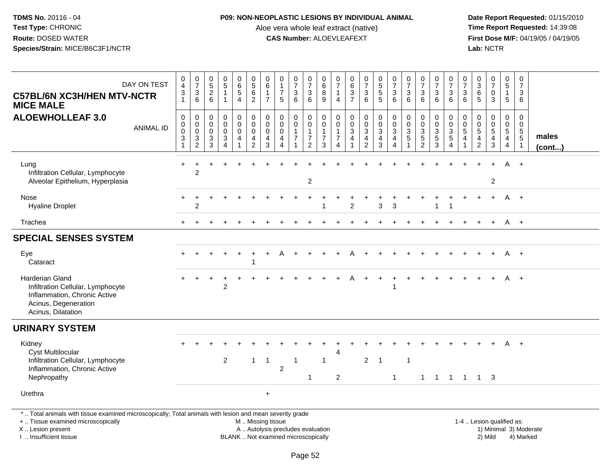## **P09: NON-NEOPLASTIC LESIONS BY INDIVIDUAL ANIMAL**

Aloe vera whole leaf extract (native)<br>**CAS Number:** ALOEVLEAFEXT

 **Date Report Requested:** 01/15/2010 **First Dose M/F:** 04/19/05 / 04/19/05<br>Lab: NCTR **Lab:** NCTR

| DAY ON TEST<br><b>C57BL/6N XC3H/HEN MTV-NCTR</b><br><b>MICE MALE</b>                                                                                                | $\mathbf 0$<br>$\overline{4}$<br>3<br>1            | $\frac{0}{7}$<br>$\begin{array}{c} 3 \\ 6 \end{array}$           | $0$<br>5<br>2<br>6                                                             | $\begin{array}{c} 0 \\ 5 \end{array}$<br>$\mathbf{1}$<br>$\mathbf{1}$ | $\begin{array}{c} 0 \\ 6 \\ 5 \end{array}$<br>$\overline{4}$      | $\begin{array}{c} 0 \\ 5 \\ 6 \end{array}$<br>$\overline{c}$    | $\pmb{0}$<br>$\,6\,$<br>$\overline{1}$<br>$\overline{7}$       | $\begin{smallmatrix}0\\1\end{smallmatrix}$<br>$\overline{7}$<br>5      | $\frac{0}{7}$<br>$\overline{3}$<br>6                  | $\frac{0}{7}$<br>$\overline{3}$<br>6                                         | $\begin{matrix}0\\6\\8\end{matrix}$<br>9                        | 0<br>$\overline{7}$<br>$\mathbf{1}$<br>$\overline{4}$              | 0637                         | $\frac{0}{7}$<br>$\sqrt{3}$<br>$6\phantom{1}$                    | $\begin{array}{c} 0 \\ 5 \\ 5 \end{array}$<br>$\overline{5}$         | $\frac{0}{7}$<br>$\overline{3}$<br>$6\phantom{a}$     | $\frac{0}{7}$<br>$\sqrt{3}$<br>$6\phantom{1}$               | $\frac{0}{7}$<br>$\overline{3}$<br>$6\phantom{1}$ | $\frac{0}{7}$<br>$\frac{3}{6}$          | $\frac{0}{7}$<br>$\sqrt{3}$<br>$6\phantom{1}$                 | $\frac{0}{7}$<br>3<br>6                       | $\begin{array}{c} 0 \\ 3 \\ 6 \end{array}$<br>$\overline{5}$         | $\frac{0}{7}$<br>$\mathbf 0$<br>3    | 0<br>$\overline{5}$<br>$\mathbf{1}$<br>$5\phantom{.0}$ | $\mathbf 0$<br>$\overline{7}$<br>$\mathbf{3}$<br>6                        |                       |
|---------------------------------------------------------------------------------------------------------------------------------------------------------------------|----------------------------------------------------|------------------------------------------------------------------|--------------------------------------------------------------------------------|-----------------------------------------------------------------------|-------------------------------------------------------------------|-----------------------------------------------------------------|----------------------------------------------------------------|------------------------------------------------------------------------|-------------------------------------------------------|------------------------------------------------------------------------------|-----------------------------------------------------------------|--------------------------------------------------------------------|------------------------------|------------------------------------------------------------------|----------------------------------------------------------------------|-------------------------------------------------------|-------------------------------------------------------------|---------------------------------------------------|-----------------------------------------|---------------------------------------------------------------|-----------------------------------------------|----------------------------------------------------------------------|--------------------------------------|--------------------------------------------------------|---------------------------------------------------------------------------|-----------------------|
| <b>ALOEWHOLLEAF 3.0</b><br><b>ANIMAL ID</b>                                                                                                                         | 0<br>$\pmb{0}$<br>$\mathsf 0$<br>3<br>$\mathbf{1}$ | $\mathbf 0$<br>$\pmb{0}$<br>$\mathsf{O}\xspace$<br>$\frac{3}{2}$ | $\boldsymbol{0}$<br>$\pmb{0}$<br>$\mathbf 0$<br>$\mathbf{3}$<br>$\overline{3}$ | 0<br>$\pmb{0}$<br>$\mathbf 0$<br>$\mathbf{3}$<br>$\overline{4}$       | 0<br>$\ddot{\mathbf{0}}$<br>$\ddot{\mathbf{0}}$<br>$\overline{4}$ | $\pmb{0}$<br>$\overline{0}$<br>$\pmb{0}$<br>4<br>$\overline{2}$ | $\mathbf 0$<br>$\pmb{0}$<br>$\mathbf 0$<br>$\overline{a}$<br>3 | $\pmb{0}$<br>$\mathbf 0$<br>$\mathbf 0$<br>4<br>$\boldsymbol{\Lambda}$ | 0<br>$\pmb{0}$<br>$\mathbf{1}$<br>$\overline{7}$<br>1 | $\mathbf 0$<br>$\pmb{0}$<br>$\mathbf{1}$<br>$\overline{7}$<br>$\overline{2}$ | 0<br>$\mathsf{O}\xspace$<br>$\mathbf{1}$<br>$\overline{7}$<br>3 | 0<br>$\pmb{0}$<br>$\mathbf{1}$<br>$\overline{7}$<br>$\overline{4}$ | $\mathbf 0$<br>$\frac{0}{3}$ | $\mathbf 0$<br>$\frac{0}{3}$<br>$\overline{4}$<br>$\overline{2}$ | $\pmb{0}$<br>$\overline{0}$<br>$\overline{3}$<br>$\overline{4}$<br>3 | 0<br>$\pmb{0}$<br>$\mathbf{3}$<br>4<br>$\overline{4}$ | $\mathbf 0$<br>$\mathbf 0$<br>$\frac{3}{5}$<br>$\mathbf{1}$ | 0<br>$\pmb{0}$<br>$\frac{3}{5}$<br>$\overline{2}$ | $\mathbf 0$<br>$\pmb{0}$<br>$rac{3}{3}$ | $\mathbf 0$<br>$\mathbf 0$<br>$\frac{3}{5}$<br>$\overline{4}$ | $\mathbf 0$<br>$\mathsf 0$<br>$\sqrt{5}$<br>4 | 0<br>$\pmb{0}$<br>$\overline{5}$<br>$\overline{4}$<br>$\overline{2}$ | 0<br>$\frac{0}{5}$<br>$\overline{3}$ | 0<br>$\frac{0}{5}$<br>$\overline{4}$                   | $\mathbf 0$<br>$\mathbf 0$<br>$\,$ 5 $\,$<br>$\sqrt{5}$<br>$\overline{1}$ | males<br>$($ cont $)$ |
| Lung<br>Infiltration Cellular, Lymphocyte<br>Alveolar Epithelium, Hyperplasia                                                                                       | $\div$                                             | $\overline{c}$                                                   |                                                                                |                                                                       |                                                                   |                                                                 |                                                                |                                                                        |                                                       | 2                                                                            |                                                                 |                                                                    |                              |                                                                  |                                                                      |                                                       |                                                             |                                                   |                                         |                                                               |                                               |                                                                      | $\overline{2}$                       | A                                                      |                                                                           |                       |
| Nose<br><b>Hyaline Droplet</b>                                                                                                                                      |                                                    | $\overline{c}$                                                   |                                                                                |                                                                       |                                                                   |                                                                 |                                                                |                                                                        |                                                       |                                                                              |                                                                 |                                                                    | $\overline{2}$               |                                                                  | 3                                                                    | 3                                                     |                                                             |                                                   | $\mathbf{1}$                            | $\overline{1}$                                                |                                               |                                                                      | $+$                                  |                                                        | $A +$                                                                     |                       |
| Trachea                                                                                                                                                             |                                                    |                                                                  |                                                                                |                                                                       |                                                                   |                                                                 |                                                                |                                                                        |                                                       |                                                                              |                                                                 |                                                                    |                              |                                                                  |                                                                      |                                                       |                                                             |                                                   |                                         |                                                               | $\ddot{}$                                     |                                                                      | $+$                                  | A +                                                    |                                                                           |                       |
| <b>SPECIAL SENSES SYSTEM</b>                                                                                                                                        |                                                    |                                                                  |                                                                                |                                                                       |                                                                   |                                                                 |                                                                |                                                                        |                                                       |                                                                              |                                                                 |                                                                    |                              |                                                                  |                                                                      |                                                       |                                                             |                                                   |                                         |                                                               |                                               |                                                                      |                                      |                                                        |                                                                           |                       |
| Eye<br>Cataract                                                                                                                                                     |                                                    |                                                                  |                                                                                |                                                                       |                                                                   | $\overline{\mathbf{1}}$                                         |                                                                |                                                                        |                                                       |                                                                              |                                                                 |                                                                    |                              |                                                                  |                                                                      |                                                       |                                                             |                                                   |                                         |                                                               |                                               |                                                                      |                                      | A                                                      | $+$                                                                       |                       |
| Harderian Gland<br>Infiltration Cellular, Lymphocyte<br>Inflammation, Chronic Active<br>Acinus, Degeneration<br>Acinus, Dilatation                                  |                                                    |                                                                  |                                                                                | $\overline{2}$                                                        |                                                                   |                                                                 |                                                                |                                                                        |                                                       |                                                                              |                                                                 |                                                                    | A                            | $+$                                                              | $\ddot{}$                                                            | $\ddot{}$<br>$\mathbf 1$                              |                                                             |                                                   |                                         |                                                               |                                               |                                                                      |                                      |                                                        | A +                                                                       |                       |
| <b>URINARY SYSTEM</b>                                                                                                                                               |                                                    |                                                                  |                                                                                |                                                                       |                                                                   |                                                                 |                                                                |                                                                        |                                                       |                                                                              |                                                                 |                                                                    |                              |                                                                  |                                                                      |                                                       |                                                             |                                                   |                                         |                                                               |                                               |                                                                      |                                      |                                                        |                                                                           |                       |
| Kidney<br><b>Cyst Multilocular</b><br>Infiltration Cellular, Lymphocyte                                                                                             |                                                    |                                                                  |                                                                                | $\overline{c}$                                                        |                                                                   | $\mathbf{1}$                                                    | $\overline{1}$                                                 |                                                                        | $\mathbf{1}$                                          |                                                                              | $\mathbf{1}$                                                    | 4                                                                  |                              | $\overline{2}$                                                   | -1                                                                   |                                                       | $\mathbf{1}$                                                |                                                   |                                         |                                                               |                                               |                                                                      |                                      | A                                                      | $+$                                                                       |                       |
| Inflammation, Chronic Active<br>Nephropathy                                                                                                                         |                                                    |                                                                  |                                                                                |                                                                       |                                                                   |                                                                 |                                                                | $\overline{2}$                                                         |                                                       | -1                                                                           |                                                                 | 2                                                                  |                              |                                                                  |                                                                      | $\mathbf{1}$                                          |                                                             | -1                                                | $\overline{1}$                          |                                                               |                                               | 1 1 1 3                                                              |                                      |                                                        |                                                                           |                       |
| Urethra                                                                                                                                                             |                                                    |                                                                  |                                                                                |                                                                       |                                                                   |                                                                 | $\ddot{}$                                                      |                                                                        |                                                       |                                                                              |                                                                 |                                                                    |                              |                                                                  |                                                                      |                                                       |                                                             |                                                   |                                         |                                                               |                                               |                                                                      |                                      |                                                        |                                                                           |                       |
| *  Total animals with tissue examined microscopically; Total animals with lesion and mean severity grade<br>+  Tissue examined microscopically<br>X  Lesion present |                                                    |                                                                  |                                                                                |                                                                       |                                                                   | M  Missing tissue<br>A  Autolysis precludes evaluation          |                                                                |                                                                        |                                                       |                                                                              |                                                                 |                                                                    |                              |                                                                  |                                                                      |                                                       |                                                             |                                                   |                                         |                                                               |                                               |                                                                      | 1-4  Lesion qualified as:            |                                                        | 1) Minimal 3) Moderate                                                    |                       |

I .. Insufficient tissue

BLANK .. Not examined microscopically 2) Mild 4) Marked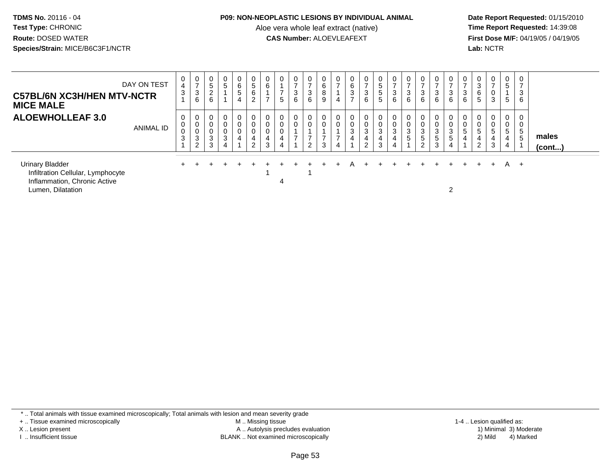#### **P09: NON-NEOPLASTIC LESIONS BY INDIVIDUAL ANIMAL**

Aloe vera whole leaf extract (native)<br>**CAS Number:** ALOEVLEAFEXT

 **Date Report Requested:** 01/15/2010 **First Dose M/F:** 04/19/05 / 04/19/05<br>Lab: NCTR **Lab:** NCTR

| <b>C57BL/6N XC3H/HEN MTV-NCTR</b><br><b>MICE MALE</b>                                                            | DAY ON TEST      | 0<br>$\overline{4}$<br>3 | 0<br>$\rightarrow$<br>3<br>6 | 0<br>$\sqrt{5}$<br>$\overline{2}$<br>6 | $\mathbf 0$<br>$\overline{5}$                  | 0<br>6<br>5<br>4              | $\mathbf 0$<br>$5\phantom{.0}$<br>6<br>2          | $\mathbf 0$<br>6<br>$\rightarrow$ | 0<br>$\rightarrow$<br>5            | 0<br>$\overline{ }$<br>3<br>6     | 0<br>$\overline{ }$<br>3<br>6                        | 0<br>$\,6\,$<br>8<br>9             | 0<br>$\overline{ }$<br>4 | 0<br>$\,6\,$<br>3<br>$\overline{ }$ | $\mathbf{0}$<br>$\overline{ }$<br>$\mathbf{3}$<br>6   | $\mathbf{0}$<br>$\sqrt{5}$<br>$\frac{5}{5}$ | 0<br>$\mathbf{3}$<br>$6\phantom{1}6$                         | 3<br>6                | 0<br>$\sqrt{3}$<br>$6\phantom{a}$     | $\mathbf{0}$<br>3<br>6          | 0<br>$\overline{ }$<br>$\mathbf{3}$<br>6            | 0<br>3<br>6                | 0<br>3<br>6<br>5      | $\overline{ }$<br>3                    | 0<br>5<br>5           | 0<br>3<br>6                               |                       |  |
|------------------------------------------------------------------------------------------------------------------|------------------|--------------------------|------------------------------|----------------------------------------|------------------------------------------------|-------------------------------|---------------------------------------------------|-----------------------------------|------------------------------------|-----------------------------------|------------------------------------------------------|------------------------------------|--------------------------|-------------------------------------|-------------------------------------------------------|---------------------------------------------|--------------------------------------------------------------|-----------------------|---------------------------------------|---------------------------------|-----------------------------------------------------|----------------------------|-----------------------|----------------------------------------|-----------------------|-------------------------------------------|-----------------------|--|
| <b>ALOEWHOLLEAF 3.0</b>                                                                                          | <b>ANIMAL ID</b> | 0<br>0<br>$\pmb{0}$<br>3 | 0<br>0<br>0<br>3<br>2        | 0<br>0<br>0<br>3<br>3                  | 0<br>$\pmb{0}$<br>$\pmb{0}$<br>$\sqrt{3}$<br>4 | 0<br>0<br>0<br>$\overline{4}$ | $\mathbf 0$<br>$\mathbf 0$<br>4<br>$\overline{2}$ | 0<br>$\mathbf 0$<br>0<br>4<br>3   | $\pmb{0}$<br>$\mathbf 0$<br>4<br>4 | 0<br>$\mathbf 0$<br>$\rightarrow$ | 0<br>0<br>$\overline{\phantom{0}}$<br>$\overline{2}$ | $\mathbf 0$<br>$\overline{ }$<br>3 | 0<br>⇁                   | $\mathbf 0$<br>3<br>$\overline{4}$  | 0<br>$\pmb{0}$<br>$\mathbf{3}$<br>4<br>$\overline{2}$ | $\mathbf{0}$<br>0<br>$\mathbf{3}$<br>4<br>3 | 0<br>$\boldsymbol{0}$<br>$\mathbf{3}$<br>$\overline{4}$<br>4 | $\mathbf 0$<br>3<br>5 | $\pmb{0}$<br>3<br>$\overline{5}$<br>2 | 0<br>0<br>3<br>$\,$ 5 $\,$<br>3 | $\mathbf{0}$<br>$\mathbf 0$<br>3<br>$\sqrt{5}$<br>4 | 0<br>$\mathsf 0$<br>5<br>4 | 0<br>0<br>5<br>4<br>ົ | $\pmb{0}$<br>$5\phantom{.0}$<br>4<br>3 | 0<br>0<br>5<br>4<br>4 | $\mathbf{0}$<br>0<br>$5\overline{)}$<br>5 | males<br>$($ cont $)$ |  |
| <b>Urinary Bladder</b><br>Infiltration Cellular, Lymphocyte<br>Inflammation, Chronic Active<br>Lumen, Dilatation |                  |                          |                              |                                        |                                                |                               |                                                   |                                   | 4                                  |                                   |                                                      |                                    |                          |                                     |                                                       |                                             |                                                              |                       |                                       |                                 | っ                                                   |                            |                       | $+$                                    | A                     | $+$                                       |                       |  |

\* .. Total animals with tissue examined microscopically; Total animals with lesion and mean severity grade

+ .. Tissue examined microscopically

X .. Lesion present

I .. Insufficient tissue

 M .. Missing tissueLesion present A .. Autolysis precludes evaluation 1) Minimal 3) Moderate

1-4 .. Lesion qualified as:<br>1) Minimal 3) Moderate BLANK .. Not examined microscopically 2) Mild 4) Marked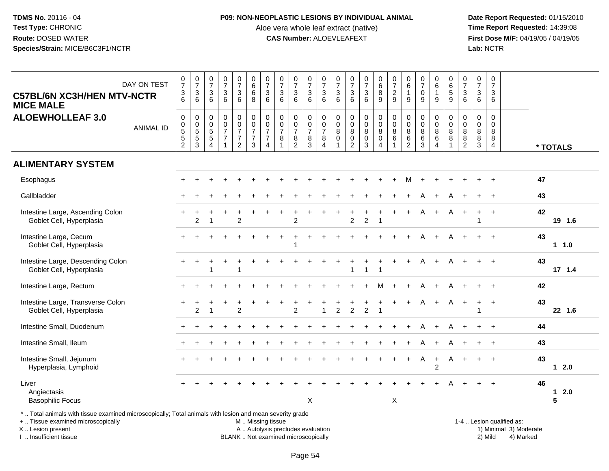#### **P09: NON-NEOPLASTIC LESIONS BY INDIVIDUAL ANIMAL**

Aloe vera whole leaf extract (native)<br>**CAS Number:** ALOEVLEAFEXT

 **Date Report Requested:** 01/15/2010 **First Dose M/F:** 04/19/05 / 04/19/05<br>Lab: NCTR **Lab:** NCTR

| DAY ON TEST<br><b>C57BL/6N XC3H/HEN MTV-NCTR</b><br><b>MICE MALE</b>                                                                | $\begin{smallmatrix}0\\7\end{smallmatrix}$<br>$\ensuremath{\mathsf{3}}$<br>6          | $\frac{0}{7}$<br>3<br>6                                        | $\frac{0}{7}$<br>$\sqrt{3}$<br>6                                  | $\frac{0}{7}$<br>$\mathbf{3}$<br>6                | $\begin{smallmatrix}0\\7\end{smallmatrix}$<br>$\ensuremath{\mathsf{3}}$<br>6     | $\begin{array}{c} 0 \\ 6 \end{array}$<br>6<br>8                        | $\frac{0}{7}$<br>$\mathbf{3}$<br>6                                           | $\frac{0}{7}$<br>$\sqrt{3}$<br>6                                 | $\frac{0}{7}$<br>3<br>6                   | $\frac{0}{7}$<br>$\mathbf{3}$<br>6                | $\frac{0}{7}$<br>$\ensuremath{\mathsf{3}}$<br>$6\phantom{1}$            | $\frac{0}{7}$<br>$\sqrt{3}$<br>$6\phantom{1}6$   | $\frac{0}{7}$<br>$\sqrt{3}$<br>6                                  | $\frac{0}{7}$<br>3<br>$6\phantom{1}$            | $\begin{matrix} 0 \\ 6 \\ 8 \end{matrix}$<br>9                                    | $\frac{0}{7}$<br>$\overline{c}$<br>9                | $\begin{array}{c} 0 \\ 6 \end{array}$<br>$\mathbf{1}$<br>9 | $\frac{0}{7}$<br>$\pmb{0}$<br>9           | $\begin{array}{c} 0 \\ 6 \end{array}$<br>$\mathbf{1}$<br>9 | $\pmb{0}$<br>$\overline{6}$<br>9                          | $\frac{0}{7}$<br>$\mathbf{3}$<br>6                                   | $\begin{smallmatrix}0\\7\end{smallmatrix}$<br>$\mathbf{3}$<br>$6\phantom{1}$ | $\frac{0}{7}$<br>$\sqrt{3}$<br>$6\phantom{a}$ |                   |
|-------------------------------------------------------------------------------------------------------------------------------------|---------------------------------------------------------------------------------------|----------------------------------------------------------------|-------------------------------------------------------------------|---------------------------------------------------|----------------------------------------------------------------------------------|------------------------------------------------------------------------|------------------------------------------------------------------------------|------------------------------------------------------------------|-------------------------------------------|---------------------------------------------------|-------------------------------------------------------------------------|--------------------------------------------------|-------------------------------------------------------------------|-------------------------------------------------|-----------------------------------------------------------------------------------|-----------------------------------------------------|------------------------------------------------------------|-------------------------------------------|------------------------------------------------------------|-----------------------------------------------------------|----------------------------------------------------------------------|------------------------------------------------------------------------------|-----------------------------------------------|-------------------|
| <b>ALOEWHOLLEAF 3.0</b><br><b>ANIMAL ID</b>                                                                                         | $\mathbf 0$<br>$\begin{array}{c} 0 \\ 5 \end{array}$<br>$\mathbf 5$<br>$\overline{c}$ | 0<br>$\begin{array}{c} 0 \\ 5 \end{array}$<br>$\,$ 5 $\,$<br>3 | 0<br>$\pmb{0}$<br>$\overline{5}$<br>$\,$ 5 $\,$<br>$\overline{4}$ | $\pmb{0}$<br>$\frac{0}{7}$<br>$\overline{7}$<br>1 | 0<br>$\mathsf{O}\xspace$<br>$\overline{7}$<br>$\boldsymbol{7}$<br>$\overline{a}$ | $\pmb{0}$<br>$\overline{0}$<br>$\overline{7}$<br>$\boldsymbol{7}$<br>3 | $\pmb{0}$<br>$\pmb{0}$<br>$\overline{7}$<br>$\overline{7}$<br>$\overline{4}$ | 0<br>$\pmb{0}$<br>$\overline{7}$<br>8<br>$\overline{\mathbf{1}}$ | 0<br>$\frac{0}{7}$<br>8<br>$\overline{2}$ | 0<br>$\boldsymbol{0}$<br>$\overline{7}$<br>8<br>3 | $\mathbf 0$<br>$\pmb{0}$<br>$\overline{7}$<br>$\bf 8$<br>$\overline{4}$ | $\pmb{0}$<br>$\mathbf 0$<br>$\bf 8$<br>$\pmb{0}$ | $\pmb{0}$<br>$\mathbf 0$<br>$\bf8$<br>$\pmb{0}$<br>$\overline{2}$ | 0<br>$\mathsf{O}\xspace$<br>8<br>$\pmb{0}$<br>3 | $\pmb{0}$<br>$\ddot{\mathbf{0}}$<br>$\overline{8}$<br>$\pmb{0}$<br>$\overline{4}$ | $\pmb{0}$<br>$\ddot{\mathbf{0}}$<br>8<br>$\,6$<br>1 | 0<br>$\pmb{0}$<br>8<br>$\,6\,$<br>$\overline{2}$           | 0<br>$\pmb{0}$<br>$\,8\,$<br>$\,6\,$<br>3 | 0<br>$\mathbf 0$<br>$\,8\,$<br>$\,6\,$<br>$\overline{4}$   | $\mathbf 0$<br>$\pmb{0}$<br>8<br>$\, 8$<br>$\overline{1}$ | $\mathbf 0$<br>$\mathsf{O}\xspace$<br>8<br>$\,8\,$<br>$\overline{2}$ | 0<br>$\mathbf 0$<br>$\bf 8$<br>8<br>3                                        | $\pmb{0}$<br>$\mathbf 0$<br>8<br>8<br>4       | * TOTALS          |
| <b>ALIMENTARY SYSTEM</b>                                                                                                            |                                                                                       |                                                                |                                                                   |                                                   |                                                                                  |                                                                        |                                                                              |                                                                  |                                           |                                                   |                                                                         |                                                  |                                                                   |                                                 |                                                                                   |                                                     |                                                            |                                           |                                                            |                                                           |                                                                      |                                                                              |                                               |                   |
| Esophagus                                                                                                                           |                                                                                       |                                                                |                                                                   |                                                   |                                                                                  |                                                                        |                                                                              |                                                                  |                                           |                                                   |                                                                         |                                                  |                                                                   |                                                 |                                                                                   |                                                     | м                                                          |                                           |                                                            |                                                           |                                                                      |                                                                              | $\ddot{}$                                     | 47                |
| Gallbladder                                                                                                                         |                                                                                       |                                                                |                                                                   |                                                   |                                                                                  |                                                                        |                                                                              |                                                                  |                                           |                                                   |                                                                         |                                                  |                                                                   |                                                 |                                                                                   |                                                     |                                                            |                                           |                                                            |                                                           |                                                                      |                                                                              |                                               | 43                |
| Intestine Large, Ascending Colon<br>Goblet Cell, Hyperplasia                                                                        |                                                                                       | $\overline{2}$                                                 |                                                                   |                                                   | $\overline{2}$                                                                   |                                                                        |                                                                              |                                                                  | 2                                         |                                                   |                                                                         |                                                  | $\overline{c}$                                                    | $\overline{c}$                                  | -1                                                                                | $\ddot{}$                                           | $\ddot{}$                                                  | A                                         | $+$                                                        | A                                                         | $\ddot{}$                                                            | $\pm$                                                                        | $\overline{ }$                                | 42<br>19 1.6      |
| Intestine Large, Cecum<br>Goblet Cell, Hyperplasia                                                                                  |                                                                                       |                                                                |                                                                   |                                                   |                                                                                  |                                                                        |                                                                              |                                                                  |                                           |                                                   |                                                                         |                                                  |                                                                   |                                                 |                                                                                   |                                                     |                                                            |                                           |                                                            |                                                           |                                                                      |                                                                              |                                               | 43<br>1 1.0       |
| Intestine Large, Descending Colon<br>Goblet Cell, Hyperplasia                                                                       |                                                                                       |                                                                |                                                                   | $\ddot{}$                                         | ÷                                                                                |                                                                        |                                                                              |                                                                  |                                           |                                                   |                                                                         |                                                  |                                                                   | 1                                               |                                                                                   | $\ddot{}$                                           | $\ddot{}$                                                  | A                                         | $\ddot{}$                                                  |                                                           |                                                                      |                                                                              |                                               | 43<br>17 1.4      |
| Intestine Large, Rectum                                                                                                             |                                                                                       |                                                                |                                                                   |                                                   |                                                                                  |                                                                        |                                                                              |                                                                  |                                           |                                                   |                                                                         |                                                  |                                                                   |                                                 | м                                                                                 |                                                     | +                                                          | A                                         | $\ddot{}$                                                  |                                                           |                                                                      |                                                                              | $+$                                           | 42                |
| Intestine Large, Transverse Colon<br>Goblet Cell, Hyperplasia                                                                       |                                                                                       | $\overline{2}$                                                 |                                                                   |                                                   | $\overline{2}$                                                                   |                                                                        |                                                                              |                                                                  | $\overline{2}$                            |                                                   |                                                                         | $\overline{2}$                                   | $\overline{2}$                                                    | $\overline{2}$                                  | $\overline{1}$                                                                    |                                                     |                                                            | А                                         | $\ddot{}$                                                  | A                                                         |                                                                      |                                                                              | $\ddot{}$                                     | 43<br>22 1.6      |
| Intestine Small, Duodenum                                                                                                           |                                                                                       |                                                                |                                                                   |                                                   |                                                                                  |                                                                        |                                                                              |                                                                  |                                           |                                                   |                                                                         |                                                  |                                                                   |                                                 |                                                                                   |                                                     |                                                            |                                           |                                                            |                                                           |                                                                      |                                                                              | $\overline{+}$                                | 44                |
| Intestine Small, Ileum                                                                                                              |                                                                                       |                                                                |                                                                   |                                                   |                                                                                  |                                                                        |                                                                              |                                                                  |                                           |                                                   |                                                                         |                                                  |                                                                   |                                                 |                                                                                   |                                                     |                                                            |                                           | $\ddot{}$                                                  |                                                           |                                                                      |                                                                              | $\overline{+}$                                | 43                |
| Intestine Small, Jejunum<br>Hyperplasia, Lymphoid                                                                                   |                                                                                       |                                                                |                                                                   |                                                   |                                                                                  |                                                                        |                                                                              |                                                                  |                                           |                                                   |                                                                         |                                                  |                                                                   |                                                 |                                                                                   |                                                     | $+$                                                        | A                                         | $+$<br>$\overline{2}$                                      | $\mathsf{A}$                                              |                                                                      |                                                                              | $\overline{+}$                                | 43<br>$12.0$      |
| Liver<br>Angiectasis                                                                                                                |                                                                                       |                                                                |                                                                   |                                                   |                                                                                  |                                                                        |                                                                              |                                                                  |                                           |                                                   |                                                                         |                                                  |                                                                   |                                                 |                                                                                   |                                                     |                                                            |                                           |                                                            |                                                           |                                                                      |                                                                              |                                               | 46<br>$12.0$<br>5 |
| <b>Basophilic Focus</b><br>*  Total animals with tissue examined microscopically; Total animals with lesion and mean severity grade |                                                                                       |                                                                |                                                                   |                                                   |                                                                                  |                                                                        |                                                                              |                                                                  |                                           | X                                                 |                                                                         |                                                  |                                                                   |                                                 |                                                                                   | X                                                   |                                                            |                                           |                                                            |                                                           |                                                                      |                                                                              |                                               |                   |
|                                                                                                                                     |                                                                                       |                                                                |                                                                   |                                                   |                                                                                  |                                                                        |                                                                              |                                                                  |                                           |                                                   |                                                                         |                                                  |                                                                   |                                                 |                                                                                   |                                                     |                                                            |                                           |                                                            |                                                           |                                                                      |                                                                              |                                               |                   |

+ .. Tissue examined microscopically

X .. Lesion present

I .. Insufficient tissue

M .. Missing tissue

BLANK .. Not examined microscopically

1-4 .. Lesion qualified as:<br>1) Minimal 3) Moderate A .. Autolysis precludes evaluation 19 and 10 minimal 3) Moderate 1 and 20 minimal 3) Moderate 19 minimal 3) Moderat<br>19 and 19 and 19 and 19 and 19 and 19 and 19 and 19 and 19 and 19 and 19 and 19 and 19 and 19 and 19 and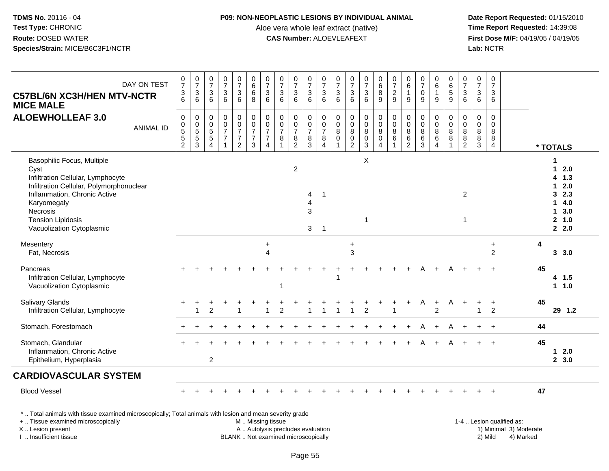#### **P09: NON-NEOPLASTIC LESIONS BY INDIVIDUAL ANIMAL**

Aloe vera whole leaf extract (native)<br>**CAS Number:** ALOEVLEAFEXT

 **Date Report Requested:** 01/15/2010 **First Dose M/F:** 04/19/05 / 04/19/05<br>Lab: NCTR **Lab:** NCTR

| DAY ON TEST<br><b>C57BL/6N XC3H/HEN MTV-NCTR</b><br><b>MICE MALE</b>                                                                                                                                                                    | $\frac{0}{7}$<br>$\frac{3}{6}$                       | $\frac{0}{7}$<br>$\frac{3}{6}$                              | $\frac{0}{7}$<br>$\mathbf{3}$<br>6                                | $\frac{0}{7}$<br>$\frac{3}{6}$                                    | $\frac{0}{7}$<br>3<br>6                                | 08000                                       | $\frac{0}{7}$<br>$\frac{3}{6}$                                                        | $\begin{array}{c} 0 \\ 7 \end{array}$<br>$\begin{array}{c} 3 \\ 6 \end{array}$ | $\frac{0}{7}$<br>$\frac{3}{6}$                                        | $\frac{0}{7}$<br>$\mathbf{3}$<br>$6\phantom{1}$ | $\frac{0}{7}$<br>$\frac{3}{6}$            | $\frac{0}{7}$<br>$\mathbf{3}$<br>$\overline{6}$ | $\frac{0}{7}$<br>$\frac{3}{6}$             | $\frac{0}{7}$<br>$\frac{3}{6}$                                         | 0<br>8<br>9                                                      | $\frac{0}{7}$<br>$\frac{2}{9}$                                     | $\begin{array}{c} 0 \\ 6 \end{array}$<br>$\mathbf 1$<br>9 | $\frac{0}{7}$<br>$\pmb{0}$<br>$\overline{9}$ | $0$<br>6<br>1<br>9    | 0<br>6<br>5<br>9 | $\frac{0}{7}$<br>$\frac{3}{6}$                                                          | $\begin{array}{c} 0 \\ 7 \end{array}$<br>$^3$ 6 | $\pmb{0}$<br>$\overline{7}$<br>$\mathbf{3}$<br>6       |    |                                                                                                   |
|-----------------------------------------------------------------------------------------------------------------------------------------------------------------------------------------------------------------------------------------|------------------------------------------------------|-------------------------------------------------------------|-------------------------------------------------------------------|-------------------------------------------------------------------|--------------------------------------------------------|---------------------------------------------|---------------------------------------------------------------------------------------|--------------------------------------------------------------------------------|-----------------------------------------------------------------------|-------------------------------------------------|-------------------------------------------|-------------------------------------------------|--------------------------------------------|------------------------------------------------------------------------|------------------------------------------------------------------|--------------------------------------------------------------------|-----------------------------------------------------------|----------------------------------------------|-----------------------|------------------|-----------------------------------------------------------------------------------------|-------------------------------------------------|--------------------------------------------------------|----|---------------------------------------------------------------------------------------------------|
| <b>ALOEWHOLLEAF 3.0</b><br><b>ANIMAL ID</b>                                                                                                                                                                                             | 0<br>$\begin{array}{c} 0 \\ 5 \\ 5 \\ 2 \end{array}$ | 0<br>$\begin{array}{c} 0 \\ 5 \end{array}$<br>$\frac{5}{3}$ | 0<br>$\pmb{0}$<br>$\overline{5}$<br>$\,$ 5 $\,$<br>$\overline{4}$ | $\pmb{0}$<br>$\mathbf 0$<br>$\overline{7}$<br>$\overline{7}$<br>1 | 0<br>$\frac{0}{7}$<br>$\overline{7}$<br>$\overline{2}$ | $\pmb{0}$<br>$\frac{0}{7}$<br>$\frac{7}{3}$ | $\begin{matrix} 0 \\ 0 \\ 7 \end{matrix}$<br>$\overline{7}$<br>$\boldsymbol{\Lambda}$ | $\mathbf 0$<br>$\pmb{0}$<br>$\overline{7}$<br>8                                | $\mathbf 0$<br>$\begin{array}{c} 0 \\ 7 \end{array}$<br>$\frac{8}{2}$ | 0<br>$\frac{0}{7}$<br>8<br>3                    | 0<br>$\frac{0}{7}$<br>8<br>$\overline{4}$ | 0<br>0<br>8<br>0                                | 0<br>0<br>8<br>$\pmb{0}$<br>$\overline{c}$ | $\mathbf 0$<br>$\ddot{\mathbf{0}}$<br>$\overline{8}$<br>$_{3}^{\rm 0}$ | $\pmb{0}$<br>$\pmb{0}$<br>$\bf 8$<br>$\pmb{0}$<br>$\overline{4}$ | $\begin{matrix} 0 \\ 0 \\ 8 \end{matrix}$<br>$\,6$<br>$\mathbf{1}$ | 0<br>0<br>8<br>6<br>$\overline{2}$                        | $\pmb{0}$<br>$\mathbf 0$<br>$\bf8$<br>$^6_3$ | 0<br>0<br>8<br>6<br>4 | 0<br>0<br>8<br>8 | $\mathbf 0$<br>$\mathsf 0$<br>$\,8\,$<br>$\begin{smallmatrix} 8 \\ 2 \end{smallmatrix}$ | 0<br>0<br>8<br>$\bf 8$<br>$\mathbf{3}$          | $\mathbf 0$<br>$\mathbf 0$<br>8<br>8<br>$\overline{4}$ |    | * TOTALS                                                                                          |
| Basophilic Focus, Multiple<br>Cyst<br>Infiltration Cellular, Lymphocyte<br>Infiltration Cellular, Polymorphonuclear<br>Inflammation, Chronic Active<br>Karyomegaly<br>Necrosis<br><b>Tension Lipidosis</b><br>Vacuolization Cytoplasmic |                                                      |                                                             |                                                                   |                                                                   |                                                        |                                             |                                                                                       |                                                                                | $\overline{c}$                                                        | 4<br>4<br>3<br>3                                | -1<br>$\overline{1}$                      |                                                 |                                            | X<br>-1                                                                |                                                                  |                                                                    |                                                           |                                              |                       |                  | $\overline{2}$<br>$\overline{1}$                                                        |                                                 |                                                        |    | 1<br>2.0<br>$\mathbf 1$<br>$4$ 1.3<br>2.0<br>$\mathbf 1$<br>32.3<br>14.0<br>13.0<br>2, 1.0<br>2.0 |
| Mesentery<br>Fat, Necrosis                                                                                                                                                                                                              |                                                      |                                                             |                                                                   |                                                                   |                                                        |                                             | $\ddot{}$<br>$\boldsymbol{\Lambda}$                                                   |                                                                                |                                                                       |                                                 |                                           |                                                 | $+$<br>3                                   |                                                                        |                                                                  |                                                                    |                                                           |                                              |                       |                  |                                                                                         |                                                 | +<br>$\overline{2}$                                    | 4  | 3, 3.0                                                                                            |
| Pancreas<br>Infiltration Cellular, Lymphocyte<br>Vacuolization Cytoplasmic                                                                                                                                                              |                                                      |                                                             |                                                                   |                                                                   |                                                        |                                             |                                                                                       | 1                                                                              |                                                                       |                                                 |                                           |                                                 |                                            |                                                                        |                                                                  |                                                                    |                                                           |                                              |                       |                  |                                                                                         |                                                 |                                                        | 45 | 4 1.5<br>1 1.0                                                                                    |
| <b>Salivary Glands</b><br>Infiltration Cellular, Lymphocyte                                                                                                                                                                             |                                                      |                                                             | $\overline{2}$                                                    |                                                                   |                                                        |                                             |                                                                                       | 2                                                                              |                                                                       |                                                 |                                           |                                                 |                                            | $\overline{2}$                                                         |                                                                  |                                                                    |                                                           |                                              | $\overline{2}$        |                  |                                                                                         | 1                                               | $\ddot{}$<br>$\overline{2}$                            | 45 | 29 1.2                                                                                            |
| Stomach, Forestomach                                                                                                                                                                                                                    |                                                      |                                                             |                                                                   |                                                                   |                                                        |                                             |                                                                                       |                                                                                |                                                                       |                                                 |                                           |                                                 |                                            |                                                                        |                                                                  |                                                                    |                                                           |                                              |                       | A                |                                                                                         |                                                 | $\ddot{}$                                              | 44 |                                                                                                   |
| Stomach, Glandular<br>Inflammation, Chronic Active<br>Epithelium, Hyperplasia                                                                                                                                                           |                                                      |                                                             | $\overline{c}$                                                    |                                                                   |                                                        |                                             |                                                                                       |                                                                                |                                                                       |                                                 |                                           |                                                 |                                            |                                                                        |                                                                  |                                                                    |                                                           |                                              |                       |                  |                                                                                         |                                                 | $\ddot{}$                                              | 45 | $1 \quad 2.0$<br>2, 3.0                                                                           |
| <b>CARDIOVASCULAR SYSTEM</b>                                                                                                                                                                                                            |                                                      |                                                             |                                                                   |                                                                   |                                                        |                                             |                                                                                       |                                                                                |                                                                       |                                                 |                                           |                                                 |                                            |                                                                        |                                                                  |                                                                    |                                                           |                                              |                       |                  |                                                                                         |                                                 |                                                        |    |                                                                                                   |
| <b>Blood Vessel</b>                                                                                                                                                                                                                     |                                                      |                                                             |                                                                   |                                                                   |                                                        |                                             |                                                                                       |                                                                                |                                                                       |                                                 |                                           |                                                 |                                            |                                                                        |                                                                  |                                                                    |                                                           |                                              |                       |                  |                                                                                         |                                                 |                                                        | 47 |                                                                                                   |
| * Total animals with tissue examined microscopically: Total animals with lesion and mean severity grade                                                                                                                                 |                                                      |                                                             |                                                                   |                                                                   |                                                        |                                             |                                                                                       |                                                                                |                                                                       |                                                 |                                           |                                                 |                                            |                                                                        |                                                                  |                                                                    |                                                           |                                              |                       |                  |                                                                                         |                                                 |                                                        |    |                                                                                                   |

. Total animals with tissue examined microscopically; Total animals with lesion and mean severity grade

+ .. Tissue examined microscopically

X .. Lesion present

I .. Insufficient tissue

M .. Missing tissue

A .. Autolysis precludes evaluation 1999 (1999) 1999 (1999) 1999 (1999) 1999 (1999) 1999 (1999) 1999 (1999) 1<br>1999 - Nicolas Antonio Scopically 1999 (1999) 1999 (1999) 1999 (1999) 1999 (1999) 1999 (1999) 1999 (1999) 199 BLANK .. Not examined microscopically 2) Mild 4) Marked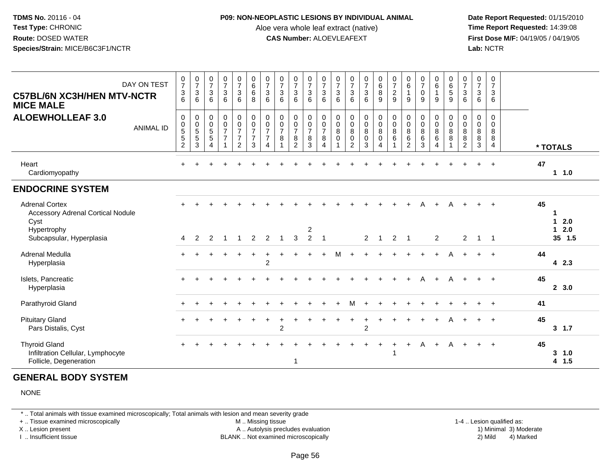#### **P09: NON-NEOPLASTIC LESIONS BY INDIVIDUAL ANIMAL**

Aloe vera whole leaf extract (native)<br>**CAS Number:** ALOEVLEAFEXT

 **Date Report Requested:** 01/15/2010 **First Dose M/F:** 04/19/05 / 04/19/05<br>**Lab:** NCTR **Lab:** NCTR

| DAY ON TEST<br><b>C57BL/6N XC3H/HEN MTV-NCTR</b><br><b>MICE MALE</b>                     | $\frac{0}{7}$<br>$\mathbf{3}$<br>6                                                        | $\frac{0}{7}$<br>$\mathbf{3}$<br>6                           | $\frac{0}{7}$<br>$\mathsf 3$<br>6                                 | $\frac{0}{7}$<br>$\mathbf{3}$<br>6                          | $\frac{0}{7}$<br>$\mathbf{3}$<br>6                                            | $\begin{matrix} 0 \\ 6 \end{matrix}$<br>$\,6\,$<br>8 | $\frac{0}{7}$<br>$\mathfrak{Z}$<br>6         | $\frac{0}{7}$<br>$\sqrt{3}$<br>6                      | $\begin{smallmatrix}0\\7\end{smallmatrix}$<br>$\mathbf{3}$<br>6                   | $\frac{0}{7}$<br>$\sqrt{3}$<br>6                          | $\frac{0}{7}$<br>$\sqrt{3}$<br>6                                         | $\frac{0}{7}$<br>$\mathbf 3$<br>6                          | $\frac{0}{7}$<br>$\mathbf{3}$<br>6                                                     | $\begin{array}{c} 0 \\ 7 \\ 3 \end{array}$<br>6                  | $\begin{array}{c} 0 \\ 6 \end{array}$<br>8<br>9                 | $\frac{0}{7}$<br>$\boldsymbol{2}$<br>$\overline{9}$      | $\begin{array}{c} 0 \\ 6 \end{array}$<br>$\mathbf{1}$<br>9                    | $\frac{0}{7}$<br>$\mathbf 0$<br>9                          | $\begin{array}{c} 0 \\ 6 \end{array}$<br>$\mathbf{1}$<br>9                        | $_{6}^{\rm 0}$<br>$\overline{5}$<br>9   | $\frac{0}{7}$<br>$\mathfrak{S}$<br>6 | $\frac{0}{7}$<br>$\mathsf 3$<br>$6\phantom{1}6$                | 0<br>$\overline{7}$<br>$\mathbf{3}$<br>6           |                            |
|------------------------------------------------------------------------------------------|-------------------------------------------------------------------------------------------|--------------------------------------------------------------|-------------------------------------------------------------------|-------------------------------------------------------------|-------------------------------------------------------------------------------|------------------------------------------------------|----------------------------------------------|-------------------------------------------------------|-----------------------------------------------------------------------------------|-----------------------------------------------------------|--------------------------------------------------------------------------|------------------------------------------------------------|----------------------------------------------------------------------------------------|------------------------------------------------------------------|-----------------------------------------------------------------|----------------------------------------------------------|-------------------------------------------------------------------------------|------------------------------------------------------------|-----------------------------------------------------------------------------------|-----------------------------------------|--------------------------------------|----------------------------------------------------------------|----------------------------------------------------|----------------------------|
| <b>ALOEWHOLLEAF 3.0</b><br><b>ANIMAL ID</b>                                              | $\mathsf{O}$<br>$\begin{array}{c} 0 \\ 5 \end{array}$<br>$\overline{5}$<br>$\overline{2}$ | $\pmb{0}$<br>$\begin{array}{c} 0 \\ 5 \\ 5 \end{array}$<br>3 | $\begin{array}{c} 0 \\ 0 \\ 5 \\ 5 \end{array}$<br>$\overline{4}$ | $\begin{matrix} 0 \\ 0 \\ 7 \end{matrix}$<br>$\overline{7}$ | $\begin{matrix} 0 \\ 0 \\ 7 \end{matrix}$<br>$\overline{7}$<br>$\overline{2}$ | $\pmb{0}$<br>$\frac{0}{7}$<br>$\overline{7}$<br>3    | $\pmb{0}$<br>$\frac{0}{7}$<br>$\overline{7}$ | $\begin{array}{c} 0 \\ 0 \\ 7 \end{array}$<br>$\bf 8$ | $\mathsf 0$<br>$\begin{array}{c} 0 \\ 7 \end{array}$<br>$\bf 8$<br>$\overline{2}$ | $\begin{matrix} 0 \\ 0 \\ 7 \end{matrix}$<br>$\bf 8$<br>3 | $\pmb{0}$<br>$\begin{matrix} 0 \\ 7 \end{matrix}$<br>8<br>$\overline{4}$ | $\begin{smallmatrix}0\0\0\8\end{smallmatrix}$<br>$\pmb{0}$ | $\begin{smallmatrix}0\0\0\8\end{smallmatrix}$<br>$\mathsf{O}\xspace$<br>$\overline{2}$ | $\begin{matrix} 0 \\ 0 \\ 8 \\ 0 \end{matrix}$<br>$\overline{3}$ | $\begin{smallmatrix}0\0\0\8\end{smallmatrix}$<br>$\pmb{0}$<br>4 | $\begin{smallmatrix}0\0\0\8\end{smallmatrix}$<br>$\,6\,$ | $\begin{matrix} 0 \\ 0 \\ 8 \end{matrix}$<br>$6\phantom{a}$<br>$\overline{2}$ | $\mathbf 0$<br>$\pmb{0}$<br>$\overline{8}$<br>$\,6\,$<br>3 | $\begin{smallmatrix}0\0\0\8\end{smallmatrix}$<br>$6\phantom{a}$<br>$\overline{4}$ | 0<br>$\mathbf 0$<br>$\overline{8}$<br>8 | 0<br>0888                            | $\begin{smallmatrix}0\0\0\8\end{smallmatrix}$<br>$\frac{8}{3}$ | $\mathbf 0$<br>0<br>8<br>$\bf 8$<br>$\overline{4}$ | * TOTALS                   |
| Heart<br>Cardiomyopathy                                                                  | $+$                                                                                       |                                                              |                                                                   |                                                             |                                                                               |                                                      |                                              |                                                       |                                                                                   |                                                           |                                                                          |                                                            |                                                                                        |                                                                  |                                                                 |                                                          |                                                                               |                                                            |                                                                                   |                                         |                                      |                                                                | $+$                                                | 47<br>1.0                  |
| <b>ENDOCRINE SYSTEM</b>                                                                  |                                                                                           |                                                              |                                                                   |                                                             |                                                                               |                                                      |                                              |                                                       |                                                                                   |                                                           |                                                                          |                                                            |                                                                                        |                                                                  |                                                                 |                                                          |                                                                               |                                                            |                                                                                   |                                         |                                      |                                                                |                                                    |                            |
| <b>Adrenal Cortex</b><br><b>Accessory Adrenal Cortical Nodule</b><br>Cyst<br>Hypertrophy |                                                                                           |                                                              |                                                                   |                                                             |                                                                               |                                                      |                                              |                                                       |                                                                                   | $\overline{c}$                                            |                                                                          |                                                            |                                                                                        |                                                                  |                                                                 |                                                          |                                                                               | Α                                                          | $+$                                                                               | A                                       |                                      |                                                                | $+$                                                | 45<br>2.0<br>1.<br>$1 2.0$ |
| Subcapsular, Hyperplasia                                                                 | 4                                                                                         | 2                                                            | 2                                                                 | -1                                                          | -1                                                                            | 2                                                    | 2                                            | $\overline{1}$                                        | 3                                                                                 | $\overline{2}$                                            | $\overline{1}$                                                           |                                                            |                                                                                        | $2^{\circ}$                                                      | $\mathbf{1}$                                                    | $\overline{2}$                                           | $\overline{1}$                                                                |                                                            | $\overline{2}$                                                                    |                                         | $\overline{2}$                       | $1 \quad 1$                                                    |                                                    | 35 1.5                     |
| Adrenal Medulla<br>Hyperplasia                                                           | $\ddot{}$                                                                                 |                                                              |                                                                   |                                                             |                                                                               |                                                      | $\overline{c}$                               |                                                       |                                                                                   |                                                           | $\ddot{}$                                                                | м                                                          | $\ddot{}$                                                                              |                                                                  |                                                                 |                                                          |                                                                               |                                                            |                                                                                   | A                                       |                                      |                                                                | $+$                                                | 44<br>42.3                 |
| Islets, Pancreatic<br>Hyperplasia                                                        |                                                                                           |                                                              |                                                                   |                                                             |                                                                               |                                                      |                                              |                                                       |                                                                                   |                                                           |                                                                          |                                                            |                                                                                        |                                                                  |                                                                 |                                                          |                                                                               | А                                                          |                                                                                   | А                                       |                                      |                                                                | $+$                                                | 45<br>2, 3.0               |
| Parathyroid Gland                                                                        |                                                                                           |                                                              |                                                                   |                                                             |                                                                               |                                                      |                                              |                                                       |                                                                                   |                                                           |                                                                          |                                                            | м                                                                                      |                                                                  |                                                                 |                                                          |                                                                               |                                                            |                                                                                   |                                         |                                      |                                                                |                                                    | 41                         |
| <b>Pituitary Gland</b><br>Pars Distalis, Cyst                                            |                                                                                           |                                                              |                                                                   |                                                             |                                                                               |                                                      |                                              | $\overline{2}$                                        |                                                                                   |                                                           |                                                                          |                                                            |                                                                                        | $\overline{2}$                                                   |                                                                 |                                                          |                                                                               |                                                            |                                                                                   | А                                       |                                      |                                                                | $+$                                                | 45<br>3, 1.7               |
| <b>Thyroid Gland</b><br>Infiltration Cellular, Lymphocyte<br>Follicle, Degeneration      | $\ddot{}$                                                                                 |                                                              |                                                                   |                                                             |                                                                               |                                                      |                                              |                                                       |                                                                                   |                                                           |                                                                          |                                                            |                                                                                        |                                                                  | $\div$                                                          |                                                          | $\ddot{}$                                                                     | A                                                          | $+$                                                                               | A                                       | $+$                                  | $+$                                                            | $+$                                                | 45<br>3, 1.0<br>4 1.5      |

# **GENERAL BODY SYSTEM**

NONE

\* .. Total animals with tissue examined microscopically; Total animals with lesion and mean severity grade

+ .. Tissue examined microscopically

X .. Lesion present

I .. Insufficient tissue

 M .. Missing tissueA .. Autolysis precludes evaluation

BLANK .. Not examined microscopically 2) Mild 4) Marked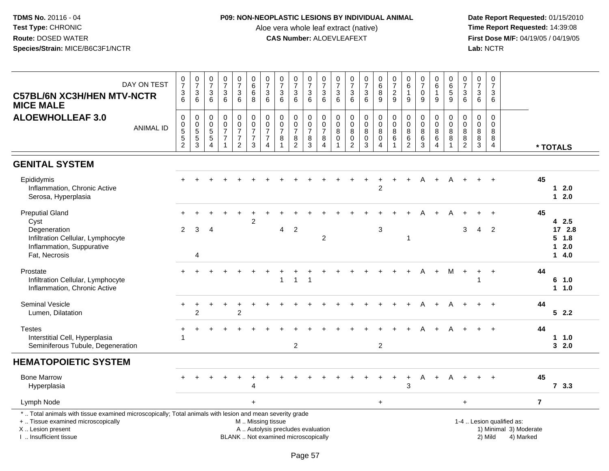## **P09: NON-NEOPLASTIC LESIONS BY INDIVIDUAL ANIMAL**

Aloe vera whole leaf extract (native)<br>**CAS Number:** ALOEVLEAFEXT

| DAY ON TEST<br><b>C57BL/6N XC3H/HEN MTV-NCTR</b><br><b>MICE MALE</b>                                                                                                                          | $\begin{array}{c} 0 \\ 7 \end{array}$<br>$\frac{3}{6}$            | $\frac{0}{7}$<br>$\sqrt{3}$<br>6           | $\begin{array}{c} 0 \\ 7 \end{array}$<br>3<br>6                                   | $\frac{0}{7}$<br>3<br>6                                                      | $\frac{0}{7}$<br>3<br>6                                                   | $\begin{array}{c} 0 \\ 6 \end{array}$<br>6<br>8                        | $\begin{array}{c} 0 \\ 7 \end{array}$<br>$\mathfrak{Z}$<br>6                           | $\begin{array}{c} 0 \\ 7 \end{array}$<br>$\sqrt{3}$<br>6                  | $\frac{0}{7}$<br>$\ensuremath{\mathsf{3}}$<br>6                                   | $\frac{0}{7}$<br>$\mathfrak{S}$<br>6         | $\begin{array}{c} 0 \\ 7 \end{array}$<br>$\ensuremath{\mathsf{3}}$<br>6 | $\frac{0}{7}$<br>3<br>6                          | $\frac{0}{7}$<br>$\ensuremath{\mathsf{3}}$<br>6                  | $\begin{array}{c} 0 \\ 7 \end{array}$<br>$\frac{3}{6}$                         | $\begin{array}{c} 0 \\ 6 \end{array}$<br>$\bf 8$<br>9 | $\frac{0}{7}$<br>$\overline{c}$<br>9                         | 0<br>$\overline{6}$<br>$\mathbf{1}$<br>9                 | $\frac{0}{7}$<br>$\mathbf 0$<br>9                           | $_{6}^{\rm 0}$<br>$\mathbf{1}$<br>9                       | $\begin{array}{c} 0 \\ 6 \end{array}$<br>$5\phantom{.0}$<br>9 | $\frac{0}{7}$<br>$\ensuremath{\mathsf{3}}$<br>6           | $\begin{array}{c} 0 \\ 7 \end{array}$<br>$\mathsf 3$<br>6              | $\pmb{0}$<br>$\overline{7}$<br>3<br>6 |                                                                  |                |                                     |
|-----------------------------------------------------------------------------------------------------------------------------------------------------------------------------------------------|-------------------------------------------------------------------|--------------------------------------------|-----------------------------------------------------------------------------------|------------------------------------------------------------------------------|---------------------------------------------------------------------------|------------------------------------------------------------------------|----------------------------------------------------------------------------------------|---------------------------------------------------------------------------|-----------------------------------------------------------------------------------|----------------------------------------------|-------------------------------------------------------------------------|--------------------------------------------------|------------------------------------------------------------------|--------------------------------------------------------------------------------|-------------------------------------------------------|--------------------------------------------------------------|----------------------------------------------------------|-------------------------------------------------------------|-----------------------------------------------------------|---------------------------------------------------------------|-----------------------------------------------------------|------------------------------------------------------------------------|---------------------------------------|------------------------------------------------------------------|----------------|-------------------------------------|
| <b>ALOEWHOLLEAF 3.0</b><br><b>ANIMAL ID</b>                                                                                                                                                   | $\mathbf 0$<br>$\pmb{0}$<br>5<br>$\overline{5}$<br>$\overline{2}$ | $\pmb{0}$<br>$\frac{0}{5}$<br>$\mathbf{3}$ | $\mathbf 0$<br>$\boldsymbol{0}$<br>$\sqrt{5}$<br>$\overline{5}$<br>$\overline{4}$ | $\pmb{0}$<br>$\mathbf 0$<br>$\overline{7}$<br>$\overline{7}$<br>$\mathbf{1}$ | 0<br>$\overline{0}$<br>$\overline{7}$<br>$\overline{7}$<br>$\overline{2}$ | $_{\rm 0}^{\rm 0}$<br>$\overline{7}$<br>$\overline{7}$<br>$\mathbf{3}$ | $\pmb{0}$<br>$\ddot{\mathbf{0}}$<br>$\overline{7}$<br>$\overline{7}$<br>$\overline{4}$ | $\pmb{0}$<br>$\ddot{\mathbf{0}}$<br>$\overline{7}$<br>8<br>$\overline{1}$ | $\mathbf 0$<br>$\ddot{\mathbf{0}}$<br>$\overline{7}$<br>$\,8\,$<br>$\overline{2}$ | 0<br>$\mathbf 0$<br>$\overline{7}$<br>8<br>3 | $\pmb{0}$<br>$\frac{0}{7}$<br>8<br>$\overline{4}$                       | $\pmb{0}$<br>$\bar{0}$<br>8<br>0<br>$\mathbf{1}$ | $\pmb{0}$<br>$\pmb{0}$<br>$\,8\,$<br>$\pmb{0}$<br>$\overline{c}$ | $\mathbf 0$<br>$\ddot{\mathbf{0}}$<br>$\, 8$<br>$\overline{0}$<br>$\mathbf{3}$ | $\mathbf 0$<br>$\pmb{0}$<br>8<br>$\pmb{0}$<br>4       | $\pmb{0}$<br>$\overline{0}$<br>$\, 8$<br>6<br>$\overline{1}$ | $\mathbf 0$<br>$\pmb{0}$<br>8<br>$\,6$<br>$\overline{2}$ | $\pmb{0}$<br>$\mathbf 0$<br>$\, 8$<br>$\,6$<br>$\mathbf{3}$ | 0<br>$\mathbf 0$<br>$\bf8$<br>6<br>$\boldsymbol{\Lambda}$ | 0<br>$\mathbf 0$<br>8<br>$\,8\,$                              | 0<br>$\mathbf 0$<br>8<br>$\overline{8}$<br>$\overline{2}$ | $\boldsymbol{0}$<br>$\mathbf 0$<br>8<br>$\overline{8}$<br>$\mathbf{3}$ | $\pmb{0}$<br>$\Omega$<br>8<br>8<br>4  |                                                                  |                | * TOTALS                            |
| <b>GENITAL SYSTEM</b>                                                                                                                                                                         |                                                                   |                                            |                                                                                   |                                                                              |                                                                           |                                                                        |                                                                                        |                                                                           |                                                                                   |                                              |                                                                         |                                                  |                                                                  |                                                                                |                                                       |                                                              |                                                          |                                                             |                                                           |                                                               |                                                           |                                                                        |                                       |                                                                  |                |                                     |
| Epididymis<br>Inflammation, Chronic Active<br>Serosa, Hyperplasia                                                                                                                             |                                                                   |                                            |                                                                                   |                                                                              |                                                                           |                                                                        |                                                                                        |                                                                           |                                                                                   |                                              |                                                                         |                                                  |                                                                  |                                                                                | $\overline{2}$                                        |                                                              |                                                          | А                                                           |                                                           |                                                               |                                                           |                                                                        |                                       |                                                                  | 45             | $12.0$<br>$12.0$                    |
| <b>Preputial Gland</b><br>Cyst                                                                                                                                                                |                                                                   |                                            |                                                                                   |                                                                              |                                                                           | $\overline{c}$                                                         |                                                                                        |                                                                           |                                                                                   |                                              |                                                                         |                                                  |                                                                  |                                                                                |                                                       |                                                              |                                                          |                                                             |                                                           | А                                                             |                                                           |                                                                        | $\overline{ }$                        |                                                                  | 45             | 42.5                                |
| Degeneration<br>Infiltration Cellular, Lymphocyte<br>Inflammation, Suppurative<br>Fat, Necrosis                                                                                               | $\overline{2}$                                                    | 3<br>4                                     | 4                                                                                 |                                                                              |                                                                           |                                                                        |                                                                                        | 4                                                                         | $\sqrt{2}$                                                                        |                                              | $\overline{c}$                                                          |                                                  |                                                                  |                                                                                | 3                                                     |                                                              | $\mathbf{1}$                                             |                                                             |                                                           |                                                               | 3                                                         | 4                                                                      | $\overline{2}$                        |                                                                  |                | 17 2.8<br>$5$ 1.8<br>$12.0$<br>14.0 |
| Prostate<br>Infiltration Cellular, Lymphocyte<br>Inflammation, Chronic Active                                                                                                                 |                                                                   |                                            |                                                                                   |                                                                              |                                                                           |                                                                        |                                                                                        | $\overline{1}$                                                            | $\mathbf{1}$                                                                      | $\mathbf{1}$                                 |                                                                         |                                                  |                                                                  |                                                                                |                                                       |                                                              |                                                          | А                                                           | $\ddot{}$                                                 | м                                                             |                                                           | 1                                                                      |                                       |                                                                  | 44             | 6<br>1.0<br>$1 1.0$                 |
| Seminal Vesicle<br>Lumen, Dilatation                                                                                                                                                          | $\ddot{}$                                                         | $\overline{2}$                             |                                                                                   |                                                                              | $\overline{2}$                                                            |                                                                        |                                                                                        |                                                                           |                                                                                   |                                              |                                                                         |                                                  |                                                                  |                                                                                |                                                       |                                                              |                                                          |                                                             |                                                           |                                                               |                                                           |                                                                        |                                       |                                                                  | 44             | 52.2                                |
| <b>Testes</b><br>Interstitial Cell, Hyperplasia<br>Seminiferous Tubule, Degeneration                                                                                                          |                                                                   |                                            |                                                                                   |                                                                              |                                                                           |                                                                        |                                                                                        |                                                                           | $\overline{c}$                                                                    |                                              |                                                                         |                                                  |                                                                  |                                                                                | $\overline{2}$                                        |                                                              |                                                          |                                                             |                                                           |                                                               |                                                           |                                                                        |                                       |                                                                  | 44             | 11.0<br>32.0                        |
| <b>HEMATOPOIETIC SYSTEM</b>                                                                                                                                                                   |                                                                   |                                            |                                                                                   |                                                                              |                                                                           |                                                                        |                                                                                        |                                                                           |                                                                                   |                                              |                                                                         |                                                  |                                                                  |                                                                                |                                                       |                                                              |                                                          |                                                             |                                                           |                                                               |                                                           |                                                                        |                                       |                                                                  |                |                                     |
| <b>Bone Marrow</b><br>Hyperplasia                                                                                                                                                             |                                                                   |                                            |                                                                                   |                                                                              |                                                                           | $\overline{4}$                                                         |                                                                                        |                                                                           |                                                                                   |                                              |                                                                         |                                                  |                                                                  |                                                                                |                                                       |                                                              | 3                                                        | A                                                           |                                                           |                                                               |                                                           |                                                                        |                                       |                                                                  | 45             | 73.3                                |
| Lymph Node                                                                                                                                                                                    |                                                                   |                                            |                                                                                   |                                                                              |                                                                           | $+$                                                                    |                                                                                        |                                                                           |                                                                                   |                                              |                                                                         |                                                  |                                                                  |                                                                                | $+$                                                   |                                                              |                                                          |                                                             |                                                           |                                                               | $\ddot{}$                                                 |                                                                        |                                       |                                                                  | $\overline{7}$ |                                     |
| *  Total animals with tissue examined microscopically; Total animals with lesion and mean severity grade<br>+  Tissue examined microscopically<br>X  Lesion present<br>I. Insufficient tissue |                                                                   |                                            |                                                                                   |                                                                              |                                                                           | M  Missing tissue                                                      |                                                                                        | A  Autolysis precludes evaluation<br>BLANK  Not examined microscopically  |                                                                                   |                                              |                                                                         |                                                  |                                                                  |                                                                                |                                                       |                                                              |                                                          |                                                             |                                                           |                                                               |                                                           |                                                                        | 2) Mild                               | 1-4  Lesion qualified as:<br>1) Minimal 3) Moderate<br>4) Marked |                |                                     |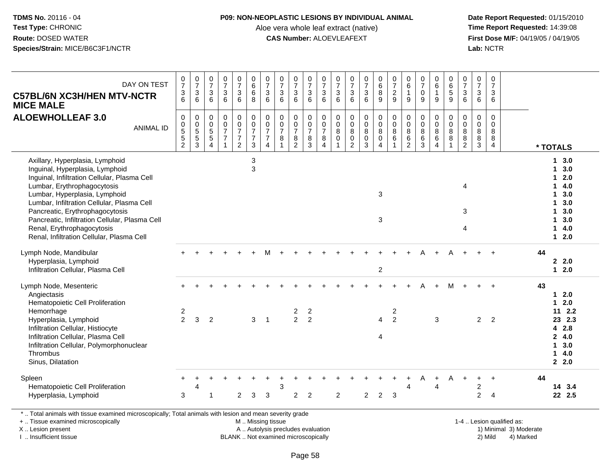#### **P09: NON-NEOPLASTIC LESIONS BY INDIVIDUAL ANIMAL**

Aloe vera whole leaf extract (native)<br>**CAS Number:** ALOEVLEAFEXT

 **Date Report Requested:** 01/15/2010 **First Dose M/F:** 04/19/05 / 04/19/05<br>Lab: NCTR **Lab:** NCTR

| DAY ON TEST<br><b>C57BL/6N XC3H/HEN MTV-NCTR</b><br><b>MICE MALE</b>                                                                                                                                                                                                                                                                                                                             | $\frac{0}{7}$<br>$\frac{3}{6}$                                    | $\begin{array}{c} 0 \\ 7 \end{array}$<br>$\sqrt{3}$<br>6 | $\frac{0}{7}$<br>$\ensuremath{\mathsf{3}}$<br>6 | $\frac{0}{7}$<br>$\ensuremath{\mathsf{3}}$<br>6                | $\frac{0}{7}$<br>$\mathbf{3}$<br>$6\phantom{a}$                | $_{6}^{\rm 0}$<br>$6\overline{6}$<br>8                        | $\begin{array}{c} 0 \\ 7 \end{array}$<br>$\sqrt{3}$<br>$6\phantom{1}$         | $\frac{0}{7}$<br>$\sqrt{3}$<br>6                                      | $\frac{0}{7}$<br>$\ensuremath{\mathsf{3}}$<br>6     | $\frac{0}{7}$<br>$\mathbf{3}$<br>6     | $\frac{0}{7}$<br>$\sqrt{3}$<br>6                  | $\frac{0}{7}$<br>$\ensuremath{\mathsf{3}}$<br>6  | $\frac{0}{7}$<br>$\ensuremath{\mathsf{3}}$<br>6                    | $\frac{0}{7}$<br>$\ensuremath{\mathsf{3}}$<br>6                   | $_{6}^{\rm 0}$<br>$\overline{8}$<br>$\overline{9}$                 | 0<br>$\overline{7}$<br>$\frac{2}{9}$          | $_6^0$<br>$\mathbf{1}$<br>9                              | $\frac{0}{7}$<br>$\pmb{0}$<br>9                                | $\begin{array}{c} 0 \\ 6 \end{array}$<br>$\mathbf{1}$<br>9       | $\begin{array}{c} 0 \\ 6 \end{array}$<br>$\overline{5}$<br>9     | 0<br>$\overline{7}$<br>$\sqrt{3}$<br>6                     | $\pmb{0}$<br>$\overline{7}$<br>$\sqrt{3}$<br>6                    | $\pmb{0}$<br>$\overline{7}$<br>$\mathbf{3}$<br>6               |    |                                                                                              |
|--------------------------------------------------------------------------------------------------------------------------------------------------------------------------------------------------------------------------------------------------------------------------------------------------------------------------------------------------------------------------------------------------|-------------------------------------------------------------------|----------------------------------------------------------|-------------------------------------------------|----------------------------------------------------------------|----------------------------------------------------------------|---------------------------------------------------------------|-------------------------------------------------------------------------------|-----------------------------------------------------------------------|-----------------------------------------------------|----------------------------------------|---------------------------------------------------|--------------------------------------------------|--------------------------------------------------------------------|-------------------------------------------------------------------|--------------------------------------------------------------------|-----------------------------------------------|----------------------------------------------------------|----------------------------------------------------------------|------------------------------------------------------------------|------------------------------------------------------------------|------------------------------------------------------------|-------------------------------------------------------------------|----------------------------------------------------------------|----|----------------------------------------------------------------------------------------------|
| <b>ALOEWHOLLEAF 3.0</b><br><b>ANIMAL ID</b>                                                                                                                                                                                                                                                                                                                                                      | 0<br>$\begin{smallmatrix}0\0\5\end{smallmatrix}$<br>$\frac{5}{2}$ | $\pmb{0}$<br>$\frac{0}{5}$<br>$\frac{5}{3}$              | 0<br>$\pmb{0}$<br>$5\,$<br>5<br>$\overline{4}$  | $\pmb{0}$<br>$\frac{0}{7}$<br>$\overline{7}$<br>$\overline{1}$ | $\pmb{0}$<br>$\frac{0}{7}$<br>$\overline{7}$<br>$\overline{2}$ | $\mathsf{O}\xspace$<br>$\frac{0}{7}$<br>$\boldsymbol{7}$<br>3 | $\begin{matrix} 0 \\ 0 \\ 7 \end{matrix}$<br>$\overline{7}$<br>$\overline{4}$ | $\pmb{0}$<br>$\pmb{0}$<br>$\overline{7}$<br>8<br>$\blacktriangleleft$ | $\mathsf 0$<br>$\frac{0}{7}$<br>8<br>$\overline{c}$ | $\mathbf 0$<br>$\frac{0}{7}$<br>8<br>3 | $\pmb{0}$<br>$\frac{0}{7}$<br>8<br>$\overline{4}$ | $\pmb{0}$<br>$\mathbf 0$<br>$\bf 8$<br>$\pmb{0}$ | $\mathbf 0$<br>$\pmb{0}$<br>$\bf 8$<br>$\pmb{0}$<br>$\overline{c}$ | $\pmb{0}$<br>$\mathbf 0$<br>$\, 8$<br>$\mathbf 0$<br>$\mathbf{3}$ | $\pmb{0}$<br>$\pmb{0}$<br>$\bf 8$<br>$\mathbf 0$<br>$\overline{4}$ | $\pmb{0}$<br>$\mathbf 0$<br>$\bf 8$<br>6<br>1 | $\pmb{0}$<br>$\pmb{0}$<br>$\bf 8$<br>6<br>$\overline{2}$ | $\pmb{0}$<br>$\pmb{0}$<br>$\bf 8$<br>$\,6\,$<br>$\overline{3}$ | $\mathbf 0$<br>$\mathbf 0$<br>$\bf 8$<br>$\,6$<br>$\overline{4}$ | 0<br>$\mathsf{O}\xspace$<br>$\bf 8$<br>$\bf 8$<br>$\overline{1}$ | $\pmb{0}$<br>$\mathbf 0$<br>8<br>$\bf 8$<br>$\overline{2}$ | $\boldsymbol{0}$<br>$\mathbf 0$<br>$\, 8$<br>$\, 8$<br>$\sqrt{3}$ | $\mathsf{O}\xspace$<br>$\mathbf 0$<br>8<br>8<br>$\overline{4}$ |    | * TOTALS                                                                                     |
| Axillary, Hyperplasia, Lymphoid<br>Inguinal, Hyperplasia, Lymphoid<br>Inguinal, Infiltration Cellular, Plasma Cell<br>Lumbar, Erythrophagocytosis<br>Lumbar, Hyperplasia, Lymphoid<br>Lumbar, Infiltration Cellular, Plasma Cell<br>Pancreatic, Erythrophagocytosis<br>Pancreatic, Infiltration Cellular, Plasma Cell<br>Renal, Erythrophagocytosis<br>Renal, Infiltration Cellular, Plasma Cell |                                                                   |                                                          |                                                 |                                                                |                                                                | 3<br>3                                                        |                                                                               |                                                                       |                                                     |                                        |                                                   |                                                  |                                                                    |                                                                   | 3<br>3                                                             |                                               |                                                          |                                                                |                                                                  |                                                                  | 4<br>3<br>4                                                |                                                                   |                                                                |    | 13.0<br>$1 \quad 3.0$<br>$12.0$<br>14.0<br>$1 3.0$<br>13.0<br>13.0<br>13.0<br>14.0<br>$12.0$ |
| Lymph Node, Mandibular<br>Hyperplasia, Lymphoid<br>Infiltration Cellular, Plasma Cell                                                                                                                                                                                                                                                                                                            |                                                                   |                                                          |                                                 |                                                                |                                                                |                                                               |                                                                               |                                                                       |                                                     |                                        |                                                   |                                                  |                                                                    |                                                                   | $\overline{c}$                                                     |                                               |                                                          |                                                                |                                                                  |                                                                  |                                                            |                                                                   |                                                                | 44 | 2.2.0<br>$12.0$                                                                              |
| Lymph Node, Mesenteric<br>Angiectasis<br>Hematopoietic Cell Proliferation<br>Hemorrhage<br>Hyperplasia, Lymphoid<br>Infiltration Cellular, Histiocyte<br>Infiltration Cellular, Plasma Cell<br>Infiltration Cellular, Polymorphonuclear<br>Thrombus<br>Sinus, Dilatation                                                                                                                         | 2<br>$\overline{2}$                                               | 3                                                        | $\overline{2}$                                  |                                                                |                                                                | $\mathbf{3}$                                                  | $\overline{\phantom{0}}$ 1                                                    |                                                                       | $\overline{2}$<br>$\overline{2}$                    | $\overline{c}$<br>$\overline{2}$       |                                                   |                                                  |                                                                    |                                                                   | $\overline{4}$<br>4                                                | $\overline{c}$<br>$\overline{2}$              |                                                          |                                                                | $\mathbf{3}$                                                     | М                                                                |                                                            | $\overline{2}$                                                    | $\overline{2}$                                                 | 43 | $12.0$<br>$12.0$<br>112.2<br>23 2.3<br>4 2.8<br>24.0<br>13.0<br>14.0<br>2.0                  |
| Spleen<br>Hematopoietic Cell Proliferation<br>Hyperplasia, Lymphoid                                                                                                                                                                                                                                                                                                                              | 3                                                                 | 4                                                        | 1                                               |                                                                | $\boldsymbol{2}$                                               | 3                                                             | 3                                                                             | 3                                                                     | $\overline{2}$                                      | $\overline{2}$                         |                                                   | $\overline{2}$                                   |                                                                    | $\overline{2}$                                                    | $\sqrt{2}$                                                         | 3                                             | $\overline{4}$                                           |                                                                | $\overline{4}$                                                   |                                                                  |                                                            | $\overline{c}$<br>$\overline{c}$                                  | 4                                                              | 44 | 14 3.4<br>22 2.5                                                                             |
| *  Total animals with tissue examined microscopically; Total animals with lesion and mean severity grade                                                                                                                                                                                                                                                                                         |                                                                   |                                                          |                                                 |                                                                |                                                                |                                                               |                                                                               |                                                                       |                                                     |                                        |                                                   |                                                  |                                                                    |                                                                   |                                                                    |                                               |                                                          |                                                                |                                                                  |                                                                  |                                                            |                                                                   |                                                                |    |                                                                                              |

+ .. Tissue examined microscopically

X .. Lesion present

I .. Insufficient tissue

 M .. Missing tissueA .. Autolysis precludes evaluation

BLANK .. Not examined microscopically 2) Mild 4) Marked

1-4 .. Lesion qualified as: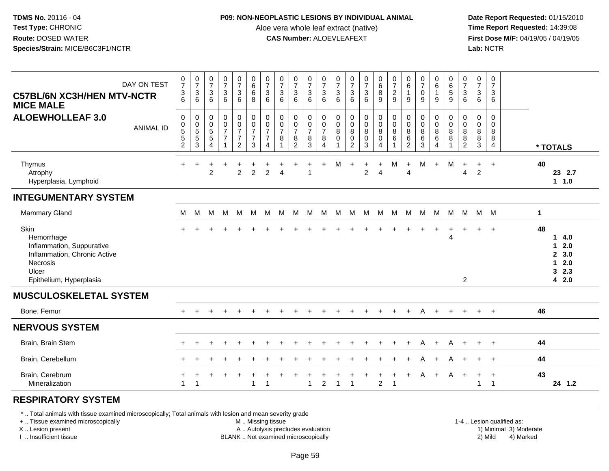## **P09: NON-NEOPLASTIC LESIONS BY INDIVIDUAL ANIMAL**

Aloe vera whole leaf extract (native)<br>**CAS Number:** ALOEVLEAFEXT

 **Date Report Requested:** 01/15/2010 **First Dose M/F:** 04/19/05 / 04/19/05<br>Lab: NCTR **Lab:** NCTR

| DAY ON TEST<br><b>C57BL/6N XC3H/HEN MTV-NCTR</b><br><b>MICE MALE</b>                                                            | $\frac{0}{7}$<br>3<br>$\overline{6}$           | $\frac{0}{7}$<br>3<br>6                                         | $\frac{0}{7}$<br>3<br>6 | $\frac{0}{7}$<br>3<br>6                    | $\frac{0}{7}$<br>$\frac{3}{6}$                                                 | $\begin{array}{c} 0 \\ 6 \end{array}$<br>6<br>8                      | $\frac{0}{7}$<br>3<br>6            | $\frac{0}{7}$<br>$\sqrt{3}$<br>6                          | $\frac{0}{7}$<br>3<br>6                         | $\frac{0}{7}$<br>$\frac{3}{6}$                          | $\frac{0}{7}$<br>$\mathfrak{S}$<br>$\,6$                | 0<br>$\overline{7}$<br>3<br>6 | $\frac{0}{7}$<br>$\ensuremath{\mathsf{3}}$<br>6 | $\frac{0}{7}$<br>$\mathbf{3}$<br>6        | 0<br>6<br>8<br>9                                      | $\frac{0}{7}$<br>$\frac{2}{9}$ | $^{\rm 0}_{\rm 6}$<br>$\mathbf{1}$<br>9            | $\frac{0}{7}$<br>0<br>9 | $\begin{array}{c} 0 \\ 6 \end{array}$<br>$\mathbf{1}$<br>9 | 0<br>$\,6\,$<br>5<br>9                              | $\frac{0}{7}$<br>3<br>6            | $\frac{0}{7}$<br>$\mathbf{3}$<br>$\,6\,$ | $\frac{0}{7}$<br>3<br>6                   |                                                                  |
|---------------------------------------------------------------------------------------------------------------------------------|------------------------------------------------|-----------------------------------------------------------------|-------------------------|--------------------------------------------|--------------------------------------------------------------------------------|----------------------------------------------------------------------|------------------------------------|-----------------------------------------------------------|-------------------------------------------------|---------------------------------------------------------|---------------------------------------------------------|-------------------------------|-------------------------------------------------|-------------------------------------------|-------------------------------------------------------|--------------------------------|----------------------------------------------------|-------------------------|------------------------------------------------------------|-----------------------------------------------------|------------------------------------|------------------------------------------|-------------------------------------------|------------------------------------------------------------------|
| <b>ALOEWHOLLEAF 3.0</b><br><b>ANIMAL ID</b>                                                                                     | 0<br>$\pmb{0}$<br>$\,$ 5 $\,$<br>$\frac{5}{2}$ | $\mathbf 0$<br>$\mathbf 0$<br>$\overline{5}$<br>$\sqrt{5}$<br>3 | 0<br>0<br>5<br>5<br>4   | 0<br>0<br>$\overline{7}$<br>$\overline{7}$ | 0<br>$\ddot{\mathbf{0}}$<br>$\overline{7}$<br>$\overline{7}$<br>$\overline{2}$ | $\mathbf 0$<br>0<br>$\overline{7}$<br>$\overline{7}$<br>$\mathbf{3}$ | 0<br>0<br>$\overline{7}$<br>7<br>4 | 0<br>$\mathbf 0$<br>$\overline{7}$<br>8<br>$\overline{1}$ | 0<br>0<br>$\overline{7}$<br>8<br>$\overline{2}$ | 0<br>$\pmb{0}$<br>$\overline{7}$<br>8<br>$\overline{3}$ | 0<br>$\pmb{0}$<br>$\overline{7}$<br>8<br>$\overline{4}$ | 0<br>0<br>8<br>0              | 0<br>$\pmb{0}$<br>8<br>0<br>$\overline{2}$      | 0<br>$\mathsf 0$<br>8<br>$\mathbf 0$<br>3 | $\mathbf 0$<br>0<br>8<br>0<br>$\overline{\mathbf{4}}$ | 0<br>$\mathbf 0$<br>8<br>6     | 0<br>$\mathbf 0$<br>8<br>$\,6\,$<br>$\overline{2}$ | 0<br>0<br>8<br>6<br>3   | 0<br>$\pmb{0}$<br>8<br>$\,6\,$<br>$\overline{4}$           | $\Omega$<br>$\mathbf 0$<br>8<br>8<br>$\overline{1}$ | 0<br>0<br>8<br>8<br>$\overline{2}$ | 0<br>0<br>8<br>8<br>$\overline{3}$       | $\mathbf 0$<br>$\mathbf 0$<br>8<br>8<br>4 | * TOTALS                                                         |
| Thymus<br>Atrophy<br>Hyperplasia, Lymphoid                                                                                      | $\ddot{}$                                      |                                                                 | $\overline{c}$          |                                            | +<br>$\overline{2}$                                                            | $\overline{c}$                                                       | $\overline{2}$                     | 4                                                         |                                                 | 1                                                       | $\ddot{}$                                               | M                             |                                                 | +<br>$\overline{c}$                       | $\ddot{}$<br>4                                        | М                              | $\ddot{}$<br>4                                     | M                       | $\ddot{}$                                                  | M                                                   | $\ddot{}$<br>4                     | $\ddot{}$<br>$\overline{2}$              | $\ddot{}$                                 | 40<br>23 2.7<br>$1 1.0$                                          |
| <b>INTEGUMENTARY SYSTEM</b>                                                                                                     |                                                |                                                                 |                         |                                            |                                                                                |                                                                      |                                    |                                                           |                                                 |                                                         |                                                         |                               |                                                 |                                           |                                                       |                                |                                                    |                         |                                                            |                                                     |                                    |                                          |                                           |                                                                  |
| <b>Mammary Gland</b>                                                                                                            | м                                              | M                                                               | M                       | M                                          | M                                                                              | M                                                                    | M                                  | м                                                         | M                                               | M                                                       | M                                                       | м                             | м                                               | M                                         | M                                                     | M                              | м                                                  | м                       | м                                                          | M                                                   | М                                  |                                          | M M                                       | $\mathbf{1}$                                                     |
| Skin<br>Hemorrhage<br>Inflammation, Suppurative<br>Inflammation, Chronic Active<br>Necrosis<br>Ulcer<br>Epithelium, Hyperplasia |                                                |                                                                 |                         |                                            |                                                                                |                                                                      |                                    |                                                           |                                                 |                                                         |                                                         |                               |                                                 |                                           |                                                       |                                |                                                    |                         |                                                            | $\overline{4}$                                      | $\overline{2}$                     |                                          | $\ddot{}$                                 | 48<br>4.0<br>1<br>2.0<br>1<br>2, 3.0<br>2.0<br>1<br>32.3<br>42.0 |
| <b>MUSCULOSKELETAL SYSTEM</b>                                                                                                   |                                                |                                                                 |                         |                                            |                                                                                |                                                                      |                                    |                                                           |                                                 |                                                         |                                                         |                               |                                                 |                                           |                                                       |                                |                                                    |                         |                                                            |                                                     |                                    |                                          |                                           |                                                                  |
| Bone, Femur                                                                                                                     |                                                |                                                                 |                         |                                            |                                                                                |                                                                      |                                    |                                                           |                                                 |                                                         |                                                         |                               |                                                 |                                           |                                                       |                                |                                                    | Α                       |                                                            |                                                     |                                    |                                          | $\ddot{}$                                 | 46                                                               |
| <b>NERVOUS SYSTEM</b>                                                                                                           |                                                |                                                                 |                         |                                            |                                                                                |                                                                      |                                    |                                                           |                                                 |                                                         |                                                         |                               |                                                 |                                           |                                                       |                                |                                                    |                         |                                                            |                                                     |                                    |                                          |                                           |                                                                  |
| Brain, Brain Stem                                                                                                               |                                                |                                                                 |                         |                                            |                                                                                |                                                                      |                                    |                                                           |                                                 |                                                         |                                                         |                               |                                                 |                                           |                                                       |                                |                                                    | A                       | $+$                                                        | A                                                   |                                    |                                          | $+$                                       | 44                                                               |
| Brain, Cerebellum                                                                                                               |                                                |                                                                 |                         |                                            |                                                                                |                                                                      |                                    |                                                           |                                                 |                                                         |                                                         |                               |                                                 |                                           |                                                       |                                |                                                    |                         | $\ddot{}$                                                  | A                                                   |                                    |                                          | $+$                                       | 44                                                               |
| Brain, Cerebrum<br>Mineralization                                                                                               | -1                                             | 1                                                               |                         |                                            |                                                                                | -1                                                                   | -1                                 |                                                           |                                                 | 1                                                       | $\overline{2}$                                          | 1                             | $\mathbf 1$                                     |                                           | $\overline{a}$                                        | $\overline{1}$                 | $\ddot{}$                                          | A                       | $+$                                                        | A                                                   | $\ddot{}$                          | $+$<br>$\mathbf{1}$                      | $\ddot{}$<br>$\mathbf{1}$                 | 43<br>24 1.2                                                     |
| <b>RESPIRATORY SYSTEM</b>                                                                                                       |                                                |                                                                 |                         |                                            |                                                                                |                                                                      |                                    |                                                           |                                                 |                                                         |                                                         |                               |                                                 |                                           |                                                       |                                |                                                    |                         |                                                            |                                                     |                                    |                                          |                                           |                                                                  |
| *  Total animals with tissue examined microscopically; Total animals with lesion and mean severity grade                        |                                                |                                                                 |                         |                                            |                                                                                |                                                                      |                                    |                                                           |                                                 |                                                         |                                                         |                               |                                                 |                                           |                                                       |                                |                                                    |                         |                                                            |                                                     |                                    |                                          |                                           |                                                                  |

+ .. Tissue examined microscopically

X .. Lesion present

I .. Insufficient tissue

M .. Missing tissue

BLANK .. Not examined microscopically

1-4 .. Lesion qualified as:<br>1) Minimal 3) Moderate A .. Autolysis precludes evaluation 19 and 10 minimal 3) Moderate 1 and 20 minimal 3) Moderate 19 minimal 3) Moderat<br>19 and 19 and 19 and 19 and 19 and 19 and 19 and 19 and 19 and 19 and 19 and 19 and 19 and 19 and 19 and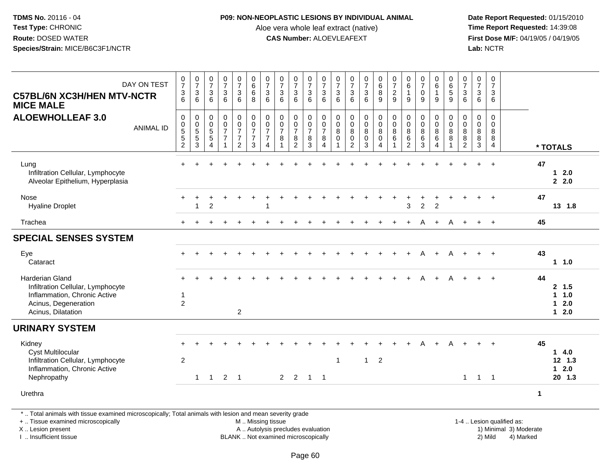## **P09: NON-NEOPLASTIC LESIONS BY INDIVIDUAL ANIMAL**

Aloe vera whole leaf extract (native)<br>**CAS Number:** ALOEVLEAFEXT

 **Date Report Requested:** 01/15/2010 **First Dose M/F:** 04/19/05 / 04/19/05<br>Lab: NCTR **Lab:** NCTR

| DAY ON TEST<br><b>C57BL/6N XC3H/HEN MTV-NCTR</b><br><b>MICE MALE</b>                                                                           | $\frac{0}{7}$<br>$\ensuremath{\mathsf{3}}$<br>$6\phantom{1}$              | $\begin{array}{c} 0 \\ 7 \end{array}$<br>$\mathbf{3}$<br>$6\phantom{1}$ | $\frac{0}{7}$<br>$\mathbf{3}$<br>6                                         | $\begin{array}{c} 0 \\ 7 \end{array}$<br>$\ensuremath{\mathsf{3}}$<br>$\,6\,$ | $\frac{0}{7}$<br>$\mathbf{3}$<br>6                               | $\begin{array}{c} 0 \\ 6 \end{array}$<br>$6\phantom{a}$<br>8      | $\begin{array}{c} 0 \\ 7 \end{array}$<br>$\sqrt{3}$<br>$6\phantom{1}$                      | $\frac{0}{7}$<br>$\ensuremath{\mathsf{3}}$<br>$6\phantom{1}$ | $\begin{array}{c} 0 \\ 7 \end{array}$<br>$\sqrt{3}$<br>$6\phantom{1}$ | $\begin{array}{c} 0 \\ 7 \end{array}$<br>$\sqrt{3}$<br>$6\phantom{1}6$  | $\frac{0}{7}$<br>$\sqrt{3}$<br>$\,6\,$                            | $\frac{0}{7}$<br>$\sqrt{3}$<br>6                             | $\frac{0}{7}$<br>$\sqrt{3}$<br>$6\phantom{a}$                        | $\begin{array}{c} 0 \\ 7 \end{array}$<br>$\sqrt{3}$<br>6 | $\begin{array}{c} 0 \\ 6 \end{array}$<br>$\overline{8}$<br>$\boldsymbol{9}$  | $\frac{0}{7}$<br>$\overline{2}$<br>9 | $\begin{array}{c} 0 \\ 6 \end{array}$<br>$\mathbf{1}$<br>9        | $\begin{array}{c} 0 \\ 7 \end{array}$<br>$\pmb{0}$<br>$\boldsymbol{9}$ | 0<br>$6\phantom{a}$<br>$\mathbf{1}$<br>9                  | $_{6}^{\rm 0}$<br>$\overline{5}$<br>9           | $\frac{0}{7}$<br>$\mathbf{3}$<br>$6\phantom{1}6$ | $\frac{0}{7}$<br>$\ensuremath{\mathsf{3}}$<br>6                                           | 0<br>$\overline{7}$<br>$\ensuremath{\mathsf{3}}$<br>$6\phantom{1}$ |                           |    |                                                   |
|------------------------------------------------------------------------------------------------------------------------------------------------|---------------------------------------------------------------------------|-------------------------------------------------------------------------|----------------------------------------------------------------------------|-------------------------------------------------------------------------------|------------------------------------------------------------------|-------------------------------------------------------------------|--------------------------------------------------------------------------------------------|--------------------------------------------------------------|-----------------------------------------------------------------------|-------------------------------------------------------------------------|-------------------------------------------------------------------|--------------------------------------------------------------|----------------------------------------------------------------------|----------------------------------------------------------|------------------------------------------------------------------------------|--------------------------------------|-------------------------------------------------------------------|------------------------------------------------------------------------|-----------------------------------------------------------|-------------------------------------------------|--------------------------------------------------|-------------------------------------------------------------------------------------------|--------------------------------------------------------------------|---------------------------|----|---------------------------------------------------|
| <b>ALOEWHOLLEAF 3.0</b><br><b>ANIMAL ID</b>                                                                                                    | $\pmb{0}$<br>$\begin{array}{c} 0 \\ 5 \\ 5 \end{array}$<br>$\overline{2}$ | $\mathbf 0$<br>$\begin{array}{c} 0 \\ 5 \\ 5 \\ 3 \end{array}$          | $\mathsf 0$<br>$\pmb{0}$<br>$\overline{5}$<br>$\sqrt{5}$<br>$\overline{4}$ | $\boldsymbol{0}$<br>$\frac{0}{7}$<br>$\overline{7}$<br>$\mathbf{1}$           | $\pmb{0}$<br>$\frac{0}{7}$<br>$\boldsymbol{7}$<br>$\overline{2}$ | $\begin{array}{c} 0 \\ 0 \\ 7 \end{array}$<br>$\overline{7}$<br>3 | $\mathbf 0$<br>$\begin{array}{c} 0 \\ 7 \end{array}$<br>$\boldsymbol{7}$<br>$\overline{4}$ | 0<br>$\frac{0}{7}$<br>$\bf 8$                                | 0<br>$\mathbf 0$<br>$\overline{7}$<br>$\bf 8$<br>$\overline{2}$       | $\mathbf 0$<br>$\pmb{0}$<br>$\overline{7}$<br>$\,8\,$<br>$\overline{3}$ | $\mathbf 0$<br>$\pmb{0}$<br>$\overline{7}$<br>8<br>$\overline{4}$ | 0<br>$\mathsf 0$<br>$\bf 8$<br>$\mathbf 0$<br>$\overline{1}$ | 0<br>$\overline{0}$<br>$\overline{8}$<br>$\pmb{0}$<br>$\overline{2}$ | 0<br>$\mathbf 0$<br>$\overline{8}$<br>$\mathbf 0$<br>3   | $\pmb{0}$<br>$\overline{0}$<br>$\overline{8}$<br>$\pmb{0}$<br>$\overline{4}$ | $\mathbf 0$<br>$\mathbf 0$<br>8<br>6 | $\mathbf 0$<br>$\mathbf 0$<br>$\bf8$<br>$\,6\,$<br>$\overline{2}$ | 0<br>$\pmb{0}$<br>$\overline{8}$<br>$\,6\,$<br>3                       | $\mathbf 0$<br>$\pmb{0}$<br>$\, 8$<br>6<br>$\overline{4}$ | $\mathbf 0$<br>$\mathbf 0$<br>$\bf 8$<br>8<br>1 | 0<br>0<br>$\bf 8$<br>$\bf 8$<br>$\overline{2}$   | $\mathsf{O}\xspace$<br>$\mathsf{O}\xspace$<br>$\overline{8}$<br>$\bf 8$<br>$\overline{3}$ | $\mathbf 0$<br>0<br>8<br>8<br>4                                    |                           |    | * TOTALS                                          |
| Lung<br>Infiltration Cellular, Lymphocyte<br>Alveolar Epithelium, Hyperplasia                                                                  |                                                                           |                                                                         |                                                                            |                                                                               |                                                                  |                                                                   |                                                                                            |                                                              |                                                                       |                                                                         |                                                                   |                                                              |                                                                      |                                                          |                                                                              |                                      |                                                                   |                                                                        |                                                           |                                                 |                                                  |                                                                                           | $\overline{+}$                                                     |                           | 47 | $12.0$<br>2.2.0                                   |
| Nose<br><b>Hyaline Droplet</b>                                                                                                                 | $\ddot{}$                                                                 | 1                                                                       | $\overline{2}$                                                             |                                                                               |                                                                  |                                                                   | -1                                                                                         |                                                              |                                                                       |                                                                         |                                                                   |                                                              |                                                                      |                                                          |                                                                              |                                      | 3                                                                 | $\overline{c}$                                                         | $\overline{2}$                                            |                                                 |                                                  | $+$                                                                                       | $+$                                                                |                           | 47 | 13 1.8                                            |
| Trachea                                                                                                                                        |                                                                           |                                                                         |                                                                            |                                                                               |                                                                  |                                                                   |                                                                                            |                                                              |                                                                       |                                                                         |                                                                   |                                                              |                                                                      |                                                          |                                                                              |                                      |                                                                   | A                                                                      |                                                           | Α                                               |                                                  | $+$                                                                                       | $+$                                                                |                           | 45 |                                                   |
| <b>SPECIAL SENSES SYSTEM</b>                                                                                                                   |                                                                           |                                                                         |                                                                            |                                                                               |                                                                  |                                                                   |                                                                                            |                                                              |                                                                       |                                                                         |                                                                   |                                                              |                                                                      |                                                          |                                                                              |                                      |                                                                   |                                                                        |                                                           |                                                 |                                                  |                                                                                           |                                                                    |                           |    |                                                   |
| Eye<br>Cataract                                                                                                                                | $+$                                                                       |                                                                         |                                                                            | $\div$                                                                        |                                                                  |                                                                   |                                                                                            |                                                              |                                                                       |                                                                         |                                                                   |                                                              |                                                                      |                                                          |                                                                              |                                      | $\ddot{}$                                                         | A                                                                      | $+$                                                       | A                                               | $+$                                              | $+$                                                                                       | $+$                                                                |                           | 43 | 11.0                                              |
| <b>Harderian Gland</b><br>Infiltration Cellular, Lymphocyte<br>Inflammation, Chronic Active<br>Acinus, Degeneration<br>Acinus, Dilatation      | 1<br>$\overline{c}$                                                       |                                                                         |                                                                            |                                                                               | $\overline{2}$                                                   |                                                                   |                                                                                            |                                                              |                                                                       |                                                                         |                                                                   |                                                              |                                                                      |                                                          |                                                                              |                                      |                                                                   |                                                                        |                                                           |                                                 |                                                  |                                                                                           |                                                                    |                           | 44 | 2, 1.5<br>$\mathbf{1}$<br>1.0<br>$12.0$<br>$12.0$ |
| <b>URINARY SYSTEM</b>                                                                                                                          |                                                                           |                                                                         |                                                                            |                                                                               |                                                                  |                                                                   |                                                                                            |                                                              |                                                                       |                                                                         |                                                                   |                                                              |                                                                      |                                                          |                                                                              |                                      |                                                                   |                                                                        |                                                           |                                                 |                                                  |                                                                                           |                                                                    |                           |    |                                                   |
| Kidney<br><b>Cyst Multilocular</b><br>Infiltration Cellular, Lymphocyte<br>Inflammation, Chronic Active                                        | $\overline{2}$                                                            |                                                                         |                                                                            |                                                                               |                                                                  |                                                                   |                                                                                            |                                                              |                                                                       |                                                                         |                                                                   | $\mathbf{1}$                                                 |                                                                      | $\mathbf{1}$                                             | $\overline{2}$                                                               |                                      |                                                                   |                                                                        |                                                           |                                                 |                                                  |                                                                                           |                                                                    |                           | 45 | 14.0<br>$12$ 1.3<br>$12.0$                        |
| Nephropathy                                                                                                                                    |                                                                           | $\mathbf{1}$                                                            | $\overline{1}$                                                             | $\overline{2}$                                                                | $\overline{\phantom{0}}$                                         |                                                                   |                                                                                            |                                                              | $2 \quad 2$                                                           | $\overline{1}$                                                          | $\overline{1}$                                                    |                                                              |                                                                      |                                                          |                                                                              |                                      |                                                                   |                                                                        |                                                           |                                                 | $\mathbf{1}$                                     | $\overline{1}$                                                                            | $\overline{\phantom{0}}$                                           |                           |    | 20 1.3                                            |
| Urethra                                                                                                                                        |                                                                           |                                                                         |                                                                            |                                                                               |                                                                  |                                                                   |                                                                                            |                                                              |                                                                       |                                                                         |                                                                   |                                                              |                                                                      |                                                          |                                                                              |                                      |                                                                   |                                                                        |                                                           |                                                 |                                                  |                                                                                           |                                                                    | $\mathbf{1}$              |    |                                                   |
| *  Total animals with tissue examined microscopically; Total animals with lesion and mean severity grade<br>+  Tissue examined microscopically |                                                                           |                                                                         |                                                                            |                                                                               |                                                                  |                                                                   |                                                                                            | M  Missing tissue                                            |                                                                       |                                                                         |                                                                   |                                                              |                                                                      |                                                          |                                                                              |                                      |                                                                   |                                                                        |                                                           |                                                 |                                                  |                                                                                           |                                                                    | 1-4  Lesion qualified as: |    |                                                   |

X .. Lesion present

I .. Insufficient tissue

BLANK .. Not examined microscopically

A .. Autolysis precludes evaluation and the state of the state of the state of the state of the state of the state of the state of the state of the state of the state of the state of the state of the state of the state of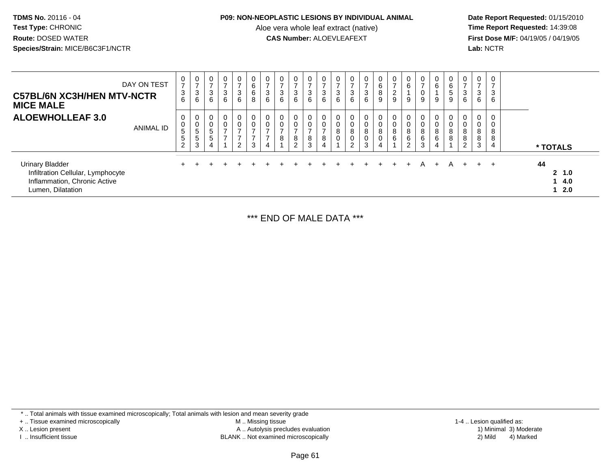## **P09: NON-NEOPLASTIC LESIONS BY INDIVIDUAL ANIMAL**

Aloe vera whole leaf extract (native)<br>**CAS Number:** ALOEVLEAFEXT

 **Date Report Requested:** 01/15/2010 **First Dose M/F:** 04/19/05 / 04/19/05<br>Lab: NCTR **Lab:** NCTR

| <b>C57BL/6N XC3H/HEN MTV-NCTR</b><br><b>MICE MALE</b>                                                            | DAY ON TEST | 0<br>$\rightarrow$<br>3<br>6                     | $\mathbf 0$<br>$\rightarrow$<br>$\mathbf{3}$<br>$\,6\,$              | 0<br>$\overline{ }$<br>3<br>6                     | $\mathbf 0$<br>$\sqrt{3}$<br>6                       | 0<br>3<br>6                                                            | 6<br>6<br>8                                          | 0<br>$\rightarrow$<br>$\mathbf{3}$<br>6            | 0<br>3<br>6 | 0<br>$\overline{ }$<br>3<br>6     | 0<br>$\overline{\phantom{0}}$<br>3<br>6      | $\mathbf 0$<br>$\overline{ }$<br>$\mathbf{3}$<br>6 | 3<br>6      | $\overline{ }$<br>3<br>6                          | 0<br>-<br>$\sqrt{3}$<br>6     | 0<br>6<br>8<br>9 | 0<br>$\rightarrow$<br>$\overline{2}$<br>$\boldsymbol{9}$ | 0<br>$\,6$<br>9                      | 0<br>$\overline{ }$<br>$\mathbf 0$<br>9    | 0<br>6<br>9                | 0<br>$\,6\,$<br>$\sqrt{5}$<br>9 | 0<br>$\rightarrow$<br>3<br>6             | 0<br>$\rightarrow$<br>3<br>6 | 0<br>$\overline{ }$<br>3<br>6 |          |                        |
|------------------------------------------------------------------------------------------------------------------|-------------|--------------------------------------------------|----------------------------------------------------------------------|---------------------------------------------------|------------------------------------------------------|------------------------------------------------------------------------|------------------------------------------------------|----------------------------------------------------|-------------|-----------------------------------|----------------------------------------------|----------------------------------------------------|-------------|---------------------------------------------------|-------------------------------|------------------|----------------------------------------------------------|--------------------------------------|--------------------------------------------|----------------------------|---------------------------------|------------------------------------------|------------------------------|-------------------------------|----------|------------------------|
| <b>ALOEWHOLLEAF 3.0</b>                                                                                          | ANIMAL ID   | 0<br>0<br>$5\phantom{.0}$<br>5<br>$\overline{2}$ | 0<br>$\mathbf 0$<br>$\overline{5}$<br>$\overline{5}$<br>$\mathbf{3}$ | 0<br>$\mathbf 0$<br>$\sqrt{5}$<br>$\sqrt{5}$<br>4 | 0<br>$\mathbf 0$<br>$\overline{ }$<br>$\overline{z}$ | $\mathbf{0}$<br>0<br>$\rightarrow$<br>$\overline{ }$<br>$\overline{2}$ | $\mathbf 0$<br>$\overline{ }$<br>$\overline{z}$<br>3 | $\mathbf 0$<br>0<br>$\rightarrow$<br>$\rightarrow$ | 0<br>0<br>8 | 0<br>0<br>$\rightarrow$<br>8<br>2 | $\mathbf 0$<br>0<br>$\overline{ }$<br>8<br>3 | 0<br>$\mathbf 0$<br>$\overline{ }$<br>8<br>4       | 0<br>8<br>0 | $\mathbf 0$<br>8<br>$\mathbf 0$<br>$\overline{2}$ | 0<br>$\pmb{0}$<br>8<br>0<br>3 | 0<br>0<br>8<br>0 | 0<br>$\pmb{0}$<br>$\,8\,$<br>$\,6\,$                     | 0<br>$\pmb{0}$<br>$\frac{8}{6}$<br>2 | 0<br>$\mathbf 0$<br>$\bf8$<br>$\,6\,$<br>3 | $\mathbf 0$<br>8<br>6<br>4 | 0<br>0<br>8<br>8                | 0<br>0<br>$\bf 8$<br>$\bf 8$<br>$\Omega$ | 0<br>0<br>8<br>8<br>3        | 0<br>0<br>8<br>8<br>4         | * TOTALS |                        |
| <b>Urinary Bladder</b><br>Infiltration Cellular, Lymphocyte<br>Inflammation, Chronic Active<br>Lumen, Dilatation |             |                                                  |                                                                      |                                                   |                                                      |                                                                        |                                                      |                                                    |             |                                   |                                              |                                                    |             |                                                   |                               | $+$              | $+$                                                      | $+$                                  | A                                          |                            | A                               |                                          | $+$                          | $+$                           | 44       | 2, 1.0<br>14.0<br>12.0 |

\*\*\* END OF MALE DATA \*\*\*

\* .. Total animals with tissue examined microscopically; Total animals with lesion and mean severity grade

+ .. Tissue examined microscopically

X .. Lesion present

I .. Insufficient tissue

 M .. Missing tissueLesion present A .. Autolysis precludes evaluation 1) Minimal 3) Moderate

BLANK .. Not examined microscopically 2) Mild 4) Marked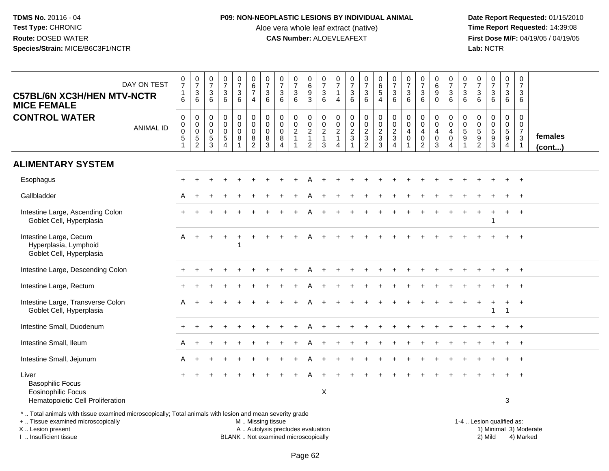## **P09: NON-NEOPLASTIC LESIONS BY INDIVIDUAL ANIMAL**

Aloe vera whole leaf extract (native)<br>**CAS Number:** ALOEVLEAFEXT

 **Date Report Requested:** 01/15/2010 **First Dose M/F:** 04/19/05 / 04/19/05<br>Lab: NCTR **Lab:** NCTR

| <b>C57BL/6N XC3H/HEN MTV-NCTR</b><br><b>MICE FEMALE</b>                                                                                                             | DAY ON TEST      | $\begin{array}{c} 0 \\ 7 \end{array}$<br>$\mathbf{1}$<br>6              | $\frac{0}{7}$<br>3<br>$\,6\,$                                             | $\begin{smallmatrix}0\\7\end{smallmatrix}$<br>$\frac{3}{6}$ | $\frac{0}{7}$<br>3<br>6            | $\begin{array}{c} 0 \\ 7 \end{array}$<br>$\frac{3}{6}$             | $_{\rm 6}^{\rm 0}$<br>$\overline{7}$<br>$\overline{4}$                         | $\begin{array}{c} 0 \\ 7 \end{array}$<br>$\ensuremath{\mathsf{3}}$<br>6 | $\begin{array}{c} 0 \\ 7 \end{array}$<br>$\ensuremath{\mathsf{3}}$<br>6 | $\frac{0}{7}$<br>$\ensuremath{\mathsf{3}}$<br>6 | $_{6}^{\rm 0}$<br>$\frac{9}{3}$                                             | $\begin{array}{c} 0 \\ 7 \end{array}$<br>$\mathbf{3}$<br>6            | 0<br>$\overline{7}$<br>$\overline{4}$                                  | $\begin{smallmatrix} 0\\7 \end{smallmatrix}$<br>$\frac{3}{6}$              | $\frac{0}{7}$<br>$\mathbf{3}$<br>$\,6\,$               | $_{\rm 6}^{\rm 0}$<br>$\overline{5}$<br>$\overline{4}$            | $\begin{array}{c} 0 \\ 7 \end{array}$<br>$\mathbf{3}$<br>6 | $\begin{array}{c} 0 \\ 7 \end{array}$<br>$\sqrt{3}$<br>6          | $\frac{0}{7}$<br>$\ensuremath{\mathsf{3}}$<br>6                 | $\mathbf 0$<br>$\overline{6}$<br>$\boldsymbol{9}$<br>$\Omega$ | $\begin{array}{c} 0 \\ 7 \end{array}$<br>$\frac{3}{6}$                              | 0<br>$\overline{7}$<br>$\sqrt{3}$<br>6      | $\begin{array}{c} 0 \\ 7 \end{array}$<br>$\ensuremath{\mathsf{3}}$<br>6 | $\frac{0}{7}$<br>$\mathbf{3}$<br>6 | $\begin{smallmatrix}0\\7\end{smallmatrix}$<br>$\ensuremath{\mathsf{3}}$<br>6 | $\pmb{0}$<br>$\overline{7}$<br>3<br>6                                     |                         |
|---------------------------------------------------------------------------------------------------------------------------------------------------------------------|------------------|-------------------------------------------------------------------------|---------------------------------------------------------------------------|-------------------------------------------------------------|------------------------------------|--------------------------------------------------------------------|--------------------------------------------------------------------------------|-------------------------------------------------------------------------|-------------------------------------------------------------------------|-------------------------------------------------|-----------------------------------------------------------------------------|-----------------------------------------------------------------------|------------------------------------------------------------------------|----------------------------------------------------------------------------|--------------------------------------------------------|-------------------------------------------------------------------|------------------------------------------------------------|-------------------------------------------------------------------|-----------------------------------------------------------------|---------------------------------------------------------------|-------------------------------------------------------------------------------------|---------------------------------------------|-------------------------------------------------------------------------|------------------------------------|------------------------------------------------------------------------------|---------------------------------------------------------------------------|-------------------------|
| <b>CONTROL WATER</b>                                                                                                                                                | <b>ANIMAL ID</b> | $\mathbf 0$<br>$\mathbf 0$<br>$\mathbf 0$<br>$\sqrt{5}$<br>$\mathbf{1}$ | $\mathbf 0$<br>$\mathbf 0$<br>$\mathbf 0$<br>$\sqrt{5}$<br>$\overline{2}$ | $\mathbf 0$<br>$\mathbf 0$<br>$\mathbf 0$<br>$\frac{5}{3}$  | 0<br>$\overline{0}$<br>0<br>5<br>4 | $\pmb{0}$<br>$\ddot{\mathbf{0}}$<br>$\mathsf{O}\xspace$<br>$\bf 8$ | $\mathbf 0$<br>$\ddot{\mathbf{0}}$<br>$\mathbf 0$<br>$\bf 8$<br>$\overline{2}$ | $\mathbf 0$<br>$\mathbf 0$<br>$\mathbf 0$<br>8<br>3                     | $\mathbf 0$<br>$\mathbf 0$<br>$\mathbf 0$<br>8<br>$\overline{4}$        | 0<br>$\mathbf 0$<br>$\boldsymbol{2}$<br>1       | $\begin{matrix} 0 \\ 0 \\ 2 \end{matrix}$<br>$\mathbf{1}$<br>$\overline{2}$ | $\mathsf{O}$<br>$\overline{0}$<br>$\overline{c}$<br>$\mathbf{1}$<br>3 | 0<br>$\mathsf 0$<br>$\boldsymbol{2}$<br>$\mathbf{1}$<br>$\overline{4}$ | $\begin{array}{c} 0 \\ 0 \\ 2 \\ 3 \end{array}$<br>$\overline{\mathbf{1}}$ | 0<br>$\overline{0}$<br>$\frac{2}{3}$<br>$\overline{2}$ | $\pmb{0}$<br>$\ddot{\mathbf{0}}$<br>$\frac{2}{3}$<br>$\mathbf{3}$ | 0<br>$\mathbf 0$<br>$\frac{2}{3}$<br>4                     | $\pmb{0}$<br>$\overline{0}$<br>$\overline{4}$<br>$\mathbf 0$<br>1 | 0<br>$\bar{0}$<br>$\overline{4}$<br>$\pmb{0}$<br>$\overline{2}$ | 0<br>$\overline{0}$<br>$\overline{4}$<br>$\mathbf 0$<br>3     | $\pmb{0}$<br>$\overline{0}$<br>$\overline{4}$<br>$\boldsymbol{0}$<br>$\overline{4}$ | $\mathbf 0$<br>$\Omega$<br>$\,$ 5 $\,$<br>9 | $\mathbf 0$<br>$\mathbf 0$<br>$\sqrt{5}$<br>$9\,$<br>$\overline{2}$     | 0<br>$\mathbf 0$<br>5<br>9<br>3    | $\mathsf{O}$<br>$\ddot{\mathbf{0}}$<br>$\sqrt{5}$<br>9<br>$\overline{4}$     | $\mathbf 0$<br>$\mathbf 0$<br>$\overline{7}$<br>$\sqrt{3}$<br>$\mathbf 1$ | females<br>$($ cont $)$ |
| <b>ALIMENTARY SYSTEM</b>                                                                                                                                            |                  |                                                                         |                                                                           |                                                             |                                    |                                                                    |                                                                                |                                                                         |                                                                         |                                                 |                                                                             |                                                                       |                                                                        |                                                                            |                                                        |                                                                   |                                                            |                                                                   |                                                                 |                                                               |                                                                                     |                                             |                                                                         |                                    |                                                                              |                                                                           |                         |
| Esophagus                                                                                                                                                           |                  |                                                                         |                                                                           |                                                             |                                    |                                                                    |                                                                                |                                                                         |                                                                         |                                                 |                                                                             |                                                                       |                                                                        |                                                                            |                                                        |                                                                   |                                                            |                                                                   |                                                                 |                                                               |                                                                                     |                                             |                                                                         |                                    |                                                                              | $+$                                                                       |                         |
| Gallbladder                                                                                                                                                         |                  | A                                                                       |                                                                           |                                                             |                                    |                                                                    |                                                                                |                                                                         |                                                                         |                                                 |                                                                             |                                                                       |                                                                        |                                                                            |                                                        |                                                                   |                                                            |                                                                   |                                                                 |                                                               |                                                                                     |                                             |                                                                         |                                    |                                                                              |                                                                           |                         |
| Intestine Large, Ascending Colon<br>Goblet Cell, Hyperplasia                                                                                                        |                  |                                                                         |                                                                           |                                                             |                                    |                                                                    |                                                                                |                                                                         |                                                                         |                                                 |                                                                             |                                                                       |                                                                        |                                                                            |                                                        |                                                                   |                                                            |                                                                   |                                                                 |                                                               |                                                                                     |                                             |                                                                         |                                    |                                                                              | $\overline{+}$                                                            |                         |
| Intestine Large, Cecum<br>Hyperplasia, Lymphoid<br>Goblet Cell, Hyperplasia                                                                                         |                  | A                                                                       |                                                                           |                                                             |                                    |                                                                    |                                                                                |                                                                         |                                                                         |                                                 |                                                                             |                                                                       |                                                                        |                                                                            |                                                        |                                                                   |                                                            |                                                                   |                                                                 |                                                               |                                                                                     |                                             |                                                                         |                                    |                                                                              |                                                                           |                         |
| Intestine Large, Descending Colon                                                                                                                                   |                  |                                                                         |                                                                           |                                                             |                                    |                                                                    |                                                                                |                                                                         |                                                                         |                                                 |                                                                             |                                                                       |                                                                        |                                                                            |                                                        |                                                                   |                                                            |                                                                   |                                                                 |                                                               |                                                                                     |                                             |                                                                         |                                    |                                                                              | $\overline{+}$                                                            |                         |
| Intestine Large, Rectum                                                                                                                                             |                  |                                                                         |                                                                           |                                                             |                                    |                                                                    |                                                                                |                                                                         |                                                                         |                                                 |                                                                             |                                                                       |                                                                        |                                                                            |                                                        |                                                                   |                                                            |                                                                   |                                                                 |                                                               |                                                                                     |                                             |                                                                         |                                    |                                                                              |                                                                           |                         |
| Intestine Large, Transverse Colon<br>Goblet Cell, Hyperplasia                                                                                                       |                  | А                                                                       |                                                                           |                                                             |                                    |                                                                    |                                                                                |                                                                         |                                                                         |                                                 |                                                                             |                                                                       |                                                                        |                                                                            |                                                        |                                                                   |                                                            |                                                                   |                                                                 |                                                               |                                                                                     |                                             |                                                                         | 1                                  |                                                                              | $+$                                                                       |                         |
| Intestine Small, Duodenum                                                                                                                                           |                  |                                                                         |                                                                           |                                                             |                                    |                                                                    |                                                                                |                                                                         |                                                                         |                                                 |                                                                             |                                                                       |                                                                        |                                                                            |                                                        |                                                                   |                                                            |                                                                   |                                                                 |                                                               |                                                                                     |                                             |                                                                         |                                    |                                                                              |                                                                           |                         |
| Intestine Small, Ileum                                                                                                                                              |                  | A                                                                       |                                                                           |                                                             |                                    |                                                                    |                                                                                |                                                                         |                                                                         |                                                 |                                                                             |                                                                       |                                                                        |                                                                            |                                                        |                                                                   |                                                            |                                                                   |                                                                 |                                                               |                                                                                     |                                             |                                                                         |                                    |                                                                              | $\overline{1}$                                                            |                         |
| Intestine Small, Jejunum                                                                                                                                            |                  | A                                                                       |                                                                           |                                                             |                                    |                                                                    |                                                                                |                                                                         |                                                                         |                                                 |                                                                             |                                                                       |                                                                        |                                                                            |                                                        |                                                                   |                                                            |                                                                   |                                                                 |                                                               |                                                                                     |                                             |                                                                         |                                    |                                                                              | $\pm$                                                                     |                         |
| Liver<br><b>Basophilic Focus</b><br><b>Eosinophilic Focus</b><br>Hematopoietic Cell Proliferation                                                                   |                  |                                                                         |                                                                           |                                                             |                                    |                                                                    |                                                                                |                                                                         |                                                                         |                                                 |                                                                             | X                                                                     |                                                                        |                                                                            |                                                        |                                                                   |                                                            |                                                                   |                                                                 |                                                               |                                                                                     |                                             |                                                                         |                                    | 3                                                                            |                                                                           |                         |
| *  Total animals with tissue examined microscopically; Total animals with lesion and mean severity grade<br>+  Tissue examined microscopically<br>X  Lesion present |                  |                                                                         |                                                                           |                                                             |                                    |                                                                    | M  Missing tissue                                                              |                                                                         | A  Autolysis precludes evaluation                                       |                                                 |                                                                             |                                                                       |                                                                        |                                                                            |                                                        |                                                                   |                                                            |                                                                   |                                                                 |                                                               |                                                                                     |                                             | 1-4  Lesion qualified as:                                               |                                    |                                                                              |                                                                           | 1) Minimal 3) Moderate  |

I .. Insufficient tissue

BLANK .. Not examined microscopically 2) Mild 4) Marked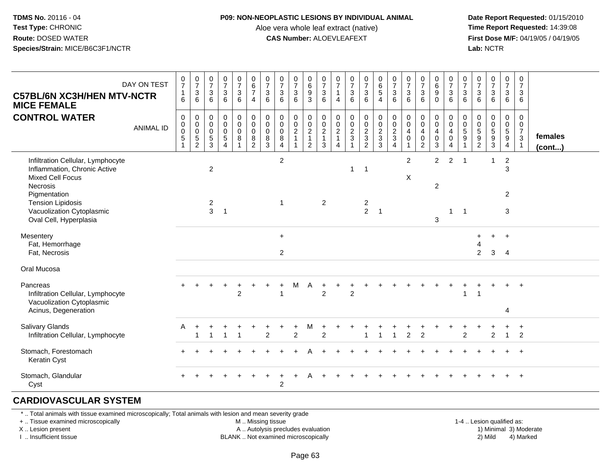#### **P09: NON-NEOPLASTIC LESIONS BY INDIVIDUAL ANIMAL**

Aloe vera whole leaf extract (native)<br>**CAS Number:** ALOEVLEAFEXT

 **Date Report Requested:** 01/15/2010 **First Dose M/F:** 04/19/05 / 04/19/05<br>**Lab:** NCTR **Lab:** NCTR

| <b>C57BL/6N XC3H/HEN MTV-NCTR</b><br><b>MICE FEMALE</b>                                                                                                                                                            | DAY ON TEST      | $\frac{0}{7}$<br>$\mathbf{1}$<br>6 | $\frac{0}{7}$<br>$\sqrt{3}$<br>6 | $\frac{0}{7}$<br>$\sqrt{3}$<br>6                   | $\frac{0}{7}$<br>$\mathbf{3}$<br>6                                      | $\frac{0}{7}$<br>$\mathbf{3}$<br>6           | $\begin{array}{c} 0 \\ 6 \\ 7 \end{array}$<br>$\overline{4}$       | $\frac{0}{7}$<br>3<br>6                                     | $\frac{0}{7}$<br>$\sqrt{3}$<br>6                                 | $\frac{0}{7}$<br>$\ensuremath{\mathsf{3}}$<br>6           | $\begin{matrix} 0 \\ 6 \\ 9 \end{matrix}$<br>3 | $\frac{0}{7}$<br>$\mathbf{3}$<br>6              | $\pmb{0}$<br>$\overline{7}$<br>$\mathbf{1}$<br>4                             | $\frac{0}{7}$<br>$\mathfrak{Z}$<br>6 | $\frac{0}{7}$<br>3<br>6                              | $\begin{array}{c} 0 \\ 6 \\ 5 \end{array}$<br>$\overline{4}$ | $\begin{array}{c} 0 \\ 7 \end{array}$<br>$\mathsf 3$<br>6                | $\frac{0}{7}$<br>$\mathbf{3}$<br>6                                          | $\frac{0}{7}$<br>$\sqrt{3}$<br>6                                            | $\pmb{0}$<br>$\,6\,$<br>$\overline{9}$<br>$\mathbf 0$                 | $\frac{0}{7}$<br>$\sqrt{3}$<br>6                                | 0<br>$\overline{7}$<br>$\mathbf{3}$<br>6            | $\frac{0}{7}$<br>$\mathbf{3}$<br>6 | $\frac{0}{7}$<br>$\mathbf{3}$<br>6 | 0<br>$\boldsymbol{7}$<br>$\mathbf{3}$<br>6                        | 0<br>$\overline{7}$<br>$\mathbf{3}$<br>6                                      |                   |
|--------------------------------------------------------------------------------------------------------------------------------------------------------------------------------------------------------------------|------------------|------------------------------------|----------------------------------|----------------------------------------------------|-------------------------------------------------------------------------|----------------------------------------------|--------------------------------------------------------------------|-------------------------------------------------------------|------------------------------------------------------------------|-----------------------------------------------------------|------------------------------------------------|-------------------------------------------------|------------------------------------------------------------------------------|--------------------------------------|------------------------------------------------------|--------------------------------------------------------------|--------------------------------------------------------------------------|-----------------------------------------------------------------------------|-----------------------------------------------------------------------------|-----------------------------------------------------------------------|-----------------------------------------------------------------|-----------------------------------------------------|------------------------------------|------------------------------------|-------------------------------------------------------------------|-------------------------------------------------------------------------------|-------------------|
| <b>CONTROL WATER</b>                                                                                                                                                                                               | <b>ANIMAL ID</b> | 0<br>0<br>$\frac{0}{5}$            | $\boldsymbol{0}$<br>0005         | 0<br>$\mathbf 0$<br>$\mathbf 0$<br>$\sqrt{5}$<br>3 | $\pmb{0}$<br>$\mathbf 0$<br>$\mathbf 0$<br>$\sqrt{5}$<br>$\overline{4}$ | $\pmb{0}$<br>$\mathbf 0$<br>$\mathsf 0$<br>8 | $\pmb{0}$<br>$\begin{matrix} 0 \\ 0 \end{matrix}$<br>$\frac{8}{2}$ | $\mathbf 0$<br>$\mathsf{O}\xspace$<br>$\mathbf 0$<br>8<br>3 | $\pmb{0}$<br>$\pmb{0}$<br>$\pmb{0}$<br>$\bf 8$<br>$\overline{4}$ | $\begin{matrix} 0 \\ 0 \\ 2 \end{matrix}$<br>$\mathbf{1}$ | $\pmb{0}$<br>$\frac{0}{2}$<br>1<br>2           | $\pmb{0}$<br>$\frac{0}{2}$<br>$\mathbf{1}$<br>3 | $\pmb{0}$<br>$\pmb{0}$<br>$\boldsymbol{2}$<br>$\mathbf{1}$<br>$\overline{4}$ | $\pmb{0}$<br>$\frac{0}{2}$<br>1      | 0<br>$\begin{array}{c} 0 \\ 2 \\ 3 \\ 2 \end{array}$ | $\pmb{0}$<br>$\frac{0}{2}$<br>3                              | $\pmb{0}$<br>$\begin{matrix} 0 \\ 2 \\ 3 \end{matrix}$<br>$\overline{4}$ | $\pmb{0}$<br>$\mathbf 0$<br>$\overline{4}$<br>$\mathbf 0$<br>$\overline{1}$ | $\mathbf 0$<br>$\mathbf 0$<br>$\overline{4}$<br>$\pmb{0}$<br>$\overline{2}$ | $\pmb{0}$<br>$\pmb{0}$<br>$\overline{4}$<br>$\pmb{0}$<br>$\mathbf{3}$ | 0<br>$\pmb{0}$<br>$\overline{4}$<br>$\pmb{0}$<br>$\overline{4}$ | 0<br>$\mathbf 0$<br>$\mathbf 5$<br>$\boldsymbol{9}$ | 0<br>$\pmb{0}$<br>$\frac{5}{2}$    | 00593                              | 0<br>$\begin{array}{c} 0 \\ 5 \\ 9 \end{array}$<br>$\overline{4}$ | $\mathbf 0$<br>$\mathbf 0$<br>$\overline{7}$<br>$\mathbf 3$<br>$\overline{1}$ | females<br>(cont) |
| Infiltration Cellular, Lymphocyte<br>Inflammation, Chronic Active<br><b>Mixed Cell Focus</b><br><b>Necrosis</b><br>Pigmentation<br><b>Tension Lipidosis</b><br>Vacuolization Cytoplasmic<br>Oval Cell, Hyperplasia |                  |                                    |                                  | $\overline{2}$<br>2<br>3                           | 1                                                                       |                                              |                                                                    |                                                             | $\overline{2}$<br>$\mathbf{1}$                                   |                                                           |                                                | $\overline{2}$                                  |                                                                              | 1                                    | $\overline{1}$<br>$\overline{c}$<br>$\overline{2}$   | $\mathbf{1}$                                                 |                                                                          | $\overline{2}$<br>X                                                         |                                                                             | $\overline{2}$<br>$\overline{c}$<br>3                                 | $\overline{2}$<br>$\mathbf 1$                                   | $\overline{1}$<br>$\overline{1}$                    |                                    | $\mathbf{1}$                       | $\boldsymbol{2}$<br>3<br>$\overline{2}$<br>3                      |                                                                               |                   |
| Mesentery<br>Fat, Hemorrhage<br>Fat, Necrosis                                                                                                                                                                      |                  |                                    |                                  |                                                    |                                                                         |                                              |                                                                    |                                                             | $\ddot{}$<br>$\overline{c}$                                      |                                                           |                                                |                                                 |                                                                              |                                      |                                                      |                                                              |                                                                          |                                                                             |                                                                             |                                                                       |                                                                 |                                                     | $\overline{2}$                     | 3                                  | $\div$<br>$\overline{4}$                                          |                                                                               |                   |
| Oral Mucosa                                                                                                                                                                                                        |                  |                                    |                                  |                                                    |                                                                         |                                              |                                                                    |                                                             |                                                                  |                                                           |                                                |                                                 |                                                                              |                                      |                                                      |                                                              |                                                                          |                                                                             |                                                                             |                                                                       |                                                                 |                                                     |                                    |                                    |                                                                   |                                                                               |                   |
| Pancreas<br>Infiltration Cellular, Lymphocyte<br>Vacuolization Cytoplasmic<br>Acinus, Degeneration                                                                                                                 |                  |                                    |                                  |                                                    |                                                                         | $\overline{2}$                               |                                                                    |                                                             |                                                                  | м                                                         | A                                              | $\overline{c}$                                  |                                                                              | $\overline{2}$                       |                                                      |                                                              |                                                                          |                                                                             |                                                                             |                                                                       |                                                                 | 1                                                   |                                    |                                    | 4                                                                 |                                                                               |                   |
| <b>Salivary Glands</b><br>Infiltration Cellular, Lymphocyte                                                                                                                                                        |                  | A                                  |                                  |                                                    |                                                                         |                                              |                                                                    | $\overline{2}$                                              |                                                                  | $\mathcal{P}$                                             | м                                              | $\overline{2}$                                  |                                                                              |                                      |                                                      |                                                              |                                                                          | 2                                                                           | $\overline{2}$                                                              |                                                                       |                                                                 | $\overline{2}$                                      |                                    | $\overline{2}$                     | +<br>$\mathbf{1}$                                                 | $\overline{+}$<br>2                                                           |                   |
| Stomach, Forestomach<br>Keratin Cyst                                                                                                                                                                               |                  |                                    |                                  |                                                    |                                                                         |                                              |                                                                    |                                                             |                                                                  |                                                           |                                                |                                                 |                                                                              |                                      |                                                      |                                                              |                                                                          |                                                                             |                                                                             |                                                                       |                                                                 |                                                     |                                    |                                    |                                                                   | $\overline{1}$                                                                |                   |
| Stomach, Glandular<br>Cyst                                                                                                                                                                                         |                  | $+$                                |                                  |                                                    |                                                                         |                                              |                                                                    |                                                             | 2                                                                |                                                           | A                                              |                                                 |                                                                              |                                      |                                                      |                                                              |                                                                          |                                                                             |                                                                             |                                                                       |                                                                 |                                                     |                                    |                                    |                                                                   |                                                                               |                   |

# **CARDIOVASCULAR SYSTEM**

\* .. Total animals with tissue examined microscopically; Total animals with lesion and mean severity grade

+ .. Tissue examined microscopically

X .. Lesion present

I .. Insufficient tissue

M .. Missing tissue

A .. Autolysis precludes evaluation

BLANK .. Not examined microscopically 2) Mild 4) Marked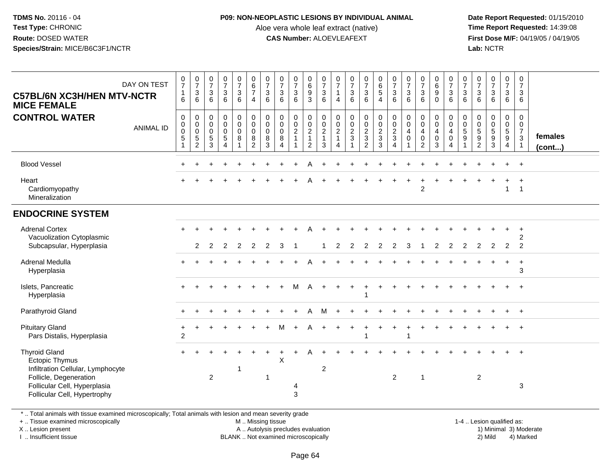#### **P09: NON-NEOPLASTIC LESIONS BY INDIVIDUAL ANIMAL**

Aloe vera whole leaf extract (native)<br>**CAS Number:** ALOEVLEAFEXT

 **Date Report Requested:** 01/15/2010 **First Dose M/F:** 04/19/05 / 04/19/05<br>**Lab:** NCTR **Lab:** NCTR

| DAY ON TEST<br><b>C57BL/6N XC3H/HEN MTV-NCTR</b><br><b>MICE FEMALE</b><br><b>CONTROL WATER</b><br><b>ANIMAL ID</b>                                                           | 0<br>$\overline{7}$<br>$\mathbf{1}$<br>6<br>$\mathbf 0$<br>0<br>0<br>5 | $\frac{0}{7}$<br>$\mathsf 3$<br>6<br>0<br>$\mathbf 0$<br>$\pmb{0}$<br>5 | $\begin{smallmatrix}0\\7\end{smallmatrix}$<br>$\mathsf 3$<br>6<br>0<br>0<br>0<br>$\overline{5}$ | $\frac{0}{7}$<br>$\sqrt{3}$<br>6<br>$\pmb{0}$<br>$\mathbf 0$<br>$\mathbf 0$<br>$\sqrt{5}$ | $\frac{0}{7}$<br>$\sqrt{3}$<br>6<br>$\mathbf 0$<br>$\overline{0}$<br>$\mathbf 0$<br>8 | $\begin{array}{c} 0 \\ 6 \end{array}$<br>$\overline{7}$<br>$\overline{4}$<br>$\pmb{0}$<br>$\overline{0}$<br>$\mathbf 0$<br>$8\phantom{1}$ | $\frac{0}{7}$<br>3<br>6<br>0<br>$\mathbf 0$<br>$\mathbf 0$<br>8 | $\frac{0}{7}$<br>$\mathbf{3}$<br>6<br>0<br>$\pmb{0}$<br>$\mathsf{O}\xspace$<br>8 | $\frac{0}{7}$<br>$\mathbf{3}$<br>6<br>0<br>$\mathbf 0$<br>$\overline{2}$<br>$\mathbf{1}$ | $\begin{matrix} 0 \\ 6 \\ 9 \end{matrix}$<br>3<br>0<br>$\frac{0}{2}$<br>$\mathbf{1}$ | $\frac{0}{7}$<br>$\overline{3}$<br>6<br>$\mathbf 0$<br>$\mathsf{O}\xspace$<br>$\frac{2}{1}$ | 0<br>$\overline{7}$<br>$\overline{1}$<br>$\overline{4}$<br>0<br>0<br>$\boldsymbol{2}$<br>$\overline{1}$ | $\frac{0}{7}$<br>$\overline{3}$<br>6<br>$\mathbf 0$<br>$\mathbf 0$<br>$\overline{2}$<br>$\sqrt{3}$ | $\frac{0}{7}$<br>$\mathfrak{S}$<br>6<br>0<br>$\mathbf 0$<br>$\frac{2}{3}$ | $\begin{array}{c} 0 \\ 6 \\ 5 \end{array}$<br>$\overline{4}$<br>0<br>$\mathbf 0$<br>$\frac{2}{3}$ | $\frac{0}{7}$<br>$\overline{3}$<br>6<br>$\pmb{0}$<br>$\overline{0}$<br>$\frac{2}{3}$ | $\frac{0}{7}$<br>3<br>6<br>0<br>$\mathbf 0$<br>$\overline{4}$<br>$\mathbf 0$ | $\frac{0}{7}$<br>$\sqrt{3}$<br>6<br>$\mathbf 0$<br>$\mathbf 0$<br>$\overline{4}$<br>$\boldsymbol{0}$ | $\pmb{0}$<br>$\overline{6}$<br>9<br>$\mathbf 0$<br>0<br>$\mathbf 0$<br>$\overline{4}$<br>$\mathbf 0$ | $\frac{0}{7}$<br>$\mathbf{3}$<br>6<br>$\mathbf 0$<br>$\mathbf 0$<br>4<br>$\mathbf 0$ | $\frac{0}{7}$<br>$\sqrt{3}$<br>6<br>0<br>0<br>$\,$ 5 $\,$<br>9 | $\frac{0}{7}$<br>$\sqrt{3}$<br>6<br>0<br>$\mathbf 0$<br>$\sqrt{5}$<br>9 | $\frac{0}{7}$<br>$\mathbf{3}$<br>6<br>0<br>$\mathbf 0$<br>$\sqrt{5}$<br>9 | $\begin{smallmatrix}0\\7\end{smallmatrix}$<br>$\mathbf{3}$<br>$6\phantom{1}6$<br>0<br>$\mathbf 0$<br>$\frac{5}{9}$ | 0<br>$\overline{7}$<br>$\mathbf{3}$<br>6<br>$\mathbf 0$<br>$\overline{0}$<br>$\overline{7}$<br>$\mathbf{3}$ | females      |
|------------------------------------------------------------------------------------------------------------------------------------------------------------------------------|------------------------------------------------------------------------|-------------------------------------------------------------------------|-------------------------------------------------------------------------------------------------|-------------------------------------------------------------------------------------------|---------------------------------------------------------------------------------------|-------------------------------------------------------------------------------------------------------------------------------------------|-----------------------------------------------------------------|----------------------------------------------------------------------------------|------------------------------------------------------------------------------------------|--------------------------------------------------------------------------------------|---------------------------------------------------------------------------------------------|---------------------------------------------------------------------------------------------------------|----------------------------------------------------------------------------------------------------|---------------------------------------------------------------------------|---------------------------------------------------------------------------------------------------|--------------------------------------------------------------------------------------|------------------------------------------------------------------------------|------------------------------------------------------------------------------------------------------|------------------------------------------------------------------------------------------------------|--------------------------------------------------------------------------------------|----------------------------------------------------------------|-------------------------------------------------------------------------|---------------------------------------------------------------------------|--------------------------------------------------------------------------------------------------------------------|-------------------------------------------------------------------------------------------------------------|--------------|
|                                                                                                                                                                              | 1                                                                      | $\overline{2}$                                                          | 3                                                                                               | $\boldsymbol{\Lambda}$                                                                    | $\overline{1}$                                                                        | $\overline{2}$                                                                                                                            | 3                                                               | $\overline{4}$                                                                   |                                                                                          | $\overline{2}$                                                                       | $\mathbf{3}$                                                                                | 4                                                                                                       | $\overline{1}$                                                                                     | $\overline{2}$                                                            | 3                                                                                                 | $\overline{4}$                                                                       |                                                                              | 2                                                                                                    | 3                                                                                                    | $\overline{4}$                                                                       |                                                                | $\overline{2}$                                                          | $\mathbf{3}$                                                              | 4                                                                                                                  | $\mathbf{1}$                                                                                                | $($ cont $)$ |
| <b>Blood Vessel</b>                                                                                                                                                          |                                                                        |                                                                         |                                                                                                 |                                                                                           |                                                                                       |                                                                                                                                           |                                                                 |                                                                                  |                                                                                          |                                                                                      |                                                                                             |                                                                                                         |                                                                                                    |                                                                           |                                                                                                   |                                                                                      |                                                                              |                                                                                                      |                                                                                                      |                                                                                      |                                                                |                                                                         |                                                                           |                                                                                                                    | $+$                                                                                                         |              |
| Heart<br>Cardiomyopathy<br>Mineralization                                                                                                                                    |                                                                        |                                                                         |                                                                                                 |                                                                                           |                                                                                       |                                                                                                                                           |                                                                 |                                                                                  |                                                                                          |                                                                                      |                                                                                             |                                                                                                         |                                                                                                    |                                                                           |                                                                                                   |                                                                                      |                                                                              | $\overline{2}$                                                                                       |                                                                                                      |                                                                                      |                                                                |                                                                         |                                                                           | $\mathbf{1}$                                                                                                       | $\ddot{}$<br>$\overline{1}$                                                                                 |              |
| <b>ENDOCRINE SYSTEM</b>                                                                                                                                                      |                                                                        |                                                                         |                                                                                                 |                                                                                           |                                                                                       |                                                                                                                                           |                                                                 |                                                                                  |                                                                                          |                                                                                      |                                                                                             |                                                                                                         |                                                                                                    |                                                                           |                                                                                                   |                                                                                      |                                                                              |                                                                                                      |                                                                                                      |                                                                                      |                                                                |                                                                         |                                                                           |                                                                                                                    |                                                                                                             |              |
| <b>Adrenal Cortex</b><br>Vacuolization Cytoplasmic<br>Subcapsular, Hyperplasia                                                                                               |                                                                        | 2                                                                       | 2                                                                                               | 2                                                                                         | 2                                                                                     | 2                                                                                                                                         | 2                                                               | 3                                                                                |                                                                                          |                                                                                      |                                                                                             | 2                                                                                                       | 2                                                                                                  | 2                                                                         | $\overline{2}$                                                                                    | $\overline{2}$                                                                       | 3                                                                            |                                                                                                      | 2                                                                                                    | 2                                                                                    | 2                                                              | $\overline{2}$                                                          | $\overline{2}$                                                            | 2                                                                                                                  | $\ddot{}$<br>2<br>$\overline{2}$                                                                            |              |
| Adrenal Medulla<br>Hyperplasia                                                                                                                                               |                                                                        |                                                                         |                                                                                                 |                                                                                           |                                                                                       |                                                                                                                                           |                                                                 |                                                                                  |                                                                                          |                                                                                      |                                                                                             |                                                                                                         |                                                                                                    |                                                                           |                                                                                                   |                                                                                      |                                                                              |                                                                                                      |                                                                                                      |                                                                                      |                                                                |                                                                         |                                                                           | $\ddot{}$                                                                                                          | $\ddot{}$<br>3                                                                                              |              |
| Islets, Pancreatic<br>Hyperplasia                                                                                                                                            |                                                                        |                                                                         |                                                                                                 |                                                                                           |                                                                                       |                                                                                                                                           |                                                                 |                                                                                  |                                                                                          |                                                                                      |                                                                                             |                                                                                                         |                                                                                                    |                                                                           |                                                                                                   |                                                                                      |                                                                              |                                                                                                      |                                                                                                      |                                                                                      |                                                                |                                                                         |                                                                           |                                                                                                                    |                                                                                                             |              |
| Parathyroid Gland                                                                                                                                                            |                                                                        |                                                                         |                                                                                                 |                                                                                           |                                                                                       |                                                                                                                                           |                                                                 |                                                                                  |                                                                                          |                                                                                      | м                                                                                           |                                                                                                         |                                                                                                    |                                                                           |                                                                                                   |                                                                                      |                                                                              |                                                                                                      |                                                                                                      |                                                                                      |                                                                |                                                                         |                                                                           |                                                                                                                    | $^{+}$                                                                                                      |              |
| <b>Pituitary Gland</b><br>Pars Distalis, Hyperplasia                                                                                                                         | $\overline{c}$                                                         |                                                                         |                                                                                                 |                                                                                           |                                                                                       |                                                                                                                                           |                                                                 |                                                                                  |                                                                                          |                                                                                      |                                                                                             |                                                                                                         |                                                                                                    |                                                                           |                                                                                                   |                                                                                      |                                                                              |                                                                                                      |                                                                                                      |                                                                                      |                                                                |                                                                         |                                                                           |                                                                                                                    | $^{+}$                                                                                                      |              |
| <b>Thyroid Gland</b><br><b>Ectopic Thymus</b><br>Infiltration Cellular, Lymphocyte<br>Follicle, Degeneration<br>Follicular Cell, Hyperplasia<br>Follicular Cell, Hypertrophy |                                                                        |                                                                         | 2                                                                                               |                                                                                           | -1                                                                                    |                                                                                                                                           | $\overline{\phantom{a}}$                                        | X                                                                                | 4<br>3                                                                                   |                                                                                      | $\overline{2}$                                                                              |                                                                                                         |                                                                                                    |                                                                           |                                                                                                   | $\overline{2}$                                                                       |                                                                              | $\overline{1}$                                                                                       |                                                                                                      |                                                                                      |                                                                | $\overline{2}$                                                          |                                                                           |                                                                                                                    | $\ddot{}$<br>$\ensuremath{\mathsf{3}}$                                                                      |              |

\* .. Total animals with tissue examined microscopically; Total animals with lesion and mean severity grade

+ .. Tissue examined microscopically

X .. Lesion present

I .. Insufficient tissue

M .. Missing tissue

A .. Autolysis precludes evaluation

BLANK .. Not examined microscopically 2) Mild 4) Marked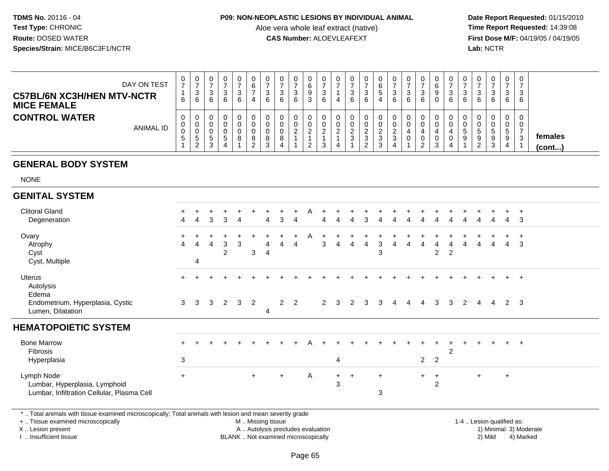#### **P09: NON-NEOPLASTIC LESIONS BY INDIVIDUAL ANIMAL**

Aloe vera whole leaf extract (native)<br>**CAS Number:** ALOEVLEAFEXT

 **Date Report Requested:** 01/15/2010 **First Dose M/F:** 04/19/05 / 04/19/05<br>**Lab:** NCTR **Lab:** NCTR

| DAY ON TEST<br><b>C57BL/6N XC3H/HEN MTV-NCTR</b><br><b>MICE FEMALE</b> | U<br>$\rightarrow$<br>6     | U<br>-<br>3<br>6          |  | 0<br>3<br>6 | 0<br>-<br>4   | 0<br>3<br>6           | 3<br>6 | U<br>$\sim$<br>9<br>3 | 0<br>3<br>6            | U<br>4      |  | U<br>$5^{\circ}$<br>4   | 0<br>3<br>6          | U<br>3<br>6 | 6 |   | 0<br>C<br>6 | 0<br>- 0<br>6          | υ<br>3<br>6            | 0<br><sup>o</sup><br>ບ<br>6                                   | 0<br>3<br>6                      | 0<br>3<br>6 |                   |
|------------------------------------------------------------------------|-----------------------------|---------------------------|--|-------------|---------------|-----------------------|--------|-----------------------|------------------------|-------------|--|-------------------------|----------------------|-------------|---|---|-------------|------------------------|------------------------|---------------------------------------------------------------|----------------------------------|-------------|-------------------|
| <b>CONTROL WATER</b><br><b>ANIMAL ID</b>                               | U<br>U<br>◡<br><sub>5</sub> | υ.<br>J.<br>U.<br>.5<br>ົ |  | 8           | 8<br><u>_</u> | 0<br>0<br>0<br>8<br>3 | ∼      | <u>L</u>              | 0<br>0<br>ົ<br>ົ<br>J. | U<br>0<br>ົ |  | U<br><u>.</u><br>3<br>3 | 0<br>$\epsilon$<br>3 | υ           | 4 | 3 | ν           | 0<br>$\mathbf{5}$<br>9 | <sub>5</sub><br>9<br>ົ | 0<br>0<br>$\ddot{\phantom{1}}$<br>ັ<br>9<br><sup>o</sup><br>ບ | $\mathbf 0$<br><sub>5</sub><br>9 | 0<br>0<br>3 | females<br>(cont) |

# **GENERAL BODY SYSTEM**

NONE

| <b>GENITAL SYSTEM</b>                                                                     |                             |   |   |                     |              |     |   |     |                |              |             |              |     |   |          |   |                |                       |                |   |     |                |                |              |  |
|-------------------------------------------------------------------------------------------|-----------------------------|---|---|---------------------|--------------|-----|---|-----|----------------|--------------|-------------|--------------|-----|---|----------|---|----------------|-----------------------|----------------|---|-----|----------------|----------------|--------------|--|
| <b>Clitoral Gland</b><br>Degeneration                                                     | $+$<br>4                    | 4 | 3 | 3                   | -4           |     | 4 | 3   | 4              | А            | 4           |              |     | 3 |          |   |                |                       |                |   |     |                | 4              | 3            |  |
| Ovary<br>Atrophy<br>Cyst                                                                  | $\ddot{}$<br>$\overline{4}$ | 4 | 4 | 3<br>$\overline{2}$ | $\mathbf{3}$ | 3   | 4 | 4   | $\ddot{}$<br>4 | A            | 3           | 4            | 4   | 4 | 3<br>3   |   |                | $\overline{2}$        | $\overline{2}$ | Δ |     |                | $\overline{4}$ | $\mathbf{3}$ |  |
| Cyst, Multiple                                                                            |                             | 4 |   |                     |              |     |   |     |                |              |             |              |     |   |          |   |                |                       |                |   |     |                |                |              |  |
| <b>Uterus</b><br>Autolysis<br>Edema                                                       | $+$                         |   |   |                     |              |     |   |     |                |              |             |              |     |   |          |   |                |                       |                |   |     |                | $+$            | $+$          |  |
| Endometrium, Hyperplasia, Cystic<br>Lumen, Dilatation                                     | 3                           | 3 | 3 | $\overline{2}$      | $\mathbf{3}$ | 2   | 4 |     | $2 \quad 2$    |              | $2^{\circ}$ | $\mathbf{3}$ | 2   | 3 | 3        | 4 | 4              | 3                     | 3              | 2 | 4   | $\overline{4}$ |                | $2 \quad 3$  |  |
| <b>HEMATOPOIETIC SYSTEM</b>                                                               |                             |   |   |                     |              |     |   |     |                |              |             |              |     |   |          |   |                |                       |                |   |     |                |                |              |  |
| <b>Bone Marrow</b><br>Fibrosis                                                            | $\ddot{}$                   |   |   |                     |              |     |   |     |                |              |             |              |     |   |          |   |                |                       | $\overline{2}$ |   |     |                |                | $+$ $+$      |  |
| Hyperplasia                                                                               | 3                           |   |   |                     |              |     |   |     |                |              |             | 4            |     |   |          |   | $\overline{2}$ | $\overline{2}$        |                |   |     |                |                |              |  |
| Lymph Node<br>Lumbar, Hyperplasia, Lymphoid<br>Lumbar, Infiltration Cellular, Plasma Cell | $\ddot{}$                   |   |   |                     |              | $+$ |   | $+$ |                | $\mathsf{A}$ |             | $+$<br>3     | $+$ |   | $+$<br>3 |   | $+$            | $+$<br>$\overline{2}$ |                |   | $+$ |                | $\ddot{}$      |              |  |

\* .. Total animals with tissue examined microscopically; Total animals with lesion and mean severity grade

+ .. Tissue examined microscopically

X .. Lesion present

I .. Insufficient tissue

M .. Missing tissue

A .. Autolysis precludes evaluation

BLANK .. Not examined microscopically 2) Mild 4) Marked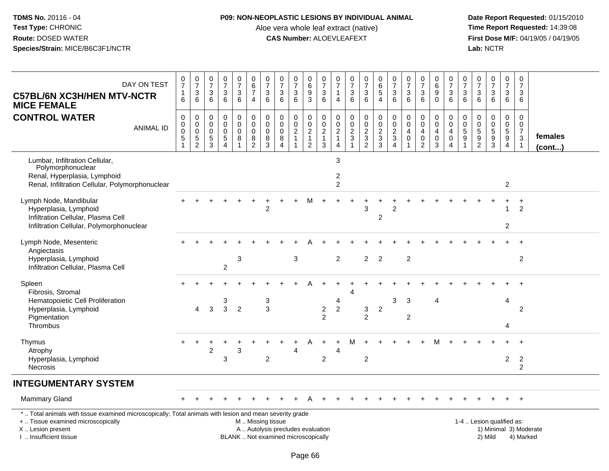## **P09: NON-NEOPLASTIC LESIONS BY INDIVIDUAL ANIMAL**

Aloe vera whole leaf extract (native)<br>**CAS Number:** ALOEVLEAFEXT

| DAY ON TEST<br><b>C57BL/6N XC3H/HEN MTV-NCTR</b><br><b>MICE FEMALE</b>                                                                                                                       | 0<br>$\overline{7}$<br>$\mathbf{1}$<br>6                | $\frac{0}{7}$<br>$\mathbf{3}$<br>6       | $\frac{0}{7}$<br>$\sqrt{3}$<br>6                                          | $\begin{smallmatrix} 0\\7 \end{smallmatrix}$<br>$\mathsf 3$<br>6          | $\frac{0}{7}$<br>$\mathbf 3$<br>6                                | $\pmb{0}$<br>$\,6\,$<br>$\overline{7}$<br>$\overline{4}$ | $\frac{0}{7}$<br>$\mathbf{3}$<br>6                               | $\frac{0}{7}$<br>3<br>6                                                  | $\begin{array}{c} 0 \\ 7 \end{array}$<br>$\mathbf{3}$<br>6                 | $\begin{array}{c} 0 \\ 6 \end{array}$<br>$\overline{9}$<br>3                   | $\begin{array}{c} 0 \\ 7 \end{array}$<br>$\mathfrak{S}$<br>6     | $\begin{array}{c} 0 \\ 7 \end{array}$<br>$\mathbf{1}$<br>$\overline{4}$        | $\pmb{0}$<br>$\overline{7}$<br>$\sqrt{3}$<br>6           | $\begin{array}{c} 0 \\ 7 \end{array}$<br>$\ensuremath{\mathsf{3}}$<br>6 | $\begin{array}{c} 0 \\ 6 \end{array}$<br>$\overline{5}$<br>$\overline{4}$ | $\begin{array}{c} 0 \\ 7 \end{array}$<br>$\mathsf 3$<br>$6\phantom{1}6$ | $\frac{0}{7}$<br>$\mathbf{3}$<br>6                          | $\begin{array}{c} 0 \\ 7 \end{array}$<br>$\mathfrak{Z}$<br>6                  | 0<br>6<br>$\overline{9}$<br>$\mathbf{0}$             | $\begin{array}{c} 0 \\ 7 \end{array}$<br>$\mathbf{3}$<br>6                    | $\frac{0}{7}$<br>$\mathfrak{S}$<br>6                              | 0<br>$\overline{7}$<br>$\mathbf{3}$<br>6                   | $\begin{smallmatrix}0\\7\end{smallmatrix}$<br>$\mathsf 3$<br>6 | $\frac{0}{7}$<br>$\mathbf{3}$<br>$6\phantom{1}$               | $\pmb{0}$<br>$\overline{7}$<br>3<br>6                                                     |                         |
|----------------------------------------------------------------------------------------------------------------------------------------------------------------------------------------------|---------------------------------------------------------|------------------------------------------|---------------------------------------------------------------------------|---------------------------------------------------------------------------|------------------------------------------------------------------|----------------------------------------------------------|------------------------------------------------------------------|--------------------------------------------------------------------------|----------------------------------------------------------------------------|--------------------------------------------------------------------------------|------------------------------------------------------------------|--------------------------------------------------------------------------------|----------------------------------------------------------|-------------------------------------------------------------------------|---------------------------------------------------------------------------|-------------------------------------------------------------------------|-------------------------------------------------------------|-------------------------------------------------------------------------------|------------------------------------------------------|-------------------------------------------------------------------------------|-------------------------------------------------------------------|------------------------------------------------------------|----------------------------------------------------------------|---------------------------------------------------------------|-------------------------------------------------------------------------------------------|-------------------------|
| <b>CONTROL WATER</b><br><b>ANIMAL ID</b>                                                                                                                                                     | $\mathbf 0$<br>0<br>$\overline{0}$<br>5<br>$\mathbf{1}$ | 0<br>$_{\rm 0}^{\rm 0}$<br>$\frac{5}{2}$ | $\mathbf 0$<br>$\mathbf 0$<br>$\mathbf 0$<br>$\sqrt{5}$<br>$\overline{3}$ | $\mathbf 0$<br>$\mathbf 0$<br>$\mathbf 0$<br>$\sqrt{5}$<br>$\overline{4}$ | $\mathbf 0$<br>$\mathbf 0$<br>$\mathbf 0$<br>8<br>$\overline{1}$ | 0<br>$\mathbf 0$<br>$\mathsf{O}\xspace$<br>$\frac{8}{2}$ | $\mathbf 0$<br>$\mathbf 0$<br>$\mathbf 0$<br>8<br>$\overline{3}$ | $\mathbf 0$<br>$\mathbf 0$<br>$\mathbf 0$<br>8<br>$\overline{4}$         | $\pmb{0}$<br>$\mathsf 0$<br>$\overline{2}$<br>$\mathbf{1}$<br>$\mathbf{1}$ | $\mathbf 0$<br>$\mathbf 0$<br>$\overline{2}$<br>$\mathbf{1}$<br>$\overline{2}$ | 0<br>$\pmb{0}$<br>$\overline{2}$<br>$\mathbf{1}$<br>$\mathbf{3}$ | $\mathbf 0$<br>$\mathbf 0$<br>$\overline{2}$<br>$\mathbf{1}$<br>$\overline{a}$ | $\mathbf 0$<br>$\mathbf 0$<br>$\sqrt{2}$<br>$\mathbf{3}$ | $\pmb{0}$<br>$\begin{array}{c} 0 \\ 2 \\ 3 \\ 2 \end{array}$            | 0<br>$\mathbf 0$<br>$\overline{2}$<br>$\sqrt{3}$<br>$\overline{3}$        | $\mathbf 0$<br>$\mathbf 0$<br>$\overline{2}$<br>$\frac{3}{4}$           | $\mathbf 0$<br>$\mathbf 0$<br>$\overline{4}$<br>$\mathbf 0$ | $\mathbf 0$<br>$\mathbf 0$<br>$\overline{4}$<br>$\mathbf 0$<br>$\overline{2}$ | 0<br>$\mathbf 0$<br>4<br>$\pmb{0}$<br>$\overline{3}$ | $\mathbf 0$<br>$\mathbf 0$<br>$\overline{4}$<br>$\mathsf 0$<br>$\overline{4}$ | $\mathbf 0$<br>$\mathsf 0$<br>$\overline{5}$<br>9<br>$\mathbf{1}$ | $\mathbf 0$<br>$\mathbf 0$<br>$\,$ 5 $\,$<br>$\frac{9}{2}$ | $\mathbf 0$<br>$\begin{array}{c} 0 \\ 5 \\ 3 \end{array}$      | $\mathbf 0$<br>$\mathbf 0$<br>$\overline{5}$<br>$\frac{9}{4}$ | $\mathbf 0$<br>$\mathbf 0$<br>$\overline{7}$<br>$\ensuremath{\mathsf{3}}$<br>$\mathbf{1}$ | females<br>$($ cont $)$ |
| Lumbar, Infiltration Cellular,<br>Polymorphonuclear<br>Renal, Hyperplasia, Lymphoid<br>Renal, Infiltration Cellular, Polymorphonuclear                                                       |                                                         |                                          |                                                                           |                                                                           |                                                                  |                                                          |                                                                  |                                                                          |                                                                            |                                                                                |                                                                  | $\mathbf{3}$<br>$\overline{c}$<br>2                                            |                                                          |                                                                         |                                                                           |                                                                         |                                                             |                                                                               |                                                      |                                                                               |                                                                   |                                                            |                                                                | $\overline{2}$                                                |                                                                                           |                         |
| Lymph Node, Mandibular<br>Hyperplasia, Lymphoid<br>Infiltration Cellular, Plasma Cell<br>Infiltration Cellular, Polymorphonuclear                                                            |                                                         |                                          |                                                                           |                                                                           |                                                                  |                                                          |                                                                  |                                                                          |                                                                            |                                                                                |                                                                  |                                                                                |                                                          | 3                                                                       | $\overline{c}$                                                            |                                                                         |                                                             |                                                                               |                                                      |                                                                               |                                                                   |                                                            |                                                                | $\overline{2}$                                                | $\ddot{}$<br>$\overline{c}$                                                               |                         |
| Lymph Node, Mesenteric<br>Angiectasis<br>Hyperplasia, Lymphoid<br>Infiltration Cellular, Plasma Cell                                                                                         |                                                         |                                          |                                                                           | $\overline{c}$                                                            | 3                                                                |                                                          |                                                                  |                                                                          | 3                                                                          |                                                                                |                                                                  | $\overline{2}$                                                                 |                                                          | $\overline{2}$                                                          | $\overline{2}$                                                            |                                                                         | $\overline{c}$                                              |                                                                               |                                                      |                                                                               |                                                                   |                                                            |                                                                |                                                               | $\overline{c}$                                                                            |                         |
| Spleen<br>Fibrosis, Stromal<br>Hematopoietic Cell Proliferation<br>Hyperplasia, Lymphoid<br>Pigmentation<br>Thrombus                                                                         |                                                         | 4                                        | 3                                                                         | 3<br>3                                                                    | $\overline{2}$                                                   |                                                          | 3<br>3                                                           |                                                                          |                                                                            |                                                                                | $\overline{c}$<br>$\overline{2}$                                 | $\overline{4}$<br>$\overline{2}$                                               | 4                                                        | 3<br>$\overline{2}$                                                     | $\overline{2}$                                                            | 3                                                                       | 3<br>$\overline{c}$                                         |                                                                               | 4                                                    |                                                                               |                                                                   |                                                            |                                                                | 4<br>4                                                        | 2                                                                                         |                         |
| Thymus<br>Atrophy<br>Hyperplasia, Lymphoid<br><b>Necrosis</b>                                                                                                                                | $+$                                                     | $\ddot{}$                                | 2                                                                         | 3                                                                         | 3                                                                |                                                          | $\sqrt{2}$                                                       |                                                                          | 4                                                                          |                                                                                | $\overline{c}$                                                   | $\overline{4}$                                                                 |                                                          | $\overline{c}$                                                          |                                                                           |                                                                         |                                                             |                                                                               |                                                      |                                                                               |                                                                   |                                                            |                                                                | $+$<br>$\overline{2}$                                         | $+$<br>$\overline{2}$<br>$\overline{a}$                                                   |                         |
| <b>INTEGUMENTARY SYSTEM</b>                                                                                                                                                                  |                                                         |                                          |                                                                           |                                                                           |                                                                  |                                                          |                                                                  |                                                                          |                                                                            |                                                                                |                                                                  |                                                                                |                                                          |                                                                         |                                                                           |                                                                         |                                                             |                                                                               |                                                      |                                                                               |                                                                   |                                                            |                                                                |                                                               |                                                                                           |                         |
| Mammary Gland                                                                                                                                                                                |                                                         |                                          |                                                                           |                                                                           |                                                                  |                                                          |                                                                  |                                                                          |                                                                            |                                                                                |                                                                  |                                                                                |                                                          |                                                                         |                                                                           |                                                                         |                                                             |                                                                               |                                                      |                                                                               |                                                                   |                                                            |                                                                |                                                               | $\overline{+}$                                                                            |                         |
| *  Total animals with tissue examined microscopically; Total animals with lesion and mean severity grade<br>+  Tissue examined microscopically<br>X Lesion present<br>I. Insufficient tissue |                                                         |                                          |                                                                           |                                                                           |                                                                  | M  Missing tissue                                        |                                                                  | A  Autolysis precludes evaluation<br>BLANK  Not examined microscopically |                                                                            |                                                                                |                                                                  |                                                                                |                                                          |                                                                         |                                                                           |                                                                         |                                                             |                                                                               |                                                      |                                                                               |                                                                   |                                                            | 1-4  Lesion qualified as:<br>2) Mild                           |                                                               | 4) Marked                                                                                 | 1) Minimal 3) Moderate  |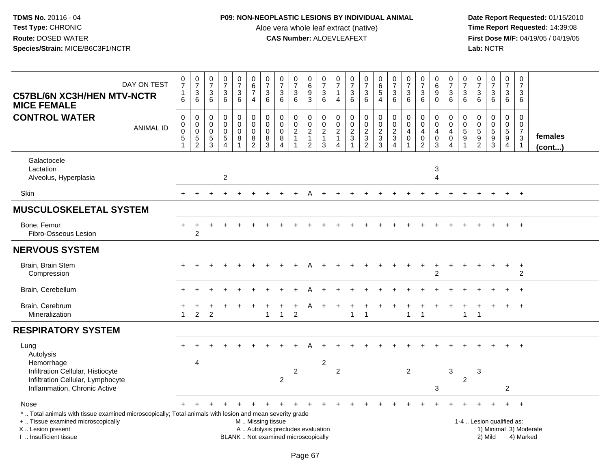## **P09: NON-NEOPLASTIC LESIONS BY INDIVIDUAL ANIMAL**

Aloe vera whole leaf extract (native)<br>**CAS Number:** ALOEVLEAFEXT

| DAY ON TEST<br><b>C57BL/6N XC3H/HEN MTV-NCTR</b><br><b>MICE FEMALE</b>                                                                                                                        | $\frac{0}{7}$<br>$\mathbf{1}$<br>6                                          | $\frac{0}{7}$<br>$\mathbf{3}$<br>6             | $\begin{array}{c} 0 \\ 7 \\ 3 \end{array}$<br>6  | $\frac{0}{7}$<br>$\mathbf{3}$<br>6                                             | $\frac{0}{7}$<br>$\overline{3}$<br>$\,6\,$                                             | $\pmb{0}$<br>$rac{6}{7}$<br>$\overline{4}$                 | $\frac{0}{7}$<br>$\ensuremath{\mathsf{3}}$<br>$\,6\,$ | $\begin{array}{c} 0 \\ 7 \end{array}$<br>$\sqrt{3}$<br>6                 | $\frac{0}{7}$<br>$\ensuremath{\mathsf{3}}$<br>6                            | 0<br>$\,6\,$<br>$\boldsymbol{9}$<br>$\mathbf{3}$                               | 0<br>$\overline{7}$<br>$\ensuremath{\mathsf{3}}$<br>6   | $\frac{0}{7}$<br>$\mathbf{1}$<br>$\overline{4}$ | $\frac{0}{7}$<br>$\mathbf 3$<br>$6\phantom{a}$                  | $\frac{0}{7}$<br>3<br>6                                | $\begin{array}{c} 0 \\ 6 \\ 5 \end{array}$<br>$\overline{4}$                     | $\frac{0}{7}$<br>$\mathbf{3}$<br>6                                 | $\begin{matrix} 0 \\ 7 \end{matrix}$<br>$\mathbf{3}$<br>6                     | $\frac{0}{7}$<br>$\ensuremath{\mathsf{3}}$<br>6                | $\begin{matrix} 0 \\ 6 \\ 9 \end{matrix}$<br>$\mathbf 0$              | 0<br>$\overline{7}$<br>3<br>6                                                 | $\begin{array}{c} 0 \\ 7 \end{array}$<br>$\sqrt{3}$<br>6             | $\frac{0}{7}$<br>$\ensuremath{\mathsf{3}}$<br>$6\phantom{1}$  | $\begin{array}{c} 0 \\ 7 \end{array}$<br>$\mathsf 3$<br>$6\phantom{1}$ | $\pmb{0}$<br>$\overline{7}$<br>$\mathbf{3}$<br>6              | 0<br>$\overline{7}$<br>3<br>6                                             |                                     |
|-----------------------------------------------------------------------------------------------------------------------------------------------------------------------------------------------|-----------------------------------------------------------------------------|------------------------------------------------|--------------------------------------------------|--------------------------------------------------------------------------------|----------------------------------------------------------------------------------------|------------------------------------------------------------|-------------------------------------------------------|--------------------------------------------------------------------------|----------------------------------------------------------------------------|--------------------------------------------------------------------------------|---------------------------------------------------------|-------------------------------------------------|-----------------------------------------------------------------|--------------------------------------------------------|----------------------------------------------------------------------------------|--------------------------------------------------------------------|-------------------------------------------------------------------------------|----------------------------------------------------------------|-----------------------------------------------------------------------|-------------------------------------------------------------------------------|----------------------------------------------------------------------|---------------------------------------------------------------|------------------------------------------------------------------------|---------------------------------------------------------------|---------------------------------------------------------------------------|-------------------------------------|
| <b>CONTROL WATER</b><br><b>ANIMAL ID</b>                                                                                                                                                      | $\mathbf 0$<br>$\mathbf 0$<br>$\mathbf 0$<br>$\overline{5}$<br>$\mathbf{1}$ | $\mathbf 0$<br>0<br>$\pmb{0}$<br>$\frac{5}{2}$ | $\mathbf 0$<br>0<br>$\mathbf 0$<br>$\frac{5}{3}$ | $\mathbf 0$<br>$\mathbf 0$<br>$\mathsf 0$<br>$5\phantom{.0}$<br>$\overline{4}$ | $\mathbf 0$<br>$\mathsf{O}\xspace$<br>$\mathsf{O}\xspace$<br>$\bf 8$<br>$\overline{1}$ | $\mathbf 0$<br>$\mathbf 0$<br>$\mathbf 0$<br>$\frac{8}{2}$ | $\mathbf 0$<br>$\mathbf 0$<br>$\mathbf 0$<br>$^8_3$   | $\mathbf 0$<br>$\mathbf 0$<br>$\mathbf 0$<br>$\bf 8$<br>$\overline{4}$   | $\mathbf 0$<br>$\pmb{0}$<br>$\overline{2}$<br>$\mathbf{1}$<br>$\mathbf{1}$ | $\mathbf 0$<br>$\mathbf 0$<br>$\overline{2}$<br>$\mathbf{1}$<br>$\overline{c}$ | $\mathbf 0$<br>0<br>$\overline{c}$<br>$\mathbf{1}$<br>3 | 0<br>0<br>$\boldsymbol{2}$<br>$\mathbf{1}$<br>4 | 0<br>$\pmb{0}$<br>$\overline{2}$<br>$\mathbf 3$<br>$\mathbf{1}$ | 0<br>$\overline{0}$<br>$\overline{2}$<br>$\frac{3}{2}$ | $\mathbf 0$<br>$\ddot{\mathbf{0}}$<br>$\begin{array}{c} 2 \\ 3 \\ 3 \end{array}$ | $\mathbf 0$<br>0<br>$\overline{c}$<br>$\sqrt{3}$<br>$\overline{4}$ | $\mathbf 0$<br>$\mathbf 0$<br>$\overline{a}$<br>$\mathbf 0$<br>$\overline{1}$ | 0<br>$\mathbf 0$<br>4<br>$\mathsf{O}\xspace$<br>$\overline{2}$ | $\pmb{0}$<br>$\mathbf 0$<br>$\overline{\mathbf{4}}$<br>$_{3}^{\rm 0}$ | $\mathbf 0$<br>$\mathbf 0$<br>$\overline{4}$<br>$\mathbf 0$<br>$\overline{4}$ | $\mathbf 0$<br>0<br>$\sqrt{5}$<br>$\boldsymbol{9}$<br>$\overline{1}$ | $\mathbf 0$<br>$\mathsf 0$<br>$\overline{5}$<br>$\frac{9}{2}$ | $\mathbf{0}$<br>$\mathbf 0$<br>$\overline{5}$<br>$\frac{9}{3}$         | $\mathbf 0$<br>$\mathbf 0$<br>$\frac{5}{9}$<br>$\overline{4}$ | $\Omega$<br>$\mathbf 0$<br>$\overline{7}$<br>$\mathbf{3}$<br>$\mathbf{1}$ | females<br>(cont)                   |
| Galactocele<br>Lactation<br>Alveolus, Hyperplasia                                                                                                                                             |                                                                             |                                                |                                                  | $\overline{c}$                                                                 |                                                                                        |                                                            |                                                       |                                                                          |                                                                            |                                                                                |                                                         |                                                 |                                                                 |                                                        |                                                                                  |                                                                    |                                                                               |                                                                | 3<br>$\boldsymbol{\Lambda}$                                           |                                                                               |                                                                      |                                                               |                                                                        |                                                               |                                                                           |                                     |
| Skin                                                                                                                                                                                          |                                                                             |                                                |                                                  |                                                                                |                                                                                        |                                                            |                                                       |                                                                          |                                                                            |                                                                                |                                                         |                                                 |                                                                 |                                                        |                                                                                  |                                                                    |                                                                               |                                                                |                                                                       |                                                                               |                                                                      |                                                               |                                                                        | $+$                                                           | $+$                                                                       |                                     |
| <b>MUSCULOSKELETAL SYSTEM</b>                                                                                                                                                                 |                                                                             |                                                |                                                  |                                                                                |                                                                                        |                                                            |                                                       |                                                                          |                                                                            |                                                                                |                                                         |                                                 |                                                                 |                                                        |                                                                                  |                                                                    |                                                                               |                                                                |                                                                       |                                                                               |                                                                      |                                                               |                                                                        |                                                               |                                                                           |                                     |
| Bone, Femur<br>Fibro-Osseous Lesion                                                                                                                                                           |                                                                             | $\overline{2}$                                 |                                                  |                                                                                |                                                                                        |                                                            |                                                       |                                                                          |                                                                            |                                                                                |                                                         |                                                 |                                                                 |                                                        |                                                                                  |                                                                    |                                                                               |                                                                |                                                                       |                                                                               |                                                                      |                                                               |                                                                        |                                                               | $+$                                                                       |                                     |
| <b>NERVOUS SYSTEM</b>                                                                                                                                                                         |                                                                             |                                                |                                                  |                                                                                |                                                                                        |                                                            |                                                       |                                                                          |                                                                            |                                                                                |                                                         |                                                 |                                                                 |                                                        |                                                                                  |                                                                    |                                                                               |                                                                |                                                                       |                                                                               |                                                                      |                                                               |                                                                        |                                                               |                                                                           |                                     |
| Brain, Brain Stem<br>Compression                                                                                                                                                              |                                                                             |                                                |                                                  |                                                                                |                                                                                        |                                                            |                                                       |                                                                          |                                                                            |                                                                                |                                                         |                                                 |                                                                 |                                                        |                                                                                  |                                                                    |                                                                               | $\ddot{}$                                                      | $\overline{2}$                                                        |                                                                               |                                                                      |                                                               |                                                                        | $+$                                                           | $\ddot{}$<br>2                                                            |                                     |
| Brain, Cerebellum                                                                                                                                                                             |                                                                             |                                                |                                                  |                                                                                |                                                                                        |                                                            |                                                       |                                                                          |                                                                            |                                                                                |                                                         |                                                 |                                                                 |                                                        |                                                                                  |                                                                    |                                                                               |                                                                |                                                                       |                                                                               |                                                                      |                                                               |                                                                        |                                                               |                                                                           |                                     |
| Brain, Cerebrum<br>Mineralization                                                                                                                                                             | -1                                                                          | $\overline{2}$                                 | $\mathcal{P}$                                    |                                                                                |                                                                                        |                                                            | 1                                                     | $\overline{1}$                                                           | $\ddot{}$<br>$\overline{2}$                                                | A                                                                              |                                                         |                                                 | $\mathbf{1}$                                                    |                                                        |                                                                                  |                                                                    | $\mathbf{1}$                                                                  | $\overline{1}$                                                 |                                                                       |                                                                               | $\mathbf{1}$                                                         | $\ddot{}$<br>$\overline{\mathbf{1}}$                          |                                                                        |                                                               | $+$                                                                       |                                     |
| <b>RESPIRATORY SYSTEM</b>                                                                                                                                                                     |                                                                             |                                                |                                                  |                                                                                |                                                                                        |                                                            |                                                       |                                                                          |                                                                            |                                                                                |                                                         |                                                 |                                                                 |                                                        |                                                                                  |                                                                    |                                                                               |                                                                |                                                                       |                                                                               |                                                                      |                                                               |                                                                        |                                                               |                                                                           |                                     |
| Lung<br>Autolysis                                                                                                                                                                             |                                                                             |                                                |                                                  |                                                                                |                                                                                        |                                                            |                                                       |                                                                          |                                                                            |                                                                                |                                                         |                                                 |                                                                 |                                                        |                                                                                  |                                                                    |                                                                               |                                                                |                                                                       |                                                                               |                                                                      |                                                               |                                                                        |                                                               |                                                                           |                                     |
| Hemorrhage<br>Infiltration Cellular, Histiocyte<br>Infiltration Cellular, Lymphocyte<br>Inflammation, Chronic Active                                                                          |                                                                             | 4                                              |                                                  |                                                                                |                                                                                        |                                                            |                                                       | $\overline{c}$                                                           | $\overline{\mathbf{c}}$                                                    |                                                                                | $\overline{2}$                                          | $\overline{2}$                                  |                                                                 |                                                        |                                                                                  |                                                                    | $\overline{2}$                                                                |                                                                | 3                                                                     | $\mathbf{3}$                                                                  | $\overline{2}$                                                       | 3                                                             |                                                                        | $\overline{2}$                                                |                                                                           |                                     |
| Nose                                                                                                                                                                                          |                                                                             |                                                |                                                  |                                                                                |                                                                                        |                                                            |                                                       |                                                                          |                                                                            |                                                                                | $\ddot{}$                                               | $\ddot{}$                                       | $\overline{ }$                                                  | $\ddot{}$                                              |                                                                                  |                                                                    |                                                                               |                                                                |                                                                       |                                                                               |                                                                      |                                                               |                                                                        | $+$                                                           | $+$                                                                       |                                     |
| *  Total animals with tissue examined microscopically; Total animals with lesion and mean severity grade<br>+  Tissue examined microscopically<br>X  Lesion present<br>I  Insufficient tissue |                                                                             |                                                |                                                  |                                                                                |                                                                                        | M  Missing tissue                                          |                                                       | A  Autolysis precludes evaluation<br>BLANK  Not examined microscopically |                                                                            |                                                                                |                                                         |                                                 |                                                                 |                                                        |                                                                                  |                                                                    |                                                                               |                                                                |                                                                       |                                                                               |                                                                      | 1-4  Lesion qualified as:                                     | 2) Mild                                                                |                                                               |                                                                           | 1) Minimal 3) Moderate<br>4) Marked |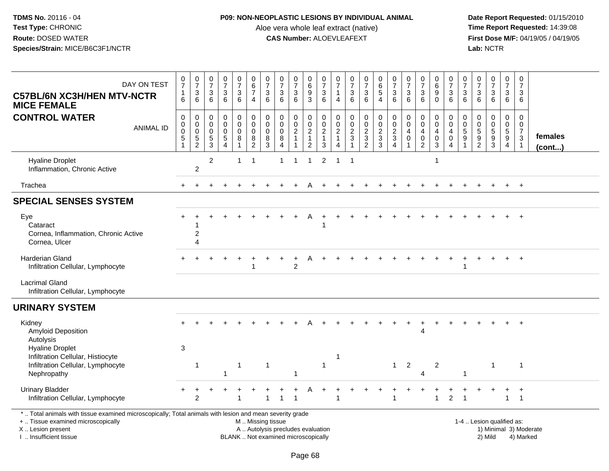## **P09: NON-NEOPLASTIC LESIONS BY INDIVIDUAL ANIMAL**

Aloe vera whole leaf extract (native)<br>**CAS Number:** ALOEVLEAFEXT

| DAY ON TEST<br><b>C57BL/6N XC3H/HEN MTV-NCTR</b><br><b>MICE FEMALE</b>                                                                                                                        | $\frac{0}{7}$<br>$\mathbf{1}$<br>6     | $\frac{0}{7}$<br>$\mathbf{3}$<br>6                                           | 0<br>$\overline{7}$<br>$\mathbf{3}$<br>6           | $\frac{0}{7}$<br>$\sqrt{3}$<br>6                                      | 0<br>$\overline{7}$<br>3<br>6  | 0<br>$\,6\,$<br>$\overline{7}$<br>$\overline{4}$       | 0<br>$\overline{7}$<br>3<br>6                       | $\frac{0}{7}$<br>$\mathbf{3}$<br>6                                       | $\frac{0}{7}$<br>$\mathbf{3}$<br>6                             | 0<br>$\overline{6}$<br>9<br>$\overline{3}$                | $\frac{0}{7}$<br>$\sqrt{3}$<br>6                                  | $\frac{0}{7}$<br>$\overline{1}$<br>4                                              | $\frac{0}{7}$<br>$\sqrt{3}$<br>6            | $\frac{0}{7}$<br>$\mathbf{3}$<br>6        | 0<br>$\,6\,$<br>5<br>$\overline{4}$            | $\frac{0}{7}$<br>$\mathbf{3}$<br>$\overline{6}$ | $\frac{0}{7}$<br>3<br>6              | $\frac{0}{7}$<br>$\sqrt{3}$<br>6        | 0<br>$\,6\,$<br>9<br>$\Omega$                          | $\frac{0}{7}$<br>$\sqrt{3}$<br>6                                                     | 0<br>$\overline{7}$<br>3<br>6                                 | 0<br>$\overline{7}$<br>3<br>6                                               | 0<br>$\overline{7}$<br>3<br>6                               | 0<br>$\overline{7}$<br>3<br>6                                                      | 0<br>$\overline{7}$<br>3<br>6                                             |                         |
|-----------------------------------------------------------------------------------------------------------------------------------------------------------------------------------------------|----------------------------------------|------------------------------------------------------------------------------|----------------------------------------------------|-----------------------------------------------------------------------|--------------------------------|--------------------------------------------------------|-----------------------------------------------------|--------------------------------------------------------------------------|----------------------------------------------------------------|-----------------------------------------------------------|-------------------------------------------------------------------|-----------------------------------------------------------------------------------|---------------------------------------------|-------------------------------------------|------------------------------------------------|-------------------------------------------------|--------------------------------------|-----------------------------------------|--------------------------------------------------------|--------------------------------------------------------------------------------------|---------------------------------------------------------------|-----------------------------------------------------------------------------|-------------------------------------------------------------|------------------------------------------------------------------------------------|---------------------------------------------------------------------------|-------------------------|
| <b>CONTROL WATER</b><br><b>ANIMAL ID</b>                                                                                                                                                      | $\mathbf 0$<br>$_{\rm 0}^{\rm 0}$<br>5 | $\mathbf 0$<br>$\mathsf{O}\xspace$<br>$\mathbf 0$<br>$5\,$<br>$\overline{2}$ | $\mathbf 0$<br>$\mathbf 0$<br>0<br>$\sqrt{5}$<br>3 | $\pmb{0}$<br>$\mathbf 0$<br>$\pmb{0}$<br>$\sqrt{5}$<br>$\overline{A}$ | 0<br>$\pmb{0}$<br>0<br>$\bf 8$ | $\pmb{0}$<br>$\mathbf 0$<br>$\pmb{0}$<br>$\frac{8}{2}$ | $\mathbf 0$<br>$\mathbf 0$<br>$\mathbf 0$<br>8<br>3 | $\pmb{0}$<br>$\mathbf 0$<br>$\pmb{0}$<br>$\bf8$<br>$\overline{4}$        | $\mathbf 0$<br>$\mathbf 0$<br>$\overline{2}$<br>$\overline{1}$ | $\pmb{0}$<br>$\pmb{0}$<br>$\frac{2}{1}$<br>$\overline{2}$ | $\pmb{0}$<br>$\mathbf 0$<br>$\boldsymbol{2}$<br>$\mathbf{1}$<br>3 | $\boldsymbol{0}$<br>$\mathbf 0$<br>$\sqrt{2}$<br>$\overline{1}$<br>$\overline{4}$ | $\mathbf 0$<br>$\mathbf 0$<br>$\frac{2}{3}$ | $\pmb{0}$<br>$\mathbf 0$<br>$\frac{2}{3}$ | $\pmb{0}$<br>$\mathbf 0$<br>$\frac{2}{3}$<br>3 | $\mathbf 0$<br>$\pmb{0}$<br>$\frac{2}{3}$<br>4  | $\mathbf 0$<br>0<br>4<br>$\mathbf 0$ | $\mathbf 0$<br>0<br>4<br>$\pmb{0}$<br>2 | 0<br>$\mathbf 0$<br>$\overline{4}$<br>$\mathbf 0$<br>3 | $\mathbf 0$<br>$\mathbf 0$<br>$\overline{\mathbf{4}}$<br>$\pmb{0}$<br>$\overline{4}$ | $\mathbf 0$<br>$\mathbf{0}$<br>$\sqrt{5}$<br>$\boldsymbol{9}$ | $\Omega$<br>$\mathbf 0$<br>$\sqrt{5}$<br>$\boldsymbol{9}$<br>$\overline{2}$ | 0<br>$\mathbf 0$<br>$\overline{5}$<br>$\boldsymbol{9}$<br>3 | $\mathbf 0$<br>$\mathbf 0$<br>$\overline{5}$<br>$\boldsymbol{9}$<br>$\overline{4}$ | $\Omega$<br>$\mathbf 0$<br>$\overline{7}$<br>$\mathbf{3}$<br>$\mathbf{1}$ | females<br>$($ cont $)$ |
| <b>Hyaline Droplet</b><br>Inflammation, Chronic Active                                                                                                                                        |                                        | 2                                                                            | $\overline{c}$                                     |                                                                       | 1                              | -1                                                     |                                                     | 1                                                                        | -1                                                             | $\mathbf{1}$                                              | 2                                                                 | $\overline{1}$                                                                    | $\overline{\mathbf{1}}$                     |                                           |                                                |                                                 |                                      |                                         | 1                                                      |                                                                                      |                                                               |                                                                             |                                                             |                                                                                    |                                                                           |                         |
| Trachea                                                                                                                                                                                       | $+$                                    |                                                                              |                                                    |                                                                       |                                |                                                        |                                                     |                                                                          |                                                                | A                                                         |                                                                   |                                                                                   |                                             |                                           |                                                |                                                 |                                      |                                         |                                                        |                                                                                      |                                                               |                                                                             |                                                             | $+$                                                                                | $+$                                                                       |                         |
| <b>SPECIAL SENSES SYSTEM</b>                                                                                                                                                                  |                                        |                                                                              |                                                    |                                                                       |                                |                                                        |                                                     |                                                                          |                                                                |                                                           |                                                                   |                                                                                   |                                             |                                           |                                                |                                                 |                                      |                                         |                                                        |                                                                                      |                                                               |                                                                             |                                                             |                                                                                    |                                                                           |                         |
| Eye<br>Cataract<br>Cornea, Inflammation, Chronic Active<br>Cornea, Ulcer                                                                                                                      |                                        | $\boldsymbol{2}$<br>$\boldsymbol{\Lambda}$                                   |                                                    |                                                                       |                                |                                                        |                                                     |                                                                          |                                                                |                                                           |                                                                   |                                                                                   |                                             |                                           |                                                |                                                 |                                      |                                         |                                                        |                                                                                      |                                                               |                                                                             |                                                             |                                                                                    |                                                                           |                         |
| Harderian Gland<br>Infiltration Cellular, Lymphocyte                                                                                                                                          |                                        |                                                                              |                                                    |                                                                       |                                |                                                        |                                                     |                                                                          | $\overline{c}$                                                 |                                                           |                                                                   |                                                                                   |                                             |                                           |                                                |                                                 |                                      |                                         |                                                        |                                                                                      | $\overline{1}$                                                |                                                                             |                                                             |                                                                                    | $\overline{ }$                                                            |                         |
| <b>Lacrimal Gland</b><br>Infiltration Cellular, Lymphocyte                                                                                                                                    |                                        |                                                                              |                                                    |                                                                       |                                |                                                        |                                                     |                                                                          |                                                                |                                                           |                                                                   |                                                                                   |                                             |                                           |                                                |                                                 |                                      |                                         |                                                        |                                                                                      |                                                               |                                                                             |                                                             |                                                                                    |                                                                           |                         |
| <b>URINARY SYSTEM</b>                                                                                                                                                                         |                                        |                                                                              |                                                    |                                                                       |                                |                                                        |                                                     |                                                                          |                                                                |                                                           |                                                                   |                                                                                   |                                             |                                           |                                                |                                                 |                                      |                                         |                                                        |                                                                                      |                                                               |                                                                             |                                                             |                                                                                    |                                                                           |                         |
| Kidney<br><b>Amyloid Deposition</b><br>Autolysis                                                                                                                                              |                                        |                                                                              |                                                    |                                                                       |                                |                                                        |                                                     |                                                                          |                                                                |                                                           |                                                                   |                                                                                   |                                             |                                           |                                                |                                                 |                                      | $\boldsymbol{\Lambda}$                  |                                                        |                                                                                      |                                                               |                                                                             |                                                             |                                                                                    | $\overline{+}$                                                            |                         |
| <b>Hyaline Droplet</b><br>Infiltration Cellular, Histiocyte<br>Infiltration Cellular, Lymphocyte<br>Nephropathy                                                                               | 3                                      | $\mathbf{1}$                                                                 |                                                    |                                                                       | $\overline{1}$                 |                                                        | $\mathbf{1}$                                        |                                                                          | -1                                                             |                                                           | $\overline{1}$                                                    | -1                                                                                |                                             |                                           |                                                |                                                 | $1 \quad 2$                          | Δ                                       | $\overline{2}$                                         |                                                                                      | $\overline{1}$                                                |                                                                             | $\mathbf 1$                                                 |                                                                                    | $\overline{1}$                                                            |                         |
| <b>Urinary Bladder</b><br>Infiltration Cellular, Lymphocyte                                                                                                                                   |                                        | 2                                                                            |                                                    |                                                                       | $\overline{\mathbf{1}}$        |                                                        | 1                                                   | -1                                                                       | -1                                                             |                                                           |                                                                   |                                                                                   |                                             |                                           |                                                | $\overline{1}$                                  |                                      |                                         | 1                                                      | $\overline{2}$                                                                       | 1                                                             |                                                                             |                                                             | $\mathbf{1}$                                                                       | $\overline{1}$<br>$\mathbf{1}$                                            |                         |
| *  Total animals with tissue examined microscopically; Total animals with lesion and mean severity grade<br>+  Tissue examined microscopically<br>X  Lesion present<br>I. Insufficient tissue |                                        |                                                                              |                                                    |                                                                       |                                | M  Missing tissue                                      |                                                     | A  Autolysis precludes evaluation<br>BLANK  Not examined microscopically |                                                                |                                                           |                                                                   |                                                                                   |                                             |                                           |                                                |                                                 |                                      |                                         |                                                        |                                                                                      |                                                               | 1-4  Lesion qualified as:                                                   | 2) Mild                                                     |                                                                                    | 4) Marked                                                                 | 1) Minimal 3) Moderate  |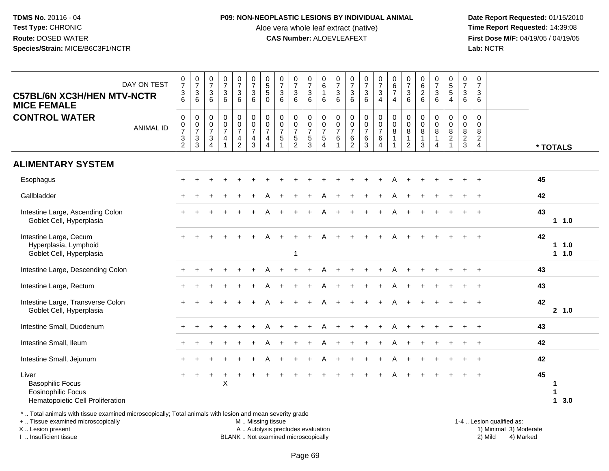#### **P09: NON-NEOPLASTIC LESIONS BY INDIVIDUAL ANIMAL**

Aloe vera whole leaf extract (native)<br>**CAS Number:** ALOEVLEAFEXT

 **Date Report Requested:** 01/15/2010 **First Dose M/F:** 04/19/05 / 04/19/05<br>Lab: NCTR **Lab:** NCTR

| <b>C57BL/6N XC3H/HEN MTV-NCTR</b><br><b>MICE FEMALE</b>                                                                                                                                                | DAY ON TEST      | $\frac{0}{7}$<br>$\frac{3}{6}$            | $\begin{array}{c} 0 \\ 7 \end{array}$<br>$\ensuremath{\mathsf{3}}$<br>6 | $\begin{smallmatrix}0\\7\end{smallmatrix}$<br>$\mathbf{3}$<br>6              | $\frac{0}{7}$<br>$\sqrt{3}$<br>6                                | $\begin{smallmatrix}0\\7\end{smallmatrix}$<br>$\mathsf 3$<br>6      | $\begin{array}{c} 0 \\ 7 \end{array}$<br>$\mathbf{3}$<br>6                              | $\begin{array}{c} 0 \\ 5 \\ 5 \end{array}$<br>$\mathbf 0$    | $\frac{0}{7}$<br>$\mathbf{3}$<br>6                                | $\frac{0}{7}$<br>$\ensuremath{\mathsf{3}}$<br>6                     | $\begin{smallmatrix}0\\7\end{smallmatrix}$<br>$\sqrt{3}$<br>6 | $\begin{array}{c} 0 \\ 6 \end{array}$<br>$\overline{1}$<br>6 | 0<br>$\overline{7}$<br>$\mathbf{3}$<br>6  | $\frac{0}{7}$<br>$\mathbf{3}$<br>6                                      | $\frac{0}{7}$<br>$\mathbf{3}$<br>6                                       | $\begin{array}{c} 0 \\ 7 \\ 3 \end{array}$<br>$\overline{4}$           | $\begin{array}{c} 0 \\ 6 \\ 7 \end{array}$<br>$\overline{4}$      | $\frac{0}{7}$<br>$\ensuremath{\mathsf{3}}$<br>6       | 0626                                                     | $\frac{0}{7}$<br>$\mathsf 3$<br>6 | $\begin{array}{c} 0 \\ 5 \\ 5 \end{array}$<br>$\overline{4}$  | 0<br>$\overline{7}$<br>3<br>6                | $\frac{0}{7}$<br>3<br>6                                             |                     |
|--------------------------------------------------------------------------------------------------------------------------------------------------------------------------------------------------------|------------------|-------------------------------------------|-------------------------------------------------------------------------|------------------------------------------------------------------------------|-----------------------------------------------------------------|---------------------------------------------------------------------|-----------------------------------------------------------------------------------------|--------------------------------------------------------------|-------------------------------------------------------------------|---------------------------------------------------------------------|---------------------------------------------------------------|--------------------------------------------------------------|-------------------------------------------|-------------------------------------------------------------------------|--------------------------------------------------------------------------|------------------------------------------------------------------------|-------------------------------------------------------------------|-------------------------------------------------------|----------------------------------------------------------|-----------------------------------|---------------------------------------------------------------|----------------------------------------------|---------------------------------------------------------------------|---------------------|
| <b>CONTROL WATER</b>                                                                                                                                                                                   | <b>ANIMAL ID</b> | 0<br>$\frac{0}{7}$<br>3<br>$\overline{2}$ | $\pmb{0}$<br>$\frac{0}{7}$<br>$\frac{3}{3}$                             | $\mathbf 0$<br>$\pmb{0}$<br>$\overline{7}$<br>$\mathbf{3}$<br>$\overline{4}$ | $\pmb{0}$<br>$\pmb{0}$<br>$\overline{7}$<br>4<br>$\overline{A}$ | $\pmb{0}$<br>$\begin{array}{c} 0 \\ 7 \end{array}$<br>$\frac{4}{2}$ | $\pmb{0}$<br>$\begin{smallmatrix}0\\7\end{smallmatrix}$<br>$\overline{\mathbf{4}}$<br>3 | $\mathbf 0$<br>$\frac{0}{7}$<br>4<br>$\overline{\mathbf{4}}$ | $\mathbf 0$<br>0<br>$\frac{5}{7}$<br>$\sqrt{5}$<br>$\overline{1}$ | $\pmb{0}$<br>$\begin{array}{c} 0 \\ 7 \end{array}$<br>$\frac{5}{2}$ | 0<br>$\mathbf 0$<br>$\overline{7}$<br>$\,$ 5 $\,$<br>3        | $\mathbf 0$<br>$\frac{0}{7}$<br>$\sqrt{5}$<br>$\overline{A}$ | 0<br>$\pmb{0}$<br>$\overline{7}$<br>$\,6$ | $\mathbf 0$<br>$\pmb{0}$<br>$\overline{7}$<br>$\,6\,$<br>$\overline{2}$ | $\pmb{0}$<br>$\begin{smallmatrix}0\\7\end{smallmatrix}$<br>$\frac{6}{3}$ | 0<br>$\begin{smallmatrix}0\\7\end{smallmatrix}$<br>6<br>$\overline{4}$ | $\pmb{0}$<br>$\pmb{0}$<br>$\bf 8$<br>$\mathbf{1}$<br>$\mathbf{1}$ | 0<br>$\pmb{0}$<br>8<br>$\mathbf{1}$<br>$\overline{2}$ | $\mathbf 0$<br>$\pmb{0}$<br>$\,8\,$<br>$\mathbf{1}$<br>3 | 0<br>0<br>8<br>$\mathbf{1}$<br>4  | $\mathbf 0$<br>$\mathbf 0$<br>8<br>$\sqrt{2}$<br>$\mathbf{1}$ | $\mathbf 0$<br>0<br>8<br>$\overline{a}$<br>3 | $\mathbf 0$<br>$\mathbf 0$<br>8<br>$\overline{2}$<br>$\overline{4}$ | * TOTALS            |
| <b>ALIMENTARY SYSTEM</b>                                                                                                                                                                               |                  |                                           |                                                                         |                                                                              |                                                                 |                                                                     |                                                                                         |                                                              |                                                                   |                                                                     |                                                               |                                                              |                                           |                                                                         |                                                                          |                                                                        |                                                                   |                                                       |                                                          |                                   |                                                               |                                              |                                                                     |                     |
| Esophagus                                                                                                                                                                                              |                  |                                           |                                                                         |                                                                              |                                                                 |                                                                     |                                                                                         |                                                              |                                                                   |                                                                     |                                                               |                                                              |                                           |                                                                         |                                                                          |                                                                        | А                                                                 |                                                       |                                                          |                                   |                                                               |                                              |                                                                     | 45                  |
| Gallbladder                                                                                                                                                                                            |                  |                                           |                                                                         |                                                                              |                                                                 |                                                                     |                                                                                         |                                                              |                                                                   |                                                                     |                                                               |                                                              |                                           |                                                                         |                                                                          |                                                                        |                                                                   |                                                       |                                                          |                                   |                                                               |                                              |                                                                     | 42                  |
| Intestine Large, Ascending Colon<br>Goblet Cell, Hyperplasia                                                                                                                                           |                  | $+$                                       |                                                                         |                                                                              |                                                                 |                                                                     |                                                                                         |                                                              |                                                                   |                                                                     |                                                               |                                                              |                                           |                                                                         |                                                                          |                                                                        | A                                                                 |                                                       |                                                          |                                   |                                                               |                                              |                                                                     | 43<br>1 1.0         |
| Intestine Large, Cecum<br>Hyperplasia, Lymphoid<br>Goblet Cell, Hyperplasia                                                                                                                            |                  |                                           |                                                                         |                                                                              |                                                                 |                                                                     |                                                                                         |                                                              |                                                                   | -1                                                                  |                                                               |                                                              |                                           |                                                                         |                                                                          |                                                                        |                                                                   |                                                       |                                                          |                                   |                                                               |                                              |                                                                     | 42<br>1 1.0<br>11.0 |
| Intestine Large, Descending Colon                                                                                                                                                                      |                  |                                           |                                                                         |                                                                              |                                                                 |                                                                     |                                                                                         |                                                              |                                                                   |                                                                     |                                                               |                                                              |                                           |                                                                         |                                                                          |                                                                        |                                                                   |                                                       |                                                          |                                   |                                                               |                                              |                                                                     | 43                  |
| Intestine Large, Rectum                                                                                                                                                                                |                  |                                           |                                                                         |                                                                              |                                                                 |                                                                     |                                                                                         |                                                              |                                                                   |                                                                     |                                                               |                                                              |                                           |                                                                         |                                                                          |                                                                        |                                                                   |                                                       |                                                          |                                   |                                                               |                                              |                                                                     | 43                  |
| Intestine Large, Transverse Colon<br>Goblet Cell, Hyperplasia                                                                                                                                          |                  |                                           |                                                                         |                                                                              |                                                                 |                                                                     |                                                                                         |                                                              |                                                                   |                                                                     |                                                               |                                                              |                                           |                                                                         |                                                                          |                                                                        |                                                                   |                                                       |                                                          |                                   |                                                               |                                              |                                                                     | 42<br>2 1.0         |
| Intestine Small, Duodenum                                                                                                                                                                              |                  |                                           |                                                                         |                                                                              |                                                                 |                                                                     |                                                                                         |                                                              |                                                                   |                                                                     |                                                               |                                                              |                                           |                                                                         |                                                                          |                                                                        |                                                                   |                                                       |                                                          |                                   |                                                               |                                              |                                                                     | 43                  |
| Intestine Small, Ileum                                                                                                                                                                                 |                  |                                           |                                                                         |                                                                              |                                                                 |                                                                     |                                                                                         |                                                              |                                                                   |                                                                     |                                                               |                                                              |                                           |                                                                         |                                                                          |                                                                        |                                                                   |                                                       |                                                          |                                   |                                                               |                                              |                                                                     | 42                  |
| Intestine Small, Jejunum                                                                                                                                                                               |                  |                                           |                                                                         |                                                                              |                                                                 |                                                                     |                                                                                         |                                                              |                                                                   |                                                                     |                                                               |                                                              |                                           |                                                                         |                                                                          |                                                                        |                                                                   |                                                       |                                                          |                                   |                                                               |                                              |                                                                     | 42                  |
| Liver<br><b>Basophilic Focus</b><br>Eosinophilic Focus<br>Hematopoietic Cell Proliferation<br>*  Total animals with tissue examined microscopically; Total animals with lesion and mean severity grade |                  |                                           |                                                                         |                                                                              | X                                                               |                                                                     |                                                                                         |                                                              |                                                                   |                                                                     |                                                               |                                                              |                                           |                                                                         |                                                                          |                                                                        |                                                                   |                                                       |                                                          |                                   |                                                               |                                              |                                                                     | 45<br>-1<br>13.0    |

+ .. Tissue examined microscopically

X .. Lesion present

I .. Insufficient tissue

M .. Missing tissue

A .. Autolysis precludes evaluation 1999 (1999) 1999 (1999) 1999 (1999) 1999 (1999) Minimal 3) Minimal 3) Minimal 3) Minimal 3) Mild

BLANK .. Not examined microscopically 2) Mild 4) Marked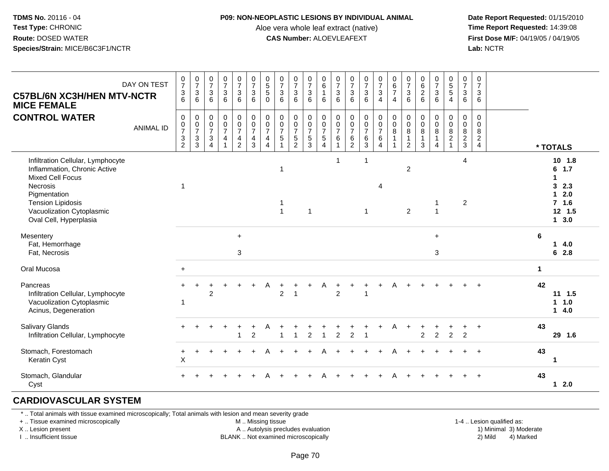#### **P09: NON-NEOPLASTIC LESIONS BY INDIVIDUAL ANIMAL**

Aloe vera whole leaf extract (native)<br>**CAS Number:** ALOEVLEAFEXT

 **Date Report Requested:** 01/15/2010 **First Dose M/F:** 04/19/05 / 04/19/05<br>**Lab:** NCTR **Lab:** NCTR

| <b>C57BL/6N XC3H/HEN MTV-NCTR</b><br><b>MICE FEMALE</b>                                                                                                                                                     | DAY ON TEST      | $\frac{0}{7}$<br>$^3$ 6                                   | $\begin{smallmatrix} 0\\7 \end{smallmatrix}$<br>$\ensuremath{\mathsf{3}}$<br>$\,6\,$    | $\frac{0}{7}$<br>3<br>$6\phantom{1}$                             | $\begin{array}{c} 0 \\ 7 \end{array}$<br>$\mathbf 3$<br>6                             | $\frac{0}{7}$<br>$\mathbf{3}$<br>6                                                      | $\frac{0}{7}$<br>$\mathbf{3}$<br>$\,6\,$                              | $\begin{array}{c} 0 \\ 5 \\ 5 \end{array}$<br>$\mathbf 0$                                       | $\begin{array}{c} 0 \\ 7 \end{array}$<br>$\sqrt{3}$<br>6 | $\begin{array}{c} 0 \\ 7 \end{array}$<br>$\sqrt{3}$<br>$6\phantom{1}$ | $\frac{0}{7}$<br>$\sqrt{3}$<br>$\,6\,$              | $\,0\,$<br>6<br>$\overline{1}$<br>6                                              | $\frac{0}{7}$<br>3<br>6               | $\begin{matrix} 0 \\ 7 \\ 3 \end{matrix}$<br>$6\phantom{1}$ | $\frac{0}{7}$<br>$\overline{3}$<br>6                        | $\begin{array}{c} 0 \\ 7 \\ 3 \end{array}$<br>$\overline{4}$     | $\begin{array}{c} 0 \\ 6 \\ 7 \end{array}$<br>$\overline{4}$             | $\begin{array}{c} 0 \\ 7 \end{array}$<br>$\mathbf{3}$<br>6    | $\pmb{0}$<br>$6\phantom{1}6$<br>$\overline{2}$<br>6  | $\frac{0}{7}$<br>$\mathbf{3}$<br>6         | $\begin{array}{c} 0 \\ 5 \\ 5 \end{array}$<br>$\overline{4}$         | $\frac{0}{7}$<br>$\mathbf{3}$<br>6           | $\mathbf 0$<br>$\overline{7}$<br>3<br>6                              |    |                                                                        |
|-------------------------------------------------------------------------------------------------------------------------------------------------------------------------------------------------------------|------------------|-----------------------------------------------------------|-----------------------------------------------------------------------------------------|------------------------------------------------------------------|---------------------------------------------------------------------------------------|-----------------------------------------------------------------------------------------|-----------------------------------------------------------------------|-------------------------------------------------------------------------------------------------|----------------------------------------------------------|-----------------------------------------------------------------------|-----------------------------------------------------|----------------------------------------------------------------------------------|---------------------------------------|-------------------------------------------------------------|-------------------------------------------------------------|------------------------------------------------------------------|--------------------------------------------------------------------------|---------------------------------------------------------------|------------------------------------------------------|--------------------------------------------|----------------------------------------------------------------------|----------------------------------------------|----------------------------------------------------------------------|----|------------------------------------------------------------------------|
| <b>CONTROL WATER</b>                                                                                                                                                                                        | <b>ANIMAL ID</b> | $\pmb{0}$<br>$\pmb{0}$<br>$\overline{7}$<br>$\frac{3}{2}$ | $\pmb{0}$<br>$\mathbf 0$<br>$\overline{7}$<br>$\ensuremath{\mathsf{3}}$<br>$\mathbf{3}$ | 0<br>$\pmb{0}$<br>$\overline{7}$<br>$\sqrt{3}$<br>$\overline{4}$ | $\pmb{0}$<br>$\mathbf 0$<br>$\overline{7}$<br>$\overline{\mathbf{4}}$<br>$\mathbf{1}$ | 0<br>$\mathsf{O}\xspace$<br>$\overline{7}$<br>$\overline{\mathbf{4}}$<br>$\overline{2}$ | $\pmb{0}$<br>$\frac{0}{7}$<br>$\overline{\mathbf{4}}$<br>$\mathbf{3}$ | $\pmb{0}$<br>$\mathsf{O}\xspace$<br>$\overline{7}$<br>$\overline{\mathbf{4}}$<br>$\overline{4}$ | 0<br>$\mathsf{O}\xspace$<br>$\overline{7}$<br>$\sqrt{5}$ | $\begin{smallmatrix} 0\\0 \end{smallmatrix}$<br>$\frac{7}{2}$         | 0<br>$\mathsf 0$<br>$\overline{7}$<br>$\frac{5}{3}$ | $\,0\,$<br>$\mathsf{O}\xspace$<br>$\overline{7}$<br>$\sqrt{5}$<br>$\overline{4}$ | 0<br>$\pmb{0}$<br>$\overline{7}$<br>6 | $\pmb{0}$<br>$\pmb{0}$<br>$\frac{7}{6}$                     | $\begin{array}{c} 0 \\ 0 \\ 7 \end{array}$<br>$\frac{6}{3}$ | 0<br>$\mathsf{O}$<br>$\overline{7}$<br>$\,6\,$<br>$\overline{4}$ | $_{\rm 0}^{\rm 0}$<br>$\overline{8}$<br>$\overline{1}$<br>$\overline{1}$ | 0<br>$\mathbf 0$<br>$\bf 8$<br>$\mathbf{1}$<br>$\overline{2}$ | $\mathbf 0$<br>$\mathbf 0$<br>8<br>$\mathbf{1}$<br>3 | 0<br>$\mathbf 0$<br>8<br>$\mathbf{1}$<br>4 | 0<br>$\mathbf 0$<br>$\overline{8}$<br>$\overline{2}$<br>$\mathbf{1}$ | $\,0\,$<br>$\mathbf 0$<br>$\frac{8}{2}$<br>3 | $\mathbf 0$<br>$\mathbf{0}$<br>8<br>$\overline{c}$<br>$\overline{4}$ |    | * TOTALS                                                               |
| Infiltration Cellular, Lymphocyte<br>Inflammation, Chronic Active<br><b>Mixed Cell Focus</b><br>Necrosis<br>Pigmentation<br><b>Tension Lipidosis</b><br>Vacuolization Cytoplasmic<br>Oval Cell, Hyperplasia |                  | 1                                                         |                                                                                         |                                                                  |                                                                                       |                                                                                         |                                                                       |                                                                                                 | -1<br>1<br>$\overline{1}$                                |                                                                       | $\overline{1}$                                      |                                                                                  | $\mathbf{1}$                          |                                                             | $\mathbf 1$<br>$\mathbf{1}$                                 | 4                                                                |                                                                          | $\boldsymbol{2}$<br>$\overline{2}$                            |                                                      | -1<br>$\mathbf{1}$                         |                                                                      | $\overline{4}$<br>$\overline{c}$             |                                                                      |    | 10, 1.8<br>$6$ 1.7<br>1<br>32.3<br>$12.0$<br>$7$ 1.6<br>12 1.5<br>13.0 |
| Mesentery<br>Fat, Hemorrhage<br>Fat, Necrosis                                                                                                                                                               |                  |                                                           |                                                                                         |                                                                  |                                                                                       | $\ddot{}$<br>3                                                                          |                                                                       |                                                                                                 |                                                          |                                                                       |                                                     |                                                                                  |                                       |                                                             |                                                             |                                                                  |                                                                          |                                                               |                                                      | $\ddot{}$<br>3                             |                                                                      |                                              |                                                                      | 6  | 14.0<br>62.8                                                           |
| Oral Mucosa                                                                                                                                                                                                 |                  | $+$                                                       |                                                                                         |                                                                  |                                                                                       |                                                                                         |                                                                       |                                                                                                 |                                                          |                                                                       |                                                     |                                                                                  |                                       |                                                             |                                                             |                                                                  |                                                                          |                                                               |                                                      |                                            |                                                                      |                                              |                                                                      | 1  |                                                                        |
| Pancreas<br>Infiltration Cellular, Lymphocyte<br>Vacuolization Cytoplasmic<br>Acinus, Degeneration                                                                                                          |                  | $\mathbf 1$                                               |                                                                                         | $\overline{c}$                                                   |                                                                                       |                                                                                         |                                                                       |                                                                                                 | $\overline{2}$                                           |                                                                       |                                                     |                                                                                  | $\overline{c}$                        |                                                             | $\overline{1}$                                              | +                                                                |                                                                          |                                                               |                                                      |                                            |                                                                      |                                              |                                                                      | 42 | $11 \t1.5$<br>1 1.0<br>14.0                                            |
| Salivary Glands<br>Infiltration Cellular, Lymphocyte                                                                                                                                                        |                  |                                                           |                                                                                         |                                                                  | $\ddot{}$                                                                             | +                                                                                       | $\ddot{}$<br>$\overline{c}$                                           | Α                                                                                               |                                                          | $\overline{1}$                                                        | $\overline{c}$                                      | $\mathbf{1}$                                                                     | $\overline{c}$                        | $\overline{2}$                                              | $\div$<br>$\overline{1}$                                    | +                                                                | A                                                                        | $\ddot{}$                                                     | $\overline{2}$                                       | $\ddot{}$<br>$\overline{c}$                | ÷<br>$\overline{2}$                                                  | $\ddot{}$<br>$\overline{2}$                  | $\ddot{}$                                                            | 43 | 29 1.6                                                                 |
| Stomach, Forestomach<br>Keratin Cyst                                                                                                                                                                        |                  | +<br>X                                                    |                                                                                         |                                                                  |                                                                                       |                                                                                         |                                                                       |                                                                                                 |                                                          |                                                                       |                                                     |                                                                                  |                                       |                                                             |                                                             |                                                                  |                                                                          |                                                               |                                                      |                                            |                                                                      |                                              |                                                                      | 43 | 1                                                                      |
| Stomach, Glandular<br>Cyst                                                                                                                                                                                  |                  |                                                           |                                                                                         |                                                                  |                                                                                       |                                                                                         |                                                                       |                                                                                                 |                                                          |                                                                       |                                                     |                                                                                  |                                       |                                                             |                                                             |                                                                  |                                                                          |                                                               |                                                      |                                            |                                                                      |                                              |                                                                      | 43 | 12.0                                                                   |

# **CARDIOVASCULAR SYSTEM**

\* .. Total animals with tissue examined microscopically; Total animals with lesion and mean severity grade

+ .. Tissue examined microscopically

X .. Lesion present

I .. Insufficient tissue

M .. Missing tissue

A .. Autolysis precludes evaluation

BLANK .. Not examined microscopically 2) Mild 4) Marked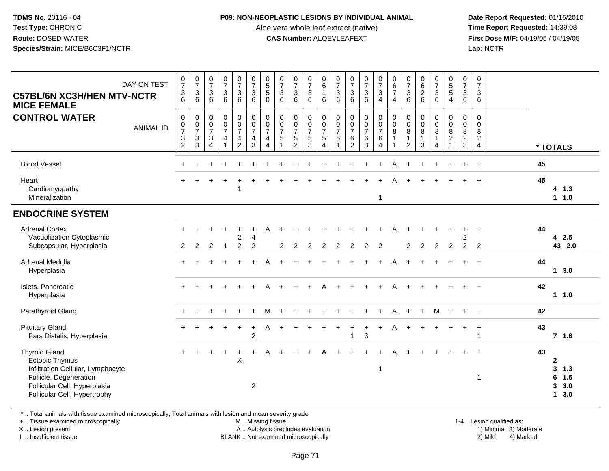#### **P09: NON-NEOPLASTIC LESIONS BY INDIVIDUAL ANIMAL**

Aloe vera whole leaf extract (native)<br>**CAS Number:** ALOEVLEAFEXT

 **Date Report Requested:** 01/15/2010 **First Dose M/F:** 04/19/05 / 04/19/05<br>**Lab:** NCTR **Lab:** NCTR

| <b>C57BL/6N XC3H/HEN MTV-NCTR</b><br><b>MICE FEMALE</b><br><b>CONTROL WATER</b>                                                                                              | DAY ON TEST<br><b>ANIMAL ID</b> | $\frac{0}{7}$<br>$\sqrt{3}$<br>6<br>$\boldsymbol{0}$<br>$\frac{0}{7}$<br>$\frac{3}{2}$ | $\begin{array}{c} 0 \\ 7 \end{array}$<br>$\mathbf{3}$<br>$\,6\,$<br>$\pmb{0}$<br>$\pmb{0}$<br>$\overline{7}$<br>$\mathbf{3}$<br>$\sqrt{3}$ | $\frac{0}{7}$<br>$\sqrt{3}$<br>6<br>$\pmb{0}$<br>$\pmb{0}$<br>$\overline{7}$<br>$\mathbf{3}$<br>4 | $\frac{0}{7}$<br>3<br>6<br>0<br>$\mathbf 0$<br>$\overline{7}$<br>$\overline{4}$ | $\begin{array}{c} 0 \\ 7 \\ 3 \end{array}$<br>6<br>0<br>$\mathbf 0$<br>$\overline{7}$<br>$\overline{\mathbf{4}}$<br>$\overline{2}$ | $\frac{0}{7}$<br>$\sqrt{3}$<br>$\,6\,$<br>$\pmb{0}$<br>$\pmb{0}$<br>$\overline{7}$<br>4<br>$\mathbf{3}$ | $\begin{array}{c} 0 \\ 5 \\ 5 \end{array}$<br>$\mathbf{0}$<br>$\pmb{0}$<br>$\mathbf 0$<br>$\overline{7}$<br>$\overline{4}$<br>$\overline{4}$ | $\frac{0}{7}$<br>$\sqrt{3}$<br>6<br>$\pmb{0}$<br>$\pmb{0}$<br>$\overline{7}$<br>5 | $\frac{0}{7}$<br>$\sqrt{3}$<br>6<br>0<br>$\mathbf 0$<br>$\overline{7}$<br>5<br>$\overline{2}$ | $\begin{array}{c} 0 \\ 7 \\ 3 \end{array}$<br>6<br>$\begin{array}{c} 0 \\ 0 \\ 7 \end{array}$<br>$\frac{5}{3}$ | $\begin{array}{c} 0 \\ 6 \end{array}$<br>$\mathbf{1}$<br>$\,6\,$<br>$\pmb{0}$<br>$\mathbf 0$<br>$\overline{7}$<br>$\sqrt{5}$<br>$\overline{4}$ | $\frac{0}{7}$<br>$\mathbf{3}$<br>6<br>0<br>$\pmb{0}$<br>$\overline{7}$<br>6<br>$\overline{ }$ | $\begin{array}{c} 0 \\ 7 \\ 3 \end{array}$<br>6<br>$\pmb{0}$<br>$\mathbf 0$<br>$\overline{7}$<br>$\,6\,$<br>$\overline{2}$ | $\frac{0}{7}$<br>$\mathbf{3}$<br>6<br>0<br>$\pmb{0}$<br>$\overline{7}$<br>6<br>$\overline{3}$ | $\begin{array}{c} 0 \\ 7 \\ 3 \end{array}$<br>$\overline{4}$<br>$\begin{matrix} 0 \\ 0 \\ 7 \end{matrix}$<br>$6\phantom{1}$<br>$\overline{4}$ | $\begin{array}{c} 0 \\ 6 \\ 7 \end{array}$<br>$\overline{4}$<br>$_{\rm 0}^{\rm 0}$<br>$\,8\,$<br>$\overline{1}$ | $\frac{0}{7}$<br>$\mathbf 3$<br>6<br>$\pmb{0}$<br>$\mathbf 0$<br>$\bf 8$<br>$\overline{1}$<br>$\overline{2}$ | $\begin{matrix} 0 \\ 6 \\ 2 \end{matrix}$<br>6<br>$\pmb{0}$<br>$\mathbf 0$<br>8<br>$\mathbf{1}$<br>3 | $\frac{0}{7}$<br>$\mathbf{3}$<br>6<br>0<br>$\mathbf 0$<br>8<br>$\mathbf{1}$<br>4 | $\begin{array}{c} 0 \\ 5 \\ 5 \end{array}$<br>$\overline{4}$<br>$\pmb{0}$<br>$\mathsf{O}\xspace$<br>$\,8\,$<br>$\overline{2}$<br>$\overline{1}$ | $\frac{0}{7}$<br>$\sqrt{3}$<br>$\,6$<br>$\pmb{0}$<br>$\pmb{0}$<br>$\begin{array}{c} 8 \\ 2 \\ 3 \end{array}$ | $\boldsymbol{0}$<br>$\overline{7}$<br>3<br>6<br>$\mathbf 0$<br>$\mathbf 0$<br>$\, 8$<br>$\overline{2}$<br>$\overline{4}$ |    | * TOTALS                                                                |
|------------------------------------------------------------------------------------------------------------------------------------------------------------------------------|---------------------------------|----------------------------------------------------------------------------------------|--------------------------------------------------------------------------------------------------------------------------------------------|---------------------------------------------------------------------------------------------------|---------------------------------------------------------------------------------|------------------------------------------------------------------------------------------------------------------------------------|---------------------------------------------------------------------------------------------------------|----------------------------------------------------------------------------------------------------------------------------------------------|-----------------------------------------------------------------------------------|-----------------------------------------------------------------------------------------------|----------------------------------------------------------------------------------------------------------------|------------------------------------------------------------------------------------------------------------------------------------------------|-----------------------------------------------------------------------------------------------|----------------------------------------------------------------------------------------------------------------------------|-----------------------------------------------------------------------------------------------|-----------------------------------------------------------------------------------------------------------------------------------------------|-----------------------------------------------------------------------------------------------------------------|--------------------------------------------------------------------------------------------------------------|------------------------------------------------------------------------------------------------------|----------------------------------------------------------------------------------|-------------------------------------------------------------------------------------------------------------------------------------------------|--------------------------------------------------------------------------------------------------------------|--------------------------------------------------------------------------------------------------------------------------|----|-------------------------------------------------------------------------|
| <b>Blood Vessel</b>                                                                                                                                                          |                                 |                                                                                        |                                                                                                                                            |                                                                                                   |                                                                                 |                                                                                                                                    |                                                                                                         |                                                                                                                                              |                                                                                   |                                                                                               |                                                                                                                |                                                                                                                                                |                                                                                               |                                                                                                                            |                                                                                               |                                                                                                                                               | А                                                                                                               |                                                                                                              |                                                                                                      |                                                                                  |                                                                                                                                                 |                                                                                                              |                                                                                                                          | 45 |                                                                         |
| Heart<br>Cardiomyopathy<br>Mineralization                                                                                                                                    |                                 |                                                                                        |                                                                                                                                            |                                                                                                   |                                                                                 |                                                                                                                                    |                                                                                                         |                                                                                                                                              |                                                                                   |                                                                                               |                                                                                                                |                                                                                                                                                |                                                                                               |                                                                                                                            |                                                                                               | $\mathbf{1}$                                                                                                                                  |                                                                                                                 |                                                                                                              |                                                                                                      |                                                                                  |                                                                                                                                                 |                                                                                                              | $\ddot{}$                                                                                                                | 45 | 4 1.3<br>1 1.0                                                          |
| <b>ENDOCRINE SYSTEM</b>                                                                                                                                                      |                                 |                                                                                        |                                                                                                                                            |                                                                                                   |                                                                                 |                                                                                                                                    |                                                                                                         |                                                                                                                                              |                                                                                   |                                                                                               |                                                                                                                |                                                                                                                                                |                                                                                               |                                                                                                                            |                                                                                               |                                                                                                                                               |                                                                                                                 |                                                                                                              |                                                                                                      |                                                                                  |                                                                                                                                                 |                                                                                                              |                                                                                                                          |    |                                                                         |
| <b>Adrenal Cortex</b><br>Vacuolization Cytoplasmic<br>Subcapsular, Hyperplasia                                                                                               |                                 | $\overline{2}$                                                                         | $\overline{2}$                                                                                                                             | $\overline{2}$                                                                                    | $\ddot{}$<br>$\overline{1}$                                                     | $\ddot{}$<br>2<br>$\overline{2}$                                                                                                   | $\overline{2}$                                                                                          | Α                                                                                                                                            | $\overline{2}$                                                                    | $\overline{2}$                                                                                | 2                                                                                                              | 2                                                                                                                                              | 2                                                                                             | $\overline{2}$                                                                                                             | $\overline{2}$                                                                                | 2                                                                                                                                             |                                                                                                                 | $\overline{2}$                                                                                               | $\overline{2}$                                                                                       | $\overline{2}$                                                                   | $\ddot{}$<br>$\overline{2}$                                                                                                                     | $+$<br>$\overline{2}$<br>$\overline{2}$                                                                      | $\ddot{}$<br>$\overline{2}$                                                                                              | 44 | 42.5<br>43 2.0                                                          |
| Adrenal Medulla<br>Hyperplasia                                                                                                                                               |                                 |                                                                                        |                                                                                                                                            |                                                                                                   |                                                                                 |                                                                                                                                    |                                                                                                         |                                                                                                                                              |                                                                                   |                                                                                               |                                                                                                                |                                                                                                                                                |                                                                                               |                                                                                                                            |                                                                                               |                                                                                                                                               |                                                                                                                 |                                                                                                              |                                                                                                      |                                                                                  |                                                                                                                                                 |                                                                                                              | $\ddot{}$                                                                                                                | 44 | 13.0                                                                    |
| Islets, Pancreatic<br>Hyperplasia                                                                                                                                            |                                 |                                                                                        |                                                                                                                                            |                                                                                                   |                                                                                 |                                                                                                                                    |                                                                                                         |                                                                                                                                              |                                                                                   |                                                                                               |                                                                                                                |                                                                                                                                                |                                                                                               |                                                                                                                            |                                                                                               |                                                                                                                                               |                                                                                                                 |                                                                                                              |                                                                                                      |                                                                                  |                                                                                                                                                 |                                                                                                              |                                                                                                                          | 42 | 1 1.0                                                                   |
| Parathyroid Gland                                                                                                                                                            |                                 |                                                                                        |                                                                                                                                            |                                                                                                   |                                                                                 |                                                                                                                                    |                                                                                                         | м                                                                                                                                            |                                                                                   |                                                                                               |                                                                                                                |                                                                                                                                                |                                                                                               |                                                                                                                            |                                                                                               |                                                                                                                                               | A                                                                                                               |                                                                                                              | $\div$                                                                                               | м                                                                                | $+$                                                                                                                                             | $\ddot{}$                                                                                                    | $+$                                                                                                                      | 42 |                                                                         |
| <b>Pituitary Gland</b><br>Pars Distalis, Hyperplasia                                                                                                                         |                                 |                                                                                        |                                                                                                                                            |                                                                                                   |                                                                                 | $\ddot{}$                                                                                                                          | $\ddot{}$<br>$\overline{2}$                                                                             | A                                                                                                                                            |                                                                                   |                                                                                               |                                                                                                                |                                                                                                                                                |                                                                                               | 1                                                                                                                          | 3                                                                                             | $\ddot{}$                                                                                                                                     | A                                                                                                               |                                                                                                              |                                                                                                      |                                                                                  |                                                                                                                                                 | $\ddot{}$                                                                                                    | $\ddot{}$                                                                                                                | 43 | $7$ 1.6                                                                 |
| <b>Thyroid Gland</b><br><b>Ectopic Thymus</b><br>Infiltration Cellular, Lymphocyte<br>Follicle, Degeneration<br>Follicular Cell, Hyperplasia<br>Follicular Cell, Hypertrophy |                                 |                                                                                        |                                                                                                                                            |                                                                                                   |                                                                                 | $\sf X$                                                                                                                            | $\overline{2}$                                                                                          |                                                                                                                                              |                                                                                   |                                                                                               |                                                                                                                |                                                                                                                                                |                                                                                               |                                                                                                                            |                                                                                               | $\mathbf 1$                                                                                                                                   |                                                                                                                 |                                                                                                              |                                                                                                      |                                                                                  |                                                                                                                                                 |                                                                                                              | -1                                                                                                                       | 43 | $\mathbf{2}$<br>$3 \t1.3$<br>6<br>1.5<br>3<br>3.0<br>3.0<br>$\mathbf 1$ |

\* .. Total animals with tissue examined microscopically; Total animals with lesion and mean severity grade

+ .. Tissue examined microscopically

X .. Lesion present

I .. Insufficient tissue

M .. Missing tissue

A .. Autolysis precludes evaluation

BLANK .. Not examined microscopically 2) Mild 4) Marked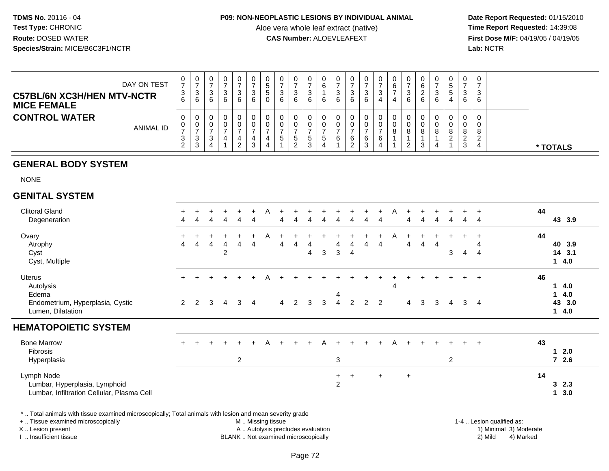#### **P09: NON-NEOPLASTIC LESIONS BY INDIVIDUAL ANIMAL**

Aloe vera whole leaf extract (native)<br>**CAS Number:** ALOEVLEAFEXT

 **Date Report Requested:** 01/15/2010 **First Dose M/F:** 04/19/05 / 04/19/05<br>**Lab:** NCTR **Lab:** NCTR

| DAY ON TEST<br><b>C57BL/6N XC3H/HEN MTV-NCTR</b><br><b>MICE FEMALE</b> | 0<br>-3<br>6     | U<br>ت<br>6 | U | 0<br>د<br>6 | ◡<br>b | v<br>-3<br>6 | 0<br>ູບ<br>.5<br>0 | ◡<br>6 | د<br>6        | v<br>ت<br>6 | υ<br>6<br>6 | ◡<br>6 | U<br>3<br>6      | J | v<br>b | 6        | 6<br>6 | 0<br>n<br>ັ<br>6 | IJ<br>w<br>4 | ت<br>⌒<br>6 | C<br>З<br>6 |          |  |
|------------------------------------------------------------------------|------------------|-------------|---|-------------|--------|--------------|--------------------|--------|---------------|-------------|-------------|--------|------------------|---|--------|----------|--------|------------------|--------------|-------------|-------------|----------|--|
| <b>CONTROL WATER</b><br><b>ANIMAL ID</b>                               | 0<br>0<br>3<br>ົ | ັ<br>J      |   | 0           | _      | U<br>U<br>3  | 0<br>0             | G      | G<br><u>.</u> | U<br>đ<br>w | ১           | 6      | 0<br>υ<br>6<br>ົ | ⌒ | 8      | <u>_</u> | 3      | 0<br>0<br>8<br>4 |              |             | 8           | * TOTALS |  |

# **GENERAL BODY SYSTEM**

NONE

| <b>GENITAL SYSTEM</b>            |                |             |        |                |                |     |   |           |   |   |   |                |                |                |     |   |                |        |   |                |                |                |    |        |
|----------------------------------|----------------|-------------|--------|----------------|----------------|-----|---|-----------|---|---|---|----------------|----------------|----------------|-----|---|----------------|--------|---|----------------|----------------|----------------|----|--------|
| <b>Clitoral Gland</b>            | $+$            |             |        |                |                | +   | A |           |   |   |   |                |                |                |     | Α |                |        |   |                |                |                | 44 |        |
| Degeneration                     | 4              | 4           | 4      | 4              | 4              | 4   |   | 4         |   |   |   | 4              | 4              | 4              | 4   |   | 4              | 4      | 4 | 4              | 4              | 4              |    | 43 3.9 |
| Ovary                            | $+$            |             |        |                |                | $+$ | A | $\ddot{}$ |   |   |   |                |                |                | $+$ | A |                | $\div$ |   |                |                |                | 44 |        |
| Atrophy                          | $\overline{4}$ | 4           | 4      |                |                | 4   |   | 4         |   |   |   | 4              | 4              | 4              | 4   |   | 4              | 4      | 4 |                |                |                |    | 40 3.9 |
| Cyst                             |                |             |        | $\overline{2}$ |                |     |   |           |   | 4 | 3 | 3              | $\overline{4}$ |                |     |   |                |        |   | 3              | $\overline{4}$ | $\overline{4}$ |    | 14 3.1 |
| Cyst, Multiple                   |                |             |        |                |                |     |   |           |   |   |   |                |                |                |     |   |                |        |   |                |                |                |    | 14.0   |
| <b>Uterus</b>                    | $+$            |             | $\div$ |                |                | $+$ | A | $\div$    |   |   |   |                |                |                |     |   |                | $\div$ |   |                | $+$            | $+$            | 46 |        |
| Autolysis                        |                |             |        |                |                |     |   |           |   |   |   |                |                |                |     | 4 |                |        |   |                |                |                |    | 4.0    |
| Edema                            |                |             |        |                |                |     |   |           |   |   |   | 4              |                |                |     |   |                |        |   |                |                |                |    | 14.0   |
| Endometrium, Hyperplasia, Cystic |                | $2 \quad 2$ | 3      | $\overline{4}$ | 3              | 4   |   | 4         | 2 | 3 | 3 | $\overline{4}$ | $\overline{2}$ | $\overline{2}$ | 2   |   | $\overline{4}$ | 3      | 3 | 4              | $\mathbf{3}$   | $\overline{4}$ |    | 43 3.0 |
| Lumen, Dilatation                |                |             |        |                |                |     |   |           |   |   |   |                |                |                |     |   |                |        |   |                |                |                |    | 14.0   |
| <b>HEMATOPOIETIC SYSTEM</b>      |                |             |        |                |                |     |   |           |   |   |   |                |                |                |     |   |                |        |   |                |                |                |    |        |
| <b>Bone Marrow</b>               | $+$            |             | $\div$ |                | $+$            | $+$ | A | $+$       |   |   | А |                | ÷              |                |     | A |                | $\div$ |   |                | $+$            | $\overline{+}$ | 43 |        |
| Fibrosis                         |                |             |        |                |                |     |   |           |   |   |   |                |                |                |     |   |                |        |   |                |                |                |    | 2.0    |
| Hyperplasia                      |                |             |        |                | $\overline{c}$ |     |   |           |   |   |   | 3              |                |                |     |   |                |        |   | $\overline{2}$ |                |                |    | 72.6   |

# Lumbar, Infiltration Cellular, Plasma Cell**1 3.0**

<sup>+</sup>

\* .. Total animals with tissue examined microscopically; Total animals with lesion and mean severity grade

+ .. Tissue examined microscopically

Lumbar, Hyperplasia, Lymphoid

X .. Lesion present

Lymph Node

I .. Insufficient tissue

 M .. Missing tissueA .. Autolysis precludes evaluation

BLANK .. Not examined microscopically 2) Mild 4) Marked

1-4 .. Lesion qualified as:

<sup>+</sup> <sup>+</sup> <sup>+</sup> **<sup>14</sup>**

<sup>2</sup> **3 2.3**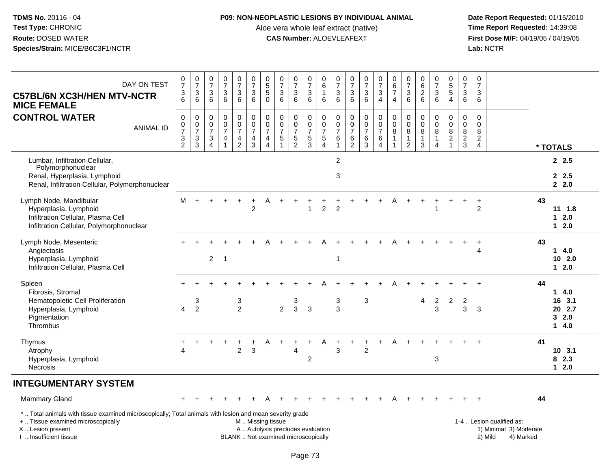### **P09: NON-NEOPLASTIC LESIONS BY INDIVIDUAL ANIMAL**

Aloe vera whole leaf extract (native)<br>**CAS Number:** ALOEVLEAFEXT

| DAY ON TEST<br><b>C57BL/6N XC3H/HEN MTV-NCTR</b><br><b>MICE FEMALE</b>                                                                                                                        | 0<br>$\overline{7}$<br>$\frac{3}{6}$          | $\frac{0}{7}$<br>$\ensuremath{\mathsf{3}}$<br>6   | $\frac{0}{7}$<br>3<br>6                                 | $\frac{0}{7}$<br>$\mathbf{3}$<br>6                                            | $\begin{smallmatrix}0\\7\end{smallmatrix}$<br>$\frac{3}{6}$ | $\begin{array}{c} 0 \\ 7 \end{array}$<br>$\frac{3}{6}$       | $\begin{array}{c} 0 \\ 5 \end{array}$<br>$\overline{5}$<br>$\mathbf 0$  | 0<br>$\overline{7}$<br>3<br>6                                            | $\frac{0}{7}$<br>$\frac{3}{6}$              | $\frac{0}{7}$<br>3<br>6                           | $_{6}^{\rm 0}$<br>$\mathbf{1}$<br>6                 | $\frac{0}{7}$<br>$\ensuremath{\mathsf{3}}$<br>6                         | $\pmb{0}$<br>$\overline{7}$<br>$\frac{3}{6}$                      | $\frac{0}{7}$<br>$\sqrt{3}$<br>6                                          | $\frac{0}{7}$<br>$\mathbf{3}$<br>$\overline{4}$                    | $_{6}^{\rm 0}$<br>$\boldsymbol{7}$<br>$\overline{4}$               | $\frac{0}{7}$<br>3<br>6                                              | 0<br>$6\phantom{a}$<br>$\boldsymbol{2}$<br>6        | $\begin{array}{c} 0 \\ 7 \end{array}$<br>$\frac{3}{6}$          | $0\,5\,5\,4$                                           | $\mathbf 0$<br>$\overline{7}$<br>$\mathbf 3$<br>6               | 0<br>$\overline{7}$<br>3<br>6                                    |                                                                             |    |                                          |
|-----------------------------------------------------------------------------------------------------------------------------------------------------------------------------------------------|-----------------------------------------------|---------------------------------------------------|---------------------------------------------------------|-------------------------------------------------------------------------------|-------------------------------------------------------------|--------------------------------------------------------------|-------------------------------------------------------------------------|--------------------------------------------------------------------------|---------------------------------------------|---------------------------------------------------|-----------------------------------------------------|-------------------------------------------------------------------------|-------------------------------------------------------------------|---------------------------------------------------------------------------|--------------------------------------------------------------------|--------------------------------------------------------------------|----------------------------------------------------------------------|-----------------------------------------------------|-----------------------------------------------------------------|--------------------------------------------------------|-----------------------------------------------------------------|------------------------------------------------------------------|-----------------------------------------------------------------------------|----|------------------------------------------|
| <b>CONTROL WATER</b><br><b>ANIMAL ID</b>                                                                                                                                                      | $\mathbf 0$<br>$\frac{0}{7}$<br>$\frac{3}{2}$ | 0<br>$\pmb{0}$<br>$\overline{7}$<br>$\frac{3}{3}$ | 0<br>$\pmb{0}$<br>$\overline{7}$<br>3<br>$\overline{4}$ | 0<br>$\pmb{0}$<br>$\overline{7}$<br>$\overline{\mathbf{4}}$<br>$\overline{1}$ | $\pmb{0}$<br>$\frac{0}{7}$<br>$\frac{4}{2}$                 | $\pmb{0}$<br>$\overline{0}$<br>$\overline{7}$<br>$rac{4}{3}$ | $\pmb{0}$<br>$\frac{0}{7}$<br>$\overline{\mathbf{4}}$<br>$\overline{4}$ | 0<br>$\pmb{0}$<br>$\overline{7}$<br>5<br>$\mathbf{1}$                    | $\pmb{0}$<br>$\frac{0}{7}$<br>$\frac{5}{2}$ | 0<br>$\bar{0}$<br>$\overline{7}$<br>$\frac{5}{3}$ | $\mathbf 0$<br>$\ddot{\mathbf{0}}$<br>$\frac{7}{4}$ | $\mathbf 0$<br>$\mathbf 0$<br>$\overline{7}$<br>$\,6\,$<br>$\mathbf{1}$ | $\mathbf 0$<br>$\pmb{0}$<br>$\overline{7}$<br>6<br>$\overline{2}$ | $\mathbf 0$<br>$\mathbf 0$<br>$\overline{7}$<br>$\,6\,$<br>$\overline{3}$ | 0<br>$\overline{0}$<br>$\overline{7}$<br>$\,6\,$<br>$\overline{4}$ | $\mathbf 0$<br>$\overline{0}$<br>8<br>$\mathbf{1}$<br>$\mathbf{1}$ | $\mathbf 0$<br>$\overline{0}$<br>8<br>$\mathbf{1}$<br>$\overline{2}$ | 0<br>$\pmb{0}$<br>8<br>$\mathbf{1}$<br>$\mathbf{3}$ | $\mathbf 0$<br>$\pmb{0}$<br>$\,8\,$<br>$\mathbf{1}$<br>$\Delta$ | $\mathsf{O}\xspace$<br>$\pmb{0}$<br>8<br>$\frac{2}{1}$ | $\mathbf 0$<br>$\mathsf 0$<br>$\boldsymbol{8}$<br>$\frac{2}{3}$ | $\mathbf 0$<br>$\Omega$<br>8<br>$\overline{c}$<br>$\overline{4}$ |                                                                             |    | * TOTALS                                 |
| Lumbar, Infiltration Cellular,<br>Polymorphonuclear<br>Renal, Hyperplasia, Lymphoid<br>Renal, Infiltration Cellular, Polymorphonuclear                                                        |                                               |                                                   |                                                         |                                                                               |                                                             |                                                              |                                                                         |                                                                          |                                             |                                                   |                                                     | $\overline{2}$<br>3                                                     |                                                                   |                                                                           |                                                                    |                                                                    |                                                                      |                                                     |                                                                 |                                                        |                                                                 |                                                                  |                                                                             |    | 2, 2.5<br>2.5<br>2.0                     |
| Lymph Node, Mandibular<br>Hyperplasia, Lymphoid<br>Infiltration Cellular, Plasma Cell<br>Infiltration Cellular, Polymorphonuclear                                                             | м                                             |                                                   |                                                         |                                                                               |                                                             | $\overline{2}$                                               |                                                                         |                                                                          |                                             | 1                                                 | $\overline{2}$                                      | $\overline{2}$                                                          |                                                                   |                                                                           |                                                                    |                                                                    |                                                                      |                                                     |                                                                 |                                                        |                                                                 | $\overline{2}$                                                   |                                                                             | 43 | 11 1.8<br>$12.0$<br>$12.0$               |
| Lymph Node, Mesenteric<br>Angiectasis<br>Hyperplasia, Lymphoid<br>Infiltration Cellular, Plasma Cell                                                                                          |                                               |                                                   | $\overline{2}$                                          | $\overline{1}$                                                                |                                                             |                                                              |                                                                         |                                                                          |                                             |                                                   |                                                     | $\overline{1}$                                                          |                                                                   |                                                                           |                                                                    |                                                                    |                                                                      |                                                     |                                                                 |                                                        |                                                                 | 4                                                                |                                                                             | 43 | $1 \t4.0$<br>102.0<br>$12.0$             |
| Spleen<br>Fibrosis, Stromal<br>Hematopoietic Cell Proliferation<br>Hyperplasia, Lymphoid<br>Pigmentation<br>Thrombus                                                                          | 4                                             | $\sqrt{3}$<br>2                                   |                                                         |                                                                               | $\ensuremath{\mathsf{3}}$<br>$\overline{2}$                 |                                                              |                                                                         | $\overline{2}$                                                           | 3<br>$\mathbf{3}$                           | $\mathbf{3}$                                      |                                                     | $\mathbf{3}$<br>3                                                       |                                                                   | 3                                                                         |                                                                    |                                                                    |                                                                      | 4                                                   | $\sqrt{2}$<br>3                                                 | $\overline{2}$                                         | $\overline{c}$<br>3                                             | 3                                                                |                                                                             | 44 | 14.0<br>16 3.1<br>20 2.7<br>32.0<br>14.0 |
| Thymus<br>Atrophy<br>Hyperplasia, Lymphoid<br><b>Necrosis</b>                                                                                                                                 | Δ                                             |                                                   |                                                         |                                                                               | $\overline{2}$                                              | 3                                                            |                                                                         |                                                                          | Δ                                           | 2                                                 | Α                                                   | 3                                                                       |                                                                   | $\overline{2}$                                                            |                                                                    |                                                                    |                                                                      |                                                     | 3                                                               |                                                        |                                                                 |                                                                  |                                                                             | 41 | 10, 3.1<br>8 2.3<br>$12.0$               |
| <b>INTEGUMENTARY SYSTEM</b>                                                                                                                                                                   |                                               |                                                   |                                                         |                                                                               |                                                             |                                                              |                                                                         |                                                                          |                                             |                                                   |                                                     |                                                                         |                                                                   |                                                                           |                                                                    |                                                                    |                                                                      |                                                     |                                                                 |                                                        |                                                                 |                                                                  |                                                                             |    |                                          |
| <b>Mammary Gland</b>                                                                                                                                                                          |                                               |                                                   |                                                         |                                                                               |                                                             |                                                              |                                                                         |                                                                          |                                             |                                                   |                                                     |                                                                         |                                                                   |                                                                           |                                                                    |                                                                    |                                                                      |                                                     |                                                                 |                                                        |                                                                 |                                                                  |                                                                             | 44 |                                          |
| *  Total animals with tissue examined microscopically; Total animals with lesion and mean severity grade<br>+  Tissue examined microscopically<br>X  Lesion present<br>I. Insufficient tissue |                                               |                                                   |                                                         |                                                                               |                                                             | M  Missing tissue                                            |                                                                         | A  Autolysis precludes evaluation<br>BLANK  Not examined microscopically |                                             |                                                   |                                                     |                                                                         |                                                                   |                                                                           |                                                                    |                                                                    |                                                                      |                                                     |                                                                 |                                                        |                                                                 |                                                                  | 1-4  Lesion qualified as:<br>1) Minimal 3) Moderate<br>2) Mild<br>4) Marked |    |                                          |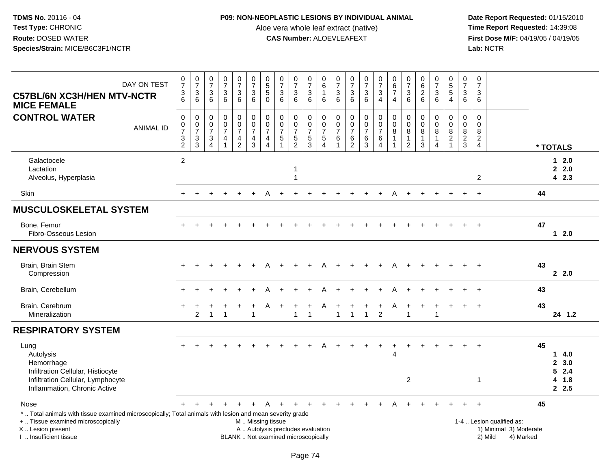## **P09: NON-NEOPLASTIC LESIONS BY INDIVIDUAL ANIMAL**

Aloe vera whole leaf extract (native)<br>**CAS Number:** ALOEVLEAFEXT

| DAY ON TEST<br><b>C57BL/6N XC3H/HEN MTV-NCTR</b><br><b>MICE FEMALE</b>                                                                                                                        | $\frac{0}{7}$<br>$\frac{3}{6}$              | $\begin{array}{c} 0 \\ 7 \end{array}$<br>$\frac{3}{6}$ | $\begin{array}{c} 0 \\ 7 \end{array}$<br>$\begin{array}{c} 3 \\ 6 \end{array}$ | $\frac{0}{7}$<br>$\sqrt{3}$<br>6                                                        | $\frac{0}{7}$<br>3<br>6                             | $\frac{0}{7}$<br>$^3$ 6                                   | $\begin{array}{c} 0 \\ 5 \end{array}$<br>5<br>$\mathbf 0$         | $\pmb{0}$<br>$\overline{7}$<br>$\mathbf{3}$<br>$6\overline{6}$           | $\begin{array}{c} 0 \\ 7 \end{array}$<br>$\frac{3}{6}$        | $\begin{smallmatrix}0\\7\end{smallmatrix}$<br>$\begin{array}{c} 3 \\ 6 \end{array}$ | 0<br>$\,6\,$<br>$\mathbf{1}$<br>6                                             | $\frac{0}{7}$<br>3<br>$6\phantom{1}6$             | $\begin{smallmatrix}0\\7\end{smallmatrix}$<br>$\ensuremath{\mathsf{3}}$<br>6 | $\frac{0}{7}$<br>3<br>$6^{\circ}$                              | $\begin{array}{c} 0 \\ 7 \\ 3 \\ 4 \end{array}$         | $\begin{array}{c} 0 \\ 6 \end{array}$<br>$\overline{7}$<br>$\overline{4}$ | $\begin{array}{c} 0 \\ 7 \end{array}$<br>$\mathbf{3}$<br>$6\phantom{1}6$ | $\begin{smallmatrix}0\0\0\end{smallmatrix}$<br>$\frac{2}{6}$          | $\begin{array}{c} 0 \\ 7 \end{array}$<br>3<br>6 | $0$<br>5<br>5<br>5<br>4                                                              | 0<br>$\overline{7}$<br>3<br>6             | $\pmb{0}$<br>$\overline{7}$<br>3<br>6         |                                                                             |    |                                 |
|-----------------------------------------------------------------------------------------------------------------------------------------------------------------------------------------------|---------------------------------------------|--------------------------------------------------------|--------------------------------------------------------------------------------|-----------------------------------------------------------------------------------------|-----------------------------------------------------|-----------------------------------------------------------|-------------------------------------------------------------------|--------------------------------------------------------------------------|---------------------------------------------------------------|-------------------------------------------------------------------------------------|-------------------------------------------------------------------------------|---------------------------------------------------|------------------------------------------------------------------------------|----------------------------------------------------------------|---------------------------------------------------------|---------------------------------------------------------------------------|--------------------------------------------------------------------------|-----------------------------------------------------------------------|-------------------------------------------------|--------------------------------------------------------------------------------------|-------------------------------------------|-----------------------------------------------|-----------------------------------------------------------------------------|----|---------------------------------|
| <b>CONTROL WATER</b><br><b>ANIMAL ID</b>                                                                                                                                                      | $\pmb{0}$<br>$\frac{0}{7}$<br>$\frac{3}{2}$ | $\mathsf 0$<br>$\frac{0}{7}$<br>$\frac{3}{3}$          | $\mathbf 0$<br>$\begin{smallmatrix}0\\7\end{smallmatrix}$<br>$\frac{3}{4}$     | $\pmb{0}$<br>$\mathbf 0$<br>$\overline{7}$<br>$\overline{\mathbf{4}}$<br>$\overline{1}$ | 0<br>$\mathbf 0$<br>$\overline{7}$<br>$\frac{4}{2}$ | $\begin{array}{c} 0 \\ 0 \\ 7 \end{array}$<br>$rac{4}{3}$ | $\pmb{0}$<br>$\mathbf 0$<br>$\overline{7}$<br>4<br>$\overline{4}$ | $\mathsf{O}\xspace$<br>$\pmb{0}$<br>$\overline{7}$<br>$\,$ 5 $\,$        | $\mathbf 0$<br>$\mathbf 0$<br>$\overline{7}$<br>$\frac{5}{2}$ | 0<br>$\begin{array}{c} 0 \\ 7 \end{array}$<br>$\frac{5}{3}$                         | $\mathbf 0$<br>$\mathbf 0$<br>$\overline{7}$<br>$\,$ 5 $\,$<br>$\overline{4}$ | $\mathbf 0$<br>$\mathbf 0$<br>$\overline{7}$<br>6 | $\mathbf 0$<br>$\begin{array}{c} 0 \\ 7 \end{array}$<br>6<br>$\overline{2}$  | $\mathsf{O}$<br>$\mathbf 0$<br>$\overline{7}$<br>$\frac{6}{3}$ | $\pmb{0}$<br>$\frac{0}{7}$<br>$\,6\,$<br>$\overline{4}$ | $\mathbf 0$<br>$\mathbf 0$<br>$\overline{8}$<br>$\overline{1}$            | $\boldsymbol{0}$<br>$\mathbf 0$<br>8<br>$\mathbf{1}$<br>2                | $\mathbf 0$<br>$\mathbf 0$<br>$\bf 8$<br>$\mathbf{1}$<br>$\mathbf{3}$ | 0<br>$\mathbf 0$<br>8<br>$\mathbf{1}$<br>4      | $\pmb{0}$<br>$\ddot{\mathbf{0}}$<br>$\overline{8}$<br>$\overline{c}$<br>$\mathbf{1}$ | $\overline{0}$<br>0<br>8<br>$\frac{2}{3}$ | $\mathbf 0$<br>$\Omega$<br>8<br>$\frac{2}{4}$ |                                                                             |    | * TOTALS                        |
| Galactocele<br>Lactation<br>Alveolus, Hyperplasia                                                                                                                                             | $\overline{2}$                              |                                                        |                                                                                |                                                                                         |                                                     |                                                           |                                                                   |                                                                          | 1<br>1                                                        |                                                                                     |                                                                               |                                                   |                                                                              |                                                                |                                                         |                                                                           |                                                                          |                                                                       |                                                 |                                                                                      |                                           | 2                                             |                                                                             |    | $12.0$<br>2.0<br>42.3           |
| Skin                                                                                                                                                                                          |                                             |                                                        |                                                                                |                                                                                         |                                                     |                                                           |                                                                   |                                                                          |                                                               |                                                                                     |                                                                               |                                                   |                                                                              |                                                                |                                                         |                                                                           |                                                                          |                                                                       |                                                 |                                                                                      | $\ddot{}$                                 | $+$                                           |                                                                             | 44 |                                 |
| <b>MUSCULOSKELETAL SYSTEM</b>                                                                                                                                                                 |                                             |                                                        |                                                                                |                                                                                         |                                                     |                                                           |                                                                   |                                                                          |                                                               |                                                                                     |                                                                               |                                                   |                                                                              |                                                                |                                                         |                                                                           |                                                                          |                                                                       |                                                 |                                                                                      |                                           |                                               |                                                                             |    |                                 |
| Bone, Femur<br>Fibro-Osseous Lesion                                                                                                                                                           |                                             |                                                        |                                                                                |                                                                                         |                                                     |                                                           |                                                                   |                                                                          |                                                               |                                                                                     |                                                                               |                                                   |                                                                              |                                                                |                                                         |                                                                           |                                                                          |                                                                       |                                                 |                                                                                      |                                           |                                               |                                                                             | 47 | $1 \quad 2.0$                   |
| <b>NERVOUS SYSTEM</b>                                                                                                                                                                         |                                             |                                                        |                                                                                |                                                                                         |                                                     |                                                           |                                                                   |                                                                          |                                                               |                                                                                     |                                                                               |                                                   |                                                                              |                                                                |                                                         |                                                                           |                                                                          |                                                                       |                                                 |                                                                                      |                                           |                                               |                                                                             |    |                                 |
| Brain, Brain Stem<br>Compression                                                                                                                                                              |                                             |                                                        |                                                                                |                                                                                         |                                                     |                                                           |                                                                   |                                                                          |                                                               |                                                                                     |                                                                               |                                                   |                                                                              |                                                                |                                                         |                                                                           |                                                                          |                                                                       |                                                 |                                                                                      |                                           |                                               |                                                                             | 43 | 2.0                             |
| Brain, Cerebellum                                                                                                                                                                             |                                             |                                                        |                                                                                |                                                                                         |                                                     |                                                           |                                                                   |                                                                          |                                                               |                                                                                     |                                                                               |                                                   |                                                                              |                                                                |                                                         |                                                                           |                                                                          |                                                                       |                                                 |                                                                                      |                                           | $\ddot{}$                                     |                                                                             | 43 |                                 |
| Brain, Cerebrum<br>Mineralization                                                                                                                                                             |                                             | $\overline{2}$                                         |                                                                                |                                                                                         |                                                     |                                                           | Α                                                                 |                                                                          | $\overline{1}$                                                | $\overline{1}$                                                                      | A                                                                             | 1                                                 |                                                                              | $\mathbf{1}$                                                   | $\ddot{}$<br>$\overline{2}$                             | A                                                                         | 1                                                                        | $\ddot{}$                                                             | $\ddot{}$<br>1                                  |                                                                                      |                                           | $\ddot{}$                                     |                                                                             | 43 | 24 1.2                          |
| <b>RESPIRATORY SYSTEM</b>                                                                                                                                                                     |                                             |                                                        |                                                                                |                                                                                         |                                                     |                                                           |                                                                   |                                                                          |                                                               |                                                                                     |                                                                               |                                                   |                                                                              |                                                                |                                                         |                                                                           |                                                                          |                                                                       |                                                 |                                                                                      |                                           |                                               |                                                                             |    |                                 |
| Lung<br>Autolysis<br>Hemorrhage<br>Infiltration Cellular, Histiocyte<br>Infiltration Cellular, Lymphocyte                                                                                     |                                             |                                                        |                                                                                |                                                                                         |                                                     |                                                           |                                                                   |                                                                          |                                                               |                                                                                     |                                                                               |                                                   |                                                                              |                                                                | $\ddot{}$                                               |                                                                           | $\overline{c}$                                                           |                                                                       |                                                 |                                                                                      |                                           | $\mathbf{1}$                                  |                                                                             | 45 | 14.0<br>2, 3.0<br>52.4<br>4 1.8 |
| Inflammation, Chronic Active                                                                                                                                                                  |                                             |                                                        |                                                                                |                                                                                         |                                                     |                                                           |                                                                   |                                                                          |                                                               |                                                                                     |                                                                               |                                                   |                                                                              |                                                                |                                                         |                                                                           |                                                                          |                                                                       |                                                 |                                                                                      |                                           |                                               |                                                                             |    | 2.5                             |
| Nose                                                                                                                                                                                          | $+$                                         | $+$                                                    | $\pm$                                                                          |                                                                                         | $\ddot{}$                                           | $+$                                                       | A                                                                 | $+$                                                                      | $+$                                                           | $+$                                                                                 | $+$                                                                           | $+$                                               | $+$                                                                          | $+$                                                            | $\ddot{}$                                               | A                                                                         | $+$                                                                      | $+$                                                                   |                                                 |                                                                                      | $+$                                       |                                               |                                                                             | 45 |                                 |
| *  Total animals with tissue examined microscopically; Total animals with lesion and mean severity grade<br>+  Tissue examined microscopically<br>X  Lesion present<br>I  Insufficient tissue |                                             |                                                        |                                                                                |                                                                                         |                                                     | M  Missing tissue                                         |                                                                   | A  Autolysis precludes evaluation<br>BLANK  Not examined microscopically |                                                               |                                                                                     |                                                                               |                                                   |                                                                              |                                                                |                                                         |                                                                           |                                                                          |                                                                       |                                                 |                                                                                      |                                           |                                               | 1-4  Lesion qualified as:<br>1) Minimal 3) Moderate<br>2) Mild<br>4) Marked |    |                                 |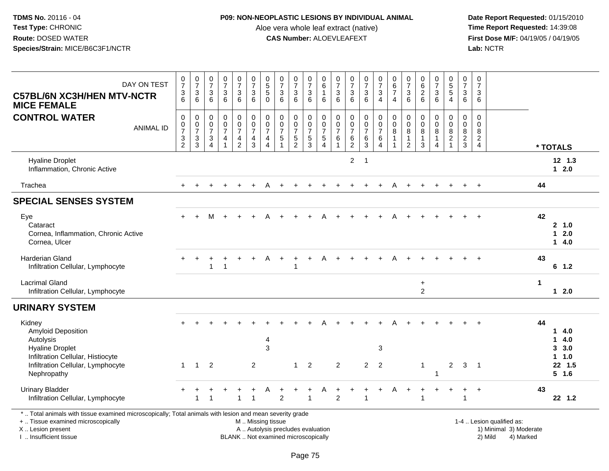#### **P09: NON-NEOPLASTIC LESIONS BY INDIVIDUAL ANIMAL**

Aloe vera whole leaf extract (native)<br>**CAS Number:** ALOEVLEAFEXT

 **Date Report Requested:** 01/15/2010 **First Dose M/F:** 04/19/05 / 04/19/05<br>Lab: NCTR **Lab:** NCTR

| DAY ON TEST<br><b>C57BL/6N XC3H/HEN MTV-NCTR</b><br><b>MICE FEMALE</b>                                                                                              | $\frac{0}{7}$<br>$\frac{3}{6}$                                            | $\begin{array}{c} 0 \\ 7 \end{array}$<br>$\frac{3}{6}$         | $\begin{smallmatrix} 0\\7 \end{smallmatrix}$<br>$\ensuremath{\mathsf{3}}$<br>6                    | $\frac{0}{7}$<br>$\ensuremath{\mathsf{3}}$<br>6          | $\begin{array}{c} 0 \\ 7 \end{array}$<br>$^3$ 6                              | $\frac{0}{7}$<br>$\mathbf{3}$<br>$6\phantom{1}6$                                                 | $\begin{array}{c} 0 \\ 5 \end{array}$<br>5<br>$\mathbf 0$         | $\frac{0}{7}$<br>$\frac{3}{6}$                                            | $\frac{0}{7}$<br>3<br>$\overline{6}$                                   | $\frac{0}{7}$<br>$\ensuremath{\mathsf{3}}$<br>$6\overline{6}$ | $\begin{array}{c} 0 \\ 6 \end{array}$<br>$\mathbf{1}$<br>6                       | $\frac{0}{7}$<br>$\begin{array}{c} 3 \\ 6 \end{array}$          | $\begin{array}{c} 0 \\ 7 \\ 3 \end{array}$<br>6                         | $\frac{0}{7}$<br>$\mathbf{3}$<br>$\,6\,$                      | $\frac{0}{7}$<br>$\mathbf{3}$<br>$\overline{4}$                   | $_{6}^{\rm 0}$<br>$\overline{7}$<br>$\overline{4}$ | $\pmb{0}$<br>$\overline{7}$<br>$\mathbf{3}$<br>6                              | 0626                                                          | $\frac{0}{7}$<br>$\frac{3}{6}$                    | $\begin{array}{c} 0 \\ 5 \end{array}$<br>$\sqrt{5}$<br>$\overline{4}$ | $\,0\,$<br>$\overline{7}$<br>3<br>6                      | $\frac{0}{7}$<br>$\mathbf{3}$<br>6                               |                                                     |    |                                                                       |
|---------------------------------------------------------------------------------------------------------------------------------------------------------------------|---------------------------------------------------------------------------|----------------------------------------------------------------|---------------------------------------------------------------------------------------------------|----------------------------------------------------------|------------------------------------------------------------------------------|--------------------------------------------------------------------------------------------------|-------------------------------------------------------------------|---------------------------------------------------------------------------|------------------------------------------------------------------------|---------------------------------------------------------------|----------------------------------------------------------------------------------|-----------------------------------------------------------------|-------------------------------------------------------------------------|---------------------------------------------------------------|-------------------------------------------------------------------|----------------------------------------------------|-------------------------------------------------------------------------------|---------------------------------------------------------------|---------------------------------------------------|-----------------------------------------------------------------------|----------------------------------------------------------|------------------------------------------------------------------|-----------------------------------------------------|----|-----------------------------------------------------------------------|
| <b>CONTROL WATER</b><br><b>ANIMAL ID</b>                                                                                                                            | $\pmb{0}$<br>$\frac{0}{7}$<br>$\ensuremath{\mathsf{3}}$<br>$\overline{2}$ | $\mathbf 0$<br>$\frac{0}{7}$<br>$\ensuremath{\mathsf{3}}$<br>3 | $\mathsf{O}\xspace$<br>$\pmb{0}$<br>$\overline{7}$<br>$\ensuremath{\mathsf{3}}$<br>$\overline{4}$ | $\pmb{0}$<br>$\check{\mathbf{0}}$<br>$\overline{7}$<br>4 | $\pmb{0}$<br>$\pmb{0}$<br>$\overline{7}$<br>$\overline{4}$<br>$\overline{2}$ | $\begin{smallmatrix} 0\\0 \end{smallmatrix}$<br>$\overline{7}$<br>$\overline{4}$<br>$\mathbf{3}$ | $\pmb{0}$<br>$\mathbf 0$<br>$\overline{7}$<br>4<br>$\overline{4}$ | $\begin{matrix} 0 \\ 0 \\ 7 \end{matrix}$<br>$\sqrt{5}$<br>$\overline{1}$ | $\mathbf 0$<br>$\overline{0}$<br>$\overline{7}$<br>5<br>$\overline{2}$ | $\pmb{0}$<br>$\frac{0}{7}$<br>$\,$ 5 $\,$<br>3                | $\mathsf 0$<br>$\overline{0}$<br>$\overline{7}$<br>$\,$ 5 $\,$<br>$\overline{4}$ | $\mathbf 0$<br>$\mathbf 0$<br>$\overline{7}$<br>$6\phantom{1}6$ | $\pmb{0}$<br>$\mathsf 0$<br>$\overline{7}$<br>$\,6\,$<br>$\overline{2}$ | $\pmb{0}$<br>$\overline{0}$<br>$\overline{7}$<br>$\,6\,$<br>3 | $\begin{array}{c} 0 \\ 0 \\ 7 \end{array}$<br>6<br>$\overline{4}$ | $_{\rm 0}^{\rm 0}$<br>$\bf 8$<br>$\mathbf{1}$      | $\mathsf{O}\xspace$<br>$\pmb{0}$<br>$\bf 8$<br>$\mathbf{1}$<br>$\overline{2}$ | $\mathbf 0$<br>$\overline{0}$<br>$\bf 8$<br>$\mathbf{1}$<br>3 | 0<br>$\mathbf 0$<br>$\bf8$<br>$\overline{1}$<br>4 | $\mathsf{O}\xspace$<br>$\mathbf 0$<br>$\frac{8}{2}$<br>$\mathbf{1}$   | $\mathbf 0$<br>$\mathbf 0$<br>$\bf 8$<br>$\sqrt{2}$<br>3 | $\mathbf 0$<br>$\Omega$<br>8<br>$\overline{c}$<br>$\overline{4}$ |                                                     |    | * TOTALS                                                              |
| <b>Hyaline Droplet</b><br>Inflammation, Chronic Active                                                                                                              |                                                                           |                                                                |                                                                                                   |                                                          |                                                                              |                                                                                                  |                                                                   |                                                                           |                                                                        |                                                               |                                                                                  |                                                                 | $\overline{a}$                                                          | $\overline{1}$                                                |                                                                   |                                                    |                                                                               |                                                               |                                                   |                                                                       |                                                          |                                                                  |                                                     |    | $12$ 1.3<br>$12.0$                                                    |
| Trachea                                                                                                                                                             |                                                                           |                                                                |                                                                                                   |                                                          |                                                                              |                                                                                                  | Α                                                                 |                                                                           |                                                                        |                                                               |                                                                                  |                                                                 |                                                                         |                                                               |                                                                   | A                                                  | $+$                                                                           |                                                               |                                                   |                                                                       |                                                          |                                                                  |                                                     | 44 |                                                                       |
| <b>SPECIAL SENSES SYSTEM</b>                                                                                                                                        |                                                                           |                                                                |                                                                                                   |                                                          |                                                                              |                                                                                                  |                                                                   |                                                                           |                                                                        |                                                               |                                                                                  |                                                                 |                                                                         |                                                               |                                                                   |                                                    |                                                                               |                                                               |                                                   |                                                                       |                                                          |                                                                  |                                                     |    |                                                                       |
| Eye<br>Cataract<br>Cornea, Inflammation, Chronic Active<br>Cornea, Ulcer                                                                                            |                                                                           | $\ddot{}$                                                      | м                                                                                                 |                                                          |                                                                              |                                                                                                  |                                                                   |                                                                           |                                                                        |                                                               |                                                                                  |                                                                 |                                                                         |                                                               |                                                                   |                                                    |                                                                               |                                                               |                                                   |                                                                       |                                                          |                                                                  |                                                     | 42 | 2 1.0<br>$12.0$<br>14.0                                               |
| Harderian Gland<br>Infiltration Cellular, Lymphocyte                                                                                                                |                                                                           |                                                                | $\mathbf 1$                                                                                       | -1                                                       |                                                                              |                                                                                                  |                                                                   |                                                                           | -1                                                                     | $\div$                                                        |                                                                                  |                                                                 |                                                                         |                                                               |                                                                   | A                                                  |                                                                               |                                                               |                                                   |                                                                       |                                                          | ÷                                                                |                                                     | 43 | 6 1.2                                                                 |
| <b>Lacrimal Gland</b><br>Infiltration Cellular, Lymphocyte                                                                                                          |                                                                           |                                                                |                                                                                                   |                                                          |                                                                              |                                                                                                  |                                                                   |                                                                           |                                                                        |                                                               |                                                                                  |                                                                 |                                                                         |                                                               |                                                                   |                                                    |                                                                               | $\ddot{}$<br>$\overline{2}$                                   |                                                   |                                                                       |                                                          |                                                                  | $\mathbf 1$                                         |    | $12.0$                                                                |
| <b>URINARY SYSTEM</b>                                                                                                                                               |                                                                           |                                                                |                                                                                                   |                                                          |                                                                              |                                                                                                  |                                                                   |                                                                           |                                                                        |                                                               |                                                                                  |                                                                 |                                                                         |                                                               |                                                                   |                                                    |                                                                               |                                                               |                                                   |                                                                       |                                                          |                                                                  |                                                     |    |                                                                       |
| Kidney<br><b>Amyloid Deposition</b><br>Autolysis<br><b>Hyaline Droplet</b><br>Infiltration Cellular, Histiocyte<br>Infiltration Cellular, Lymphocyte<br>Nephropathy | $\mathbf{1}$                                                              | $\mathbf{1}$                                                   | 2                                                                                                 |                                                          |                                                                              | $\overline{2}$                                                                                   | 4<br>3                                                            |                                                                           | $\mathbf{1}$                                                           | 2                                                             |                                                                                  | $\overline{2}$                                                  |                                                                         | $\overline{2}$                                                | 3<br>$\overline{2}$                                               |                                                    |                                                                               | $\overline{1}$                                                |                                                   | $\overline{2}$                                                        | 3                                                        | $\overline{1}$                                                   |                                                     | 44 | 4.0<br>1<br>$\mathbf 1$<br>4.0<br>3, 3.0<br>11.0<br>22 1.5<br>$5$ 1.6 |
| <b>Urinary Bladder</b><br>Infiltration Cellular, Lymphocyte                                                                                                         |                                                                           | $\overline{1}$                                                 |                                                                                                   |                                                          | 1                                                                            | $\overline{1}$                                                                                   |                                                                   | $\overline{2}$                                                            |                                                                        |                                                               |                                                                                  | $\overline{2}$                                                  |                                                                         | $\mathbf{1}$                                                  |                                                                   |                                                    |                                                                               | 1                                                             |                                                   |                                                                       | $\mathbf{1}$                                             |                                                                  |                                                     | 43 | 22 1.2                                                                |
| *  Total animals with tissue examined microscopically; Total animals with lesion and mean severity grade<br>+  Tissue examined microscopically<br>X  Lesion present |                                                                           |                                                                |                                                                                                   |                                                          |                                                                              | M  Missing tissue                                                                                |                                                                   | A  Autolysis precludes evaluation                                         |                                                                        |                                                               |                                                                                  |                                                                 |                                                                         |                                                               |                                                                   |                                                    |                                                                               |                                                               |                                                   |                                                                       |                                                          |                                                                  | 1-4  Lesion qualified as:<br>1) Minimal 3) Moderate |    |                                                                       |

I .. Insufficient tissue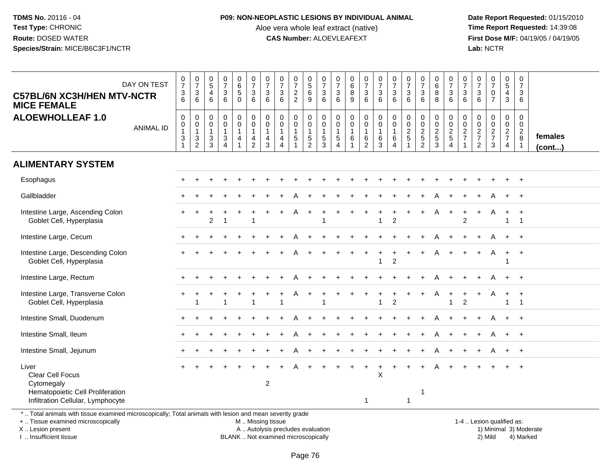#### **P09: NON-NEOPLASTIC LESIONS BY INDIVIDUAL ANIMAL**

Aloe vera whole leaf extract (native)<br>**CAS Number:** ALOEVLEAFEXT

 **Date Report Requested:** 01/15/2010 **First Dose M/F:** 04/19/05 / 04/19/05<br>Lab: NCTR **Lab:** NCTR

| <b>C57BL/6N XC3H/HEN MTV-NCTR</b><br><b>MICE FEMALE</b>                                                                                                                                                                          | DAY ON TEST      | $\frac{0}{7}$<br>$\frac{3}{6}$                                                                       | $\begin{array}{c} 0 \\ 7 \end{array}$<br>$\mathbf{3}$<br>6 | $\pmb{0}$<br>$\overline{5}$<br>$\overline{4}$<br>6 | $\begin{smallmatrix}0\\7\end{smallmatrix}$<br>$\ensuremath{\mathsf{3}}$<br>$6\phantom{1}$ | $\begin{array}{c} 0 \\ 6 \end{array}$<br>$\sqrt{5}$<br>$\Omega$       | $\begin{array}{c} 0 \\ 7 \end{array}$<br>$\mathbf{3}$<br>6          | $\frac{0}{7}$<br>$\mathbf{3}$<br>6            | $\frac{0}{7}$<br>$\mathbf 3$<br>6                             | $\frac{0}{7}$<br>$\overline{a}$<br>$\overline{2}$ | $\begin{array}{c} 0 \\ 5 \end{array}$<br>6<br>9   | $\frac{0}{7}$<br>$\sqrt{3}$<br>$6\phantom{1}$        | $\frac{0}{7}$<br>$\mathbf{3}$<br>6                       | $\pmb{0}$<br>$\,6\,$<br>$\,8\,$<br>9                        | $\begin{array}{c} 0 \\ 7 \end{array}$<br>3<br>6   | $\begin{smallmatrix}0\\7\end{smallmatrix}$<br>3<br>6                   | $\frac{0}{7}$<br>$\mathbf 3$<br>6                                                   | $\pmb{0}$<br>$\overline{7}$<br>$\mathbf{3}$<br>6   | $\begin{array}{c} 0 \\ 7 \end{array}$<br>$\sqrt{3}$<br>6 | 0<br>$\,6$<br>$\bf 8$<br>8      | $\,0\,$<br>$\overline{7}$<br>$\mathsf 3$<br>6                       | $\pmb{0}$<br>$\overline{7}$<br>$\mathbf{3}$<br>6 | 0<br>$\overline{7}$<br>$\mathbf{3}$<br>6  | $\frac{0}{7}$<br>$\pmb{0}$<br>$\overline{7}$ | $\pmb{0}$<br>$5\,$<br>$\overline{4}$<br>3           | $\mathbf 0$<br>$\overline{7}$<br>$\ensuremath{\mathsf{3}}$<br>6 |                   |
|----------------------------------------------------------------------------------------------------------------------------------------------------------------------------------------------------------------------------------|------------------|------------------------------------------------------------------------------------------------------|------------------------------------------------------------|----------------------------------------------------|-------------------------------------------------------------------------------------------|-----------------------------------------------------------------------|---------------------------------------------------------------------|-----------------------------------------------|---------------------------------------------------------------|---------------------------------------------------|---------------------------------------------------|------------------------------------------------------|----------------------------------------------------------|-------------------------------------------------------------|---------------------------------------------------|------------------------------------------------------------------------|-------------------------------------------------------------------------------------|----------------------------------------------------|----------------------------------------------------------|---------------------------------|---------------------------------------------------------------------|--------------------------------------------------|-------------------------------------------|----------------------------------------------|-----------------------------------------------------|-----------------------------------------------------------------|-------------------|
| <b>ALOEWHOLLEAF 1.0</b>                                                                                                                                                                                                          | <b>ANIMAL ID</b> | $\pmb{0}$<br>$\begin{smallmatrix}0\\1\end{smallmatrix}$<br>$\ensuremath{\mathsf{3}}$<br>$\mathbf{1}$ | 0<br>0<br>$\mathbf{1}$<br>$\frac{3}{2}$                    | 0<br>0<br>$\mathbf{1}$<br>$\frac{3}{3}$            | $\mathbf 0$<br>$\pmb{0}$<br>$\mathbf{1}$<br>$\frac{3}{4}$                                 | 0<br>$\overline{0}$<br>$\overline{1}$<br>4<br>$\overline{\mathbf{1}}$ | $\mathbf 0$<br>$\ddot{\mathbf{0}}$<br>$\mathbf{1}$<br>$\frac{4}{2}$ | 0<br>0<br>$\mathbf{1}$<br>4<br>$\overline{3}$ | $\pmb{0}$<br>$\pmb{0}$<br>$\mathbf{1}$<br>4<br>$\overline{4}$ | $\mathbf 0$<br>$\pmb{0}$<br>$\mathbf{1}$<br>5     | 0<br>$\mathsf 0$<br>$\mathbf{1}$<br>$\frac{5}{2}$ | 0<br>$\overline{0}$<br>$\mathbf{1}$<br>$\frac{5}{3}$ | 0<br>0<br>$\overline{1}$<br>$\sqrt{5}$<br>$\overline{4}$ | $\pmb{0}$<br>$\pmb{0}$<br>$\mathbf{1}$<br>6<br>$\mathbf{1}$ | 0<br>$\mathbf 0$<br>$\mathbf{1}$<br>$\frac{6}{2}$ | $\begin{smallmatrix} 0\\0 \end{smallmatrix}$<br>$\mathbf{1}$<br>$^6_3$ | $\begin{smallmatrix} 0\\0 \end{smallmatrix}$<br>$\mathbf{1}$<br>6<br>$\overline{4}$ | 0<br>$\mathbf 0$<br>$\mathbf{2}$<br>$\overline{5}$ | $\mathbf 0$<br>$\frac{0}{2}$ 5 2                         | 0<br>$\mathbf 0$<br>$rac{2}{3}$ | $\pmb{0}$<br>$\ddot{\mathbf{0}}$<br>$\frac{2}{5}$<br>$\overline{4}$ | 0<br>0<br>$\frac{2}{7}$                          | 0<br>0<br>$\frac{2}{7}$<br>$\overline{2}$ | 0<br>$\frac{0}{2}$<br>7<br>3                 | 0<br>$\mathbf 0$<br>$\frac{2}{7}$<br>$\overline{4}$ | 0<br>$\mathbf 0$<br>$\sqrt{2}$<br>$\,8\,$<br>$\overline{1}$     | females<br>(cont) |
| <b>ALIMENTARY SYSTEM</b>                                                                                                                                                                                                         |                  |                                                                                                      |                                                            |                                                    |                                                                                           |                                                                       |                                                                     |                                               |                                                               |                                                   |                                                   |                                                      |                                                          |                                                             |                                                   |                                                                        |                                                                                     |                                                    |                                                          |                                 |                                                                     |                                                  |                                           |                                              |                                                     |                                                                 |                   |
| Esophagus                                                                                                                                                                                                                        |                  |                                                                                                      |                                                            |                                                    |                                                                                           |                                                                       |                                                                     |                                               |                                                               |                                                   |                                                   |                                                      |                                                          |                                                             |                                                   |                                                                        |                                                                                     |                                                    |                                                          |                                 |                                                                     |                                                  |                                           |                                              |                                                     | $\overline{+}$                                                  |                   |
| Gallbladder                                                                                                                                                                                                                      |                  |                                                                                                      |                                                            |                                                    |                                                                                           |                                                                       |                                                                     |                                               |                                                               |                                                   |                                                   |                                                      |                                                          |                                                             |                                                   |                                                                        |                                                                                     |                                                    |                                                          |                                 |                                                                     |                                                  |                                           |                                              |                                                     |                                                                 |                   |
| Intestine Large, Ascending Colon<br>Goblet Cell, Hyperplasia                                                                                                                                                                     |                  |                                                                                                      |                                                            | $\overline{2}$                                     |                                                                                           |                                                                       | -1                                                                  |                                               |                                                               |                                                   |                                                   |                                                      |                                                          |                                                             |                                                   | -1                                                                     | $\overline{c}$                                                                      |                                                    |                                                          | A                               | $\overline{+}$                                                      | $\ddot{}$<br>2                                   | $+$                                       | A                                            | $\ddot{}$<br>$\mathbf{1}$                           | $+$<br>$\overline{\mathbf{1}}$                                  |                   |
| Intestine Large, Cecum                                                                                                                                                                                                           |                  |                                                                                                      |                                                            |                                                    |                                                                                           |                                                                       |                                                                     |                                               |                                                               |                                                   |                                                   |                                                      |                                                          |                                                             |                                                   |                                                                        |                                                                                     |                                                    |                                                          |                                 |                                                                     |                                                  |                                           | A                                            | $\ddot{}$                                           | $+$                                                             |                   |
| Intestine Large, Descending Colon<br>Goblet Cell, Hyperplasia                                                                                                                                                                    |                  |                                                                                                      |                                                            |                                                    |                                                                                           |                                                                       |                                                                     |                                               |                                                               |                                                   |                                                   |                                                      |                                                          |                                                             |                                                   |                                                                        | $\ddot{}$<br>$\overline{c}$                                                         |                                                    |                                                          | A                               |                                                                     |                                                  | $+$                                       | A                                            | $+$                                                 | $+$                                                             |                   |
| Intestine Large, Rectum                                                                                                                                                                                                          |                  |                                                                                                      |                                                            |                                                    |                                                                                           |                                                                       |                                                                     |                                               |                                                               |                                                   |                                                   |                                                      |                                                          |                                                             |                                                   |                                                                        |                                                                                     |                                                    |                                                          |                                 |                                                                     |                                                  |                                           |                                              |                                                     |                                                                 |                   |
| Intestine Large, Transverse Colon<br>Goblet Cell, Hyperplasia                                                                                                                                                                    |                  |                                                                                                      | -1                                                         |                                                    | $\mathbf 1$                                                                               |                                                                       | $\overline{1}$                                                      |                                               | -1                                                            |                                                   |                                                   | -1                                                   |                                                          |                                                             |                                                   | $\overline{1}$                                                         | $\overline{2}$                                                                      |                                                    |                                                          | A                               | $\mathbf{1}$                                                        | 2                                                | +                                         | A                                            | $\ddot{}$<br>$\mathbf{1}$                           | $\ddot{}$<br>$\overline{1}$                                     |                   |
| Intestine Small, Duodenum                                                                                                                                                                                                        |                  |                                                                                                      |                                                            |                                                    |                                                                                           |                                                                       |                                                                     |                                               |                                                               |                                                   |                                                   |                                                      |                                                          |                                                             |                                                   |                                                                        |                                                                                     |                                                    |                                                          |                                 |                                                                     |                                                  |                                           | А                                            | $+$                                                 | $+$                                                             |                   |
| Intestine Small, Ileum                                                                                                                                                                                                           |                  |                                                                                                      |                                                            |                                                    |                                                                                           |                                                                       |                                                                     |                                               |                                                               |                                                   |                                                   |                                                      |                                                          |                                                             |                                                   |                                                                        |                                                                                     |                                                    |                                                          |                                 |                                                                     |                                                  |                                           |                                              |                                                     | $+$                                                             |                   |
| Intestine Small, Jejunum                                                                                                                                                                                                         |                  |                                                                                                      |                                                            |                                                    |                                                                                           |                                                                       |                                                                     |                                               |                                                               |                                                   |                                                   |                                                      |                                                          |                                                             |                                                   |                                                                        |                                                                                     |                                                    |                                                          |                                 |                                                                     |                                                  |                                           |                                              |                                                     | $\overline{+}$                                                  |                   |
| Liver<br><b>Clear Cell Focus</b><br>Cytomegaly<br>Hematopoietic Cell Proliferation<br>Infiltration Cellular, Lymphocyte<br>Total animals with tissue examined microsconically: Total animals with lesion and mean severity grade |                  |                                                                                                      |                                                            |                                                    |                                                                                           |                                                                       |                                                                     | $\boldsymbol{2}$                              |                                                               |                                                   |                                                   |                                                      |                                                          |                                                             | $\mathbf{1}$                                      | $\sf X$                                                                |                                                                                     | $\mathbf{1}$                                       | $\overline{1}$                                           | А                               |                                                                     |                                                  |                                           |                                              |                                                     |                                                                 |                   |

\* .. Total animals with tissue examined microscopically; Total animals with lesion and mean severity grade

+ .. Tissue examined microscopically

X .. Lesion present

I .. Insufficient tissue

M .. Missing tissue

BLANK .. Not examined microscopically

 1-4 .. Lesion qualified as: A .. Autolysis precludes evaluation 19 and 10 minimal 3) Moderate 1 and 20 minimal 3) Moderate 19 minimal 3) Moderat<br>19 and 19 and 19 and 19 and 19 and 19 and 19 and 19 and 19 and 19 and 19 and 19 and 19 and 19 and 19 and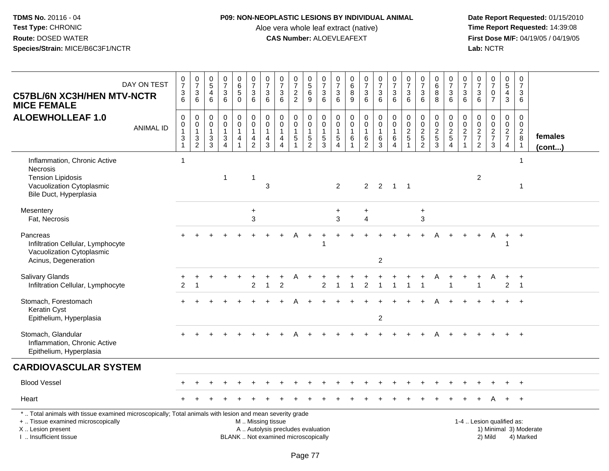## **P09: NON-NEOPLASTIC LESIONS BY INDIVIDUAL ANIMAL**

Aloe vera whole leaf extract (native)<br>**CAS Number:** ALOEVLEAFEXT

| <b>C57BL/6N XC3H/HEN MTV-NCTR</b><br><b>MICE FEMALE</b>                                                                                                                                       | DAY ON TEST      | $\frac{0}{7}$<br>$\frac{3}{6}$ | $\frac{0}{7}$<br>$\frac{3}{6}$                                 | 0<br>$\overline{5}$<br>$\overline{4}$<br>$6\phantom{a}$          | $\begin{array}{c} 0 \\ 7 \end{array}$<br>$\mathbf{3}$<br>$6\phantom{1}6$ | 0<br>$\overline{6}$<br>5<br>$\mathbf 0$ | $\begin{array}{c} 0 \\ 7 \end{array}$<br>$\frac{3}{6}$                                        | $\frac{0}{7}$<br>3<br>$6\phantom{1}$                 | $\begin{array}{c} 0 \\ 7 \end{array}$<br>$\mathbf{3}$<br>$6^{\circ}$ | $\frac{0}{7}$<br>$\frac{2}{2}$                       | $\begin{array}{c} 0 \\ 5 \end{array}$<br>6<br>$\overline{9}$ | $\frac{0}{7}$<br>$\frac{3}{6}$                                           | 0<br>$\overline{7}$<br>3<br>6                                     | $\mathbf 0$<br>6<br>$\,8\,$<br>9                                    | $\begin{smallmatrix}0\\7\end{smallmatrix}$<br>$\mathbf{3}$<br>$6^{\circ}$ | $\frac{0}{7}$<br>3<br>$\overline{6}$               | $\frac{0}{7}$<br>$\mathbf{3}$<br>6                                      | $\frac{0}{7}$<br>$\mathbf{3}$<br>6        | $\begin{array}{c} 0 \\ 7 \end{array}$<br>$\sqrt{3}$<br>$\overline{6}$ | $_{6}^{\rm 0}$<br>$_{8}^8$              | $\frac{0}{7}$<br>$\sqrt{3}$<br>$\overline{6}$                 | 0<br>$\overline{7}$<br>3<br>$6\phantom{1}6$      | $\frac{0}{7}$<br>$\mathbf{3}$<br>6                          | $\frac{0}{7}$<br>$\mathsf{O}$<br>$\overline{7}$ | $\pmb{0}$<br>$\overline{5}$<br>$\overline{4}$<br>$\mathfrak{S}$ | $\pmb{0}$<br>$\overline{7}$<br>3<br>6            |                        |
|-----------------------------------------------------------------------------------------------------------------------------------------------------------------------------------------------|------------------|--------------------------------|----------------------------------------------------------------|------------------------------------------------------------------|--------------------------------------------------------------------------|-----------------------------------------|-----------------------------------------------------------------------------------------------|------------------------------------------------------|----------------------------------------------------------------------|------------------------------------------------------|--------------------------------------------------------------|--------------------------------------------------------------------------|-------------------------------------------------------------------|---------------------------------------------------------------------|---------------------------------------------------------------------------|----------------------------------------------------|-------------------------------------------------------------------------|-------------------------------------------|-----------------------------------------------------------------------|-----------------------------------------|---------------------------------------------------------------|--------------------------------------------------|-------------------------------------------------------------|-------------------------------------------------|-----------------------------------------------------------------|--------------------------------------------------|------------------------|
| <b>ALOEWHOLLEAF 1.0</b>                                                                                                                                                                       | <b>ANIMAL ID</b> | $\mathsf 0$<br>0<br>3          | $\boldsymbol{0}$<br>$\pmb{0}$<br>$\mathbf{1}$<br>$\frac{3}{2}$ | 0<br>$\mathbf 0$<br>$\overline{1}$<br>$\sqrt{3}$<br>$\mathbf{3}$ | $\mathbf 0$<br>$\mathbf 0$<br>$\mathbf{1}$<br>$\frac{3}{4}$              | 0<br>$\mathbf 0$<br>$\mathbf{1}$<br>4   | $\pmb{0}$<br>$\overline{0}$<br>$\mathbf{1}$<br>$\frac{4}{2}$                                  | $\mathbf 0$<br>$\mathbf 0$<br>$\mathbf{1}$<br>4<br>3 | $\mathbf 0$<br>$\mathbf 0$<br>$\mathbf{1}$<br>$\frac{4}{4}$          | $\pmb{0}$<br>$\pmb{0}$<br>$\mathbf{1}$<br>$\sqrt{5}$ | $\mathbf 0$<br>$\mathbf 0$<br>$\mathbf{1}$<br>$\frac{5}{2}$  | $\boldsymbol{0}$<br>$\mathsf{O}\xspace$<br>$\mathbf{1}$<br>$\frac{5}{3}$ | 0<br>$\mathbf 0$<br>$\mathbf{1}$<br>$\,$ 5 $\,$<br>$\overline{4}$ | $\pmb{0}$<br>$\mathbf 0$<br>$\mathbf{1}$<br>$\,6$<br>$\overline{1}$ | 0<br>$\mathsf{O}\xspace$<br>1<br>6<br>$\overline{2}$                      | $\pmb{0}$<br>$\mathbf 0$<br>$\mathbf{1}$<br>$^6_3$ | $\pmb{0}$<br>$\ddot{\mathbf{0}}$<br>$\mathbf{1}$<br>6<br>$\overline{4}$ | 0<br>$\mathsf{O}\xspace$<br>$\frac{2}{5}$ | $\mathbf 0$<br>$\overline{0}$<br>$\frac{2}{2}$                        | $\pmb{0}$<br>$\mathsf 0$<br>$rac{2}{3}$ | $\mathsf 0$<br>$\mathsf 0$<br>$\frac{2}{5}$<br>$\overline{4}$ | 0<br>$\mathbf 0$<br>$\frac{2}{7}$<br>$\mathbf 1$ | $\pmb{0}$<br>$\mathbf 0$<br>$\frac{2}{7}$<br>$\overline{2}$ | 0<br>$\boldsymbol{0}$<br>$\frac{2}{7}$<br>3     | $\mathbf 0$<br>$\mathbf 0$<br>$\frac{2}{7}$<br>$\overline{4}$   | 0<br>$\mathbf 0$<br>$_{\rm 8}^2$<br>$\mathbf{1}$ | females<br>(cont)      |
| Inflammation, Chronic Active<br>Necrosis<br><b>Tension Lipidosis</b><br>Vacuolization Cytoplasmic<br>Bile Duct, Hyperplasia                                                                   |                  | $\overline{1}$                 |                                                                |                                                                  | $\overline{1}$                                                           |                                         | $\mathbf 1$                                                                                   | 3                                                    |                                                                      |                                                      |                                                              |                                                                          | 2                                                                 |                                                                     | $\overline{2}$                                                            | $\overline{2}$                                     | $1 \quad 1$                                                             |                                           |                                                                       |                                         |                                                               |                                                  | 2                                                           |                                                 |                                                                 | -1<br>$\overline{1}$                             |                        |
| Mesentery<br>Fat, Necrosis                                                                                                                                                                    |                  |                                |                                                                |                                                                  |                                                                          |                                         | $\ddot{}$<br>3                                                                                |                                                      |                                                                      |                                                      |                                                              |                                                                          | $\ddot{}$<br>3                                                    |                                                                     | ÷<br>$\overline{\mathbf{4}}$                                              |                                                    |                                                                         |                                           | $\ddot{}$<br>$\mathfrak{S}$                                           |                                         |                                                               |                                                  |                                                             |                                                 |                                                                 |                                                  |                        |
| Pancreas<br>Infiltration Cellular, Lymphocyte<br>Vacuolization Cytoplasmic<br>Acinus, Degeneration                                                                                            |                  |                                |                                                                |                                                                  |                                                                          |                                         |                                                                                               |                                                      |                                                                      |                                                      |                                                              |                                                                          |                                                                   |                                                                     |                                                                           | 2                                                  |                                                                         |                                           |                                                                       |                                         |                                                               |                                                  |                                                             | A                                               | $+$                                                             | $+$                                              |                        |
| Salivary Glands<br>Infiltration Cellular, Lymphocyte                                                                                                                                          |                  | $\overline{c}$                 | -1                                                             |                                                                  |                                                                          |                                         | $\overline{c}$                                                                                | -1                                                   | $\overline{2}$                                                       |                                                      |                                                              | 2                                                                        |                                                                   |                                                                     | $\overline{2}$                                                            |                                                    | $\mathbf{1}$                                                            |                                           |                                                                       | Α                                       | $\overline{1}$                                                |                                                  | -1                                                          | A                                               | $+$<br>$\overline{2}$                                           | $+$<br>$\overline{1}$                            |                        |
| Stomach, Forestomach<br><b>Keratin Cyst</b><br>Epithelium, Hyperplasia                                                                                                                        |                  |                                |                                                                |                                                                  |                                                                          |                                         |                                                                                               |                                                      |                                                                      |                                                      |                                                              |                                                                          |                                                                   |                                                                     |                                                                           | $\overline{2}$                                     |                                                                         |                                           |                                                                       | А                                       |                                                               |                                                  |                                                             |                                                 | $+$                                                             | $+$                                              |                        |
| Stomach, Glandular<br>Inflammation, Chronic Active<br>Epithelium, Hyperplasia                                                                                                                 |                  |                                |                                                                |                                                                  |                                                                          |                                         |                                                                                               |                                                      |                                                                      |                                                      |                                                              |                                                                          |                                                                   |                                                                     |                                                                           |                                                    |                                                                         |                                           |                                                                       |                                         |                                                               |                                                  |                                                             |                                                 |                                                                 | $+$                                              |                        |
| <b>CARDIOVASCULAR SYSTEM</b>                                                                                                                                                                  |                  |                                |                                                                |                                                                  |                                                                          |                                         |                                                                                               |                                                      |                                                                      |                                                      |                                                              |                                                                          |                                                                   |                                                                     |                                                                           |                                                    |                                                                         |                                           |                                                                       |                                         |                                                               |                                                  |                                                             |                                                 |                                                                 |                                                  |                        |
| <b>Blood Vessel</b>                                                                                                                                                                           |                  |                                |                                                                |                                                                  |                                                                          |                                         |                                                                                               |                                                      |                                                                      |                                                      |                                                              |                                                                          |                                                                   |                                                                     |                                                                           |                                                    |                                                                         |                                           |                                                                       |                                         |                                                               |                                                  |                                                             |                                                 |                                                                 |                                                  |                        |
| Heart                                                                                                                                                                                         |                  |                                |                                                                |                                                                  |                                                                          |                                         |                                                                                               |                                                      |                                                                      |                                                      |                                                              |                                                                          |                                                                   |                                                                     |                                                                           |                                                    |                                                                         |                                           |                                                                       |                                         |                                                               |                                                  |                                                             |                                                 |                                                                 | $+$                                              |                        |
| *  Total animals with tissue examined microscopically; Total animals with lesion and mean severity grade<br>+  Tissue examined microscopically<br>X  Lesion present<br>I. Insufficient tissue |                  |                                |                                                                |                                                                  |                                                                          |                                         | M  Missing tissue<br>A  Autolysis precludes evaluation<br>BLANK  Not examined microscopically |                                                      |                                                                      |                                                      |                                                              |                                                                          |                                                                   |                                                                     |                                                                           |                                                    |                                                                         |                                           |                                                                       |                                         |                                                               |                                                  | 1-4  Lesion qualified as:                                   | 2) Mild                                         |                                                                 | 4) Marked                                        | 1) Minimal 3) Moderate |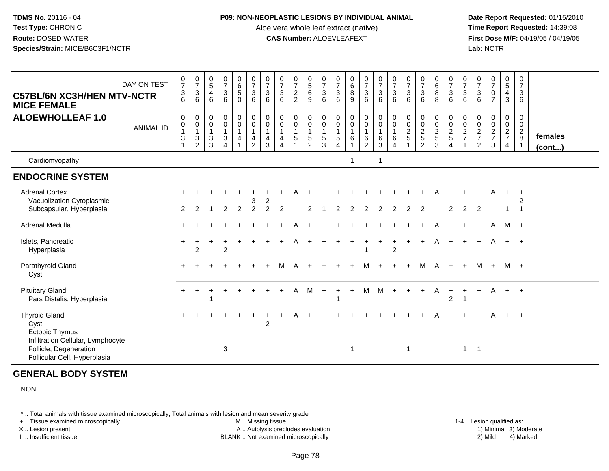#### **P09: NON-NEOPLASTIC LESIONS BY INDIVIDUAL ANIMAL**

Aloe vera whole leaf extract (native)<br>**CAS Number:** ALOEVLEAFEXT

 **Date Report Requested:** 01/15/2010 **First Dose M/F:** 04/19/05 / 04/19/05<br>**Lab:** NCTR **Lab:** NCTR

| <b>C57BL/6N XC3H/HEN MTV-NCTR</b><br><b>MICE FEMALE</b>                                                                                              | DAY ON TEST      | $\mathbf 0$<br>$\overline{\mathbf{7}}$<br>$\ensuremath{\mathsf{3}}$<br>6 | $\frac{0}{7}$<br>$\sqrt{3}$<br>6                                              | $\begin{array}{c} 0 \\ 5 \end{array}$<br>$\overline{4}$<br>6 | $\frac{0}{7}$<br>$\sqrt{3}$<br>6                                           | $\begin{array}{c} 0 \\ 6 \end{array}$<br>$\overline{5}$<br>$\mathbf 0$       | $\frac{0}{7}$<br>$\mathbf{3}$<br>6                                                      | $\frac{0}{7}$<br>3<br>6          | $\frac{0}{7}$<br>$\sqrt{3}$<br>6                                                    | $\frac{0}{7}$<br>$\overline{c}$<br>$\overline{2}$ | 0<br>$\overline{5}$<br>6<br>$9\,$                                           | $\frac{0}{7}$<br>$\mathbf{3}$<br>6                                 | $\frac{0}{7}$<br>$\sqrt{3}$<br>6 | $\pmb{0}$<br>$\,6\,$<br>$\,8\,$<br>9                                | $\frac{0}{7}$<br>$\mathbf{3}$<br>6                      | $\frac{0}{7}$<br>$\mathbf{3}$<br>6                   | $\frac{0}{7}$<br>$\sqrt{3}$<br>6                                      | $\frac{0}{7}$<br>$\sqrt{3}$<br>6 | $\frac{0}{7}$<br>$\sqrt{3}$<br>6               | $\pmb{0}$<br>$6\phantom{a}$<br>$\bf8$<br>8 | 0<br>$\overline{7}$<br>$\mathbf{3}$<br>6     | $\frac{0}{7}$<br>3<br>6 | 0<br>$\boldsymbol{7}$<br>$\mathbf{3}$<br>6                        | $\frac{0}{7}$<br>$\pmb{0}$<br>$\overline{7}$ | 0<br>$\overline{5}$<br>$\overline{4}$<br>$\mathbf{3}$ | 0<br>$\overline{7}$<br>$\ensuremath{\mathsf{3}}$<br>6         |                         |
|------------------------------------------------------------------------------------------------------------------------------------------------------|------------------|--------------------------------------------------------------------------|-------------------------------------------------------------------------------|--------------------------------------------------------------|----------------------------------------------------------------------------|------------------------------------------------------------------------------|-----------------------------------------------------------------------------------------|----------------------------------|-------------------------------------------------------------------------------------|---------------------------------------------------|-----------------------------------------------------------------------------|--------------------------------------------------------------------|----------------------------------|---------------------------------------------------------------------|---------------------------------------------------------|------------------------------------------------------|-----------------------------------------------------------------------|----------------------------------|------------------------------------------------|--------------------------------------------|----------------------------------------------|-------------------------|-------------------------------------------------------------------|----------------------------------------------|-------------------------------------------------------|---------------------------------------------------------------|-------------------------|
| <b>ALOEWHOLLEAF 1.0</b>                                                                                                                              | <b>ANIMAL ID</b> | 0<br>$\mathbf 0$<br>$\overline{1}$<br>$\mathbf{3}$<br>$\mathbf{1}$       | 0<br>$\pmb{0}$<br>$\mathbf{1}$<br>$\ensuremath{\mathsf{3}}$<br>$\overline{2}$ | $\pmb{0}$<br>$\pmb{0}$<br>$\mathbf{1}$<br>$\mathsf 3$<br>3   | $\mathbf 0$<br>$\pmb{0}$<br>$\mathbf{1}$<br>$\mathbf{3}$<br>$\overline{4}$ | $\pmb{0}$<br>$\pmb{0}$<br>$\overline{1}$<br>$\overline{a}$<br>$\overline{1}$ | $\mathsf 0$<br>$\mathsf 0$<br>$\mathbf{1}$<br>$\overline{\mathbf{4}}$<br>$\overline{2}$ | 0<br>0<br>4<br>3                 | $\begin{smallmatrix} 0\\0 \end{smallmatrix}$<br>$\mathbf{1}$<br>4<br>$\overline{4}$ | 0<br>$\mathsf{O}\xspace$<br>$\mathbf{1}$<br>5     | 0<br>$\mathsf{O}\xspace$<br>$\overline{1}$<br>$\,$ 5 $\,$<br>$\overline{2}$ | $\boldsymbol{0}$<br>$\mathbf 0$<br>$\mathbf{1}$<br>$\sqrt{5}$<br>3 | 0<br>0<br>$\mathbf{1}$<br>5<br>4 | $\pmb{0}$<br>$\pmb{0}$<br>$\mathbf{1}$<br>$\,6\,$<br>$\overline{1}$ | 0<br>$\mathbf 0$<br>$\mathbf{1}$<br>6<br>$\overline{2}$ | $\mathbf 0$<br>$\mathsf 0$<br>$\mathbf{1}$<br>6<br>3 | $\pmb{0}$<br>$\pmb{0}$<br>$\overline{1}$<br>$\,6\,$<br>$\overline{4}$ | $\mathbf 0$<br>$\frac{0}{2}$     | $\mathbf 0$<br>$\frac{0}{2}$<br>$\overline{2}$ | 0<br>$\frac{0}{2}$<br>3                    | $\pmb{0}$<br>$\frac{0}{2}$<br>$\overline{4}$ | 0<br>$\frac{0}{2}$<br>1 | 0<br>$\begin{array}{c} 0 \\ 2 \\ 7 \end{array}$<br>$\overline{2}$ | $\pmb{0}$<br>$\frac{0}{2}$<br>3              | 0<br>$\mathbf 0$<br>$rac{2}{7}$<br>$\overline{4}$     | $\mathbf 0$<br>$\mathbf 0$<br>$\frac{2}{8}$<br>$\overline{1}$ | females<br>$($ cont $)$ |
| Cardiomyopathy                                                                                                                                       |                  |                                                                          |                                                                               |                                                              |                                                                            |                                                                              |                                                                                         |                                  |                                                                                     |                                                   |                                                                             |                                                                    |                                  | 1                                                                   |                                                         | -1                                                   |                                                                       |                                  |                                                |                                            |                                              |                         |                                                                   |                                              |                                                       |                                                               |                         |
| <b>ENDOCRINE SYSTEM</b>                                                                                                                              |                  |                                                                          |                                                                               |                                                              |                                                                            |                                                                              |                                                                                         |                                  |                                                                                     |                                                   |                                                                             |                                                                    |                                  |                                                                     |                                                         |                                                      |                                                                       |                                  |                                                |                                            |                                              |                         |                                                                   |                                              |                                                       |                                                               |                         |
| <b>Adrenal Cortex</b><br>Vacuolization Cytoplasmic<br>Subcapsular, Hyperplasia                                                                       |                  | 2                                                                        | 2                                                                             |                                                              | $\overline{2}$                                                             | $\overline{2}$                                                               | 3<br>$\overline{2}$                                                                     | $\overline{c}$<br>$\overline{c}$ | $\overline{c}$                                                                      |                                                   | 2                                                                           |                                                                    | 2                                | 2                                                                   | 2                                                       | 2                                                    | 2                                                                     | $\overline{2}$                   | $\overline{2}$                                 |                                            | 2                                            | 2                       | $\ddot{}$<br>2                                                    | A                                            | $\ddot{}$<br>1                                        | $\div$<br>$\overline{1}$                                      |                         |
| Adrenal Medulla                                                                                                                                      |                  |                                                                          |                                                                               |                                                              |                                                                            |                                                                              |                                                                                         |                                  |                                                                                     |                                                   |                                                                             |                                                                    |                                  |                                                                     |                                                         |                                                      |                                                                       |                                  |                                                |                                            |                                              |                         |                                                                   | A                                            | M +                                                   |                                                               |                         |
| Islets, Pancreatic<br>Hyperplasia                                                                                                                    |                  |                                                                          | $\overline{2}$                                                                |                                                              | $\overline{c}$                                                             |                                                                              |                                                                                         |                                  |                                                                                     |                                                   |                                                                             |                                                                    |                                  |                                                                     |                                                         |                                                      | $\ddot{}$<br>$\overline{c}$                                           |                                  |                                                | A                                          |                                              |                         |                                                                   |                                              | $+$                                                   | $+$                                                           |                         |
| Parathyroid Gland<br>Cyst                                                                                                                            |                  |                                                                          |                                                                               |                                                              |                                                                            |                                                                              |                                                                                         |                                  |                                                                                     | Δ                                                 |                                                                             |                                                                    |                                  |                                                                     | м                                                       |                                                      |                                                                       |                                  | M                                              | $\overline{A}$                             |                                              | $\ddot{}$               | M                                                                 | $+$                                          | M +                                                   |                                                               |                         |
| <b>Pituitary Gland</b><br>Pars Distalis, Hyperplasia                                                                                                 |                  |                                                                          |                                                                               | 1                                                            |                                                                            |                                                                              |                                                                                         |                                  |                                                                                     | A                                                 | M                                                                           | $\overline{+}$                                                     | $\ddot{}$                        | $+$                                                                 | M                                                       | M                                                    | $+$                                                                   |                                  | $\pm$                                          | A                                          | $\ddot{}$<br>$\overline{c}$                  | $+$<br>$\overline{1}$   | $+$                                                               | $\mathsf{A}$                                 | $+$ $+$                                               |                                                               |                         |
| <b>Thyroid Gland</b><br>Cyst<br><b>Ectopic Thymus</b><br>Infiltration Cellular, Lymphocyte<br>Follicle, Degeneration<br>Follicular Cell, Hyperplasia |                  |                                                                          |                                                                               |                                                              | 3                                                                          |                                                                              |                                                                                         | $\overline{c}$                   |                                                                                     |                                                   |                                                                             |                                                                    |                                  | $\mathbf 1$                                                         |                                                         |                                                      |                                                                       | $\mathbf{1}$                     |                                                |                                            |                                              | $\mathbf{1}$            | $\overline{1}$                                                    |                                              |                                                       | $\overline{+}$                                                |                         |

# **GENERAL BODY SYSTEM**

NONE

\* .. Total animals with tissue examined microscopically; Total animals with lesion and mean severity grade

+ .. Tissue examined microscopically

X .. Lesion present

I .. Insufficient tissue

 M .. Missing tissueA .. Autolysis precludes evaluation

BLANK .. Not examined microscopically 2) Mild 4) Marked

1-4 .. Lesion qualified as:<br>1) Minimal 3) Moderate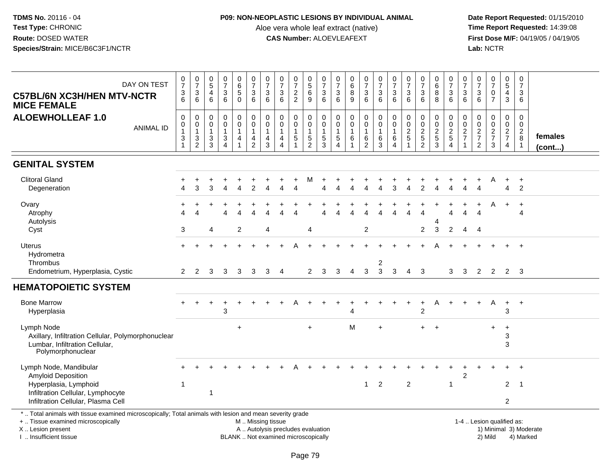### **P09: NON-NEOPLASTIC LESIONS BY INDIVIDUAL ANIMAL**

Aloe vera whole leaf extract (native)<br>**CAS Number:** ALOEVLEAFEXT

| DAY ON TEST<br><b>C57BL/6N XC3H/HEN MTV-NCTR</b><br><b>MICE FEMALE</b>                                                                                                                        | $\frac{0}{7}$<br>$\frac{3}{6}$                                                    | $\begin{array}{c} 0 \\ 7 \end{array}$<br>$\sqrt{3}$<br>$\overline{6}$                 | $\begin{array}{c} 0 \\ 5 \end{array}$<br>$\overline{a}$<br>$6\phantom{a}$ | $\frac{0}{7}$<br>$\sqrt{3}$<br>6                                                        | $\begin{array}{c} 0 \\ 6 \end{array}$<br>$\sqrt{5}$<br>$\overline{0}$ | $\frac{0}{7}$<br>$\frac{3}{6}$                                             | $\frac{0}{7}$<br>3<br>$6\phantom{1}$                 | $\frac{0}{7}$<br>$\begin{array}{c} 3 \\ 6 \end{array}$                   | $\frac{0}{7}$<br>$\frac{2}{2}$                            | $\begin{array}{c} 0 \\ 5 \end{array}$<br>6<br>$\overline{9}$ | 0<br>$\overline{7}$<br>$\sqrt{3}$<br>$6\phantom{1}$                       | $\begin{array}{c} 0 \\ 7 \end{array}$<br>3<br>6     | $_{6}^{\rm 0}$<br>8<br>$\boldsymbol{9}$                               | $\frac{0}{7}$<br>3<br>$\overline{6}$                       | $\frac{0}{7}$<br>$\frac{3}{6}$                                      | $\frac{0}{7}$<br>$\sqrt{3}$<br>$\overline{6}$                                   | $\frac{0}{7}$<br>$\boldsymbol{3}$<br>6                                         | $\begin{array}{c} 0 \\ 7 \end{array}$<br>$\sqrt{3}$<br>$6\phantom{1}$ | $\begin{array}{c} 0 \\ 6 \end{array}$<br>8<br>8   | $\frac{0}{7}$<br>$\frac{3}{6}$            | $\frac{0}{7}$<br>3<br>$\overline{6}$                                 | $\frac{0}{7}$<br>$\frac{3}{6}$                                | $\begin{array}{c} 0 \\ 7 \end{array}$<br>$\mathbf 0$<br>$\overline{7}$ | $\pmb{0}$<br>$\overline{5}$<br>$\overline{4}$<br>$\mathbf{3}$ | $\pmb{0}$<br>$\overline{7}$<br>3<br>6                                     |                        |
|-----------------------------------------------------------------------------------------------------------------------------------------------------------------------------------------------|-----------------------------------------------------------------------------------|---------------------------------------------------------------------------------------|---------------------------------------------------------------------------|-----------------------------------------------------------------------------------------|-----------------------------------------------------------------------|----------------------------------------------------------------------------|------------------------------------------------------|--------------------------------------------------------------------------|-----------------------------------------------------------|--------------------------------------------------------------|---------------------------------------------------------------------------|-----------------------------------------------------|-----------------------------------------------------------------------|------------------------------------------------------------|---------------------------------------------------------------------|---------------------------------------------------------------------------------|--------------------------------------------------------------------------------|-----------------------------------------------------------------------|---------------------------------------------------|-------------------------------------------|----------------------------------------------------------------------|---------------------------------------------------------------|------------------------------------------------------------------------|---------------------------------------------------------------|---------------------------------------------------------------------------|------------------------|
| <b>ALOEWHOLLEAF 1.0</b><br><b>ANIMAL ID</b>                                                                                                                                                   | $\,0\,$<br>$\pmb{0}$<br>$\mathbf{1}$<br>$\ensuremath{\mathsf{3}}$<br>$\mathbf{1}$ | $\pmb{0}$<br>$\pmb{0}$<br>$\mathbf{1}$<br>$\ensuremath{\mathsf{3}}$<br>$\overline{2}$ | $\boldsymbol{0}$<br>$\mathbf 0$<br>$\overline{1}$<br>$\frac{3}{3}$        | $\pmb{0}$<br>$\mathbf 0$<br>$\mathbf{1}$<br>$\ensuremath{\mathsf{3}}$<br>$\overline{4}$ | 0<br>$\mathbf 0$<br>$\mathbf{1}$<br>4<br>$\mathbf{1}$                 | $\pmb{0}$<br>$\pmb{0}$<br>$\mathbf{1}$<br>$\overline{4}$<br>$\overline{a}$ | $\mathbf 0$<br>$\mathbf 0$<br>$\mathbf{1}$<br>4<br>3 | $\pmb{0}$<br>0<br>$\mathbf{1}$<br>$\overline{4}$<br>$\overline{4}$       | $\mathbf 0$<br>$\mathbf 0$<br>$\mathbf{1}$<br>$\,$ 5 $\,$ | 0<br>$\mathbf 0$<br>$\mathbf{1}$<br>$\sqrt{5}$<br>2          | $\mathbf 0$<br>$\mathbf 0$<br>$\mathbf{1}$<br>$\,$ 5 $\,$<br>$\mathbf{3}$ | $\mathbf 0$<br>$\mathbf 0$<br>1<br>$\mathbf 5$<br>4 | $\mathbf 0$<br>$\mathbf 0$<br>$\mathbf{1}$<br>$\,6\,$<br>$\mathbf{1}$ | 0<br>$\overline{0}$<br>$\mathbf{1}$<br>6<br>$\overline{2}$ | $\mathbf 0$<br>$\pmb{0}$<br>$\mathbf{1}$<br>$\,6\,$<br>$\mathbf{3}$ | $\mathbf 0$<br>$\mathsf{O}\xspace$<br>$\mathbf{1}$<br>$\,6\,$<br>$\overline{4}$ | $\boldsymbol{0}$<br>$\begin{smallmatrix} 0\\2 \end{smallmatrix}$<br>$\sqrt{5}$ | $\mathbf 0$<br>$\frac{0}{2}$<br>$\overline{2}$                        | 0<br>$\mathbf 0$<br>$\frac{2}{5}$<br>$\mathbf{3}$ | 0<br>$\frac{0}{2}$<br>5<br>$\overline{4}$ | $\mathbf 0$<br>0<br>$\overline{2}$<br>$\overline{7}$<br>$\mathbf{1}$ | $\mathbf 0$<br>$\mathbf 0$<br>$\frac{2}{7}$<br>$\overline{2}$ | $\mathbf 0$<br>$\mathsf{O}\xspace$<br>$\frac{2}{7}$<br>3               | $\mathbf 0$<br>$\frac{0}{2}$<br>4                             | $\mathbf 0$<br>$\mathsf 0$<br>$\overline{2}$<br>$\,8\,$<br>$\overline{1}$ | females<br>(cont)      |
| <b>GENITAL SYSTEM</b>                                                                                                                                                                         |                                                                                   |                                                                                       |                                                                           |                                                                                         |                                                                       |                                                                            |                                                      |                                                                          |                                                           |                                                              |                                                                           |                                                     |                                                                       |                                                            |                                                                     |                                                                                 |                                                                                |                                                                       |                                                   |                                           |                                                                      |                                                               |                                                                        |                                                               |                                                                           |                        |
| <b>Clitoral Gland</b><br>Degeneration                                                                                                                                                         |                                                                                   | 3                                                                                     | 3                                                                         |                                                                                         | Δ                                                                     |                                                                            |                                                      |                                                                          |                                                           | М                                                            |                                                                           |                                                     |                                                                       |                                                            |                                                                     |                                                                                 |                                                                                |                                                                       |                                                   |                                           |                                                                      | л                                                             | A                                                                      | $\ddot{}$<br>4                                                | $+$<br>$\overline{2}$                                                     |                        |
| Ovary<br>Atrophy<br>Autolysis<br>Cyst                                                                                                                                                         | Δ<br>3                                                                            | $\Delta$                                                                              | 4                                                                         |                                                                                         | $\lambda$<br>2                                                        |                                                                            | 4                                                    |                                                                          |                                                           | 4                                                            |                                                                           |                                                     |                                                                       | $\overline{2}$                                             |                                                                     |                                                                                 | Λ                                                                              | $\overline{2}$                                                        | 4<br>3                                            | $\Delta$<br>$\overline{2}$                | $\overline{4}$<br>4                                                  | $\Delta$<br>4                                                 | A                                                                      | $\ddot{}$                                                     | $\ddot{}$<br>$\overline{4}$                                               |                        |
| <b>Uterus</b><br>Hydrometra<br><b>Thrombus</b><br>Endometrium, Hyperplasia, Cystic                                                                                                            | $\overline{2}$                                                                    | $\overline{2}$                                                                        | 3                                                                         | 3                                                                                       | 3                                                                     | 3                                                                          | 3                                                    | $\overline{4}$                                                           |                                                           | $\overline{2}$                                               | 3                                                                         | 3                                                   | $\overline{4}$                                                        | $\mathbf{3}$                                               | $\overline{c}$<br>$\mathfrak{Z}$                                    | 3                                                                               | 4                                                                              | 3                                                                     |                                                   | 3                                         | 3                                                                    | $\overline{2}$                                                | $\overline{2}$                                                         | $\overline{2}$                                                | $+$<br>3                                                                  |                        |
| <b>HEMATOPOIETIC SYSTEM</b>                                                                                                                                                                   |                                                                                   |                                                                                       |                                                                           |                                                                                         |                                                                       |                                                                            |                                                      |                                                                          |                                                           |                                                              |                                                                           |                                                     |                                                                       |                                                            |                                                                     |                                                                                 |                                                                                |                                                                       |                                                   |                                           |                                                                      |                                                               |                                                                        |                                                               |                                                                           |                        |
| <b>Bone Marrow</b><br>Hyperplasia                                                                                                                                                             |                                                                                   |                                                                                       |                                                                           | 3                                                                                       |                                                                       |                                                                            |                                                      |                                                                          |                                                           |                                                              |                                                                           |                                                     |                                                                       |                                                            |                                                                     |                                                                                 |                                                                                | ÷<br>$\overline{c}$                                                   | Α                                                 |                                           |                                                                      |                                                               | A                                                                      | $+$<br>3                                                      | $+$                                                                       |                        |
| Lymph Node<br>Axillary, Infiltration Cellular, Polymorphonuclear<br>Lumbar, Infiltration Cellular,<br>Polymorphonuclear                                                                       |                                                                                   |                                                                                       |                                                                           |                                                                                         | $\ddot{}$                                                             |                                                                            |                                                      |                                                                          |                                                           | $\ddot{}$                                                    |                                                                           |                                                     | M                                                                     |                                                            | $\ddot{}$                                                           |                                                                                 |                                                                                | $\pm$                                                                 | $+$                                               |                                           |                                                                      |                                                               | $\ddot{}$                                                              | $\ddot{}$<br>3<br>3                                           |                                                                           |                        |
| Lymph Node, Mandibular<br><b>Amyloid Deposition</b>                                                                                                                                           |                                                                                   |                                                                                       |                                                                           |                                                                                         |                                                                       |                                                                            |                                                      |                                                                          |                                                           |                                                              |                                                                           |                                                     |                                                                       |                                                            |                                                                     |                                                                                 |                                                                                |                                                                       |                                                   |                                           | $\overline{c}$                                                       |                                                               |                                                                        |                                                               |                                                                           |                        |
| Hyperplasia, Lymphoid<br>Infiltration Cellular, Lymphocyte<br>Infiltration Cellular, Plasma Cell                                                                                              | $\mathbf 1$                                                                       |                                                                                       | 1                                                                         |                                                                                         |                                                                       |                                                                            |                                                      |                                                                          |                                                           |                                                              |                                                                           |                                                     |                                                                       | $\mathbf{1}$                                               | 2                                                                   |                                                                                 | 2                                                                              |                                                                       |                                                   | $\overline{1}$                            |                                                                      |                                                               |                                                                        | $\overline{2}$<br>$\overline{2}$                              | $\overline{1}$                                                            |                        |
| *  Total animals with tissue examined microscopically; Total animals with lesion and mean severity grade<br>+  Tissue examined microscopically<br>X  Lesion present<br>I  Insufficient tissue |                                                                                   |                                                                                       |                                                                           |                                                                                         |                                                                       | M  Missing tissue                                                          |                                                      | A  Autolysis precludes evaluation<br>BLANK  Not examined microscopically |                                                           |                                                              |                                                                           |                                                     |                                                                       |                                                            |                                                                     |                                                                                 |                                                                                |                                                                       |                                                   |                                           |                                                                      |                                                               | 1-4  Lesion qualified as:<br>2) Mild                                   |                                                               | 4) Marked                                                                 | 1) Minimal 3) Moderate |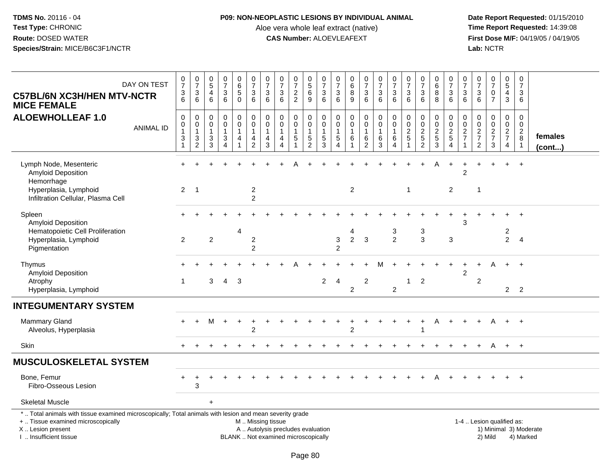### **P09: NON-NEOPLASTIC LESIONS BY INDIVIDUAL ANIMAL**

Aloe vera whole leaf extract (native)<br>**CAS Number:** ALOEVLEAFEXT

| DAY ON TEST<br><b>C57BL/6N XC3H/HEN MTV-NCTR</b><br><b>MICE FEMALE</b>                                                                                                                       | $\frac{0}{7}$<br>$\ensuremath{\mathsf{3}}$<br>$6\phantom{1}6$      | $\frac{0}{7}$<br>$\ensuremath{\mathsf{3}}$<br>6                        | $\begin{array}{c} 0 \\ 5 \end{array}$<br>4<br>6                     | $\frac{0}{7}$<br>3<br>$6\phantom{1}$                               | $\pmb{0}$<br>$\begin{matrix} 6 \\ 5 \\ 0 \end{matrix}$                | $\frac{0}{7}$<br>$\sqrt{3}$<br>$\,6\,$                            | $\frac{0}{7}$<br>3<br>6                                      | $\begin{matrix} 0 \\ 7 \end{matrix}$<br>$\ensuremath{\mathsf{3}}$<br>6   | $\begin{array}{c} 0 \\ 7 \end{array}$<br>$\frac{2}{2}$ | $\begin{array}{c} 0 \\ 5 \end{array}$<br>$\overline{6}$<br>$\boldsymbol{9}$ | 0<br>$\overline{7}$<br>$\ensuremath{\mathsf{3}}$<br>$6\phantom{1}$  | 0<br>$\overline{7}$<br>$\sqrt{3}$<br>$6\phantom{1}$     | $\begin{array}{c} 0 \\ 6 \end{array}$<br>$\overline{8}$<br>$\overline{9}$ | $\frac{0}{7}$<br>$\mathbf{3}$<br>$6\phantom{a}$               | $\frac{0}{7}$<br>$\mathbf{3}$<br>$\,6\,$                                | $\frac{0}{7}$<br>$\ensuremath{\mathsf{3}}$<br>6                  | 0<br>$\overline{7}$<br>$\sqrt{3}$<br>$6\phantom{1}$                    | $\frac{0}{7}$<br>$\ensuremath{\mathsf{3}}$<br>$6\phantom{1}$ | 0<br>$6\phantom{1}$<br>8<br>8                                 | $\frac{0}{7}$<br>$\frac{3}{6}$                                | $\pmb{0}$<br>$\overline{7}$<br>$\sqrt{3}$<br>$6\phantom{1}6$                   | 0<br>$\overline{7}$<br>3<br>$6\phantom{1}$          | $\frac{0}{7}$<br>$\mathsf{O}\xspace$<br>$\overline{7}$      | $\pmb{0}$<br>$\sqrt{5}$<br>$\overline{4}$<br>$\mathbf{3}$           | $\mathbf 0$<br>$\overline{7}$<br>3<br>$\,6\,$                         |                        |
|----------------------------------------------------------------------------------------------------------------------------------------------------------------------------------------------|--------------------------------------------------------------------|------------------------------------------------------------------------|---------------------------------------------------------------------|--------------------------------------------------------------------|-----------------------------------------------------------------------|-------------------------------------------------------------------|--------------------------------------------------------------|--------------------------------------------------------------------------|--------------------------------------------------------|-----------------------------------------------------------------------------|---------------------------------------------------------------------|---------------------------------------------------------|---------------------------------------------------------------------------|---------------------------------------------------------------|-------------------------------------------------------------------------|------------------------------------------------------------------|------------------------------------------------------------------------|--------------------------------------------------------------|---------------------------------------------------------------|---------------------------------------------------------------|--------------------------------------------------------------------------------|-----------------------------------------------------|-------------------------------------------------------------|---------------------------------------------------------------------|-----------------------------------------------------------------------|------------------------|
| <b>ALOEWHOLLEAF 1.0</b><br><b>ANIMAL ID</b>                                                                                                                                                  | $\mathbf 0$<br>0<br>$\mathbf{1}$<br>$\mathbf{3}$<br>$\overline{1}$ | $\boldsymbol{0}$<br>$\mathbf 0$<br>$\mathbf{1}$<br>3<br>$\overline{2}$ | $\mathsf{O}\xspace$<br>$\mathbf 0$<br>$\mathbf{1}$<br>$\frac{3}{3}$ | $\mathsf{O}$<br>$\mathbf 0$<br>$\mathbf{1}$<br>3<br>$\overline{4}$ | $\pmb{0}$<br>$\mathsf{O}\xspace$<br>$\mathbf{1}$<br>4<br>$\mathbf{1}$ | $\mathbf 0$<br>$\pmb{0}$<br>$\overline{1}$<br>4<br>$\overline{2}$ | 0<br>$\boldsymbol{0}$<br>$\overline{1}$<br>4<br>$\mathbf{3}$ | $\pmb{0}$<br>$\mathsf 0$<br>$\mathbf{1}$<br>4<br>$\boldsymbol{\Lambda}$  | 0<br>$\mathbf 0$<br>1<br>5                             | $\,0\,$<br>$\pmb{0}$<br>$\mathbf{1}$<br>$\frac{5}{2}$                       | $\mathsf{O}\xspace$<br>$\mathbf 0$<br>$\mathbf{1}$<br>$\frac{5}{3}$ | 0<br>0<br>$\mathbf{1}$<br>$\,$ 5 $\,$<br>$\overline{4}$ | $\mathbf 0$<br>$\mathsf{O}\xspace$<br>$\mathbf{1}$<br>$\,6\,$             | 0<br>$\mathbf 0$<br>$\mathbf{1}$<br>$\,6\,$<br>$\overline{2}$ | $\mathbf 0$<br>$\mathbf 0$<br>$\mathbf{1}$<br>$\,6\,$<br>$\overline{3}$ | 0<br>$\mathbf 0$<br>$\mathbf{1}$<br>6<br>$\overline{\mathbf{4}}$ | $\mathsf{O}\xspace$<br>$\pmb{0}$<br>$\overline{2}$<br>$\sqrt{5}$<br>-1 | 0<br>$\pmb{0}$<br>$\frac{2}{2}$                              | $\mathbf 0$<br>$\mathbf 0$<br>$\frac{2}{5}$<br>$\overline{3}$ | $\mathbf 0$<br>$\mathbf 0$<br>$\frac{2}{5}$<br>$\overline{4}$ | $\mathbf 0$<br>$\mathbf 0$<br>$\overline{2}$<br>$\overline{7}$<br>$\mathbf{1}$ | 0<br>$\mathbf 0$<br>$\frac{2}{7}$<br>$\overline{2}$ | 0<br>$\mathsf{O}\xspace$<br>$\frac{2}{7}$<br>$\overline{3}$ | $\pmb{0}$<br>$\mathsf{O}\xspace$<br>$\frac{2}{7}$<br>$\overline{4}$ | $\mathbf 0$<br>$\mathsf{O}\xspace$<br>$\sqrt{2}$<br>8<br>$\mathbf{1}$ | females<br>(cont)      |
| Lymph Node, Mesenteric<br>Amyloid Deposition<br>Hemorrhage<br>Hyperplasia, Lymphoid<br>Infiltration Cellular, Plasma Cell                                                                    | 2                                                                  | $\overline{1}$                                                         |                                                                     |                                                                    |                                                                       | $\overline{2}$<br>$\overline{2}$                                  |                                                              |                                                                          |                                                        |                                                                             |                                                                     |                                                         | 2                                                                         |                                                               |                                                                         |                                                                  | 1                                                                      |                                                              |                                                               | 2                                                             | $\overline{2}$                                                                 | $\mathbf 1$                                         |                                                             | $\ddot{}$                                                           | $+$                                                                   |                        |
| Spleen<br>Amyloid Deposition<br>Hematopoietic Cell Proliferation<br>Hyperplasia, Lymphoid<br>Pigmentation                                                                                    | $\overline{2}$                                                     |                                                                        | $\overline{2}$                                                      |                                                                    | $\overline{4}$                                                        | $\overline{c}$<br>$\overline{2}$                                  |                                                              |                                                                          |                                                        |                                                                             |                                                                     | $\ensuremath{\mathsf{3}}$<br>$\overline{2}$             | 4<br>$\overline{2}$                                                       | 3                                                             |                                                                         | 3<br>$\overline{2}$                                              |                                                                        | 3<br>$\mathbf{3}$                                            |                                                               | $\sqrt{3}$                                                    | 3                                                                              |                                                     |                                                             | $\overline{c}$<br>$\overline{2}$                                    | $\overline{4}$                                                        |                        |
| Thymus<br>Amyloid Deposition<br>Atrophy<br>Hyperplasia, Lymphoid                                                                                                                             | $\overline{1}$                                                     |                                                                        | 3                                                                   | $\overline{4}$                                                     | 3                                                                     |                                                                   |                                                              |                                                                          |                                                        |                                                                             | $\overline{2}$                                                      | 4                                                       | $\overline{c}$                                                            | $\overline{\mathbf{c}}$                                       |                                                                         | $\overline{2}$                                                   |                                                                        | $\overline{2}$                                               |                                                               |                                                               | $\overline{c}$                                                                 | $\boldsymbol{2}$                                    | А                                                           | $\overline{2}$                                                      | $+$<br>2                                                              |                        |
| <b>INTEGUMENTARY SYSTEM</b>                                                                                                                                                                  |                                                                    |                                                                        |                                                                     |                                                                    |                                                                       |                                                                   |                                                              |                                                                          |                                                        |                                                                             |                                                                     |                                                         |                                                                           |                                                               |                                                                         |                                                                  |                                                                        |                                                              |                                                               |                                                               |                                                                                |                                                     |                                                             |                                                                     |                                                                       |                        |
| <b>Mammary Gland</b><br>Alveolus, Hyperplasia                                                                                                                                                |                                                                    | $+$                                                                    | M                                                                   | $+$                                                                | $\ddot{}$                                                             | $\overline{2}$                                                    |                                                              |                                                                          |                                                        |                                                                             |                                                                     |                                                         | $\overline{2}$                                                            |                                                               |                                                                         |                                                                  |                                                                        |                                                              | A                                                             |                                                               |                                                                                |                                                     | A                                                           | $+$                                                                 | $+$                                                                   |                        |
| Skin                                                                                                                                                                                         | $+$                                                                |                                                                        |                                                                     |                                                                    |                                                                       |                                                                   |                                                              |                                                                          |                                                        |                                                                             |                                                                     |                                                         |                                                                           |                                                               |                                                                         |                                                                  |                                                                        |                                                              |                                                               |                                                               |                                                                                |                                                     | A                                                           | $+$                                                                 | $+$                                                                   |                        |
| <b>MUSCULOSKELETAL SYSTEM</b>                                                                                                                                                                |                                                                    |                                                                        |                                                                     |                                                                    |                                                                       |                                                                   |                                                              |                                                                          |                                                        |                                                                             |                                                                     |                                                         |                                                                           |                                                               |                                                                         |                                                                  |                                                                        |                                                              |                                                               |                                                               |                                                                                |                                                     |                                                             |                                                                     |                                                                       |                        |
| Bone, Femur<br>Fibro-Osseous Lesion                                                                                                                                                          |                                                                    | 3                                                                      |                                                                     |                                                                    |                                                                       |                                                                   |                                                              |                                                                          |                                                        |                                                                             |                                                                     |                                                         |                                                                           |                                                               |                                                                         |                                                                  |                                                                        |                                                              |                                                               |                                                               |                                                                                |                                                     |                                                             |                                                                     | $^{+}$                                                                |                        |
| <b>Skeletal Muscle</b>                                                                                                                                                                       |                                                                    |                                                                        | $\ddot{}$                                                           |                                                                    |                                                                       |                                                                   |                                                              |                                                                          |                                                        |                                                                             |                                                                     |                                                         |                                                                           |                                                               |                                                                         |                                                                  |                                                                        |                                                              |                                                               |                                                               |                                                                                |                                                     |                                                             |                                                                     |                                                                       |                        |
| *  Total animals with tissue examined microscopically; Total animals with lesion and mean severity grade<br>+  Tissue examined microscopically<br>X Lesion present<br>I  Insufficient tissue |                                                                    |                                                                        |                                                                     |                                                                    |                                                                       | M  Missing tissue                                                 |                                                              | A  Autolysis precludes evaluation<br>BLANK  Not examined microscopically |                                                        |                                                                             |                                                                     |                                                         |                                                                           |                                                               |                                                                         |                                                                  |                                                                        |                                                              |                                                               |                                                               |                                                                                | 1-4  Lesion qualified as:                           | 2) Mild                                                     |                                                                     | 4) Marked                                                             | 1) Minimal 3) Moderate |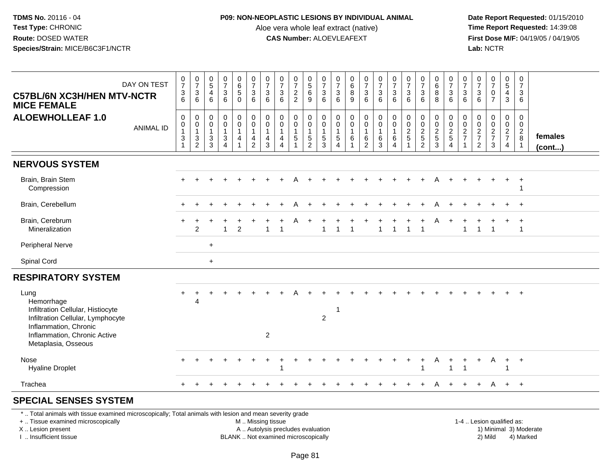## **P09: NON-NEOPLASTIC LESIONS BY INDIVIDUAL ANIMAL**

Aloe vera whole leaf extract (native)<br>**CAS Number:** ALOEVLEAFEXT

| DAY ON TEST<br><b>C57BL/6N XC3H/HEN MTV-NCTR</b><br><b>MICE FEMALE</b>                                                                                                                        | $\frac{0}{7}$<br>$\frac{3}{6}$                                             | $\frac{0}{7}$<br>$\ensuremath{\mathsf{3}}$<br>6                   | $\begin{array}{c} 0 \\ 5 \end{array}$<br>$\overline{4}$<br>6 | $\frac{0}{7}$<br>$\sqrt{3}$<br>6                                                   | $\begin{array}{c} 0 \\ 6 \end{array}$<br>$\,$ 5 $\,$<br>$\mathbf 0$ | $\begin{array}{c} 0 \\ 7 \end{array}$<br>3<br>6             | $\frac{0}{7}$<br>$\ensuremath{\mathsf{3}}$<br>$\,6$               | $\frac{0}{7}$<br>$\ensuremath{\mathsf{3}}$<br>6                                          | $\begin{array}{c} 0 \\ 7 \end{array}$<br>$\frac{2}{2}$ | $\begin{array}{c} 0 \\ 5 \end{array}$<br>$\,6\,$<br>9       | $\frac{0}{7}$<br>$\ensuremath{\mathsf{3}}$<br>6               | $\pmb{0}$<br>$\overline{7}$<br>$\ensuremath{\mathsf{3}}$<br>6             | $\begin{array}{c} 0 \\ 6 \end{array}$<br>$\bf 8$<br>9 | $\frac{0}{7}$<br>3<br>6                           | $\frac{0}{7}$<br>$\frac{3}{6}$                             | $\frac{0}{7}$<br>$\sqrt{3}$<br>6                                      | $\frac{0}{7}$<br>$\ensuremath{\mathsf{3}}$<br>6 | $\begin{array}{c} 0 \\ 7 \end{array}$<br>$\ensuremath{\mathsf{3}}$<br>6 | $_{6}^{\rm 0}$<br>8<br>8        | $\frac{0}{7}$<br>$\frac{3}{6}$             | $\frac{0}{7}$<br>$\mathbf{3}$<br>6                             | 0<br>$\overline{7}$<br>$\ensuremath{\mathsf{3}}$<br>6 | $\begin{smallmatrix}0\\7\end{smallmatrix}$<br>$\pmb{0}$<br>$\overline{7}$ | $\begin{array}{c} 0 \\ 5 \end{array}$<br>4<br>$\mathbf{3}$ | $\mathbf 0$<br>$\overline{7}$<br>$\sqrt{3}$<br>6                          |                        |
|-----------------------------------------------------------------------------------------------------------------------------------------------------------------------------------------------|----------------------------------------------------------------------------|-------------------------------------------------------------------|--------------------------------------------------------------|------------------------------------------------------------------------------------|---------------------------------------------------------------------|-------------------------------------------------------------|-------------------------------------------------------------------|------------------------------------------------------------------------------------------|--------------------------------------------------------|-------------------------------------------------------------|---------------------------------------------------------------|---------------------------------------------------------------------------|-------------------------------------------------------|---------------------------------------------------|------------------------------------------------------------|-----------------------------------------------------------------------|-------------------------------------------------|-------------------------------------------------------------------------|---------------------------------|--------------------------------------------|----------------------------------------------------------------|-------------------------------------------------------|---------------------------------------------------------------------------|------------------------------------------------------------|---------------------------------------------------------------------------|------------------------|
| <b>ALOEWHOLLEAF 1.0</b><br><b>ANIMAL ID</b>                                                                                                                                                   | $\mathbf 0$<br>$\pmb{0}$<br>$\mathbf{1}$<br>$\mathbf{3}$<br>$\overline{1}$ | $\mathsf{O}\xspace$<br>$\pmb{0}$<br>$\mathbf{1}$<br>$\frac{3}{2}$ | $\mathbf 0$<br>0<br>$\mathbf{1}$<br>3<br>$\mathbf{3}$        | $\mathbf 0$<br>$\mathbf 0$<br>$\mathbf 1$<br>$\ensuremath{\mathsf{3}}$<br>$\Delta$ | 0<br>$\mathbf 0$<br>$\mathbf{1}$<br>$\overline{4}$<br>$\mathbf{1}$  | $\mathbf 0$<br>$\mathbf 0$<br>$\mathbf{1}$<br>$\frac{4}{2}$ | $\mathsf{O}\xspace$<br>$\pmb{0}$<br>$\mathbf{1}$<br>$\frac{4}{3}$ | $\mathbf 0$<br>$\mathbf 0$<br>$\overline{1}$<br>$\overline{4}$<br>$\boldsymbol{\Lambda}$ | $\mathbf 0$<br>$\mathsf{O}\xspace$<br>5                | $\mathbf 0$<br>$\mathbf 0$<br>$\mathbf{1}$<br>$\frac{5}{2}$ | $\mathbf 0$<br>$\mathbf 0$<br>$\overline{1}$<br>$\frac{5}{3}$ | $\mathbf 0$<br>0<br>$\mathbf{1}$<br>$\,$ 5 $\,$<br>$\boldsymbol{\Lambda}$ | $\pmb{0}$<br>$\mathsf 0$<br>$\mathbf{1}$<br>6<br>1    | 0<br>$\mathbf 0$<br>$\mathbf{1}$<br>$\frac{6}{2}$ | $\pmb{0}$<br>$\mathsf{O}\xspace$<br>$\mathbf{1}$<br>$^6_3$ | $\mathbf 0$<br>$\pmb{0}$<br>$\overline{1}$<br>$\,6$<br>$\overline{4}$ | 0<br>$\mathbf 0$<br>$\frac{2}{5}$               | $\pmb{0}$<br>$\mathbf 0$<br>$\frac{2}{5}$                               | 0<br>$\mathbf 0$<br>$rac{2}{3}$ | $\,0\,$<br>$\frac{0}{2}$<br>$\overline{4}$ | 0<br>$\pmb{0}$<br>$\sqrt{2}$<br>$\overline{7}$<br>$\mathbf{1}$ | 0<br>0<br>$\sqrt{2}$<br>$\overline{7}$<br>$\sqrt{2}$  | $\mathbf 0$<br>$\mathbf 0$<br>$\frac{2}{7}$<br>$\mathbf{3}$               | 0<br>$\mathbf 0$<br>$\frac{2}{7}$<br>4                     | $\mathbf 0$<br>$\mathbf 0$<br>$\overline{2}$<br>$\,8\,$<br>$\overline{1}$ | females<br>(cont)      |
| <b>NERVOUS SYSTEM</b>                                                                                                                                                                         |                                                                            |                                                                   |                                                              |                                                                                    |                                                                     |                                                             |                                                                   |                                                                                          |                                                        |                                                             |                                                               |                                                                           |                                                       |                                                   |                                                            |                                                                       |                                                 |                                                                         |                                 |                                            |                                                                |                                                       |                                                                           |                                                            |                                                                           |                        |
| Brain, Brain Stem<br>Compression                                                                                                                                                              |                                                                            |                                                                   |                                                              |                                                                                    |                                                                     |                                                             |                                                                   |                                                                                          |                                                        |                                                             |                                                               |                                                                           |                                                       |                                                   |                                                            |                                                                       |                                                 |                                                                         |                                 |                                            |                                                                |                                                       |                                                                           | +                                                          | $\div$<br>-1                                                              |                        |
| Brain, Cerebellum                                                                                                                                                                             |                                                                            |                                                                   |                                                              |                                                                                    |                                                                     |                                                             |                                                                   |                                                                                          |                                                        |                                                             |                                                               |                                                                           |                                                       |                                                   |                                                            |                                                                       |                                                 |                                                                         |                                 |                                            |                                                                |                                                       |                                                                           |                                                            | $+$                                                                       |                        |
| Brain, Cerebrum<br>Mineralization                                                                                                                                                             |                                                                            | 2                                                                 |                                                              | 1                                                                                  | $\overline{2}$                                                      |                                                             | 1                                                                 |                                                                                          |                                                        |                                                             | 1                                                             |                                                                           |                                                       |                                                   |                                                            |                                                                       |                                                 |                                                                         |                                 |                                            | $\mathbf 1$                                                    |                                                       |                                                                           |                                                            | $\div$<br>$\overline{1}$                                                  |                        |
| <b>Peripheral Nerve</b>                                                                                                                                                                       |                                                                            |                                                                   | $\ddot{}$                                                    |                                                                                    |                                                                     |                                                             |                                                                   |                                                                                          |                                                        |                                                             |                                                               |                                                                           |                                                       |                                                   |                                                            |                                                                       |                                                 |                                                                         |                                 |                                            |                                                                |                                                       |                                                                           |                                                            |                                                                           |                        |
| Spinal Cord                                                                                                                                                                                   |                                                                            |                                                                   | $\ddot{}$                                                    |                                                                                    |                                                                     |                                                             |                                                                   |                                                                                          |                                                        |                                                             |                                                               |                                                                           |                                                       |                                                   |                                                            |                                                                       |                                                 |                                                                         |                                 |                                            |                                                                |                                                       |                                                                           |                                                            |                                                                           |                        |
| <b>RESPIRATORY SYSTEM</b>                                                                                                                                                                     |                                                                            |                                                                   |                                                              |                                                                                    |                                                                     |                                                             |                                                                   |                                                                                          |                                                        |                                                             |                                                               |                                                                           |                                                       |                                                   |                                                            |                                                                       |                                                 |                                                                         |                                 |                                            |                                                                |                                                       |                                                                           |                                                            |                                                                           |                        |
| Lung<br>Hemorrhage<br>Infiltration Cellular, Histiocyte<br>Infiltration Cellular, Lymphocyte<br>Inflammation, Chronic<br>Inflammation, Chronic Active<br>Metaplasia, Osseous                  |                                                                            | Δ                                                                 |                                                              |                                                                                    |                                                                     |                                                             | $\sqrt{2}$                                                        |                                                                                          |                                                        |                                                             | $\overline{2}$                                                | 1                                                                         |                                                       |                                                   |                                                            |                                                                       |                                                 |                                                                         |                                 |                                            |                                                                |                                                       |                                                                           |                                                            | $\ddot{}$                                                                 |                        |
| Nose<br><b>Hyaline Droplet</b>                                                                                                                                                                |                                                                            |                                                                   |                                                              |                                                                                    |                                                                     |                                                             |                                                                   |                                                                                          |                                                        |                                                             |                                                               |                                                                           |                                                       |                                                   |                                                            |                                                                       |                                                 | -1                                                                      | Α                               | $\overline{1}$                             | $\overline{1}$                                                 | $\ddot{}$                                             | A                                                                         | $+$<br>-1                                                  | $+$                                                                       |                        |
| Trachea                                                                                                                                                                                       | $+$                                                                        |                                                                   |                                                              |                                                                                    |                                                                     |                                                             |                                                                   |                                                                                          |                                                        |                                                             |                                                               |                                                                           |                                                       |                                                   |                                                            |                                                                       |                                                 |                                                                         | A                               |                                            | $\ddot{}$                                                      | $+$                                                   | A                                                                         | $+$                                                        | $+$                                                                       |                        |
| <b>SPECIAL SENSES SYSTEM</b>                                                                                                                                                                  |                                                                            |                                                                   |                                                              |                                                                                    |                                                                     |                                                             |                                                                   |                                                                                          |                                                        |                                                             |                                                               |                                                                           |                                                       |                                                   |                                                            |                                                                       |                                                 |                                                                         |                                 |                                            |                                                                |                                                       |                                                                           |                                                            |                                                                           |                        |
| *  Total animals with tissue examined microscopically; Total animals with lesion and mean severity grade<br>+  Tissue examined microscopically<br>X  Lesion present<br>I  Insufficient tissue |                                                                            |                                                                   |                                                              |                                                                                    |                                                                     |                                                             | M  Missing tissue                                                 | A  Autolysis precludes evaluation<br>BLANK  Not examined microscopically                 |                                                        |                                                             |                                                               |                                                                           |                                                       |                                                   |                                                            |                                                                       |                                                 |                                                                         |                                 |                                            |                                                                | 1-4  Lesion qualified as:                             | 2) Mild                                                                   |                                                            | 4) Marked                                                                 | 1) Minimal 3) Moderate |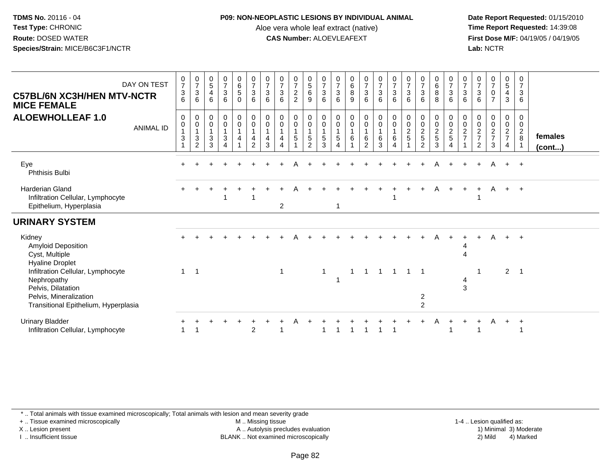#### **P09: NON-NEOPLASTIC LESIONS BY INDIVIDUAL ANIMAL**

Aloe vera whole leaf extract (native)<br>**CAS Number:** ALOEVLEAFEXT

 **Date Report Requested:** 01/15/2010 **First Dose M/F:** 04/19/05 / 04/19/05<br>**Lab:** NCTR **Lab:** NCTR

| <b>C57BL/6N XC3H/HEN MTV-NCTR</b><br><b>MICE FEMALE</b><br><b>ALOEWHOLLEAF 1.0</b>                                                                                 | DAY ON TEST<br><b>ANIMAL ID</b> | $\frac{0}{7}$<br>3<br>6<br>$\mathbf 0$<br>0<br>$\mathbf{1}$<br>$\mathbf{3}$ | $\frac{0}{7}$<br>$\ensuremath{\mathsf{3}}$<br>6<br>0<br>$\pmb{0}$<br>$\mathbf{1}$<br>$\mathbf{3}$ | $\begin{array}{c} 0 \\ 5 \end{array}$<br>$\overline{4}$<br>6<br>$\mathbf 0$<br>$\pmb{0}$<br>$\mathbf{1}$<br>$\mathbf{3}$ | $\frac{0}{7}$<br>$\ensuremath{\mathsf{3}}$<br>6<br>$_{\rm 0}^{\rm 0}$<br>$\mathbf{1}$<br>$\sqrt{3}$ | $\begin{matrix} 0 \\ 6 \\ 5 \end{matrix}$<br>$\mathbf 0$<br>$\begin{smallmatrix} 0\\0 \end{smallmatrix}$<br>$\overline{1}$<br>$\overline{\mathbf{4}}$ | $\frac{0}{7}$<br>$\mathbf{3}$<br>6<br>$\pmb{0}$<br>$\overline{0}$<br>$\mathbf{1}$<br>$\overline{4}$ | $\frac{0}{7}$<br>3<br>6<br>0<br>$\pmb{0}$<br>1<br>4 | $\begin{matrix} 0 \\ 7 \\ 3 \end{matrix}$<br>6<br>0<br>$\pmb{0}$<br>$\mathbf{1}$<br>4 | $\frac{0}{7}$<br>2<br>2<br>$\mathbf 0$<br>$\pmb{0}$<br>$\mathbf{1}$<br>5 | $\begin{array}{c} 0 \\ 5 \\ 6 \end{array}$<br>9<br>0<br>$\mathbf 0$<br>$\mathbf{1}$<br>$\,$ 5 $\,$ | $\frac{0}{7}$<br>$\sqrt{3}$<br>$6\phantom{1}6$<br>0<br>$\overline{0}$<br>$\overline{1}$<br>$\sqrt{5}$ | $\frac{0}{7}$<br>$\ensuremath{\mathsf{3}}$<br>6<br>0<br>$\pmb{0}$<br>$\overline{1}$<br>5 | $\begin{matrix}0\\6\\8\end{matrix}$<br>9<br>0<br>$\pmb{0}$<br>$\mathbf{1}$<br>$\,6\,$ | $\frac{0}{7}$<br>$\mathbf{3}$<br>6<br>0<br>$\mathbf 0$<br>$\mathbf{1}$<br>6 | $\begin{array}{c} 0 \\ 7 \\ 3 \end{array}$<br>6<br>0<br>$\mathsf{O}\xspace$<br>$\mathbf{1}$<br>6 | $\frac{0}{7}$<br>$\ensuremath{\mathsf{3}}$<br>6<br>$_{\rm 0}^{\rm 0}$<br>$\overline{1}$<br>$\,6$ | $\frac{0}{7}$<br>$\ensuremath{\mathsf{3}}$<br>6<br>$\pmb{0}$<br>$\frac{0}{2}$ | $\begin{matrix} 0 \\ 7 \\ 3 \end{matrix}$<br>6<br>$\pmb{0}$<br>$\pmb{0}$<br>$\frac{2}{5}$ | $\begin{array}{c} 0 \\ 6 \\ 8 \end{array}$<br>8<br>0<br>$\mathbf 0$<br>$\frac{2}{5}$ | $\frac{0}{7}$<br>$\sqrt{3}$<br>6<br>0<br>$\mathbf 0$<br>$\frac{2}{5}$ | $\frac{0}{7}$<br>$\mathbf{3}$<br>6<br>0<br>$\mathbf 0$<br>$\frac{2}{7}$ | $\frac{0}{7}$<br>$\ensuremath{\mathsf{3}}$<br>6<br>0<br>$\pmb{0}$<br>$\frac{2}{7}$ | $\begin{smallmatrix}0\\7\end{smallmatrix}$<br>$\pmb{0}$<br>$\overline{7}$<br>00027 | $\begin{matrix} 0 \\ 5 \end{matrix}$<br>$\overline{4}$<br>3<br>0<br>$\mathbf 0$<br>$rac{2}{7}$ | 0<br>$\overline{7}$<br>$\sqrt{3}$<br>6<br>$\mathbf 0$<br>$\mathbf 0$<br>$\overline{2}$<br>8 | females |
|--------------------------------------------------------------------------------------------------------------------------------------------------------------------|---------------------------------|-----------------------------------------------------------------------------|---------------------------------------------------------------------------------------------------|--------------------------------------------------------------------------------------------------------------------------|-----------------------------------------------------------------------------------------------------|-------------------------------------------------------------------------------------------------------------------------------------------------------|-----------------------------------------------------------------------------------------------------|-----------------------------------------------------|---------------------------------------------------------------------------------------|--------------------------------------------------------------------------|----------------------------------------------------------------------------------------------------|-------------------------------------------------------------------------------------------------------|------------------------------------------------------------------------------------------|---------------------------------------------------------------------------------------|-----------------------------------------------------------------------------|--------------------------------------------------------------------------------------------------|--------------------------------------------------------------------------------------------------|-------------------------------------------------------------------------------|-------------------------------------------------------------------------------------------|--------------------------------------------------------------------------------------|-----------------------------------------------------------------------|-------------------------------------------------------------------------|------------------------------------------------------------------------------------|------------------------------------------------------------------------------------|------------------------------------------------------------------------------------------------|---------------------------------------------------------------------------------------------|---------|
|                                                                                                                                                                    |                                 |                                                                             | $\overline{c}$                                                                                    | 3                                                                                                                        | $\overline{4}$                                                                                      | $\overline{1}$                                                                                                                                        | $\overline{2}$                                                                                      | 3                                                   | 4                                                                                     |                                                                          | $\overline{2}$                                                                                     | 3                                                                                                     | 4                                                                                        | 1                                                                                     | $\overline{2}$                                                              | 3                                                                                                | 4                                                                                                |                                                                               | $\overline{2}$                                                                            | 3                                                                                    | $\overline{4}$                                                        |                                                                         | $\overline{2}$                                                                     | $\sqrt{3}$                                                                         | $\overline{4}$                                                                                 | $\overline{1}$                                                                              | (cont)  |
| Eye<br>Phthisis Bulbi                                                                                                                                              |                                 |                                                                             |                                                                                                   |                                                                                                                          |                                                                                                     |                                                                                                                                                       |                                                                                                     |                                                     |                                                                                       |                                                                          |                                                                                                    |                                                                                                       |                                                                                          |                                                                                       |                                                                             |                                                                                                  |                                                                                                  |                                                                               |                                                                                           | Α                                                                                    |                                                                       | $+$                                                                     | $+$                                                                                | A                                                                                  | $+$                                                                                            | $+$                                                                                         |         |
| <b>Harderian Gland</b><br>Infiltration Cellular, Lymphocyte<br>Epithelium, Hyperplasia                                                                             |                                 |                                                                             |                                                                                                   |                                                                                                                          |                                                                                                     |                                                                                                                                                       |                                                                                                     |                                                     | $\overline{2}$                                                                        |                                                                          |                                                                                                    |                                                                                                       | 1                                                                                        |                                                                                       |                                                                             |                                                                                                  |                                                                                                  |                                                                               |                                                                                           | A                                                                                    |                                                                       | $\pm$                                                                   | $+$                                                                                | A                                                                                  | $+$                                                                                            | $+$                                                                                         |         |
| <b>URINARY SYSTEM</b>                                                                                                                                              |                                 |                                                                             |                                                                                                   |                                                                                                                          |                                                                                                     |                                                                                                                                                       |                                                                                                     |                                                     |                                                                                       |                                                                          |                                                                                                    |                                                                                                       |                                                                                          |                                                                                       |                                                                             |                                                                                                  |                                                                                                  |                                                                               |                                                                                           |                                                                                      |                                                                       |                                                                         |                                                                                    |                                                                                    |                                                                                                |                                                                                             |         |
| Kidney<br><b>Amyloid Deposition</b><br>Cyst, Multiple                                                                                                              |                                 |                                                                             |                                                                                                   |                                                                                                                          |                                                                                                     |                                                                                                                                                       |                                                                                                     |                                                     |                                                                                       |                                                                          |                                                                                                    |                                                                                                       |                                                                                          |                                                                                       |                                                                             |                                                                                                  |                                                                                                  |                                                                               |                                                                                           |                                                                                      |                                                                       | $\boldsymbol{\varDelta}$                                                |                                                                                    | A                                                                                  | $+$                                                                                            | $+$                                                                                         |         |
| <b>Hyaline Droplet</b><br>Infiltration Cellular, Lymphocyte<br>Nephropathy<br>Pelvis, Dilatation<br>Pelvis, Mineralization<br>Transitional Epithelium, Hyperplasia |                                 | $\mathbf{1}$                                                                | $\overline{1}$                                                                                    |                                                                                                                          |                                                                                                     |                                                                                                                                                       |                                                                                                     |                                                     | 1                                                                                     |                                                                          |                                                                                                    | $\overline{1}$                                                                                        |                                                                                          | $\mathbf 1$                                                                           | $\mathbf{1}$                                                                | $\mathbf{1}$                                                                                     | $\overline{1}$                                                                                   | $1 \quad 1$                                                                   | $\overline{2}$<br>$\overline{c}$                                                          |                                                                                      |                                                                       | 3                                                                       |                                                                                    |                                                                                    | $\overline{2}$                                                                                 | - 1                                                                                         |         |
| <b>Urinary Bladder</b><br>Infiltration Cellular, Lymphocyte                                                                                                        |                                 |                                                                             |                                                                                                   |                                                                                                                          |                                                                                                     |                                                                                                                                                       | $\overline{2}$                                                                                      |                                                     |                                                                                       |                                                                          |                                                                                                    |                                                                                                       |                                                                                          |                                                                                       |                                                                             |                                                                                                  |                                                                                                  |                                                                               |                                                                                           |                                                                                      |                                                                       |                                                                         |                                                                                    | A                                                                                  | $+$                                                                                            | $\overline{+}$                                                                              |         |

\* .. Total animals with tissue examined microscopically; Total animals with lesion and mean severity grade

+ .. Tissue examined microscopically

X .. Lesion present

I .. Insufficient tissue

M .. Missing tissue

A .. Autolysis precludes evaluation

1-4 .. Lesion qualified as:<br>1) Minimal 3) Moderate BLANK .. Not examined microscopically 2) Mild 4) Marked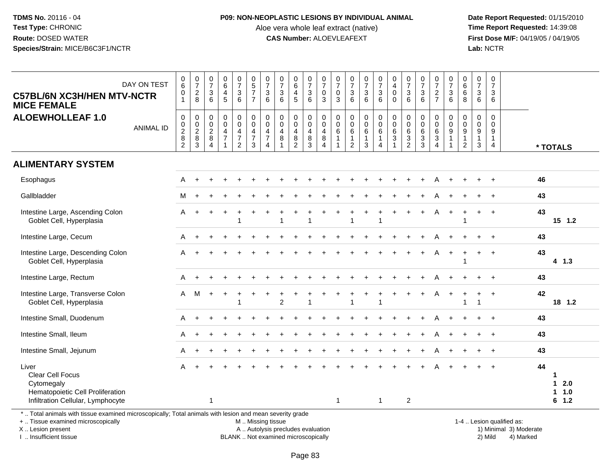#### **P09: NON-NEOPLASTIC LESIONS BY INDIVIDUAL ANIMAL**

Aloe vera whole leaf extract (native)<br>**CAS Number:** ALOEVLEAFEXT

 **Date Report Requested:** 01/15/2010 **First Dose M/F:** 04/19/05 / 04/19/05<br>Lab: NCTR **Lab:** NCTR

| DAY ON TEST<br><b>C57BL/6N XC3H/HEN MTV-NCTR</b><br><b>MICE FEMALE</b><br><b>ALOEWHOLLEAF 1.0</b><br><b>ANIMAL ID</b>   | $_6^0$<br>$\pmb{0}$<br>$\overline{1}$<br>$\mathsf{O}\xspace$<br>$\frac{0}{2}$ | $\frac{0}{7}$<br>$\overline{c}$<br>8<br>$\pmb{0}$ | $\frac{0}{7}$<br>$\mathbf{3}$<br>6<br>0<br>$\mathbf 0$<br>$\overline{c}$ | $\begin{array}{c} 0 \\ 6 \end{array}$<br>$\overline{4}$<br>5<br>$\mathbf 0$<br>$\pmb{0}$<br>$\overline{4}$ | $\begin{array}{c} 0 \\ 7 \end{array}$<br>$\mathbf{3}$<br>6<br>0<br>$\pmb{0}$<br>4 | $\begin{array}{c} 0 \\ 5 \\ 7 \end{array}$<br>$\overline{7}$<br>$\mathbf 0$<br>$\mathbf 0$<br>$\overline{4}$ | $\frac{0}{7}$<br>$\sqrt{3}$<br>6<br>0<br>$\pmb{0}$<br>4 | $\frac{0}{7}$<br>$\mathbf{3}$<br>6<br>$\mathbf 0$<br>$\mathbf 0$<br>$\overline{4}$ | $\pmb{0}$<br>$6\phantom{a}$<br>$\overline{4}$<br>5<br>$\mathbf 0$<br>$\mathsf{O}\xspace$<br>4 | $\begin{array}{c} 0 \\ 7 \end{array}$<br>$\sqrt{3}$<br>6<br>0<br>$\mathsf{O}\xspace$<br>4 | $\begin{smallmatrix}0\\7\end{smallmatrix}$<br>$\mathbf 0$<br>$\mathbf{3}$<br>$\Omega$<br>$\mathsf 0$<br>4 | 0<br>$\overline{7}$<br>$\mathbf 0$<br>3<br>$\mathbf 0$<br>$\boldsymbol{0}$<br>6 | $\frac{0}{7}$<br>$\mathbf{3}$<br>6<br>$\pmb{0}$<br>$\mathbf 0$<br>6 | $\frac{0}{7}$<br>3<br>6<br>0<br>$\overline{0}$<br>6 | $\frac{0}{7}$<br>$\mathbf 3$<br>6<br>$\pmb{0}$<br>$\ddot{\mathbf{0}}$<br>$6\overline{6}$ | $\pmb{0}$<br>$\overline{4}$<br>$\pmb{0}$<br>$\mathbf 0$<br>$\mathbf 0$<br>$\overline{0}$<br>$\,6\,$ | $\begin{array}{c} 0 \\ 7 \end{array}$<br>$\mathbf{3}$<br>6<br>0<br>$\mathbf 0$<br>6 | $\frac{0}{7}$<br>$\mathbf{3}$<br>6<br>$\mathbf 0$<br>$\pmb{0}$<br>$\,6\,$ | $\frac{0}{7}$<br>$\overline{c}$<br>$\overline{7}$<br>0<br>$\mathbf 0$<br>6 | $\frac{0}{7}$<br>$\mathbf{3}$<br>6<br>$\Omega$<br>$\pmb{0}$<br>$\overline{9}$ | $\pmb{0}$<br>$6\overline{6}$<br>$\,6\,$<br>8<br>$\Omega$<br>$\mathbf 0$<br>$\boldsymbol{9}$ | 0<br>$\overline{7}$<br>$\mathbf{3}$<br>6<br>$\Omega$<br>$\mathbf 0$<br>9 | $\pmb{0}$<br>$\overline{7}$<br>$\sqrt{3}$<br>6<br>$\mathbf 0$<br>$\mathbf 0$<br>9 |                                     |
|-------------------------------------------------------------------------------------------------------------------------|-------------------------------------------------------------------------------|---------------------------------------------------|--------------------------------------------------------------------------|------------------------------------------------------------------------------------------------------------|-----------------------------------------------------------------------------------|--------------------------------------------------------------------------------------------------------------|---------------------------------------------------------|------------------------------------------------------------------------------------|-----------------------------------------------------------------------------------------------|-------------------------------------------------------------------------------------------|-----------------------------------------------------------------------------------------------------------|---------------------------------------------------------------------------------|---------------------------------------------------------------------|-----------------------------------------------------|------------------------------------------------------------------------------------------|-----------------------------------------------------------------------------------------------------|-------------------------------------------------------------------------------------|---------------------------------------------------------------------------|----------------------------------------------------------------------------|-------------------------------------------------------------------------------|---------------------------------------------------------------------------------------------|--------------------------------------------------------------------------|-----------------------------------------------------------------------------------|-------------------------------------|
|                                                                                                                         | $\overline{2}$                                                                | $\begin{array}{c} 0 \\ 2 \\ 8 \\ 3 \end{array}$   | 8<br>$\overline{4}$                                                      | $\overline{7}$<br>$\overline{\mathbf{1}}$                                                                  | $\overline{7}$<br>$\overline{2}$                                                  | $\overline{7}$<br>$\mathbf{3}$                                                                               | $\overline{7}$<br>4                                     | 8                                                                                  | $\bf 8$<br>$\overline{2}$                                                                     | $\bf8$<br>$\overline{3}$                                                                  | $\, 8$<br>$\overline{4}$                                                                                  | $\mathbf{1}$                                                                    | $\mathbf{1}$<br>$\overline{2}$                                      | $\mathbf{1}$<br>3                                   | $\mathbf{1}$<br>4                                                                        | $\sqrt{3}$                                                                                          | $\frac{3}{2}$                                                                       | $\mathbf{3}$<br>$\overline{3}$                                            | $\mathbf{3}$<br>$\overline{4}$                                             | $\overline{1}$<br>$\mathbf{1}$                                                | $\mathbf{1}$<br>$\overline{2}$                                                              | $\mathbf{1}$<br>$\mathbf{3}$                                             | $\mathbf{1}$<br>$\overline{4}$                                                    | * TOTALS                            |
| <b>ALIMENTARY SYSTEM</b>                                                                                                |                                                                               |                                                   |                                                                          |                                                                                                            |                                                                                   |                                                                                                              |                                                         |                                                                                    |                                                                                               |                                                                                           |                                                                                                           |                                                                                 |                                                                     |                                                     |                                                                                          |                                                                                                     |                                                                                     |                                                                           |                                                                            |                                                                               |                                                                                             |                                                                          |                                                                                   |                                     |
| Esophagus                                                                                                               | A                                                                             |                                                   |                                                                          |                                                                                                            |                                                                                   |                                                                                                              |                                                         |                                                                                    |                                                                                               |                                                                                           |                                                                                                           |                                                                                 |                                                                     |                                                     |                                                                                          |                                                                                                     |                                                                                     |                                                                           |                                                                            |                                                                               |                                                                                             |                                                                          |                                                                                   | 46                                  |
| Gallbladder                                                                                                             | м                                                                             |                                                   |                                                                          |                                                                                                            |                                                                                   |                                                                                                              |                                                         |                                                                                    |                                                                                               |                                                                                           |                                                                                                           |                                                                                 |                                                                     |                                                     |                                                                                          |                                                                                                     |                                                                                     |                                                                           |                                                                            |                                                                               |                                                                                             |                                                                          |                                                                                   | 43                                  |
| Intestine Large, Ascending Colon<br>Goblet Cell, Hyperplasia                                                            | A                                                                             |                                                   |                                                                          |                                                                                                            | 1                                                                                 |                                                                                                              |                                                         |                                                                                    |                                                                                               |                                                                                           |                                                                                                           |                                                                                 |                                                                     |                                                     | $\overline{\mathbf{1}}$                                                                  |                                                                                                     |                                                                                     |                                                                           |                                                                            |                                                                               | $\overline{1}$                                                                              | $+$                                                                      | $\overline{+}$                                                                    | 43<br>$15$ 1.2                      |
| Intestine Large, Cecum                                                                                                  | A                                                                             |                                                   |                                                                          |                                                                                                            |                                                                                   |                                                                                                              |                                                         |                                                                                    |                                                                                               |                                                                                           |                                                                                                           |                                                                                 |                                                                     |                                                     |                                                                                          |                                                                                                     |                                                                                     |                                                                           |                                                                            |                                                                               |                                                                                             |                                                                          | $\ddot{+}$                                                                        | 43                                  |
| Intestine Large, Descending Colon<br>Goblet Cell, Hyperplasia                                                           | A                                                                             |                                                   |                                                                          |                                                                                                            |                                                                                   |                                                                                                              |                                                         |                                                                                    |                                                                                               |                                                                                           |                                                                                                           |                                                                                 |                                                                     |                                                     |                                                                                          |                                                                                                     |                                                                                     |                                                                           | A                                                                          | $+$                                                                           | -1                                                                                          | $+$                                                                      | $\overline{+}$                                                                    | 43<br>$4$ 1.3                       |
| Intestine Large, Rectum                                                                                                 | A                                                                             |                                                   |                                                                          |                                                                                                            |                                                                                   |                                                                                                              |                                                         |                                                                                    |                                                                                               |                                                                                           |                                                                                                           |                                                                                 |                                                                     |                                                     |                                                                                          |                                                                                                     |                                                                                     |                                                                           |                                                                            |                                                                               |                                                                                             |                                                                          |                                                                                   | 43                                  |
| Intestine Large, Transverse Colon<br>Goblet Cell, Hyperplasia                                                           | $\mathsf{A}$                                                                  | M                                                 | $\ddot{}$                                                                |                                                                                                            | ÷<br>1                                                                            |                                                                                                              |                                                         | 2                                                                                  |                                                                                               | 1                                                                                         |                                                                                                           |                                                                                 |                                                                     |                                                     | -1                                                                                       |                                                                                                     |                                                                                     |                                                                           | Α                                                                          |                                                                               | ÷<br>$\overline{1}$                                                                         | +                                                                        | $\overline{+}$                                                                    | 42<br>18 1.2                        |
| Intestine Small, Duodenum                                                                                               | A                                                                             |                                                   |                                                                          |                                                                                                            |                                                                                   |                                                                                                              |                                                         |                                                                                    |                                                                                               |                                                                                           |                                                                                                           |                                                                                 |                                                                     |                                                     |                                                                                          |                                                                                                     |                                                                                     |                                                                           |                                                                            |                                                                               |                                                                                             |                                                                          |                                                                                   | 43                                  |
| Intestine Small, Ileum                                                                                                  | A                                                                             |                                                   |                                                                          |                                                                                                            |                                                                                   |                                                                                                              |                                                         |                                                                                    |                                                                                               |                                                                                           |                                                                                                           |                                                                                 |                                                                     |                                                     |                                                                                          |                                                                                                     |                                                                                     |                                                                           |                                                                            |                                                                               |                                                                                             |                                                                          |                                                                                   | 43                                  |
| Intestine Small, Jejunum                                                                                                | A                                                                             |                                                   |                                                                          |                                                                                                            |                                                                                   |                                                                                                              |                                                         |                                                                                    |                                                                                               |                                                                                           |                                                                                                           |                                                                                 |                                                                     |                                                     |                                                                                          |                                                                                                     |                                                                                     |                                                                           |                                                                            |                                                                               |                                                                                             |                                                                          |                                                                                   | 43                                  |
| Liver<br><b>Clear Cell Focus</b><br>Cytomegaly<br>Hematopoietic Cell Proliferation<br>Infiltration Cellular, Lymphocyte | A                                                                             |                                                   | 1                                                                        |                                                                                                            |                                                                                   |                                                                                                              |                                                         |                                                                                    |                                                                                               |                                                                                           |                                                                                                           | $\mathbf{1}$                                                                    |                                                                     |                                                     | $\mathbf{1}$                                                                             |                                                                                                     | $\overline{2}$                                                                      |                                                                           |                                                                            |                                                                               |                                                                                             |                                                                          | $\overline{+}$                                                                    | 44<br>1<br>$12.0$<br>1 1.0<br>6 1.2 |

\* .. Total animals with tissue examined microscopically; Total animals with lesion and mean severity grade

+ .. Tissue examined microscopically

X .. Lesion present

I .. Insufficient tissue

M .. Missing tissue

BLANK .. Not examined microscopically

 1-4 .. Lesion qualified as: A .. Autolysis precludes evaluation 19 and 10 minimal 3) Moderate 1 and 20 minimal 3) Moderate 19 minimal 3) Moderat<br>19 and 19 and 19 and 19 and 19 and 19 and 19 and 19 and 19 and 19 and 19 and 19 and 19 and 19 and 19 and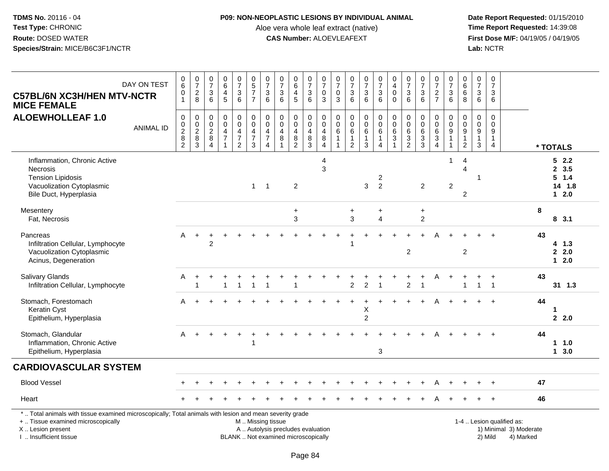#### **P09: NON-NEOPLASTIC LESIONS BY INDIVIDUAL ANIMAL**

Aloe vera whole leaf extract (native)<br>**CAS Number:** ALOEVLEAFEXT

| <b>C57BL/6N XC3H/HEN MTV-NCTR</b><br><b>MICE FEMALE</b>                                                                                                                                       | DAY ON TEST      | 0<br>$6\phantom{a}$<br>$\pmb{0}$<br>$\overline{1}$       | $\frac{0}{7}$<br>$\begin{array}{c} 2 \\ 8 \end{array}$ | $\frac{0}{7}$<br>$\mathbf{3}$<br>$6\phantom{1}$                          | $\pmb{0}$<br>$6\phantom{a}$<br>4<br>5                             | $\frac{0}{7}$<br>$\frac{3}{6}$                            | $\begin{array}{c} 0 \\ 5 \end{array}$<br>$\overline{7}$<br>$\overline{7}$                     | $\frac{0}{7}$<br>$\sqrt{3}$<br>$6\phantom{1}$                                | $\begin{array}{c} 0 \\ 7 \end{array}$<br>$\mathbf{3}$<br>6 | $\pmb{0}$<br>$6\phantom{1}6$<br>$\overline{4}$<br>5                         | $\frac{0}{7}$<br>3<br>$6^{\circ}$     | $\frac{0}{7}$<br>$\mathsf{O}\xspace$<br>$\overline{3}$                 | $\frac{0}{7}$<br>$\mathbf 0$<br>$\overline{3}$       | $\frac{0}{7}$<br>$\mathbf{3}$<br>$\overline{6}$               | $\begin{array}{c} 0 \\ 7 \end{array}$<br>$\frac{3}{6}$           | $\frac{0}{7}$<br>$^3$ 6                                            | $\begin{smallmatrix}0\\4\end{smallmatrix}$<br>$\mathbf 0$<br>$\mathbf 0$ | $\begin{array}{c} 0 \\ 7 \end{array}$<br>$\sqrt{3}$<br>$6\phantom{1}6$ | $\begin{array}{c} 0 \\ 7 \end{array}$<br>$\ensuremath{\mathsf{3}}$<br>6 | $\frac{0}{7}$<br>$\frac{2}{7}$                         | $\frac{0}{7}$<br>$\sqrt{3}$<br>$\overline{6}$       | $\pmb{0}$<br>$\overline{6}$<br>$\,6$<br>$\overline{8}$              | $\mathbf 0$<br>$\overline{7}$<br>3<br>6    | $\pmb{0}$<br>$\overline{7}$<br>$\mathbf{3}$<br>6                  |                                                                  |    |                                             |
|-----------------------------------------------------------------------------------------------------------------------------------------------------------------------------------------------|------------------|----------------------------------------------------------|--------------------------------------------------------|--------------------------------------------------------------------------|-------------------------------------------------------------------|-----------------------------------------------------------|-----------------------------------------------------------------------------------------------|------------------------------------------------------------------------------|------------------------------------------------------------|-----------------------------------------------------------------------------|---------------------------------------|------------------------------------------------------------------------|------------------------------------------------------|---------------------------------------------------------------|------------------------------------------------------------------|--------------------------------------------------------------------|--------------------------------------------------------------------------|------------------------------------------------------------------------|-------------------------------------------------------------------------|--------------------------------------------------------|-----------------------------------------------------|---------------------------------------------------------------------|--------------------------------------------|-------------------------------------------------------------------|------------------------------------------------------------------|----|---------------------------------------------|
| <b>ALOEWHOLLEAF 1.0</b>                                                                                                                                                                       | <b>ANIMAL ID</b> | $\pmb{0}$<br>$\pmb{0}$<br>$^2_{\bf 8}$<br>$\overline{2}$ | $\boldsymbol{0}$<br>$\pmb{0}$<br>$_{\rm 8}^2$<br>3     | $\mathsf{O}\xspace$<br>$\mathsf{O}\xspace$<br>$\boldsymbol{2}$<br>8<br>4 | $\pmb{0}$<br>$\mathbf 0$<br>4<br>$\overline{7}$<br>$\overline{1}$ | $\pmb{0}$<br>$\pmb{0}$<br>$\frac{4}{7}$<br>$\overline{2}$ | $\mathsf 0$<br>$\mathbf 0$<br>4<br>$\boldsymbol{7}$<br>3                                      | $\pmb{0}$<br>$\pmb{0}$<br>$\overline{4}$<br>$\overline{7}$<br>$\overline{4}$ | $\pmb{0}$<br>$\mathbf 0$<br>$\overline{4}$<br>$\bf 8$      | $\boldsymbol{0}$<br>$\pmb{0}$<br>$\overline{4}$<br>$\, 8$<br>$\overline{2}$ | 0<br>$\mathbf 0$<br>4<br>$\bf 8$<br>3 | 0<br>$\ddot{\mathbf{0}}$<br>$\begin{array}{c} 4 \\ 8 \\ 4 \end{array}$ | $\mathbf 0$<br>$\mathbf 0$<br>6<br>$\mathbf{1}$<br>1 | $\pmb{0}$<br>$\pmb{0}$<br>6<br>$\mathbf{1}$<br>$\overline{2}$ | $\pmb{0}$<br>$\ddot{\mathbf{0}}$<br>$\,6\,$<br>$\mathbf{1}$<br>3 | $\pmb{0}$<br>$\overline{0}$<br>6<br>$\mathbf{1}$<br>$\overline{4}$ | $\mathbf 0$<br>$\mathsf{O}\xspace$<br>6<br>$\sqrt{3}$<br>$\mathbf{1}$    | $\pmb{0}$<br>$\pmb{0}$<br>$6\phantom{1}6$<br>3<br>$\overline{2}$       | $\mathbf 0$<br>$\pmb{0}$<br>6<br>$\frac{3}{3}$                          | 0<br>$\overline{0}$<br>$\frac{6}{3}$<br>$\overline{4}$ | $\pmb{0}$<br>0<br>9<br>$\mathbf{1}$<br>$\mathbf{1}$ | $\pmb{0}$<br>$\mathbf 0$<br>$9\,$<br>$\mathbf{1}$<br>$\overline{2}$ | $\mathbf 0$<br>0<br>9<br>$\mathbf{1}$<br>3 | $\mathbf 0$<br>$\mathbf 0$<br>9<br>$\mathbf{1}$<br>$\overline{4}$ |                                                                  |    | * TOTALS                                    |
| Inflammation, Chronic Active<br>Necrosis<br><b>Tension Lipidosis</b><br>Vacuolization Cytoplasmic<br>Bile Duct, Hyperplasia                                                                   |                  |                                                          |                                                        |                                                                          |                                                                   |                                                           | $1 \quad 1$                                                                                   |                                                                              |                                                            | $\overline{2}$                                                              |                                       | 4<br>3                                                                 |                                                      |                                                               | 3                                                                | 2<br>$\overline{2}$                                                |                                                                          |                                                                        | $\overline{2}$                                                          |                                                        | -1<br>$\overline{2}$                                | 4<br>$\overline{4}$<br>2                                            |                                            |                                                                   |                                                                  |    | 52.2<br>2, 3.5<br>5 1.4<br>14 1.8<br>$12.0$ |
| Mesentery<br>Fat, Necrosis                                                                                                                                                                    |                  |                                                          |                                                        |                                                                          |                                                                   |                                                           |                                                                                               |                                                                              |                                                            | $\ddot{}$<br>3                                                              |                                       |                                                                        |                                                      | +<br>3                                                        |                                                                  | +<br>4                                                             |                                                                          |                                                                        | $\ddot{}$<br>$\overline{c}$                                             |                                                        |                                                     |                                                                     |                                            |                                                                   |                                                                  | 8  | 8, 3.1                                      |
| Pancreas<br>Infiltration Cellular, Lymphocyte<br>Vacuolization Cytoplasmic<br>Acinus, Degeneration                                                                                            |                  | A                                                        | $+$                                                    | $\mathfrak{p}$                                                           |                                                                   |                                                           |                                                                                               |                                                                              |                                                            |                                                                             |                                       |                                                                        |                                                      |                                                               |                                                                  |                                                                    |                                                                          | $\overline{2}$                                                         |                                                                         |                                                        |                                                     | $\overline{2}$                                                      |                                            |                                                                   |                                                                  | 43 | 4 1.3<br>2.0<br>$12.0$                      |
| Salivary Glands<br>Infiltration Cellular, Lymphocyte                                                                                                                                          |                  | A                                                        |                                                        |                                                                          |                                                                   | $\mathbf 1$                                               | $\mathbf 1$                                                                                   | $\overline{1}$                                                               |                                                            |                                                                             |                                       |                                                                        |                                                      | $\overline{2}$                                                | $\overline{c}$                                                   | $\overline{1}$                                                     |                                                                          | +<br>$\overline{c}$                                                    |                                                                         | Α                                                      | $\ddot{}$                                           | 1                                                                   | +<br>1                                     | $\div$<br>$\overline{\mathbf{1}}$                                 |                                                                  | 43 | 31 1.3                                      |
| Stomach, Forestomach<br><b>Keratin Cyst</b><br>Epithelium, Hyperplasia                                                                                                                        |                  | A                                                        |                                                        |                                                                          |                                                                   |                                                           |                                                                                               |                                                                              |                                                            |                                                                             |                                       |                                                                        |                                                      |                                                               | $\overline{1}$<br>Χ<br>$\overline{c}$                            |                                                                    |                                                                          |                                                                        |                                                                         | A                                                      | $\ddot{}$                                           |                                                                     | ÷.                                         | $\ddot{}$                                                         |                                                                  | 44 | 1<br>2.2.0                                  |
| Stomach, Glandular<br>Inflammation, Chronic Active<br>Epithelium, Hyperplasia                                                                                                                 |                  | A                                                        |                                                        |                                                                          |                                                                   | $\div$                                                    |                                                                                               |                                                                              |                                                            |                                                                             |                                       |                                                                        |                                                      |                                                               |                                                                  | 3                                                                  |                                                                          |                                                                        |                                                                         |                                                        |                                                     |                                                                     |                                            |                                                                   |                                                                  | 44 | $1 \t1.0$<br>13.0                           |
| <b>CARDIOVASCULAR SYSTEM</b>                                                                                                                                                                  |                  |                                                          |                                                        |                                                                          |                                                                   |                                                           |                                                                                               |                                                                              |                                                            |                                                                             |                                       |                                                                        |                                                      |                                                               |                                                                  |                                                                    |                                                                          |                                                                        |                                                                         |                                                        |                                                     |                                                                     |                                            |                                                                   |                                                                  |    |                                             |
| <b>Blood Vessel</b>                                                                                                                                                                           |                  |                                                          |                                                        |                                                                          |                                                                   |                                                           |                                                                                               |                                                                              |                                                            |                                                                             |                                       |                                                                        |                                                      |                                                               |                                                                  |                                                                    |                                                                          |                                                                        |                                                                         |                                                        |                                                     |                                                                     |                                            |                                                                   |                                                                  | 47 |                                             |
| Heart                                                                                                                                                                                         |                  |                                                          |                                                        |                                                                          |                                                                   |                                                           |                                                                                               |                                                                              |                                                            |                                                                             |                                       |                                                                        |                                                      |                                                               |                                                                  |                                                                    |                                                                          |                                                                        |                                                                         |                                                        |                                                     |                                                                     |                                            |                                                                   |                                                                  | 46 |                                             |
| *  Total animals with tissue examined microscopically; Total animals with lesion and mean severity grade<br>+  Tissue examined microscopically<br>X  Lesion present<br>I. Insufficient tissue |                  |                                                          |                                                        |                                                                          |                                                                   |                                                           | M  Missing tissue<br>A  Autolysis precludes evaluation<br>BLANK  Not examined microscopically |                                                                              |                                                            |                                                                             |                                       |                                                                        |                                                      |                                                               |                                                                  |                                                                    |                                                                          |                                                                        |                                                                         |                                                        |                                                     |                                                                     |                                            | 2) Mild                                                           | 1-4  Lesion qualified as:<br>1) Minimal 3) Moderate<br>4) Marked |    |                                             |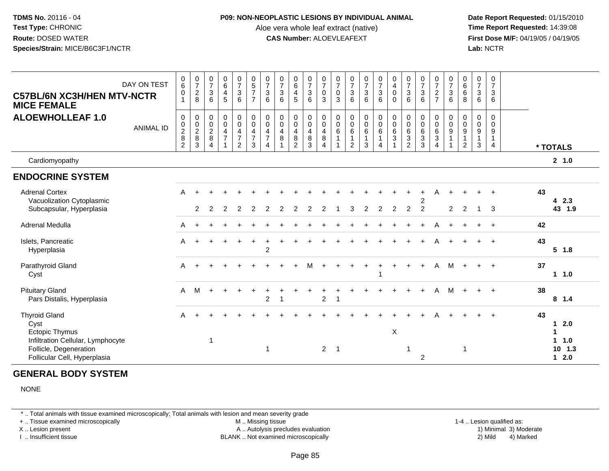#### **P09: NON-NEOPLASTIC LESIONS BY INDIVIDUAL ANIMAL**

Aloe vera whole leaf extract (native)<br>**CAS Number:** ALOEVLEAFEXT

 **Date Report Requested:** 01/15/2010 **First Dose M/F:** 04/19/05 / 04/19/05<br>**Lab:** NCTR **Lab:** NCTR

| <b>C57BL/6N XC3H/HEN MTV-NCTR</b><br><b>MICE FEMALE</b>                                                                                              | DAY ON TEST      | $\begin{array}{c} 0 \\ 6 \end{array}$<br>$\pmb{0}$<br>$\overline{1}$   | $\frac{0}{7}$<br>$_{\rm 8}^2$                                          | $\begin{smallmatrix}0\\7\end{smallmatrix}$<br>$\sqrt{3}$<br>6 | $\begin{array}{c} 0 \\ 6 \end{array}$<br>4<br>5                   | $\frac{0}{7}$<br>$\sqrt{3}$<br>6                                                        | $\begin{array}{c} 0 \\ 5 \\ 7 \end{array}$<br>$\overline{7}$               | $\frac{0}{7}$<br>$\mathbf{3}$<br>6                                             | $\frac{0}{7}$<br>$\sqrt{3}$<br>6 | $\begin{array}{c} 0 \\ 6 \end{array}$<br>$\overline{\mathbf{4}}$<br>5 | $\frac{0}{7}$<br>$\sqrt{3}$<br>6      | $\frac{0}{7}$<br>$\pmb{0}$<br>3                                                 | $\frac{0}{7}$<br>0<br>3                          | $\frac{0}{7}$<br>$\sqrt{3}$<br>6                                          | $\frac{0}{7}$<br>$\ensuremath{\mathsf{3}}$<br>6 | $\begin{smallmatrix}0\\7\end{smallmatrix}$<br>$\ensuremath{\mathsf{3}}$<br>6            | $\begin{smallmatrix} 0\\4 \end{smallmatrix}$<br>$\mathsf 0$<br>$\Omega$                       | $\frac{0}{7}$<br>3<br>6                                                          | $\begin{array}{c} 0 \\ 7 \end{array}$<br>$\frac{3}{6}$                            | $\frac{0}{7}$<br>$\overline{c}$<br>$\overline{7}$                                               | $\frac{0}{7}$<br>$\ensuremath{\mathsf{3}}$<br>6 | $\begin{array}{c} 0 \\ 6 \end{array}$<br>6<br>8          | $\frac{0}{7}$<br>$\sqrt{3}$<br>6           | $\pmb{0}$<br>$\overline{7}$<br>$\mathbf{3}$<br>6  |    |                                                                             |
|------------------------------------------------------------------------------------------------------------------------------------------------------|------------------|------------------------------------------------------------------------|------------------------------------------------------------------------|---------------------------------------------------------------|-------------------------------------------------------------------|-----------------------------------------------------------------------------------------|----------------------------------------------------------------------------|--------------------------------------------------------------------------------|----------------------------------|-----------------------------------------------------------------------|---------------------------------------|---------------------------------------------------------------------------------|--------------------------------------------------|---------------------------------------------------------------------------|-------------------------------------------------|-----------------------------------------------------------------------------------------|-----------------------------------------------------------------------------------------------|----------------------------------------------------------------------------------|-----------------------------------------------------------------------------------|-------------------------------------------------------------------------------------------------|-------------------------------------------------|----------------------------------------------------------|--------------------------------------------|---------------------------------------------------|----|-----------------------------------------------------------------------------|
| <b>ALOEWHOLLEAF 1.0</b>                                                                                                                              | <b>ANIMAL ID</b> | 0<br>$\begin{smallmatrix} 0\\2\\8 \end{smallmatrix}$<br>$\overline{2}$ | $\pmb{0}$<br>$\begin{array}{c} 0 \\ 2 \\ 8 \end{array}$<br>$\mathsf 3$ | 0<br>$\frac{0}{2}$<br>$\overline{4}$                          | $\mathbf 0$<br>$\overline{0}$<br>$\overline{4}$<br>$\overline{7}$ | $\mathbf 0$<br>$\pmb{0}$<br>$\overline{\mathbf{4}}$<br>$\overline{7}$<br>$\overline{2}$ | $\mathbf 0$<br>$\pmb{0}$<br>$\overline{\mathbf{4}}$<br>$\overline{7}$<br>3 | $\mathbf 0$<br>$\pmb{0}$<br>$\overline{4}$<br>$\overline{7}$<br>$\overline{A}$ | 0<br>$\pmb{0}$<br>4<br>$\bf8$    | $\pmb{0}$<br>$\ddot{\mathbf{0}}$<br>$\overline{4}$<br>$\frac{8}{2}$   | 0<br>$\mathsf 0$<br>4<br>$\bf 8$<br>3 | $\pmb{0}$<br>$\ddot{\mathbf{0}}$<br>$\overline{4}$<br>$\bf 8$<br>$\overline{4}$ | 0<br>$\pmb{0}$<br>$6\phantom{1}$<br>$\mathbf{1}$ | $\mathbf 0$<br>$\ddot{\mathbf{0}}$<br>6<br>$\mathbf{1}$<br>$\overline{2}$ | $\mathbf 0$<br>$\overline{0}$<br>6<br>1<br>3    | $\mathbf 0$<br>$\ddot{\mathbf{0}}$<br>$6\overline{6}$<br>$\mathbf{1}$<br>$\overline{4}$ | $\begin{smallmatrix}0\0\0\end{smallmatrix}$<br>$\overline{6}$<br>$\sqrt{3}$<br>$\overline{A}$ | $\begin{smallmatrix}0\0\0\end{smallmatrix}$<br>6<br>$\sqrt{3}$<br>$\overline{2}$ | $\begin{smallmatrix}0\0\0\6\end{smallmatrix}$<br>$\overline{3}$<br>$\overline{3}$ | $\mathbf 0$<br>$\begin{matrix} 0 \\ 6 \end{matrix}$<br>$\overline{3}$<br>$\boldsymbol{\Lambda}$ | 0<br>$_{9}^{\rm 0}$<br>$\mathbf{1}$             | $\boldsymbol{0}$<br>$\frac{0}{9}$<br>$\overline{1}$<br>2 | 0<br>$\mathbf 0$<br>9<br>$\mathbf{1}$<br>3 | $\mathbf 0$<br>$\Omega$<br>9<br>$\mathbf{1}$<br>4 |    | * TOTALS                                                                    |
| Cardiomyopathy                                                                                                                                       |                  |                                                                        |                                                                        |                                                               |                                                                   |                                                                                         |                                                                            |                                                                                |                                  |                                                                       |                                       |                                                                                 |                                                  |                                                                           |                                                 |                                                                                         |                                                                                               |                                                                                  |                                                                                   |                                                                                                 |                                                 |                                                          |                                            |                                                   |    | 2, 1.0                                                                      |
| <b>ENDOCRINE SYSTEM</b>                                                                                                                              |                  |                                                                        |                                                                        |                                                               |                                                                   |                                                                                         |                                                                            |                                                                                |                                  |                                                                       |                                       |                                                                                 |                                                  |                                                                           |                                                 |                                                                                         |                                                                                               |                                                                                  |                                                                                   |                                                                                                 |                                                 |                                                          |                                            |                                                   |    |                                                                             |
| <b>Adrenal Cortex</b><br>Vacuolization Cytoplasmic<br>Subcapsular, Hyperplasia                                                                       |                  | A                                                                      | $\ddot{}$<br>2                                                         | 2                                                             | 2                                                                 | 2                                                                                       |                                                                            | 2                                                                              | 2                                | 2                                                                     | 2                                     |                                                                                 |                                                  | З                                                                         | $\overline{c}$                                  | 2                                                                                       | 2                                                                                             | $\overline{2}$                                                                   | 2<br>$\overline{2}$                                                               | A                                                                                               | $\ddot{}$<br>2                                  | 2                                                        |                                            | $\ddot{}$<br>3                                    | 43 | 42.3<br>43 1.9                                                              |
| <b>Adrenal Medulla</b>                                                                                                                               |                  | A                                                                      |                                                                        |                                                               |                                                                   |                                                                                         |                                                                            |                                                                                |                                  |                                                                       |                                       |                                                                                 |                                                  |                                                                           |                                                 |                                                                                         |                                                                                               |                                                                                  |                                                                                   | Α                                                                                               | $\ddot{}$                                       |                                                          |                                            | $\ddot{}$                                         | 42 |                                                                             |
| Islets, Pancreatic<br>Hyperplasia                                                                                                                    |                  | A                                                                      | $\pm$                                                                  |                                                               |                                                                   | $\ddot{}$                                                                               | $\ddot{}$                                                                  | $\ddot{}$<br>$\overline{2}$                                                    |                                  |                                                                       |                                       |                                                                                 |                                                  |                                                                           |                                                 |                                                                                         |                                                                                               |                                                                                  |                                                                                   | Α                                                                                               |                                                 |                                                          |                                            | $\ddot{}$                                         | 43 | $5 \t1.8$                                                                   |
| Parathyroid Gland<br>Cyst                                                                                                                            |                  | A                                                                      |                                                                        |                                                               |                                                                   |                                                                                         |                                                                            |                                                                                |                                  |                                                                       |                                       |                                                                                 |                                                  |                                                                           |                                                 |                                                                                         |                                                                                               |                                                                                  |                                                                                   | A                                                                                               | M                                               |                                                          | $+$                                        | $\ddot{+}$                                        | 37 | $1 \t1.0$                                                                   |
| <b>Pituitary Gland</b><br>Pars Distalis, Hyperplasia                                                                                                 |                  | $\mathsf{A}$                                                           | M                                                                      | $+$                                                           |                                                                   |                                                                                         |                                                                            | $\boldsymbol{2}$                                                               |                                  |                                                                       |                                       | $\boldsymbol{2}$                                                                | $\mathbf{1}$                                     |                                                                           |                                                 |                                                                                         |                                                                                               |                                                                                  |                                                                                   | A                                                                                               | M                                               |                                                          |                                            | $\ddot{+}$                                        | 38 | 8 1.4                                                                       |
| <b>Thyroid Gland</b><br>Cyst<br><b>Ectopic Thymus</b><br>Infiltration Cellular, Lymphocyte<br>Follicle, Degeneration<br>Follicular Cell, Hyperplasia |                  | A                                                                      |                                                                        | $\overline{1}$                                                |                                                                   |                                                                                         |                                                                            | -1                                                                             |                                  |                                                                       |                                       | $\overline{2}$                                                                  | $\overline{1}$                                   |                                                                           |                                                 |                                                                                         | X                                                                                             | -1                                                                               | 2                                                                                 |                                                                                                 |                                                 | -1                                                       |                                            |                                                   | 43 | 2.0<br>$\mathbf 1$<br>$\mathbf{1}$<br>$\mathbf 1$<br>1.0<br>10, 1.3<br>12.0 |

# **GENERAL BODY SYSTEM**

NONE

\* .. Total animals with tissue examined microscopically; Total animals with lesion and mean severity grade

+ .. Tissue examined microscopically

X .. Lesion present

I .. Insufficient tissue

 M .. Missing tissueA .. Autolysis precludes evaluation

1-4 .. Lesion qualified as:<br>1) Minimal 3) Moderate BLANK .. Not examined microscopically 2) Mild 4) Marked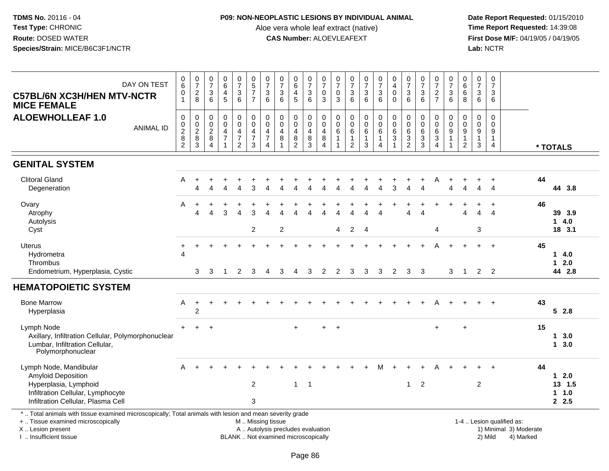## **P09: NON-NEOPLASTIC LESIONS BY INDIVIDUAL ANIMAL**

Aloe vera whole leaf extract (native)<br>**CAS Number:** ALOEVLEAFEXT

| DAY ON TEST<br><b>C57BL/6N XC3H/HEN MTV-NCTR</b><br><b>MICE FEMALE</b>                                                                                                                        | $_{6}^{\rm 0}$<br>$\begin{smallmatrix}0\\1\end{smallmatrix}$ | $\frac{0}{7}$<br>$^{\,2}_{\,8}$                                         | $\begin{smallmatrix}0\\7\end{smallmatrix}$<br>$\ensuremath{\mathsf{3}}$<br>6 | $\begin{array}{c} 0 \\ 6 \end{array}$<br>$\overline{4}$<br>$\overline{5}$ | $\frac{0}{7}$<br>$\mathbf{3}$<br>6                                | $\begin{array}{c} 0 \\ 5 \end{array}$<br>$\frac{7}{7}$      | $\frac{0}{7}$<br>$\sqrt{3}$<br>$\overline{6}$                                                   | $\frac{0}{7}$<br>$\sqrt{3}$<br>6                                         | $\begin{array}{c} 0 \\ 6 \end{array}$<br>$\overline{\mathbf{4}}$<br>$\overline{5}$    | $\frac{0}{7}$<br>$\sqrt{3}$<br>$\,6\,$ | 0<br>$\overline{7}$<br>$\mathsf 0$<br>$\mathbf{3}$ | $\frac{0}{7}$<br>$\mathsf{O}\xspace$<br>$\mathbf{3}$ | $\frac{0}{7}$<br>$\frac{3}{6}$                                      | $\frac{0}{7}$<br>$\frac{3}{6}$                                              | $\begin{array}{c} 0 \\ 7 \end{array}$<br>$\frac{3}{6}$            | $\begin{smallmatrix}0\\4\end{smallmatrix}$<br>$\mathsf{O}\xspace$<br>$\Omega$ | $\frac{0}{7}$<br>3<br>6                                 | $\frac{0}{7}$<br>$\frac{3}{6}$                              | $\frac{0}{7}$<br>$\frac{2}{7}$                                              | $\frac{0}{7}$<br>$\frac{3}{6}$               | $\pmb{0}$<br>6<br>$\,6\,$<br>8                                     | $\frac{0}{7}$<br>3<br>$\,6\,$                   | $\mathbf 0$<br>$\overline{7}$<br>$\mathbf{3}$<br>6 |                                                                  |    |                                  |
|-----------------------------------------------------------------------------------------------------------------------------------------------------------------------------------------------|--------------------------------------------------------------|-------------------------------------------------------------------------|------------------------------------------------------------------------------|---------------------------------------------------------------------------|-------------------------------------------------------------------|-------------------------------------------------------------|-------------------------------------------------------------------------------------------------|--------------------------------------------------------------------------|---------------------------------------------------------------------------------------|----------------------------------------|----------------------------------------------------|------------------------------------------------------|---------------------------------------------------------------------|-----------------------------------------------------------------------------|-------------------------------------------------------------------|-------------------------------------------------------------------------------|---------------------------------------------------------|-------------------------------------------------------------|-----------------------------------------------------------------------------|----------------------------------------------|--------------------------------------------------------------------|-------------------------------------------------|----------------------------------------------------|------------------------------------------------------------------|----|----------------------------------|
| <b>ALOEWHOLLEAF 1.0</b><br><b>ANIMAL ID</b>                                                                                                                                                   | $\pmb{0}$<br>$\frac{0}{2}$<br>$\overline{2}$                 | $\pmb{0}$<br>$\begin{array}{c} 0 \\ 2 \\ 8 \end{array}$<br>$\mathbf{3}$ | $\mathbf 0$<br>$\frac{0}{2}$<br>$\overline{4}$                               | $\pmb{0}$<br>$\mathbf 0$<br>$\frac{4}{7}$<br>$\overline{1}$               | 0<br>$\ddot{\mathbf{0}}$<br>4<br>$\overline{7}$<br>$\overline{2}$ | $_{\rm 0}^{\rm 0}$<br>$\overline{4}$<br>$\overline{7}$<br>3 | $\pmb{0}$<br>$\ddot{\mathbf{0}}$<br>$\overline{\mathbf{4}}$<br>$\overline{7}$<br>$\overline{4}$ | $\mathbf 0$<br>$\pmb{0}$<br>4<br>$\bf 8$                                 | $\mathbf 0$<br>$\overline{0}$<br>$\overline{\mathbf{4}}$<br>$\bf 8$<br>$\overline{2}$ | 0<br>$\mathsf 0$<br>4<br>$\bf 8$<br>3  | $\boldsymbol{0}$<br>$\overline{0}$<br>4<br>8<br>4  | 0<br>$\mathbf 0$<br>$\,6$<br>$\mathbf{1}$            | $\pmb{0}$<br>$\mathbf 0$<br>$\,6$<br>$\mathbf{1}$<br>$\overline{2}$ | $\pmb{0}$<br>$\ddot{\mathbf{0}}$<br>$\,6\,$<br>$\mathbf{1}$<br>$\mathbf{3}$ | $_{\rm 0}^{\rm 0}$<br>$\,6\,$<br>$\overline{1}$<br>$\overline{4}$ | $\pmb{0}$<br>$\overline{0}$<br>6<br>$\overline{3}$<br>$\overline{1}$          | 0<br>$\mathbf 0$<br>6<br>$\mathbf{3}$<br>$\overline{2}$ | $\pmb{0}$<br>$\overline{0}$<br>$\,6$<br>$\overline{3}$<br>3 | $\pmb{0}$<br>$\ddot{\mathbf{0}}$<br>$\frac{6}{3}$<br>$\boldsymbol{\Lambda}$ | 0<br>$\mathsf{O}\xspace$<br>$\boldsymbol{9}$ | $\boldsymbol{0}$<br>$\mathbf 0$<br>$\frac{9}{1}$<br>$\overline{2}$ | $\pmb{0}$<br>$\Omega$<br>9<br>$\mathbf{1}$<br>3 | $\pmb{0}$<br>$\Omega$<br>9<br>$\mathbf{1}$<br>4    |                                                                  |    | * TOTALS                         |
| <b>GENITAL SYSTEM</b>                                                                                                                                                                         |                                                              |                                                                         |                                                                              |                                                                           |                                                                   |                                                             |                                                                                                 |                                                                          |                                                                                       |                                        |                                                    |                                                      |                                                                     |                                                                             |                                                                   |                                                                               |                                                         |                                                             |                                                                             |                                              |                                                                    |                                                 |                                                    |                                                                  |    |                                  |
| <b>Clitoral Gland</b><br>Degeneration                                                                                                                                                         | Α                                                            | $\ddot{}$<br>$\Delta$                                                   |                                                                              |                                                                           | $\boldsymbol{\Lambda}$                                            | 3                                                           |                                                                                                 |                                                                          |                                                                                       |                                        |                                                    |                                                      |                                                                     |                                                                             | Δ                                                                 | 3                                                                             | $\lambda$                                               |                                                             | Α                                                                           | Λ                                            |                                                                    | Δ                                               | +<br>$\Delta$                                      |                                                                  | 44 | 44 3.8                           |
| Ovary<br>Atrophy<br>Autolysis<br>Cyst                                                                                                                                                         | Α                                                            | $\ddot{}$<br>$\Delta$                                                   | $\Delta$                                                                     | 3                                                                         | $\Delta$                                                          | 3<br>$\overline{c}$                                         |                                                                                                 | $\boldsymbol{2}$                                                         |                                                                                       |                                        |                                                    | 4                                                    | $\overline{2}$                                                      | $\overline{\Lambda}$<br>$\overline{4}$                                      | $\Delta$                                                          |                                                                               | $\overline{4}$                                          | $\Lambda$                                                   | $\overline{4}$                                                              |                                              | $\Delta$                                                           | $\overline{4}$<br>3                             | $\ddot{}$<br>$\boldsymbol{\Lambda}$                |                                                                  | 46 | 39 3.9<br>14.0<br>18 3.1         |
| <b>Uterus</b><br>Hydrometra<br>Thrombus<br>Endometrium, Hyperplasia, Cystic                                                                                                                   | $\ddot{}$<br>Δ                                               | 3                                                                       | 3                                                                            | $\overline{1}$                                                            | $\overline{2}$                                                    | 3                                                           | $\overline{4}$                                                                                  | 3                                                                        | 4                                                                                     | 3                                      | 2                                                  | 2                                                    | 3                                                                   | 3                                                                           | 3                                                                 | $\overline{2}$                                                                | 3                                                       | 3                                                           | А                                                                           | 3                                            | $\overline{1}$                                                     | $\ddot{}$<br>$\overline{2}$                     | $+$<br>2                                           |                                                                  | 45 | 14.0<br>$12.0$<br>44 2.8         |
| <b>HEMATOPOIETIC SYSTEM</b>                                                                                                                                                                   |                                                              |                                                                         |                                                                              |                                                                           |                                                                   |                                                             |                                                                                                 |                                                                          |                                                                                       |                                        |                                                    |                                                      |                                                                     |                                                                             |                                                                   |                                                                               |                                                         |                                                             |                                                                             |                                              |                                                                    |                                                 |                                                    |                                                                  |    |                                  |
| <b>Bone Marrow</b><br>Hyperplasia                                                                                                                                                             | Α                                                            | $\ddot{}$<br>$\overline{2}$                                             |                                                                              |                                                                           |                                                                   |                                                             |                                                                                                 |                                                                          |                                                                                       |                                        |                                                    |                                                      |                                                                     |                                                                             |                                                                   |                                                                               |                                                         |                                                             |                                                                             |                                              |                                                                    |                                                 |                                                    |                                                                  | 43 | 52.8                             |
| Lymph Node<br>Axillary, Infiltration Cellular, Polymorphonuclear<br>Lumbar, Infiltration Cellular,<br>Polymorphonuclear                                                                       | $+$                                                          | $+$                                                                     | $\ddot{}$                                                                    |                                                                           |                                                                   |                                                             |                                                                                                 |                                                                          |                                                                                       |                                        |                                                    | $\ddot{}$                                            |                                                                     |                                                                             |                                                                   |                                                                               |                                                         |                                                             | $\ddot{}$                                                                   |                                              | $\ddot{}$                                                          |                                                 |                                                    |                                                                  | 15 | $1 \quad 3.0$<br>$1 \quad 3.0$   |
| Lymph Node, Mandibular<br>Amyloid Deposition<br>Hyperplasia, Lymphoid<br>Infiltration Cellular, Lymphocyte<br>Infiltration Cellular, Plasma Cell                                              | A                                                            |                                                                         |                                                                              |                                                                           |                                                                   | $\overline{c}$<br>3                                         |                                                                                                 |                                                                          | $\mathbf{1}$                                                                          | $\overline{\phantom{a}}$               |                                                    |                                                      |                                                                     |                                                                             |                                                                   |                                                                               | $\mathbf{1}$                                            | $\overline{2}$                                              |                                                                             |                                              |                                                                    | $\overline{c}$                                  |                                                    |                                                                  | 44 | $12.0$<br>13 1.5<br>1 1.0<br>2.5 |
| *  Total animals with tissue examined microscopically; Total animals with lesion and mean severity grade<br>+  Tissue examined microscopically<br>X  Lesion present<br>I. Insufficient tissue |                                                              |                                                                         |                                                                              |                                                                           |                                                                   | M  Missing tissue                                           |                                                                                                 | A  Autolysis precludes evaluation<br>BLANK  Not examined microscopically |                                                                                       |                                        |                                                    |                                                      |                                                                     |                                                                             |                                                                   |                                                                               |                                                         |                                                             |                                                                             |                                              |                                                                    |                                                 | 2) Mild                                            | 1-4  Lesion qualified as:<br>1) Minimal 3) Moderate<br>4) Marked |    |                                  |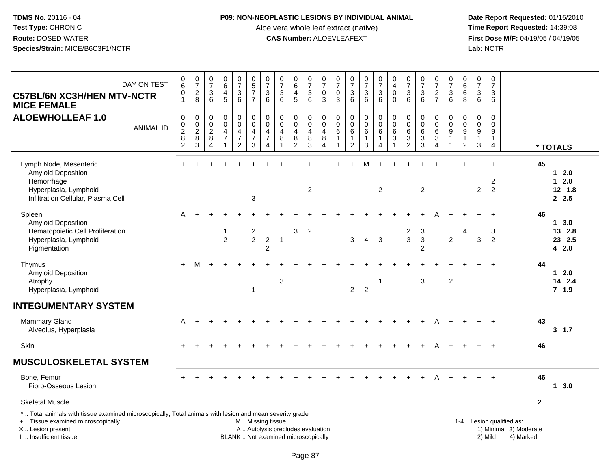### **P09: NON-NEOPLASTIC LESIONS BY INDIVIDUAL ANIMAL**

Aloe vera whole leaf extract (native)<br>**CAS Number:** ALOEVLEAFEXT

| DAY ON TEST<br><b>C57BL/6N XC3H/HEN MTV-NCTR</b><br><b>MICE FEMALE</b>                                                                                                                        | $_6^0$<br>$\mathbf 0$<br>$\mathbf{1}$                        | $\frac{0}{7}$<br>$\frac{2}{8}$                                            | $\frac{0}{7}$<br>$\ensuremath{\mathsf{3}}$<br>6               | $\begin{array}{c} 0 \\ 6 \end{array}$<br>$\overline{4}$<br>$\overline{5}$                    | $\frac{0}{7}$<br>$\ensuremath{\mathsf{3}}$<br>$\,6\,$ | $\begin{array}{c} 0 \\ 5 \end{array}$<br>$\overline{7}$<br>$\overline{7}$             | $\frac{0}{7}$<br>3<br>$\,6$               | $\frac{0}{7}$<br>$\ensuremath{\mathsf{3}}$<br>$\,6\,$                     | $\begin{array}{c} 0 \\ 6 \end{array}$<br>$\overline{4}$<br>$\sqrt{5}$ | $\begin{array}{c} 0 \\ 7 \end{array}$<br>$\begin{array}{c} 3 \\ 6 \end{array}$ | $\frac{0}{7}$<br>$\pmb{0}$<br>$\mathbf{3}$                               | $\begin{array}{c} 0 \\ 7 \end{array}$<br>$\pmb{0}$<br>$\sqrt{3}$ | $\frac{0}{7}$<br>$\ensuremath{\mathsf{3}}$<br>6               | $\frac{0}{7}$<br>$\mathfrak{S}$<br>$\,6\,$                   | $\begin{smallmatrix}0\\7\end{smallmatrix}$<br>$\frac{3}{6}$                               | $\begin{smallmatrix}0\0\4\end{smallmatrix}$<br>$\pmb{0}$<br>$\pmb{0}$ | $\frac{0}{7}$<br>$\ensuremath{\mathsf{3}}$<br>$\,6\,$      | $\frac{0}{7}$<br>$\ensuremath{\mathsf{3}}$<br>6                                  | $\begin{matrix}0\\7\end{matrix}$<br>$\frac{2}{7}$           | $\frac{0}{7}$<br>$\ensuremath{\mathsf{3}}$<br>$6\phantom{1}$               | $_6^0$<br>$\overline{6}$<br>8                                   | $\begin{smallmatrix}0\\7\end{smallmatrix}$<br>$\ensuremath{\mathsf{3}}$<br>$6\phantom{1}$ | $\frac{0}{7}$<br>$\ensuremath{\mathsf{3}}$<br>$\,6\,$         |                                                                  |                |                                        |
|-----------------------------------------------------------------------------------------------------------------------------------------------------------------------------------------------|--------------------------------------------------------------|---------------------------------------------------------------------------|---------------------------------------------------------------|----------------------------------------------------------------------------------------------|-------------------------------------------------------|---------------------------------------------------------------------------------------|-------------------------------------------|---------------------------------------------------------------------------|-----------------------------------------------------------------------|--------------------------------------------------------------------------------|--------------------------------------------------------------------------|------------------------------------------------------------------|---------------------------------------------------------------|--------------------------------------------------------------|-------------------------------------------------------------------------------------------|-----------------------------------------------------------------------|------------------------------------------------------------|----------------------------------------------------------------------------------|-------------------------------------------------------------|----------------------------------------------------------------------------|-----------------------------------------------------------------|-------------------------------------------------------------------------------------------|---------------------------------------------------------------|------------------------------------------------------------------|----------------|----------------------------------------|
| <b>ALOEWHOLLEAF 1.0</b><br><b>ANIMAL ID</b>                                                                                                                                                   | $\mathsf 0$<br>0<br>$\overline{\mathbf{c}}$<br>$\frac{8}{2}$ | $\pmb{0}$<br>$\begin{array}{c} 0 \\ 2 \\ 8 \end{array}$<br>$\overline{3}$ | $\mathbf 0$<br>$\mathbf 0$<br>$\frac{2}{8}$<br>$\overline{4}$ | $\boldsymbol{0}$<br>$\pmb{0}$<br>$\overline{4}$<br>$\overline{7}$<br>$\overline{\mathbf{1}}$ | 0<br>$\mathbf 0$<br>$\frac{4}{7}$<br>$\overline{c}$   | $\pmb{0}$<br>$\pmb{0}$<br>$\overline{\mathbf{4}}$<br>$\overline{7}$<br>$\mathfrak{S}$ | 0<br>$\overline{0}$<br>$\frac{4}{7}$<br>4 | $\pmb{0}$<br>$\ddot{\mathbf{0}}$<br>$\overline{4}$<br>8<br>$\overline{1}$ | $\pmb{0}$<br>$\pmb{0}$<br>$\overline{4}$<br>8<br>$\overline{2}$       | $\mathbf 0$<br>$\mathbf 0$<br>$\overline{4}$<br>$\bf 8$<br>$\overline{3}$      | $\mathbf 0$<br>$\mathsf 0$<br>$\overline{4}$<br>$\, 8$<br>$\overline{4}$ | $\pmb{0}$<br>$\pmb{0}$<br>6<br>$\mathbf{1}$<br>$\mathbf{1}$      | $\pmb{0}$<br>$\pmb{0}$<br>6<br>$\mathbf{1}$<br>$\overline{2}$ | $\boldsymbol{0}$<br>$\overline{0}$<br>6<br>$\mathbf{1}$<br>3 | $\begin{smallmatrix} 0\\0 \end{smallmatrix}$<br>$\,6\,$<br>$\mathbf{1}$<br>$\overline{4}$ | $\pmb{0}$<br>$\overline{0}$<br>$\,6\,$<br>3<br>1                      | $\begin{matrix} 0 \\ 0 \\ 6 \end{matrix}$<br>$\frac{3}{2}$ | $\pmb{0}$<br>$\pmb{0}$<br>$\,6\,$<br>$\ensuremath{\mathsf{3}}$<br>$\overline{3}$ | $\mathsf 0$<br>$\pmb{0}$<br>$\frac{6}{3}$<br>$\overline{4}$ | $\pmb{0}$<br>$\pmb{0}$<br>$\boldsymbol{9}$<br>$\mathbf{1}$<br>$\mathbf{1}$ | $\mathsf 0$<br>$\pmb{0}$<br>9<br>$\mathbf{1}$<br>$\overline{2}$ | $\pmb{0}$<br>$\pmb{0}$<br>$\boldsymbol{9}$<br>$\mathbf{1}$<br>$\mathsf 3$                 | $\pmb{0}$<br>$\pmb{0}$<br>9<br>$\mathbf{1}$<br>$\overline{4}$ |                                                                  |                | * TOTALS                               |
| Lymph Node, Mesenteric<br>Amyloid Deposition<br>Hemorrhage<br>Hyperplasia, Lymphoid<br>Infiltration Cellular, Plasma Cell                                                                     |                                                              |                                                                           |                                                               |                                                                                              |                                                       | $\mathbf{3}$                                                                          |                                           |                                                                           |                                                                       | 2                                                                              |                                                                          |                                                                  |                                                               |                                                              | $\overline{2}$                                                                            |                                                                       |                                                            | $\overline{c}$                                                                   |                                                             |                                                                            |                                                                 | $\overline{2}$                                                                            | $\overline{c}$<br>$\overline{2}$                              |                                                                  | 45             | $12.0$<br>12.0<br>12, 1.8<br>2.5       |
| Spleen<br>Amyloid Deposition<br>Hematopoietic Cell Proliferation<br>Hyperplasia, Lymphoid<br>Pigmentation                                                                                     | A                                                            |                                                                           |                                                               | 1<br>$\overline{2}$                                                                          |                                                       | $\overline{\mathbf{c}}$<br>$\overline{2}$                                             | $\boldsymbol{2}$<br>$\overline{2}$        | $\overline{1}$                                                            | 3                                                                     | $\overline{2}$                                                                 |                                                                          |                                                                  | $\mathbf{3}$                                                  | $\overline{4}$                                               | $\mathbf{3}$                                                                              |                                                                       | $\overline{\mathbf{c}}$<br>$\mathbf{3}$                    | 3<br>$\sqrt{3}$<br>$\overline{2}$                                                |                                                             | $\overline{2}$                                                             | 4                                                               | 3                                                                                         | 3<br>$\overline{2}$                                           |                                                                  | 46             | $1 \t3.0$<br>13 2.8<br>23 2.5<br>4 2.0 |
| Thymus<br>Amyloid Deposition<br>Atrophy<br>Hyperplasia, Lymphoid                                                                                                                              |                                                              | м                                                                         |                                                               |                                                                                              |                                                       | -1                                                                                    |                                           | 3                                                                         |                                                                       |                                                                                |                                                                          |                                                                  | $\overline{2}$                                                | $\overline{2}$                                               | $\mathbf 1$                                                                               |                                                                       |                                                            | 3                                                                                |                                                             | $\overline{c}$                                                             |                                                                 |                                                                                           |                                                               |                                                                  | 44             | $12.0$<br>14 2.4<br>$7$ 1.9            |
| <b>INTEGUMENTARY SYSTEM</b>                                                                                                                                                                   |                                                              |                                                                           |                                                               |                                                                                              |                                                       |                                                                                       |                                           |                                                                           |                                                                       |                                                                                |                                                                          |                                                                  |                                                               |                                                              |                                                                                           |                                                                       |                                                            |                                                                                  |                                                             |                                                                            |                                                                 |                                                                                           |                                                               |                                                                  |                |                                        |
| <b>Mammary Gland</b><br>Alveolus, Hyperplasia                                                                                                                                                 | A                                                            | $+$                                                                       |                                                               |                                                                                              |                                                       |                                                                                       |                                           |                                                                           |                                                                       |                                                                                |                                                                          |                                                                  |                                                               |                                                              |                                                                                           |                                                                       |                                                            |                                                                                  | Α                                                           |                                                                            |                                                                 |                                                                                           |                                                               |                                                                  | 43             | 3, 1.7                                 |
| Skin                                                                                                                                                                                          | $+$                                                          | $+$                                                                       |                                                               |                                                                                              |                                                       |                                                                                       |                                           |                                                                           |                                                                       |                                                                                |                                                                          |                                                                  |                                                               |                                                              | $+$                                                                                       |                                                                       |                                                            | $\ddot{}$                                                                        | A                                                           |                                                                            |                                                                 | $+$                                                                                       | $+$                                                           |                                                                  | 46             |                                        |
| <b>MUSCULOSKELETAL SYSTEM</b>                                                                                                                                                                 |                                                              |                                                                           |                                                               |                                                                                              |                                                       |                                                                                       |                                           |                                                                           |                                                                       |                                                                                |                                                                          |                                                                  |                                                               |                                                              |                                                                                           |                                                                       |                                                            |                                                                                  |                                                             |                                                                            |                                                                 |                                                                                           |                                                               |                                                                  |                |                                        |
| Bone, Femur<br>Fibro-Osseous Lesion                                                                                                                                                           |                                                              |                                                                           |                                                               |                                                                                              |                                                       |                                                                                       |                                           |                                                                           |                                                                       |                                                                                |                                                                          |                                                                  |                                                               |                                                              |                                                                                           |                                                                       |                                                            |                                                                                  |                                                             |                                                                            |                                                                 |                                                                                           |                                                               |                                                                  | 46             | 13.0                                   |
| <b>Skeletal Muscle</b>                                                                                                                                                                        |                                                              |                                                                           |                                                               |                                                                                              |                                                       |                                                                                       |                                           |                                                                           | $+$                                                                   |                                                                                |                                                                          |                                                                  |                                                               |                                                              |                                                                                           |                                                                       |                                                            |                                                                                  |                                                             |                                                                            |                                                                 |                                                                                           |                                                               |                                                                  | $\overline{2}$ |                                        |
| *  Total animals with tissue examined microscopically; Total animals with lesion and mean severity grade<br>+  Tissue examined microscopically<br>X  Lesion present<br>I  Insufficient tissue |                                                              |                                                                           |                                                               |                                                                                              |                                                       | M. Missing tissue                                                                     |                                           | A  Autolysis precludes evaluation<br>BLANK  Not examined microscopically  |                                                                       |                                                                                |                                                                          |                                                                  |                                                               |                                                              |                                                                                           |                                                                       |                                                            |                                                                                  |                                                             |                                                                            |                                                                 |                                                                                           | 2) Mild                                                       | 1-4  Lesion qualified as:<br>1) Minimal 3) Moderate<br>4) Marked |                |                                        |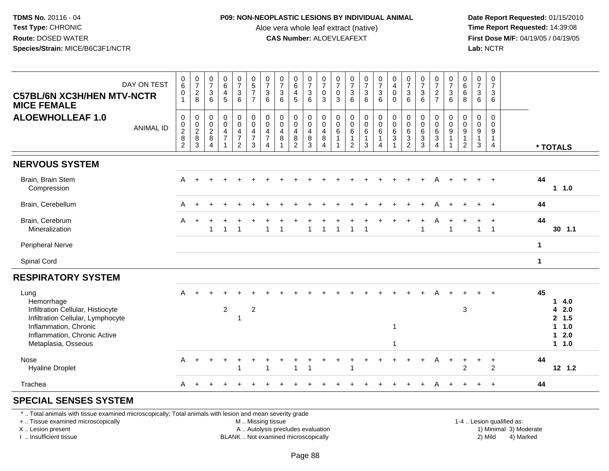### **P09: NON-NEOPLASTIC LESIONS BY INDIVIDUAL ANIMAL**

Aloe vera whole leaf extract (native)<br>**CAS Number:** ALOEVLEAFEXT

 **Date Report Requested:** 01/15/2010 **First Dose M/F:** 04/19/05 / 04/19/05<br>Lab: NCTR **Lab:** NCTR

| DAY ON TEST<br><b>C57BL/6N XC3H/HEN MTV-NCTR</b><br><b>MICE FEMALE</b>                                                                                                       | $_6^0$<br>0<br>$\mathbf{1}$                                                 | $\frac{0}{7}$<br>$\frac{2}{8}$                               | $\frac{0}{7}$<br>3<br>6                               | $\begin{array}{c} 0 \\ 6 \end{array}$<br>$\overline{4}$<br>5 | $\frac{0}{7}$<br>$\mathbf{3}$<br>$6\phantom{1}6$                               | $\pmb{0}$<br>$\sqrt{5}$<br>$\overline{7}$<br>$\overline{7}$       | $\frac{0}{7}$<br>$\sqrt{3}$<br>$6\overline{6}$                                                  | $\frac{0}{7}$<br>$\mathbf{3}$<br>6      | $\pmb{0}$<br>$\,6\,$<br>$\overline{4}$<br>5                  | $\begin{smallmatrix}0\\7\end{smallmatrix}$<br>$\mathsf 3$<br>6 | 0<br>$\overline{7}$<br>$\mathbf 0$<br>3                             | 0<br>$\overline{7}$<br>$\mathbf 0$<br>3                                       | $\begin{array}{c} 0 \\ 7 \end{array}$<br>$\sqrt{3}$<br>6                | $\frac{0}{7}$<br>3<br>$\overline{6}$           | $\begin{array}{c} 0 \\ 7 \end{array}$<br>$\mathsf 3$<br>$6^{\circ}$              | $\mathbf 0$<br>$\overline{4}$<br>$\mathbf 0$<br>$\Omega$ | $\begin{array}{c} 0 \\ 7 \end{array}$<br>$\frac{3}{6}$             | $\frac{0}{7}$<br>$\sqrt{3}$<br>6                              | $\begin{array}{c} 0 \\ 7 \\ 2 \end{array}$<br>$\overline{7}$ | 0<br>$\overline{7}$<br>$\sqrt{3}$<br>6                               | 0<br>6<br>6<br>8                                        | $\begin{array}{c} 0 \\ 7 \end{array}$<br>$\mathbf{3}$<br>6                   | $\pmb{0}$<br>$\overline{7}$<br>$\mathbf{3}$<br>6                                 |                                                     |              |                                                    |
|------------------------------------------------------------------------------------------------------------------------------------------------------------------------------|-----------------------------------------------------------------------------|--------------------------------------------------------------|-------------------------------------------------------|--------------------------------------------------------------|--------------------------------------------------------------------------------|-------------------------------------------------------------------|-------------------------------------------------------------------------------------------------|-----------------------------------------|--------------------------------------------------------------|----------------------------------------------------------------|---------------------------------------------------------------------|-------------------------------------------------------------------------------|-------------------------------------------------------------------------|------------------------------------------------|----------------------------------------------------------------------------------|----------------------------------------------------------|--------------------------------------------------------------------|---------------------------------------------------------------|--------------------------------------------------------------|----------------------------------------------------------------------|---------------------------------------------------------|------------------------------------------------------------------------------|----------------------------------------------------------------------------------|-----------------------------------------------------|--------------|----------------------------------------------------|
| <b>ALOEWHOLLEAF 1.0</b><br><b>ANIMAL ID</b>                                                                                                                                  | $\mathbf 0$<br>$\mathbf 0$<br>$\boldsymbol{2}$<br>$\bf 8$<br>$\overline{2}$ | $\pmb{0}$<br>$\begin{array}{c} 0 \\ 2 \\ 8 \\ 3 \end{array}$ | $\mathbf 0$<br>0<br>$\sqrt{2}$<br>8<br>$\overline{4}$ | $\pmb{0}$<br>$\mathbf 0$<br>$\overline{4}$<br>$\overline{7}$ | $\mathbf 0$<br>$\pmb{0}$<br>$\overline{4}$<br>$\overline{7}$<br>$\overline{2}$ | $\pmb{0}$<br>$\mathbf 0$<br>$\overline{4}$<br>$\overline{7}$<br>3 | $\pmb{0}$<br>$\ddot{\mathbf{0}}$<br>$\overline{4}$<br>$\overline{7}$<br>$\overline{\mathbf{4}}$ | $\mathbf 0$<br>0<br>$\overline{4}$<br>8 | $\mathbf 0$<br>$\mathbf 0$<br>$\overline{4}$<br>$\bf 8$<br>2 | $\mathbf 0$<br>$\mathbf 0$<br>$\overline{4}$<br>8<br>3         | $\mathbf 0$<br>$\mathbf 0$<br>$\overline{4}$<br>8<br>$\overline{4}$ | $\mathbf 0$<br>$\mathbf 0$<br>$6\phantom{1}6$<br>$\mathbf{1}$<br>$\mathbf{1}$ | $\mathbf 0$<br>$\mathbf 0$<br>$\,6\,$<br>$\mathbf{1}$<br>$\overline{2}$ | 0<br>$\bar{0}$<br>$\,6\,$<br>$\mathbf{1}$<br>3 | $\pmb{0}$<br>$\overline{0}$<br>$6\phantom{.}6$<br>$\mathbf{1}$<br>$\overline{4}$ | $_{\rm 0}^{\rm 0}$<br>$\,6\,$<br>$\mathbf{3}$            | $\pmb{0}$<br>$\pmb{0}$<br>$\,6\,$<br>$\mathbf 3$<br>$\overline{2}$ | $\mathbf 0$<br>0<br>$\,6\,$<br>$\mathbf{3}$<br>$\overline{3}$ | 0<br>0<br>$\,6\,$<br>$\sqrt{3}$<br>$\overline{4}$            | 0<br>$\mathbf 0$<br>$\boldsymbol{9}$<br>$\mathbf{1}$<br>$\mathbf{1}$ | $\mathbf 0$<br>0<br>9<br>$\mathbf{1}$<br>$\overline{2}$ | $\mathsf{O}\xspace$<br>0<br>$\boldsymbol{9}$<br>$\mathbf{1}$<br>$\mathbf{3}$ | $\mathbf 0$<br>$\mathbf 0$<br>$\boldsymbol{9}$<br>$\mathbf{1}$<br>$\overline{4}$ |                                                     |              | * TOTALS                                           |
| <b>NERVOUS SYSTEM</b>                                                                                                                                                        |                                                                             |                                                              |                                                       |                                                              |                                                                                |                                                                   |                                                                                                 |                                         |                                                              |                                                                |                                                                     |                                                                               |                                                                         |                                                |                                                                                  |                                                          |                                                                    |                                                               |                                                              |                                                                      |                                                         |                                                                              |                                                                                  |                                                     |              |                                                    |
| Brain, Brain Stem<br>Compression                                                                                                                                             | A                                                                           | $\ddot{}$                                                    |                                                       |                                                              |                                                                                |                                                                   |                                                                                                 |                                         |                                                              |                                                                |                                                                     |                                                                               |                                                                         |                                                |                                                                                  |                                                          |                                                                    |                                                               |                                                              |                                                                      |                                                         |                                                                              |                                                                                  |                                                     | 44           | 1 1.0                                              |
| Brain, Cerebellum                                                                                                                                                            | A                                                                           |                                                              |                                                       |                                                              |                                                                                |                                                                   |                                                                                                 |                                         |                                                              |                                                                |                                                                     |                                                                               |                                                                         |                                                |                                                                                  |                                                          |                                                                    |                                                               | А                                                            |                                                                      |                                                         |                                                                              |                                                                                  |                                                     | 44           |                                                    |
| Brain, Cerebrum<br>Mineralization                                                                                                                                            | A                                                                           | $\ddot{}$                                                    | 1                                                     | $\overline{1}$                                               | $\overline{1}$                                                                 |                                                                   | $\mathbf{1}$                                                                                    | $\overline{1}$                          |                                                              | 1                                                              | $\overline{1}$                                                      | 1                                                                             | 1                                                                       | $\overline{1}$                                 |                                                                                  |                                                          |                                                                    | $\overline{1}$                                                | A                                                            | 1                                                                    |                                                         | $\mathbf{1}$                                                                 | $\ddot{}$<br>$\overline{1}$                                                      |                                                     | 44           | $30$ 1.1                                           |
| Peripheral Nerve                                                                                                                                                             |                                                                             |                                                              |                                                       |                                                              |                                                                                |                                                                   |                                                                                                 |                                         |                                                              |                                                                |                                                                     |                                                                               |                                                                         |                                                |                                                                                  |                                                          |                                                                    |                                                               |                                                              |                                                                      |                                                         |                                                                              |                                                                                  |                                                     | $\mathbf 1$  |                                                    |
| Spinal Cord                                                                                                                                                                  |                                                                             |                                                              |                                                       |                                                              |                                                                                |                                                                   |                                                                                                 |                                         |                                                              |                                                                |                                                                     |                                                                               |                                                                         |                                                |                                                                                  |                                                          |                                                                    |                                                               |                                                              |                                                                      |                                                         |                                                                              |                                                                                  |                                                     | $\mathbf{1}$ |                                                    |
| <b>RESPIRATORY SYSTEM</b>                                                                                                                                                    |                                                                             |                                                              |                                                       |                                                              |                                                                                |                                                                   |                                                                                                 |                                         |                                                              |                                                                |                                                                     |                                                                               |                                                                         |                                                |                                                                                  |                                                          |                                                                    |                                                               |                                                              |                                                                      |                                                         |                                                                              |                                                                                  |                                                     |              |                                                    |
| Lung<br>Hemorrhage<br>Infiltration Cellular, Histiocyte<br>Infiltration Cellular, Lymphocyte<br>Inflammation, Chronic<br>Inflammation, Chronic Active<br>Metaplasia, Osseous | A                                                                           |                                                              |                                                       | $\boldsymbol{2}$                                             | 1                                                                              | $\overline{c}$                                                    |                                                                                                 |                                         |                                                              |                                                                |                                                                     |                                                                               |                                                                         |                                                |                                                                                  | -1<br>-1                                                 |                                                                    |                                                               |                                                              |                                                                      | 3                                                       |                                                                              |                                                                                  |                                                     | 45           | 14.0<br>42.0<br>2, 1.5<br>1 1.0<br>$12.0$<br>1 1.0 |
| Nose<br><b>Hyaline Droplet</b>                                                                                                                                               | A                                                                           | $\div$                                                       |                                                       |                                                              |                                                                                |                                                                   | -1                                                                                              |                                         |                                                              |                                                                |                                                                     |                                                                               |                                                                         |                                                |                                                                                  |                                                          |                                                                    |                                                               | А                                                            |                                                                      | 2                                                       |                                                                              | $\overline{1}$<br>2                                                              |                                                     | 44           | $12$ $1.2$                                         |
| Trachea                                                                                                                                                                      | A                                                                           | $+$                                                          |                                                       |                                                              |                                                                                |                                                                   |                                                                                                 |                                         |                                                              |                                                                |                                                                     |                                                                               |                                                                         |                                                |                                                                                  |                                                          |                                                                    |                                                               | А                                                            |                                                                      |                                                         | $+$                                                                          | $+$                                                                              |                                                     | 44           |                                                    |
| <b>SPECIAL SENSES SYSTEM</b>                                                                                                                                                 |                                                                             |                                                              |                                                       |                                                              |                                                                                |                                                                   |                                                                                                 |                                         |                                                              |                                                                |                                                                     |                                                                               |                                                                         |                                                |                                                                                  |                                                          |                                                                    |                                                               |                                                              |                                                                      |                                                         |                                                                              |                                                                                  |                                                     |              |                                                    |
| *  Total animals with tissue examined microscopically; Total animals with lesion and mean severity grade<br>+  Tissue examined microscopically<br>X  Lesion present          |                                                                             |                                                              |                                                       |                                                              |                                                                                |                                                                   | M. Missing tissue<br>A  Autolysis precludes evaluation                                          |                                         |                                                              |                                                                |                                                                     |                                                                               |                                                                         |                                                |                                                                                  |                                                          |                                                                    |                                                               |                                                              |                                                                      |                                                         |                                                                              |                                                                                  | 1-4  Lesion qualified as:<br>1) Minimal 3) Moderate |              |                                                    |

I .. Insufficient tissue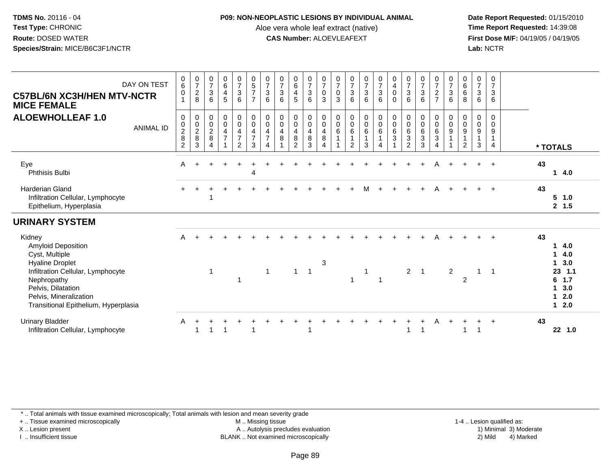#### **P09: NON-NEOPLASTIC LESIONS BY INDIVIDUAL ANIMAL**

Aloe vera whole leaf extract (native)<br>**CAS Number:** ALOEVLEAFEXT

 **Date Report Requested:** 01/15/2010 **First Dose M/F:** 04/19/05 / 04/19/05<br>Lab: NCTR **Lab:** NCTR

| DAY ON TEST<br><b>C57BL/6N XC3H/HEN MTV-NCTR</b><br><b>MICE FEMALE</b>                                                                                                                                               | $_{6}^{\rm 0}$<br>$\pmb{0}$<br>1                                            | $\frac{0}{7}$<br>$_{\rm 8}^2$ | $\begin{array}{c} 0 \\ 7 \\ 3 \end{array}$<br>6 | 0645                                                            | $\frac{0}{7}$<br>$\frac{3}{6}$                                                    | $\begin{array}{c} 0 \\ 5 \\ 7 \end{array}$<br>$\overline{7}$                    | $\frac{0}{7}$<br>3<br>6                        | $\frac{0}{7}$<br>6                                 | $064$<br>$45$                                                                        | $\frac{0}{7}$<br>$\ensuremath{\mathsf{3}}$<br>6                    | $\frac{0}{7}$<br>$_{3}^{\rm 0}$                                   | $\frac{0}{7}$<br>$\mathsf 0$<br>3  | $\frac{0}{7}$<br>6                                                              | $\frac{0}{7}$<br>$\frac{3}{6}$                        | $\begin{array}{c} 0 \\ 7 \\ 3 \\ 6 \end{array}$                                        | $\begin{smallmatrix}0\0\4\end{smallmatrix}$<br>$\mathbf 0$<br>$\mathbf 0$ | $\begin{array}{c} 0 \\ 7 \\ 3 \\ 6 \end{array}$                  | $\frac{0}{7}$<br>$\frac{3}{6}$                                                  | $\frac{0}{7}$<br>$\frac{2}{7}$                                       | $\frac{0}{7}$<br>$\ensuremath{\mathsf{3}}$<br>6                               | $\begin{matrix}0\0\0\0\end{matrix}$<br>8                                     | $\begin{array}{c} 0 \\ 7 \\ 3 \end{array}$<br>6 | 0<br>$\overline{7}$<br>$\ensuremath{\mathsf{3}}$<br>6                          |                                                                                             |
|----------------------------------------------------------------------------------------------------------------------------------------------------------------------------------------------------------------------|-----------------------------------------------------------------------------|-------------------------------|-------------------------------------------------|-----------------------------------------------------------------|-----------------------------------------------------------------------------------|---------------------------------------------------------------------------------|------------------------------------------------|----------------------------------------------------|--------------------------------------------------------------------------------------|--------------------------------------------------------------------|-------------------------------------------------------------------|------------------------------------|---------------------------------------------------------------------------------|-------------------------------------------------------|----------------------------------------------------------------------------------------|---------------------------------------------------------------------------|------------------------------------------------------------------|---------------------------------------------------------------------------------|----------------------------------------------------------------------|-------------------------------------------------------------------------------|------------------------------------------------------------------------------|-------------------------------------------------|--------------------------------------------------------------------------------|---------------------------------------------------------------------------------------------|
| <b>ALOEWHOLLEAF 1.0</b><br><b>ANIMAL ID</b>                                                                                                                                                                          | $\mathbf 0$<br>$\begin{array}{c} 0 \\ 2 \\ 8 \end{array}$<br>$\overline{c}$ | 0<br>$\frac{0}{2}$<br>3       | $\,0\,$<br>$\frac{0}{2}$<br>$\overline{4}$      | $\begin{smallmatrix}0\0\0\4\end{smallmatrix}$<br>$\overline{7}$ | $_{\rm 0}^{\rm 0}$<br>$\overline{\mathbf{4}}$<br>$\overline{7}$<br>$\overline{2}$ | $\begin{smallmatrix}0\0\0\4\end{smallmatrix}$<br>$\overline{7}$<br>$\mathbf{3}$ | $_{\rm 0}^{\rm 0}$<br>4<br>$\overline{7}$<br>4 | $\begin{smallmatrix}0\0\0\4\end{smallmatrix}$<br>8 | $\begin{smallmatrix}0\0\0\end{smallmatrix}$<br>$\overline{4}$<br>8<br>$\overline{2}$ | $_{\rm 0}^{\rm 0}$<br>$\overline{\mathbf{4}}$<br>8<br>$\mathbf{3}$ | $_{\rm 0}^{\rm 0}$<br>$\overline{a}$<br>$\,8\,$<br>$\overline{4}$ | 0<br>$\frac{0}{6}$<br>$\mathbf{1}$ | $\begin{smallmatrix}0\0\0\6\end{smallmatrix}$<br>$\mathbf{1}$<br>$\overline{c}$ | $\begin{smallmatrix}0\0\0\end{smallmatrix}$<br>6<br>3 | $\begin{array}{c} 0 \\ 0 \\ 6 \end{array}$<br>$\overline{1}$<br>$\boldsymbol{\Lambda}$ | $\begin{smallmatrix}0\0\0\6\end{smallmatrix}$<br>$\overline{3}$           | $\begin{matrix} 0 \\ 0 \\ 6 \\ 3 \end{matrix}$<br>$\overline{c}$ | $\begin{smallmatrix}0\0\0\6\end{smallmatrix}$<br>$\overline{3}$<br>$\mathbf{3}$ | 0<br>$\pmb{0}$<br>$\overline{6}$<br>$\overline{3}$<br>$\overline{4}$ | $\begin{smallmatrix}0\\0\\9\end{smallmatrix}$<br>$\mathbf{1}$<br>$\mathbf{1}$ | 0<br>$\mathsf{O}\xspace$<br>$\overline{9}$<br>$\mathbf{1}$<br>$\overline{2}$ | 0<br>$\pmb{0}$<br>$\frac{9}{1}$<br>$\sqrt{3}$   | $\mathbf 0$<br>$\pmb{0}$<br>$\boldsymbol{9}$<br>$\mathbf{1}$<br>$\overline{4}$ | * TOTALS                                                                                    |
| Eye<br>Phthisis Bulbi                                                                                                                                                                                                | A                                                                           |                               |                                                 |                                                                 |                                                                                   | 4                                                                               |                                                |                                                    |                                                                                      |                                                                    |                                                                   |                                    |                                                                                 |                                                       |                                                                                        |                                                                           |                                                                  |                                                                                 | Α                                                                    |                                                                               |                                                                              |                                                 | $\overline{+}$                                                                 | 43<br>14.0                                                                                  |
| <b>Harderian Gland</b><br>Infiltration Cellular, Lymphocyte<br>Epithelium, Hyperplasia                                                                                                                               |                                                                             |                               |                                                 |                                                                 |                                                                                   |                                                                                 |                                                |                                                    |                                                                                      |                                                                    |                                                                   |                                    |                                                                                 | M                                                     |                                                                                        |                                                                           |                                                                  |                                                                                 |                                                                      |                                                                               |                                                                              |                                                 |                                                                                | 43<br>5 1.0<br>2, 1.5                                                                       |
| <b>URINARY SYSTEM</b>                                                                                                                                                                                                |                                                                             |                               |                                                 |                                                                 |                                                                                   |                                                                                 |                                                |                                                    |                                                                                      |                                                                    |                                                                   |                                    |                                                                                 |                                                       |                                                                                        |                                                                           |                                                                  |                                                                                 |                                                                      |                                                                               |                                                                              |                                                 |                                                                                |                                                                                             |
| Kidney<br>Amyloid Deposition<br>Cyst, Multiple<br><b>Hyaline Droplet</b><br>Infiltration Cellular, Lymphocyte<br>Nephropathy<br>Pelvis, Dilatation<br>Pelvis, Mineralization<br>Transitional Epithelium, Hyperplasia | A                                                                           |                               | $\mathbf{1}$                                    |                                                                 |                                                                                   |                                                                                 | $\mathbf{1}$                                   |                                                    | $\mathbf{1}$                                                                         | $\overline{1}$                                                     | 3                                                                 |                                    | -1                                                                              | 1                                                     |                                                                                        |                                                                           | $2^{\circ}$                                                      | $\overline{1}$                                                                  |                                                                      | $\overline{2}$                                                                | $\overline{2}$                                                               | $\mathbf{1}$                                    | $\overline{1}$                                                                 | 43<br>14.0<br>$\mathbf 1$<br>4.0<br>1, 3.0<br>23 1.1<br>$6$ 1.7<br>1, 3.0<br>$12.0$<br>12.0 |
| <b>Urinary Bladder</b><br>Infiltration Cellular, Lymphocyte                                                                                                                                                          | A                                                                           |                               |                                                 |                                                                 |                                                                                   |                                                                                 |                                                |                                                    |                                                                                      |                                                                    |                                                                   |                                    |                                                                                 |                                                       |                                                                                        |                                                                           |                                                                  | -1                                                                              |                                                                      |                                                                               |                                                                              |                                                 | $\overline{1}$                                                                 | 43<br>22 1.0                                                                                |

\* .. Total animals with tissue examined microscopically; Total animals with lesion and mean severity grade

+ .. Tissue examined microscopically

X .. Lesion present

I .. Insufficient tissue

M .. Missing tissue

A .. Autolysis precludes evaluation

BLANK .. Not examined microscopically 2) Mild 4) Marked

1-4 .. Lesion qualified as:<br>1) Minimal 3) Moderate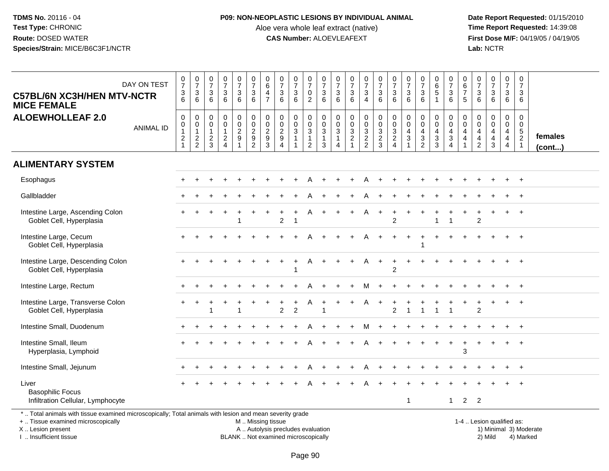#### **P09: NON-NEOPLASTIC LESIONS BY INDIVIDUAL ANIMAL**

Aloe vera whole leaf extract (native)<br>**CAS Number:** ALOEVLEAFEXT

 **Date Report Requested:** 01/15/2010 **First Dose M/F:** 04/19/05 / 04/19/05<br>Lab: NCTR **Lab:** NCTR

| <b>C57BL/6N XC3H/HEN MTV-NCTR</b><br><b>MICE FEMALE</b>                                                                                                            | DAY ON TEST      | $\begin{smallmatrix}0\\7\end{smallmatrix}$<br>$\ensuremath{\mathsf{3}}$<br>6 | $\frac{0}{7}$<br>$\ensuremath{\mathsf{3}}$<br>6           | $\begin{array}{c} 0 \\ 7 \end{array}$<br>$\ensuremath{\mathsf{3}}$<br>6 | $\frac{0}{7}$<br>3<br>6                              | $\begin{array}{c} 0 \\ 7 \end{array}$<br>$\ensuremath{\mathsf{3}}$<br>6 | $\frac{0}{7}$<br>$\sqrt{3}$<br>6                             | $\begin{array}{c} 0 \\ 6 \end{array}$<br>$\overline{4}$<br>$\overline{7}$ | $\frac{0}{7}$<br>$\mathbf{3}$<br>6                            | $\frac{0}{7}$<br>3<br>6                      | $\begin{array}{c} 0 \\ 7 \end{array}$<br>$\pmb{0}$<br>$\overline{2}$ | 0<br>$\overline{7}$<br>3<br>6              | $\begin{smallmatrix}0\\7\end{smallmatrix}$<br>$\ensuremath{\mathsf{3}}$<br>6 | $\begin{smallmatrix}0\\7\end{smallmatrix}$<br>$\sqrt{3}$<br>$6\phantom{1}$ | $\begin{array}{c} 0 \\ 7 \end{array}$<br>$\frac{3}{4}$ | $\frac{0}{7}$<br>$\sqrt{3}$<br>6                             | $\begin{smallmatrix}0\\7\end{smallmatrix}$<br>3<br>6 | $\begin{array}{c} 0 \\ 7 \end{array}$<br>$\sqrt{3}$<br>6                       | $\frac{0}{7}$<br>$\mathbf{3}$<br>6                                                        | $_{6}^{\rm 0}$<br>$\overline{5}$<br>$\mathbf{1}$                     | $\frac{0}{7}$<br>$\ensuremath{\mathsf{3}}$<br>$6\phantom{1}$ | $\begin{array}{c} 0 \\ 6 \\ 7 \end{array}$<br>5                     | $\begin{array}{c} 0 \\ 7 \end{array}$<br>$\ensuremath{\mathsf{3}}$<br>6             | $\frac{0}{7}$<br>3<br>6                                   | $\begin{array}{c} 0 \\ 7 \end{array}$<br>$\ensuremath{\mathsf{3}}$<br>6  | $\boldsymbol{0}$<br>$\overline{7}$<br>3<br>6                |                        |
|--------------------------------------------------------------------------------------------------------------------------------------------------------------------|------------------|------------------------------------------------------------------------------|-----------------------------------------------------------|-------------------------------------------------------------------------|------------------------------------------------------|-------------------------------------------------------------------------|--------------------------------------------------------------|---------------------------------------------------------------------------|---------------------------------------------------------------|----------------------------------------------|----------------------------------------------------------------------|--------------------------------------------|------------------------------------------------------------------------------|----------------------------------------------------------------------------|--------------------------------------------------------|--------------------------------------------------------------|------------------------------------------------------|--------------------------------------------------------------------------------|-------------------------------------------------------------------------------------------|----------------------------------------------------------------------|--------------------------------------------------------------|---------------------------------------------------------------------|-------------------------------------------------------------------------------------|-----------------------------------------------------------|--------------------------------------------------------------------------|-------------------------------------------------------------|------------------------|
| <b>ALOEWHOLLEAF 2.0</b>                                                                                                                                            | <b>ANIMAL ID</b> | $\pmb{0}$<br>$\pmb{0}$<br>$\mathbf{1}$<br>$\overline{c}$<br>$\mathbf{1}$     | $\mathbf 0$<br>$\pmb{0}$<br>$\mathbf{1}$<br>$\frac{2}{2}$ | $\mathsf{O}\xspace$<br>$\mathsf 0$<br>$\mathbf{1}$<br>$\frac{2}{3}$     | 0<br>$\overline{0}$<br>$\mathbf{1}$<br>$\frac{2}{4}$ | $\begin{array}{c} 0 \\ 0 \\ 2 \\ 9 \end{array}$<br>$\mathbf{1}$         | $\pmb{0}$<br>$\begin{array}{c} 0 \\ 2 \\ 9 \\ 2 \end{array}$ | $\pmb{0}$<br>$\begin{array}{c} 0 \\ 2 \\ 9 \\ 3 \end{array}$              | $\mathbf 0$<br>$\mathbf 0$<br>$\frac{2}{9}$<br>$\overline{4}$ | 0<br>$\pmb{0}$<br>$\sqrt{3}$<br>$\mathbf{1}$ | $\pmb{0}$<br>$\frac{0}{3}$<br>$\overline{c}$                         | 0<br>$\mathbf 0$<br>3<br>$\mathbf{1}$<br>3 | $\pmb{0}$<br>$\pmb{0}$<br>$\sqrt{3}$<br>$\mathbf{1}$<br>$\overline{4}$       | $\begin{matrix} 0 \\ 0 \\ 3 \\ 2 \end{matrix}$                             | $003$<br>$22$                                          | $\pmb{0}$<br>$\begin{array}{c} 0 \\ 3 \\ 2 \\ 3 \end{array}$ | 0<br>$\mathbf 0$<br>3<br>$\overline{2}$<br>4         | $\mathbf 0$<br>$\mathbf 0$<br>$\overline{4}$<br>$\overline{3}$<br>$\mathbf{1}$ | $\mathbf 0$<br>$\mathbf 0$<br>$\overline{\mathbf{4}}$<br>$\overline{3}$<br>$\overline{2}$ | 0<br>$\pmb{0}$<br>$\overline{4}$<br>$\overline{3}$<br>$\overline{3}$ | 0<br>$\mathbf 0$<br>$\overline{4}$<br>$\overline{3}$<br>4    | $\boldsymbol{0}$<br>$\mathbf 0$<br>$\overline{4}$<br>$\overline{4}$ | $\pmb{0}$<br>$\mathbf 0$<br>$\begin{array}{c} 4 \\ 4 \end{array}$<br>$\overline{2}$ | 0<br>$\mathsf 0$<br>$\overline{4}$<br>$\overline{4}$<br>3 | $\pmb{0}$<br>$\pmb{0}$<br>$\overline{4}$<br>$\ddot{4}$<br>$\overline{4}$ | $\mathbf 0$<br>$\mathbf 0$<br>$\frac{5}{2}$<br>$\mathbf{1}$ | females<br>(cont)      |
| <b>ALIMENTARY SYSTEM</b>                                                                                                                                           |                  |                                                                              |                                                           |                                                                         |                                                      |                                                                         |                                                              |                                                                           |                                                               |                                              |                                                                      |                                            |                                                                              |                                                                            |                                                        |                                                              |                                                      |                                                                                |                                                                                           |                                                                      |                                                              |                                                                     |                                                                                     |                                                           |                                                                          |                                                             |                        |
| Esophagus                                                                                                                                                          |                  |                                                                              |                                                           |                                                                         |                                                      |                                                                         |                                                              |                                                                           |                                                               |                                              |                                                                      |                                            |                                                                              |                                                                            | A                                                      |                                                              |                                                      |                                                                                |                                                                                           |                                                                      |                                                              |                                                                     |                                                                                     |                                                           |                                                                          | $+$                                                         |                        |
| Gallbladder                                                                                                                                                        |                  |                                                                              |                                                           |                                                                         |                                                      |                                                                         |                                                              |                                                                           |                                                               |                                              |                                                                      |                                            |                                                                              |                                                                            |                                                        |                                                              |                                                      |                                                                                |                                                                                           |                                                                      |                                                              |                                                                     |                                                                                     |                                                           |                                                                          | $+$                                                         |                        |
| Intestine Large, Ascending Colon<br>Goblet Cell, Hyperplasia                                                                                                       |                  |                                                                              |                                                           |                                                                         |                                                      |                                                                         |                                                              |                                                                           | $\overline{2}$                                                |                                              |                                                                      |                                            |                                                                              |                                                                            | A                                                      | $+$                                                          | $\mathfrak{p}$                                       |                                                                                |                                                                                           |                                                                      |                                                              |                                                                     | $\mathfrak{p}$                                                                      |                                                           |                                                                          | $\ddot{}$                                                   |                        |
| Intestine Large, Cecum<br>Goblet Cell, Hyperplasia                                                                                                                 |                  |                                                                              |                                                           |                                                                         |                                                      |                                                                         |                                                              |                                                                           |                                                               |                                              |                                                                      |                                            |                                                                              |                                                                            |                                                        |                                                              |                                                      |                                                                                |                                                                                           |                                                                      |                                                              |                                                                     |                                                                                     |                                                           |                                                                          |                                                             |                        |
| Intestine Large, Descending Colon<br>Goblet Cell, Hyperplasia                                                                                                      |                  |                                                                              |                                                           |                                                                         |                                                      |                                                                         |                                                              |                                                                           |                                                               | $\ddot{}$                                    | A                                                                    |                                            |                                                                              |                                                                            | A                                                      | $+$                                                          | $\div$<br>2                                          |                                                                                |                                                                                           |                                                                      |                                                              |                                                                     |                                                                                     |                                                           |                                                                          |                                                             |                        |
| Intestine Large, Rectum                                                                                                                                            |                  |                                                                              |                                                           |                                                                         |                                                      |                                                                         |                                                              |                                                                           |                                                               |                                              |                                                                      |                                            |                                                                              |                                                                            | м                                                      |                                                              |                                                      |                                                                                |                                                                                           |                                                                      |                                                              |                                                                     |                                                                                     |                                                           |                                                                          | $\ddot{}$                                                   |                        |
| Intestine Large, Transverse Colon<br>Goblet Cell, Hyperplasia                                                                                                      |                  |                                                                              |                                                           |                                                                         |                                                      |                                                                         |                                                              |                                                                           | 2                                                             | $\overline{c}$                               |                                                                      |                                            |                                                                              |                                                                            | A                                                      | $\div$                                                       | $\overline{2}$                                       |                                                                                |                                                                                           |                                                                      |                                                              |                                                                     | 2                                                                                   |                                                           |                                                                          | $+$                                                         |                        |
| Intestine Small, Duodenum                                                                                                                                          |                  |                                                                              |                                                           |                                                                         |                                                      |                                                                         |                                                              |                                                                           |                                                               |                                              |                                                                      |                                            |                                                                              |                                                                            |                                                        |                                                              |                                                      |                                                                                |                                                                                           |                                                                      |                                                              |                                                                     |                                                                                     |                                                           |                                                                          |                                                             |                        |
| Intestine Small, Ileum<br>Hyperplasia, Lymphoid                                                                                                                    |                  |                                                                              |                                                           |                                                                         |                                                      |                                                                         |                                                              |                                                                           |                                                               |                                              |                                                                      |                                            |                                                                              |                                                                            |                                                        |                                                              |                                                      |                                                                                |                                                                                           |                                                                      |                                                              | 3                                                                   |                                                                                     |                                                           |                                                                          |                                                             |                        |
| Intestine Small, Jejunum                                                                                                                                           |                  |                                                                              |                                                           |                                                                         |                                                      |                                                                         |                                                              |                                                                           |                                                               |                                              |                                                                      |                                            |                                                                              |                                                                            |                                                        |                                                              |                                                      |                                                                                |                                                                                           |                                                                      |                                                              |                                                                     |                                                                                     |                                                           |                                                                          | $\overline{1}$                                              |                        |
| Liver<br><b>Basophilic Focus</b><br>Infiltration Cellular, Lymphocyte                                                                                              |                  |                                                                              |                                                           |                                                                         |                                                      |                                                                         |                                                              |                                                                           |                                                               |                                              |                                                                      |                                            |                                                                              |                                                                            |                                                        |                                                              |                                                      | $\mathbf{1}$                                                                   |                                                                                           |                                                                      | $\mathbf{1}$                                                 | $\overline{2}$                                                      | $\overline{2}$                                                                      |                                                           |                                                                          |                                                             |                        |
| *  Total animals with tissue examined microscopically; Total animals with lesion and mean severity grade<br>+  Tissue examined microscopically<br>X Lesion present |                  |                                                                              |                                                           |                                                                         |                                                      |                                                                         | M  Missing tissue                                            |                                                                           | A  Autolysis precludes evaluation                             |                                              |                                                                      |                                            |                                                                              |                                                                            |                                                        |                                                              |                                                      |                                                                                |                                                                                           |                                                                      |                                                              |                                                                     | 1-4  Lesion qualified as:                                                           |                                                           |                                                                          |                                                             | 1) Minimal 3) Moderate |

I .. Insufficient tissue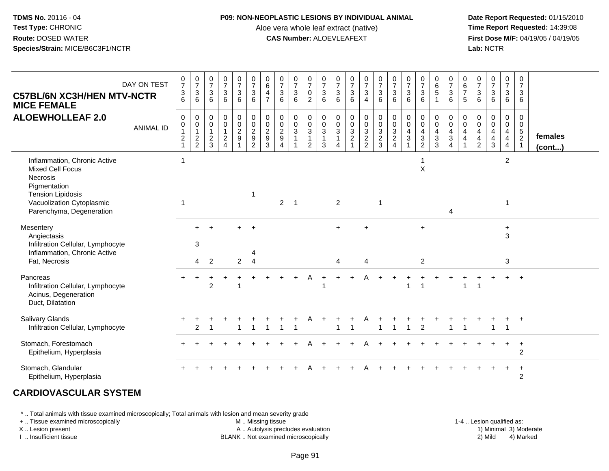#### **P09: NON-NEOPLASTIC LESIONS BY INDIVIDUAL ANIMAL**

Aloe vera whole leaf extract (native)<br>**CAS Number:** ALOEVLEAFEXT

 **Date Report Requested:** 01/15/2010 **First Dose M/F:** 04/19/05 / 04/19/05<br>**Lab:** NCTR **Lab:** NCTR

| <b>C57BL/6N XC3H/HEN MTV-NCTR</b><br><b>MICE FEMALE</b>                                                                                                                  | DAY ON TEST      | $\frac{0}{7}$<br>$\ensuremath{\mathsf{3}}$<br>$6\phantom{1}$                 | $\frac{0}{7}$<br>3<br>6                                                    | $\frac{0}{7}$<br>3<br>6                       | $\frac{0}{7}$<br>$\mathbf{3}$<br>6                                                | $\frac{0}{7}$<br>$\mathbf{3}$<br>$6\phantom{a}$ | $\begin{smallmatrix}0\\7\end{smallmatrix}$<br>$\mathbf{3}$<br>6                                  | $\begin{array}{c} 0 \\ 6 \end{array}$<br>$\overline{4}$<br>$\overline{7}$ | $\frac{0}{7}$<br>$\sqrt{3}$<br>6                                        | $\frac{0}{7}$<br>$\mathbf{3}$<br>6                                                | $\frac{0}{7}$<br>$\mathbf 0$<br>$\overline{2}$          | $\begin{array}{c} 0 \\ 7 \\ 3 \end{array}$<br>6     | $\frac{0}{7}$<br>3<br>6                                                           | $\frac{0}{7}$<br>$\mathbf{3}$<br>6 | $\frac{0}{7}$<br>$\sqrt{3}$<br>$\overline{4}$ | $\frac{0}{7}$<br>$\sqrt{3}$<br>6 | $\frac{0}{7}$<br>$\mathfrak{Z}$<br>6                             | $\frac{0}{7}$<br>$\mathfrak{Z}$<br>6                   | $\begin{matrix} 0 \\ 7 \\ 3 \end{matrix}$<br>6                                                              | $\begin{matrix} 0 \\ 6 \\ 5 \end{matrix}$<br>$\mathbf{1}$ | $\begin{smallmatrix}0\\7\end{smallmatrix}$<br>$\mathbf{3}$<br>6                         | $\begin{array}{c} 0 \\ 6 \\ 7 \end{array}$<br>$\sqrt{5}$         | $\frac{0}{7}$<br>$\sqrt{3}$<br>6                                    | $\frac{0}{7}$<br>$\ensuremath{\mathsf{3}}$<br>$6\phantom{1}6$          | $\frac{0}{7}$<br>$\mathbf{3}$<br>6                                        | $\mathbf 0$<br>$\overline{7}$<br>3<br>6                                          |                   |
|--------------------------------------------------------------------------------------------------------------------------------------------------------------------------|------------------|------------------------------------------------------------------------------|----------------------------------------------------------------------------|-----------------------------------------------|-----------------------------------------------------------------------------------|-------------------------------------------------|--------------------------------------------------------------------------------------------------|---------------------------------------------------------------------------|-------------------------------------------------------------------------|-----------------------------------------------------------------------------------|---------------------------------------------------------|-----------------------------------------------------|-----------------------------------------------------------------------------------|------------------------------------|-----------------------------------------------|----------------------------------|------------------------------------------------------------------|--------------------------------------------------------|-------------------------------------------------------------------------------------------------------------|-----------------------------------------------------------|-----------------------------------------------------------------------------------------|------------------------------------------------------------------|---------------------------------------------------------------------|------------------------------------------------------------------------|---------------------------------------------------------------------------|----------------------------------------------------------------------------------|-------------------|
| <b>ALOEWHOLLEAF 2.0</b>                                                                                                                                                  | <b>ANIMAL ID</b> | $\mathbf 0$<br>$\pmb{0}$<br>$\mathbf{1}$<br>$\boldsymbol{2}$<br>$\mathbf{1}$ | $\mathbf 0$<br>$\mathbf 0$<br>$\mathbf{1}$<br>$\sqrt{2}$<br>$\overline{2}$ | 0<br>0<br>$\mathbf{1}$<br>$\overline{c}$<br>3 | $\pmb{0}$<br>$\pmb{0}$<br>$\mathbf{1}$<br>$\overline{2}$<br>$\boldsymbol{\Delta}$ | $\begin{array}{c} 0 \\ 0 \\ 2 \\ 9 \end{array}$ | $\begin{smallmatrix} 0\\0 \end{smallmatrix}$<br>$\sqrt{2}$<br>$\boldsymbol{9}$<br>$\overline{2}$ | $\begin{array}{c} 0 \\ 0 \\ 2 \\ 9 \end{array}$<br>$\overline{3}$         | $\mathbf 0$<br>$\mathbf 0$<br>$\sqrt{2}$<br>9<br>$\boldsymbol{\Lambda}$ | $\mathbf 0$<br>$\overline{0}$<br>$\mathbf{3}$<br>$\overline{1}$<br>$\overline{1}$ | 0<br>$\mathbf 0$<br>3<br>$\mathbf{1}$<br>$\overline{2}$ | $\begin{matrix} 0 \\ 0 \\ 3 \\ 1 \end{matrix}$<br>3 | $\begin{smallmatrix} 0\\0\\3 \end{smallmatrix}$<br>$\mathbf{1}$<br>$\overline{4}$ | $0003$<br>$24$                     | 0<br>0<br>3<br>2<br>2                         | $0003$<br>$23$                   | $\begin{matrix} 0 \\ 0 \\ 3 \\ 2 \end{matrix}$<br>$\overline{4}$ | $\mathbf 0$<br>$\mathbf 0$<br>$\overline{4}$<br>3<br>1 | $\begin{smallmatrix} 0\\0 \end{smallmatrix}$<br>$\overline{\mathbf{4}}$<br>$\overline{3}$<br>$\overline{2}$ | 0<br>$\mathbf 0$<br>$\overline{4}$<br>$\mathbf{3}$<br>3   | 0<br>$\ddot{\mathbf{0}}$<br>$\overline{\mathbf{4}}$<br>$\overline{3}$<br>$\overline{4}$ | 0<br>$\overline{0}$<br>$\overline{\mathbf{4}}$<br>$\overline{4}$ | $\mathbf 0$<br>$\mathbf 0$<br>4<br>$\overline{4}$<br>$\overline{2}$ | $_{\rm 0}^{\rm 0}$<br>$\overline{4}$<br>$\overline{4}$<br>$\mathbf{3}$ | 0<br>$\overline{0}$<br>$\overline{4}$<br>$\overline{4}$<br>$\overline{4}$ | $\mathbf 0$<br>$\mathbf 0$<br>$\overline{5}$<br>$\overline{2}$<br>$\overline{1}$ | females<br>(cont) |
| Inflammation, Chronic Active<br><b>Mixed Cell Focus</b><br>Necrosis<br>Pigmentation<br><b>Tension Lipidosis</b><br>Vacuolization Cytoplasmic<br>Parenchyma, Degeneration |                  | $\mathbf 1$<br>$\mathbf{1}$                                                  |                                                                            |                                               |                                                                                   |                                                 |                                                                                                  |                                                                           | $\overline{2}$                                                          | $\overline{\mathbf{1}}$                                                           |                                                         |                                                     | 2                                                                                 |                                    |                                               | $\overline{\mathbf{1}}$          |                                                                  |                                                        | X                                                                                                           |                                                           | $\overline{4}$                                                                          |                                                                  |                                                                     |                                                                        | $\overline{2}$<br>1                                                       |                                                                                  |                   |
| Mesentery<br>Angiectasis<br>Infiltration Cellular, Lymphocyte<br>Inflammation, Chronic Active<br>Fat, Necrosis                                                           |                  |                                                                              | 3                                                                          | $4\quad 2$                                    |                                                                                   | ᆂ<br>$\overline{2}$                             | $\overline{+}$<br>4<br>$\overline{4}$                                                            |                                                                           |                                                                         |                                                                                   |                                                         |                                                     | $\ddot{}$<br>$\boldsymbol{\Lambda}$                                               |                                    | 4                                             |                                  |                                                                  |                                                        | $\ddot{}$<br>$\overline{2}$                                                                                 |                                                           |                                                                                         |                                                                  |                                                                     |                                                                        | $\ddot{}$<br>3<br>3                                                       |                                                                                  |                   |
| Pancreas<br>Infiltration Cellular, Lymphocyte<br>Acinus, Degeneration<br>Duct, Dilatation                                                                                |                  |                                                                              |                                                                            | $\overline{2}$                                |                                                                                   |                                                 |                                                                                                  |                                                                           |                                                                         |                                                                                   | A                                                       |                                                     |                                                                                   |                                    |                                               |                                  |                                                                  |                                                        |                                                                                                             |                                                           |                                                                                         |                                                                  |                                                                     |                                                                        | $+$                                                                       | $+$                                                                              |                   |
| Salivary Glands<br>Infiltration Cellular, Lymphocyte                                                                                                                     |                  |                                                                              | 2                                                                          |                                               |                                                                                   |                                                 |                                                                                                  |                                                                           |                                                                         |                                                                                   | Α                                                       |                                                     | ÷                                                                                 |                                    |                                               |                                  |                                                                  | 1                                                      | $\overline{2}$                                                                                              |                                                           |                                                                                         | $\overline{1}$                                                   |                                                                     |                                                                        | $\ddot{}$<br>1                                                            | $+$                                                                              |                   |
| Stomach, Forestomach<br>Epithelium, Hyperplasia                                                                                                                          |                  |                                                                              |                                                                            |                                               |                                                                                   |                                                 |                                                                                                  |                                                                           |                                                                         |                                                                                   |                                                         |                                                     |                                                                                   |                                    |                                               |                                  |                                                                  |                                                        |                                                                                                             |                                                           |                                                                                         |                                                                  |                                                                     |                                                                        | $\ddot{}$                                                                 | $+$<br>2                                                                         |                   |
| Stomach, Glandular<br>Epithelium, Hyperplasia                                                                                                                            |                  |                                                                              |                                                                            |                                               |                                                                                   |                                                 |                                                                                                  |                                                                           |                                                                         |                                                                                   |                                                         |                                                     |                                                                                   |                                    |                                               |                                  |                                                                  |                                                        |                                                                                                             |                                                           |                                                                                         |                                                                  |                                                                     |                                                                        |                                                                           | $^{+}$<br>$\overline{2}$                                                         |                   |

# **CARDIOVASCULAR SYSTEM**

\* .. Total animals with tissue examined microscopically; Total animals with lesion and mean severity grade

+ .. Tissue examined microscopically

X .. Lesion present

I .. Insufficient tissue

M .. Missing tissue

A .. Autolysis precludes evaluation

BLANK .. Not examined microscopically 2) Mild 4) Marked

1-4 .. Lesion qualified as:<br>1) Minimal 3) Moderate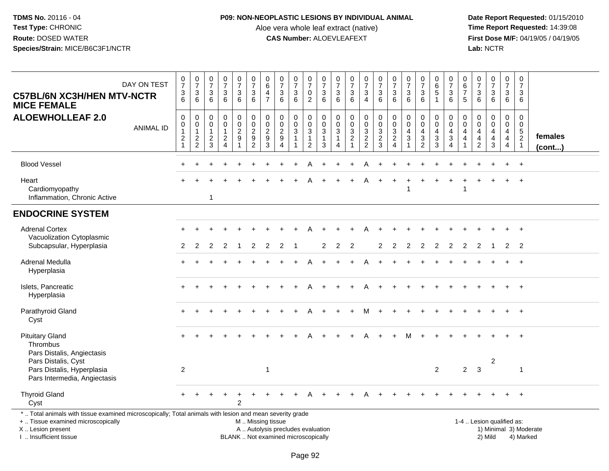## **P09: NON-NEOPLASTIC LESIONS BY INDIVIDUAL ANIMAL**

Aloe vera whole leaf extract (native)<br>**CAS Number:** ALOEVLEAFEXT

| <b>C57BL/6N XC3H/HEN MTV-NCTR</b><br><b>MICE FEMALE</b>                                                                                                                                      | DAY ON TEST      | $\begin{smallmatrix}0\\7\end{smallmatrix}$<br>$\sqrt{3}$<br>6                | $\frac{0}{7}$<br>$\ensuremath{\mathsf{3}}$<br>6                              | $\begin{array}{c} 0 \\ 7 \end{array}$<br>$\sqrt{3}$<br>6 | $\frac{0}{7}$<br>3<br>$6\phantom{1}$                                 | $\begin{smallmatrix}0\\7\end{smallmatrix}$<br>$\mathbf{3}$<br>$6^{\circ}$      | $\frac{0}{7}$<br>$\sqrt{3}$<br>$6\phantom{1}$                      | $\begin{array}{c} 0 \\ 6 \end{array}$<br>$\overline{4}$<br>$\overline{7}$ | $\frac{0}{7}$<br>$\sqrt{3}$<br>6                                                           | $\frac{0}{7}$<br>3<br>6                                     | $\begin{array}{c} 0 \\ 7 \end{array}$<br>$\mathbf 0$<br>$\overline{2}$     | $\frac{0}{7}$<br>3<br>6          | $\begin{smallmatrix}0\\7\end{smallmatrix}$<br>$\mathbf{3}$<br>6                  | $\frac{0}{7}$<br>$\ensuremath{\mathsf{3}}$<br>6              | $\frac{0}{7}$<br>$\sqrt{3}$<br>$\overline{4}$           | $\frac{0}{7}$<br>$\sqrt{3}$<br>6                               | $\begin{smallmatrix}0\\7\end{smallmatrix}$<br>3<br>6      | $\begin{array}{c} 0 \\ 7 \end{array}$<br>$\sqrt{3}$<br>6                                    | $\frac{0}{7}$<br>3<br>$6^{\circ}$                                       | $\begin{array}{c} 0 \\ 6 \\ 5 \end{array}$<br>$\mathbf{1}$  | $\frac{0}{7}$<br>$\ensuremath{\mathsf{3}}$<br>6                                   | $\begin{array}{c} 0 \\ 6 \\ 7 \end{array}$<br>5                                                | $\begin{array}{c} 0 \\ 7 \end{array}$<br>$\mathsf 3$<br>6                                 | $\frac{0}{7}$<br>3<br>$6^{\circ}$            | $\begin{array}{c} 0 \\ 7 \end{array}$<br>$\mathbf{3}$<br>$6\overline{6}$ | $\begin{array}{c} 0 \\ 7 \end{array}$<br>3<br>6                             |                        |
|----------------------------------------------------------------------------------------------------------------------------------------------------------------------------------------------|------------------|------------------------------------------------------------------------------|------------------------------------------------------------------------------|----------------------------------------------------------|----------------------------------------------------------------------|--------------------------------------------------------------------------------|--------------------------------------------------------------------|---------------------------------------------------------------------------|--------------------------------------------------------------------------------------------|-------------------------------------------------------------|----------------------------------------------------------------------------|----------------------------------|----------------------------------------------------------------------------------|--------------------------------------------------------------|---------------------------------------------------------|----------------------------------------------------------------|-----------------------------------------------------------|---------------------------------------------------------------------------------------------|-------------------------------------------------------------------------|-------------------------------------------------------------|-----------------------------------------------------------------------------------|------------------------------------------------------------------------------------------------|-------------------------------------------------------------------------------------------|----------------------------------------------|--------------------------------------------------------------------------|-----------------------------------------------------------------------------|------------------------|
| <b>ALOEWHOLLEAF 2.0</b>                                                                                                                                                                      | <b>ANIMAL ID</b> | $\mathsf 0$<br>$\mathbf 0$<br>$\overline{1}$<br>$\sqrt{2}$<br>$\overline{1}$ | $\mathbf 0$<br>$\mathbf 0$<br>$\overline{1}$<br>$\sqrt{2}$<br>$\overline{2}$ | 0<br>$\mathbf 0$<br>$\mathbf{1}$<br>$\frac{2}{3}$        | 0<br>$\mathbf 0$<br>$\mathbf{1}$<br>$\overline{a}$<br>$\overline{4}$ | $\pmb{0}$<br>$\mathbf 0$<br>$\overline{c}$<br>$\boldsymbol{9}$<br>$\mathbf{1}$ | $\mathsf 0$<br>$\frac{0}{2}$<br>$\boldsymbol{9}$<br>$\overline{2}$ | $\mathbf 0$<br>$\pmb{0}$<br>$\sqrt{2}$<br>$\boldsymbol{9}$<br>3           | $\mathbf 0$<br>$\mathbf 0$<br>$\overline{2}$<br>$\boldsymbol{9}$<br>$\boldsymbol{\Lambda}$ | 0<br>$\mathsf{O}\xspace$<br>$\sqrt{3}$<br>$\mathbf{1}$<br>1 | $\mathbf 0$<br>$\pmb{0}$<br>$\sqrt{3}$<br>$\overline{1}$<br>$\overline{2}$ | 0<br>0<br>3<br>$\mathbf{1}$<br>3 | $\pmb{0}$<br>$\mathsf{O}\xspace$<br>$\sqrt{3}$<br>$\mathbf{1}$<br>$\overline{4}$ | $\pmb{0}$<br>$\frac{0}{3}$<br>$\overline{2}$<br>$\mathbf{1}$ | $\pmb{0}$<br>$\mathbf 0$<br>$\sqrt{3}$<br>$\frac{2}{2}$ | $\mathbf 0$<br>$\frac{0}{3}$<br>$\overline{2}$<br>$\mathbf{3}$ | 0<br>$\mathbf 0$<br>3<br>$\overline{c}$<br>$\overline{4}$ | $\mathbf 0$<br>$\mathbf 0$<br>$\overline{4}$<br>$\ensuremath{\mathsf{3}}$<br>$\overline{1}$ | 0<br>$\overline{0}$<br>$\overline{4}$<br>$\mathbf{3}$<br>$\overline{2}$ | $\pmb{0}$<br>$\mathbf 0$<br>$\overline{4}$<br>$\frac{3}{3}$ | 0<br>$\mathbf 0$<br>$\overline{4}$<br>$\ensuremath{\mathsf{3}}$<br>$\overline{4}$ | $\boldsymbol{0}$<br>$\mathbf 0$<br>$\overline{4}$<br>$\overline{\mathbf{4}}$<br>$\overline{1}$ | $\mathbf 0$<br>$\mathbf 0$<br>$\overline{4}$<br>$\overline{\mathbf{4}}$<br>$\overline{2}$ | 0<br>$\mathbf 0$<br>$\overline{4}$<br>4<br>3 | 0<br>$\mathbf 0$<br>$\overline{4}$<br>$\overline{4}$<br>$\overline{4}$   | $\Omega$<br>$\mathbf 0$<br>$5\phantom{.0}$<br>$\overline{2}$<br>$\mathbf 1$ | females<br>(cont)      |
| <b>Blood Vessel</b>                                                                                                                                                                          |                  | ÷.                                                                           |                                                                              |                                                          |                                                                      |                                                                                |                                                                    |                                                                           |                                                                                            |                                                             |                                                                            |                                  |                                                                                  |                                                              | А                                                       |                                                                |                                                           |                                                                                             |                                                                         |                                                             |                                                                                   |                                                                                                |                                                                                           |                                              |                                                                          | $+$                                                                         |                        |
| Heart<br>Cardiomyopathy<br>Inflammation, Chronic Active                                                                                                                                      |                  |                                                                              |                                                                              | $\mathbf{1}$                                             |                                                                      |                                                                                |                                                                    |                                                                           |                                                                                            |                                                             |                                                                            |                                  |                                                                                  |                                                              |                                                         |                                                                |                                                           |                                                                                             |                                                                         |                                                             |                                                                                   |                                                                                                |                                                                                           |                                              |                                                                          | $\ddot{}$                                                                   |                        |
| <b>ENDOCRINE SYSTEM</b>                                                                                                                                                                      |                  |                                                                              |                                                                              |                                                          |                                                                      |                                                                                |                                                                    |                                                                           |                                                                                            |                                                             |                                                                            |                                  |                                                                                  |                                                              |                                                         |                                                                |                                                           |                                                                                             |                                                                         |                                                             |                                                                                   |                                                                                                |                                                                                           |                                              |                                                                          |                                                                             |                        |
| <b>Adrenal Cortex</b><br>Vacuolization Cytoplasmic<br>Subcapsular, Hyperplasia                                                                                                               |                  | $\overline{2}$                                                               | 2                                                                            | 2                                                        | $\mathcal{P}$                                                        |                                                                                | $\mathcal{P}$                                                      | $\mathcal{P}$                                                             | $\mathcal{P}$                                                                              |                                                             |                                                                            | $\mathcal{P}$                    | $\overline{2}$                                                                   | $\mathcal{P}$                                                |                                                         | $\overline{2}$                                                 | 2                                                         | 2                                                                                           | $\overline{2}$                                                          | $\overline{2}$                                              | 2                                                                                 | $\overline{2}$                                                                                 | $\overline{2}$                                                                            | $\overline{1}$                               | $\mathbf{2}$                                                             | $\overline{2}$                                                              |                        |
| Adrenal Medulla<br>Hyperplasia                                                                                                                                                               |                  |                                                                              |                                                                              |                                                          |                                                                      |                                                                                |                                                                    |                                                                           |                                                                                            |                                                             |                                                                            |                                  |                                                                                  |                                                              | А                                                       |                                                                |                                                           |                                                                                             |                                                                         |                                                             |                                                                                   |                                                                                                |                                                                                           |                                              |                                                                          | $+$                                                                         |                        |
| Islets, Pancreatic<br>Hyperplasia                                                                                                                                                            |                  |                                                                              |                                                                              |                                                          |                                                                      |                                                                                |                                                                    |                                                                           |                                                                                            |                                                             |                                                                            |                                  |                                                                                  |                                                              |                                                         |                                                                |                                                           |                                                                                             |                                                                         |                                                             |                                                                                   |                                                                                                |                                                                                           |                                              |                                                                          | $\ddot{}$                                                                   |                        |
| Parathyroid Gland<br>Cyst                                                                                                                                                                    |                  |                                                                              |                                                                              |                                                          |                                                                      |                                                                                |                                                                    |                                                                           |                                                                                            |                                                             |                                                                            |                                  |                                                                                  |                                                              |                                                         |                                                                |                                                           |                                                                                             |                                                                         |                                                             |                                                                                   |                                                                                                |                                                                                           |                                              |                                                                          | $\ddot{}$                                                                   |                        |
| <b>Pituitary Gland</b><br>Thrombus<br>Pars Distalis, Angiectasis<br>Pars Distalis, Cyst                                                                                                      |                  |                                                                              |                                                                              |                                                          |                                                                      |                                                                                |                                                                    |                                                                           |                                                                                            |                                                             |                                                                            |                                  |                                                                                  |                                                              |                                                         |                                                                |                                                           |                                                                                             |                                                                         |                                                             |                                                                                   |                                                                                                |                                                                                           | $\overline{c}$                               |                                                                          | $\overline{+}$                                                              |                        |
| Pars Distalis, Hyperplasia<br>Pars Intermedia, Angiectasis                                                                                                                                   |                  | $\overline{2}$                                                               |                                                                              |                                                          |                                                                      |                                                                                |                                                                    | $\overline{1}$                                                            |                                                                                            |                                                             |                                                                            |                                  |                                                                                  |                                                              |                                                         |                                                                |                                                           |                                                                                             |                                                                         | $\overline{2}$                                              |                                                                                   | $\overline{2}$                                                                                 | $\mathbf{3}$                                                                              |                                              |                                                                          | -1                                                                          |                        |
| <b>Thyroid Gland</b><br>Cyst                                                                                                                                                                 |                  |                                                                              |                                                                              |                                                          |                                                                      | 2                                                                              |                                                                    |                                                                           |                                                                                            |                                                             |                                                                            |                                  |                                                                                  |                                                              |                                                         |                                                                |                                                           |                                                                                             |                                                                         |                                                             |                                                                                   |                                                                                                |                                                                                           |                                              |                                                                          |                                                                             |                        |
| *  Total animals with tissue examined microscopically; Total animals with lesion and mean severity grade<br>+  Tissue examined microscopically<br>X Lesion present<br>I  Insufficient tissue |                  |                                                                              |                                                                              |                                                          |                                                                      |                                                                                | M  Missing tissue                                                  |                                                                           | A  Autolysis precludes evaluation<br>BLANK  Not examined microscopically                   |                                                             |                                                                            |                                  |                                                                                  |                                                              |                                                         |                                                                |                                                           |                                                                                             |                                                                         |                                                             |                                                                                   |                                                                                                | 1-4  Lesion qualified as:                                                                 | 2) Mild                                      |                                                                          | 4) Marked                                                                   | 1) Minimal 3) Moderate |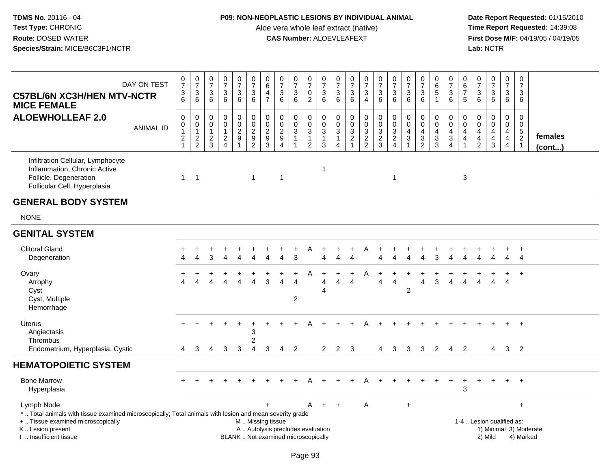## **P09: NON-NEOPLASTIC LESIONS BY INDIVIDUAL ANIMAL**

Aloe vera whole leaf extract (native)<br>**CAS Number:** ALOEVLEAFEXT

| DAY ON TEST<br><b>C57BL/6N XC3H/HEN MTV-NCTR</b><br><b>MICE FEMALE</b>                                                                                                                        | $\begin{array}{c} 0 \\ 7 \end{array}$<br>$\frac{3}{6}$                 | $\frac{0}{7}$<br>$\sqrt{3}$<br>$6\phantom{a}$                                    | $\frac{0}{7}$<br>$\sqrt{3}$<br>6                  | $\begin{smallmatrix}0\\7\end{smallmatrix}$<br>$\sqrt{3}$<br>$6\phantom{1}$ | $\begin{array}{c} 0 \\ 7 \end{array}$<br>$\mathbf{3}$<br>$6^{\circ}$                   | $\frac{0}{7}$<br>$\sqrt{3}$<br>6                            | 0<br>$6\phantom{a}$<br>$\overline{4}$<br>$\overline{7}$           | $\frac{0}{7}$<br>$\sqrt{3}$<br>6                                                 | $\frac{0}{7}$<br>$\ensuremath{\mathsf{3}}$<br>$6\phantom{1}$ | $\frac{0}{7}$<br>$\mathsf{O}\xspace$<br>$\overline{2}$                    | $\frac{0}{7}$<br>$\ensuremath{\mathsf{3}}$<br>6  | $\begin{array}{c} 0 \\ 7 \end{array}$<br>$\sqrt{3}$<br>6                           | $\begin{array}{c} 0 \\ 7 \end{array}$<br>$\sqrt{3}$<br>6  | $\begin{smallmatrix}0\\7\end{smallmatrix}$<br>$\ensuremath{\mathsf{3}}$<br>$\overline{4}$ | $\frac{0}{7}$<br>$\sqrt{3}$<br>6                                        | $\frac{0}{7}$<br>$\sqrt{3}$<br>6                               | $\begin{smallmatrix}0\\7\end{smallmatrix}$<br>$\sqrt{3}$<br>6                               | $\frac{0}{7}$<br>$\mathbf{3}$<br>$6\overline{6}$           | $\pmb{0}$<br>$\overline{6}$<br>5<br>$\mathbf{1}$             | 0<br>$\overline{7}$<br>3<br>$6\phantom{1}$                | $\pmb{0}$<br>$6\phantom{a}$<br>$\overline{7}$<br>5                 | $\frac{0}{7}$<br>$\sqrt{3}$<br>$6\phantom{1}$                                | $\frac{0}{7}$<br>$\mathbf{3}$<br>$6^{\circ}$                                                     | $\begin{array}{c} 0 \\ 7 \end{array}$<br>$\ensuremath{\mathsf{3}}$<br>6          | $\begin{array}{c} 0 \\ 7 \end{array}$<br>3<br>6               |                                     |
|-----------------------------------------------------------------------------------------------------------------------------------------------------------------------------------------------|------------------------------------------------------------------------|----------------------------------------------------------------------------------|---------------------------------------------------|----------------------------------------------------------------------------|----------------------------------------------------------------------------------------|-------------------------------------------------------------|-------------------------------------------------------------------|----------------------------------------------------------------------------------|--------------------------------------------------------------|---------------------------------------------------------------------------|--------------------------------------------------|------------------------------------------------------------------------------------|-----------------------------------------------------------|-------------------------------------------------------------------------------------------|-------------------------------------------------------------------------|----------------------------------------------------------------|---------------------------------------------------------------------------------------------|------------------------------------------------------------|--------------------------------------------------------------|-----------------------------------------------------------|--------------------------------------------------------------------|------------------------------------------------------------------------------|--------------------------------------------------------------------------------------------------|----------------------------------------------------------------------------------|---------------------------------------------------------------|-------------------------------------|
| <b>ALOEWHOLLEAF 2.0</b><br><b>ANIMAL ID</b>                                                                                                                                                   | $\mathsf 0$<br>0<br>$\overline{1}$<br>$\boldsymbol{2}$<br>$\mathbf{1}$ | $\pmb{0}$<br>$\mathsf{O}\xspace$<br>$\mathbf{1}$<br>$\sqrt{2}$<br>$\overline{2}$ | 0<br>$\mathbf 0$<br>$\mathbf{1}$<br>$\frac{2}{3}$ | $\pmb{0}$<br>$\pmb{0}$<br>$\mathbf{1}$<br>$\frac{2}{4}$                    | $\mathbf 0$<br>$\mathsf{O}\xspace$<br>$\sqrt{2}$<br>$\boldsymbol{9}$<br>$\overline{1}$ | $\pmb{0}$<br>$\mathbf 0$<br>$\overline{2}$<br>$\frac{9}{2}$ | $\pmb{0}$<br>$\pmb{0}$<br>$\overline{2}$<br>$\boldsymbol{9}$<br>3 | $\pmb{0}$<br>$\mathbf 0$<br>$\overline{2}$<br>$\boldsymbol{9}$<br>$\overline{4}$ | 0<br>$\mathbf 0$<br>3<br>$\mathbf{1}$                        | $\pmb{0}$<br>$\begin{array}{c} 0 \\ 3 \\ 1 \end{array}$<br>$\overline{c}$ | 0<br>0<br>3<br>$\mathbf{1}$<br>3                 | $\pmb{0}$<br>$\mathsf{O}\xspace$<br>$\mathbf{3}$<br>$\mathbf{1}$<br>$\overline{4}$ | $\pmb{0}$<br>$\pmb{0}$<br>$\frac{3}{2}$<br>$\overline{1}$ | $\mathbf 0$<br>$\mathbf 0$<br>$\mathsf 3$<br>$\overline{2}$<br>$\overline{2}$             | $\pmb{0}$<br>$\begin{array}{c} 0 \\ 3 \\ 2 \end{array}$<br>$\mathbf{3}$ | 0<br>$\pmb{0}$<br>$\mathbf{3}$<br>$\sqrt{2}$<br>$\overline{4}$ | $\mathbf 0$<br>$\mathbf 0$<br>$\overline{4}$<br>$\ensuremath{\mathsf{3}}$<br>$\overline{1}$ | 0<br>$\pmb{0}$<br>$\overline{\mathbf{4}}$<br>$\frac{3}{2}$ | 0<br>$\mathbf 0$<br>$\overline{\mathbf{4}}$<br>$\frac{3}{3}$ | 0<br>$\mathbf 0$<br>$\overline{4}$<br>3<br>$\overline{4}$ | 0<br>$\mathbf 0$<br>4<br>$\overline{\mathbf{4}}$<br>$\overline{1}$ | $\pmb{0}$<br>$\pmb{0}$<br>$\overline{4}$<br>$\overline{4}$<br>$\overline{2}$ | 0<br>$\mathsf{O}\xspace$<br>$\overline{\mathbf{4}}$<br>$\overline{\mathbf{4}}$<br>$\mathfrak{Z}$ | $\mathbf 0$<br>$\mathbf 0$<br>$\overline{4}$<br>$\overline{4}$<br>$\overline{4}$ | $\mathbf 0$<br>$\mathbf 0$<br>$\frac{5}{2}$<br>$\overline{1}$ | females<br>(cont)                   |
| Infiltration Cellular, Lymphocyte<br>Inflammation, Chronic Active<br>Follicle, Degeneration<br>Follicular Cell, Hyperplasia                                                                   | $\mathbf{1}$                                                           | $\overline{1}$                                                                   |                                                   |                                                                            |                                                                                        | $\overline{1}$                                              |                                                                   | $\mathbf{1}$                                                                     |                                                              |                                                                           | $\mathbf{1}$                                     |                                                                                    |                                                           |                                                                                           |                                                                         | $\overline{1}$                                                 |                                                                                             |                                                            |                                                              |                                                           | 3                                                                  |                                                                              |                                                                                                  |                                                                                  |                                                               |                                     |
| <b>GENERAL BODY SYSTEM</b>                                                                                                                                                                    |                                                                        |                                                                                  |                                                   |                                                                            |                                                                                        |                                                             |                                                                   |                                                                                  |                                                              |                                                                           |                                                  |                                                                                    |                                                           |                                                                                           |                                                                         |                                                                |                                                                                             |                                                            |                                                              |                                                           |                                                                    |                                                                              |                                                                                                  |                                                                                  |                                                               |                                     |
| <b>NONE</b>                                                                                                                                                                                   |                                                                        |                                                                                  |                                                   |                                                                            |                                                                                        |                                                             |                                                                   |                                                                                  |                                                              |                                                                           |                                                  |                                                                                    |                                                           |                                                                                           |                                                                         |                                                                |                                                                                             |                                                            |                                                              |                                                           |                                                                    |                                                                              |                                                                                                  |                                                                                  |                                                               |                                     |
| <b>GENITAL SYSTEM</b>                                                                                                                                                                         |                                                                        |                                                                                  |                                                   |                                                                            |                                                                                        |                                                             |                                                                   |                                                                                  |                                                              |                                                                           |                                                  |                                                                                    |                                                           |                                                                                           |                                                                         |                                                                |                                                                                             |                                                            |                                                              |                                                           |                                                                    |                                                                              |                                                                                                  |                                                                                  |                                                               |                                     |
| <b>Clitoral Gland</b><br>Degeneration                                                                                                                                                         |                                                                        |                                                                                  | 3                                                 |                                                                            |                                                                                        |                                                             |                                                                   |                                                                                  | 3                                                            |                                                                           |                                                  |                                                                                    | $\overline{\Lambda}$                                      |                                                                                           |                                                                         |                                                                |                                                                                             |                                                            |                                                              |                                                           |                                                                    |                                                                              |                                                                                                  | Δ                                                                                | $\ddot{}$<br>$\overline{4}$                                   |                                     |
| Ovary<br>Atrophy<br>Cyst<br>Cyst, Multiple<br>Hemorrhage                                                                                                                                      |                                                                        |                                                                                  |                                                   |                                                                            |                                                                                        | Λ                                                           | 3                                                                 | Δ                                                                                | $\overline{4}$<br>$\overline{\mathbf{c}}$                    | A                                                                         | $\boldsymbol{\Lambda}$<br>$\boldsymbol{\Lambda}$ |                                                                                    | $\boldsymbol{\varLambda}$                                 |                                                                                           | Δ                                                                       | 4                                                              | $\overline{c}$                                                                              | 4                                                          | 3                                                            | $\Delta$                                                  |                                                                    |                                                                              | Δ                                                                                                | $\boldsymbol{\Lambda}$                                                           | $+$                                                           |                                     |
| <b>Uterus</b><br>Angiectasis<br>Thrombus<br>Endometrium, Hyperplasia, Cystic                                                                                                                  | 4                                                                      | 3                                                                                | 4                                                 | 3                                                                          | 3                                                                                      | 3<br>2<br>$\overline{4}$                                    | 3                                                                 | 4                                                                                | 2                                                            |                                                                           | $\overline{2}$                                   | $\overline{2}$                                                                     | 3                                                         |                                                                                           | $\overline{4}$                                                          | 3                                                              | 3                                                                                           | 3                                                          | $\overline{2}$                                               | 4                                                         | 2                                                                  |                                                                              | $\overline{4}$                                                                                   | 3                                                                                | $\overline{2}$                                                |                                     |
| <b>HEMATOPOIETIC SYSTEM</b>                                                                                                                                                                   |                                                                        |                                                                                  |                                                   |                                                                            |                                                                                        |                                                             |                                                                   |                                                                                  |                                                              |                                                                           |                                                  |                                                                                    |                                                           |                                                                                           |                                                                         |                                                                |                                                                                             |                                                            |                                                              |                                                           |                                                                    |                                                                              |                                                                                                  |                                                                                  |                                                               |                                     |
| <b>Bone Marrow</b><br>Hyperplasia                                                                                                                                                             |                                                                        |                                                                                  |                                                   |                                                                            |                                                                                        |                                                             |                                                                   |                                                                                  |                                                              |                                                                           |                                                  |                                                                                    |                                                           |                                                                                           |                                                                         |                                                                |                                                                                             |                                                            |                                                              |                                                           | 3                                                                  |                                                                              |                                                                                                  |                                                                                  | $\div$                                                        |                                     |
| Lymph Node                                                                                                                                                                                    |                                                                        |                                                                                  |                                                   |                                                                            |                                                                                        |                                                             | $\ddot{}$                                                         |                                                                                  |                                                              | A                                                                         | $+$                                              | $+$                                                                                |                                                           | A                                                                                         |                                                                         |                                                                | $+$                                                                                         |                                                            |                                                              |                                                           |                                                                    |                                                                              |                                                                                                  |                                                                                  | $\ddot{}$                                                     |                                     |
| *  Total animals with tissue examined microscopically; Total animals with lesion and mean severity grade<br>+  Tissue examined microscopically<br>X  Lesion present<br>I. Insufficient tissue |                                                                        |                                                                                  |                                                   |                                                                            |                                                                                        | M  Missing tissue                                           |                                                                   | A  Autolysis precludes evaluation<br>BLANK  Not examined microscopically         |                                                              |                                                                           |                                                  |                                                                                    |                                                           |                                                                                           |                                                                         |                                                                |                                                                                             |                                                            |                                                              |                                                           |                                                                    | 1-4  Lesion qualified as:                                                    | 2) Mild                                                                                          |                                                                                  |                                                               | 1) Minimal 3) Moderate<br>4) Marked |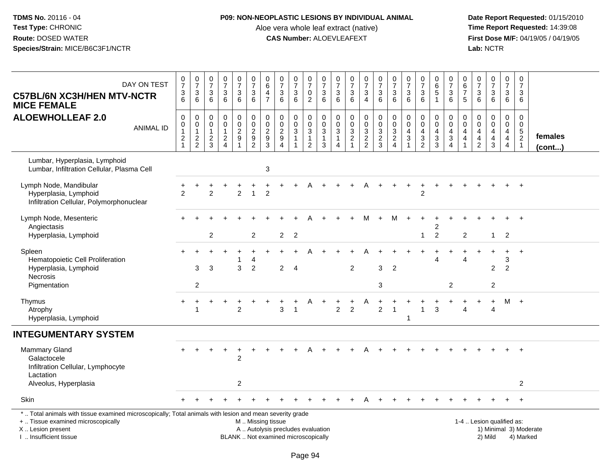## **P09: NON-NEOPLASTIC LESIONS BY INDIVIDUAL ANIMAL**

Aloe vera whole leaf extract (native)<br>**CAS Number:** ALOEVLEAFEXT

| DAY ON TEST<br><b>C57BL/6N XC3H/HEN MTV-NCTR</b><br><b>MICE FEMALE</b>                                                                                                                        | $\frac{0}{7}$<br>$\frac{3}{6}$       | $\frac{0}{7}$<br>$\mathbf{3}$<br>6                      | $\begin{array}{c} 0 \\ 7 \end{array}$<br>$\sqrt{3}$<br>6    | $\frac{0}{7}$<br>$\sqrt{3}$<br>6                        | 0<br>$\overline{7}$<br>$\ensuremath{\mathsf{3}}$<br>6 | $\begin{array}{c} 0 \\ 7 \end{array}$<br>$\sqrt{3}$<br>6               | 0<br>$\overline{6}$<br>4<br>$\overline{7}$     | $\frac{0}{7}$<br>$\sqrt{3}$<br>6                                         | $\frac{0}{7}$<br>3<br>6                                                  | $\frac{0}{7}$<br>$\frac{0}{2}$                                         | $\frac{0}{7}$<br>$\frac{3}{6}$                                            | $\frac{0}{7}$<br>$\frac{3}{6}$                                                   | $\frac{0}{7}$<br>$\sqrt{3}$<br>6          | $\frac{0}{7}$<br>3<br>$\overline{4}$ | $\frac{0}{7}$<br>$\ensuremath{\mathsf{3}}$<br>6   | $\frac{0}{7}$<br>3<br>6                                       | $\begin{array}{c} 0 \\ 7 \end{array}$<br>$\sqrt{3}$<br>6    | $\frac{0}{7}$<br>$\frac{3}{6}$                                      | $\pmb{0}$<br>$\overline{6}$<br>$\sqrt{5}$<br>$\overline{1}$   | $\pmb{0}$<br>$\overline{7}$<br>$\frac{3}{6}$                  | 0<br>6<br>$\overline{7}$<br>5                                                  | $\begin{array}{c} 0 \\ 7 \end{array}$<br>$\mathbf{3}$<br>6       | $\frac{0}{7}$<br>$\mathbf{3}$<br>6                        | 0<br>$\overline{7}$<br>$\mathfrak{Z}$<br>6                                      | $\pmb{0}$<br>$\overline{7}$<br>$\mathbf{3}$<br>6                           |                         |
|-----------------------------------------------------------------------------------------------------------------------------------------------------------------------------------------------|--------------------------------------|---------------------------------------------------------|-------------------------------------------------------------|---------------------------------------------------------|-------------------------------------------------------|------------------------------------------------------------------------|------------------------------------------------|--------------------------------------------------------------------------|--------------------------------------------------------------------------|------------------------------------------------------------------------|---------------------------------------------------------------------------|----------------------------------------------------------------------------------|-------------------------------------------|--------------------------------------|---------------------------------------------------|---------------------------------------------------------------|-------------------------------------------------------------|---------------------------------------------------------------------|---------------------------------------------------------------|---------------------------------------------------------------|--------------------------------------------------------------------------------|------------------------------------------------------------------|-----------------------------------------------------------|---------------------------------------------------------------------------------|----------------------------------------------------------------------------|-------------------------|
| <b>ALOEWHOLLEAF 2.0</b><br><b>ANIMAL ID</b>                                                                                                                                                   | $\pmb{0}$<br>0<br>1<br>$\frac{2}{1}$ | $\pmb{0}$<br>$\pmb{0}$<br>$\mathbf{1}$<br>$\frac{2}{2}$ | $\mathbf 0$<br>$\mathbf 0$<br>$\mathbf{1}$<br>$\frac{2}{3}$ | $\pmb{0}$<br>$\pmb{0}$<br>$\mathbf{1}$<br>$\frac{2}{4}$ | 0<br>$\mathbf 0$<br>$\frac{2}{9}$<br>$\overline{ }$   | $\mathbf 0$<br>$\pmb{0}$<br>$\begin{array}{c} 2 \\ 9 \\ 2 \end{array}$ | $\mathbf 0$<br>$\pmb{0}$<br>$\frac{2}{9}$<br>3 | $\pmb{0}$<br>$\overline{0}$<br>$\frac{2}{9}$                             | $\pmb{0}$<br>$\pmb{0}$<br>$\mathbf{3}$<br>$\mathbf{1}$<br>$\overline{1}$ | $\pmb{0}$<br>$\pmb{0}$<br>$\sqrt{3}$<br>$\mathbf{1}$<br>$\overline{2}$ | $\mathsf{O}\xspace$<br>$\pmb{0}$<br>$\overline{3}$<br>$\overline{1}$<br>3 | $\pmb{0}$<br>$\pmb{0}$<br>$\sqrt{3}$<br>$\overline{1}$<br>$\boldsymbol{\Lambda}$ | $\mathbf 0$<br>$\pmb{0}$<br>$\frac{3}{2}$ | 0<br>$\pmb{0}$<br>3<br>$\frac{2}{2}$ | $\pmb{0}$<br>$\ddot{\mathbf{0}}$<br>$\frac{3}{2}$ | $\boldsymbol{0}$<br>$\ddot{\mathbf{0}}$<br>3<br>$\frac{2}{4}$ | $\pmb{0}$<br>$\mathbf 0$<br>$\overline{4}$<br>$\frac{3}{1}$ | $\pmb{0}$<br>$\ddot{\mathbf{0}}$<br>$\overline{4}$<br>$\frac{3}{2}$ | $\mathbf 0$<br>$\mathbf 0$<br>$\overline{4}$<br>$\frac{3}{3}$ | $\mathbf 0$<br>$\mathbf 0$<br>$\overline{4}$<br>$\frac{3}{4}$ | $\mathbf 0$<br>$\mathbf 0$<br>$\overline{4}$<br>$\overline{a}$<br>$\mathbf{1}$ | $\mathbf 0$<br>$\overline{0}$<br>$\overline{4}$<br>$\frac{4}{2}$ | 0<br>$\mathbf 0$<br>$\overline{4}$<br>$\overline{4}$<br>3 | 0<br>$\mathbf 0$<br>$\overline{4}$<br>$\overline{\mathbf{4}}$<br>$\overline{4}$ | $\mathsf 0$<br>$\mathbf 0$<br>$\sqrt{5}$<br>$\overline{2}$<br>$\mathbf{1}$ | females<br>$($ cont $)$ |
| Lumbar, Hyperplasia, Lymphoid<br>Lumbar, Infiltration Cellular, Plasma Cell                                                                                                                   |                                      |                                                         |                                                             |                                                         |                                                       |                                                                        | 3                                              |                                                                          |                                                                          |                                                                        |                                                                           |                                                                                  |                                           |                                      |                                                   |                                                               |                                                             |                                                                     |                                                               |                                                               |                                                                                |                                                                  |                                                           |                                                                                 |                                                                            |                         |
| Lymph Node, Mandibular<br>Hyperplasia, Lymphoid<br>Infiltration Cellular, Polymorphonuclear                                                                                                   | $\mathcal{P}$                        |                                                         | $\overline{2}$                                              |                                                         | $\overline{2}$                                        | $\mathbf{1}$                                                           | $\overline{2}$                                 |                                                                          |                                                                          |                                                                        |                                                                           |                                                                                  |                                           |                                      |                                                   |                                                               |                                                             | $\overline{2}$                                                      |                                                               |                                                               |                                                                                |                                                                  |                                                           |                                                                                 | $\overline{+}$                                                             |                         |
| Lymph Node, Mesenteric<br>Angiectasis<br>Hyperplasia, Lymphoid                                                                                                                                |                                      |                                                         | $\overline{c}$                                              |                                                         |                                                       | 2                                                                      |                                                | $\overline{2}$                                                           | $\overline{2}$                                                           |                                                                        |                                                                           |                                                                                  |                                           | М                                    |                                                   | м                                                             |                                                             | -1                                                                  | 2<br>$\overline{2}$                                           |                                                               | $\overline{\mathbf{c}}$                                                        |                                                                  | $\mathbf{1}$                                              | $\overline{2}$                                                                  |                                                                            |                         |
| Spleen<br>Hematopoietic Cell Proliferation<br>Hyperplasia, Lymphoid<br>Necrosis                                                                                                               |                                      | 3                                                       | 3                                                           |                                                         | 1<br>3                                                | 4<br>$\overline{c}$                                                    |                                                | $\overline{2}$                                                           | $\overline{4}$                                                           |                                                                        |                                                                           |                                                                                  | $\overline{c}$                            |                                      | 3                                                 | $\overline{2}$                                                |                                                             |                                                                     | 4                                                             |                                                               | 4                                                                              |                                                                  | $\overline{c}$                                            | 3<br>$\overline{c}$                                                             | $\ddot{}$                                                                  |                         |
| Pigmentation                                                                                                                                                                                  |                                      | $\overline{2}$                                          |                                                             |                                                         |                                                       |                                                                        |                                                |                                                                          |                                                                          |                                                                        |                                                                           |                                                                                  |                                           |                                      | 3                                                 |                                                               |                                                             |                                                                     |                                                               | $\overline{2}$                                                |                                                                                |                                                                  | $\overline{c}$                                            |                                                                                 |                                                                            |                         |
| Thymus<br>Atrophy<br>Hyperplasia, Lymphoid                                                                                                                                                    | $\ddot{}$                            | $\overline{1}$                                          |                                                             |                                                         | $\overline{2}$                                        |                                                                        |                                                | 3                                                                        | $\mathbf{1}$                                                             |                                                                        |                                                                           | $\overline{2}$                                                                   | $\overline{2}$                            |                                      | $\overline{2}$                                    | $\overline{1}$                                                | $\mathbf{1}$                                                | $\mathbf{1}$                                                        | $\mathbf{3}$                                                  |                                                               | 4                                                                              |                                                                  | $\overline{4}$                                            |                                                                                 | $M +$                                                                      |                         |
| <b>INTEGUMENTARY SYSTEM</b>                                                                                                                                                                   |                                      |                                                         |                                                             |                                                         |                                                       |                                                                        |                                                |                                                                          |                                                                          |                                                                        |                                                                           |                                                                                  |                                           |                                      |                                                   |                                                               |                                                             |                                                                     |                                                               |                                                               |                                                                                |                                                                  |                                                           |                                                                                 |                                                                            |                         |
| <b>Mammary Gland</b><br>Galactocele<br>Infiltration Cellular, Lymphocyte<br>Lactation                                                                                                         |                                      |                                                         |                                                             |                                                         | $\overline{c}$                                        |                                                                        |                                                |                                                                          |                                                                          |                                                                        |                                                                           |                                                                                  |                                           |                                      |                                                   |                                                               |                                                             |                                                                     |                                                               |                                                               |                                                                                |                                                                  |                                                           |                                                                                 |                                                                            |                         |
| Alveolus, Hyperplasia                                                                                                                                                                         |                                      |                                                         |                                                             |                                                         | $\overline{\mathbf{c}}$                               |                                                                        |                                                |                                                                          |                                                                          |                                                                        |                                                                           |                                                                                  |                                           |                                      |                                                   |                                                               |                                                             |                                                                     |                                                               |                                                               |                                                                                |                                                                  |                                                           |                                                                                 | 2                                                                          |                         |
| <b>Skin</b>                                                                                                                                                                                   |                                      |                                                         |                                                             |                                                         |                                                       |                                                                        |                                                |                                                                          |                                                                          |                                                                        |                                                                           |                                                                                  |                                           |                                      |                                                   |                                                               |                                                             |                                                                     |                                                               |                                                               |                                                                                |                                                                  |                                                           |                                                                                 |                                                                            |                         |
| *  Total animals with tissue examined microscopically; Total animals with lesion and mean severity grade<br>+  Tissue examined microscopically<br>X  Lesion present<br>I. Insufficient tissue |                                      |                                                         |                                                             |                                                         |                                                       | M. Missing tissue                                                      |                                                | A  Autolysis precludes evaluation<br>BLANK  Not examined microscopically |                                                                          |                                                                        |                                                                           |                                                                                  |                                           |                                      |                                                   |                                                               |                                                             |                                                                     |                                                               |                                                               |                                                                                | 1-4  Lesion qualified as:                                        | 2) Mild                                                   |                                                                                 | 4) Marked                                                                  | 1) Minimal 3) Moderate  |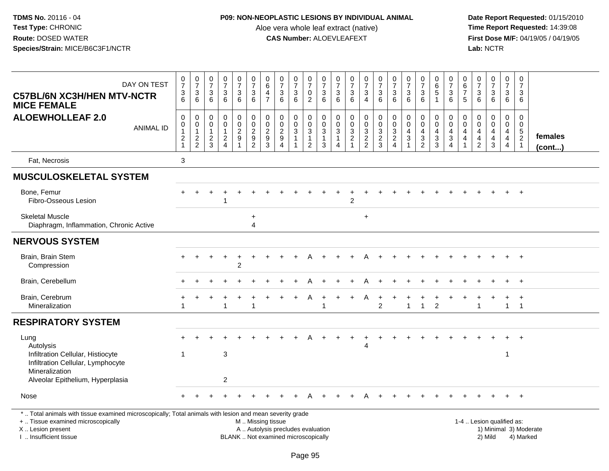## **P09: NON-NEOPLASTIC LESIONS BY INDIVIDUAL ANIMAL**

Aloe vera whole leaf extract (native)<br>**CAS Number:** ALOEVLEAFEXT

 **Date Report Requested:** 01/15/2010 **First Dose M/F:** 04/19/05 / 04/19/05<br>Lab: NCTR **Lab:** NCTR

| DAY ON TEST<br><b>C57BL/6N XC3H/HEN MTV-NCTR</b><br><b>MICE FEMALE</b>                                                                                              | $\frac{0}{7}$<br>$\frac{3}{6}$                                               | $\frac{0}{7}$<br>$\mathbf{3}$<br>6                                   | 0<br>$\overline{7}$<br>$\mathbf{3}$<br>6  | $\frac{0}{7}$<br>$\frac{3}{6}$                                                | $\frac{0}{7}$<br>3<br>$6\phantom{1}$ | $\frac{0}{7}$<br>$\sqrt{3}$<br>$6\phantom{1}6$                                                       | $\begin{array}{c} 0 \\ 6 \end{array}$<br>4<br>$\overline{7}$  | $\frac{0}{7}$<br>$\ensuremath{\mathsf{3}}$<br>$6\overline{6}$                              | $\frac{0}{7}$<br>$\mathbf{3}$<br>6               | $\frac{0}{7}$<br>$\mathsf{O}$<br>$\overline{2}$                              | $\frac{0}{7}$<br>$^3$ 6                               | $\frac{0}{7}$<br>$\sqrt{3}$<br>6                      | $\frac{0}{7}$<br>$\sqrt{3}$<br>6                                                 | $\frac{0}{7}$<br>3<br>$\overline{4}$                              | $\frac{0}{7}$<br>$\frac{3}{6}$ | $\frac{0}{7}$<br>$\mathbf{3}$<br>6                                                                 | 0<br>$\overline{7}$<br>$\mathbf{3}$<br>6 | $\frac{0}{7}$<br>$\frac{3}{6}$                                            | $_{6}^{\rm 0}$<br>$\sqrt{5}$<br>$\overline{1}$                                | $\pmb{0}$<br>$\overline{7}$<br>$\sqrt{3}$<br>6                                              | 0<br>$\,6\,$<br>$\overline{7}$<br>5     | $\frac{0}{7}$<br>$\frac{3}{6}$                      | $\frac{0}{7}$<br>$\mathbf{3}$<br>6              | 0<br>$\boldsymbol{7}$<br>3<br>$6\phantom{1}$                                    | $\mathbf 0$<br>$\overline{7}$<br>3<br>6             |                         |
|---------------------------------------------------------------------------------------------------------------------------------------------------------------------|------------------------------------------------------------------------------|----------------------------------------------------------------------|-------------------------------------------|-------------------------------------------------------------------------------|--------------------------------------|------------------------------------------------------------------------------------------------------|---------------------------------------------------------------|--------------------------------------------------------------------------------------------|--------------------------------------------------|------------------------------------------------------------------------------|-------------------------------------------------------|-------------------------------------------------------|----------------------------------------------------------------------------------|-------------------------------------------------------------------|--------------------------------|----------------------------------------------------------------------------------------------------|------------------------------------------|---------------------------------------------------------------------------|-------------------------------------------------------------------------------|---------------------------------------------------------------------------------------------|-----------------------------------------|-----------------------------------------------------|-------------------------------------------------|---------------------------------------------------------------------------------|-----------------------------------------------------|-------------------------|
| <b>ALOEWHOLLEAF 2.0</b><br><b>ANIMAL ID</b>                                                                                                                         | $\pmb{0}$<br>$\pmb{0}$<br>$\overline{1}$<br>$\overline{c}$<br>$\overline{1}$ | 0<br>$\pmb{0}$<br>$\mathbf{1}$<br>$\boldsymbol{2}$<br>$\overline{2}$ | 0<br>0<br>$\mathbf{1}$<br>$\sqrt{2}$<br>3 | $\mathbf 0$<br>$\overline{0}$<br>$\mathbf{1}$<br>$\sqrt{2}$<br>$\overline{A}$ | 0<br>0<br>$\overline{c}$<br>$9\,$    | $\begin{smallmatrix} 0\\0 \end{smallmatrix}$<br>$\overline{2}$<br>$\boldsymbol{9}$<br>$\overline{2}$ | 0<br>$\mathbf 0$<br>$\boldsymbol{2}$<br>$\boldsymbol{9}$<br>3 | $\pmb{0}$<br>$\mathbf 0$<br>$\overline{2}$<br>$\boldsymbol{9}$<br>$\boldsymbol{\varDelta}$ | 0<br>$\pmb{0}$<br>$\overline{3}$<br>$\mathbf{1}$ | 0<br>$\mathsf{O}\xspace$<br>$\overline{3}$<br>$\mathbf{1}$<br>$\overline{2}$ | 0<br>$\pmb{0}$<br>$\overline{3}$<br>$\mathbf{1}$<br>3 | 0<br>$\mathbf 0$<br>$\sqrt{3}$<br>$\overline{1}$<br>4 | $\mathbf 0$<br>$\mathbf 0$<br>$\overline{3}$<br>$\overline{2}$<br>$\overline{1}$ | 0<br>$\overline{0}$<br>$\ensuremath{\mathsf{3}}$<br>$\frac{2}{2}$ | $0003$<br>$23$                 | $\begin{smallmatrix} 0\\0 \end{smallmatrix}$<br>$\overline{3}$<br>$\overline{2}$<br>$\overline{4}$ | 0<br>0<br>4<br>$\sqrt{3}$                | $\mathbf 0$<br>$\overline{0}$<br>$\overline{\mathbf{4}}$<br>$\frac{3}{2}$ | 0<br>$\mathbf 0$<br>$\overline{\mathbf{4}}$<br>$\ensuremath{\mathsf{3}}$<br>3 | $\pmb{0}$<br>$\mathbf 0$<br>$\begin{array}{c} 4 \\ 3 \end{array}$<br>$\boldsymbol{\Lambda}$ | 0<br>$\mathbf 0$<br>4<br>$\overline{4}$ | 0<br>$\mathbf 0$<br>$\overline{4}$<br>$\frac{4}{2}$ | 0<br>$\overline{0}$<br>4<br>$\overline{4}$<br>3 | 0<br>$\mathbf 0$<br>$\overline{4}$<br>$\overline{\mathbf{4}}$<br>$\overline{4}$ | 0<br>$\mathbf 0$<br>$\frac{5}{2}$<br>$\overline{1}$ | females<br>$($ cont $)$ |
| Fat, Necrosis                                                                                                                                                       | 3                                                                            |                                                                      |                                           |                                                                               |                                      |                                                                                                      |                                                               |                                                                                            |                                                  |                                                                              |                                                       |                                                       |                                                                                  |                                                                   |                                |                                                                                                    |                                          |                                                                           |                                                                               |                                                                                             |                                         |                                                     |                                                 |                                                                                 |                                                     |                         |
| <b>MUSCULOSKELETAL SYSTEM</b>                                                                                                                                       |                                                                              |                                                                      |                                           |                                                                               |                                      |                                                                                                      |                                                               |                                                                                            |                                                  |                                                                              |                                                       |                                                       |                                                                                  |                                                                   |                                |                                                                                                    |                                          |                                                                           |                                                                               |                                                                                             |                                         |                                                     |                                                 |                                                                                 |                                                     |                         |
| Bone, Femur<br>Fibro-Osseous Lesion                                                                                                                                 |                                                                              |                                                                      |                                           |                                                                               |                                      |                                                                                                      |                                                               |                                                                                            |                                                  |                                                                              |                                                       |                                                       | $\mathfrak{p}$                                                                   |                                                                   |                                |                                                                                                    |                                          |                                                                           |                                                                               |                                                                                             |                                         |                                                     |                                                 |                                                                                 | $^{+}$                                              |                         |
| <b>Skeletal Muscle</b><br>Diaphragm, Inflammation, Chronic Active                                                                                                   |                                                                              |                                                                      |                                           |                                                                               |                                      | $\ddot{}$<br>$\overline{4}$                                                                          |                                                               |                                                                                            |                                                  |                                                                              |                                                       |                                                       |                                                                                  | $\ddot{}$                                                         |                                |                                                                                                    |                                          |                                                                           |                                                                               |                                                                                             |                                         |                                                     |                                                 |                                                                                 |                                                     |                         |
| <b>NERVOUS SYSTEM</b>                                                                                                                                               |                                                                              |                                                                      |                                           |                                                                               |                                      |                                                                                                      |                                                               |                                                                                            |                                                  |                                                                              |                                                       |                                                       |                                                                                  |                                                                   |                                |                                                                                                    |                                          |                                                                           |                                                                               |                                                                                             |                                         |                                                     |                                                 |                                                                                 |                                                     |                         |
| Brain, Brain Stem<br>Compression                                                                                                                                    |                                                                              |                                                                      |                                           |                                                                               | $\overline{c}$                       |                                                                                                      |                                                               |                                                                                            |                                                  |                                                                              |                                                       |                                                       |                                                                                  |                                                                   |                                |                                                                                                    |                                          |                                                                           |                                                                               |                                                                                             |                                         |                                                     |                                                 | $+$                                                                             | $+$                                                 |                         |
| Brain, Cerebellum                                                                                                                                                   |                                                                              |                                                                      |                                           |                                                                               |                                      |                                                                                                      |                                                               |                                                                                            |                                                  |                                                                              |                                                       |                                                       |                                                                                  |                                                                   |                                |                                                                                                    |                                          |                                                                           |                                                                               |                                                                                             |                                         |                                                     |                                                 |                                                                                 | $\overline{1}$                                      |                         |
| Brain, Cerebrum<br>Mineralization                                                                                                                                   |                                                                              |                                                                      |                                           | -1                                                                            |                                      | 1                                                                                                    |                                                               |                                                                                            |                                                  |                                                                              | -1                                                    |                                                       |                                                                                  |                                                                   | $\overline{2}$                 |                                                                                                    | $\mathbf{1}$                             | $\overline{1}$                                                            | $\overline{2}$                                                                |                                                                                             |                                         | -1                                                  |                                                 | $\ddot{}$<br>$\mathbf{1}$                                                       | $\overline{1}$<br>$\overline{1}$                    |                         |
| <b>RESPIRATORY SYSTEM</b>                                                                                                                                           |                                                                              |                                                                      |                                           |                                                                               |                                      |                                                                                                      |                                                               |                                                                                            |                                                  |                                                                              |                                                       |                                                       |                                                                                  |                                                                   |                                |                                                                                                    |                                          |                                                                           |                                                                               |                                                                                             |                                         |                                                     |                                                 |                                                                                 |                                                     |                         |
| Lung<br>Autolysis<br>Infiltration Cellular, Histiocyte<br>Infiltration Cellular, Lymphocyte                                                                         | -1                                                                           |                                                                      |                                           | $\mathbf{3}$                                                                  |                                      |                                                                                                      |                                                               |                                                                                            |                                                  |                                                                              |                                                       |                                                       |                                                                                  | Δ                                                                 |                                |                                                                                                    |                                          |                                                                           |                                                                               |                                                                                             |                                         |                                                     |                                                 | $\mathbf 1$                                                                     |                                                     |                         |
| Mineralization<br>Alveolar Epithelium, Hyperplasia                                                                                                                  |                                                                              |                                                                      |                                           | $\overline{c}$                                                                |                                      |                                                                                                      |                                                               |                                                                                            |                                                  |                                                                              |                                                       |                                                       |                                                                                  |                                                                   |                                |                                                                                                    |                                          |                                                                           |                                                                               |                                                                                             |                                         |                                                     |                                                 |                                                                                 |                                                     |                         |
| Nose                                                                                                                                                                |                                                                              |                                                                      |                                           |                                                                               |                                      |                                                                                                      |                                                               |                                                                                            |                                                  |                                                                              |                                                       |                                                       |                                                                                  |                                                                   |                                |                                                                                                    |                                          |                                                                           |                                                                               |                                                                                             |                                         |                                                     |                                                 |                                                                                 | $+$                                                 |                         |
| *  Total animals with tissue examined microscopically; Total animals with lesion and mean severity grade<br>+  Tissue examined microscopically<br>X  Lesion present |                                                                              |                                                                      |                                           |                                                                               |                                      | M  Missing tissue                                                                                    |                                                               | A  Autolysis precludes evaluation                                                          |                                                  |                                                                              |                                                       |                                                       |                                                                                  |                                                                   |                                |                                                                                                    |                                          |                                                                           |                                                                               |                                                                                             |                                         |                                                     | 1-4  Lesion qualified as:                       |                                                                                 | 1) Minimal 3) Moderate                              |                         |

I .. Insufficient tissue

BLANK .. Not examined microscopically and the contract of the contract of the contract of Modellin 2) Mild 4) Marked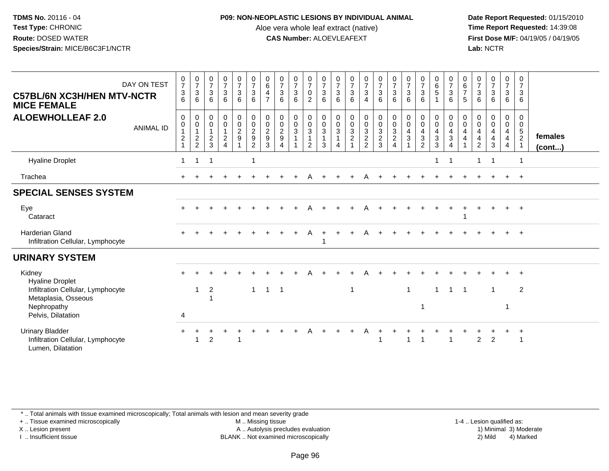## **P09: NON-NEOPLASTIC LESIONS BY INDIVIDUAL ANIMAL**

Aloe vera whole leaf extract (native)<br>**CAS Number:** ALOEVLEAFEXT

 **Date Report Requested:** 01/15/2010 **First Dose M/F:** 04/19/05 / 04/19/05<br>**Lab:** NCTR **Lab:** NCTR

| DAY ON TEST<br><b>C57BL/6N XC3H/HEN MTV-NCTR</b><br><b>MICE FEMALE</b>           | $\frac{0}{7}$<br>$\ensuremath{\mathsf{3}}$<br>6 | $\frac{0}{7}$<br>$\overline{3}$<br>6             | $\frac{0}{7}$<br>$\overline{3}$<br>6                | $\begin{array}{c} 0 \\ 7 \\ 3 \end{array}$<br>6            | $\begin{matrix} 0 \\ 7 \\ 3 \end{matrix}$<br>6  | $\frac{0}{7}$<br>$\mathbf{3}$<br>6       | $\begin{matrix} 0 \\ 6 \end{matrix}$<br>$\overline{4}$<br>$\overline{7}$ | $\begin{array}{c} 0 \\ 7 \end{array}$<br>$\ensuremath{\mathsf{3}}$<br>6 | $\frac{0}{7}$<br>$\mathbf{3}$<br>6     | $\frac{0}{7}$<br>$\pmb{0}$<br>2                                                     | $\frac{0}{7}$<br>$\sqrt{3}$<br>6           | $\begin{array}{c} 0 \\ 7 \\ 3 \end{array}$<br>6                              | $\frac{0}{7}$<br>$\overline{3}$<br>6            | $\frac{0}{7}$<br>$\overline{3}$<br>$\overline{4}$             | $\frac{0}{7}$<br>$\overline{3}$<br>6 | $\frac{0}{7}$<br>3<br>6                                                           | $\begin{matrix} 0 \\ 7 \\ 3 \end{matrix}$<br>6                | $\frac{0}{7}$<br>$\overline{3}$<br>6                                                            | $\begin{matrix} 0 \\ 6 \\ 5 \end{matrix}$     | $\frac{0}{7}$<br>$\overline{3}$<br>6                                           | $\begin{matrix} 0 \\ 6 \\ 7 \end{matrix}$<br>5 | $\begin{array}{c} 0 \\ 7 \\ 3 \end{array}$<br>6                                 | $\frac{0}{7}$<br>3<br>6                              | $\frac{0}{7}$<br>$\mathbf{3}$<br>6                                 | 0<br>$\overline{7}$<br>3<br>6          |                         |
|----------------------------------------------------------------------------------|-------------------------------------------------|--------------------------------------------------|-----------------------------------------------------|------------------------------------------------------------|-------------------------------------------------|------------------------------------------|--------------------------------------------------------------------------|-------------------------------------------------------------------------|----------------------------------------|-------------------------------------------------------------------------------------|--------------------------------------------|------------------------------------------------------------------------------|-------------------------------------------------|---------------------------------------------------------------|--------------------------------------|-----------------------------------------------------------------------------------|---------------------------------------------------------------|-------------------------------------------------------------------------------------------------|-----------------------------------------------|--------------------------------------------------------------------------------|------------------------------------------------|---------------------------------------------------------------------------------|------------------------------------------------------|--------------------------------------------------------------------|----------------------------------------|-------------------------|
| <b>ALOEWHOLLEAF 2.0</b><br><b>ANIMAL ID</b>                                      | 0<br>$\mathbf 0$<br>2                           | $\boldsymbol{0}$<br>$\mathbf 0$<br>$\frac{1}{2}$ | 0<br>$\mathbf 0$<br>$\mathbf{1}$<br>$\sqrt{2}$<br>3 | $_0^0$<br>$\mathbf{1}$<br>$\overline{a}$<br>$\overline{4}$ | $\begin{array}{c} 0 \\ 0 \\ 2 \\ 9 \end{array}$ | $_{\rm 0}^{\rm 0}$<br>$\frac{2}{9}$<br>2 | 0<br>$\mathbf 0$<br>$\frac{2}{9}$<br>3                                   | 00029                                                                   | $_0^0$<br>$\mathbf{3}$<br>$\mathbf{1}$ | $\begin{smallmatrix} 0\\0 \end{smallmatrix}$<br>$\mathbf{3}$<br>$\overline{1}$<br>2 | 0<br>$\boldsymbol{0}$<br>$\mathbf{3}$<br>3 | $\begin{smallmatrix} 0\\0 \end{smallmatrix}$<br>$\sqrt{3}$<br>$\overline{1}$ | $\begin{array}{c} 0 \\ 0 \\ 3 \\ 2 \end{array}$ | $\begin{smallmatrix} 0\\0 \end{smallmatrix}$<br>$\frac{3}{2}$ | $_{\rm 0}^{\rm 0}$<br>$\frac{3}{2}$  | $\begin{smallmatrix} 0\\0 \end{smallmatrix}$<br>3<br>$\overline{\mathbf{c}}$<br>4 | $\begin{smallmatrix} 0\\0 \end{smallmatrix}$<br>$\frac{4}{3}$ | $\begin{smallmatrix}0\0\0\end{smallmatrix}$<br>$\overline{4}$<br>$\mathbf{3}$<br>$\mathfrak{p}$ | $_0^0$<br>$\overline{4}$<br>$\mathbf{3}$<br>3 | $\begin{smallmatrix} 0\\0 \end{smallmatrix}$<br>$\overline{4}$<br>$\mathbf{3}$ | 0<br>$\mathbf 0$<br>4<br>4                     | 0<br>$\mathbf 0$<br>$\overline{\mathbf{4}}$<br>$\overline{4}$<br>$\overline{2}$ | 0<br>$\mathsf{O}\xspace$<br>$\overline{4}$<br>4<br>3 | $\begin{smallmatrix}0\0\0\end{smallmatrix}$<br>$\overline{4}$<br>4 | 0<br>0<br>$\sqrt{5}$<br>$\overline{2}$ | females<br>$($ cont $)$ |
| <b>Hyaline Droplet</b>                                                           |                                                 | 1                                                | -1                                                  |                                                            |                                                 | -1                                       |                                                                          |                                                                         |                                        |                                                                                     |                                            |                                                                              |                                                 |                                                               |                                      |                                                                                   |                                                               |                                                                                                 |                                               | -1                                                                             |                                                | 1                                                                               | $\overline{\mathbf{1}}$                              |                                                                    |                                        |                         |
| Trachea                                                                          |                                                 |                                                  |                                                     |                                                            |                                                 |                                          |                                                                          |                                                                         |                                        | A                                                                                   |                                            |                                                                              |                                                 | A                                                             |                                      |                                                                                   |                                                               |                                                                                                 |                                               |                                                                                |                                                |                                                                                 |                                                      |                                                                    | $+$                                    |                         |
| <b>SPECIAL SENSES SYSTEM</b>                                                     |                                                 |                                                  |                                                     |                                                            |                                                 |                                          |                                                                          |                                                                         |                                        |                                                                                     |                                            |                                                                              |                                                 |                                                               |                                      |                                                                                   |                                                               |                                                                                                 |                                               |                                                                                |                                                |                                                                                 |                                                      |                                                                    |                                        |                         |
| Eye<br>Cataract                                                                  |                                                 |                                                  |                                                     |                                                            |                                                 |                                          |                                                                          |                                                                         |                                        |                                                                                     |                                            |                                                                              |                                                 |                                                               |                                      |                                                                                   |                                                               |                                                                                                 |                                               |                                                                                |                                                |                                                                                 |                                                      |                                                                    | $+$                                    |                         |
| <b>Harderian Gland</b><br>Infiltration Cellular, Lymphocyte                      | $+$                                             |                                                  |                                                     |                                                            |                                                 |                                          |                                                                          |                                                                         | $\ddot{}$                              | A                                                                                   |                                            |                                                                              | $\ddot{}$                                       | A                                                             |                                      |                                                                                   |                                                               |                                                                                                 |                                               |                                                                                |                                                |                                                                                 |                                                      |                                                                    | $+$                                    |                         |
| <b>URINARY SYSTEM</b>                                                            |                                                 |                                                  |                                                     |                                                            |                                                 |                                          |                                                                          |                                                                         |                                        |                                                                                     |                                            |                                                                              |                                                 |                                                               |                                      |                                                                                   |                                                               |                                                                                                 |                                               |                                                                                |                                                |                                                                                 |                                                      |                                                                    |                                        |                         |
| Kidney<br><b>Hyaline Droplet</b>                                                 |                                                 |                                                  |                                                     |                                                            |                                                 |                                          |                                                                          |                                                                         |                                        |                                                                                     |                                            |                                                                              |                                                 |                                                               |                                      |                                                                                   |                                                               |                                                                                                 |                                               |                                                                                |                                                |                                                                                 |                                                      |                                                                    |                                        |                         |
| Infiltration Cellular, Lymphocyte<br>Metaplasia, Osseous                         |                                                 | 1                                                | 2                                                   |                                                            |                                                 | $\mathbf{1}$                             | $1 \quad 1$                                                              |                                                                         |                                        |                                                                                     |                                            |                                                                              | $\overline{1}$                                  |                                                               |                                      |                                                                                   | $\mathbf{1}$                                                  |                                                                                                 | 1                                             | $\overline{\mathbf{1}}$                                                        | -1                                             |                                                                                 | $\mathbf 1$                                          |                                                                    | 2                                      |                         |
| Nephropathy<br>Pelvis, Dilatation                                                | $\overline{4}$                                  |                                                  |                                                     |                                                            |                                                 |                                          |                                                                          |                                                                         |                                        |                                                                                     |                                            |                                                                              |                                                 |                                                               |                                      |                                                                                   |                                                               |                                                                                                 |                                               |                                                                                |                                                |                                                                                 |                                                      |                                                                    |                                        |                         |
| <b>Urinary Bladder</b><br>Infiltration Cellular, Lymphocyte<br>Lumen, Dilatation |                                                 |                                                  | $\overline{2}$                                      |                                                            |                                                 |                                          |                                                                          |                                                                         |                                        |                                                                                     |                                            |                                                                              | +                                               | A                                                             | -1                                   |                                                                                   |                                                               |                                                                                                 |                                               | -1                                                                             |                                                | $\overline{2}$                                                                  | $\overline{2}$                                       |                                                                    | $\div$                                 |                         |

\* .. Total animals with tissue examined microscopically; Total animals with lesion and mean severity grade

+ .. Tissue examined microscopically

X .. Lesion present

I .. Insufficient tissue

M .. Missing tissue

A .. Autolysis precludes evaluation

BLANK .. Not examined microscopically 2) Mild 4) Marked

1-4 .. Lesion qualified as:<br>1) Minimal 3) Moderate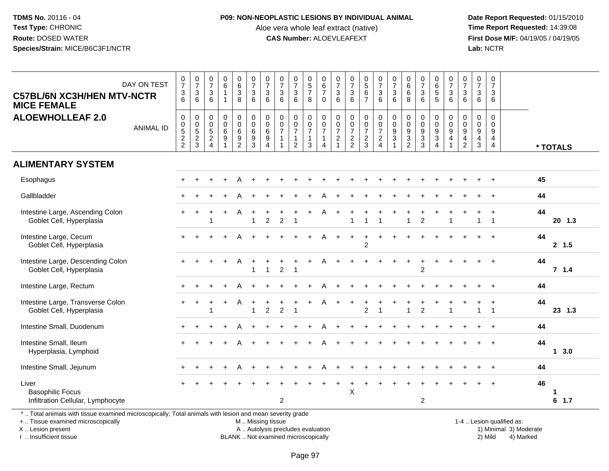#### **P09: NON-NEOPLASTIC LESIONS BY INDIVIDUAL ANIMAL**

Aloe vera whole leaf extract (native)<br>**CAS Number:** ALOEVLEAFEXT

 **Date Report Requested:** 01/15/2010 **First Dose M/F:** 04/19/05 / 04/19/05<br>Lab: NCTR **Lab:** NCTR

| DAY ON TEST<br><b>C57BL/6N XC3H/HEN MTV-NCTR</b><br><b>MICE FEMALE</b>                                   | $\frac{0}{7}$<br>$\ensuremath{\mathsf{3}}$<br>6         | $\frac{0}{7}$<br>3<br>6                                                          | $\frac{0}{7}$<br>$\ensuremath{\mathsf{3}}$<br>$6\phantom{1}$ | $\begin{array}{c} 0 \\ 6 \\ 1 \end{array}$<br>$\mathbf{1}$          | $\begin{array}{c} 0 \\ 6 \\ 3 \end{array}$<br>8                       | $\frac{0}{7}$<br>$\sqrt{3}$<br>$\,6\,$                    | $\frac{0}{7}$<br>$\mathbf{3}$<br>6                         | $\frac{0}{7}$<br>$\ensuremath{\mathsf{3}}$<br>6                          | $\frac{0}{7}$<br>3<br>$6\phantom{1}$                                         | $\begin{array}{c} 0 \\ 5 \\ 7 \end{array}$<br>8                           | 0<br>$rac{6}{7}$<br>$\mathsf 0$                                                        | $\frac{0}{7}$<br>$\ensuremath{\mathsf{3}}$<br>$\,6\,$ | $\frac{0}{7}$<br>$\sqrt{3}$<br>$6\phantom{a}$             | $\begin{array}{c} 0 \\ 5 \\ 6 \end{array}$<br>$\overline{7}$ | $\begin{smallmatrix}0\\7\end{smallmatrix}$<br>$\frac{3}{6}$ | $\frac{0}{7}$<br>$\mathbf{3}$<br>6                                                   | $\begin{array}{c} 0 \\ 6 \end{array}$<br>$\,6\,$<br>8                             | $\frac{0}{7}$<br>$\ensuremath{\mathsf{3}}$<br>$6\phantom{1}$  | 0<br>$\overline{6}$<br>5<br>$\sqrt{5}$                               | $\frac{0}{7}$<br>$\mathbf{3}$<br>6                                             | $\frac{0}{7}$<br>$\sqrt{3}$<br>$\,6\,$                            | $\frac{0}{7}$<br>$\sqrt{3}$<br>$\,6\,$                   | $\frac{0}{7}$<br>$\sqrt{3}$<br>6                   |                    |
|----------------------------------------------------------------------------------------------------------|---------------------------------------------------------|----------------------------------------------------------------------------------|--------------------------------------------------------------|---------------------------------------------------------------------|-----------------------------------------------------------------------|-----------------------------------------------------------|------------------------------------------------------------|--------------------------------------------------------------------------|------------------------------------------------------------------------------|---------------------------------------------------------------------------|----------------------------------------------------------------------------------------|-------------------------------------------------------|-----------------------------------------------------------|--------------------------------------------------------------|-------------------------------------------------------------|--------------------------------------------------------------------------------------|-----------------------------------------------------------------------------------|---------------------------------------------------------------|----------------------------------------------------------------------|--------------------------------------------------------------------------------|-------------------------------------------------------------------|----------------------------------------------------------|----------------------------------------------------|--------------------|
| <b>ALOEWHOLLEAF 2.0</b><br><b>ANIMAL ID</b>                                                              | $\mathbf 0$<br>$\pmb{0}$<br>$\sqrt{5}$<br>$\frac{2}{2}$ | 0<br>$\begin{array}{c} 0 \\ 5 \end{array}$<br>$\boldsymbol{2}$<br>$\overline{3}$ | $\mathbf 0$<br>$\pmb{0}$<br>$\sqrt{5}$<br>$\frac{2}{4}$      | 0<br>$\ddot{\mathbf{0}}$<br>6<br>$\boldsymbol{9}$<br>$\overline{1}$ | 0<br>$\ddot{\mathbf{0}}$<br>$6\phantom{a}$<br>$9\,$<br>$\overline{2}$ | $\mathbf 0$<br>$\overline{0}$<br>$\,6\,$<br>$\frac{9}{3}$ | $\mathbf 0$<br>$\pmb{0}$<br>$\,6\,$<br>9<br>$\overline{4}$ | $\pmb{0}$<br>$\pmb{0}$<br>$\overline{7}$<br>$\mathbf{1}$<br>$\mathbf{1}$ | 0<br>$\mathsf{O}\xspace$<br>$\overline{7}$<br>$\mathbf{1}$<br>$\overline{2}$ | $\mathbf 0$<br>$\mathsf{O}\xspace$<br>$\overline{7}$<br>$\mathbf{1}$<br>3 | $\mathbf 0$<br>$\mathbf 0$<br>$\overline{7}$<br>$\mathbf{1}$<br>$\boldsymbol{\Lambda}$ | $\mathbf 0$<br>$\frac{0}{7}$<br>$\frac{2}{1}$         | $\pmb{0}$<br>$\pmb{0}$<br>$\overline{7}$<br>$\frac{2}{2}$ | 0<br>$\overline{0}$<br>$\overline{7}$<br>$\frac{2}{3}$       | $\pmb{0}$<br>$\frac{0}{7}$<br>$\frac{2}{4}$                 | $\pmb{0}$<br>$\ddot{\mathbf{0}}$<br>$\boldsymbol{9}$<br>$\mathbf{3}$<br>$\mathbf{1}$ | 0<br>$\pmb{0}$<br>$\boldsymbol{9}$<br>$\ensuremath{\mathsf{3}}$<br>$\overline{2}$ | $\mathbf 0$<br>$\pmb{0}$<br>$\boldsymbol{9}$<br>$\frac{3}{3}$ | 0<br>$\pmb{0}$<br>$\boldsymbol{9}$<br>$\mathbf{3}$<br>$\overline{4}$ | $\mathbf 0$<br>$\,0\,$<br>$\boldsymbol{9}$<br>$\overline{4}$<br>$\overline{1}$ | $\mathbf 0$<br>$\pmb{0}$<br>9<br>$\overline{4}$<br>$\overline{2}$ | 0<br>$\mathsf{O}\xspace$<br>$9\,$<br>$\overline{4}$<br>3 | $\pmb{0}$<br>$\pmb{0}$<br>9<br>4<br>$\overline{4}$ | * TOTALS           |
| <b>ALIMENTARY SYSTEM</b>                                                                                 |                                                         |                                                                                  |                                                              |                                                                     |                                                                       |                                                           |                                                            |                                                                          |                                                                              |                                                                           |                                                                                        |                                                       |                                                           |                                                              |                                                             |                                                                                      |                                                                                   |                                                               |                                                                      |                                                                                |                                                                   |                                                          |                                                    |                    |
| Esophagus                                                                                                |                                                         |                                                                                  |                                                              |                                                                     |                                                                       |                                                           |                                                            |                                                                          |                                                                              |                                                                           |                                                                                        |                                                       |                                                           |                                                              |                                                             |                                                                                      |                                                                                   |                                                               |                                                                      |                                                                                |                                                                   |                                                          | $\ddot{}$                                          | 45                 |
| Gallbladder                                                                                              |                                                         |                                                                                  |                                                              |                                                                     |                                                                       |                                                           |                                                            |                                                                          |                                                                              |                                                                           |                                                                                        |                                                       |                                                           |                                                              |                                                             |                                                                                      |                                                                                   |                                                               |                                                                      |                                                                                |                                                                   |                                                          |                                                    | 44                 |
| Intestine Large, Ascending Colon<br>Goblet Cell, Hyperplasia                                             |                                                         |                                                                                  |                                                              |                                                                     | A                                                                     | $\overline{1}$                                            | $\overline{2}$                                             | 2                                                                        | $\overline{1}$                                                               |                                                                           |                                                                                        |                                                       | $\overline{1}$                                            | $\mathbf{1}$                                                 | $\mathbf 1$                                                 |                                                                                      | 1                                                                                 | $\overline{2}$                                                |                                                                      | $\overline{1}$                                                                 |                                                                   | 1                                                        | $\ddot{}$<br>$\overline{1}$                        | 44<br>$20$ 1.3     |
| Intestine Large, Cecum<br>Goblet Cell, Hyperplasia                                                       |                                                         |                                                                                  |                                                              |                                                                     |                                                                       |                                                           |                                                            |                                                                          |                                                                              |                                                                           |                                                                                        |                                                       |                                                           | $\overline{c}$                                               |                                                             |                                                                                      |                                                                                   |                                                               |                                                                      |                                                                                |                                                                   |                                                          |                                                    | 44<br>2, 1.5       |
| Intestine Large, Descending Colon<br>Goblet Cell, Hyperplasia                                            |                                                         |                                                                                  |                                                              | $\ddot{}$                                                           | A                                                                     |                                                           |                                                            | $\overline{2}$                                                           |                                                                              |                                                                           |                                                                                        |                                                       |                                                           |                                                              |                                                             |                                                                                      |                                                                                   | $\overline{2}$                                                |                                                                      |                                                                                |                                                                   |                                                          |                                                    | 44<br>7 1.4        |
| Intestine Large, Rectum                                                                                  |                                                         |                                                                                  |                                                              |                                                                     |                                                                       |                                                           |                                                            |                                                                          |                                                                              |                                                                           |                                                                                        |                                                       |                                                           |                                                              |                                                             |                                                                                      |                                                                                   |                                                               |                                                                      |                                                                                |                                                                   |                                                          |                                                    | 44                 |
| Intestine Large, Transverse Colon<br>Goblet Cell, Hyperplasia                                            |                                                         |                                                                                  |                                                              |                                                                     |                                                                       | $\overline{1}$                                            | $\overline{c}$                                             | $\overline{c}$                                                           | -1                                                                           |                                                                           |                                                                                        |                                                       |                                                           | $\overline{c}$                                               | 1                                                           |                                                                                      | 1                                                                                 | $\overline{2}$                                                |                                                                      |                                                                                |                                                                   | $\blacktriangleleft$                                     | $\mathbf{1}$                                       | 44<br>23 1.3       |
| Intestine Small, Duodenum                                                                                |                                                         |                                                                                  |                                                              |                                                                     |                                                                       |                                                           |                                                            |                                                                          |                                                                              |                                                                           |                                                                                        |                                                       |                                                           |                                                              |                                                             |                                                                                      |                                                                                   |                                                               |                                                                      |                                                                                |                                                                   |                                                          |                                                    | 44                 |
| Intestine Small, Ileum<br>Hyperplasia, Lymphoid                                                          | $+$                                                     |                                                                                  |                                                              | $\ddot{}$                                                           |                                                                       |                                                           |                                                            |                                                                          |                                                                              |                                                                           |                                                                                        |                                                       |                                                           |                                                              |                                                             |                                                                                      |                                                                                   |                                                               |                                                                      |                                                                                |                                                                   |                                                          | $\ddot{}$                                          | 44<br>13.0         |
| Intestine Small, Jejunum                                                                                 |                                                         |                                                                                  |                                                              |                                                                     |                                                                       |                                                           |                                                            |                                                                          |                                                                              |                                                                           |                                                                                        |                                                       |                                                           |                                                              |                                                             |                                                                                      |                                                                                   |                                                               |                                                                      |                                                                                |                                                                   |                                                          |                                                    | 44                 |
| Liver<br><b>Basophilic Focus</b><br>Infiltration Cellular, Lymphocyte                                    |                                                         |                                                                                  |                                                              |                                                                     |                                                                       |                                                           |                                                            | $\overline{c}$                                                           |                                                                              |                                                                           |                                                                                        |                                                       | X                                                         |                                                              |                                                             |                                                                                      |                                                                                   | $\overline{2}$                                                |                                                                      |                                                                                |                                                                   |                                                          |                                                    | 46<br>1<br>$6$ 1.7 |
| *  Total animals with tissue examined microscopically; Total animals with lesion and mean severity grade |                                                         |                                                                                  |                                                              |                                                                     |                                                                       |                                                           |                                                            |                                                                          |                                                                              |                                                                           |                                                                                        |                                                       |                                                           |                                                              |                                                             |                                                                                      |                                                                                   |                                                               |                                                                      |                                                                                |                                                                   |                                                          |                                                    |                    |

+ .. Tissue examined microscopically

X .. Lesion present

I .. Insufficient tissue

M .. Missing tissue

BLANK .. Not examined microscopically

 1-4 .. Lesion qualified as: A .. Autolysis precludes evaluation 19 and 10 minimal 3) Moderate 1 and 20 minimal 3) Moderate 19 minimal 3) Moderat<br>19 and 19 and 19 and 19 and 19 and 19 and 19 and 19 and 19 and 19 and 19 and 19 and 19 and 19 and 19 and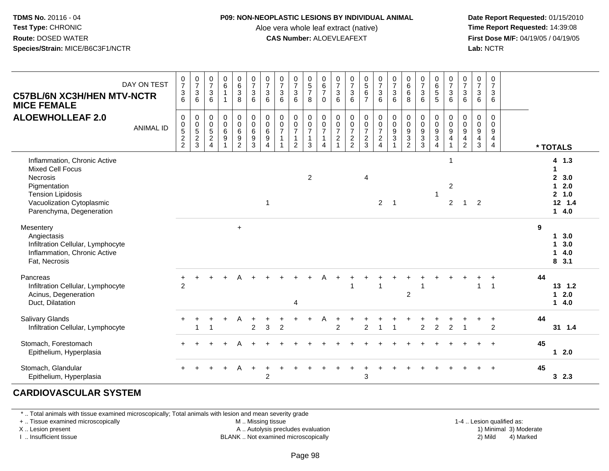#### **P09: NON-NEOPLASTIC LESIONS BY INDIVIDUAL ANIMAL**

Aloe vera whole leaf extract (native)<br>**CAS Number:** ALOEVLEAFEXT

 **Date Report Requested:** 01/15/2010 **First Dose M/F:** 04/19/05 / 04/19/05<br>**Lab:** NCTR **Lab:** NCTR

| <b>C57BL/6N XC3H/HEN MTV-NCTR</b><br><b>MICE FEMALE</b><br><b>ALOEWHOLLEAF 2.0</b>                                                                                       | DAY ON TEST<br><b>ANIMAL ID</b> | $\frac{0}{7}$<br>$\frac{3}{6}$<br>0<br>$0$<br>$5$<br>$2$<br>$2$ | $\frac{0}{7}$<br>$\ensuremath{\mathsf{3}}$<br>6<br>$\mathbf 0$<br>$0$<br>$5$<br>$2$<br>$3$ | $\frac{0}{7}$<br>3<br>6<br>0<br>$\mathbf 0$<br>$\frac{5}{2}$<br>$\overline{4}$ | $_{6}^{\rm 0}$<br>$\mathbf{1}$<br>$\mathbf{1}$<br>$\boldsymbol{0}$<br>$\pmb{0}$<br>$\,6\,$<br>$\overline{9}$ | $\begin{array}{c} 0 \\ 6 \\ 3 \end{array}$<br>8<br>$\begin{array}{c} 0 \\ 0 \\ 6 \\ 9 \end{array}$<br>2 | $\begin{smallmatrix}0\\7\end{smallmatrix}$<br>$\ensuremath{\mathsf{3}}$<br>$6\phantom{1}$<br>0<br>$\frac{0}{6}$<br>$\mathbf{3}$ | $\frac{0}{7}$<br>$\ensuremath{\mathsf{3}}$<br>6<br>$\pmb{0}$<br>$\overline{0}$ 6<br>$\overline{9}$<br>$\overline{4}$ | $\frac{0}{7}$<br>3<br>6<br>$\pmb{0}$<br>$\frac{0}{7}$ | $\frac{0}{7}$<br>$\ensuremath{\mathsf{3}}$<br>6<br>$\mathbf 0$<br>$\frac{0}{7}$<br>$\mathbf{1}$<br>$\overline{2}$ | $\begin{array}{c} 0 \\ 5 \\ 7 \end{array}$<br>8<br>$\mathbf 0$<br>$\frac{0}{7}$<br>$\mathbf{1}$<br>3 | $_{6}^{\rm 0}$<br>$\overline{7}$<br>$\Omega$<br>0<br>$\frac{0}{7}$<br>1<br>$\overline{4}$ | $\frac{0}{7}$<br>$\frac{3}{6}$<br>$\pmb{0}$<br>$\frac{0}{7}$<br>$\boldsymbol{2}$ | $\frac{0}{7}$<br>$\ensuremath{\mathsf{3}}$<br>6<br>0<br>$\frac{0}{7}$<br>$\overline{c}$<br>2 | $\begin{array}{c} 0 \\ 5 \\ 6 \end{array}$<br>$\overline{7}$<br>$\pmb{0}$<br>$\frac{0}{7}$<br>$\boldsymbol{2}$<br>3 | $\frac{0}{7}$<br>$\ensuremath{\mathsf{3}}$<br>6<br>$\mathbf 0$<br>$\frac{0}{7}$<br>$\overline{a}$<br>$\overline{4}$ | $\begin{array}{c} 0 \\ 7 \end{array}$<br>$\frac{3}{6}$<br>$\pmb{0}$<br>$\frac{0}{9}$ | $\begin{matrix}0\0\0\0\end{matrix}$<br>8<br>$\begin{array}{c} 0 \\ 0 \\ 9 \\ 3 \end{array}$<br>2 | $\frac{0}{7}$<br>$\frac{3}{6}$<br>$\mathbf 0$<br>$\frac{0}{9}$<br>3 | $\begin{matrix} 0 \\ 6 \\ 5 \end{matrix}$<br>5<br>$\pmb{0}$<br>$\frac{0}{9}$<br>$\overline{3}$<br>$\Delta$ | $\begin{smallmatrix}0\\7\end{smallmatrix}$<br>$\ensuremath{\mathsf{3}}$<br>6<br>0<br>$\pmb{0}$<br>9<br>$\overline{\mathbf{4}}$<br>$\mathbf{1}$ | $\frac{0}{7}$<br>$\ensuremath{\mathsf{3}}$<br>6<br>0<br>$\mathbf 0$<br>$\boldsymbol{9}$<br>4<br>$\overline{2}$ | $\begin{array}{c} 0 \\ 7 \end{array}$<br>$\mathbf{3}$<br>6<br>0<br>$\frac{0}{9}$<br>$\overline{4}$<br>3 | $\begin{smallmatrix}0\\7\end{smallmatrix}$<br>3<br>6<br>$\mathbf 0$<br>$\mathbf 0$<br>$\boldsymbol{9}$<br>$\overline{a}$<br>$\overline{4}$ |    | * TOTALS                                                                          |
|--------------------------------------------------------------------------------------------------------------------------------------------------------------------------|---------------------------------|-----------------------------------------------------------------|--------------------------------------------------------------------------------------------|--------------------------------------------------------------------------------|--------------------------------------------------------------------------------------------------------------|---------------------------------------------------------------------------------------------------------|---------------------------------------------------------------------------------------------------------------------------------|----------------------------------------------------------------------------------------------------------------------|-------------------------------------------------------|-------------------------------------------------------------------------------------------------------------------|------------------------------------------------------------------------------------------------------|-------------------------------------------------------------------------------------------|----------------------------------------------------------------------------------|----------------------------------------------------------------------------------------------|---------------------------------------------------------------------------------------------------------------------|---------------------------------------------------------------------------------------------------------------------|--------------------------------------------------------------------------------------|--------------------------------------------------------------------------------------------------|---------------------------------------------------------------------|------------------------------------------------------------------------------------------------------------|------------------------------------------------------------------------------------------------------------------------------------------------|----------------------------------------------------------------------------------------------------------------|---------------------------------------------------------------------------------------------------------|--------------------------------------------------------------------------------------------------------------------------------------------|----|-----------------------------------------------------------------------------------|
| Inflammation, Chronic Active<br><b>Mixed Cell Focus</b><br>Necrosis<br>Pigmentation<br><b>Tension Lipidosis</b><br>Vacuolization Cytoplasmic<br>Parenchyma, Degeneration |                                 |                                                                 |                                                                                            |                                                                                |                                                                                                              |                                                                                                         |                                                                                                                                 | $\overline{1}$                                                                                                       |                                                       |                                                                                                                   | 2                                                                                                    |                                                                                           |                                                                                  |                                                                                              | $\overline{4}$                                                                                                      | $\overline{2}$                                                                                                      | $\overline{\mathbf{1}}$                                                              |                                                                                                  |                                                                     | -1                                                                                                         | 1<br>$\overline{\mathbf{c}}$<br>2                                                                                                              | 1                                                                                                              | $\overline{2}$                                                                                          |                                                                                                                                            |    | 4 1.3<br>$\mathbf{2}$<br>3.0<br>2.0<br>1<br>1.0<br>$\mathbf{2}$<br>12 1.4<br>14.0 |
| Mesentery<br>Angiectasis<br>Infiltration Cellular, Lymphocyte<br>Inflammation, Chronic Active<br>Fat, Necrosis                                                           |                                 |                                                                 |                                                                                            |                                                                                |                                                                                                              | $+$                                                                                                     |                                                                                                                                 |                                                                                                                      |                                                       |                                                                                                                   |                                                                                                      |                                                                                           |                                                                                  |                                                                                              |                                                                                                                     |                                                                                                                     |                                                                                      |                                                                                                  |                                                                     |                                                                                                            |                                                                                                                                                |                                                                                                                |                                                                                                         |                                                                                                                                            | 9  | 3.0<br>1.<br>3.0<br>1<br>4.0<br>1<br>8, 3.1                                       |
| Pancreas<br>Infiltration Cellular, Lymphocyte<br>Acinus, Degeneration<br>Duct, Dilatation                                                                                |                                 | $\pm$<br>$\mathfrak{p}$                                         |                                                                                            |                                                                                |                                                                                                              |                                                                                                         |                                                                                                                                 |                                                                                                                      |                                                       | 4                                                                                                                 |                                                                                                      |                                                                                           |                                                                                  |                                                                                              |                                                                                                                     |                                                                                                                     |                                                                                      | $\overline{2}$                                                                                   |                                                                     |                                                                                                            |                                                                                                                                                |                                                                                                                |                                                                                                         | 1                                                                                                                                          | 44 | 13, 1.2<br>2.0<br>1<br>4.0<br>$\mathbf 1$                                         |
| <b>Salivary Glands</b><br>Infiltration Cellular, Lymphocyte                                                                                                              |                                 |                                                                 |                                                                                            | ٠                                                                              | +                                                                                                            | A                                                                                                       | $\ddot{}$<br>$\overline{c}$                                                                                                     | 3                                                                                                                    | $\overline{c}$                                        |                                                                                                                   |                                                                                                      |                                                                                           | $\overline{2}$                                                                   |                                                                                              | 2                                                                                                                   | $\overline{ }$                                                                                                      |                                                                                      |                                                                                                  | 2                                                                   | $\overline{2}$                                                                                             | $\overline{2}$                                                                                                                                 |                                                                                                                |                                                                                                         | $\ddot{}$<br>2                                                                                                                             | 44 | 31 1.4                                                                            |
| Stomach, Forestomach<br>Epithelium, Hyperplasia                                                                                                                          |                                 |                                                                 |                                                                                            |                                                                                |                                                                                                              |                                                                                                         |                                                                                                                                 |                                                                                                                      |                                                       |                                                                                                                   |                                                                                                      |                                                                                           |                                                                                  |                                                                                              |                                                                                                                     |                                                                                                                     |                                                                                      |                                                                                                  |                                                                     |                                                                                                            |                                                                                                                                                |                                                                                                                |                                                                                                         |                                                                                                                                            | 45 | $12.0$                                                                            |
| Stomach, Glandular<br>Epithelium, Hyperplasia                                                                                                                            |                                 |                                                                 |                                                                                            |                                                                                |                                                                                                              | A                                                                                                       | $+$                                                                                                                             | $\overline{2}$                                                                                                       |                                                       |                                                                                                                   |                                                                                                      |                                                                                           |                                                                                  |                                                                                              | 3                                                                                                                   |                                                                                                                     |                                                                                      |                                                                                                  |                                                                     |                                                                                                            |                                                                                                                                                |                                                                                                                |                                                                                                         |                                                                                                                                            | 45 | 3, 2.3                                                                            |

# **CARDIOVASCULAR SYSTEM**

\* .. Total animals with tissue examined microscopically; Total animals with lesion and mean severity grade

+ .. Tissue examined microscopically

X .. Lesion present

I .. Insufficient tissue

M .. Missing tissue

A .. Autolysis precludes evaluation

BLANK .. Not examined microscopically 2) Mild 4) Marked

1-4 .. Lesion qualified as:<br>1) Minimal 3) Moderate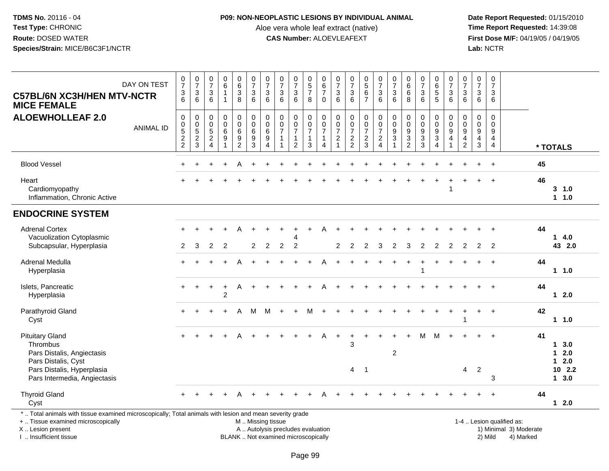### **P09: NON-NEOPLASTIC LESIONS BY INDIVIDUAL ANIMAL**

Aloe vera whole leaf extract (native)<br>**CAS Number:** ALOEVLEAFEXT

 **Date Report Requested:** 01/15/2010 **First Dose M/F:** 04/19/05 / 04/19/05<br>Lab: NCTR **Lab:** NCTR

| <b>C57BL/6N XC3H/HEN MTV-NCTR</b><br><b>MICE FEMALE</b>                                                                                                             | DAY ON TEST      | $\frac{0}{7}$<br>$\frac{3}{6}$                         | $\frac{0}{7}$<br>$\sqrt{3}$<br>$\overline{6}$                           | $\frac{0}{7}$<br>$\mathbf{3}$<br>6                                     | $\begin{array}{c} 0 \\ 6 \end{array}$<br>$\overline{1}$<br>$\overline{1}$ | $\begin{array}{c} 0 \\ 6 \end{array}$<br>$\mathbf{3}$<br>$\bf8$         | $\frac{0}{7}$<br>3<br>6                                    | $\frac{0}{7}$<br>$\sqrt{3}$<br>$6\phantom{a}$                                  | $\frac{0}{7}$<br>$\ensuremath{\mathsf{3}}$<br>6                        | $\frac{0}{7}$<br>$\sqrt{3}$<br>6                     | $\begin{array}{c} 0 \\ 5 \end{array}$<br>$\overline{7}$<br>8                 | 0<br>$\,6\,$<br>$\overline{7}$<br>$\Omega$                | $\frac{0}{7}$<br>$\ensuremath{\mathsf{3}}$<br>6                                   | $\frac{0}{7}$<br>$\frac{3}{6}$                                                | 0<br>5<br>6<br>7                                           | $\begin{smallmatrix}0\\7\end{smallmatrix}$<br>$\frac{3}{6}$      | $\frac{0}{7}$<br>$\frac{3}{6}$                      | $\begin{array}{c} 0 \\ 6 \end{array}$<br>$\,6$<br>8                                     | $\begin{array}{c} 0 \\ 7 \end{array}$<br>$\sqrt{3}$<br>6          | $\begin{array}{c} 0 \\ 6 \end{array}$<br>$\sqrt{5}$<br>$\overline{5}$ | $\frac{0}{7}$<br>$\frac{3}{6}$                                    | $\frac{0}{7}$<br>$\sqrt{3}$<br>6                                                                   | 0<br>$\overline{7}$<br>3<br>6                              | $\boldsymbol{0}$<br>$\overline{7}$<br>$\sqrt{3}$<br>6                 |                                                     |    |                            |
|---------------------------------------------------------------------------------------------------------------------------------------------------------------------|------------------|--------------------------------------------------------|-------------------------------------------------------------------------|------------------------------------------------------------------------|---------------------------------------------------------------------------|-------------------------------------------------------------------------|------------------------------------------------------------|--------------------------------------------------------------------------------|------------------------------------------------------------------------|------------------------------------------------------|------------------------------------------------------------------------------|-----------------------------------------------------------|-----------------------------------------------------------------------------------|-------------------------------------------------------------------------------|------------------------------------------------------------|------------------------------------------------------------------|-----------------------------------------------------|-----------------------------------------------------------------------------------------|-------------------------------------------------------------------|-----------------------------------------------------------------------|-------------------------------------------------------------------|----------------------------------------------------------------------------------------------------|------------------------------------------------------------|-----------------------------------------------------------------------|-----------------------------------------------------|----|----------------------------|
| <b>ALOEWHOLLEAF 2.0</b>                                                                                                                                             | <b>ANIMAL ID</b> | $\mathsf{O}\xspace$<br>$\frac{0}{5}$<br>$\overline{c}$ | $\pmb{0}$<br>$\begin{array}{c} 0 \\ 5 \\ 2 \end{array}$<br>$\mathbf{3}$ | $\mathbf 0$<br>0<br>$\overline{5}$<br>$\overline{2}$<br>$\overline{4}$ | $\pmb{0}$<br>$\pmb{0}$<br>6<br>$\overline{9}$<br>1                        | $\pmb{0}$<br>$\mathbf 0$<br>$\,6\,$<br>$\overline{9}$<br>$\overline{c}$ | $\pmb{0}$<br>$\pmb{0}$<br>$\,6\,$<br>$\boldsymbol{9}$<br>3 | $\pmb{0}$<br>$\pmb{0}$<br>$\overline{6}$<br>$\boldsymbol{9}$<br>$\overline{4}$ | 0<br>$\mathbf 0$<br>$\overline{7}$<br>$\overline{1}$<br>$\overline{1}$ | 0<br>$\mathsf{O}\xspace$<br>$\overline{7}$<br>1<br>2 | $\mathbf 0$<br>$\mathbf 0$<br>$\overline{7}$<br>$\mathbf{1}$<br>$\mathbf{3}$ | 0<br>$\mathsf 0$<br>$\overline{7}$<br>$\overline{1}$<br>4 | $\pmb{0}$<br>$\boldsymbol{0}$<br>$\overline{7}$<br>$\overline{c}$<br>$\mathbf{1}$ | $\mathbf 0$<br>$\mathbf 0$<br>$\overline{7}$<br>$\mathbf 2$<br>$\overline{2}$ | 0<br>$\mathsf{O}$<br>$\overline{7}$<br>$\overline{a}$<br>3 | $\pmb{0}$<br>$\frac{0}{7}$<br>$\boldsymbol{2}$<br>$\overline{4}$ | $_{\rm 0}^{\rm 0}$<br>$\frac{9}{3}$<br>$\mathbf{1}$ | $\boldsymbol{0}$<br>$\mathbf 0$<br>$\boldsymbol{9}$<br>$\overline{3}$<br>$\overline{2}$ | $\pmb{0}$<br>$\mathbf 0$<br>$\overline{9}$<br>$\overline{3}$<br>3 | 0<br>$\mathbf 0$<br>$\boldsymbol{9}$<br>$\overline{3}$<br>4           | 0<br>$\mathsf{O}\xspace$<br>$\overline{9}$<br>$\overline{4}$<br>1 | $\mathsf{O}\xspace$<br>$\mathsf{O}\xspace$<br>$\boldsymbol{9}$<br>$\overline{4}$<br>$\overline{2}$ | 0<br>0<br>$\boldsymbol{9}$<br>$\overline{4}$<br>$\sqrt{3}$ | $\pmb{0}$<br>$\mathbf 0$<br>$9\,$<br>$\overline{4}$<br>$\overline{4}$ |                                                     |    | * TOTALS                   |
| <b>Blood Vessel</b>                                                                                                                                                 |                  |                                                        |                                                                         |                                                                        |                                                                           |                                                                         |                                                            |                                                                                |                                                                        |                                                      |                                                                              |                                                           |                                                                                   |                                                                               |                                                            |                                                                  |                                                     |                                                                                         |                                                                   |                                                                       |                                                                   |                                                                                                    |                                                            |                                                                       |                                                     | 45 |                            |
| Heart<br>Cardiomyopathy<br>Inflammation, Chronic Active                                                                                                             |                  |                                                        |                                                                         |                                                                        |                                                                           |                                                                         |                                                            |                                                                                |                                                                        |                                                      |                                                                              |                                                           |                                                                                   |                                                                               |                                                            |                                                                  |                                                     |                                                                                         |                                                                   |                                                                       | 1                                                                 |                                                                                                    |                                                            |                                                                       |                                                     | 46 | 3 1.0<br>11.0              |
| <b>ENDOCRINE SYSTEM</b>                                                                                                                                             |                  |                                                        |                                                                         |                                                                        |                                                                           |                                                                         |                                                            |                                                                                |                                                                        |                                                      |                                                                              |                                                           |                                                                                   |                                                                               |                                                            |                                                                  |                                                     |                                                                                         |                                                                   |                                                                       |                                                                   |                                                                                                    |                                                            |                                                                       |                                                     |    |                            |
| <b>Adrenal Cortex</b><br>Vacuolization Cytoplasmic                                                                                                                  |                  |                                                        |                                                                         |                                                                        |                                                                           | A                                                                       |                                                            |                                                                                |                                                                        |                                                      |                                                                              |                                                           |                                                                                   |                                                                               |                                                            |                                                                  |                                                     |                                                                                         |                                                                   |                                                                       |                                                                   |                                                                                                    |                                                            |                                                                       |                                                     | 44 | 14.0                       |
| Subcapsular, Hyperplasia                                                                                                                                            |                  | $\overline{2}$                                         | 3                                                                       | $\overline{2}$                                                         | 2                                                                         |                                                                         | $\overline{2}$                                             | 2                                                                              | $\overline{2}$                                                         | 2                                                    |                                                                              |                                                           | 2                                                                                 | 2                                                                             | 2                                                          | 3                                                                | 2                                                   | 3                                                                                       | $\overline{2}$                                                    | 2                                                                     | $\overline{2}$                                                    | 2                                                                                                  | $\overline{2}$                                             | $\overline{2}$                                                        |                                                     |    | 43 2.0                     |
| Adrenal Medulla<br>Hyperplasia                                                                                                                                      |                  |                                                        |                                                                         |                                                                        |                                                                           |                                                                         |                                                            |                                                                                |                                                                        |                                                      |                                                                              |                                                           |                                                                                   |                                                                               |                                                            |                                                                  |                                                     |                                                                                         |                                                                   |                                                                       |                                                                   |                                                                                                    |                                                            |                                                                       |                                                     | 44 | 11.0                       |
| Islets, Pancreatic<br>Hyperplasia                                                                                                                                   |                  | $+$                                                    | $\pm$                                                                   | $\ddot{}$                                                              | $\ddot{}$<br>$\overline{c}$                                               | Α                                                                       |                                                            |                                                                                |                                                                        |                                                      |                                                                              |                                                           |                                                                                   |                                                                               |                                                            |                                                                  |                                                     |                                                                                         |                                                                   |                                                                       |                                                                   |                                                                                                    |                                                            |                                                                       |                                                     | 44 | $12.0$                     |
| Parathyroid Gland<br>Cyst                                                                                                                                           |                  |                                                        |                                                                         |                                                                        |                                                                           | A                                                                       | м                                                          | M                                                                              |                                                                        |                                                      |                                                                              |                                                           |                                                                                   |                                                                               |                                                            |                                                                  |                                                     |                                                                                         |                                                                   |                                                                       |                                                                   | -1                                                                                                 | $+$                                                        | $\overline{+}$                                                        |                                                     | 42 | 11.0                       |
| <b>Pituitary Gland</b><br>Thrombus<br>Pars Distalis, Angiectasis                                                                                                    |                  |                                                        |                                                                         |                                                                        |                                                                           |                                                                         |                                                            |                                                                                |                                                                        |                                                      |                                                                              | A                                                         |                                                                                   | 3                                                                             |                                                            |                                                                  | $\overline{2}$                                      |                                                                                         | м                                                                 | M                                                                     |                                                                   |                                                                                                    |                                                            |                                                                       |                                                     | 41 | 13.0<br>$12.0$             |
| Pars Distalis, Cyst<br>Pars Distalis, Hyperplasia<br>Pars Intermedia, Angiectasis                                                                                   |                  |                                                        |                                                                         |                                                                        |                                                                           |                                                                         |                                                            |                                                                                |                                                                        |                                                      |                                                                              |                                                           |                                                                                   | $\overline{4}$                                                                | $\overline{\phantom{0}}$                                   |                                                                  |                                                     |                                                                                         |                                                                   |                                                                       |                                                                   | $\overline{4}$                                                                                     | $\overline{2}$                                             | 3                                                                     |                                                     |    | $12.0$<br>$10$ 2.2<br>13.0 |
| <b>Thyroid Gland</b><br>Cyst                                                                                                                                        |                  |                                                        |                                                                         |                                                                        |                                                                           |                                                                         |                                                            |                                                                                |                                                                        |                                                      |                                                                              |                                                           |                                                                                   |                                                                               |                                                            |                                                                  |                                                     |                                                                                         |                                                                   |                                                                       |                                                                   |                                                                                                    |                                                            |                                                                       |                                                     | 44 | 12.0                       |
| *  Total animals with tissue examined microscopically; Total animals with lesion and mean severity grade<br>+  Tissue examined microscopically<br>X  Lesion present |                  |                                                        |                                                                         |                                                                        |                                                                           |                                                                         | M. Missing tissue                                          |                                                                                | A  Autolysis precludes evaluation                                      |                                                      |                                                                              |                                                           |                                                                                   |                                                                               |                                                            |                                                                  |                                                     |                                                                                         |                                                                   |                                                                       |                                                                   |                                                                                                    |                                                            |                                                                       | 1-4  Lesion qualified as:<br>1) Minimal 3) Moderate |    |                            |

I .. Insufficient tissue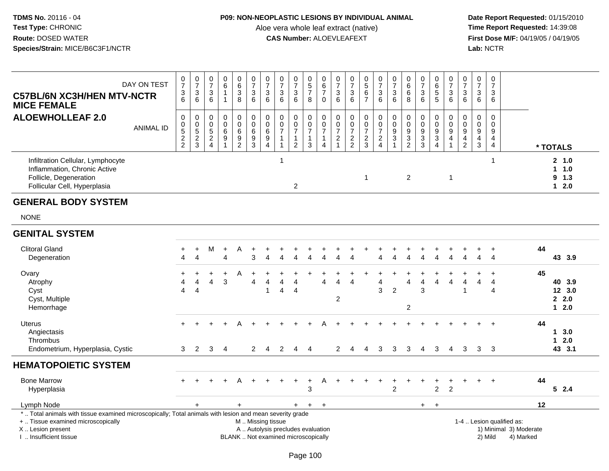### **P09: NON-NEOPLASTIC LESIONS BY INDIVIDUAL ANIMAL**

Aloe vera whole leaf extract (native)<br>**CAS Number:** ALOEVLEAFEXT

| DAY ON TEST<br><b>C57BL/6N XC3H/HEN MTV-NCTR</b><br><b>MICE FEMALE</b>                                                                                                                        | $\frac{0}{7}$<br>$\ensuremath{\mathsf{3}}$<br>6 | $\begin{smallmatrix}0\\7\end{smallmatrix}$<br>$\ensuremath{\mathsf{3}}$<br>$\,6$ | $\frac{0}{7}$<br>$\ensuremath{\mathsf{3}}$<br>6 | $_{6}^{\rm 0}$<br>$\mathbf{1}$<br>$\mathbf{1}$ | $\begin{array}{c} 0 \\ 6 \end{array}$<br>$\ensuremath{\mathsf{3}}$<br>8 | $\frac{0}{7}$<br>$\ensuremath{\mathsf{3}}$<br>6              | $\begin{array}{c} 0 \\ 7 \end{array}$<br>$\ensuremath{\mathsf{3}}$<br>6 | $\begin{array}{c} 0 \\ 7 \end{array}$<br>$\ensuremath{\mathsf{3}}$<br>$6\phantom{1}$ | $\frac{0}{7}$<br>3<br>$6\phantom{1}$                                    | $\begin{array}{c} 0 \\ 5 \\ 7 \end{array}$<br>8       | $\begin{array}{c} 0 \\ 6 \\ 7 \end{array}$<br>$\pmb{0}$                     | $\frac{0}{7}$<br>$\sqrt{3}$<br>6                                           | $\frac{0}{7}$<br>$\ensuremath{\mathsf{3}}$<br>$6\phantom{1}6$ | $0$<br>5<br>6<br>7                  | $\frac{0}{7}$<br>$\ensuremath{\mathsf{3}}$<br>6                       | $\frac{0}{7}$<br>3<br>6                              | $0$<br>6<br>6<br>$\,8\,$                       | $\frac{0}{7}$<br>$\frac{3}{6}$                                            | 0<br>6<br>5<br>5                     | $\frac{0}{7}$<br>$\ensuremath{\mathsf{3}}$<br>6                                             | $\begin{array}{c} 0 \\ 7 \end{array}$<br>3<br>$\,6\,$                                   | $\frac{0}{7}$<br>$\ensuremath{\mathsf{3}}$<br>$\,6$                     | $\frac{0}{7}$<br>3<br>6                                 |                                                                  |                                     |
|-----------------------------------------------------------------------------------------------------------------------------------------------------------------------------------------------|-------------------------------------------------|----------------------------------------------------------------------------------|-------------------------------------------------|------------------------------------------------|-------------------------------------------------------------------------|--------------------------------------------------------------|-------------------------------------------------------------------------|--------------------------------------------------------------------------------------|-------------------------------------------------------------------------|-------------------------------------------------------|-----------------------------------------------------------------------------|----------------------------------------------------------------------------|---------------------------------------------------------------|-------------------------------------|-----------------------------------------------------------------------|------------------------------------------------------|------------------------------------------------|---------------------------------------------------------------------------|--------------------------------------|---------------------------------------------------------------------------------------------|-----------------------------------------------------------------------------------------|-------------------------------------------------------------------------|---------------------------------------------------------|------------------------------------------------------------------|-------------------------------------|
| <b>ALOEWHOLLEAF 2.0</b><br><b>ANIMAL ID</b>                                                                                                                                                   | $\mathbf 0$<br>$\pmb{0}$<br>$\frac{5}{2}$       | $\mathbf 0$<br>$0$<br>$5$<br>$2$<br>$3$                                          | $\pmb{0}$<br>$\pmb{0}$<br>$\frac{5}{2}$         | $\mathbf 0$<br>$\overline{0}$<br>$\frac{6}{9}$ | $\mathbf 0$<br>$\mathbf 0$<br>$\,6\,$<br>$\frac{9}{2}$                  | $\pmb{0}$<br>$\ddot{\mathbf{0}}$<br>$\,6\,$<br>$\frac{9}{3}$ | $\pmb{0}$<br>$\pmb{0}$<br>6<br>9<br>$\overline{4}$                      | $\pmb{0}$<br>$\pmb{0}$<br>$\overline{7}$<br>$\mathbf{1}$<br>$\mathbf{1}$             | 0<br>$\overline{0}$<br>$\overline{7}$<br>$\mathbf{1}$<br>$\overline{2}$ | 0<br>$\bar{0}$<br>$\overline{7}$<br>$\mathbf{1}$<br>3 | $\mathbf 0$<br>$\mathbf 0$<br>$\overline{7}$<br>1<br>$\boldsymbol{\Lambda}$ | $\mathbf 0$<br>$\pmb{0}$<br>$\overline{7}$<br>$\sqrt{2}$<br>$\overline{1}$ | $\pmb{0}$<br>$\pmb{0}$<br>$\overline{7}$<br>$\frac{2}{2}$     | 0<br>$\frac{0}{7}$<br>$\frac{2}{3}$ | $\mathsf 0$<br>$\ddot{\mathbf{0}}$<br>$\overline{7}$<br>$\frac{2}{4}$ | $\begin{array}{c} 0 \\ 0 \\ 9 \\ 3 \end{array}$<br>1 | $\mathbf 0$<br>$\overline{0}$<br>$\frac{9}{2}$ | $\pmb{0}$<br>$\overline{0}$<br>$\begin{array}{c} 9 \\ 3 \\ 3 \end{array}$ | 0<br>$\overline{0}$<br>$\frac{9}{3}$ | $\mathbf 0$<br>$\mathbf 0$<br>$\boldsymbol{9}$<br>$\overline{\mathbf{4}}$<br>$\overline{1}$ | $\mathbf 0$<br>$\boldsymbol{0}$<br>$\boldsymbol{9}$<br>$\overline{4}$<br>$\overline{2}$ | $\mathsf{O}\xspace$<br>$\mathbf 0$<br>$\boldsymbol{9}$<br>$\frac{4}{3}$ | $\mathsf{O}$<br>$\mathbf 0$<br>9<br>4<br>$\overline{4}$ |                                                                  | * TOTALS                            |
| Infiltration Cellular, Lymphocyte<br>Inflammation, Chronic Active<br>Follicle, Degeneration<br>Follicular Cell, Hyperplasia                                                                   |                                                 |                                                                                  |                                                 |                                                |                                                                         |                                                              |                                                                         | $\mathbf 1$                                                                          | $\overline{2}$                                                          |                                                       |                                                                             |                                                                            |                                                               | $\mathbf{1}$                        |                                                                       |                                                      | $\overline{c}$                                 |                                                                           |                                      | $\overline{1}$                                                                              |                                                                                         |                                                                         | 1                                                       |                                                                  | 2, 1.0<br>11.0<br>$9$ 1.3<br>$12.0$ |
| <b>GENERAL BODY SYSTEM</b>                                                                                                                                                                    |                                                 |                                                                                  |                                                 |                                                |                                                                         |                                                              |                                                                         |                                                                                      |                                                                         |                                                       |                                                                             |                                                                            |                                                               |                                     |                                                                       |                                                      |                                                |                                                                           |                                      |                                                                                             |                                                                                         |                                                                         |                                                         |                                                                  |                                     |
| <b>NONE</b>                                                                                                                                                                                   |                                                 |                                                                                  |                                                 |                                                |                                                                         |                                                              |                                                                         |                                                                                      |                                                                         |                                                       |                                                                             |                                                                            |                                                               |                                     |                                                                       |                                                      |                                                |                                                                           |                                      |                                                                                             |                                                                                         |                                                                         |                                                         |                                                                  |                                     |
| <b>GENITAL SYSTEM</b>                                                                                                                                                                         |                                                 |                                                                                  |                                                 |                                                |                                                                         |                                                              |                                                                         |                                                                                      |                                                                         |                                                       |                                                                             |                                                                            |                                                               |                                     |                                                                       |                                                      |                                                |                                                                           |                                      |                                                                                             |                                                                                         |                                                                         |                                                         |                                                                  |                                     |
| <b>Clitoral Gland</b><br>Degeneration                                                                                                                                                         | Δ                                               | $\ddot{}$<br>$\overline{\mathbf{4}}$                                             | М                                               | $\ddot{}$<br>$\overline{A}$                    | A                                                                       | 3                                                            | Δ                                                                       |                                                                                      |                                                                         |                                                       | Λ                                                                           | л                                                                          |                                                               |                                     |                                                                       | Δ                                                    |                                                | $\overline{\Lambda}$                                                      | 4                                    |                                                                                             | 4                                                                                       | 4                                                                       | $\ddot{}$<br>$\overline{4}$                             | 44                                                               | 43 3.9                              |
| Ovary<br>Atrophy<br>Cyst<br>Cyst, Multiple<br>Hemorrhage                                                                                                                                      | 4                                               | $\Delta$<br>$\overline{4}$                                                       | Δ                                               | $\ddot{}$<br>3                                 | A                                                                       | Δ                                                            | Δ<br>1                                                                  | 4                                                                                    | $\boldsymbol{\Lambda}$<br>$\overline{4}$                                |                                                       | Δ                                                                           | Δ<br>$\overline{2}$                                                        | Δ                                                             |                                     | 4<br>3                                                                | $\overline{2}$                                       | 4<br>$\overline{c}$                            | Δ<br>3                                                                    | 4                                    | Δ                                                                                           | Δ<br>$\mathbf 1$                                                                        |                                                                         | 4<br>$\boldsymbol{\Delta}$                              | 45                                                               | 40 3.9<br>12 3.0<br>2.2.0<br>$12.0$ |
| <b>Uterus</b><br>Angiectasis<br>Thrombus<br>Endometrium, Hyperplasia, Cystic                                                                                                                  | 3                                               | $\overline{2}$                                                                   | 3                                               | $\overline{4}$                                 |                                                                         | $\mathbf{2}$                                                 | 4                                                                       | 2                                                                                    | 4                                                                       | $\overline{4}$                                        |                                                                             | $\overline{2}$                                                             | 4                                                             | 4                                   | 3                                                                     | 3                                                    | 3                                              | 4                                                                         | 3                                    | 4                                                                                           | 3                                                                                       |                                                                         | 3 <sub>3</sub>                                          | 44                                                               | 13.0<br>$12.0$<br>43 3.1            |
| <b>HEMATOPOIETIC SYSTEM</b>                                                                                                                                                                   |                                                 |                                                                                  |                                                 |                                                |                                                                         |                                                              |                                                                         |                                                                                      |                                                                         |                                                       |                                                                             |                                                                            |                                                               |                                     |                                                                       |                                                      |                                                |                                                                           |                                      |                                                                                             |                                                                                         |                                                                         |                                                         |                                                                  |                                     |
| <b>Bone Marrow</b><br>Hyperplasia                                                                                                                                                             |                                                 |                                                                                  |                                                 |                                                |                                                                         |                                                              |                                                                         |                                                                                      | $\ddot{}$                                                               | $\ddot{}$<br>3                                        | A                                                                           |                                                                            |                                                               |                                     |                                                                       | $\overline{2}$                                       |                                                |                                                                           | +<br>$\overline{2}$                  | $\overline{2}$                                                                              |                                                                                         |                                                                         |                                                         | 44                                                               | 52.4                                |
| Lymph Node                                                                                                                                                                                    |                                                 |                                                                                  |                                                 |                                                | $\ddot{}$                                                               |                                                              |                                                                         |                                                                                      | $+$                                                                     | $+$                                                   | $\ddot{}$                                                                   |                                                                            |                                                               |                                     |                                                                       |                                                      |                                                | $+$                                                                       | $\ddot{}$                            |                                                                                             |                                                                                         |                                                                         |                                                         | 12                                                               |                                     |
| *  Total animals with tissue examined microscopically; Total animals with lesion and mean severity grade<br>+  Tissue examined microscopically<br>X  Lesion present<br>I  Insufficient tissue |                                                 |                                                                                  |                                                 |                                                |                                                                         | M  Missing tissue                                            |                                                                         | A  Autolysis precludes evaluation<br>BLANK  Not examined microscopically             |                                                                         |                                                       |                                                                             |                                                                            |                                                               |                                     |                                                                       |                                                      |                                                |                                                                           |                                      |                                                                                             |                                                                                         |                                                                         | 2) Mild                                                 | 1-4  Lesion qualified as:<br>1) Minimal 3) Moderate<br>4) Marked |                                     |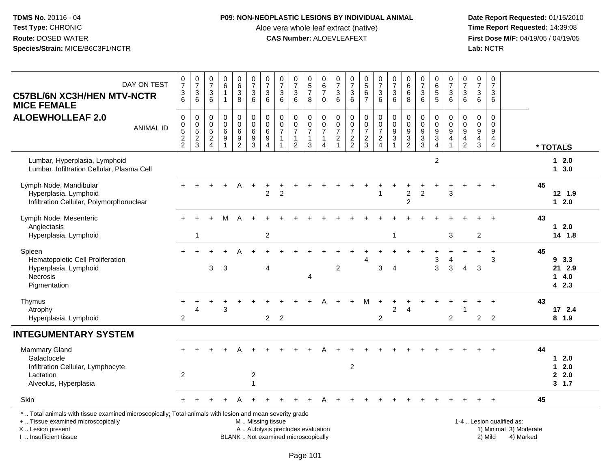### **P09: NON-NEOPLASTIC LESIONS BY INDIVIDUAL ANIMAL**

Aloe vera whole leaf extract (native)<br>**CAS Number:** ALOEVLEAFEXT

 **Date Report Requested:** 01/15/2010 **First Dose M/F:** 04/19/05 / 04/19/05<br>Lab: NCTR **Lab:** NCTR

| DAY ON TEST<br><b>C57BL/6N XC3H/HEN MTV-NCTR</b><br><b>MICE FEMALE</b>                                                                                                                        | $\frac{0}{7}$<br>$\frac{3}{6}$                                            | $\begin{array}{c} 0 \\ 7 \end{array}$<br>$\ensuremath{\mathsf{3}}$<br>$6\phantom{1}6$ | $\frac{0}{7}$<br>$\ensuremath{\mathsf{3}}$<br>$\,6$                          | 0<br>$\,6\,$<br>$\overline{1}$<br>$\mathbf{1}$      | $\begin{matrix} 0 \\ 6 \\ 3 \end{matrix}$<br>8            | $\begin{array}{c} 0 \\ 7 \end{array}$<br>$\ensuremath{\mathsf{3}}$<br>6                       | $\frac{0}{7}$<br>$\ensuremath{\mathsf{3}}$<br>$6\phantom{1}6$                  | $\begin{matrix} 0 \\ 7 \end{matrix}$<br>$\ensuremath{\mathsf{3}}$<br>6       | $\frac{0}{7}$<br>$\ensuremath{\mathsf{3}}$<br>$6\phantom{1}6$                | $\begin{array}{c} 0 \\ 5 \end{array}$<br>$\overline{7}$<br>8 | $\begin{smallmatrix}0\0\0\end{smallmatrix}$<br>$\overline{7}$<br>$\mathbf 0$ | $\frac{0}{7}$<br>$\ensuremath{\mathsf{3}}$<br>$\,6\,$      | 0<br>$\overline{7}$<br>$\frac{3}{6}$                | $0$<br>5<br>6<br>7                                        | $\frac{0}{7}$<br>$\ensuremath{\mathsf{3}}$<br>$6\phantom{1}$ | $\begin{array}{c} 0 \\ 7 \end{array}$<br>$\ensuremath{\mathsf{3}}$<br>$6\phantom{1}6$     | $_{6}^{\rm 0}$<br>$\,6$<br>8                                | 0<br>$\overline{7}$<br>$\ensuremath{\mathsf{3}}$<br>$6\phantom{1}$  | 0<br>6<br>5<br>5                                                              | $\frac{0}{7}$<br>$\frac{3}{6}$                       | $\begin{array}{c} 0 \\ 7 \end{array}$<br>$\frac{3}{6}$        | 0<br>$\overline{7}$<br>3<br>$6\phantom{1}$    | $\mathbf 0$<br>$\overline{7}$<br>3<br>6                          |                                                                  |    |                                      |
|-----------------------------------------------------------------------------------------------------------------------------------------------------------------------------------------------|---------------------------------------------------------------------------|---------------------------------------------------------------------------------------|------------------------------------------------------------------------------|-----------------------------------------------------|-----------------------------------------------------------|-----------------------------------------------------------------------------------------------|--------------------------------------------------------------------------------|------------------------------------------------------------------------------|------------------------------------------------------------------------------|--------------------------------------------------------------|------------------------------------------------------------------------------|------------------------------------------------------------|-----------------------------------------------------|-----------------------------------------------------------|--------------------------------------------------------------|-------------------------------------------------------------------------------------------|-------------------------------------------------------------|---------------------------------------------------------------------|-------------------------------------------------------------------------------|------------------------------------------------------|---------------------------------------------------------------|-----------------------------------------------|------------------------------------------------------------------|------------------------------------------------------------------|----|--------------------------------------|
| <b>ALOEWHOLLEAF 2.0</b><br><b>ANIMAL ID</b>                                                                                                                                                   | $\pmb{0}$<br>$\begin{smallmatrix}0\0\0\end{smallmatrix}$<br>$\frac{2}{2}$ | $\boldsymbol{0}$<br>$\mathbf 0$<br>$\overline{5}$<br>$\boldsymbol{2}$<br>$\mathbf{3}$ | $\mathbf 0$<br>$\mathbf 0$<br>$\overline{5}$<br>$\sqrt{2}$<br>$\overline{4}$ | $\mathbf 0$<br>$\mathbf 0$<br>6<br>$\boldsymbol{9}$ | $\pmb{0}$<br>$\pmb{0}$<br>$6\phantom{a}$<br>$\frac{9}{2}$ | $\mathbf 0$<br>$\mathbf 0$<br>6<br>$\frac{9}{3}$                                              | $\pmb{0}$<br>$\pmb{0}$<br>$\overline{6}$<br>$\boldsymbol{9}$<br>$\overline{4}$ | $\pmb{0}$<br>$\mathbf 0$<br>$\overline{7}$<br>$\overline{1}$<br>$\mathbf{1}$ | $\pmb{0}$<br>$\mathbf 0$<br>$\overline{7}$<br>$\mathbf{1}$<br>$\overline{2}$ | 0<br>$\mathbf 0$<br>$\overline{7}$<br>$\mathbf{1}$<br>3      | $\pmb{0}$<br>$\pmb{0}$<br>$\overline{7}$<br>$\mathbf{1}$<br>4                | $\pmb{0}$<br>$\frac{0}{7}$<br>$\sqrt{2}$<br>$\overline{1}$ | 0<br>$\mathbf 0$<br>$\overline{7}$<br>$\frac{2}{2}$ | $\pmb{0}$<br>$\pmb{0}$<br>$\overline{7}$<br>$\frac{2}{3}$ | 0<br>$\mathbf 0$<br>$\overline{7}$<br>$\frac{2}{4}$          | $\pmb{0}$<br>$\mathbf 0$<br>$\overline{9}$<br>$\ensuremath{\mathsf{3}}$<br>$\overline{1}$ | $\pmb{0}$<br>$\mathbf 0$<br>$\overline{9}$<br>$\frac{3}{2}$ | $\pmb{0}$<br>$\mathsf{O}\xspace$<br>$\overline{9}$<br>$\frac{3}{3}$ | $\mathsf{O}\xspace$<br>$\mathsf{O}\xspace$<br>$\frac{9}{3}$<br>$\overline{4}$ | 0<br>$\mathbf 0$<br>$\overline{9}$<br>$\overline{4}$ | $\mathbf 0$<br>$\mathbf 0$<br>$\overline{9}$<br>$\frac{4}{2}$ | 0<br>$\mathbf{0}$<br>9<br>$\overline{4}$<br>3 | $\mathbf 0$<br>$\Omega$<br>9<br>$\overline{4}$<br>$\overline{4}$ |                                                                  |    | * TOTALS                             |
| Lumbar, Hyperplasia, Lymphoid<br>Lumbar, Infiltration Cellular, Plasma Cell                                                                                                                   |                                                                           |                                                                                       |                                                                              |                                                     |                                                           |                                                                                               |                                                                                |                                                                              |                                                                              |                                                              |                                                                              |                                                            |                                                     |                                                           |                                                              |                                                                                           |                                                             |                                                                     | $\overline{2}$                                                                |                                                      |                                                               |                                               |                                                                  |                                                                  |    | $12.0$<br>13.0                       |
| Lymph Node, Mandibular<br>Hyperplasia, Lymphoid<br>Infiltration Cellular, Polymorphonuclear                                                                                                   |                                                                           |                                                                                       |                                                                              |                                                     | A                                                         | $\ddot{}$                                                                                     | $\overline{2}$                                                                 | $\overline{2}$                                                               |                                                                              |                                                              |                                                                              |                                                            |                                                     |                                                           |                                                              |                                                                                           | $\overline{2}$<br>$\overline{c}$                            | $\overline{2}$                                                      |                                                                               | 3                                                    |                                                               |                                               |                                                                  |                                                                  | 45 | 12, 1.9<br>$12.0$                    |
| Lymph Node, Mesenteric<br>Angiectasis<br>Hyperplasia, Lymphoid                                                                                                                                |                                                                           | 1                                                                                     |                                                                              |                                                     |                                                           |                                                                                               | $\overline{c}$                                                                 |                                                                              |                                                                              |                                                              |                                                                              |                                                            |                                                     |                                                           |                                                              | 1                                                                                         |                                                             |                                                                     |                                                                               | 3                                                    |                                                               | $\overline{c}$                                |                                                                  |                                                                  | 43 | $12.0$<br>14 1.8                     |
| Spleen<br>Hematopoietic Cell Proliferation<br>Hyperplasia, Lymphoid<br>Necrosis<br>Pigmentation                                                                                               |                                                                           |                                                                                       | 3                                                                            | 3                                                   |                                                           |                                                                                               | $\overline{4}$                                                                 |                                                                              |                                                                              | 4                                                            |                                                                              | $\overline{c}$                                             |                                                     | Δ                                                         | 3                                                            | $\overline{4}$                                                                            |                                                             |                                                                     | 3<br>$\mathbf{3}$                                                             | 4<br>3                                               | 4                                                             | $\mathbf{3}$                                  | $\ddot{}$<br>3                                                   |                                                                  | 45 | 93.3<br>21 2.9<br>14.0<br>4 2.3      |
| Thymus<br>Atrophy<br>Hyperplasia, Lymphoid                                                                                                                                                    | $\overline{c}$                                                            | Δ                                                                                     |                                                                              | 3                                                   |                                                           |                                                                                               | $\overline{2}$                                                                 | $\overline{2}$                                                               |                                                                              |                                                              |                                                                              |                                                            |                                                     | м                                                         | $\ddot{}$<br>$\overline{c}$                                  | 2                                                                                         | 4                                                           |                                                                     |                                                                               | $\overline{c}$                                       |                                                               | $\overline{c}$                                | $\overline{2}$                                                   |                                                                  | 43 | 172.4<br>$8$ 1.9                     |
| <b>INTEGUMENTARY SYSTEM</b>                                                                                                                                                                   |                                                                           |                                                                                       |                                                                              |                                                     |                                                           |                                                                                               |                                                                                |                                                                              |                                                                              |                                                              |                                                                              |                                                            |                                                     |                                                           |                                                              |                                                                                           |                                                             |                                                                     |                                                                               |                                                      |                                                               |                                               |                                                                  |                                                                  |    |                                      |
| <b>Mammary Gland</b><br>Galactocele<br>Infiltration Cellular, Lymphocyte<br>Lactation<br>Alveolus, Hyperplasia                                                                                | $\overline{c}$                                                            |                                                                                       |                                                                              |                                                     |                                                           | $\overline{c}$                                                                                |                                                                                |                                                                              |                                                                              |                                                              |                                                                              |                                                            | $\boldsymbol{2}$                                    |                                                           |                                                              |                                                                                           |                                                             |                                                                     |                                                                               |                                                      |                                                               |                                               |                                                                  |                                                                  | 44 | $12.0$<br>$12.0$<br>2.0<br>$3 \t1.7$ |
| Skin                                                                                                                                                                                          |                                                                           |                                                                                       |                                                                              |                                                     |                                                           |                                                                                               |                                                                                |                                                                              |                                                                              |                                                              |                                                                              |                                                            |                                                     |                                                           |                                                              |                                                                                           |                                                             |                                                                     |                                                                               |                                                      |                                                               |                                               |                                                                  |                                                                  | 45 |                                      |
| *  Total animals with tissue examined microscopically; Total animals with lesion and mean severity grade<br>+  Tissue examined microscopically<br>X  Lesion present<br>I  Insufficient tissue |                                                                           |                                                                                       |                                                                              |                                                     |                                                           | M  Missing tissue<br>A  Autolysis precludes evaluation<br>BLANK  Not examined microscopically |                                                                                |                                                                              |                                                                              |                                                              |                                                                              |                                                            |                                                     |                                                           |                                                              |                                                                                           |                                                             |                                                                     |                                                                               |                                                      |                                                               |                                               | 2) Mild                                                          | 1-4  Lesion qualified as:<br>1) Minimal 3) Moderate<br>4) Marked |    |                                      |

I .. Insufficient tissue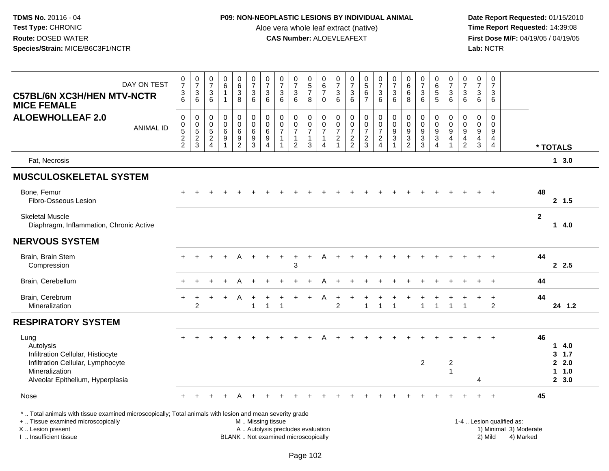## **P09: NON-NEOPLASTIC LESIONS BY INDIVIDUAL ANIMAL**

Aloe vera whole leaf extract (native)<br>**CAS Number:** ALOEVLEAFEXT

| DAY ON TEST<br><b>C57BL/6N XC3H/HEN MTV-NCTR</b><br><b>MICE FEMALE</b>                                                                                                                        | $\frac{0}{7}$<br>$\frac{3}{6}$        | $\begin{matrix} 0 \\ 7 \end{matrix}$<br>$\sqrt{3}$<br>6 | $\frac{0}{7}$<br>3<br>6                                     | $_{6}^{\rm 0}$<br>$\mathbf{1}$<br>$\mathbf{1}$                    | $_{6}^{\rm 0}$<br>$\mathbf{3}$<br>$\overline{8}$                  | $\begin{array}{c} 0 \\ 7 \end{array}$<br>$\mathbf{3}$<br>$6^{\circ}$ | $\frac{0}{7}$<br>$\sqrt{3}$<br>6                                 | $\frac{0}{7}$<br>$\mathbf{3}$<br>6                                       | $\pmb{0}$<br>$\overline{7}$<br>$\sqrt{3}$<br>6                             | 0<br>5<br>7<br>8                                        | 0<br>$\,6\,$<br>$\overline{\mathcal{I}}$<br>$\mathbf 0$                      | $\frac{0}{7}$<br>$\mathbf{3}$<br>6                                           | $\frac{0}{7}$<br>$\sqrt{3}$<br>6                  | $0$<br>5<br>6<br>7                            | $\frac{0}{7}$<br>$\mathbf{3}$<br>$6\phantom{1}$                  | $\begin{array}{c} 0 \\ 7 \end{array}$<br>$\ensuremath{\mathsf{3}}$<br>6 | $_{6}^{\rm 0}$<br>$\,6$<br>8                                            | $\frac{0}{7}$<br>$\mathbf{3}$<br>6                                           | $\begin{array}{c} 0 \\ 6 \\ 5 \end{array}$<br>$\overline{5}$                      | 0<br>$\overline{7}$<br>$\mathbf{3}$<br>6               | $\pmb{0}$<br>$\overline{7}$<br>$\sqrt{3}$<br>6                                        | $\pmb{0}$<br>$\overline{7}$<br>$\mathbf{3}$<br>6               | $\mathbf 0$<br>$\overline{7}$<br>3<br>6             |                                                                  |              |                                         |
|-----------------------------------------------------------------------------------------------------------------------------------------------------------------------------------------------|---------------------------------------|---------------------------------------------------------|-------------------------------------------------------------|-------------------------------------------------------------------|-------------------------------------------------------------------|----------------------------------------------------------------------|------------------------------------------------------------------|--------------------------------------------------------------------------|----------------------------------------------------------------------------|---------------------------------------------------------|------------------------------------------------------------------------------|------------------------------------------------------------------------------|---------------------------------------------------|-----------------------------------------------|------------------------------------------------------------------|-------------------------------------------------------------------------|-------------------------------------------------------------------------|------------------------------------------------------------------------------|-----------------------------------------------------------------------------------|--------------------------------------------------------|---------------------------------------------------------------------------------------|----------------------------------------------------------------|-----------------------------------------------------|------------------------------------------------------------------|--------------|-----------------------------------------|
| <b>ALOEWHOLLEAF 2.0</b><br><b>ANIMAL ID</b>                                                                                                                                                   | $\pmb{0}$<br>$0$<br>$5$<br>$2$<br>$2$ | $\pmb{0}$<br>$0$<br>$5$<br>$2$<br>$3$                   | 0<br>$\mathbf 0$<br>5<br>$\boldsymbol{2}$<br>$\overline{4}$ | $\pmb{0}$<br>$\pmb{0}$<br>6<br>$\boldsymbol{9}$<br>$\overline{1}$ | $\pmb{0}$<br>$\mathbf 0$<br>6<br>$\overline{9}$<br>$\overline{2}$ | 0<br>$\frac{0}{6}$<br>$\overline{9}$<br>$\mathbf{3}$                 | $\pmb{0}$<br>$\frac{0}{6}$<br>$\boldsymbol{9}$<br>$\overline{4}$ | 0<br>$\mathbf 0$<br>$\overline{7}$<br>$\overline{1}$                     | $\pmb{0}$<br>$\pmb{0}$<br>$\overline{7}$<br>$\mathbf{1}$<br>$\overline{2}$ | 0<br>$\mathbf 0$<br>$\overline{7}$<br>$\mathbf{1}$<br>3 | $\begin{array}{c} 0 \\ 0 \\ 7 \end{array}$<br>$\mathbf{1}$<br>$\overline{4}$ | $\pmb{0}$<br>$\mathbf 0$<br>$\overline{7}$<br>$\overline{c}$<br>$\mathbf{1}$ | 0<br>$\pmb{0}$<br>$\overline{7}$<br>$\frac{2}{2}$ | $\mathsf 0$<br>$\frac{0}{7}$<br>$\frac{2}{3}$ | 0<br>$\pmb{0}$<br>$\overline{7}$<br>$\sqrt{2}$<br>$\overline{4}$ | $\pmb{0}$<br>$\frac{0}{9}$<br>$\overline{3}$<br>$\overline{1}$          | $\mathbf 0$<br>$\mathbf 0$<br>$9\,$<br>$\overline{3}$<br>$\overline{2}$ | $\pmb{0}$<br>$\pmb{0}$<br>$\boldsymbol{9}$<br>$\overline{3}$<br>$\mathbf{3}$ | $\pmb{0}$<br>$\begin{array}{c} 0 \\ 9 \\ 3 \end{array}$<br>$\boldsymbol{\Lambda}$ | 0<br>$\mathbf 0$<br>$\boldsymbol{9}$<br>$\overline{4}$ | $\boldsymbol{0}$<br>$\mathbf 0$<br>$\overline{9}$<br>$\overline{4}$<br>$\overline{2}$ | $\mathsf{O}\xspace$<br>$\mathbf 0$<br>9<br>$\overline{4}$<br>3 | $\mathbf 0$<br>$\Omega$<br>9<br>4<br>$\overline{4}$ |                                                                  |              | * TOTALS                                |
| Fat, Necrosis                                                                                                                                                                                 |                                       |                                                         |                                                             |                                                                   |                                                                   |                                                                      |                                                                  |                                                                          |                                                                            |                                                         |                                                                              |                                                                              |                                                   |                                               |                                                                  |                                                                         |                                                                         |                                                                              |                                                                                   |                                                        |                                                                                       |                                                                |                                                     |                                                                  |              | 13.0                                    |
| <b>MUSCULOSKELETAL SYSTEM</b>                                                                                                                                                                 |                                       |                                                         |                                                             |                                                                   |                                                                   |                                                                      |                                                                  |                                                                          |                                                                            |                                                         |                                                                              |                                                                              |                                                   |                                               |                                                                  |                                                                         |                                                                         |                                                                              |                                                                                   |                                                        |                                                                                       |                                                                |                                                     |                                                                  |              |                                         |
| Bone, Femur<br>Fibro-Osseous Lesion                                                                                                                                                           |                                       |                                                         |                                                             |                                                                   |                                                                   |                                                                      |                                                                  |                                                                          |                                                                            |                                                         |                                                                              |                                                                              |                                                   |                                               |                                                                  |                                                                         |                                                                         |                                                                              |                                                                                   |                                                        |                                                                                       |                                                                |                                                     |                                                                  | 48           | 2, 1.5                                  |
| <b>Skeletal Muscle</b><br>Diaphragm, Inflammation, Chronic Active                                                                                                                             |                                       |                                                         |                                                             |                                                                   |                                                                   |                                                                      |                                                                  |                                                                          |                                                                            |                                                         |                                                                              |                                                                              |                                                   |                                               |                                                                  |                                                                         |                                                                         |                                                                              |                                                                                   |                                                        |                                                                                       |                                                                |                                                     |                                                                  | $\mathbf{2}$ | 14.0                                    |
| <b>NERVOUS SYSTEM</b>                                                                                                                                                                         |                                       |                                                         |                                                             |                                                                   |                                                                   |                                                                      |                                                                  |                                                                          |                                                                            |                                                         |                                                                              |                                                                              |                                                   |                                               |                                                                  |                                                                         |                                                                         |                                                                              |                                                                                   |                                                        |                                                                                       |                                                                |                                                     |                                                                  |              |                                         |
| Brain, Brain Stem<br>Compression                                                                                                                                                              |                                       |                                                         |                                                             |                                                                   | A                                                                 | $\ddot{}$                                                            |                                                                  | $\ddot{}$                                                                | 3                                                                          | $\ddot{}$                                               | А                                                                            |                                                                              |                                                   |                                               |                                                                  |                                                                         |                                                                         |                                                                              |                                                                                   |                                                        |                                                                                       |                                                                |                                                     |                                                                  | 44           | 2.5                                     |
| Brain, Cerebellum                                                                                                                                                                             |                                       |                                                         |                                                             |                                                                   | A                                                                 |                                                                      |                                                                  |                                                                          |                                                                            |                                                         |                                                                              |                                                                              |                                                   |                                               |                                                                  |                                                                         |                                                                         |                                                                              |                                                                                   |                                                        |                                                                                       |                                                                | $\ddot{}$                                           |                                                                  | 44           |                                         |
| Brain, Cerebrum<br>Mineralization                                                                                                                                                             |                                       | $\overline{c}$                                          |                                                             |                                                                   | A                                                                 | $\overline{1}$                                                       | $\overline{1}$                                                   | -1                                                                       |                                                                            |                                                         |                                                                              | $\overline{c}$                                                               |                                                   | 1                                             | $\mathbf{1}$                                                     | 1                                                                       |                                                                         | $\overline{1}$                                                               | $\mathbf{1}$                                                                      | $\mathbf{1}$                                           | $\overline{1}$                                                                        |                                                                | $\ddot{}$<br>$\overline{2}$                         |                                                                  | 44           | 24 1.2                                  |
| <b>RESPIRATORY SYSTEM</b>                                                                                                                                                                     |                                       |                                                         |                                                             |                                                                   |                                                                   |                                                                      |                                                                  |                                                                          |                                                                            |                                                         |                                                                              |                                                                              |                                                   |                                               |                                                                  |                                                                         |                                                                         |                                                                              |                                                                                   |                                                        |                                                                                       |                                                                |                                                     |                                                                  |              |                                         |
| Lung<br>Autolysis<br>Infiltration Cellular, Histiocyte<br>Infiltration Cellular, Lymphocyte<br>Mineralization<br>Alveolar Epithelium, Hyperplasia                                             |                                       |                                                         |                                                             |                                                                   |                                                                   |                                                                      |                                                                  |                                                                          |                                                                            |                                                         |                                                                              |                                                                              |                                                   |                                               |                                                                  |                                                                         |                                                                         | $\overline{2}$                                                               |                                                                                   | $\overline{c}$<br>$\overline{1}$                       |                                                                                       | 4                                                              |                                                     |                                                                  | 46           | 14.0<br>3, 1.7<br>2.0<br>11.0<br>2, 3.0 |
| Nose                                                                                                                                                                                          |                                       |                                                         |                                                             |                                                                   |                                                                   |                                                                      |                                                                  |                                                                          |                                                                            |                                                         |                                                                              |                                                                              |                                                   |                                               |                                                                  |                                                                         |                                                                         |                                                                              |                                                                                   |                                                        |                                                                                       |                                                                |                                                     |                                                                  | 45           |                                         |
| *  Total animals with tissue examined microscopically; Total animals with lesion and mean severity grade<br>+  Tissue examined microscopically<br>X  Lesion present<br>I. Insufficient tissue |                                       |                                                         |                                                             |                                                                   |                                                                   | M  Missing tissue                                                    |                                                                  | A  Autolysis precludes evaluation<br>BLANK  Not examined microscopically |                                                                            |                                                         |                                                                              |                                                                              |                                                   |                                               |                                                                  |                                                                         |                                                                         |                                                                              |                                                                                   |                                                        |                                                                                       |                                                                | 2) Mild                                             | 1-4  Lesion qualified as:<br>1) Minimal 3) Moderate<br>4) Marked |              |                                         |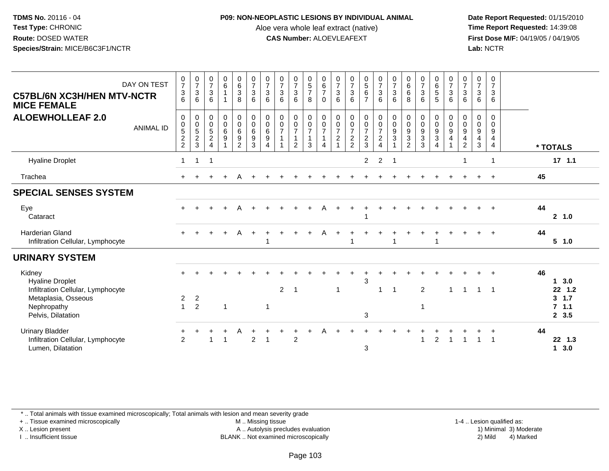### **P09: NON-NEOPLASTIC LESIONS BY INDIVIDUAL ANIMAL**

Aloe vera whole leaf extract (native)<br>**CAS Number:** ALOEVLEAFEXT

 **Date Report Requested:** 01/15/2010 **First Dose M/F:** 04/19/05 / 04/19/05<br>Lab: NCTR **Lab:** NCTR

| DAY ON TEST<br><b>C57BL/6N XC3H/HEN MTV-NCTR</b><br><b>MICE FEMALE</b>                       | $\frac{0}{7}$<br>$\ensuremath{\mathsf{3}}$<br>6 | $\begin{array}{c} 0 \\ 7 \\ 3 \end{array}$<br>6 | $\begin{array}{c} 0 \\ 7 \\ 3 \end{array}$<br>6                                       | $\begin{array}{c} 0 \\ 6 \\ 1 \end{array}$<br>$\mathbf{1}$      | $\begin{matrix} 0 \\ 6 \\ 3 \end{matrix}$<br>8                                                      | $\begin{matrix} 0 \\ 7 \\ 3 \end{matrix}$<br>6                                         | $\begin{array}{c} 0 \\ 7 \\ 3 \end{array}$<br>6                           | $\begin{array}{c} 0 \\ 7 \\ 3 \end{array}$<br>6 | $\begin{array}{c} 0 \\ 7 \\ 3 \end{array}$<br>6                   | $\begin{array}{c} 0 \\ 5 \\ 7 \end{array}$<br>8                  | $\begin{array}{c} 0 \\ 6 \\ 7 \end{array}$<br>$\Omega$ | $\begin{array}{c} 0 \\ 7 \\ 3 \end{array}$<br>6        | $\begin{array}{c} 0 \\ 7 \\ 3 \end{array}$<br>$6\phantom{1}$ | $\begin{array}{c} 0 \\ 5 \\ 6 \end{array}$<br>$\overline{7}$ | $\begin{matrix} 0 \\ 7 \\ 3 \end{matrix}$<br>$6\phantom{1}6$                    | $\frac{0}{7}$<br>3<br>6                                | $0$<br>6<br>6<br>8    | $\begin{array}{c} 0 \\ 7 \\ 3 \end{array}$<br>6 | $\begin{array}{c} 0 \\ 6 \\ 5 \end{array}$<br>5 | $\begin{matrix}0\\7\\3\end{matrix}$<br>$6\phantom{1}6$          | $\begin{matrix} 0 \\ 7 \\ 3 \end{matrix}$<br>6                                             | $\begin{array}{c} 0 \\ 7 \\ 3 \end{array}$<br>6    | 0<br>$\overline{7}$<br>$\sqrt{3}$<br>6 |    |                           |
|----------------------------------------------------------------------------------------------|-------------------------------------------------|-------------------------------------------------|---------------------------------------------------------------------------------------|-----------------------------------------------------------------|-----------------------------------------------------------------------------------------------------|----------------------------------------------------------------------------------------|---------------------------------------------------------------------------|-------------------------------------------------|-------------------------------------------------------------------|------------------------------------------------------------------|--------------------------------------------------------|--------------------------------------------------------|--------------------------------------------------------------|--------------------------------------------------------------|---------------------------------------------------------------------------------|--------------------------------------------------------|-----------------------|-------------------------------------------------|-------------------------------------------------|-----------------------------------------------------------------|--------------------------------------------------------------------------------------------|----------------------------------------------------|----------------------------------------|----|---------------------------|
| <b>ALOEWHOLLEAF 2.0</b><br><b>ANIMAL ID</b>                                                  | $\pmb{0}$<br>$0$<br>$5$<br>$2$<br>$2$           | $\pmb{0}$<br>$0$<br>$5$<br>$2$<br>$3$           | $\begin{matrix} 0 \\ 0 \\ 5 \end{matrix}$<br>$\overline{2}$<br>$\boldsymbol{\Lambda}$ | $\begin{smallmatrix}0\0\0\6\end{smallmatrix}$<br>$\overline{9}$ | $\begin{smallmatrix} 0\\0 \end{smallmatrix}$<br>$6\overline{6}$<br>$\overline{9}$<br>$\overline{2}$ | $\begin{smallmatrix} 0\\0 \end{smallmatrix}$<br>$6\overline{6}$<br>$\overline{9}$<br>3 | $\pmb{0}$<br>$_{6}^{\rm 0}$<br>$\boldsymbol{9}$<br>$\boldsymbol{\Lambda}$ | $\begin{matrix} 0 \\ 0 \\ 7 \end{matrix}$       | $\begin{array}{c} 0 \\ 0 \\ 7 \end{array}$<br>1<br>$\overline{2}$ | $\begin{matrix} 0 \\ 0 \\ 7 \end{matrix}$<br>$\overline{1}$<br>3 | 0<br>$\begin{array}{c} 0 \\ 7 \end{array}$<br>4        | 0<br>$\frac{0}{7}$<br>$\overline{c}$<br>$\overline{A}$ | $\begin{matrix} 0 \\ 0 \\ 7 \end{matrix}$<br>$\frac{2}{2}$   | $\begin{matrix} 0 \\ 0 \\ 7 \end{matrix}$<br>$\frac{2}{3}$   | $\begin{matrix} 0 \\ 0 \\ 7 \end{matrix}$<br>$\boldsymbol{2}$<br>$\overline{4}$ | $\begin{smallmatrix} 0\\0 \end{smallmatrix}$<br>9<br>3 | 0<br>0<br>9<br>3<br>2 | 00933                                           | 0<br>$\frac{0}{9}$<br>$\overline{4}$            | $\begin{smallmatrix}0\\0\\9\end{smallmatrix}$<br>$\overline{4}$ | $\begin{smallmatrix}0\0\0\9\end{smallmatrix}$<br>$\overline{\mathbf{4}}$<br>$\overline{c}$ | $\,0\,$<br>$\pmb{0}$<br>$\boldsymbol{9}$<br>4<br>3 | 0<br>0<br>$\boldsymbol{9}$<br>4<br>4   |    | * TOTALS                  |
| <b>Hyaline Droplet</b>                                                                       | $\mathbf 1$                                     | $\mathbf{1}$                                    | $\overline{\mathbf{1}}$                                                               |                                                                 |                                                                                                     |                                                                                        |                                                                           |                                                 |                                                                   |                                                                  |                                                        |                                                        |                                                              | $\overline{2}$                                               | $\overline{2}$                                                                  |                                                        |                       |                                                 |                                                 |                                                                 | 1                                                                                          |                                                    | 1                                      |    | $17$ 1.1                  |
| Trachea                                                                                      |                                                 |                                                 |                                                                                       | $+$                                                             |                                                                                                     |                                                                                        |                                                                           |                                                 |                                                                   |                                                                  |                                                        |                                                        |                                                              |                                                              |                                                                                 |                                                        |                       |                                                 |                                                 |                                                                 |                                                                                            |                                                    | $\div$                                 | 45 |                           |
| <b>SPECIAL SENSES SYSTEM</b>                                                                 |                                                 |                                                 |                                                                                       |                                                                 |                                                                                                     |                                                                                        |                                                                           |                                                 |                                                                   |                                                                  |                                                        |                                                        |                                                              |                                                              |                                                                                 |                                                        |                       |                                                 |                                                 |                                                                 |                                                                                            |                                                    |                                        |    |                           |
| Eye<br>Cataract                                                                              |                                                 |                                                 |                                                                                       |                                                                 |                                                                                                     |                                                                                        |                                                                           |                                                 |                                                                   |                                                                  |                                                        |                                                        |                                                              |                                                              |                                                                                 |                                                        |                       |                                                 |                                                 |                                                                 |                                                                                            |                                                    |                                        | 44 | 2 1.0                     |
| <b>Harderian Gland</b><br>Infiltration Cellular, Lymphocyte                                  | $+$                                             |                                                 |                                                                                       | $+$                                                             | A                                                                                                   | $\ddot{}$                                                                              |                                                                           |                                                 | $\overline{+}$                                                    |                                                                  | A                                                      |                                                        |                                                              |                                                              |                                                                                 |                                                        |                       |                                                 |                                                 |                                                                 |                                                                                            |                                                    |                                        | 44 | 5 1.0                     |
| <b>URINARY SYSTEM</b>                                                                        |                                                 |                                                 |                                                                                       |                                                                 |                                                                                                     |                                                                                        |                                                                           |                                                 |                                                                   |                                                                  |                                                        |                                                        |                                                              |                                                              |                                                                                 |                                                        |                       |                                                 |                                                 |                                                                 |                                                                                            |                                                    |                                        |    |                           |
| Kidney<br><b>Hyaline Droplet</b><br>Infiltration Cellular, Lymphocyte<br>Metaplasia, Osseous | $\overline{2}$                                  | $\overline{2}$                                  |                                                                                       |                                                                 |                                                                                                     |                                                                                        |                                                                           | $\overline{2}$                                  | - 1                                                               |                                                                  |                                                        | $\mathbf 1$                                            |                                                              | 3                                                            | 1                                                                               | -1                                                     |                       | $\overline{2}$                                  |                                                 |                                                                 |                                                                                            |                                                    |                                        | 46 | 3.0<br>$22$ 1.2<br>3, 1.7 |
| Nephropathy<br>Pelvis, Dilatation                                                            | $\blacktriangleleft$                            | $\overline{2}$                                  |                                                                                       | $\mathbf{1}$                                                    |                                                                                                     |                                                                                        | $\mathbf{1}$                                                              |                                                 |                                                                   |                                                                  |                                                        |                                                        |                                                              | 3                                                            |                                                                                 |                                                        |                       | $\mathbf 1$                                     |                                                 |                                                                 |                                                                                            |                                                    |                                        |    | 7.1.1<br>2, 3.5           |
| <b>Urinary Bladder</b><br>Infiltration Cellular, Lymphocyte<br>Lumen, Dilatation             | 2                                               |                                                 | -1                                                                                    | 1                                                               |                                                                                                     | $\overline{2}$                                                                         | -1                                                                        |                                                 | $\mathfrak{p}$                                                    |                                                                  |                                                        |                                                        |                                                              | 3                                                            |                                                                                 |                                                        |                       | -1                                              | 2                                               |                                                                 |                                                                                            |                                                    |                                        | 44 | 22 1.3<br>3.0<br>1        |

\* .. Total animals with tissue examined microscopically; Total animals with lesion and mean severity grade

+ .. Tissue examined microscopically

X .. Lesion present

I .. Insufficient tissue

M .. Missing tissue

A .. Autolysis precludes evaluation

1-4 .. Lesion qualified as:<br>1) Minimal 3) Moderate BLANK .. Not examined microscopically 2) Mild 4) Marked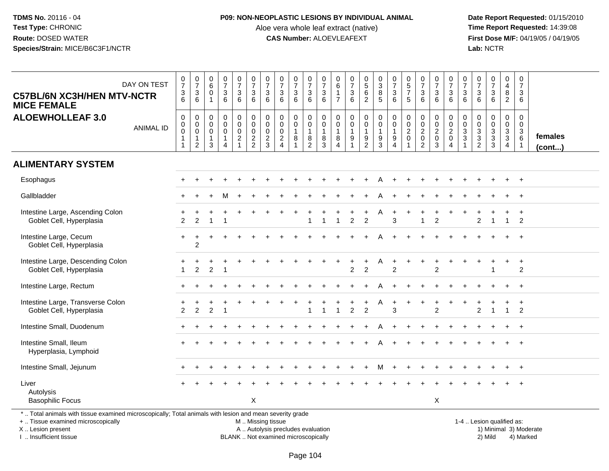### **P09: NON-NEOPLASTIC LESIONS BY INDIVIDUAL ANIMAL**

Aloe vera whole leaf extract (native)<br>**CAS Number:** ALOEVLEAFEXT

 **Date Report Requested:** 01/15/2010 **First Dose M/F:** 04/19/05 / 04/19/05<br>Lab: NCTR **Lab:** NCTR

| DAY ON TEST<br><b>C57BL/6N XC3H/HEN MTV-NCTR</b><br><b>MICE FEMALE</b>                                                                                              |                  | $\frac{0}{7}$<br>$\ensuremath{\mathsf{3}}$<br>6                           | $\frac{0}{7}$<br>$\ensuremath{\mathsf{3}}$<br>6                                  | $_{6}^{\rm 0}$<br>$\mathbf 0$<br>$\mathbf{1}$                          | $\frac{0}{7}$<br>3<br>$\,6\,$                                      | $\begin{smallmatrix}0\\7\end{smallmatrix}$<br>$\frac{3}{6}$                           | $\begin{smallmatrix} 0\\7 \end{smallmatrix}$<br>$\sqrt{3}$<br>$\,6\,$ | $\begin{array}{c} 0 \\ 7 \end{array}$<br>$\ensuremath{\mathsf{3}}$<br>6 | $\begin{array}{c} 0 \\ 7 \end{array}$<br>$\ensuremath{\mathsf{3}}$<br>6 | $\frac{0}{7}$<br>$\mathbf{3}$<br>6 | $\frac{0}{7}$<br>$\frac{3}{6}$                              | $\frac{0}{7}$<br>$\ensuremath{\mathsf{3}}$<br>6                      | 0<br>$\,6\,$<br>$\overline{7}$                          | $\begin{smallmatrix} 0\\7 \end{smallmatrix}$<br>$\frac{3}{6}$                | $\begin{array}{c} 0 \\ 5 \end{array}$<br>$6\phantom{a}$<br>$\overline{2}$ | $_{3}^{\rm 0}$<br>$\overline{8}$<br>5                                     | $\begin{smallmatrix}0\\7\end{smallmatrix}$<br>$\sqrt{3}$<br>6 | $\begin{array}{c} 0 \\ 5 \\ 7 \end{array}$<br>5             | $\frac{0}{7}$<br>$\ensuremath{\mathsf{3}}$<br>6                    | $\begin{array}{c} 0 \\ 7 \end{array}$<br>$\frac{3}{6}$  | $\begin{array}{c} 0 \\ 7 \end{array}$<br>$\frac{3}{6}$        | $\mathbf 0$<br>$\overline{7}$<br>$\sqrt{3}$<br>6                           | $\frac{0}{7}$<br>$\ensuremath{\mathsf{3}}$<br>6                          | $\frac{0}{7}$<br>$\mathbf{3}$<br>$\,6\,$  | $\pmb{0}$<br>$\overline{4}$<br>$\frac{8}{2}$ | $\pmb{0}$<br>$\overline{7}$<br>3<br>6                              |                   |
|---------------------------------------------------------------------------------------------------------------------------------------------------------------------|------------------|---------------------------------------------------------------------------|----------------------------------------------------------------------------------|------------------------------------------------------------------------|--------------------------------------------------------------------|---------------------------------------------------------------------------------------|-----------------------------------------------------------------------|-------------------------------------------------------------------------|-------------------------------------------------------------------------|------------------------------------|-------------------------------------------------------------|----------------------------------------------------------------------|---------------------------------------------------------|------------------------------------------------------------------------------|---------------------------------------------------------------------------|---------------------------------------------------------------------------|---------------------------------------------------------------|-------------------------------------------------------------|--------------------------------------------------------------------|---------------------------------------------------------|---------------------------------------------------------------|----------------------------------------------------------------------------|--------------------------------------------------------------------------|-------------------------------------------|----------------------------------------------|--------------------------------------------------------------------|-------------------|
| <b>ALOEWHOLLEAF 3.0</b>                                                                                                                                             | <b>ANIMAL ID</b> | $\mathbf 0$<br>$\mathsf 0$<br>$\mathbf 0$<br>$\mathbf{1}$<br>$\mathbf{1}$ | $\boldsymbol{0}$<br>$\mathbf 0$<br>$\mathbf 0$<br>$\mathbf{1}$<br>$\overline{2}$ | $\mathsf{O}\xspace$<br>$\mathbf 0$<br>$\mathbf 0$<br>$\mathbf{1}$<br>3 | $\mathsf{O}$<br>$\overline{0}$<br>$\mathbf 0$<br>$\mathbf{1}$<br>4 | $\boldsymbol{0}$<br>$\ddot{\mathbf{0}}$<br>$\begin{array}{c} 0 \\ 2 \\ 1 \end{array}$ | $\mathbf 0$<br>$\overline{0}$<br>$\pmb{0}$<br>$\frac{2}{2}$           | $\mathbf 0$<br>$\mathbf 0$<br>$\mathbf 0$<br>$\frac{2}{3}$              | $\mathbf 0$<br>$\mathbf 0$<br>$\mathbf 0$<br>$\frac{2}{4}$              | 0<br>$\overline{0}$<br>1<br>8      | $_{\rm 0}^{\rm 0}$<br>$\overline{1}$<br>8<br>$\overline{2}$ | $\mathsf{O}\xspace$<br>$\mathsf{O}\xspace$<br>$\mathbf{1}$<br>8<br>3 | $\mathsf 0$<br>0<br>$\mathbf{1}$<br>8<br>$\overline{4}$ | $\mathbf 0$<br>$\ddot{\mathbf{0}}$<br>$\mathbf{1}$<br>$\boldsymbol{9}$<br>-1 | $\mathbf 0$<br>$\overline{0}$<br>$\mathbf{1}$<br>9<br>$\overline{2}$      | $\pmb{0}$<br>$\ddot{\mathbf{0}}$<br>$\mathbf{1}$<br>$9\,$<br>$\mathbf{3}$ | 0<br>$\mathbf 0$<br>$\mathbf{1}$<br>9<br>4                    | $\mathbf 0$<br>$\mathbf 0$<br>$\overline{c}$<br>$\mathbf 0$ | $\pmb{0}$<br>$\ddot{\mathbf{0}}$<br>$^2_{\rm 0}$<br>$\overline{2}$ | $\mathbf 0$<br>$\ddot{\mathbf{0}}$<br>$^2_{\rm 0}$<br>3 | $\boldsymbol{0}$<br>$\frac{0}{2}$<br>$\mathsf{O}\xspace$<br>4 | $\mathbf 0$<br>$\mathbf 0$<br>$\ensuremath{\mathsf{3}}$<br>$\sqrt{3}$<br>1 | $\mathsf 0$<br>$\mathsf 0$<br>$\ensuremath{\mathsf{3}}$<br>$\frac{3}{2}$ | 0<br>$\ddot{\mathbf{0}}$<br>$\frac{3}{3}$ | $\pmb{0}$<br>$\frac{0}{3}$<br>$\overline{4}$ | $\mathbf 0$<br>$\mathbf 0$<br>$\ensuremath{\mathsf{3}}$<br>$\,6\,$ | females<br>(cont) |
| <b>ALIMENTARY SYSTEM</b>                                                                                                                                            |                  |                                                                           |                                                                                  |                                                                        |                                                                    |                                                                                       |                                                                       |                                                                         |                                                                         |                                    |                                                             |                                                                      |                                                         |                                                                              |                                                                           |                                                                           |                                                               |                                                             |                                                                    |                                                         |                                                               |                                                                            |                                                                          |                                           |                                              |                                                                    |                   |
| Esophagus                                                                                                                                                           |                  |                                                                           |                                                                                  |                                                                        |                                                                    |                                                                                       |                                                                       |                                                                         |                                                                         |                                    |                                                             |                                                                      |                                                         |                                                                              | $\ddot{}$                                                                 | A                                                                         |                                                               |                                                             |                                                                    |                                                         |                                                               |                                                                            |                                                                          |                                           |                                              | $+$                                                                |                   |
| Gallbladder                                                                                                                                                         |                  |                                                                           |                                                                                  |                                                                        |                                                                    |                                                                                       |                                                                       |                                                                         |                                                                         |                                    |                                                             |                                                                      |                                                         |                                                                              |                                                                           |                                                                           |                                                               |                                                             |                                                                    |                                                         |                                                               |                                                                            |                                                                          |                                           |                                              | $\ddot{}$                                                          |                   |
| Intestine Large, Ascending Colon<br>Goblet Cell, Hyperplasia                                                                                                        |                  | $\overline{2}$                                                            | $\mathcal{P}$                                                                    |                                                                        |                                                                    |                                                                                       |                                                                       |                                                                         |                                                                         |                                    |                                                             |                                                                      |                                                         | $\mathfrak{p}$                                                               | $\overline{2}$                                                            |                                                                           | 3                                                             |                                                             | $\overline{1}$                                                     | $\overline{2}$                                          |                                                               |                                                                            | $\mathfrak{p}$                                                           | $\overline{1}$                            | $\mathbf{1}$                                 | $\ddot{}$<br>$\overline{2}$                                        |                   |
| Intestine Large, Cecum<br>Goblet Cell, Hyperplasia                                                                                                                  |                  |                                                                           | $\overline{c}$                                                                   |                                                                        |                                                                    |                                                                                       |                                                                       |                                                                         |                                                                         |                                    |                                                             |                                                                      |                                                         |                                                                              |                                                                           |                                                                           |                                                               |                                                             |                                                                    |                                                         |                                                               |                                                                            |                                                                          |                                           |                                              |                                                                    |                   |
| Intestine Large, Descending Colon<br>Goblet Cell, Hyperplasia                                                                                                       |                  |                                                                           | $\overline{2}$                                                                   | 2                                                                      |                                                                    |                                                                                       |                                                                       |                                                                         |                                                                         |                                    |                                                             |                                                                      |                                                         | $\overline{2}$                                                               | +<br>$\overline{2}$                                                       | Α                                                                         | $\overline{2}$                                                |                                                             | $\ddot{}$                                                          | $\ddot{}$<br>$\overline{2}$                             |                                                               |                                                                            |                                                                          |                                           | $\ddot{}$                                    | $\ddot{}$<br>$\overline{2}$                                        |                   |
| Intestine Large, Rectum                                                                                                                                             |                  |                                                                           |                                                                                  |                                                                        |                                                                    |                                                                                       |                                                                       |                                                                         |                                                                         |                                    |                                                             |                                                                      |                                                         |                                                                              |                                                                           |                                                                           |                                                               |                                                             |                                                                    |                                                         |                                                               |                                                                            |                                                                          |                                           |                                              | $\ddot{}$                                                          |                   |
| Intestine Large, Transverse Colon<br>Goblet Cell, Hyperplasia                                                                                                       |                  | 2                                                                         | $\overline{2}$                                                                   | 2                                                                      |                                                                    |                                                                                       |                                                                       |                                                                         |                                                                         |                                    |                                                             |                                                                      |                                                         | $\overline{2}$                                                               | $\boldsymbol{2}$                                                          |                                                                           | 3                                                             |                                                             |                                                                    | 2                                                       |                                                               |                                                                            | 2                                                                        | -1                                        | 1                                            | $\overline{ }$<br>$\overline{2}$                                   |                   |
| Intestine Small, Duodenum                                                                                                                                           |                  |                                                                           |                                                                                  |                                                                        |                                                                    |                                                                                       |                                                                       |                                                                         |                                                                         |                                    |                                                             |                                                                      |                                                         |                                                                              |                                                                           |                                                                           |                                                               |                                                             |                                                                    |                                                         |                                                               |                                                                            |                                                                          |                                           |                                              | $\ddot{}$                                                          |                   |
| Intestine Small, Ileum<br>Hyperplasia, Lymphoid                                                                                                                     |                  |                                                                           |                                                                                  |                                                                        |                                                                    |                                                                                       |                                                                       |                                                                         |                                                                         |                                    |                                                             |                                                                      |                                                         |                                                                              |                                                                           |                                                                           |                                                               |                                                             |                                                                    |                                                         |                                                               |                                                                            |                                                                          |                                           |                                              |                                                                    |                   |
| Intestine Small, Jejunum                                                                                                                                            |                  |                                                                           |                                                                                  |                                                                        |                                                                    |                                                                                       |                                                                       |                                                                         |                                                                         |                                    |                                                             |                                                                      |                                                         |                                                                              | $\ddot{}$                                                                 | М                                                                         | $\ddot{}$                                                     |                                                             |                                                                    |                                                         |                                                               |                                                                            |                                                                          |                                           |                                              | $^{+}$                                                             |                   |
| Liver<br>Autolysis<br><b>Basophilic Focus</b>                                                                                                                       |                  |                                                                           |                                                                                  |                                                                        |                                                                    |                                                                                       | X                                                                     |                                                                         |                                                                         |                                    |                                                             |                                                                      |                                                         |                                                                              |                                                                           |                                                                           |                                                               |                                                             |                                                                    | X                                                       |                                                               |                                                                            |                                                                          |                                           |                                              | $\ddot{}$                                                          |                   |
| *  Total animals with tissue examined microscopically; Total animals with lesion and mean severity grade<br>+  Tissue examined microscopically<br>X  Lesion present |                  |                                                                           |                                                                                  |                                                                        |                                                                    |                                                                                       | M  Missing tissue                                                     |                                                                         | A  Autolysis precludes evaluation                                       |                                    |                                                             |                                                                      |                                                         |                                                                              |                                                                           |                                                                           |                                                               |                                                             |                                                                    |                                                         |                                                               |                                                                            | 1-4  Lesion qualified as:                                                |                                           |                                              | 1) Minimal 3) Moderate                                             |                   |

X .. Lesion present

I .. Insufficient tissue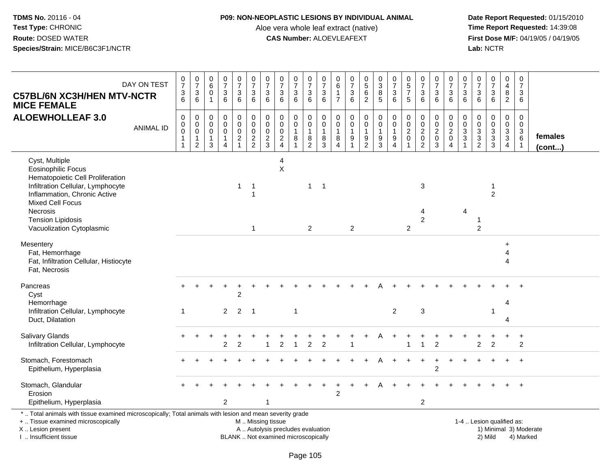#### **P09: NON-NEOPLASTIC LESIONS BY INDIVIDUAL ANIMAL**

Aloe vera whole leaf extract (native)<br>**CAS Number:** ALOEVLEAFEXT

 **Date Report Requested:** 01/15/2010 **First Dose M/F:** 04/19/05 / 04/19/05<br>Lab: NCTR **Lab:** NCTR

| <b>C57BL/6N XC3H/HEN MTV-NCTR</b><br><b>MICE FEMALE</b>                                                                                                                         | DAY ON TEST      | $\frac{0}{7}$<br>$\frac{3}{6}$                                    | $\frac{0}{7}$<br>$\frac{3}{6}$                                               | $\begin{array}{c} 0 \\ 6 \end{array}$<br>$\pmb{0}$<br>$\overline{1}$ | $\begin{array}{c} 0 \\ 7 \end{array}$<br>$\sqrt{3}$<br>$6\phantom{1}$           | $\frac{0}{7}$<br>$\mathbf{3}$<br>6                                                  | $\frac{0}{7}$<br>$\ensuremath{\mathsf{3}}$<br>$6^{\circ}$           | $\frac{0}{7}$<br>3<br>$6\overline{6}$                  | $\frac{0}{7}$<br>$\ensuremath{\mathsf{3}}$<br>6 | $\begin{array}{c} 0 \\ 7 \end{array}$<br>$\ensuremath{\mathsf{3}}$<br>6 | 0<br>$\overline{7}$<br>$\frac{3}{6}$                                                         | $\frac{0}{7}$<br>$\ensuremath{\mathsf{3}}$<br>6        | $\pmb{0}$<br>$\,6\,$<br>1<br>$\overline{7}$                       | $\begin{array}{c} 0 \\ 7 \end{array}$<br>3<br>$6\phantom{1}$ | $\begin{array}{c} 0 \\ 5 \\ 6 \end{array}$<br>$\overline{2}$ | $\pmb{0}$<br>$\mathbf{3}$<br>$\bf 8$<br>$\overline{5}$                                      | $\frac{0}{7}$<br>$\sqrt{3}$<br>$6\phantom{a}$                                     | $\begin{array}{c} 0 \\ 5 \end{array}$<br>$\overline{7}$<br>5 | $\frac{0}{7}$<br>$\sqrt{3}$<br>6                                         | $\frac{0}{7}$<br>3<br>$6\phantom{1}$                   | 0<br>$\overline{7}$<br>$\sqrt{3}$<br>$6\phantom{1}6$                        | $\frac{0}{7}$<br>3<br>$6\phantom{a}$                  | 0<br>$\boldsymbol{7}$<br>$^3$ 6                     | $\frac{0}{7}$<br>$\mathbf{3}$<br>$6^{\circ}$     | 0<br>4<br>8<br>$\overline{2}$                             | $\pmb{0}$<br>$\overline{7}$<br>$\mathbf{3}$<br>6                      |                        |
|---------------------------------------------------------------------------------------------------------------------------------------------------------------------------------|------------------|-------------------------------------------------------------------|------------------------------------------------------------------------------|----------------------------------------------------------------------|---------------------------------------------------------------------------------|-------------------------------------------------------------------------------------|---------------------------------------------------------------------|--------------------------------------------------------|-------------------------------------------------|-------------------------------------------------------------------------|----------------------------------------------------------------------------------------------|--------------------------------------------------------|-------------------------------------------------------------------|--------------------------------------------------------------|--------------------------------------------------------------|---------------------------------------------------------------------------------------------|-----------------------------------------------------------------------------------|--------------------------------------------------------------|--------------------------------------------------------------------------|--------------------------------------------------------|-----------------------------------------------------------------------------|-------------------------------------------------------|-----------------------------------------------------|--------------------------------------------------|-----------------------------------------------------------|-----------------------------------------------------------------------|------------------------|
| <b>ALOEWHOLLEAF 3.0</b>                                                                                                                                                         | <b>ANIMAL ID</b> | $\pmb{0}$<br>$_{\rm 0}^{\rm 0}$<br>$\mathbf{1}$<br>$\overline{1}$ | 0<br>$\overline{0}$<br>$\ddot{\mathbf{0}}$<br>$\mathbf{1}$<br>$\overline{2}$ | $\mathbf 0$<br>$\mathbf 0$<br>$\mathbf 0$<br>$\overline{1}$<br>3     | $\pmb{0}$<br>$\mathbf 0$<br>$\pmb{0}$<br>$\mathbf{1}$<br>$\boldsymbol{\Lambda}$ | $\mathbf 0$<br>$\ddot{\mathbf{0}}$<br>$\pmb{0}$<br>$\boldsymbol{2}$<br>$\mathbf{1}$ | $\pmb{0}$<br>$\ddot{\mathbf{0}}$<br>$\overline{0}$<br>$\frac{2}{2}$ | 0<br>$\ddot{\mathbf{0}}$<br>$\pmb{0}$<br>$\frac{2}{3}$ | 0<br>$\mathbf 0$<br>$\pmb{0}$<br>$\frac{2}{4}$  | 0<br>$\pmb{0}$<br>$\mathbf{1}$<br>8                                     | $\mathbf 0$<br>$\mathbf 0$<br>$\mathbf{1}$<br>$\begin{smallmatrix} 8 \\ 2 \end{smallmatrix}$ | $\mathbf 0$<br>$\mathbf 0$<br>$\overline{1}$<br>8<br>3 | $\mathbf 0$<br>$\mathbf 0$<br>$\mathbf{1}$<br>8<br>$\overline{4}$ | $\mathbf 0$<br>$\mathbf 0$<br>$\mathbf{1}$<br>9              | 0<br>$\tilde{0}$<br>$\mathbf{1}$<br>$\frac{9}{2}$            | $\boldsymbol{0}$<br>$\mathsf{O}\xspace$<br>$\mathbf{1}$<br>$\boldsymbol{9}$<br>$\mathbf{3}$ | $\pmb{0}$<br>$\overline{0}$<br>$\mathbf{1}$<br>$\boldsymbol{9}$<br>$\overline{4}$ | $\mathbf 0$<br>$\mathbf 0$<br>$\sqrt{2}$<br>$\mathbf{0}$     | $\mathbf 0$<br>$\ddot{\mathbf{0}}$<br>$\overline{2}$<br>$\mathbf 0$<br>2 | 0<br>$\mathbf 0$<br>$\overline{2}$<br>$\mathbf 0$<br>3 | $\mathbf 0$<br>$\pmb{0}$<br>$\overline{2}$<br>$\mathbf 0$<br>$\overline{4}$ | 0<br>$\mathbf 0$<br>$\sqrt{3}$<br>$\mathfrak{S}$<br>1 | 0<br>$\mathsf 0$<br>$\overline{3}$<br>$\frac{3}{2}$ | $\boldsymbol{0}$<br>$\tilde{0}$<br>$\frac{3}{3}$ | 0<br>$\mathbf 0$<br>$\overline{3}$<br>$\overline{3}$<br>4 | $\mathbf 0$<br>$\mathsf{O}\xspace$<br>$\frac{3}{6}$<br>$\overline{1}$ | females<br>(cont)      |
| Cyst, Multiple<br><b>Eosinophilic Focus</b><br>Hematopoietic Cell Proliferation<br>Infiltration Cellular, Lymphocyte<br>Inflammation, Chronic Active<br><b>Mixed Cell Focus</b> |                  |                                                                   |                                                                              |                                                                      |                                                                                 | $\mathbf{1}$                                                                        | $\overline{1}$<br>1                                                 |                                                        | 4<br>$\mathsf X$                                |                                                                         | $\mathbf{1}$                                                                                 | $\overline{1}$                                         |                                                                   |                                                              |                                                              |                                                                                             |                                                                                   |                                                              | $\mathbf{3}$                                                             |                                                        |                                                                             |                                                       |                                                     | $\mathbf 1$<br>$\overline{2}$                    |                                                           |                                                                       |                        |
| Necrosis<br><b>Tension Lipidosis</b><br>Vacuolization Cytoplasmic                                                                                                               |                  |                                                                   |                                                                              |                                                                      |                                                                                 |                                                                                     | $\mathbf{1}$                                                        |                                                        |                                                 |                                                                         | 2                                                                                            |                                                        |                                                                   | 2                                                            |                                                              |                                                                                             |                                                                                   | 2                                                            | 4<br>$\overline{c}$                                                      |                                                        |                                                                             | 4                                                     | 2                                                   |                                                  |                                                           |                                                                       |                        |
| Mesentery<br>Fat, Hemorrhage<br>Fat, Infiltration Cellular, Histiocyte<br>Fat, Necrosis                                                                                         |                  |                                                                   |                                                                              |                                                                      |                                                                                 |                                                                                     |                                                                     |                                                        |                                                 |                                                                         |                                                                                              |                                                        |                                                                   |                                                              |                                                              |                                                                                             |                                                                                   |                                                              |                                                                          |                                                        |                                                                             |                                                       |                                                     |                                                  | $+$<br>4<br>4                                             |                                                                       |                        |
| Pancreas<br>Cyst<br>Hemorrhage<br>Infiltration Cellular, Lymphocyte<br>Duct, Dilatation                                                                                         |                  | 1                                                                 |                                                                              |                                                                      | $\overline{2}$                                                                  | $\overline{2}$<br>$\overline{2}$                                                    | $\overline{\phantom{1}}$                                            |                                                        |                                                 | $\mathbf{1}$                                                            |                                                                                              |                                                        |                                                                   |                                                              |                                                              |                                                                                             | $\overline{2}$                                                                    |                                                              | $\sqrt{3}$                                                               |                                                        |                                                                             |                                                       |                                                     | $\overline{1}$                                   | 4<br>Δ                                                    |                                                                       |                        |
| <b>Salivary Glands</b><br>Infiltration Cellular, Lymphocyte                                                                                                                     |                  |                                                                   |                                                                              |                                                                      | $\overline{2}$                                                                  | $\overline{2}$                                                                      |                                                                     | $\overline{1}$                                         | $\overline{2}$                                  | $\overline{1}$                                                          | 2                                                                                            | $\overline{2}$                                         |                                                                   |                                                              |                                                              |                                                                                             |                                                                                   |                                                              | $\overline{1}$                                                           | $\overline{2}$                                         |                                                                             |                                                       | $\overline{2}$                                      | $\overline{2}$                                   | +                                                         | $\ddot{}$<br>$\overline{2}$                                           |                        |
| Stomach, Forestomach<br>Epithelium, Hyperplasia                                                                                                                                 |                  |                                                                   |                                                                              |                                                                      |                                                                                 |                                                                                     |                                                                     |                                                        |                                                 |                                                                         |                                                                                              |                                                        |                                                                   |                                                              |                                                              |                                                                                             |                                                                                   |                                                              |                                                                          | $\overline{c}$                                         |                                                                             |                                                       |                                                     |                                                  |                                                           |                                                                       |                        |
| Stomach, Glandular<br>Erosion<br>Epithelium, Hyperplasia                                                                                                                        |                  |                                                                   |                                                                              |                                                                      | $\overline{c}$                                                                  |                                                                                     |                                                                     | $\overline{1}$                                         |                                                 |                                                                         |                                                                                              |                                                        | $\overline{2}$                                                    |                                                              |                                                              |                                                                                             |                                                                                   |                                                              | $\overline{2}$                                                           |                                                        |                                                                             |                                                       |                                                     |                                                  |                                                           | $\overline{+}$                                                        |                        |
| *  Total animals with tissue examined microscopically; Total animals with lesion and mean severity grade<br>+  Tissue examined microscopically<br>X  Lesion present             |                  |                                                                   |                                                                              |                                                                      |                                                                                 |                                                                                     | M  Missing tissue                                                   |                                                        | A  Autolysis precludes evaluation               |                                                                         |                                                                                              |                                                        |                                                                   |                                                              |                                                              |                                                                                             |                                                                                   |                                                              |                                                                          |                                                        |                                                                             |                                                       |                                                     | 1-4  Lesion qualified as:                        |                                                           |                                                                       | 1) Minimal 3) Moderate |

I .. Insufficient tissue

Page 105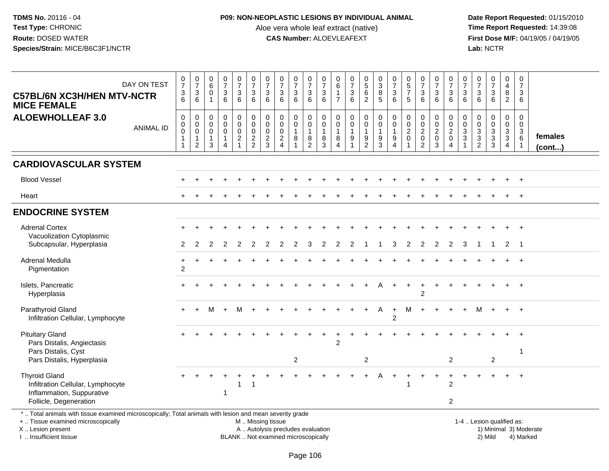### **P09: NON-NEOPLASTIC LESIONS BY INDIVIDUAL ANIMAL**

Aloe vera whole leaf extract (native)<br>**CAS Number:** ALOEVLEAFEXT

 **Date Report Requested:** 01/15/2010 **First Dose M/F:** 04/19/05 / 04/19/05<br>Lab: NCTR **Lab:** NCTR

| DAY ON TEST<br><b>C57BL/6N XC3H/HEN MTV-NCTR</b><br><b>MICE FEMALE</b>                                                                                              | $\begin{smallmatrix}0\\7\end{smallmatrix}$<br>3<br>$\overline{6}$ | $\frac{0}{7}$<br>$\sqrt{3}$<br>6                                    | $\begin{array}{c} 0 \\ 6 \end{array}$<br>$\mathbf 0$<br>$\overline{1}$ | $\frac{0}{7}$<br>3<br>6                                 | $\frac{0}{7}$<br>3<br>6                                                       | $\frac{0}{7}$<br>$\mathbf{3}$<br>$\overline{6}$                                   | $\frac{0}{7}$<br>$\mathbf{3}$<br>6                                      | $\frac{0}{7}$<br>$\ensuremath{\mathsf{3}}$<br>6                     | $\frac{0}{7}$<br>$\frac{3}{6}$                               | 0<br>$\overline{7}$<br>3<br>6                                 | $\frac{0}{7}$<br>$\mathbf{3}$<br>6         | 0<br>$\,6\,$<br>$\mathbf{1}$<br>$\overline{7}$                | $\frac{0}{7}$<br>$\frac{3}{6}$                               | $\begin{array}{c} 0 \\ 5 \end{array}$<br>$\frac{6}{2}$            | $_{3}^{\rm 0}$<br>8<br>$\overline{5}$                     | $\frac{0}{7}$<br>3<br>6                    | $\begin{array}{c} 0 \\ 5 \end{array}$<br>$\overline{7}$<br>5 | $\frac{0}{7}$<br>3<br>$\overline{6}$                                | $\begin{array}{c} 0 \\ 7 \end{array}$<br>$\frac{3}{6}$  | $\frac{0}{7}$<br>$\frac{3}{6}$                                                | $\frac{0}{7}$<br>3<br>6            | 0<br>$\overline{7}$<br>$\mathbf{3}$<br>6                                       | $\frac{0}{7}$<br>$\mathbf{3}$<br>$\overline{6}$ | 0<br>$\overline{4}$<br>8<br>$\overline{2}$                    | $\mathbf 0$<br>$\overline{7}$<br>3<br>6 |                        |
|---------------------------------------------------------------------------------------------------------------------------------------------------------------------|-------------------------------------------------------------------|---------------------------------------------------------------------|------------------------------------------------------------------------|---------------------------------------------------------|-------------------------------------------------------------------------------|-----------------------------------------------------------------------------------|-------------------------------------------------------------------------|---------------------------------------------------------------------|--------------------------------------------------------------|---------------------------------------------------------------|--------------------------------------------|---------------------------------------------------------------|--------------------------------------------------------------|-------------------------------------------------------------------|-----------------------------------------------------------|--------------------------------------------|--------------------------------------------------------------|---------------------------------------------------------------------|---------------------------------------------------------|-------------------------------------------------------------------------------|------------------------------------|--------------------------------------------------------------------------------|-------------------------------------------------|---------------------------------------------------------------|-----------------------------------------|------------------------|
| <b>ALOEWHOLLEAF 3.0</b><br><b>ANIMAL ID</b>                                                                                                                         | 0<br>$\mathsf 0$<br>$\mathbf 0$<br>$\mathbf{1}$                   | $\mathbf 0$<br>$\mathbf 0$<br>0<br>$\overline{1}$<br>$\overline{c}$ | $\mathbf 0$<br>$\mathbf 0$<br>$\mathbf 0$<br>$\overline{1}$<br>3       | 0<br>$\mathbf 0$<br>0<br>$\mathbf{1}$<br>$\overline{A}$ | $\mathbf 0$<br>$\mathbf 0$<br>$\mathbf 0$<br>$\overline{2}$<br>$\overline{1}$ | $\pmb{0}$<br>$\pmb{0}$<br>$\mathsf{O}\xspace$<br>$\overline{c}$<br>$\overline{2}$ | $\mathbf 0$<br>$\mathbf 0$<br>$\mathbf 0$<br>$\sqrt{2}$<br>$\mathbf{3}$ | $\mathbf 0$<br>$\mathbf 0$<br>$\mathbf 0$<br>$\sqrt{2}$<br>$\Delta$ | 0<br>$\mathbf 0$<br>$\mathbf{1}$<br>$\, 8$<br>$\overline{1}$ | 0<br>$\mathbf 0$<br>$\mathbf{1}$<br>$\,8\,$<br>$\overline{2}$ | 0<br>$\mathbf 0$<br>$\mathbf{1}$<br>8<br>3 | 0<br>$\mathbf 0$<br>$\mathbf{1}$<br>$\bf 8$<br>$\overline{A}$ | $\pmb{0}$<br>$\mathbf 0$<br>$\mathbf{1}$<br>$\boldsymbol{9}$ | $\pmb{0}$<br>$\mathsf{O}\xspace$<br>$\mathbf{1}$<br>$\frac{9}{2}$ | $\pmb{0}$<br>$\mathbf 0$<br>$\mathbf{1}$<br>$\frac{9}{3}$ | 0<br>$\mathbf 0$<br>$\mathbf{1}$<br>9<br>4 | $\mathbf 0$<br>$\mathbf 0$<br>$\overline{2}$<br>$\mathbf 0$  | 0<br>$\mathbf 0$<br>$\overline{2}$<br>$\mathbf 0$<br>$\overline{2}$ | 0<br>$\mathsf{O}$<br>$\overline{2}$<br>$\mathbf 0$<br>3 | $\begin{smallmatrix}0\\0\end{smallmatrix}$<br>$\frac{2}{0}$<br>$\overline{A}$ | 0<br>$\Omega$<br>3<br>$\mathbf{3}$ | $\mathbf 0$<br>$\mathbf 0$<br>$\mathbf{3}$<br>$\overline{3}$<br>$\overline{2}$ | 0<br>$\mathbf 0$<br>$\frac{3}{3}$<br>3          | $\mathbf 0$<br>$\mathbf 0$<br>$\frac{3}{3}$<br>$\overline{4}$ | $\mathbf 0$<br>0<br>3<br>$\,6\,$        | females<br>(cont)      |
| <b>CARDIOVASCULAR SYSTEM</b>                                                                                                                                        |                                                                   |                                                                     |                                                                        |                                                         |                                                                               |                                                                                   |                                                                         |                                                                     |                                                              |                                                               |                                            |                                                               |                                                              |                                                                   |                                                           |                                            |                                                              |                                                                     |                                                         |                                                                               |                                    |                                                                                |                                                 |                                                               |                                         |                        |
| <b>Blood Vessel</b>                                                                                                                                                 |                                                                   |                                                                     |                                                                        |                                                         |                                                                               |                                                                                   |                                                                         |                                                                     |                                                              |                                                               |                                            |                                                               |                                                              |                                                                   |                                                           |                                            |                                                              |                                                                     |                                                         |                                                                               |                                    |                                                                                |                                                 | $+$                                                           | $+$                                     |                        |
| Heart                                                                                                                                                               |                                                                   |                                                                     |                                                                        |                                                         |                                                                               |                                                                                   |                                                                         |                                                                     |                                                              |                                                               |                                            |                                                               |                                                              |                                                                   |                                                           |                                            |                                                              |                                                                     |                                                         |                                                                               |                                    |                                                                                |                                                 |                                                               | $\ddot{+}$                              |                        |
| <b>ENDOCRINE SYSTEM</b>                                                                                                                                             |                                                                   |                                                                     |                                                                        |                                                         |                                                                               |                                                                                   |                                                                         |                                                                     |                                                              |                                                               |                                            |                                                               |                                                              |                                                                   |                                                           |                                            |                                                              |                                                                     |                                                         |                                                                               |                                    |                                                                                |                                                 |                                                               |                                         |                        |
| <b>Adrenal Cortex</b><br>Vacuolization Cytoplasmic                                                                                                                  |                                                                   |                                                                     |                                                                        |                                                         |                                                                               |                                                                                   |                                                                         |                                                                     |                                                              |                                                               |                                            |                                                               |                                                              |                                                                   |                                                           |                                            |                                                              |                                                                     |                                                         |                                                                               |                                    |                                                                                |                                                 |                                                               |                                         |                        |
| Subcapsular, Hyperplasia                                                                                                                                            | 2                                                                 | 2                                                                   |                                                                        |                                                         |                                                                               |                                                                                   |                                                                         |                                                                     |                                                              |                                                               |                                            |                                                               |                                                              |                                                                   |                                                           | 3                                          | 2                                                            | 2                                                                   | 2                                                       | 2                                                                             | 3                                  |                                                                                | 1                                               | 2                                                             | - 1                                     |                        |
| Adrenal Medulla<br>Pigmentation                                                                                                                                     | $\ddot{}$<br>$\overline{2}$                                       |                                                                     |                                                                        |                                                         |                                                                               |                                                                                   |                                                                         |                                                                     |                                                              |                                                               |                                            |                                                               |                                                              |                                                                   |                                                           |                                            |                                                              |                                                                     |                                                         |                                                                               |                                    |                                                                                |                                                 |                                                               |                                         |                        |
| Islets, Pancreatic<br>Hyperplasia                                                                                                                                   |                                                                   |                                                                     |                                                                        |                                                         |                                                                               |                                                                                   |                                                                         |                                                                     |                                                              |                                                               |                                            |                                                               |                                                              |                                                                   |                                                           |                                            |                                                              | $\overline{c}$                                                      |                                                         |                                                                               |                                    |                                                                                |                                                 |                                                               |                                         |                        |
| Parathyroid Gland<br>Infiltration Cellular, Lymphocyte                                                                                                              | $+$                                                               | $\ddot{}$                                                           | M                                                                      | $+$                                                     | M                                                                             |                                                                                   |                                                                         |                                                                     |                                                              |                                                               |                                            |                                                               |                                                              | $+$                                                               | A                                                         | $+$<br>$\mathfrak{p}$                      | M                                                            | $\ddot{}$                                                           | $\pm$                                                   |                                                                               | $\ddot{}$                          | М                                                                              | $\ddot{}$                                       | $+$                                                           | $+$                                     |                        |
| <b>Pituitary Gland</b><br>Pars Distalis, Angiectasis                                                                                                                |                                                                   |                                                                     |                                                                        |                                                         |                                                                               |                                                                                   |                                                                         |                                                                     |                                                              |                                                               |                                            | $\overline{2}$                                                |                                                              |                                                                   |                                                           |                                            |                                                              |                                                                     |                                                         |                                                                               |                                    |                                                                                |                                                 |                                                               | $\ddot{}$                               |                        |
| Pars Distalis, Cyst<br>Pars Distalis, Hyperplasia                                                                                                                   |                                                                   |                                                                     |                                                                        |                                                         |                                                                               |                                                                                   |                                                                         |                                                                     | $\overline{c}$                                               |                                                               |                                            |                                                               |                                                              | $\overline{2}$                                                    |                                                           |                                            |                                                              |                                                                     |                                                         | $\overline{2}$                                                                |                                    |                                                                                | $\overline{c}$                                  |                                                               | -1                                      |                        |
| <b>Thyroid Gland</b><br>Infiltration Cellular, Lymphocyte<br>Inflammation, Suppurative<br>Follicle, Degeneration                                                    |                                                                   |                                                                     |                                                                        | $\mathbf{1}$                                            |                                                                               | 1                                                                                 |                                                                         |                                                                     |                                                              |                                                               |                                            |                                                               |                                                              | +                                                                 | A                                                         | ÷                                          |                                                              | $\ddot{}$                                                           | $\ddot{}$                                               | $\ddot{}$<br>$\overline{2}$<br>$\overline{2}$                                 | +                                  | ÷                                                                              | $\ddot{}$                                       | $+$                                                           | $\overline{+}$                          |                        |
| *  Total animals with tissue examined microscopically; Total animals with lesion and mean severity grade<br>+  Tissue examined microscopically<br>X  Lesion present |                                                                   |                                                                     |                                                                        |                                                         |                                                                               |                                                                                   |                                                                         | M  Missing tissue<br>A  Autolysis precludes evaluation              |                                                              |                                                               |                                            |                                                               |                                                              |                                                                   |                                                           |                                            |                                                              |                                                                     |                                                         |                                                                               |                                    | 1-4  Lesion qualified as:                                                      |                                                 |                                                               |                                         | 1) Minimal 3) Moderate |

I .. Insufficient tissue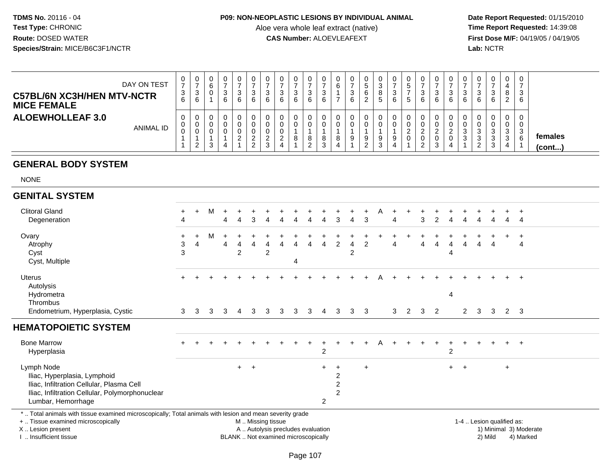#### **P09: NON-NEOPLASTIC LESIONS BY INDIVIDUAL ANIMAL**

Aloe vera whole leaf extract (native)<br>**CAS Number:** ALOEVLEAFEXT

 **Date Report Requested:** 01/15/2010 **First Dose M/F:** 04/19/05 / 04/19/05<br>**Lab:** NCTR **Lab:** NCTR

| DAY ON TEST<br><b>C57BL/6N XC3H/HEN MTV-NCTR</b><br><b>MICE FEMALE</b> | 3<br>6 | U<br>ა<br>⌒<br>6      | U | 0<br>3<br>6      | U<br>ົ<br>◡<br>6 | υ<br>⌒<br>J |   | Ñ<br>$\sim$<br>6 | 0<br>- 0<br>6                      | v<br>3<br>6 | 0<br>b      | ت. | 6 | 8<br>C. | v<br>3<br>-6 | 0<br><sub>5</sub><br>$\mathbf{b}$ | 0<br>3<br>6           |  | v<br>د<br>6 |          | 0<br>3<br>6                     | v<br>o<br><u>_</u> | $\overline{0}$<br>ີ<br>- 0<br>6 |                   |
|------------------------------------------------------------------------|--------|-----------------------|---|------------------|------------------|-------------|---|------------------|------------------------------------|-------------|-------------|----|---|---------|--------------|-----------------------------------|-----------------------|--|-------------|----------|---------------------------------|--------------------|---------------------------------|-------------------|
| <b>ALOEWHOLLEAF 3.0</b><br><b>ANIMAL ID</b>                            |        | U<br>0<br>υ<br>ົ<br>_ |   | 0<br>0<br>0<br>4 | 0<br>υ<br>υ<br>ົ | ົ           | ∸ | റ                | 0<br>0<br>$\circ$<br>◠<br><u>_</u> |             | 0<br>0<br>8 |    |   | 9       | υ<br>9<br>4  | <u>_</u><br>0                     | 0<br>0<br>ົ<br>0<br>2 |  | 0<br>υ<br>د | <u>_</u> | $\mathbf 0$<br>0<br>3<br>đ<br>3 | v<br>v<br>ົ<br>ັ   | 0<br>ົ<br>-3<br>6               | females<br>(cont) |

# **GENERAL BODY SYSTEM**

NONE

| <b>GENITAL SYSTEM</b>                                                                                                                                                |                   |              |   |     |                     |           |        |   |   |   |           |                |                     |                |   |   |                |        |                |                |             |   |                |             |                |  |
|----------------------------------------------------------------------------------------------------------------------------------------------------------------------|-------------------|--------------|---|-----|---------------------|-----------|--------|---|---|---|-----------|----------------|---------------------|----------------|---|---|----------------|--------|----------------|----------------|-------------|---|----------------|-------------|----------------|--|
| <b>Clitoral Gland</b>                                                                                                                                                | $\ddot{}$         | $\ddot{}$    | М | $+$ |                     |           |        |   |   |   |           |                |                     |                | A |   |                |        |                |                |             |   |                |             |                |  |
| Degeneration                                                                                                                                                         | 4                 |              |   | 4   | 4                   | 3         |        |   |   |   |           |                |                     | 3              |   | 4 |                | 3      | 2              |                |             |   |                | 4           | 4              |  |
| Ovary                                                                                                                                                                | $\ddot{}$         | $+$          | M | $+$ | $+$                 | $\ddot{}$ |        |   |   |   |           |                |                     |                |   |   |                |        |                |                |             |   |                |             | $\overline{+}$ |  |
| Atrophy                                                                                                                                                              | 3                 | 4            |   | 4   | $\overline{4}$      | 4         | 4      | 4 | 4 | 4 | 4         | $\overline{2}$ | 4                   | $\overline{2}$ |   | 4 |                | 4      | $\overline{4}$ | 4              | 4           | 4 | $\overline{4}$ |             | 4              |  |
|                                                                                                                                                                      |                   |              |   |     |                     |           |        |   |   |   |           |                |                     |                |   |   |                |        |                | 4              |             |   |                |             |                |  |
|                                                                                                                                                                      |                   |              |   |     |                     |           |        |   | 4 |   |           |                |                     |                |   |   |                |        |                |                |             |   |                |             |                |  |
| Uterus                                                                                                                                                               | $+$               | $+$          |   | $+$ |                     |           |        |   |   |   |           |                |                     | $+$            | A |   |                | $\div$ |                |                |             |   |                | $+$         | $+$            |  |
|                                                                                                                                                                      |                   |              |   |     |                     |           |        |   |   |   |           |                |                     |                |   |   |                |        |                |                |             |   |                |             |                |  |
|                                                                                                                                                                      |                   |              |   |     |                     |           |        |   |   |   |           |                |                     |                |   |   |                |        |                |                |             |   |                |             |                |  |
|                                                                                                                                                                      |                   |              |   |     |                     |           |        |   |   |   |           |                |                     |                |   |   |                |        |                |                |             |   |                |             |                |  |
|                                                                                                                                                                      |                   |              |   |     |                     |           |        |   |   |   |           |                |                     |                |   |   |                |        |                |                |             |   |                |             |                |  |
| <b>HEMATOPOIETIC SYSTEM</b>                                                                                                                                          |                   |              |   |     |                     |           |        |   |   |   |           |                |                     |                |   |   |                |        |                |                |             |   |                |             |                |  |
| <b>Bone Marrow</b>                                                                                                                                                   | $+$               | $\div$       |   |     |                     |           |        |   |   |   |           |                |                     | +              | A |   |                | $\pm$  | $\pm$          |                |             |   |                | $+$         | $+$            |  |
| Hyperplasia                                                                                                                                                          |                   |              |   |     |                     |           |        |   |   |   | 2         |                |                     |                |   |   |                |        |                | $\overline{c}$ |             |   |                |             |                |  |
| Lymph Node                                                                                                                                                           |                   |              |   |     | $+$ $+$             |           |        |   |   |   | $\ddot{}$ | $\ddot{}$      |                     | $+$            |   |   |                |        |                | $+$            | $+$         |   |                | $\ddot{}$   |                |  |
| Iliac, Hyperplasia, Lymphoid                                                                                                                                         |                   |              |   |     |                     |           |        |   |   |   |           | 2              |                     |                |   |   |                |        |                |                |             |   |                |             |                |  |
|                                                                                                                                                                      |                   |              |   |     |                     |           |        |   |   |   |           | 2              |                     |                |   |   |                |        |                |                |             |   |                |             |                |  |
| Iliac, Infiltration Cellular, Polymorphonuclear                                                                                                                      |                   |              |   |     |                     |           |        |   |   |   |           | 2              |                     |                |   |   |                |        |                |                |             |   |                |             |                |  |
|                                                                                                                                                                      |                   |              |   |     |                     |           |        |   |   |   |           |                |                     |                |   |   |                |        |                |                |             |   |                |             |                |  |
| Cyst<br>Cyst, Multiple<br>Autolysis<br>Hydrometra<br>Thrombus<br>Endometrium, Hyperplasia, Cystic<br>Iliac, Infiltration Cellular, Plasma Cell<br>Lumbar, Hemorrhage | 3<br>$\mathbf{3}$ | $\mathbf{3}$ | 3 | 3   | $\overline{2}$<br>4 | 3         | 2<br>3 | 3 | 3 | 3 | 4<br>2    | 3              | $\overline{2}$<br>3 | 3 <sup>3</sup> |   | 3 | $\overline{2}$ | 3      | 2              | 4              | $2^{\circ}$ | 3 | 3              | $2 \quad 3$ |                |  |

\* .. Total animals with tissue examined microscopically; Total animals with lesion and mean severity grade

+ .. Tissue examined microscopically

X .. Lesion present

I .. Insufficient tissue

M .. Missing tissue

A .. Autolysis precludes evaluation

BLANK .. Not examined microscopically 2) Mild 4) Marked

1-4 .. Lesion qualified as:<br>1) Minimal 3) Moderate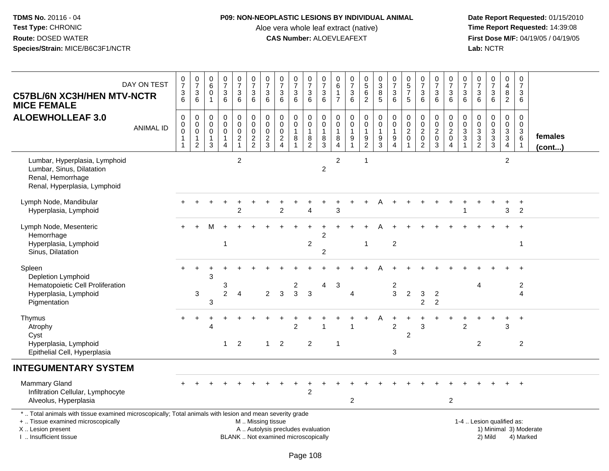#### **P09: NON-NEOPLASTIC LESIONS BY INDIVIDUAL ANIMAL**

Aloe vera whole leaf extract (native)<br>**CAS Number:** ALOEVLEAFEXT

| DAY ON TEST<br><b>C57BL/6N XC3H/HEN MTV-NCTR</b><br><b>MICE FEMALE</b>                                          |                                                                                                                                                                                                           | $\frac{0}{7}$<br>3<br>$\overline{6}$ | $\begin{matrix}0\\7\\3\end{matrix}$<br>6                                      | 0<br>$\,6$<br>$\Omega$<br>$\mathbf{1}$                         | $\begin{smallmatrix} 0\\7 \end{smallmatrix}$<br>$\mathbf{3}$<br>6                   | $\frac{0}{7}$<br>$\mathbf{3}$<br>6                     | $\begin{array}{c} 0 \\ 7 \end{array}$<br>$\overline{3}$<br>$6^{\circ}$ | $\frac{0}{7}$<br>$\sqrt{3}$<br>$6\phantom{a}$            | $\begin{array}{c} 0 \\ 7 \end{array}$<br>$\mathbf{3}$<br>$6\phantom{a}$ | $\begin{array}{c} 0 \\ 7 \end{array}$<br>$\sqrt{3}$<br>6              | $\frac{0}{7}$<br>$\ensuremath{\mathsf{3}}$<br>$6\overline{6}$ | $\frac{0}{7}$<br>$\ensuremath{\mathsf{3}}$<br>$\,6\,$        | 0<br>6<br>$\mathbf{1}$<br>$\overline{7}$                                    | $\begin{array}{c} 0 \\ 7 \end{array}$<br>$\sqrt{3}$<br>$6\phantom{1}$ | $\begin{array}{c} 0 \\ 5 \\ 6 \end{array}$<br>$\overline{2}$ | $\begin{array}{c} 0 \\ 3 \\ 8 \end{array}$<br>$\overline{5}$ | $\begin{array}{c} 0 \\ 7 \\ 3 \end{array}$<br>6                                  | $\begin{array}{c} 0 \\ 5 \\ 7 \end{array}$<br>$\sqrt{5}$    | $\frac{0}{7}$<br>$\mathbf{3}$<br>6                            | $\frac{0}{7}$<br>$\mathbf{3}$<br>$6\phantom{1}$          | $\frac{0}{7}$<br>$\sqrt{3}$<br>$6^{\circ}$   | 0<br>$\overline{7}$<br>3<br>$6\phantom{1}$ | $\begin{smallmatrix}0\\7\end{smallmatrix}$<br>$\sqrt{3}$<br>6 | $\frac{0}{7}$<br>$\sqrt{3}$<br>$6\overline{6}$          | $\mathbf 0$<br>$\overline{4}$<br>$\overline{8}$<br>$\overline{2}$              | $\mathbf 0$<br>$\overline{7}$<br>3<br>6                      |                   |
|-----------------------------------------------------------------------------------------------------------------|-----------------------------------------------------------------------------------------------------------------------------------------------------------------------------------------------------------|--------------------------------------|-------------------------------------------------------------------------------|----------------------------------------------------------------|-------------------------------------------------------------------------------------|--------------------------------------------------------|------------------------------------------------------------------------|----------------------------------------------------------|-------------------------------------------------------------------------|-----------------------------------------------------------------------|---------------------------------------------------------------|--------------------------------------------------------------|-----------------------------------------------------------------------------|-----------------------------------------------------------------------|--------------------------------------------------------------|--------------------------------------------------------------|----------------------------------------------------------------------------------|-------------------------------------------------------------|---------------------------------------------------------------|----------------------------------------------------------|----------------------------------------------|--------------------------------------------|---------------------------------------------------------------|---------------------------------------------------------|--------------------------------------------------------------------------------|--------------------------------------------------------------|-------------------|
| <b>ALOEWHOLLEAF 3.0</b>                                                                                         | <b>ANIMAL ID</b>                                                                                                                                                                                          | 0<br>0<br>$\mathbf 0$<br>1<br>1      | $\mathbf 0$<br>$\mathbf 0$<br>$\mathbf 0$<br>$\overline{1}$<br>$\overline{c}$ | $\mathbf 0$<br>$\mathbf 0$<br>$\mathbf 0$<br>$\mathbf{1}$<br>3 | $\mathsf 0$<br>$\mathbf 0$<br>$\mathbf 0$<br>$\mathbf{1}$<br>$\boldsymbol{\Lambda}$ | $\pmb{0}$<br>$\mathbf 0$<br>$\pmb{0}$<br>$\frac{2}{1}$ | $\mathbf 0$<br>$\mathsf{O}\xspace$<br>$\mathbf 0$<br>$\frac{2}{2}$     | $\pmb{0}$<br>$\mathbf 0$<br>$\mathbf 0$<br>$\frac{2}{3}$ | $\pmb{0}$<br>$\mathbf 0$<br>$\mathbf 0$<br>$\frac{2}{4}$                | $\pmb{0}$<br>$\mathbf 0$<br>$\mathbf{1}$<br>$\,8\,$<br>$\overline{1}$ | 0<br>$\mathsf{O}\xspace$<br>$\mathbf{1}$<br>$\frac{8}{2}$     | $\mathbf 0$<br>$\mathbf 0$<br>$\overline{1}$<br>$\bf 8$<br>3 | $\mathbf 0$<br>$\mathbf 0$<br>$\mathbf{1}$<br>$\,8\,$<br>4                  | $\mathbf 0$<br>$\mathbf 0$<br>$\mathbf{1}$<br>$\frac{9}{1}$           | $\pmb{0}$<br>$\pmb{0}$<br>1<br>$\frac{9}{2}$                 | 0<br>$\overline{0}$<br>1<br>$\frac{9}{3}$                    | $\mathbf 0$<br>$\mathbf 0$<br>$\mathbf{1}$<br>$\boldsymbol{9}$<br>$\overline{4}$ | $\mathbf 0$<br>$\mathbf 0$<br>$\overline{2}$<br>$\mathbf 0$ | $\mathbf 0$<br>$\frac{0}{2}$<br>$\mathbf 0$<br>$\overline{2}$ | $\mathbf 0$<br>$\mathsf{O}\xspace$<br>$\frac{2}{0}$<br>3 | $\pmb{0}$<br>$\frac{0}{2}$<br>$\overline{4}$ | 0<br>0<br>$\frac{3}{3}$<br>$\mathbf{1}$    | $\pmb{0}$<br>$\mathsf{O}\xspace$<br>$\frac{3}{2}$             | $\pmb{0}$<br>$\begin{array}{c} 0 \\ 3 \\ 3 \end{array}$ | $\mathbf 0$<br>$\mathbf 0$<br>$\mathbf{3}$<br>$\overline{3}$<br>$\overline{4}$ | $\mathbf 0$<br>$\mathbf 0$<br>3<br>$\,6\,$<br>$\overline{1}$ | females<br>(cont) |
| Lumbar, Hyperplasia, Lymphoid<br>Lumbar, Sinus, Dilatation<br>Renal, Hemorrhage<br>Renal, Hyperplasia, Lymphoid |                                                                                                                                                                                                           |                                      |                                                                               |                                                                |                                                                                     | $\overline{c}$                                         |                                                                        |                                                          |                                                                         |                                                                       |                                                               | $\overline{c}$                                               | $\boldsymbol{2}$                                                            |                                                                       | $\mathbf{1}$                                                 |                                                              |                                                                                  |                                                             |                                                               |                                                          |                                              |                                            |                                                               |                                                         | $\overline{c}$                                                                 |                                                              |                   |
| Lymph Node, Mandibular<br>Hyperplasia, Lymphoid                                                                 |                                                                                                                                                                                                           |                                      |                                                                               |                                                                |                                                                                     | $\overline{2}$                                         |                                                                        |                                                          | 2                                                                       |                                                                       | 4                                                             |                                                              | 3                                                                           |                                                                       |                                                              |                                                              |                                                                                  |                                                             |                                                               |                                                          |                                              |                                            |                                                               |                                                         | $\mathbf{3}$                                                                   | $\ddot{}$<br>$\overline{2}$                                  |                   |
| Lymph Node, Mesenteric<br>Hemorrhage<br>Hyperplasia, Lymphoid<br>Sinus, Dilatation                              |                                                                                                                                                                                                           |                                      |                                                                               |                                                                | -1                                                                                  |                                                        |                                                                        |                                                          |                                                                         |                                                                       | $\overline{c}$                                                | $\overline{2}$<br>2                                          |                                                                             |                                                                       | $\mathbf{1}$                                                 |                                                              | $\overline{2}$                                                                   |                                                             |                                                               |                                                          |                                              |                                            |                                                               |                                                         |                                                                                | $\overline{1}$                                               |                   |
| Spleen<br>Depletion Lymphoid<br>Hematopoietic Cell Proliferation<br>Hyperplasia, Lymphoid<br>Pigmentation       |                                                                                                                                                                                                           |                                      | 3                                                                             | 3<br>3                                                         | 3<br>$\overline{2}$                                                                 | $\overline{4}$                                         |                                                                        | $\overline{2}$                                           | 3                                                                       | 2<br>$\mathbf{3}$                                                     | $\mathbf{3}$                                                  | 4                                                            | 3                                                                           | 4                                                                     |                                                              |                                                              | 2<br>$\mathbf{3}$                                                                | $\overline{c}$                                              | 3<br>$\overline{2}$                                           | $\sqrt{2}$<br>$\overline{2}$                             |                                              |                                            | 4                                                             |                                                         |                                                                                | $\overline{c}$<br>$\overline{4}$                             |                   |
| Thymus<br>Atrophy<br>Cyst<br>Hyperplasia, Lymphoid<br>Epithelial Cell, Hyperplasia                              |                                                                                                                                                                                                           |                                      |                                                                               | $\overline{4}$                                                 | 1                                                                                   | $\overline{2}$                                         |                                                                        | $\mathbf{1}$                                             | 2                                                                       | 2                                                                     | 2                                                             |                                                              | $\mathbf 1$                                                                 |                                                                       |                                                              |                                                              | $\overline{2}$<br>3                                                              | $\overline{2}$                                              | 3                                                             |                                                          |                                              | $\overline{2}$                             | $\overline{2}$                                                |                                                         | 3                                                                              | $\ddot{}$<br>$\overline{2}$                                  |                   |
| <b>INTEGUMENTARY SYSTEM</b>                                                                                     |                                                                                                                                                                                                           |                                      |                                                                               |                                                                |                                                                                     |                                                        |                                                                        |                                                          |                                                                         |                                                                       |                                                               |                                                              |                                                                             |                                                                       |                                                              |                                                              |                                                                                  |                                                             |                                                               |                                                          |                                              |                                            |                                                               |                                                         |                                                                                |                                                              |                   |
| Mammary Gland<br>Infiltration Cellular, Lymphocyte<br>Alveolus, Hyperplasia                                     |                                                                                                                                                                                                           |                                      |                                                                               |                                                                |                                                                                     |                                                        |                                                                        |                                                          |                                                                         |                                                                       | $\overline{2}$                                                |                                                              |                                                                             | $\overline{2}$                                                        |                                                              |                                                              |                                                                                  |                                                             |                                                               |                                                          | $\overline{2}$                               |                                            |                                                               |                                                         |                                                                                |                                                              |                   |
| +  Tissue examined microscopically<br>X  Lesion present<br>I. Insufficient tissue                               | *  Total animals with tissue examined microscopically; Total animals with lesion and mean severity grade<br>M  Missing tissue<br>A  Autolysis precludes evaluation<br>BLANK  Not examined microscopically |                                      |                                                                               |                                                                |                                                                                     |                                                        |                                                                        |                                                          |                                                                         |                                                                       |                                                               |                                                              | 1-4  Lesion qualified as:<br>1) Minimal 3) Moderate<br>2) Mild<br>4) Marked |                                                                       |                                                              |                                                              |                                                                                  |                                                             |                                                               |                                                          |                                              |                                            |                                                               |                                                         |                                                                                |                                                              |                   |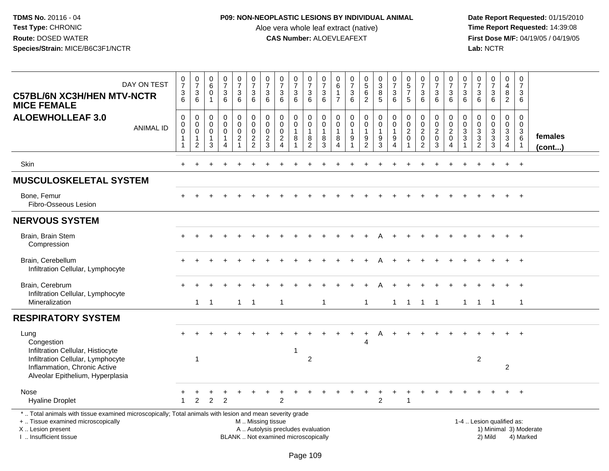### **P09: NON-NEOPLASTIC LESIONS BY INDIVIDUAL ANIMAL**

Aloe vera whole leaf extract (native)<br>**CAS Number:** ALOEVLEAFEXT

 **Date Report Requested:** 01/15/2010 **First Dose M/F:** 04/19/05 / 04/19/05<br>Lab: NCTR **Lab:** NCTR

| DAY ON TEST<br><b>C57BL/6N XC3H/HEN MTV-NCTR</b><br><b>MICE FEMALE</b>                                                                                                                        | $\begin{array}{c} 0 \\ 7 \end{array}$<br>$\mathbf{3}$<br>$\overline{6}$           | $\frac{0}{7}$<br>$\mathsf 3$<br>6                    | $\begin{array}{c} 0 \\ 6 \end{array}$<br>$\mathbf 0$<br>$\overline{1}$ | $\frac{0}{7}$<br>$\mathbf{3}$<br>$\,6\,$                | 0<br>$\overline{7}$<br>3<br>6                                                 | $\frac{0}{7}$<br>$\mathbf{3}$<br>6                        | $\frac{0}{7}$<br>$\sqrt{3}$<br>6                        | $\frac{0}{7}$<br>$\sqrt{3}$<br>6                                            | $\begin{array}{c} 0 \\ 7 \end{array}$<br>$\frac{3}{6}$ | 0<br>$\overline{7}$<br>$\frac{3}{6}$                                | 0<br>$\overline{7}$<br>$\sqrt{3}$<br>6                 | 0<br>6<br>1<br>$\overline{7}$             | $\frac{0}{7}$<br>3<br>$\overline{6}$                 | $\begin{array}{c} 0 \\ 5 \end{array}$<br>$\,6\,$<br>$\overline{2}$                  | $_{3}^{\rm 0}$<br>$\, 8$<br>$\overline{5}$                         | $\frac{0}{7}$<br>$\ensuremath{\mathsf{3}}$<br>6                                            | $\pmb{0}$<br>$\overline{5}$<br>$\overline{7}$<br>5      | $\frac{0}{7}$<br>$\frac{3}{6}$                    | 0<br>$\overline{7}$<br>$\mathfrak{S}$<br>$6^{\circ}$ | $\frac{0}{7}$<br>3<br>6                      | $\begin{smallmatrix}0\\7\end{smallmatrix}$<br>$\frac{3}{6}$                | $\frac{0}{7}$<br>$\mathbf{3}$<br>6                      | $\begin{array}{c} 0 \\ 7 \end{array}$<br>$\frac{3}{6}$ | $\pmb{0}$<br>$\overline{4}$<br>$\,8\,$<br>$\overline{2}$                        | $\pmb{0}$<br>$\overline{7}$<br>3<br>6  |                        |
|-----------------------------------------------------------------------------------------------------------------------------------------------------------------------------------------------|-----------------------------------------------------------------------------------|------------------------------------------------------|------------------------------------------------------------------------|---------------------------------------------------------|-------------------------------------------------------------------------------|-----------------------------------------------------------|---------------------------------------------------------|-----------------------------------------------------------------------------|--------------------------------------------------------|---------------------------------------------------------------------|--------------------------------------------------------|-------------------------------------------|------------------------------------------------------|-------------------------------------------------------------------------------------|--------------------------------------------------------------------|--------------------------------------------------------------------------------------------|---------------------------------------------------------|---------------------------------------------------|------------------------------------------------------|----------------------------------------------|----------------------------------------------------------------------------|---------------------------------------------------------|--------------------------------------------------------|---------------------------------------------------------------------------------|----------------------------------------|------------------------|
| <b>ALOEWHOLLEAF 3.0</b><br><b>ANIMAL ID</b>                                                                                                                                                   | $\pmb{0}$<br>$\mathsf{O}\xspace$<br>$\mathbf 0$<br>$\mathbf{1}$<br>$\overline{1}$ | $\mathbf 0$<br>0<br>$\mathsf 0$<br>$\mathbf{1}$<br>2 | $\mathsf{O}\xspace$<br>$\mathbf 0$<br>$\mathbf 0$<br>$\mathbf{1}$<br>3 | 0<br>$\overline{0}$<br>$\mathbf 0$<br>$\mathbf{1}$<br>4 | $\pmb{0}$<br>$\mathbf 0$<br>$\mathbf 0$<br>$\boldsymbol{2}$<br>$\overline{1}$ | 0<br>$\mathbf 0$<br>0<br>$\overline{c}$<br>$\overline{2}$ | $\mathbf 0$<br>$\Omega$<br>$\mathbf 0$<br>$\frac{2}{3}$ | 0<br>$\mathbf 0$<br>$\mathbf 0$<br>$\overline{c}$<br>$\boldsymbol{\Lambda}$ | $\mathbf 0$<br>$\mathbf 0$<br>$\mathbf{1}$<br>8<br>-1  | $\mathbf 0$<br>$\mathbf 0$<br>$\overline{1}$<br>8<br>$\overline{2}$ | $\mathbf 0$<br>$\mathbf 0$<br>$\overline{1}$<br>8<br>3 | $\mathsf 0$<br>$\mathbf 0$<br>1<br>8<br>4 | $\mathbf 0$<br>$\mathbf 0$<br>$\mathbf{1}$<br>9<br>1 | $\mathbf 0$<br>$\overline{0}$<br>$\mathbf{1}$<br>$\boldsymbol{9}$<br>$\overline{2}$ | 0<br>$\pmb{0}$<br>$\mathbf{1}$<br>$\boldsymbol{9}$<br>$\mathbf{3}$ | $\mathbf 0$<br>$\mathsf{O}\xspace$<br>$\overline{1}$<br>$\boldsymbol{9}$<br>$\overline{4}$ | $\mathbf 0$<br>$\mathbf 0$<br>$\sqrt{2}$<br>$\mathbf 0$ | 0<br>$\pmb{0}$<br>$\frac{2}{0}$<br>$\overline{2}$ | $\mathbf 0$<br>$\pmb{0}$<br>$\frac{2}{0}$<br>3       | 0<br>$\mathbf 0$<br>$\overline{2}$<br>0<br>4 | $\pmb{0}$<br>$\mathbf 0$<br>$\mathbf{3}$<br>$\mathbf{3}$<br>$\overline{1}$ | 0<br>$\mathbf 0$<br>$\mathbf{3}$<br>$\overline{3}$<br>2 | $\mathbf 0$<br>$\pmb{0}$<br>$_3^3$<br>3                | $\mathsf{O}$<br>$\mathbf 0$<br>$\mathbf{3}$<br>$\overline{3}$<br>$\overline{4}$ | $\mathbf 0$<br>$\Omega$<br>3<br>6<br>1 | females<br>(cont)      |
| Skin                                                                                                                                                                                          | $\ddot{}$                                                                         |                                                      |                                                                        |                                                         |                                                                               |                                                           |                                                         |                                                                             |                                                        |                                                                     |                                                        |                                           |                                                      |                                                                                     |                                                                    |                                                                                            |                                                         |                                                   |                                                      |                                              |                                                                            |                                                         |                                                        | +                                                                               | $+$                                    |                        |
| <b>MUSCULOSKELETAL SYSTEM</b>                                                                                                                                                                 |                                                                                   |                                                      |                                                                        |                                                         |                                                                               |                                                           |                                                         |                                                                             |                                                        |                                                                     |                                                        |                                           |                                                      |                                                                                     |                                                                    |                                                                                            |                                                         |                                                   |                                                      |                                              |                                                                            |                                                         |                                                        |                                                                                 |                                        |                        |
| Bone, Femur<br>Fibro-Osseous Lesion                                                                                                                                                           |                                                                                   |                                                      |                                                                        |                                                         |                                                                               |                                                           |                                                         |                                                                             |                                                        |                                                                     |                                                        |                                           |                                                      |                                                                                     |                                                                    |                                                                                            |                                                         |                                                   |                                                      |                                              |                                                                            |                                                         |                                                        |                                                                                 |                                        |                        |
| <b>NERVOUS SYSTEM</b>                                                                                                                                                                         |                                                                                   |                                                      |                                                                        |                                                         |                                                                               |                                                           |                                                         |                                                                             |                                                        |                                                                     |                                                        |                                           |                                                      |                                                                                     |                                                                    |                                                                                            |                                                         |                                                   |                                                      |                                              |                                                                            |                                                         |                                                        |                                                                                 |                                        |                        |
| Brain, Brain Stem<br>Compression                                                                                                                                                              |                                                                                   |                                                      |                                                                        |                                                         |                                                                               |                                                           |                                                         |                                                                             |                                                        |                                                                     |                                                        |                                           |                                                      |                                                                                     |                                                                    |                                                                                            |                                                         |                                                   |                                                      |                                              |                                                                            |                                                         |                                                        |                                                                                 | $+$                                    |                        |
| Brain, Cerebellum<br>Infiltration Cellular, Lymphocyte                                                                                                                                        |                                                                                   |                                                      |                                                                        |                                                         |                                                                               |                                                           |                                                         |                                                                             |                                                        |                                                                     |                                                        |                                           |                                                      |                                                                                     |                                                                    |                                                                                            |                                                         |                                                   |                                                      |                                              |                                                                            |                                                         |                                                        |                                                                                 | $+$                                    |                        |
| Brain, Cerebrum<br>Infiltration Cellular, Lymphocyte                                                                                                                                          |                                                                                   |                                                      |                                                                        |                                                         |                                                                               |                                                           |                                                         |                                                                             |                                                        |                                                                     |                                                        |                                           |                                                      |                                                                                     |                                                                    |                                                                                            |                                                         |                                                   |                                                      |                                              |                                                                            |                                                         |                                                        |                                                                                 |                                        |                        |
| Mineralization                                                                                                                                                                                |                                                                                   |                                                      | $1 \quad 1$                                                            |                                                         |                                                                               | $1 \quad 1$                                               |                                                         | $\mathbf{1}$                                                                |                                                        |                                                                     | $\mathbf{1}$                                           |                                           |                                                      | $\mathbf{1}$                                                                        |                                                                    |                                                                                            | $1 \quad 1$                                             | $1 \quad 1$                                       |                                                      |                                              |                                                                            | $1 \quad 1 \quad 1$                                     |                                                        |                                                                                 | $\mathbf{1}$                           |                        |
| <b>RESPIRATORY SYSTEM</b>                                                                                                                                                                     |                                                                                   |                                                      |                                                                        |                                                         |                                                                               |                                                           |                                                         |                                                                             |                                                        |                                                                     |                                                        |                                           |                                                      |                                                                                     |                                                                    |                                                                                            |                                                         |                                                   |                                                      |                                              |                                                                            |                                                         |                                                        |                                                                                 |                                        |                        |
| Lung<br>Congestion<br>Infiltration Cellular, Histiocyte                                                                                                                                       |                                                                                   |                                                      |                                                                        |                                                         |                                                                               |                                                           |                                                         |                                                                             | $\mathbf 1$                                            |                                                                     |                                                        |                                           |                                                      | Δ                                                                                   |                                                                    |                                                                                            |                                                         |                                                   |                                                      |                                              |                                                                            |                                                         |                                                        |                                                                                 |                                        |                        |
| Infiltration Cellular, Lymphocyte<br>Inflammation, Chronic Active<br>Alveolar Epithelium, Hyperplasia                                                                                         |                                                                                   | -1                                                   |                                                                        |                                                         |                                                                               |                                                           |                                                         |                                                                             |                                                        | $\overline{c}$                                                      |                                                        |                                           |                                                      |                                                                                     |                                                                    |                                                                                            |                                                         |                                                   |                                                      |                                              |                                                                            | $\overline{2}$                                          |                                                        | $\sqrt{2}$                                                                      |                                        |                        |
| Nose                                                                                                                                                                                          |                                                                                   |                                                      |                                                                        |                                                         |                                                                               |                                                           |                                                         |                                                                             |                                                        |                                                                     |                                                        |                                           |                                                      |                                                                                     |                                                                    |                                                                                            |                                                         |                                                   |                                                      |                                              |                                                                            |                                                         |                                                        |                                                                                 |                                        |                        |
| <b>Hyaline Droplet</b>                                                                                                                                                                        | $\overline{1}$                                                                    | $\mathcal{P}$                                        | $\mathfrak{p}$                                                         | $\overline{2}$                                          |                                                                               |                                                           |                                                         | $\overline{2}$                                                              |                                                        |                                                                     |                                                        |                                           |                                                      |                                                                                     | $\overline{2}$                                                     |                                                                                            | $\overline{1}$                                          |                                                   |                                                      |                                              |                                                                            |                                                         |                                                        |                                                                                 |                                        |                        |
| *  Total animals with tissue examined microscopically; Total animals with lesion and mean severity grade<br>+  Tissue examined microscopically<br>X  Lesion present<br>I  Insufficient tissue |                                                                                   |                                                      |                                                                        |                                                         |                                                                               | M  Missing tissue                                         |                                                         | A  Autolysis precludes evaluation<br>BLANK  Not examined microscopically    |                                                        |                                                                     |                                                        |                                           |                                                      |                                                                                     |                                                                    |                                                                                            |                                                         |                                                   |                                                      |                                              |                                                                            | 1-4  Lesion qualified as:                               | 2) Mild                                                |                                                                                 | 4) Marked                              | 1) Minimal 3) Moderate |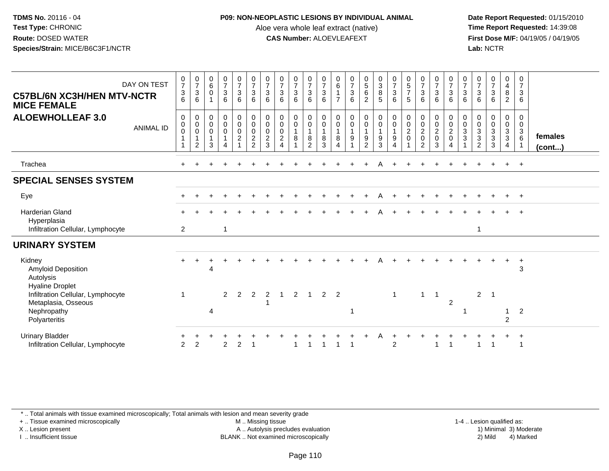### **P09: NON-NEOPLASTIC LESIONS BY INDIVIDUAL ANIMAL**

Aloe vera whole leaf extract (native)<br>**CAS Number:** ALOEVLEAFEXT

 **Date Report Requested:** 01/15/2010 **First Dose M/F:** 04/19/05 / 04/19/05<br>**Lab:** NCTR **Lab:** NCTR

| DAY ON TEST<br><b>C57BL/6N XC3H/HEN MTV-NCTR</b><br><b>MICE FEMALE</b>                                             | $\begin{smallmatrix}0\\7\end{smallmatrix}$<br>$\sqrt{3}$<br>6 | $\frac{0}{7}$<br>$\sqrt{3}$<br>6                   | $\begin{array}{c} 0 \\ 6 \end{array}$<br>$\Omega$ | $\frac{0}{7}$<br>3<br>6 | $\begin{matrix} 0 \\ 7 \\ 3 \end{matrix}$<br>6                                | $\frac{0}{7}$<br>$\sqrt{3}$<br>6                                | $\frac{0}{7}$<br>$\mathbf 3$<br>6                                          | $\frac{0}{7}$<br>$\sqrt{3}$<br>6                                                                    | $\frac{0}{7}$<br>$\mathbf{3}$<br>6 | $\begin{array}{c} 0 \\ 7 \\ 3 \end{array}$<br>6                                       | $\frac{0}{7}$<br>$\mathbf{3}$<br>6                                     | $\begin{matrix} 0 \\ 6 \end{matrix}$<br>$\overline{7}$ | $\frac{0}{7}$<br>$\frac{3}{6}$                                        | $\begin{array}{c} 0 \\ 5 \\ 6 \end{array}$<br>$\overline{2}$           | $_3^0$<br>$\bf 8$<br>5                                                                | $\frac{0}{7}$<br>3<br>6                            | $\begin{array}{c} 0 \\ 5 \\ 7 \end{array}$<br>5 | $\frac{0}{7}$<br>$\frac{3}{6}$                                                  | $\frac{0}{7}$<br>$\frac{3}{6}$                                     | $\frac{0}{7}$<br>$\mathbf{3}$<br>$6^{\circ}$                     | $\frac{0}{7}$<br>3<br>6         | $\frac{0}{7}$<br>$\sqrt{3}$<br>6                  | $\frac{0}{7}$<br>$\ensuremath{\mathsf{3}}$<br>6 | 0<br>$\overline{4}$<br>8<br>$\overline{2}$ | $\frac{0}{7}$<br>$\mathbf{3}$<br>6                            |                         |
|--------------------------------------------------------------------------------------------------------------------|---------------------------------------------------------------|----------------------------------------------------|---------------------------------------------------|-------------------------|-------------------------------------------------------------------------------|-----------------------------------------------------------------|----------------------------------------------------------------------------|-----------------------------------------------------------------------------------------------------|------------------------------------|---------------------------------------------------------------------------------------|------------------------------------------------------------------------|--------------------------------------------------------|-----------------------------------------------------------------------|------------------------------------------------------------------------|---------------------------------------------------------------------------------------|----------------------------------------------------|-------------------------------------------------|---------------------------------------------------------------------------------|--------------------------------------------------------------------|------------------------------------------------------------------|---------------------------------|---------------------------------------------------|-------------------------------------------------|--------------------------------------------|---------------------------------------------------------------|-------------------------|
| <b>ALOEWHOLLEAF 3.0</b><br><b>ANIMAL ID</b>                                                                        | $\mathbf 0$<br>$\mathbf 0$<br>$\boldsymbol{0}$<br>1           | 0<br>$\pmb{0}$<br>$\mathsf 0$<br>$\mathbf{1}$<br>2 | 0<br>$\mathsf{O}$<br>$\mathbf 0$<br>3             | $_0^0$<br>$\mathbf 0$   | $\begin{smallmatrix}0\0\0\end{smallmatrix}$<br>$\mathsf{O}$<br>$\overline{c}$ | $_{\rm 0}^{\rm 0}$<br>$\pmb{0}$<br>$\sqrt{2}$<br>$\overline{2}$ | $\begin{smallmatrix} 0\\0 \end{smallmatrix}$<br>$\pmb{0}$<br>$\frac{2}{3}$ | $\begin{smallmatrix} 0\\0 \end{smallmatrix}$<br>$\mathbf 0$<br>$\sqrt{2}$<br>$\boldsymbol{\Lambda}$ | $_0^0$<br>$\mathbf{1}$<br>8        | $\begin{smallmatrix} 0\\0 \end{smallmatrix}$<br>$\overline{1}$<br>8<br>$\overline{2}$ | $\begin{smallmatrix} 0\\0 \end{smallmatrix}$<br>$\mathbf{1}$<br>8<br>3 | 0<br>0<br>$\mathbf{1}$<br>8<br>$\Delta$                | $\begin{smallmatrix} 0\\0 \end{smallmatrix}$<br>$\mathbf{1}$<br>$9\,$ | $\begin{smallmatrix} 0\\0 \end{smallmatrix}$<br>$\mathbf{1}$<br>9<br>2 | $\begin{smallmatrix} 0\\0 \end{smallmatrix}$<br>$\mathbf{1}$<br>$\boldsymbol{9}$<br>3 | 0<br>$\ddot{\mathbf{0}}$<br>$\mathbf{1}$<br>9<br>4 | 0<br>$\pmb{0}$<br>$\frac{2}{0}$                 | $\begin{smallmatrix} 0\\0 \end{smallmatrix}$<br>$\frac{2}{0}$<br>$\overline{2}$ | $\begin{smallmatrix} 0\\0 \end{smallmatrix}$<br>$\frac{2}{0}$<br>3 | $\begin{matrix} 0 \\ 0 \\ 2 \\ 0 \end{matrix}$<br>$\overline{4}$ | 0<br>$\boldsymbol{0}$<br>3<br>3 | 0<br>$\pmb{0}$<br>$\frac{3}{3}$<br>$\overline{2}$ | 0<br>$\pmb{0}$<br>$\frac{3}{3}$<br>3            | $_0^0$<br>$\frac{3}{3}$<br>4               | $\mathbf 0$<br>$\mathbf 0$<br>$\mathbf{3}$<br>$6\phantom{1}6$ | females<br>$($ cont $)$ |
| Trachea                                                                                                            |                                                               |                                                    |                                                   |                         |                                                                               |                                                                 |                                                                            |                                                                                                     |                                    |                                                                                       |                                                                        |                                                        |                                                                       |                                                                        |                                                                                       |                                                    |                                                 |                                                                                 |                                                                    |                                                                  |                                 |                                                   |                                                 | $\pm$                                      | $+$                                                           |                         |
| <b>SPECIAL SENSES SYSTEM</b>                                                                                       |                                                               |                                                    |                                                   |                         |                                                                               |                                                                 |                                                                            |                                                                                                     |                                    |                                                                                       |                                                                        |                                                        |                                                                       |                                                                        |                                                                                       |                                                    |                                                 |                                                                                 |                                                                    |                                                                  |                                 |                                                   |                                                 |                                            |                                                               |                         |
| Eye                                                                                                                |                                                               |                                                    |                                                   |                         |                                                                               |                                                                 |                                                                            |                                                                                                     |                                    |                                                                                       |                                                                        |                                                        |                                                                       |                                                                        |                                                                                       |                                                    |                                                 |                                                                                 |                                                                    |                                                                  |                                 |                                                   |                                                 |                                            | $+$                                                           |                         |
| <b>Harderian Gland</b><br>Hyperplasia<br>Infiltration Cellular, Lymphocyte                                         | 2                                                             |                                                    |                                                   | $\mathbf{1}$            |                                                                               |                                                                 |                                                                            |                                                                                                     |                                    |                                                                                       |                                                                        |                                                        |                                                                       |                                                                        |                                                                                       |                                                    |                                                 |                                                                                 |                                                                    |                                                                  |                                 | -1                                                |                                                 |                                            |                                                               |                         |
| <b>URINARY SYSTEM</b>                                                                                              |                                                               |                                                    |                                                   |                         |                                                                               |                                                                 |                                                                            |                                                                                                     |                                    |                                                                                       |                                                                        |                                                        |                                                                       |                                                                        |                                                                                       |                                                    |                                                 |                                                                                 |                                                                    |                                                                  |                                 |                                                   |                                                 |                                            |                                                               |                         |
| Kidney<br>Amyloid Deposition<br>Autolysis                                                                          |                                                               |                                                    | 4                                                 |                         |                                                                               |                                                                 |                                                                            |                                                                                                     |                                    |                                                                                       |                                                                        |                                                        |                                                                       |                                                                        |                                                                                       |                                                    |                                                 |                                                                                 |                                                                    |                                                                  |                                 |                                                   |                                                 |                                            | $\ddot{}$<br>3                                                |                         |
| <b>Hyaline Droplet</b><br>Infiltration Cellular, Lymphocyte<br>Metaplasia, Osseous<br>Nephropathy<br>Polyarteritis |                                                               |                                                    | 4                                                 | $\overline{2}$          | $\overline{2}$                                                                | $\overline{2}$                                                  | 2                                                                          | $\overline{1}$                                                                                      | $\overline{2}$                     | $\overline{1}$                                                                        | $2^{\circ}$                                                            | 2                                                      | -1                                                                    |                                                                        |                                                                                       | -1                                                 |                                                 | $\mathbf{1}$                                                                    | $\overline{\phantom{0}}$                                           | 2                                                                |                                 | $\overline{2}$                                    | $\overline{1}$                                  | $\mathbf{1}$<br>$\overline{2}$             | $\overline{c}$                                                |                         |
| <b>Urinary Bladder</b><br>Infiltration Cellular, Lymphocyte                                                        | 2                                                             | 2                                                  |                                                   | $\mathcal{P}$           | $\mathcal{P}$                                                                 |                                                                 |                                                                            |                                                                                                     |                                    |                                                                                       |                                                                        |                                                        |                                                                       |                                                                        |                                                                                       | $\overline{2}$                                     |                                                 |                                                                                 |                                                                    |                                                                  |                                 |                                                   |                                                 |                                            | $\overline{+}$<br>$\overline{1}$                              |                         |

\* .. Total animals with tissue examined microscopically; Total animals with lesion and mean severity grade

+ .. Tissue examined microscopically

X .. Lesion present

I .. Insufficient tissue

M .. Missing tissue

A .. Autolysis precludes evaluation

BLANK .. Not examined microscopically 2) Mild 4) Marked

1-4 .. Lesion qualified as:<br>1) Minimal 3) Moderate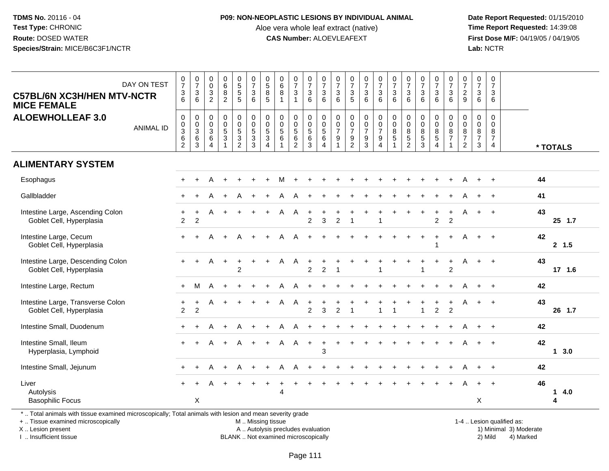#### **P09: NON-NEOPLASTIC LESIONS BY INDIVIDUAL ANIMAL**

Aloe vera whole leaf extract (native)<br>**CAS Number:** ALOEVLEAFEXT

 **Date Report Requested:** 01/15/2010 **First Dose M/F:** 04/19/05 / 04/19/05<br>Lab: NCTR **Lab:** NCTR

| DAY ON TEST<br><b>C57BL/6N XC3H/HEN MTV-NCTR</b><br><b>MICE FEMALE</b>                                   | $\frac{0}{7}$<br>3<br>6                                                      | $\frac{0}{7}$<br>$\ensuremath{\mathsf{3}}$<br>6 | $\begin{smallmatrix} 0\\0 \end{smallmatrix}$<br>$\ensuremath{\mathsf{3}}$<br>$\overline{2}$ | $\begin{matrix}0\\6\\8\end{matrix}$<br>$\overline{2}$ | 0<br>5<br>5<br>5                                       | $\frac{0}{7}$<br>$\sqrt{3}$<br>6                                       | $0\over 5$<br>$\bf 8$<br>5                          | $_{6}^{\rm 0}$<br>$\bf 8$<br>$\mathbf{1}$                       | $\frac{0}{7}$<br>$\mathbf{3}$<br>$\mathbf{1}$                     | $\begin{array}{c} 0 \\ 7 \\ 3 \end{array}$<br>6 | $\frac{0}{7}$<br>$\sqrt{3}$<br>6                                                | $\frac{0}{7}$<br>$\mathbf{3}$<br>6                    | $\frac{0}{7}$<br>$\sqrt{3}$<br>5                                | $\frac{0}{7}$<br>$\mathbf{3}$<br>6                        | $\begin{array}{c} 0 \\ 7 \\ 3 \end{array}$<br>6           | $\begin{array}{c} 0 \\ 7 \end{array}$<br>$\ensuremath{\mathsf{3}}$<br>6 | $\frac{0}{7}$<br>$\mathbf{3}$<br>6                                 | $\frac{0}{7}$<br>$\sqrt{3}$<br>6                 | $\begin{array}{c} 0 \\ 7 \end{array}$<br>$\mathbf{3}$<br>6     | $\frac{0}{7}$<br>$\sqrt{3}$<br>6                              | $\frac{0}{7}$<br>$\overline{a}$<br>9            | $\begin{smallmatrix}0\\7\end{smallmatrix}$<br>$\mathsf 3$<br>6 | $\pmb{0}$<br>$\overline{7}$<br>$\sqrt{3}$<br>6                            |                     |
|----------------------------------------------------------------------------------------------------------|------------------------------------------------------------------------------|-------------------------------------------------|---------------------------------------------------------------------------------------------|-------------------------------------------------------|--------------------------------------------------------|------------------------------------------------------------------------|-----------------------------------------------------|-----------------------------------------------------------------|-------------------------------------------------------------------|-------------------------------------------------|---------------------------------------------------------------------------------|-------------------------------------------------------|-----------------------------------------------------------------|-----------------------------------------------------------|-----------------------------------------------------------|-------------------------------------------------------------------------|--------------------------------------------------------------------|--------------------------------------------------|----------------------------------------------------------------|---------------------------------------------------------------|-------------------------------------------------|----------------------------------------------------------------|---------------------------------------------------------------------------|---------------------|
| <b>ALOEWHOLLEAF 3.0</b><br><b>ANIMAL ID</b>                                                              | $\mathbf 0$<br>$\pmb{0}$<br>$\ensuremath{\mathsf{3}}$<br>6<br>$\overline{c}$ | 0<br>$\pmb{0}$<br>$\mathbf{3}$<br>$\,6$<br>3    | 0<br>$\mathbf 0$<br>3<br>6<br>$\overline{4}$                                                | $\pmb{0}$<br>$\pmb{0}$<br>$\sqrt{5}$<br>$\sqrt{3}$    | $\pmb{0}$<br>$\pmb{0}$<br>$\,$ 5 $\,$<br>$\frac{3}{2}$ | $\mathbf 0$<br>$\mathsf 0$<br>$\sqrt{5}$<br>$\sqrt{3}$<br>$\mathbf{3}$ | 0<br>$\pmb{0}$<br>$\sqrt{5}$<br>3<br>$\overline{4}$ | $\pmb{0}$<br>$\pmb{0}$<br>$\sqrt{5}$<br>$\,6$<br>$\overline{1}$ | 0<br>$\begin{array}{c} 0 \\ 5 \end{array}$<br>6<br>$\overline{2}$ | 0<br>$\boldsymbol{0}$<br>$5\,$<br>6<br>3        | $\pmb{0}$<br>$\begin{array}{c} 0 \\ 5 \end{array}$<br>$\,6\,$<br>$\overline{4}$ | 0<br>0<br>$\overline{7}$<br>9<br>$\blacktriangleleft$ | $\pmb{0}$<br>$\pmb{0}$<br>$\overline{7}$<br>9<br>$\overline{2}$ | $\pmb{0}$<br>$\pmb{0}$<br>$\overline{7}$<br>$\frac{9}{3}$ | 0<br>$\mathsf 0$<br>$\overline{7}$<br>9<br>$\overline{4}$ | $\pmb{0}$<br>$\pmb{0}$<br>$\bf 8$<br>$\sqrt{5}$                         | $\pmb{0}$<br>$\pmb{0}$<br>$\,8\,$<br>$\,$ 5 $\,$<br>$\overline{c}$ | $\mathbf 0$<br>$\pmb{0}$<br>8<br>$\sqrt{5}$<br>3 | 0<br>$\pmb{0}$<br>$\,$ 8 $\,$<br>$\mathbf 5$<br>$\overline{4}$ | 0<br>$\mathbf 0$<br>$\bf 8$<br>$\overline{7}$<br>$\mathbf{1}$ | 0<br>0<br>8<br>$\overline{7}$<br>$\overline{2}$ | $\pmb{0}$<br>$\pmb{0}$<br>8<br>$\overline{7}$<br>$\mathbf{3}$  | $\mathbf 0$<br>$\mathbf 0$<br>$\,8\,$<br>$\overline{7}$<br>$\overline{4}$ | * TOTALS            |
| <b>ALIMENTARY SYSTEM</b>                                                                                 |                                                                              |                                                 |                                                                                             |                                                       |                                                        |                                                                        |                                                     |                                                                 |                                                                   |                                                 |                                                                                 |                                                       |                                                                 |                                                           |                                                           |                                                                         |                                                                    |                                                  |                                                                |                                                               |                                                 |                                                                |                                                                           |                     |
| Esophagus                                                                                                |                                                                              |                                                 | А                                                                                           |                                                       |                                                        |                                                                        |                                                     | м                                                               |                                                                   |                                                 |                                                                                 |                                                       |                                                                 |                                                           |                                                           |                                                                         |                                                                    |                                                  |                                                                |                                                               | Α                                               | $+$                                                            | $\overline{1}$                                                            | 44                  |
| Gallbladder                                                                                              |                                                                              |                                                 |                                                                                             |                                                       |                                                        |                                                                        |                                                     |                                                                 | A                                                                 |                                                 |                                                                                 |                                                       |                                                                 |                                                           |                                                           |                                                                         |                                                                    |                                                  |                                                                |                                                               |                                                 |                                                                |                                                                           | 41                  |
| Intestine Large, Ascending Colon<br>Goblet Cell, Hyperplasia                                             | $\overline{2}$                                                               | $\overline{2}$                                  |                                                                                             | $\ddot{}$                                             | $+$                                                    | $\ddot{}$                                                              | $\ddot{}$                                           | A                                                               | Α                                                                 | $\ddot{}$<br>2                                  | 3                                                                               | $\overline{c}$                                        | 1                                                               |                                                           |                                                           |                                                                         |                                                                    |                                                  | $\ddot{}$<br>$\overline{2}$                                    | $\overline{2}$                                                | A                                               | $+$                                                            | $\overline{+}$                                                            | 43<br>25 1.7        |
| Intestine Large, Cecum<br>Goblet Cell, Hyperplasia                                                       |                                                                              |                                                 |                                                                                             |                                                       |                                                        |                                                                        |                                                     |                                                                 |                                                                   |                                                 |                                                                                 |                                                       |                                                                 |                                                           |                                                           |                                                                         |                                                                    |                                                  | 1                                                              |                                                               | Α                                               | $+$                                                            | $\overline{+}$                                                            | 42<br>2, 1.5        |
| Intestine Large, Descending Colon<br>Goblet Cell, Hyperplasia                                            | $+$                                                                          | $+$                                             | A                                                                                           | $+$                                                   | $\ddot{}$<br>$\mathfrak{p}$                            |                                                                        | $\div$                                              | A                                                               | A                                                                 | $\ddot{}$<br>$\overline{2}$                     | $\overline{2}$                                                                  |                                                       |                                                                 |                                                           |                                                           |                                                                         |                                                                    |                                                  | $\ddot{}$                                                      | $\ddot{}$<br>$\overline{2}$                                   | Α                                               | $+$                                                            | $\overline{1}$                                                            | 43<br>17 1.6        |
| Intestine Large, Rectum                                                                                  | $+$                                                                          | М                                               | A                                                                                           | $\ddot{}$                                             |                                                        |                                                                        |                                                     | A                                                               | Α                                                                 |                                                 |                                                                                 |                                                       |                                                                 |                                                           |                                                           |                                                                         |                                                                    |                                                  |                                                                |                                                               | Α                                               |                                                                | $\overline{+}$                                                            | 42                  |
| Intestine Large, Transverse Colon<br>Goblet Cell, Hyperplasia                                            | $\overline{c}$                                                               | $\overline{c}$                                  | A                                                                                           | $\ddot{}$                                             |                                                        |                                                                        |                                                     | A                                                               | Α                                                                 | ÷<br>$\overline{2}$                             | 3                                                                               | $\overline{2}$                                        | $\overline{\phantom{a}}$                                        |                                                           |                                                           | $\overline{1}$                                                          |                                                                    | $\overline{1}$                                   | $\overline{c}$                                                 | $\overline{c}$                                                | Α                                               | $+$                                                            | $+$                                                                       | 43<br>26 1.7        |
| Intestine Small, Duodenum                                                                                |                                                                              |                                                 |                                                                                             |                                                       |                                                        |                                                                        |                                                     |                                                                 | A                                                                 | $\ddot{}$                                       |                                                                                 |                                                       |                                                                 |                                                           |                                                           |                                                                         |                                                                    |                                                  |                                                                |                                                               |                                                 |                                                                | $\overline{1}$                                                            | 42                  |
| Intestine Small, Ileum<br>Hyperplasia, Lymphoid                                                          | $+$                                                                          | $\ddot{}$                                       | A                                                                                           | $+$                                                   | A                                                      | $+$                                                                    | $+$                                                 | A                                                               | $\mathsf{A}$                                                      | $+$                                             | $\ddot{}$<br>3                                                                  | $\ddot{}$                                             |                                                                 |                                                           |                                                           |                                                                         |                                                                    |                                                  |                                                                |                                                               | Α                                               | $+$                                                            | $+$                                                                       | 42<br>1, 3.0        |
| Intestine Small, Jejunum                                                                                 |                                                                              |                                                 | А                                                                                           | $\div$                                                | A                                                      |                                                                        |                                                     | Α                                                               | A                                                                 |                                                 |                                                                                 |                                                       |                                                                 |                                                           |                                                           |                                                                         |                                                                    |                                                  |                                                                |                                                               |                                                 | $+$                                                            | $\overline{1}$                                                            | 42                  |
| Liver<br>Autolysis<br><b>Basophilic Focus</b>                                                            |                                                                              | X                                               |                                                                                             |                                                       |                                                        |                                                                        | $\ddot{}$                                           | 4                                                               |                                                                   |                                                 |                                                                                 |                                                       |                                                                 |                                                           |                                                           |                                                                         |                                                                    |                                                  |                                                                |                                                               |                                                 | $+$<br>X                                                       | $\overline{ }$                                                            | 46<br>4.0<br>1<br>4 |
| *  Total animals with tissue examined microscopically; Total animals with lesion and mean severity grade |                                                                              |                                                 |                                                                                             |                                                       |                                                        |                                                                        |                                                     |                                                                 |                                                                   |                                                 |                                                                                 |                                                       |                                                                 |                                                           |                                                           |                                                                         |                                                                    |                                                  |                                                                |                                                               |                                                 |                                                                |                                                                           |                     |

+ .. Tissue examined microscopically

X .. Lesion present

I .. Insufficient tissue

M .. Missing tissue

BLANK .. Not examined microscopically

1-4 .. Lesion qualified as:<br>1) Minimal 3) Moderate A .. Autolysis precludes evaluation 19 and 10 minimal 3) Moderate 1 and 20 minimal 3) Moderate 19 minimal 3) Moderat<br>19 and 19 and 19 and 19 and 19 and 19 and 19 and 19 and 19 and 19 and 19 and 19 and 19 and 19 and 19 and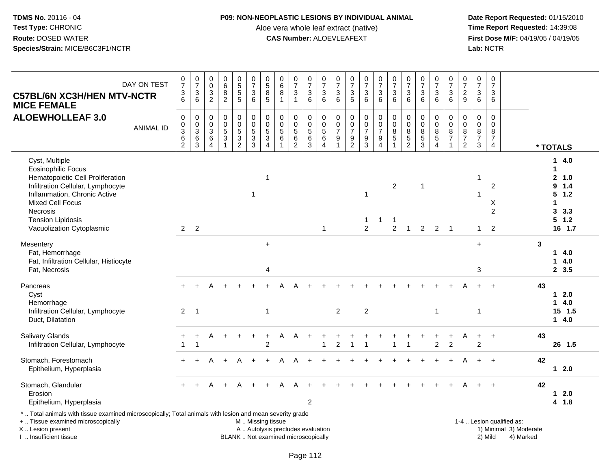I .. Insufficient tissue

### **P09: NON-NEOPLASTIC LESIONS BY INDIVIDUAL ANIMAL**

Aloe vera whole leaf extract (native)<br>**CAS Number:** ALOEVLEAFEXT

 **Date Report Requested:** 01/15/2010 **First Dose M/F:** 04/19/05 / 04/19/05<br>Lab: NCTR **Lab:** NCTR

| <b>C57BL/6N XC3H/HEN MTV-NCTR</b><br><b>MICE FEMALE</b>                                                                                                                                                                                       | DAY ON TEST      | $\frac{0}{7}$<br>$\mathfrak{S}$<br>6                             | $\begin{array}{c} 0 \\ 7 \end{array}$<br>$\frac{3}{6}$                      | 0<br>$\mathsf 0$<br>$\ensuremath{\mathsf{3}}$<br>$\overline{c}$ | $\pmb{0}$<br>6<br>$\, 8$<br>$\overline{2}$                               | $\begin{array}{c} 0 \\ 5 \end{array}$<br>$\overline{5}$<br>5   | $\frac{0}{7}$<br>$\mathbf{3}$<br>$6\phantom{1}$                                               | $\begin{array}{c} 0 \\ 5 \\ 8 \end{array}$<br>5                        | $\pmb{0}$<br>$^6_8$<br>$\mathbf{1}$               | $\frac{0}{7}$<br>$\sqrt{3}$<br>$\mathbf{1}$                | $\begin{array}{c} 0 \\ 7 \end{array}$<br>$\mathsf 3$<br>$6\phantom{1}$ | $\frac{0}{7}$<br>$\sqrt{3}$<br>6                                | $\pmb{0}$<br>$\overline{7}$<br>$\ensuremath{\mathsf{3}}$<br>6                           | $\frac{0}{7}$<br>$\mathfrak{Z}$<br>5              | $\frac{0}{7}$<br>3<br>$6\phantom{1}$              | $\begin{smallmatrix} 0\\7 \end{smallmatrix}$<br>$\mathbf{3}$<br>$6\phantom{1}$ | $\begin{array}{c} 0 \\ 7 \end{array}$<br>$\mathsf 3$<br>6              | $\begin{array}{c} 0 \\ 7 \end{array}$<br>$\ensuremath{\mathsf{3}}$<br>$6\phantom{1}$ | $\begin{array}{c} 0 \\ 7 \end{array}$<br>$\sqrt{3}$<br>6 | $\begin{array}{c} 0 \\ 7 \end{array}$<br>$\ensuremath{\mathsf{3}}$<br>$\,6\,$ | $\frac{0}{7}$<br>$\sqrt{3}$<br>6                                      | 0<br>$\overline{7}$<br>$\sqrt{2}$<br>9                              | 0<br>$\overline{7}$<br>$\sqrt{3}$<br>6            | $\pmb{0}$<br>$\overline{7}$<br>$\mathbf{3}$<br>6                          |                                                                  |                                                                                      |
|-----------------------------------------------------------------------------------------------------------------------------------------------------------------------------------------------------------------------------------------------|------------------|------------------------------------------------------------------|-----------------------------------------------------------------------------|-----------------------------------------------------------------|--------------------------------------------------------------------------|----------------------------------------------------------------|-----------------------------------------------------------------------------------------------|------------------------------------------------------------------------|---------------------------------------------------|------------------------------------------------------------|------------------------------------------------------------------------|-----------------------------------------------------------------|-----------------------------------------------------------------------------------------|---------------------------------------------------|---------------------------------------------------|--------------------------------------------------------------------------------|------------------------------------------------------------------------|--------------------------------------------------------------------------------------|----------------------------------------------------------|-------------------------------------------------------------------------------|-----------------------------------------------------------------------|---------------------------------------------------------------------|---------------------------------------------------|---------------------------------------------------------------------------|------------------------------------------------------------------|--------------------------------------------------------------------------------------|
| <b>ALOEWHOLLEAF 3.0</b>                                                                                                                                                                                                                       | <b>ANIMAL ID</b> | 0<br>0<br>$\ensuremath{\mathsf{3}}$<br>$\,6\,$<br>$\overline{c}$ | $\mathbf 0$<br>$\begin{array}{c} 0 \\ 3 \\ 6 \end{array}$<br>$\overline{3}$ | 0<br>0<br>$\sqrt{3}$<br>6<br>$\overline{4}$                     | $\mathbf 0$<br>$\mathbf 0$<br>$\sqrt{5}$<br>$\sqrt{3}$<br>$\overline{1}$ | 0<br>$\mathbf 0$<br>$\sqrt{5}$<br>$\sqrt{3}$<br>$\overline{c}$ | 0<br>$\begin{array}{c} 0 \\ 5 \\ 3 \end{array}$                                               | 0<br>$\mathbf 0$<br>$\overline{5}$<br>$\overline{3}$<br>$\overline{4}$ | 0<br>$\mathsf{O}\xspace$<br>$\sqrt{5}$<br>$\,6\,$ | $\mathbf 0$<br>$\pmb{0}$<br>$\overline{5}$<br>$\,6\,$<br>2 | 0<br>$\pmb{0}$<br>$\frac{5}{6}$<br>$\mathfrak{S}$                      | $\mathbf 0$<br>$\mathsf 0$<br>$\sqrt{5}$<br>6<br>$\overline{4}$ | $\mathbf 0$<br>$\boldsymbol{0}$<br>$\boldsymbol{7}$<br>$\boldsymbol{9}$<br>$\mathbf{1}$ | 0<br>$\pmb{0}$<br>$\overline{7}$<br>$\frac{9}{2}$ | 0<br>$\pmb{0}$<br>$\overline{7}$<br>$\frac{9}{3}$ | 0<br>$\mathbf 0$<br>$\boldsymbol{7}$<br>$\frac{9}{4}$                          | $\mathbf 0$<br>$\pmb{0}$<br>$\, 8$<br>$\overline{5}$<br>$\overline{1}$ | $\mathbf 0$<br>$\pmb{0}$<br>$\,8\,$<br>$\frac{5}{2}$                                 | $\mathbf 0$<br>$\mathbf 0$<br>8<br>$\frac{5}{3}$         | 0<br>$\mathsf{O}\xspace$<br>$\bf 8$<br>$\overline{5}$<br>$\overline{4}$       | $\Omega$<br>$\mathbf 0$<br>$\, 8$<br>$\overline{7}$<br>$\overline{1}$ | $\mathbf 0$<br>$\mathbf 0$<br>8<br>$\overline{7}$<br>$\overline{2}$ | 0<br>0<br>$\bf 8$<br>$\overline{7}$<br>$\sqrt{3}$ | $\mathbf 0$<br>$\mathbf 0$<br>$\bf 8$<br>$\overline{7}$<br>$\overline{4}$ |                                                                  | * TOTALS                                                                             |
| Cyst, Multiple<br><b>Eosinophilic Focus</b><br>Hematopoietic Cell Proliferation<br>Infiltration Cellular, Lymphocyte<br>Inflammation, Chronic Active<br>Mixed Cell Focus<br>Necrosis<br><b>Tension Lipidosis</b><br>Vacuolization Cytoplasmic |                  | $\overline{2}$                                                   | $\overline{2}$                                                              |                                                                 |                                                                          |                                                                | $\mathbf 1$                                                                                   | $\overline{1}$                                                         |                                                   |                                                            |                                                                        | $\mathbf{1}$                                                    |                                                                                         |                                                   | $\mathbf{1}$<br>1<br>$\overline{2}$               | 1                                                                              | $\overline{2}$<br>-1<br>$\overline{c}$                                 | $\overline{1}$                                                                       | $\overline{1}$<br>$\overline{2}$                         | 2                                                                             | - 1                                                                   |                                                                     | $\mathbf{1}$<br>$\mathbf{1}$                      | 2<br>X<br>$\overline{2}$<br>2                                             |                                                                  | 4.0<br>1.<br>2, 1.0<br>9<br>1.4<br>5<br>1.2<br>-1<br>3<br>3.3<br>$5 \t1.2$<br>16 1.7 |
| Mesentery<br>Fat, Hemorrhage<br>Fat, Infiltration Cellular, Histiocyte<br>Fat, Necrosis                                                                                                                                                       |                  |                                                                  |                                                                             |                                                                 |                                                                          |                                                                |                                                                                               | $\ddot{}$<br>4                                                         |                                                   |                                                            |                                                                        |                                                                 |                                                                                         |                                                   |                                                   |                                                                                |                                                                        |                                                                                      |                                                          |                                                                               |                                                                       |                                                                     | $+$<br>3                                          |                                                                           | 3                                                                | 14.0<br>4.0<br>1<br>2, 3.5                                                           |
| Pancreas<br>Cyst<br>Hemorrhage<br>Infiltration Cellular, Lymphocyte<br>Duct, Dilatation                                                                                                                                                       |                  | 2                                                                | $\overline{1}$                                                              |                                                                 |                                                                          |                                                                |                                                                                               | $\mathbf{1}$                                                           |                                                   |                                                            |                                                                        |                                                                 | $\overline{2}$                                                                          |                                                   | $\overline{2}$                                    |                                                                                |                                                                        |                                                                                      |                                                          | $\mathbf{1}$                                                                  |                                                                       |                                                                     | $\overline{1}$                                    | $\overline{ }$                                                            | 43                                                               | $12.0$<br>4.0<br>$\mathbf 1$<br>$15$ 1.5<br>14.0                                     |
| Salivary Glands<br>Infiltration Cellular, Lymphocyte                                                                                                                                                                                          |                  |                                                                  | $\pm$<br>-1                                                                 | A                                                               | $+$                                                                      | $\ddot{}$                                                      |                                                                                               | $\ddot{}$<br>$\overline{c}$                                            | A                                                 | A                                                          |                                                                        |                                                                 | $\overline{c}$                                                                          | -1                                                | $\overline{1}$                                    |                                                                                |                                                                        |                                                                                      |                                                          | $\overline{c}$                                                                | $\overline{2}$                                                        | A                                                                   | $+$<br>$\overline{2}$                             | $\overline{+}$                                                            | 43                                                               | 26 1.5                                                                               |
| Stomach, Forestomach<br>Epithelium, Hyperplasia                                                                                                                                                                                               |                  | $+$                                                              |                                                                             | A                                                               | $\ddot{}$                                                                | А                                                              |                                                                                               |                                                                        | A                                                 | А                                                          |                                                                        |                                                                 |                                                                                         |                                                   |                                                   |                                                                                |                                                                        |                                                                                      |                                                          |                                                                               |                                                                       |                                                                     | $+$                                               | $+$                                                                       | 42                                                               | $12.0$                                                                               |
| Stomach, Glandular<br>Erosion<br>Epithelium, Hyperplasia                                                                                                                                                                                      |                  |                                                                  |                                                                             |                                                                 |                                                                          |                                                                |                                                                                               |                                                                        |                                                   |                                                            | $\overline{2}$                                                         |                                                                 |                                                                                         |                                                   |                                                   |                                                                                |                                                                        |                                                                                      |                                                          |                                                                               |                                                                       |                                                                     |                                                   | $\overline{1}$                                                            | 42                                                               | $12.0$<br>4 1.8                                                                      |
| *  Total animals with tissue examined microscopically; Total animals with lesion and mean severity grade<br>+  Tissue examined microscopically<br>X  Lesion present<br>Insufficient tissue                                                    |                  |                                                                  |                                                                             |                                                                 |                                                                          |                                                                | M  Missing tissue<br>A  Autolysis precludes evaluation<br>BLANK  Not examined microscopically |                                                                        |                                                   |                                                            |                                                                        |                                                                 |                                                                                         |                                                   |                                                   |                                                                                |                                                                        |                                                                                      |                                                          |                                                                               |                                                                       |                                                                     |                                                   | 2) Mild                                                                   | 1-4  Lesion qualified as:<br>1) Minimal 3) Moderate<br>4) Marked |                                                                                      |

BLANK .. Not examined microscopically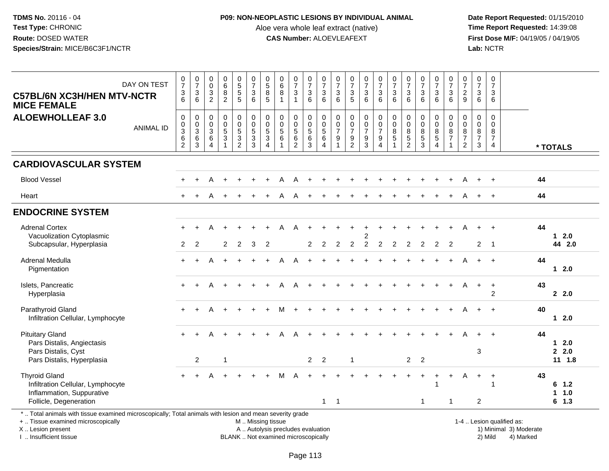#### **P09: NON-NEOPLASTIC LESIONS BY INDIVIDUAL ANIMAL**

Aloe vera whole leaf extract (native)<br>**CAS Number:** ALOEVLEAFEXT

 **Date Report Requested:** 01/15/2010 **First Dose M/F:** 04/19/05 / 04/19/05<br>Lab: NCTR **Lab:** NCTR

| $\frac{0}{7}$<br>$\sqrt{3}$<br>$6\phantom{1}6$<br>0 | $\frac{0}{7}$<br>$\frac{3}{6}$                                      | $\begin{smallmatrix} 0\\0 \end{smallmatrix}$<br>$\overline{3}$<br>$\overline{2}$ | $\begin{array}{c} 0 \\ 6 \end{array}$<br>$\overline{8}$<br>$\overline{2}$ | 0<br>5<br>5<br>5                                            | $\frac{0}{7}$<br>$\mathbf{3}$                                        | $\begin{array}{c} 0 \\ 5 \\ 8 \end{array}$                                                | $\begin{matrix}0\\6\\8\end{matrix}$                     | $\frac{0}{7}$                                                 | $\begin{array}{c} 0 \\ 7 \end{array}$                      | $\frac{0}{7}$                                              |                                                                                  |                                                                     | $\frac{0}{7}$                                                  | $\frac{0}{7}$                                                                            |                                                 |                                                                       |                                                         |                                                                        |                                                                                                          | $\frac{0}{7}$                                                                  | $\frac{0}{7}$                                                                    | 0                                                   |                                              |  |
|-----------------------------------------------------|---------------------------------------------------------------------|----------------------------------------------------------------------------------|---------------------------------------------------------------------------|-------------------------------------------------------------|----------------------------------------------------------------------|-------------------------------------------------------------------------------------------|---------------------------------------------------------|---------------------------------------------------------------|------------------------------------------------------------|------------------------------------------------------------|----------------------------------------------------------------------------------|---------------------------------------------------------------------|----------------------------------------------------------------|------------------------------------------------------------------------------------------|-------------------------------------------------|-----------------------------------------------------------------------|---------------------------------------------------------|------------------------------------------------------------------------|----------------------------------------------------------------------------------------------------------|--------------------------------------------------------------------------------|----------------------------------------------------------------------------------|-----------------------------------------------------|----------------------------------------------|--|
|                                                     |                                                                     |                                                                                  |                                                                           |                                                             | $6\phantom{a}$                                                       | $\overline{5}$                                                                            | $\overline{1}$                                          | $\sqrt{3}$<br>$\mathbf{1}$                                    | $\mathbf{3}$<br>6                                          | $\mathbf{3}$<br>6                                          | $\frac{0}{7}$<br>$\sqrt{3}$<br>6                                                 | $\frac{0}{7}$<br>$\frac{3}{5}$                                      | $\ensuremath{\mathsf{3}}$<br>6                                 | $\mathbf{3}$<br>6                                                                        | $\frac{0}{7}$<br>$\mathbf{3}$<br>$6\phantom{a}$ | $\frac{0}{7}$<br>$\sqrt{3}$<br>6                                      | $\frac{0}{7}$<br>$\mathfrak{Z}$<br>6                    | $\frac{0}{7}$<br>$\mathfrak{Z}$<br>$6^{\circ}$                         | $\frac{0}{7}$<br>$\sqrt{3}$<br>6                                                                         | $\overline{2}$<br>$\overline{9}$                                               | $\sqrt{3}$<br>$6\phantom{a}$                                                     | $\overline{7}$<br>3<br>$6\phantom{1}$               |                                              |  |
| $_{3}^{\rm 0}$<br>$\,6\,$<br>$\overline{c}$         | $\boldsymbol{0}$<br>$\begin{array}{c} 0 \\ 3 \\ 6 \\ 3 \end{array}$ | $\pmb{0}$<br>$\mathsf{O}\xspace$<br>$\overline{3}$<br>$\,6\,$<br>$\overline{4}$  | 0<br>$\ddot{\mathbf{0}}$<br>$\overline{5}$<br>3                           | 0<br>$\ddot{\mathbf{0}}$<br>$\overline{5}$<br>$\frac{3}{2}$ | $\pmb{0}$<br>$\overline{0}$<br>$\overline{5}$<br>$\overline{3}$<br>3 | 0<br>$\mathsf{O}\xspace$<br>$\overline{5}$<br>$\ensuremath{\mathsf{3}}$<br>$\overline{4}$ | $\mathbf 0$<br>$\mathbf 0$<br>$\overline{5}$<br>$\,6\,$ | 0<br>$\pmb{0}$<br>$\overline{5}$<br>$\,6\,$<br>$\overline{c}$ | $\mathbf 0$<br>$\mathbf 0$<br>$\overline{5}$<br>$\,6$<br>3 | 0<br>$\mathsf{O}\xspace$<br>$\overline{5}$<br>$\,6\,$<br>4 | $\pmb{0}$<br>$\mathbf 0$<br>$\overline{7}$<br>$\boldsymbol{9}$<br>$\overline{1}$ | $\pmb{0}$<br>$\ddot{\mathbf{0}}$<br>$\overline{7}$<br>$\frac{9}{2}$ | $\pmb{0}$<br>$\overline{0}$<br>$\overline{7}$<br>$\frac{9}{3}$ | $\pmb{0}$<br>$\ddot{\mathbf{0}}$<br>$\overline{7}$<br>$\boldsymbol{9}$<br>$\overline{4}$ | 0<br>$\pmb{0}$<br>8<br>5                        | 0<br>$\overline{0}$<br>$\overline{8}$<br>$\sqrt{5}$<br>$\overline{2}$ | 0<br>$\pmb{0}$<br>$\overline{8}$<br>$\overline{5}$<br>3 | 0<br>$\mathbf 0$<br>$\overline{8}$<br>$\overline{5}$<br>$\overline{4}$ | $\Omega$<br>$\mathbf 0$<br>$\,8\,$<br>$\overline{7}$<br>$\blacktriangleleft$                             | $\mathbf 0$<br>$\boldsymbol{0}$<br>$\bf 8$<br>$\overline{7}$<br>$\overline{2}$ | $\mathbf 0$<br>$\mathbf 0$<br>$\overline{8}$<br>$\boldsymbol{7}$<br>$\mathbf{3}$ | $\mathbf 0$<br>$\Omega$<br>8<br>$\overline{7}$<br>4 | * TOTALS                                     |  |
|                                                     |                                                                     |                                                                                  |                                                                           |                                                             |                                                                      |                                                                                           |                                                         |                                                               |                                                            |                                                            |                                                                                  |                                                                     |                                                                |                                                                                          |                                                 |                                                                       |                                                         |                                                                        |                                                                                                          |                                                                                |                                                                                  |                                                     |                                              |  |
|                                                     |                                                                     |                                                                                  |                                                                           |                                                             |                                                                      |                                                                                           |                                                         | A                                                             |                                                            |                                                            |                                                                                  |                                                                     |                                                                |                                                                                          |                                                 |                                                                       |                                                         |                                                                        |                                                                                                          |                                                                                |                                                                                  | $+$                                                 | 44                                           |  |
| $+$                                                 |                                                                     |                                                                                  |                                                                           |                                                             |                                                                      |                                                                                           | A                                                       | A                                                             |                                                            |                                                            |                                                                                  |                                                                     |                                                                |                                                                                          |                                                 |                                                                       |                                                         |                                                                        |                                                                                                          |                                                                                |                                                                                  | $+$                                                 | 44                                           |  |
|                                                     |                                                                     |                                                                                  |                                                                           |                                                             |                                                                      |                                                                                           |                                                         |                                                               |                                                            |                                                            |                                                                                  |                                                                     |                                                                |                                                                                          |                                                 |                                                                       |                                                         |                                                                        |                                                                                                          |                                                                                |                                                                                  |                                                     |                                              |  |
| 2                                                   | 2                                                                   |                                                                                  | $\overline{2}$                                                            | 2                                                           | 3                                                                    | 2                                                                                         |                                                         |                                                               | $\overline{2}$                                             | $\overline{2}$                                             | 2                                                                                | $\overline{2}$                                                      | 2<br>$\overline{2}$                                            | $\overline{2}$                                                                           | $\overline{2}$                                  | 2                                                                     | $\overline{2}$                                          | 2                                                                      | 2                                                                                                        |                                                                                | $\overline{2}$                                                                   |                                                     | 44<br>$12.0$<br>44 2.0                       |  |
| $\div$                                              |                                                                     |                                                                                  |                                                                           |                                                             |                                                                      |                                                                                           |                                                         |                                                               |                                                            |                                                            |                                                                                  |                                                                     |                                                                |                                                                                          |                                                 |                                                                       |                                                         |                                                                        |                                                                                                          |                                                                                |                                                                                  | $\ddot{}$                                           | 44<br>$12.0$                                 |  |
| $\ddot{}$                                           |                                                                     |                                                                                  |                                                                           |                                                             |                                                                      |                                                                                           |                                                         | А                                                             |                                                            |                                                            |                                                                                  |                                                                     |                                                                |                                                                                          |                                                 |                                                                       |                                                         |                                                                        |                                                                                                          |                                                                                | $\pm$                                                                            | $\overline{+}$<br>$\overline{2}$                    | 43<br>2.2.0                                  |  |
|                                                     |                                                                     |                                                                                  |                                                                           |                                                             |                                                                      |                                                                                           |                                                         |                                                               |                                                            |                                                            |                                                                                  |                                                                     |                                                                |                                                                                          |                                                 |                                                                       |                                                         |                                                                        |                                                                                                          |                                                                                |                                                                                  |                                                     | 40<br>$12.0$                                 |  |
|                                                     | $\overline{2}$                                                      |                                                                                  | -1                                                                        |                                                             |                                                                      |                                                                                           | Δ                                                       |                                                               | $\overline{2}$                                             | $\overline{2}$                                             |                                                                                  | $\overline{1}$                                                      |                                                                |                                                                                          |                                                 |                                                                       |                                                         |                                                                        |                                                                                                          |                                                                                | 3                                                                                |                                                     | 44<br>$12.0$<br>2.0<br>$11 \t1.8$            |  |
|                                                     |                                                                     |                                                                                  |                                                                           |                                                             |                                                                      |                                                                                           |                                                         |                                                               |                                                            | $\mathbf{1}$                                               | $\overline{1}$                                                                   |                                                                     |                                                                |                                                                                          |                                                 |                                                                       | $\mathbf{1}$                                            |                                                                        | $\overline{1}$                                                                                           |                                                                                | $\overline{2}$                                                                   | $\ddot{}$<br>1                                      | 43<br>6 1.2<br>1.0<br>$\mathbf 1$<br>$6$ 1.3 |  |
|                                                     |                                                                     |                                                                                  |                                                                           |                                                             |                                                                      |                                                                                           |                                                         |                                                               |                                                            |                                                            |                                                                                  |                                                                     |                                                                |                                                                                          |                                                 |                                                                       |                                                         | 2 <sub>2</sub>                                                         | *  Total animals with tissue examined microscopically; Total animals with lesion and mean severity grade |                                                                                |                                                                                  |                                                     | $\overline{\phantom{0}}$ 1                   |  |

+ .. Tissue examined microscopically

X .. Lesion present

I .. Insufficient tissue

M .. Missing tissue

BLANK .. Not examined microscopically

1-4 .. Lesion qualified as:<br>1) Minimal 3) Moderate A .. Autolysis precludes evaluation 19 and 10 minimal 3) Moderate 1 and 20 minimal 3) Moderate 19 minimal 3) Moderat<br>19 and 19 and 19 and 19 and 19 and 19 and 19 and 19 and 19 and 19 and 19 and 19 and 19 and 19 and 19 and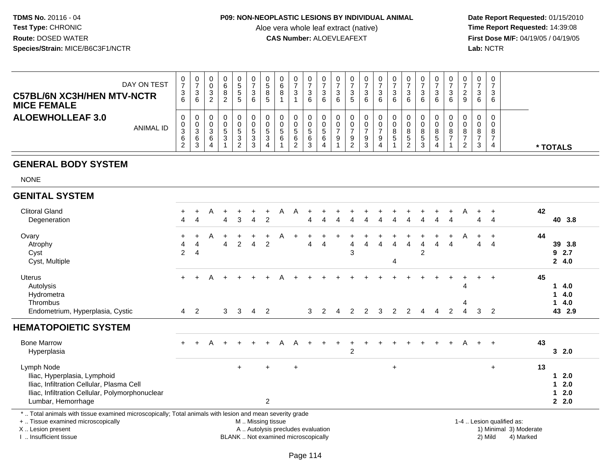### **P09: NON-NEOPLASTIC LESIONS BY INDIVIDUAL ANIMAL**

Aloe vera whole leaf extract (native)<br>**CAS Number:** ALOEVLEAFEXT

Date Report Requested: 01/15/2010<br>Time Report Requested: 14:39:08 **First Dose M/F:** 04/19/05 / 04/19/05<br>Lab: NCTR **Lab:** NCTR

| DAY ON TEST<br><b>C57BL/6N XC3H/HEN MTV-NCTR</b><br><b>MICE FEMALE</b> | 0<br>⇁<br>3<br>6                              | 0<br>-3<br>6           | 0<br>0<br>◠<br>ت<br>◠ |        | 0<br>đ<br><sub>5</sub> | U<br>っ<br>J<br>6      | 0<br><sub>5</sub><br>8<br>5 | 0<br>6<br>8       | 3                | 0<br>-<br>3<br>6  | 0<br>າ<br>J<br>6 | -3<br>6 | 0<br>ົ<br>P<br>G            | 3<br>6 | $\mathbf{0}$<br>3<br>6 | U<br>2<br>ن<br>6  | U<br>3<br>6       | 0<br>ົ<br>◡<br>6                      | 3<br>6 | 0<br>-<br>3<br>6 | 0<br>ົ<br>$\epsilon$<br>9 | 0<br>3 | 0<br>3<br>6      |          |  |
|------------------------------------------------------------------------|-----------------------------------------------|------------------------|-----------------------|--------|------------------------|-----------------------|-----------------------------|-------------------|------------------|-------------------|------------------|---------|-----------------------------|--------|------------------------|-------------------|-------------------|---------------------------------------|--------|------------------|---------------------------|--------|------------------|----------|--|
| <b>ALOEWHOLLEAF 3.0</b><br><b>ANIMAL ID</b>                            | 0<br>υ<br>າ<br>ں<br>6<br>$\sim$<br>$\epsilon$ | U<br>-3<br>6<br>ົ<br>ు | 0<br>0<br>⌒<br>◡<br>6 | G<br>3 | 0<br>b.<br>3<br>ົ      | 0<br>π<br>ົ<br>ົ<br>ັ | 0<br>0<br>$\mathbf{p}$<br>3 | 0<br>0<br>.5<br>6 | 0<br>G<br>6<br>2 | b.<br>6<br>ົ<br>د | 0<br>∽<br>6      | 9       | 0<br>0<br>9<br><sup>o</sup> | 9<br>3 | 0<br>0<br>9            | 0<br>o<br>o<br>Б. | 0<br>8<br>ರಿ<br>ົ | 0<br>0<br>8<br><sub>5</sub><br>ົ<br>ັ | 5<br>4 | 0<br>8           | 8<br><u>_</u>             | ა      | 0<br>0<br>8<br>4 | * TOTALS |  |

# **GENERAL BODY SYSTEM**

NONE

| <b>GENITAL SYSTEM</b>                                                                                                                                               |                                  |        |   |                         |              |                   |                       |                                   |            |           |   |                |                |   |                |                |        |                |                |                                  |              |                |                                                     |                                     |
|---------------------------------------------------------------------------------------------------------------------------------------------------------------------|----------------------------------|--------|---|-------------------------|--------------|-------------------|-----------------------|-----------------------------------|------------|-----------|---|----------------|----------------|---|----------------|----------------|--------|----------------|----------------|----------------------------------|--------------|----------------|-----------------------------------------------------|-------------------------------------|
| <b>Clitoral Gland</b><br>Degeneration                                                                                                                               | 4                                | 4      |   | 4                       | 3            | 4                 | 2                     | А                                 | A          |           |   |                |                |   |                |                |        | Δ              |                |                                  | 4            | 4              | 42                                                  | 40 3.8                              |
| Ovary<br>Atrophy<br>Cyst<br>Cyst, Multiple                                                                                                                          | $\ddot{}$<br>4<br>$\overline{c}$ | 4<br>4 | Α | $\pm$<br>$\overline{4}$ | 2            | 4                 | 2                     | Α                                 |            | 4         | 4 | 4<br>3         | 4              | 4 | 4<br>4         | 4              | 4<br>2 | $\overline{4}$ | 4              | Α                                | 4            | $\overline{4}$ | 44                                                  | 39 3.8<br>92.7<br>24.0              |
| <b>Uterus</b><br>Autolysis<br>Hydrometra<br>Thrombus<br>Endometrium, Hyperplasia, Cystic                                                                            | $+$<br>$\overline{4}$            | 2      | A | 3                       | $\mathbf{3}$ | $\overline{4}$    | $\overline{2}$        |                                   |            | 3         | 2 | 2              | $\overline{2}$ | 3 | $\overline{2}$ | $\overline{2}$ | 4      | 4              | $\overline{2}$ | 4<br>4<br>$\boldsymbol{\Lambda}$ | $\mathbf{3}$ | $\overline{2}$ | 45                                                  | 4.0<br>1.<br>14.0<br>14.0<br>43 2.9 |
| <b>HEMATOPOIETIC SYSTEM</b>                                                                                                                                         |                                  |        |   |                         |              |                   |                       |                                   |            |           |   |                |                |   |                |                |        |                |                |                                  |              |                |                                                     |                                     |
| <b>Bone Marrow</b><br>Hyperplasia                                                                                                                                   | $\ddot{}$                        | $+$    | A | $+$                     | $+$          |                   | $+$                   | A                                 | A          | $\ddot{}$ |   | $\overline{c}$ |                |   |                |                |        |                | $+$            | A                                | $+$          | $+$            | 43                                                  | 32.0                                |
| Lymph Node<br>Iliac, Hyperplasia, Lymphoid<br>Iliac, Infiltration Cellular, Plasma Cell<br>Iliac, Infiltration Cellular, Polymorphonuclear<br>Lumbar, Hemorrhage    |                                  |        |   |                         | $+$          |                   | $+$<br>$\overline{2}$ |                                   | $\ddot{+}$ |           |   |                |                |   | $\ddot{}$      |                |        |                |                |                                  |              | $+$            | 13                                                  | 12.0<br>$12.0$<br>$12.0$<br>2.0     |
| *  Total animals with tissue examined microscopically; Total animals with lesion and mean severity grade<br>+  Tissue examined microscopically<br>X  Lesion present |                                  |        |   |                         |              | M  Missing tissue |                       | A  Autolysis precludes evaluation |            |           |   |                |                |   |                |                |        |                |                |                                  |              |                | 1-4  Lesion qualified as:<br>1) Minimal 3) Moderate |                                     |

I .. Insufficient tissue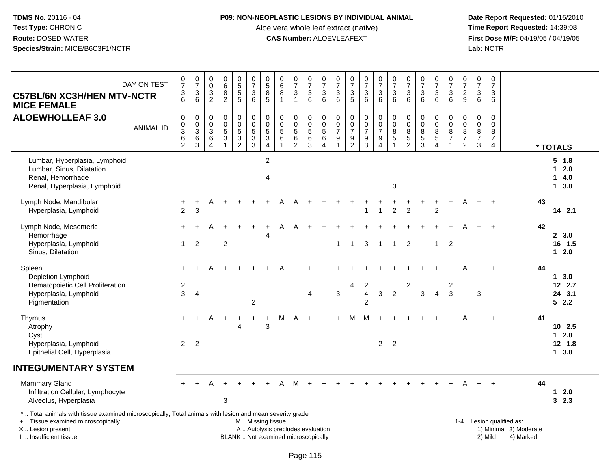### **P09: NON-NEOPLASTIC LESIONS BY INDIVIDUAL ANIMAL**

Aloe vera whole leaf extract (native)<br>**CAS Number:** ALOEVLEAFEXT

 **Date Report Requested:** 01/15/2010 **First Dose M/F:** 04/19/05 / 04/19/05<br>Lab: NCTR **Lab:** NCTR

| <b>C57BL/6N XC3H/HEN MTV-NCTR</b><br><b>MICE FEMALE</b>                                                                                                                                      | DAY ON TEST      | $\frac{0}{7}$<br>$\frac{3}{6}$                                                          | $\begin{array}{c} 0 \\ 7 \end{array}$<br>$\sqrt{3}$<br>6             | 0<br>$\overline{0}$<br>$\ensuremath{\mathsf{3}}$<br>$\overline{c}$ | $\begin{array}{c} 0 \\ 6 \\ 8 \end{array}$<br>$\overline{2}$ | 0<br>5<br>5<br>5                        | $\begin{array}{c} 0 \\ 7 \\ 3 \end{array}$<br>$6^{\circ}$ | $\begin{array}{c} 0 \\ 5 \\ 8 \end{array}$<br>$\overline{5}$ | $\begin{array}{c} 0 \\ 6 \end{array}$<br>$\, 8$<br>$\overline{1}$        | $\frac{0}{7}$<br>$\sqrt{3}$<br>$\overline{1}$                    | $\frac{0}{7}$<br>3<br>6                                  | $\frac{0}{7}$<br>$\ensuremath{\mathsf{3}}$<br>$6^{\circ}$      | $\frac{0}{7}$<br>3<br>$\overline{6}$                  | $\begin{array}{c} 0 \\ 7 \\ 3 \\ 5 \end{array}$             | $\frac{0}{7}$<br>$\frac{3}{6}$              | $\frac{0}{7}$<br>$\frac{3}{6}$                                                     | $\frac{0}{7}$<br>$\sqrt{3}$<br>$6\phantom{1}6$                               | $\frac{0}{7}$<br>3<br>6                                              | $\begin{array}{c} 0 \\ 7 \end{array}$<br>$\sqrt{3}$<br>$6^{\circ}$ | $\frac{0}{7}$<br>$\mathbf{3}$<br>$6^{\circ}$        | $\frac{0}{7}$<br>$\ensuremath{\mathsf{3}}$<br>$6^{\circ}$                         | $\frac{0}{7}$<br>$\frac{2}{9}$                                      | $\frac{0}{7}$<br>$\sqrt{3}$<br>6                       | $\pmb{0}$<br>$\overline{7}$<br>$\sqrt{3}$<br>6                   |                                                                  |    |                                      |
|----------------------------------------------------------------------------------------------------------------------------------------------------------------------------------------------|------------------|-----------------------------------------------------------------------------------------|----------------------------------------------------------------------|--------------------------------------------------------------------|--------------------------------------------------------------|-----------------------------------------|-----------------------------------------------------------|--------------------------------------------------------------|--------------------------------------------------------------------------|------------------------------------------------------------------|----------------------------------------------------------|----------------------------------------------------------------|-------------------------------------------------------|-------------------------------------------------------------|---------------------------------------------|------------------------------------------------------------------------------------|------------------------------------------------------------------------------|----------------------------------------------------------------------|--------------------------------------------------------------------|-----------------------------------------------------|-----------------------------------------------------------------------------------|---------------------------------------------------------------------|--------------------------------------------------------|------------------------------------------------------------------|------------------------------------------------------------------|----|--------------------------------------|
| <b>ALOEWHOLLEAF 3.0</b>                                                                                                                                                                      | <b>ANIMAL ID</b> | $\pmb{0}$<br>$\pmb{0}$<br>$\ensuremath{\mathsf{3}}$<br>$6\phantom{a}$<br>$\overline{2}$ | $\boldsymbol{0}$<br>$_{3}^{\rm 0}$<br>$6\phantom{a}$<br>$\mathbf{3}$ | 0<br>$\boldsymbol{0}$<br>3<br>6<br>$\overline{4}$                  | $\pmb{0}$<br>$\begin{array}{c} 0 \\ 5 \\ 3 \\ 1 \end{array}$ | $\pmb{0}$<br>$\pmb{0}$<br>$\frac{5}{2}$ | $\pmb{0}$<br>$\begin{array}{c} 0 \\ 5 \\ 3 \end{array}$   | $\pmb{0}$<br>$\frac{0}{5}$<br>$\frac{3}{4}$                  | $\boldsymbol{0}$<br>$\mathsf 0$<br>$\sqrt{5}$<br>$\,6$<br>$\overline{1}$ | $\mathbf 0$<br>$\frac{0}{5}$<br>$6\phantom{a}$<br>$\overline{2}$ | 0<br>$\pmb{0}$<br>$\overline{5}$<br>$6\phantom{1}6$<br>3 | $\pmb{0}$<br>$\frac{0}{5}$<br>$6\phantom{a}$<br>$\overline{4}$ | 0<br>$\pmb{0}$<br>$\overline{7}$<br>9<br>$\mathbf{1}$ | $\pmb{0}$<br>$\pmb{0}$<br>$\boldsymbol{7}$<br>$\frac{9}{2}$ | $\pmb{0}$<br>$\frac{0}{7}$<br>$\frac{9}{3}$ | $\mathbf 0$<br>$\pmb{0}$<br>$\boldsymbol{7}$<br>$\boldsymbol{9}$<br>$\overline{4}$ | $\mathbf 0$<br>$\mathsf{O}\xspace$<br>$\bf 8$<br>$\,$ 5 $\,$<br>$\mathbf{1}$ | $\pmb{0}$<br>$\pmb{0}$<br>$\bf8$<br>$\overline{5}$<br>$\overline{2}$ | $\mathbf 0$<br>$\pmb{0}$<br>$\,8\,$<br>$\frac{5}{3}$               | 0<br>$\mathbf 0$<br>$\frac{8}{5}$<br>$\overline{4}$ | 0<br>$\mathsf{O}\xspace$<br>$\begin{array}{c} 8 \\ 7 \end{array}$<br>$\mathbf{1}$ | 0<br>$\mathsf 0$<br>$\check{8}$<br>$\overline{7}$<br>$\overline{2}$ | $\mathbf 0$<br>$\mathbf 0$<br>8<br>$\overline{7}$<br>3 | $\Omega$<br>$\mathbf 0$<br>8<br>$\overline{7}$<br>$\overline{4}$ |                                                                  |    | * TOTALS                             |
| Lumbar, Hyperplasia, Lymphoid<br>Lumbar, Sinus, Dilatation<br>Renal, Hemorrhage<br>Renal, Hyperplasia, Lymphoid                                                                              |                  |                                                                                         |                                                                      |                                                                    |                                                              |                                         |                                                           | $\sqrt{2}$<br>$\overline{4}$                                 |                                                                          |                                                                  |                                                          |                                                                |                                                       |                                                             |                                             |                                                                                    | 3                                                                            |                                                                      |                                                                    |                                                     |                                                                                   |                                                                     |                                                        |                                                                  |                                                                  |    | $5 \t1.8$<br>$12.0$<br>14.0<br>13.0  |
| Lymph Node, Mandibular<br>Hyperplasia, Lymphoid                                                                                                                                              |                  | +<br>$\overline{c}$                                                                     | $\ddot{}$<br>$\mathbf{3}$                                            | A                                                                  |                                                              |                                         |                                                           |                                                              |                                                                          |                                                                  |                                                          |                                                                |                                                       |                                                             | 1                                           | $\overline{1}$                                                                     | $\overline{2}$                                                               | $\overline{c}$                                                       |                                                                    | $\overline{c}$                                      |                                                                                   |                                                                     |                                                        | $\overline{+}$                                                   |                                                                  | 43 | 14 2.1                               |
| Lymph Node, Mesenteric<br>Hemorrhage<br>Hyperplasia, Lymphoid<br>Sinus, Dilatation                                                                                                           |                  | $\mathbf{1}$                                                                            | $\overline{2}$                                                       |                                                                    | $\overline{c}$                                               |                                         |                                                           | Δ                                                            | A                                                                        |                                                                  |                                                          |                                                                | $\mathbf{1}$                                          | $\mathbf{1}$                                                | 3                                           | $\overline{1}$                                                                     | $\overline{1}$                                                               | $\overline{2}$                                                       |                                                                    | $\mathbf{1}$                                        | $\overline{2}$                                                                    |                                                                     |                                                        |                                                                  |                                                                  | 42 | 2, 3.0<br>16 1.5<br>$12.0$           |
| Spleen<br>Depletion Lymphoid<br>Hematopoietic Cell Proliferation<br>Hyperplasia, Lymphoid<br>Pigmentation                                                                                    |                  | $\overline{c}$<br>3                                                                     | $\overline{4}$                                                       |                                                                    |                                                              |                                         | $\overline{2}$                                            |                                                              |                                                                          |                                                                  | 4                                                        |                                                                | 3                                                     | 4                                                           | 2<br>$\overline{4}$<br>$\overline{2}$       | 3                                                                                  | $\overline{2}$                                                               | $\overline{c}$                                                       | 3                                                                  | $\overline{4}$                                      | 2<br>3                                                                            |                                                                     | 3                                                      |                                                                  |                                                                  | 44 | 13.0<br>12 2.7<br>24 3.1<br>52.2     |
| Thymus<br>Atrophy<br>Cyst<br>Hyperplasia, Lymphoid<br>Epithelial Cell, Hyperplasia                                                                                                           |                  | $\overline{2}$                                                                          | $\overline{2}$                                                       | А                                                                  |                                                              | $\overline{4}$                          | $\pm$                                                     | $\overline{1}$<br>$\mathbf{3}$                               | м                                                                        | А                                                                |                                                          |                                                                |                                                       | м                                                           | M                                           | $2^{\circ}$                                                                        | $\overline{2}$                                                               |                                                                      |                                                                    |                                                     |                                                                                   |                                                                     |                                                        |                                                                  |                                                                  | 41 | $10$ 2.5<br>$12.0$<br>12 1.8<br>13.0 |
| <b>INTEGUMENTARY SYSTEM</b>                                                                                                                                                                  |                  |                                                                                         |                                                                      |                                                                    |                                                              |                                         |                                                           |                                                              |                                                                          |                                                                  |                                                          |                                                                |                                                       |                                                             |                                             |                                                                                    |                                                                              |                                                                      |                                                                    |                                                     |                                                                                   |                                                                     |                                                        |                                                                  |                                                                  |    |                                      |
| <b>Mammary Gland</b><br>Infiltration Cellular, Lymphocyte<br>Alveolus, Hyperplasia                                                                                                           |                  |                                                                                         |                                                                      |                                                                    | 3                                                            |                                         |                                                           |                                                              |                                                                          | м                                                                |                                                          |                                                                |                                                       |                                                             |                                             |                                                                                    |                                                                              |                                                                      |                                                                    |                                                     |                                                                                   |                                                                     |                                                        |                                                                  |                                                                  | 44 | $1 \quad 2.0$<br>32.3                |
| *  Total animals with tissue examined microscopically; Total animals with lesion and mean severity grade<br>+  Tissue examined microscopically<br>X Lesion present<br>I. Insufficient tissue |                  |                                                                                         |                                                                      |                                                                    |                                                              |                                         | M  Missing tissue                                         |                                                              | A  Autolysis precludes evaluation<br>BLANK  Not examined microscopically |                                                                  |                                                          |                                                                |                                                       |                                                             |                                             |                                                                                    |                                                                              |                                                                      |                                                                    |                                                     |                                                                                   |                                                                     |                                                        | 2) Mild                                                          | 1-4  Lesion qualified as:<br>1) Minimal 3) Moderate<br>4) Marked |    |                                      |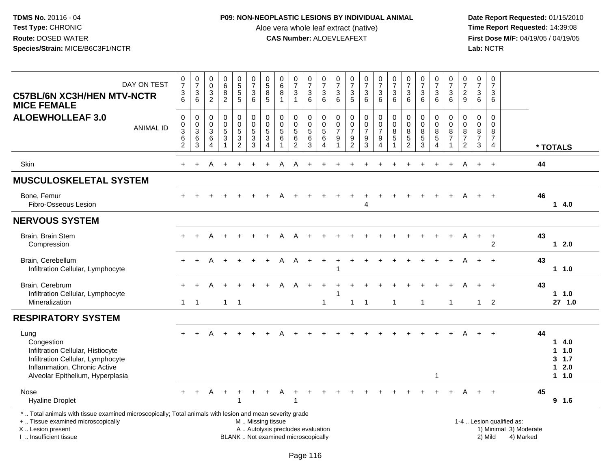### **P09: NON-NEOPLASTIC LESIONS BY INDIVIDUAL ANIMAL**

Aloe vera whole leaf extract (native)<br>**CAS Number:** ALOEVLEAFEXT

 **Date Report Requested:** 01/15/2010 **First Dose M/F:** 04/19/05 / 04/19/05<br>Lab: NCTR **Lab:** NCTR

| DAY ON TEST<br><b>C57BL/6N XC3H/HEN MTV-NCTR</b><br><b>MICE FEMALE</b>                                                                                                                        | $\frac{0}{7}$<br>$\sqrt{3}$<br>6                                | $\frac{0}{7}$<br>$\sqrt{3}$<br>6                            | $_{\rm 0}^{\rm 0}$<br>$\sqrt{3}$<br>$\overline{2}$                      | $\begin{array}{c} 0 \\ 6 \\ 8 \end{array}$<br>$\overline{2}$ | $\begin{array}{c} 0 \\ 5 \\ 5 \end{array}$<br>5                              | $\frac{0}{7}$<br>$\sqrt{3}$<br>$6\phantom{1}6$        | $\begin{array}{c} 0 \\ 5 \end{array}$<br>$\bf 8$<br>$5\phantom{1}$ | 0<br>$6\phantom{1}$<br>8<br>$\mathbf{1}$                                 | $\frac{0}{7}$<br>$\mathbf{3}$<br>$\mathbf{1}$                   | $\begin{array}{c} 0 \\ 7 \end{array}$<br>$\sqrt{3}$<br>6 | $\frac{0}{7}$<br>$\sqrt{3}$<br>$6\phantom{1}$         | $\frac{0}{7}$<br>3<br>$6\phantom{1}6$                                    | $\frac{0}{7}$<br>$\sqrt{3}$<br>$5\phantom{1}$                           | $\frac{0}{7}$<br>$\mathbf{3}$<br>$6\phantom{1}$ | $\frac{0}{7}$<br>$\mathbf{3}$<br>$6\phantom{1}$                               | $\begin{array}{c} 0 \\ 7 \end{array}$<br>$\ensuremath{\mathsf{3}}$<br>$6\phantom{a}$ | $\frac{0}{7}$<br>$\sqrt{3}$<br>$6\phantom{1}$                       | $\frac{0}{7}$<br>$\sqrt{3}$<br>6                        | $\frac{0}{7}$<br>$\ensuremath{\mathsf{3}}$<br>$6\phantom{1}6$ | $\frac{0}{7}$<br>$\mathbf{3}$<br>6                                      | 0<br>$\overline{7}$<br>$\overline{a}$<br>9                | $\begin{array}{c} 0 \\ 7 \end{array}$<br>3<br>$6\phantom{a}$ | $\pmb{0}$<br>$\overline{7}$<br>$\mathbf{3}$<br>$6\phantom{1}6$            |                                                                  |    |                                           |
|-----------------------------------------------------------------------------------------------------------------------------------------------------------------------------------------------|-----------------------------------------------------------------|-------------------------------------------------------------|-------------------------------------------------------------------------|--------------------------------------------------------------|------------------------------------------------------------------------------|-------------------------------------------------------|--------------------------------------------------------------------|--------------------------------------------------------------------------|-----------------------------------------------------------------|----------------------------------------------------------|-------------------------------------------------------|--------------------------------------------------------------------------|-------------------------------------------------------------------------|-------------------------------------------------|-------------------------------------------------------------------------------|--------------------------------------------------------------------------------------|---------------------------------------------------------------------|---------------------------------------------------------|---------------------------------------------------------------|-------------------------------------------------------------------------|-----------------------------------------------------------|--------------------------------------------------------------|---------------------------------------------------------------------------|------------------------------------------------------------------|----|-------------------------------------------|
| <b>ALOEWHOLLEAF 3.0</b><br><b>ANIMAL ID</b>                                                                                                                                                   | $\mathbf 0$<br>0<br>$\overline{3}$<br>$\,6\,$<br>$\overline{2}$ | $\boldsymbol{0}$<br>$\mathbf 0$<br>$\overline{3}$<br>6<br>3 | $\mathbf 0$<br>$\mathbf 0$<br>$\ensuremath{\mathsf{3}}$<br>$\,6\,$<br>4 | 0<br>0<br>5<br>3                                             | $\pmb{0}$<br>$\mathbf 0$<br>$\overline{5}$<br>$\mathbf{3}$<br>$\overline{c}$ | $_{\rm 0}^{\rm 0}$<br>$\frac{5}{3}$<br>$\overline{3}$ | $\pmb{0}$<br>$\mathbf 0$<br>$\sqrt{5}$<br>$\mathbf{3}$<br>4        | $\mathbf 0$<br>$\mathbf 0$<br>$\sqrt{5}$<br>6<br>$\overline{1}$          | $\mathbf 0$<br>0<br>$\overline{5}$<br>$\,6\,$<br>$\overline{2}$ | $\mathbf 0$<br>0<br>$\overline{5}$<br>$\,6\,$<br>3       | 0<br>$\overline{0}$<br>$\overline{5}$<br>$\,6\,$<br>4 | $\mathbf 0$<br>$\boldsymbol{0}$<br>$\overline{7}$<br>9<br>$\overline{1}$ | $\mathbf 0$<br>$\mathbf 0$<br>$\overline{7}$<br>$9\,$<br>$\overline{2}$ | $_{\rm 0}^{\rm 0}$<br>$\overline{7}$<br>9<br>3  | $\mathbf 0$<br>$\ddot{\mathbf{0}}$<br>$\overline{7}$<br>$\boldsymbol{9}$<br>4 | $_{\rm 0}^{\rm 0}$<br>$\overline{8}$<br>5<br>$\overline{1}$                          | $\pmb{0}$<br>$\mathbf 0$<br>$\bf 8$<br>$\sqrt{5}$<br>$\overline{2}$ | $\mathbf 0$<br>$\mathbf 0$<br>$\, 8$<br>$\sqrt{5}$<br>3 | $\mathbf 0$<br>0<br>$\bf 8$<br>$\overline{5}$<br>4            | $\mathbf 0$<br>$\mathbf 0$<br>$\bf 8$<br>$\overline{7}$<br>$\mathbf{1}$ | 0<br>$\mathbf 0$<br>8<br>$\overline{7}$<br>$\overline{2}$ | $\mathbf 0$<br>0<br>$\bf 8$<br>$\overline{7}$<br>3           | $\mathbf 0$<br>$\mathbf 0$<br>$\bf 8$<br>$\overline{7}$<br>$\overline{4}$ |                                                                  |    | * TOTALS                                  |
| <b>Skin</b>                                                                                                                                                                                   | $+$                                                             | $\ddot{}$                                                   |                                                                         |                                                              |                                                                              |                                                       | $\pm$                                                              | A                                                                        | A                                                               |                                                          |                                                       |                                                                          |                                                                         |                                                 |                                                                               |                                                                                      |                                                                     |                                                         |                                                               |                                                                         | A                                                         | $+$                                                          | $+$                                                                       |                                                                  | 44 |                                           |
| <b>MUSCULOSKELETAL SYSTEM</b>                                                                                                                                                                 |                                                                 |                                                             |                                                                         |                                                              |                                                                              |                                                       |                                                                    |                                                                          |                                                                 |                                                          |                                                       |                                                                          |                                                                         |                                                 |                                                                               |                                                                                      |                                                                     |                                                         |                                                               |                                                                         |                                                           |                                                              |                                                                           |                                                                  |    |                                           |
| Bone, Femur<br>Fibro-Osseous Lesion                                                                                                                                                           |                                                                 |                                                             |                                                                         |                                                              |                                                                              |                                                       |                                                                    |                                                                          |                                                                 |                                                          |                                                       |                                                                          | $\div$                                                                  | $\div$<br>$\overline{A}$                        |                                                                               |                                                                                      |                                                                     |                                                         |                                                               |                                                                         | A                                                         | $+$                                                          | $\overline{1}$                                                            |                                                                  | 46 | 14.0                                      |
| <b>NERVOUS SYSTEM</b>                                                                                                                                                                         |                                                                 |                                                             |                                                                         |                                                              |                                                                              |                                                       |                                                                    |                                                                          |                                                                 |                                                          |                                                       |                                                                          |                                                                         |                                                 |                                                                               |                                                                                      |                                                                     |                                                         |                                                               |                                                                         |                                                           |                                                              |                                                                           |                                                                  |    |                                           |
| Brain, Brain Stem<br>Compression                                                                                                                                                              |                                                                 |                                                             |                                                                         |                                                              |                                                                              |                                                       |                                                                    |                                                                          |                                                                 |                                                          |                                                       |                                                                          |                                                                         |                                                 |                                                                               |                                                                                      |                                                                     |                                                         |                                                               |                                                                         | A                                                         | $+$                                                          | $\overline{+}$<br>$\mathfrak{p}$                                          |                                                                  | 43 | $12.0$                                    |
| Brain, Cerebellum<br>Infiltration Cellular, Lymphocyte                                                                                                                                        | $+$                                                             |                                                             |                                                                         |                                                              |                                                                              |                                                       |                                                                    | A                                                                        | A                                                               |                                                          |                                                       |                                                                          |                                                                         |                                                 |                                                                               |                                                                                      |                                                                     |                                                         |                                                               |                                                                         | A                                                         | $+$                                                          | $\overline{+}$                                                            |                                                                  | 43 | $1 \t1.0$                                 |
| Brain, Cerebrum<br>Infiltration Cellular, Lymphocyte                                                                                                                                          |                                                                 |                                                             |                                                                         |                                                              |                                                                              |                                                       |                                                                    |                                                                          | Α                                                               | $+$                                                      | $\div$                                                |                                                                          |                                                                         |                                                 |                                                                               |                                                                                      |                                                                     |                                                         |                                                               |                                                                         |                                                           |                                                              |                                                                           |                                                                  | 43 | 1 1.0                                     |
| Mineralization                                                                                                                                                                                | $\overline{1}$                                                  | $\overline{1}$                                              |                                                                         | $\mathbf{1}$                                                 | $\overline{\phantom{1}}$                                                     |                                                       |                                                                    |                                                                          |                                                                 |                                                          | $\mathbf 1$                                           |                                                                          | $\mathbf{1}$                                                            | - 1                                             |                                                                               | $\mathbf{1}$                                                                         |                                                                     | $\overline{1}$                                          |                                                               | $\mathbf{1}$                                                            |                                                           | $\mathbf{1}$                                                 | $\overline{2}$                                                            |                                                                  |    | 27 1.0                                    |
| <b>RESPIRATORY SYSTEM</b><br>Lung<br>Congestion<br>Infiltration Cellular, Histiocyte<br>Infiltration Cellular, Lymphocyte<br>Inflammation, Chronic Active<br>Alveolar Epithelium, Hyperplasia |                                                                 |                                                             |                                                                         |                                                              |                                                                              |                                                       |                                                                    |                                                                          |                                                                 |                                                          |                                                       |                                                                          |                                                                         |                                                 |                                                                               |                                                                                      |                                                                     |                                                         | $\mathbf{1}$                                                  |                                                                         |                                                           |                                                              |                                                                           |                                                                  | 44 | 14.0<br>1 1.0<br>3, 1.7<br>$12.0$<br>11.0 |
| Nose<br><b>Hyaline Droplet</b>                                                                                                                                                                |                                                                 |                                                             |                                                                         |                                                              | -1                                                                           |                                                       |                                                                    |                                                                          | $\overline{1}$                                                  |                                                          |                                                       |                                                                          |                                                                         |                                                 |                                                                               |                                                                                      |                                                                     |                                                         |                                                               |                                                                         |                                                           |                                                              |                                                                           |                                                                  | 45 | 9 1.6                                     |
| *  Total animals with tissue examined microscopically; Total animals with lesion and mean severity grade<br>+  Tissue examined microscopically<br>X  Lesion present<br>I. Insufficient tissue |                                                                 |                                                             |                                                                         |                                                              |                                                                              |                                                       | M  Missing tissue                                                  | A  Autolysis precludes evaluation<br>BLANK  Not examined microscopically |                                                                 |                                                          |                                                       |                                                                          |                                                                         |                                                 |                                                                               |                                                                                      |                                                                     |                                                         |                                                               |                                                                         |                                                           |                                                              | 2) Mild                                                                   | 1-4  Lesion qualified as:<br>1) Minimal 3) Moderate<br>4) Marked |    |                                           |